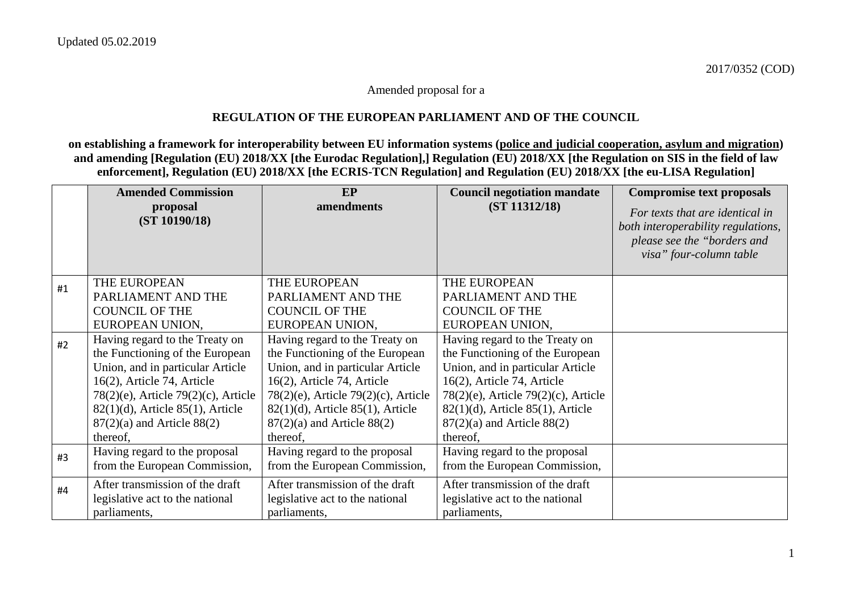#### Amended proposal for a

### **REGULATION OF THE EUROPEAN PARLIAMENT AND OF THE COUNCIL**

**on establishing a framework for interoperability between EU information systems (police and judicial cooperation, asylum and migration) and amending [Regulation (EU) 2018/XX [the Eurodac Regulation],] Regulation (EU) 2018/XX [the Regulation on SIS in the field of law enforcement], Regulation (EU) 2018/XX [the ECRIS-TCN Regulation] and Regulation (EU) 2018/XX [the eu-LISA Regulation]** 

|    | <b>Amended Commission</b>              | EP                                        | <b>Council negotiation mandate</b>        | <b>Compromise text proposals</b>   |
|----|----------------------------------------|-------------------------------------------|-------------------------------------------|------------------------------------|
|    | proposal                               | amendments                                | (ST 11312/18)                             | For texts that are identical in    |
|    | (ST 10190/18)                          |                                           |                                           | both interoperability regulations, |
|    |                                        |                                           |                                           | please see the "borders and        |
|    |                                        |                                           |                                           | visa" four-column table            |
|    |                                        |                                           |                                           |                                    |
| #1 | THE EUROPEAN                           | THE EUROPEAN                              | THE EUROPEAN                              |                                    |
|    | PARLIAMENT AND THE                     | PARLIAMENT AND THE                        | PARLIAMENT AND THE                        |                                    |
|    | <b>COUNCIL OF THE</b>                  | <b>COUNCIL OF THE</b>                     | <b>COUNCIL OF THE</b>                     |                                    |
|    | EUROPEAN UNION,                        | EUROPEAN UNION,                           | EUROPEAN UNION,                           |                                    |
| #2 | Having regard to the Treaty on         | Having regard to the Treaty on            | Having regard to the Treaty on            |                                    |
|    | the Functioning of the European        | the Functioning of the European           | the Functioning of the European           |                                    |
|    | Union, and in particular Article       | Union, and in particular Article          | Union, and in particular Article          |                                    |
|    | $16(2)$ , Article 74, Article          | $16(2)$ , Article 74, Article             | 16(2), Article 74, Article                |                                    |
|    | 78(2)(e), Article 79(2)(c), Article    | $78(2)(e)$ , Article $79(2)(c)$ , Article | $78(2)(e)$ , Article $79(2)(c)$ , Article |                                    |
|    | $82(1)(d)$ , Article $85(1)$ , Article | $82(1)(d)$ , Article $85(1)$ , Article    | $82(1)(d)$ , Article $85(1)$ , Article    |                                    |
|    | $87(2)(a)$ and Article $88(2)$         | $87(2)(a)$ and Article $88(2)$            | $87(2)(a)$ and Article $88(2)$            |                                    |
|    | thereof,                               | thereof,                                  | thereof,                                  |                                    |
| #3 | Having regard to the proposal          | Having regard to the proposal             | Having regard to the proposal             |                                    |
|    | from the European Commission,          | from the European Commission,             | from the European Commission,             |                                    |
| #4 | After transmission of the draft        | After transmission of the draft           | After transmission of the draft           |                                    |
|    | legislative act to the national        | legislative act to the national           | legislative act to the national           |                                    |
|    | parliaments,                           | parliaments,                              | parliaments,                              |                                    |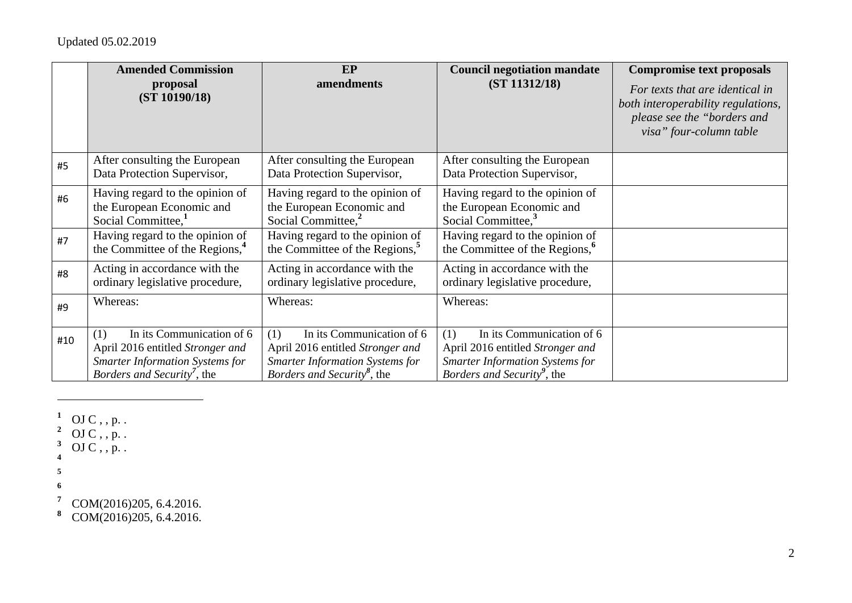|     | <b>Amended Commission</b><br>proposal<br>(ST 10190/18)                                                                                                           | <b>EP</b><br>amendments                                                                                                                                         | <b>Council negotiation mandate</b><br>(ST 11312/18)                                                                                                              | <b>Compromise text proposals</b><br>For texts that are identical in<br>both interoperability regulations,<br>please see the "borders and<br>visa" four-column table |
|-----|------------------------------------------------------------------------------------------------------------------------------------------------------------------|-----------------------------------------------------------------------------------------------------------------------------------------------------------------|------------------------------------------------------------------------------------------------------------------------------------------------------------------|---------------------------------------------------------------------------------------------------------------------------------------------------------------------|
| #5  | After consulting the European<br>Data Protection Supervisor,                                                                                                     | After consulting the European<br>Data Protection Supervisor,                                                                                                    | After consulting the European<br>Data Protection Supervisor,                                                                                                     |                                                                                                                                                                     |
| #6  | Having regard to the opinion of<br>the European Economic and<br>Social Committee, <sup>1</sup>                                                                   | Having regard to the opinion of<br>the European Economic and<br>Social Committee, <sup>2</sup>                                                                  | Having regard to the opinion of<br>the European Economic and<br>Social Committee, <sup>3</sup>                                                                   |                                                                                                                                                                     |
| #7  | Having regard to the opinion of<br>the Committee of the Regions, <sup>4</sup>                                                                                    | Having regard to the opinion of<br>the Committee of the Regions, <sup>5</sup>                                                                                   | Having regard to the opinion of<br>the Committee of the Regions, <sup>6</sup>                                                                                    |                                                                                                                                                                     |
| #8  | Acting in accordance with the<br>ordinary legislative procedure,                                                                                                 | Acting in accordance with the<br>ordinary legislative procedure,                                                                                                | Acting in accordance with the<br>ordinary legislative procedure,                                                                                                 |                                                                                                                                                                     |
| #9  | Whereas:                                                                                                                                                         | Whereas:                                                                                                                                                        | Whereas:                                                                                                                                                         |                                                                                                                                                                     |
| #10 | In its Communication of 6<br>(1)<br>April 2016 entitled Stronger and<br><b>Smarter Information Systems for</b><br><i>Borders and Security</i> <sup>7</sup> , the | In its Communication of 6<br>(1)<br>April 2016 entitled Stronger and<br><b>Smarter Information Systems for</b><br><i>Borders and Security<sup>8</sup></i> , the | In its Communication of 6<br>(1)<br>April 2016 entitled Stronger and<br><b>Smarter Information Systems for</b><br><i>Borders and Security</i> <sup>9</sup> , the |                                                                                                                                                                     |

- $^1$  OJ C , , p. .
- <sup>2</sup> OJ C, , p. .
- $3$  OJ C, , p. .
- **4**
- **5**
- **6**

**<sup>7</sup>** COM(2016)205, 6.4.2016.

**<sup>8</sup>** COM(2016)205, 6.4.2016.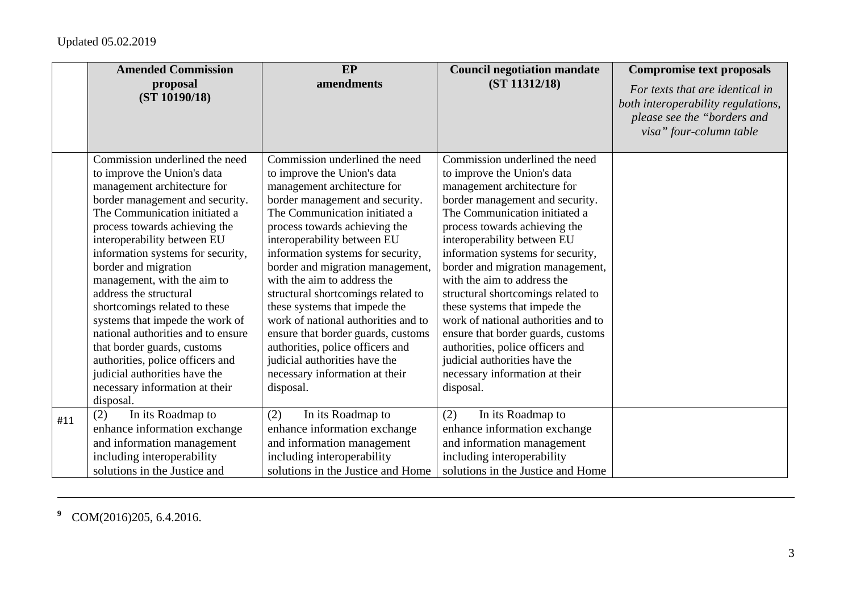|     | <b>Amended Commission</b><br>proposal                                                                                                                                                                                                                                                                                                                                                                                                                                                                                                                                                                  | EP<br>amendments                                                                                                                                                                                                                                                                                                                                                                                                                                                                                                                                                                                                 | <b>Council negotiation mandate</b><br>(ST 11312/18)                                                                                                                                                                                                                                                                                                                                                                                                                                                                                                                                                              | <b>Compromise text proposals</b>                                                                                                |
|-----|--------------------------------------------------------------------------------------------------------------------------------------------------------------------------------------------------------------------------------------------------------------------------------------------------------------------------------------------------------------------------------------------------------------------------------------------------------------------------------------------------------------------------------------------------------------------------------------------------------|------------------------------------------------------------------------------------------------------------------------------------------------------------------------------------------------------------------------------------------------------------------------------------------------------------------------------------------------------------------------------------------------------------------------------------------------------------------------------------------------------------------------------------------------------------------------------------------------------------------|------------------------------------------------------------------------------------------------------------------------------------------------------------------------------------------------------------------------------------------------------------------------------------------------------------------------------------------------------------------------------------------------------------------------------------------------------------------------------------------------------------------------------------------------------------------------------------------------------------------|---------------------------------------------------------------------------------------------------------------------------------|
|     | (ST 10190/18)                                                                                                                                                                                                                                                                                                                                                                                                                                                                                                                                                                                          |                                                                                                                                                                                                                                                                                                                                                                                                                                                                                                                                                                                                                  |                                                                                                                                                                                                                                                                                                                                                                                                                                                                                                                                                                                                                  | For texts that are identical in<br>both interoperability regulations,<br>please see the "borders and<br>visa" four-column table |
|     | Commission underlined the need<br>to improve the Union's data<br>management architecture for<br>border management and security.<br>The Communication initiated a<br>process towards achieving the<br>interoperability between EU<br>information systems for security,<br>border and migration<br>management, with the aim to<br>address the structural<br>shortcomings related to these<br>systems that impede the work of<br>national authorities and to ensure<br>that border guards, customs<br>authorities, police officers and<br>judicial authorities have the<br>necessary information at their | Commission underlined the need<br>to improve the Union's data<br>management architecture for<br>border management and security.<br>The Communication initiated a<br>process towards achieving the<br>interoperability between EU<br>information systems for security,<br>border and migration management,<br>with the aim to address the<br>structural shortcomings related to<br>these systems that impede the<br>work of national authorities and to<br>ensure that border guards, customs<br>authorities, police officers and<br>judicial authorities have the<br>necessary information at their<br>disposal. | Commission underlined the need<br>to improve the Union's data<br>management architecture for<br>border management and security.<br>The Communication initiated a<br>process towards achieving the<br>interoperability between EU<br>information systems for security,<br>border and migration management,<br>with the aim to address the<br>structural shortcomings related to<br>these systems that impede the<br>work of national authorities and to<br>ensure that border guards, customs<br>authorities, police officers and<br>judicial authorities have the<br>necessary information at their<br>disposal. |                                                                                                                                 |
|     | disposal.                                                                                                                                                                                                                                                                                                                                                                                                                                                                                                                                                                                              |                                                                                                                                                                                                                                                                                                                                                                                                                                                                                                                                                                                                                  |                                                                                                                                                                                                                                                                                                                                                                                                                                                                                                                                                                                                                  |                                                                                                                                 |
| #11 | (2)<br>In its Roadmap to<br>enhance information exchange<br>and information management<br>including interoperability<br>solutions in the Justice and                                                                                                                                                                                                                                                                                                                                                                                                                                                   | (2)<br>In its Roadmap to<br>enhance information exchange<br>and information management<br>including interoperability<br>solutions in the Justice and Home                                                                                                                                                                                                                                                                                                                                                                                                                                                        | (2)<br>In its Roadmap to<br>enhance information exchange<br>and information management<br>including interoperability<br>solutions in the Justice and Home                                                                                                                                                                                                                                                                                                                                                                                                                                                        |                                                                                                                                 |

**<sup>9</sup>** COM(2016)205, 6.4.2016.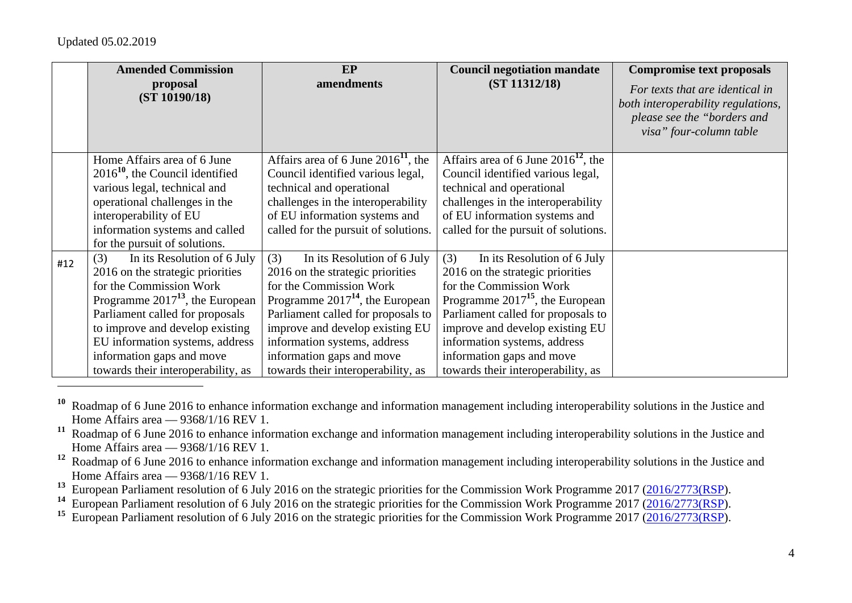|     | <b>Amended Commission</b>                                              | <b>EP</b>                                                                  | <b>Council negotiation mandate</b>                                            | <b>Compromise text proposals</b>                                                                                                |
|-----|------------------------------------------------------------------------|----------------------------------------------------------------------------|-------------------------------------------------------------------------------|---------------------------------------------------------------------------------------------------------------------------------|
|     | proposal<br>(ST 10190/18)                                              | amendments                                                                 | (ST 11312/18)                                                                 | For texts that are identical in<br>both interoperability regulations,<br>please see the "borders and<br>visa" four-column table |
|     | Home Affairs area of 6 June<br>$201610$ , the Council identified       | Affairs area of 6 June $201611$ , the<br>Council identified various legal, | Affairs area of 6 June $2016^{12}$ , the<br>Council identified various legal, |                                                                                                                                 |
|     | various legal, technical and<br>operational challenges in the          | technical and operational<br>challenges in the interoperability            | technical and operational<br>challenges in the interoperability               |                                                                                                                                 |
|     | interoperability of EU                                                 | of EU information systems and                                              | of EU information systems and                                                 |                                                                                                                                 |
|     | information systems and called<br>for the pursuit of solutions.        | called for the pursuit of solutions.                                       | called for the pursuit of solutions.                                          |                                                                                                                                 |
| #12 | (3)<br>In its Resolution of 6 July<br>2016 on the strategic priorities | In its Resolution of 6 July<br>(3)<br>2016 on the strategic priorities     | (3)<br>In its Resolution of 6 July<br>2016 on the strategic priorities        |                                                                                                                                 |
|     | for the Commission Work                                                | for the Commission Work                                                    | for the Commission Work                                                       |                                                                                                                                 |
|     | Programme $2017^{13}$ , the European                                   | Programme $2017^{14}$ , the European                                       | Programme $2017^{15}$ , the European                                          |                                                                                                                                 |
|     | Parliament called for proposals                                        | Parliament called for proposals to                                         | Parliament called for proposals to                                            |                                                                                                                                 |
|     | to improve and develop existing                                        | improve and develop existing EU                                            | improve and develop existing EU                                               |                                                                                                                                 |
|     | EU information systems, address                                        | information systems, address                                               | information systems, address                                                  |                                                                                                                                 |
|     | information gaps and move                                              | information gaps and move                                                  | information gaps and move                                                     |                                                                                                                                 |
|     | towards their interoperability, as                                     | towards their interoperability, as                                         | towards their interoperability, as                                            |                                                                                                                                 |

**<sup>10</sup>** Roadmap of 6 June 2016 to enhance information exchange and information management including interoperability solutions in the Justice and Home Affairs area — 9368/1/16 REV 1.

- **<sup>12</sup>** Roadmap of 6 June 2016 to enhance information exchange and information management including interoperability solutions in the Justice and Home Affairs area — 9368/1/16 REV 1.
- <sup>13</sup> European Parliament resolution of 6 July 2016 on the strategic priorities for the Commission Work Programme 2017 (2016/2773(RSP).
- <sup>14</sup> European Parliament resolution of 6 July 2016 on the strategic priorities for the Commission Work Programme 2017 (2016/2773(RSP).
- <sup>15</sup> European Parliament resolution of 6 July 2016 on the strategic priorities for the Commission Work Programme 2017 (2016/2773(RSP).

**<sup>11</sup>** Roadmap of 6 June 2016 to enhance information exchange and information management including interoperability solutions in the Justice and Home Affairs area — 9368/1/16 REV 1.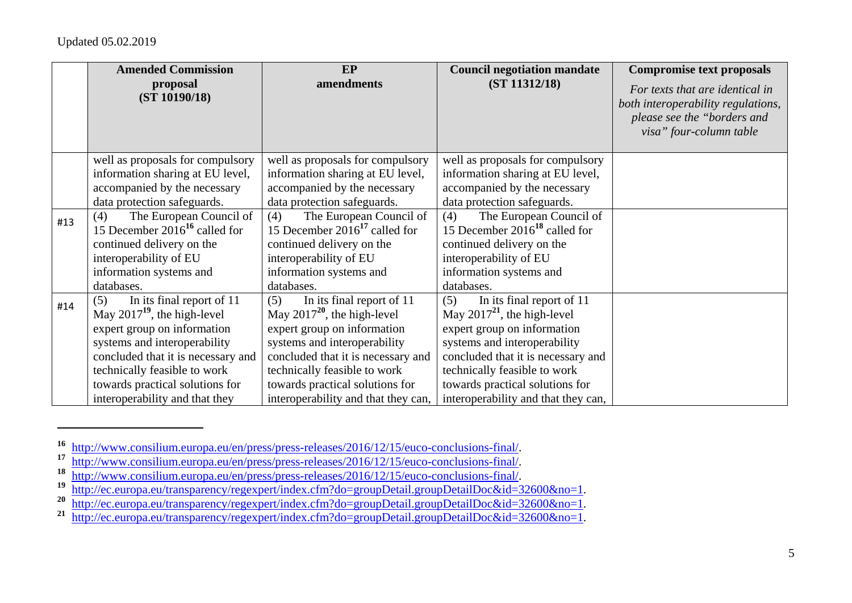|     | <b>Amended Commission</b><br>proposal                                | <b>EP</b><br>amendments                                              | <b>Council negotiation mandate</b><br>(ST 11312/18)                  | <b>Compromise text proposals</b>                                                                                                |
|-----|----------------------------------------------------------------------|----------------------------------------------------------------------|----------------------------------------------------------------------|---------------------------------------------------------------------------------------------------------------------------------|
|     | (ST 10190/18)                                                        |                                                                      |                                                                      | For texts that are identical in<br>both interoperability regulations,<br>please see the "borders and<br>visa" four-column table |
|     | well as proposals for compulsory                                     | well as proposals for compulsory                                     | well as proposals for compulsory                                     |                                                                                                                                 |
|     | information sharing at EU level,<br>accompanied by the necessary     | information sharing at EU level,<br>accompanied by the necessary     | information sharing at EU level,<br>accompanied by the necessary     |                                                                                                                                 |
|     | data protection safeguards.                                          | data protection safeguards.                                          | data protection safeguards.                                          |                                                                                                                                 |
| #13 | The European Council of<br>(4)<br>15 December $2016^{16}$ called for | The European Council of<br>(4)<br>15 December $2016^{17}$ called for | The European Council of<br>(4)<br>15 December $2016^{18}$ called for |                                                                                                                                 |
|     | continued delivery on the                                            | continued delivery on the                                            | continued delivery on the                                            |                                                                                                                                 |
|     | interoperability of EU                                               | interoperability of EU                                               | interoperability of EU                                               |                                                                                                                                 |
|     | information systems and                                              | information systems and                                              | information systems and                                              |                                                                                                                                 |
|     | databases.                                                           | databases.                                                           | databases.                                                           |                                                                                                                                 |
| #14 | In its final report of 11<br>(5)<br>May $2017^{19}$ , the high-level | In its final report of 11<br>(5)<br>May $2017^{20}$ , the high-level | In its final report of 11<br>(5)<br>May $2017^{21}$ , the high-level |                                                                                                                                 |
|     | expert group on information                                          | expert group on information                                          | expert group on information                                          |                                                                                                                                 |
|     | systems and interoperability                                         | systems and interoperability                                         | systems and interoperability                                         |                                                                                                                                 |
|     | concluded that it is necessary and                                   | concluded that it is necessary and                                   | concluded that it is necessary and                                   |                                                                                                                                 |
|     | technically feasible to work                                         | technically feasible to work                                         | technically feasible to work                                         |                                                                                                                                 |
|     | towards practical solutions for                                      | towards practical solutions for                                      | towards practical solutions for                                      |                                                                                                                                 |
|     | interoperability and that they                                       | interoperability and that they can,                                  | interoperability and that they can,                                  |                                                                                                                                 |

**<sup>16</sup>** http://www.consilium.europa.eu/en/press/press-releases/2016/12/15/euco-conclusions-final/.

**<sup>17</sup>**http://www.consilium.europa.eu/en/press/press-releases/2016/12/15/euco-conclusions-final/.

**<sup>18</sup>**<sup>•</sup> http://www.consilium.europa.eu/en/press/press-releases/2016/12/15/euco-conclusions-final/.

**<sup>19</sup>**http://ec.europa.eu/transparency/regexpert/index.cfm?do=groupDetail.groupDetailDoc&id=32600&no=1.

**<sup>20</sup>**http://ec.europa.eu/transparency/regexpert/index.cfm?do=groupDetail.groupDetailDoc&id=32600&no=1.

**<sup>21</sup>**http://ec.europa.eu/transparency/regexpert/index.cfm?do=groupDetail.groupDetailDoc&id=32600&no=1.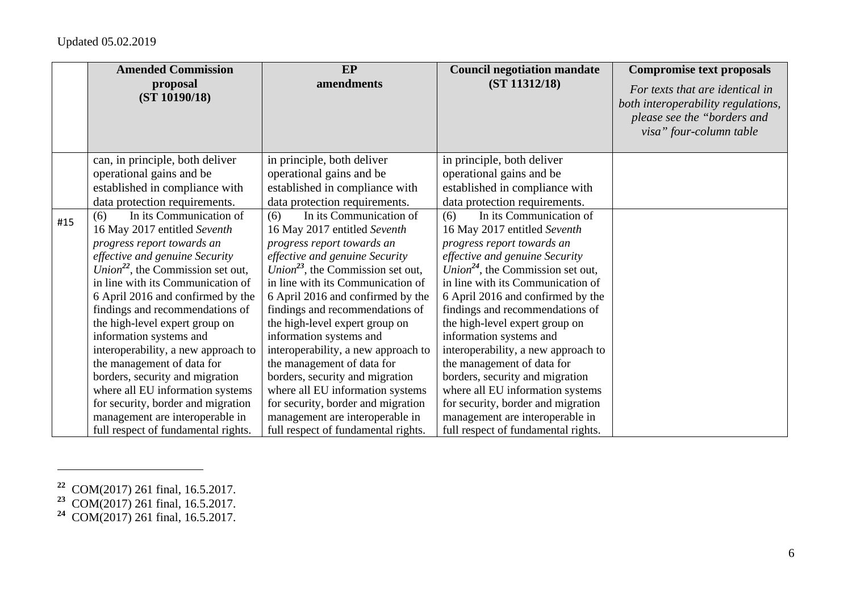|     | <b>Amended Commission</b>                     | <b>EP</b>                                     | <b>Council negotiation mandate</b>            | <b>Compromise text proposals</b>   |
|-----|-----------------------------------------------|-----------------------------------------------|-----------------------------------------------|------------------------------------|
|     | proposal                                      | amendments                                    | (ST 11312/18)                                 | For texts that are identical in    |
|     | (ST 10190/18)                                 |                                               |                                               | both interoperability regulations, |
|     |                                               |                                               |                                               | please see the "borders and        |
|     |                                               |                                               |                                               | visa" four-column table            |
|     |                                               |                                               |                                               |                                    |
|     | can, in principle, both deliver               | in principle, both deliver                    | in principle, both deliver                    |                                    |
|     | operational gains and be                      | operational gains and be                      | operational gains and be                      |                                    |
|     | established in compliance with                | established in compliance with                | established in compliance with                |                                    |
|     | data protection requirements.                 | data protection requirements.                 | data protection requirements.                 |                                    |
| #15 | In its Communication of<br>(6)                | In its Communication of<br>(6)                | In its Communication of<br>(6)                |                                    |
|     | 16 May 2017 entitled Seventh                  | 16 May 2017 entitled Seventh                  | 16 May 2017 entitled Seventh                  |                                    |
|     | progress report towards an                    | progress report towards an                    | progress report towards an                    |                                    |
|     | effective and genuine Security                | effective and genuine Security                | effective and genuine Security                |                                    |
|     | Union <sup>22</sup> , the Commission set out, | Union <sup>23</sup> , the Commission set out, | Union <sup>24</sup> , the Commission set out, |                                    |
|     | in line with its Communication of             | in line with its Communication of             | in line with its Communication of             |                                    |
|     | 6 April 2016 and confirmed by the             | 6 April 2016 and confirmed by the             | 6 April 2016 and confirmed by the             |                                    |
|     | findings and recommendations of               | findings and recommendations of               | findings and recommendations of               |                                    |
|     | the high-level expert group on                | the high-level expert group on                | the high-level expert group on                |                                    |
|     | information systems and                       | information systems and                       | information systems and                       |                                    |
|     | interoperability, a new approach to           | interoperability, a new approach to           | interoperability, a new approach to           |                                    |
|     | the management of data for                    | the management of data for                    | the management of data for                    |                                    |
|     | borders, security and migration               | borders, security and migration               | borders, security and migration               |                                    |
|     | where all EU information systems              | where all EU information systems              | where all EU information systems              |                                    |
|     | for security, border and migration            | for security, border and migration            | for security, border and migration            |                                    |
|     | management are interoperable in               | management are interoperable in               | management are interoperable in               |                                    |
|     | full respect of fundamental rights.           | full respect of fundamental rights.           | full respect of fundamental rights.           |                                    |

**<sup>23</sup>** COM(2017) 261 final, 16.5.2017.

**<sup>22</sup>** COM(2017) 261 final, 16.5.2017.

**<sup>24</sup>** COM(2017) 261 final, 16.5.2017.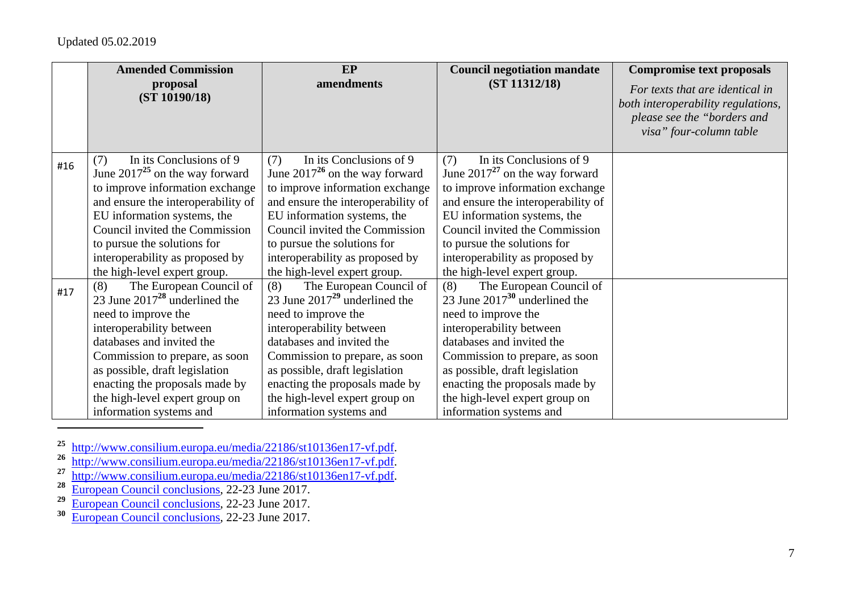|     | <b>Amended Commission</b>                                                                                                                                                                                                                                                                                               | <b>EP</b>                                                                                                                                                                                                                                                                                                               | <b>Council negotiation mandate</b>                                                                                                                                                                                                                                                                                      | <b>Compromise text proposals</b>                                                                                                |
|-----|-------------------------------------------------------------------------------------------------------------------------------------------------------------------------------------------------------------------------------------------------------------------------------------------------------------------------|-------------------------------------------------------------------------------------------------------------------------------------------------------------------------------------------------------------------------------------------------------------------------------------------------------------------------|-------------------------------------------------------------------------------------------------------------------------------------------------------------------------------------------------------------------------------------------------------------------------------------------------------------------------|---------------------------------------------------------------------------------------------------------------------------------|
|     | proposal<br>(ST 10190/18)                                                                                                                                                                                                                                                                                               | amendments                                                                                                                                                                                                                                                                                                              | (ST 11312/18)                                                                                                                                                                                                                                                                                                           | For texts that are identical in<br>both interoperability regulations,<br>please see the "borders and<br>visa" four-column table |
| #16 | In its Conclusions of 9<br>(7)<br>June $2017^{25}$ on the way forward<br>to improve information exchange<br>and ensure the interoperability of<br>EU information systems, the<br>Council invited the Commission<br>to pursue the solutions for<br>interoperability as proposed by<br>the high-level expert group.       | In its Conclusions of 9<br>(7)<br>June $2017^{26}$ on the way forward<br>to improve information exchange<br>and ensure the interoperability of<br>EU information systems, the<br>Council invited the Commission<br>to pursue the solutions for<br>interoperability as proposed by<br>the high-level expert group.       | In its Conclusions of 9<br>(7)<br>June $2017^{27}$ on the way forward<br>to improve information exchange<br>and ensure the interoperability of<br>EU information systems, the<br>Council invited the Commission<br>to pursue the solutions for<br>interoperability as proposed by<br>the high-level expert group.       |                                                                                                                                 |
| #17 | The European Council of<br>(8)<br>23 June $2017^{28}$ underlined the<br>need to improve the<br>interoperability between<br>databases and invited the<br>Commission to prepare, as soon<br>as possible, draft legislation<br>enacting the proposals made by<br>the high-level expert group on<br>information systems and | The European Council of<br>(8)<br>23 June $2017^{29}$ underlined the<br>need to improve the<br>interoperability between<br>databases and invited the<br>Commission to prepare, as soon<br>as possible, draft legislation<br>enacting the proposals made by<br>the high-level expert group on<br>information systems and | The European Council of<br>(8)<br>23 June $2017^{30}$ underlined the<br>need to improve the<br>interoperability between<br>databases and invited the<br>Commission to prepare, as soon<br>as possible, draft legislation<br>enacting the proposals made by<br>the high-level expert group on<br>information systems and |                                                                                                                                 |

<sup>25</sup> http://www.consilium.europa.eu/media/22186/st10136en17-vf.pdf.<br>
<sup>26</sup> http://www.consilium.europa.eu/media/22186/st10136en17-vf.pdf.<br>
<sup>27</sup> http://www.consilium.europa.eu/media/22186/st10136en17-vf.pdf.<br>
<sup>28</sup> European

- 
-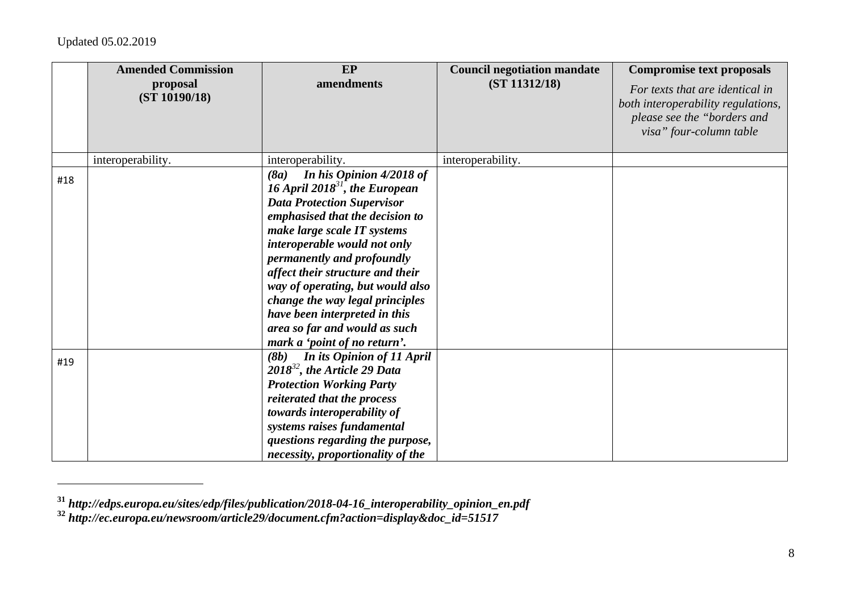|     | <b>Amended Commission</b><br>proposal<br>(ST 10190/18) | EP<br>amendments                                                                                                                                                                                                                                                                                                                                               | <b>Council negotiation mandate</b><br>(ST 11312/18) | <b>Compromise text proposals</b><br>For texts that are identical in<br>both interoperability regulations,<br>please see the "borders and<br>visa" four-column table |
|-----|--------------------------------------------------------|----------------------------------------------------------------------------------------------------------------------------------------------------------------------------------------------------------------------------------------------------------------------------------------------------------------------------------------------------------------|-----------------------------------------------------|---------------------------------------------------------------------------------------------------------------------------------------------------------------------|
|     | interoperability.                                      | interoperability.                                                                                                                                                                                                                                                                                                                                              | interoperability.                                   |                                                                                                                                                                     |
| #18 |                                                        | In his Opinion 4/2018 of<br>(8a)<br>16 April 2018 <sup>31</sup> , the European<br><b>Data Protection Supervisor</b><br>emphasised that the decision to<br>make large scale IT systems<br>interoperable would not only<br>permanently and profoundly<br>affect their structure and their<br>way of operating, but would also<br>change the way legal principles |                                                     |                                                                                                                                                                     |
|     |                                                        | have been interpreted in this<br>area so far and would as such<br>mark a 'point of no return'.                                                                                                                                                                                                                                                                 |                                                     |                                                                                                                                                                     |
| #19 |                                                        | (8b) In its Opinion of 11 April<br>$2018^{32}$ , the Article 29 Data<br><b>Protection Working Party</b><br>reiterated that the process<br>towards interoperability of<br>systems raises fundamental<br>questions regarding the purpose,<br>necessity, proportionality of the                                                                                   |                                                     |                                                                                                                                                                     |

**<sup>31</sup>** *http://edps.europa.eu/sites/edp/files/publication/2018-04-16\_interoperability\_opinion\_en.pdf* **32** *http://ec.europa.eu/newsroom/article29/document.cfm?action=display&doc\_id=51517*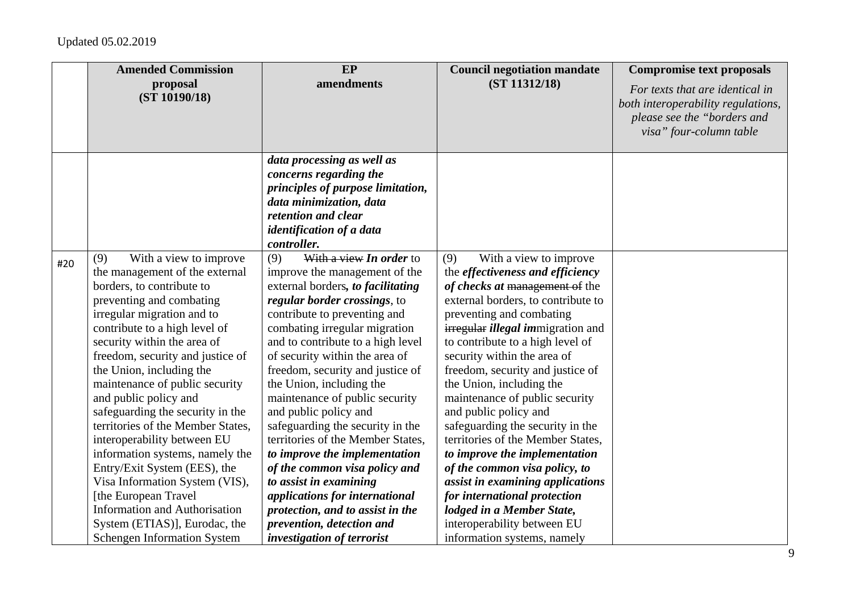|     | <b>Amended Commission</b>                                                                                                                                                                                                                                                                                                                                                                                                                                                                                                                                                                                                                                       | EP                                                                                                                                                                                                                                                                                                                                                                                                                                                                                                                                                                                                                                                                              | <b>Council negotiation mandate</b>                                                                                                                                                                                                                                                                                                                                                                                                                                                                                                                                                                                                                                                                       | <b>Compromise text proposals</b>                                                                                                |
|-----|-----------------------------------------------------------------------------------------------------------------------------------------------------------------------------------------------------------------------------------------------------------------------------------------------------------------------------------------------------------------------------------------------------------------------------------------------------------------------------------------------------------------------------------------------------------------------------------------------------------------------------------------------------------------|---------------------------------------------------------------------------------------------------------------------------------------------------------------------------------------------------------------------------------------------------------------------------------------------------------------------------------------------------------------------------------------------------------------------------------------------------------------------------------------------------------------------------------------------------------------------------------------------------------------------------------------------------------------------------------|----------------------------------------------------------------------------------------------------------------------------------------------------------------------------------------------------------------------------------------------------------------------------------------------------------------------------------------------------------------------------------------------------------------------------------------------------------------------------------------------------------------------------------------------------------------------------------------------------------------------------------------------------------------------------------------------------------|---------------------------------------------------------------------------------------------------------------------------------|
|     | proposal<br>(ST 10190/18)                                                                                                                                                                                                                                                                                                                                                                                                                                                                                                                                                                                                                                       | amendments                                                                                                                                                                                                                                                                                                                                                                                                                                                                                                                                                                                                                                                                      | (ST 11312/18)                                                                                                                                                                                                                                                                                                                                                                                                                                                                                                                                                                                                                                                                                            | For texts that are identical in<br>both interoperability regulations,<br>please see the "borders and<br>visa" four-column table |
|     |                                                                                                                                                                                                                                                                                                                                                                                                                                                                                                                                                                                                                                                                 | data processing as well as<br>concerns regarding the<br>principles of purpose limitation,<br>data minimization, data<br>retention and clear<br>identification of a data<br>controller.                                                                                                                                                                                                                                                                                                                                                                                                                                                                                          |                                                                                                                                                                                                                                                                                                                                                                                                                                                                                                                                                                                                                                                                                                          |                                                                                                                                 |
| #20 | With a view to improve<br>(9)<br>the management of the external<br>borders, to contribute to<br>preventing and combating<br>irregular migration and to<br>contribute to a high level of<br>security within the area of<br>freedom, security and justice of<br>the Union, including the<br>maintenance of public security<br>and public policy and<br>safeguarding the security in the<br>territories of the Member States,<br>interoperability between EU<br>information systems, namely the<br>Entry/Exit System (EES), the<br>Visa Information System (VIS),<br>[the European Travel<br><b>Information and Authorisation</b><br>System (ETIAS)], Eurodac, the | With a view In order to<br>(9)<br>improve the management of the<br>external borders, to facilitating<br>regular border crossings, to<br>contribute to preventing and<br>combating irregular migration<br>and to contribute to a high level<br>of security within the area of<br>freedom, security and justice of<br>the Union, including the<br>maintenance of public security<br>and public policy and<br>safeguarding the security in the<br>territories of the Member States,<br>to improve the implementation<br>of the common visa policy and<br>to assist in examining<br>applications for international<br>protection, and to assist in the<br>prevention, detection and | (9)<br>With a view to improve<br>the <i>effectiveness</i> and <i>efficiency</i><br>of checks at management of the<br>external borders, to contribute to<br>preventing and combating<br><i>irregular illegal immigration and</i><br>to contribute to a high level of<br>security within the area of<br>freedom, security and justice of<br>the Union, including the<br>maintenance of public security<br>and public policy and<br>safeguarding the security in the<br>territories of the Member States,<br>to improve the implementation<br>of the common visa policy, to<br>assist in examining applications<br>for international protection<br>lodged in a Member State,<br>interoperability between EU |                                                                                                                                 |
|     | <b>Schengen Information System</b>                                                                                                                                                                                                                                                                                                                                                                                                                                                                                                                                                                                                                              | investigation of terrorist                                                                                                                                                                                                                                                                                                                                                                                                                                                                                                                                                                                                                                                      | information systems, namely                                                                                                                                                                                                                                                                                                                                                                                                                                                                                                                                                                                                                                                                              |                                                                                                                                 |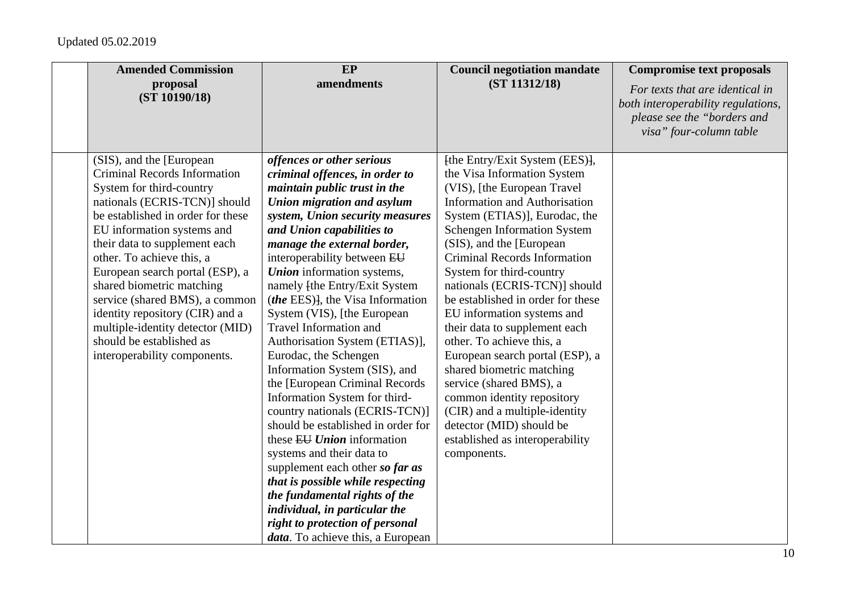| <b>Amended Commission</b><br>proposal                        | EP<br>amendments                                      | <b>Council negotiation mandate</b><br>(ST 11312/18)        | <b>Compromise text proposals</b>                                      |
|--------------------------------------------------------------|-------------------------------------------------------|------------------------------------------------------------|-----------------------------------------------------------------------|
| (ST 10190/18)                                                |                                                       |                                                            | For texts that are identical in<br>both interoperability regulations, |
|                                                              |                                                       |                                                            | please see the "borders and                                           |
|                                                              |                                                       |                                                            | visa" four-column table                                               |
|                                                              |                                                       |                                                            |                                                                       |
| (SIS), and the [European                                     | offences or other serious                             | [the Entry/Exit System (EES)],                             |                                                                       |
| <b>Criminal Records Information</b>                          | criminal offences, in order to                        | the Visa Information System                                |                                                                       |
| System for third-country                                     | maintain public trust in the                          | (VIS), [the European Travel                                |                                                                       |
| nationals (ECRIS-TCN)] should                                | Union migration and asylum                            | <b>Information and Authorisation</b>                       |                                                                       |
| be established in order for these                            | system, Union security measures                       | System (ETIAS)], Eurodac, the                              |                                                                       |
| EU information systems and                                   | and Union capabilities to                             | <b>Schengen Information System</b>                         |                                                                       |
| their data to supplement each                                | manage the external border,                           | (SIS), and the [European                                   |                                                                       |
| other. To achieve this, a                                    | interoperability between EU                           | <b>Criminal Records Information</b>                        |                                                                       |
| European search portal (ESP), a                              | <b>Union</b> information systems,                     | System for third-country                                   |                                                                       |
| shared biometric matching                                    | namely [the Entry/Exit System                         | nationals (ECRIS-TCN)] should                              |                                                                       |
| service (shared BMS), a common                               | <i>(the EES)</i> , the Visa Information               | be established in order for these                          |                                                                       |
| identity repository (CIR) and a                              | System (VIS), [the European<br>Travel Information and | EU information systems and                                 |                                                                       |
| multiple-identity detector (MID)<br>should be established as | Authorisation System (ETIAS)],                        | their data to supplement each<br>other. To achieve this, a |                                                                       |
| interoperability components.                                 | Eurodac, the Schengen                                 | European search portal (ESP), a                            |                                                                       |
|                                                              | Information System (SIS), and                         | shared biometric matching                                  |                                                                       |
|                                                              | the [European Criminal Records]                       | service (shared BMS), a                                    |                                                                       |
|                                                              | Information System for third-                         | common identity repository                                 |                                                                       |
|                                                              | country nationals (ECRIS-TCN)]                        | (CIR) and a multiple-identity                              |                                                                       |
|                                                              | should be established in order for                    | detector (MID) should be                                   |                                                                       |
|                                                              | these EU Union information                            | established as interoperability                            |                                                                       |
|                                                              | systems and their data to                             | components.                                                |                                                                       |
|                                                              | supplement each other so far as                       |                                                            |                                                                       |
|                                                              | that is possible while respecting                     |                                                            |                                                                       |
|                                                              | the fundamental rights of the                         |                                                            |                                                                       |
|                                                              | individual, in particular the                         |                                                            |                                                                       |
|                                                              | right to protection of personal                       |                                                            |                                                                       |
|                                                              | data. To achieve this, a European                     |                                                            |                                                                       |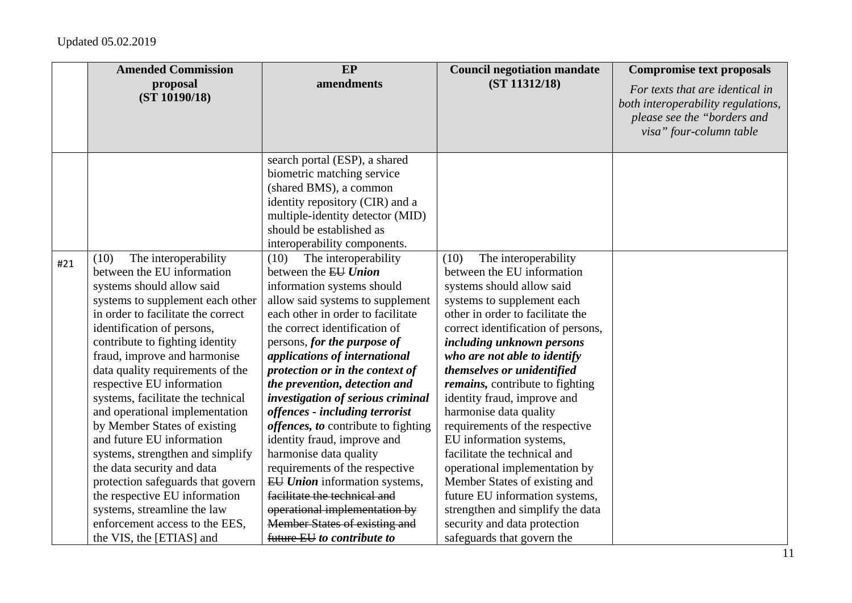|     | <b>Amended Commission</b>                                                                                                                                                                                                                                                                                                                                                                                                                                                                                                                                                                                                                                                                                    | EP                                                                                                                                                                                                                                                                                                                                                                                                                                                                                                                                                                                                                                                                                                                                                | <b>Council negotiation mandate</b>                                                                                                                                                                                                                                                                                                                                                                                                                                                                                                                                                                                                                                                                | <b>Compromise text proposals</b>                                                                                                |
|-----|--------------------------------------------------------------------------------------------------------------------------------------------------------------------------------------------------------------------------------------------------------------------------------------------------------------------------------------------------------------------------------------------------------------------------------------------------------------------------------------------------------------------------------------------------------------------------------------------------------------------------------------------------------------------------------------------------------------|---------------------------------------------------------------------------------------------------------------------------------------------------------------------------------------------------------------------------------------------------------------------------------------------------------------------------------------------------------------------------------------------------------------------------------------------------------------------------------------------------------------------------------------------------------------------------------------------------------------------------------------------------------------------------------------------------------------------------------------------------|---------------------------------------------------------------------------------------------------------------------------------------------------------------------------------------------------------------------------------------------------------------------------------------------------------------------------------------------------------------------------------------------------------------------------------------------------------------------------------------------------------------------------------------------------------------------------------------------------------------------------------------------------------------------------------------------------|---------------------------------------------------------------------------------------------------------------------------------|
|     | proposal<br>(ST 10190/18)                                                                                                                                                                                                                                                                                                                                                                                                                                                                                                                                                                                                                                                                                    | amendments                                                                                                                                                                                                                                                                                                                                                                                                                                                                                                                                                                                                                                                                                                                                        | (ST 11312/18)                                                                                                                                                                                                                                                                                                                                                                                                                                                                                                                                                                                                                                                                                     | For texts that are identical in<br>both interoperability regulations,<br>please see the "borders and<br>visa" four-column table |
|     |                                                                                                                                                                                                                                                                                                                                                                                                                                                                                                                                                                                                                                                                                                              | search portal (ESP), a shared<br>biometric matching service<br>(shared BMS), a common<br>identity repository (CIR) and a<br>multiple-identity detector (MID)<br>should be established as                                                                                                                                                                                                                                                                                                                                                                                                                                                                                                                                                          |                                                                                                                                                                                                                                                                                                                                                                                                                                                                                                                                                                                                                                                                                                   |                                                                                                                                 |
| #21 | The interoperability<br>(10)<br>between the EU information<br>systems should allow said<br>systems to supplement each other<br>in order to facilitate the correct<br>identification of persons,<br>contribute to fighting identity<br>fraud, improve and harmonise<br>data quality requirements of the<br>respective EU information<br>systems, facilitate the technical<br>and operational implementation<br>by Member States of existing<br>and future EU information<br>systems, strengthen and simplify<br>the data security and data<br>protection safeguards that govern<br>the respective EU information<br>systems, streamline the law<br>enforcement access to the EES,<br>the VIS, the [ETIAS] and | interoperability components.<br>The interoperability<br>(10)<br>between the EU Union<br>information systems should<br>allow said systems to supplement<br>each other in order to facilitate<br>the correct identification of<br>persons, for the purpose of<br>applications of international<br>protection or in the context of<br>the prevention, detection and<br>investigation of serious criminal<br>offences - including terrorist<br><i>offences, to contribute to fighting</i><br>identity fraud, improve and<br>harmonise data quality<br>requirements of the respective<br>EU Union information systems,<br>facilitate the technical and<br>operational implementation by<br>Member States of existing and<br>future EU to contribute to | The interoperability<br>(10)<br>between the EU information<br>systems should allow said<br>systems to supplement each<br>other in order to facilitate the<br>correct identification of persons,<br>including unknown persons<br>who are not able to identify<br>themselves or unidentified<br><i>remains</i> , contribute to fighting<br>identity fraud, improve and<br>harmonise data quality<br>requirements of the respective<br>EU information systems,<br>facilitate the technical and<br>operational implementation by<br>Member States of existing and<br>future EU information systems,<br>strengthen and simplify the data<br>security and data protection<br>safeguards that govern the |                                                                                                                                 |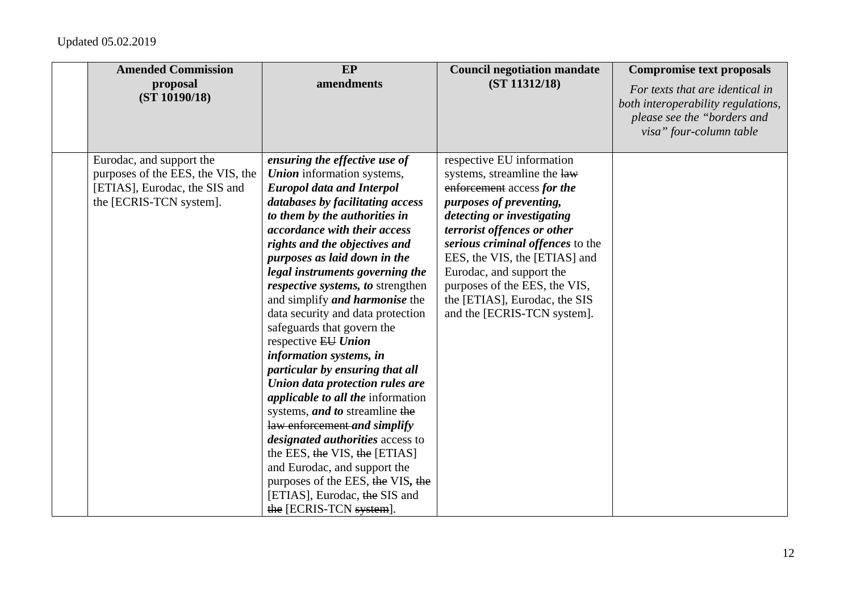| <b>Amended Commission</b><br>proposal<br>(ST 10190/18)                                                                    | EP<br>amendments                                                                                                                                                                                                                                                                                                                                                                                                                                                                                                                                                                                                                                                                                                                                                                                                                                                                                                    | <b>Council negotiation mandate</b><br>(ST 11312/18)                                                                                                                                                                                                                                                                                                                              | <b>Compromise text proposals</b><br>For texts that are identical in<br>both interoperability regulations,<br>please see the "borders and<br>visa" four-column table |
|---------------------------------------------------------------------------------------------------------------------------|---------------------------------------------------------------------------------------------------------------------------------------------------------------------------------------------------------------------------------------------------------------------------------------------------------------------------------------------------------------------------------------------------------------------------------------------------------------------------------------------------------------------------------------------------------------------------------------------------------------------------------------------------------------------------------------------------------------------------------------------------------------------------------------------------------------------------------------------------------------------------------------------------------------------|----------------------------------------------------------------------------------------------------------------------------------------------------------------------------------------------------------------------------------------------------------------------------------------------------------------------------------------------------------------------------------|---------------------------------------------------------------------------------------------------------------------------------------------------------------------|
| Eurodac, and support the<br>purposes of the EES, the VIS, the<br>[ETIAS], Eurodac, the SIS and<br>the [ECRIS-TCN system]. | ensuring the effective use of<br><b>Union</b> information systems,<br><b>Europol data and Interpol</b><br>databases by facilitating access<br>to them by the authorities in<br>accordance with their access<br>rights and the objectives and<br>purposes as laid down in the<br>legal instruments governing the<br>respective systems, to strengthen<br>and simplify <i>and harmonise</i> the<br>data security and data protection<br>safeguards that govern the<br>respective EU Union<br>information systems, in<br>particular by ensuring that all<br>Union data protection rules are<br><i>applicable to all the information</i><br>systems, and to streamline the<br>law enforcement and simplify<br><i>designated authorities</i> access to<br>the EES, the VIS, the [ETIAS]<br>and Eurodac, and support the<br>purposes of the EES, the VIS, the<br>[ETIAS], Eurodac, the SIS and<br>the [ECRIS-TCN system]. | respective EU information<br>systems, streamline the law<br>enforcement access for the<br>purposes of preventing,<br>detecting or investigating<br>terrorist offences or other<br>serious criminal offences to the<br>EES, the VIS, the [ETIAS] and<br>Eurodac, and support the<br>purposes of the EES, the VIS,<br>the [ETIAS], Eurodac, the SIS<br>and the [ECRIS-TCN system]. |                                                                                                                                                                     |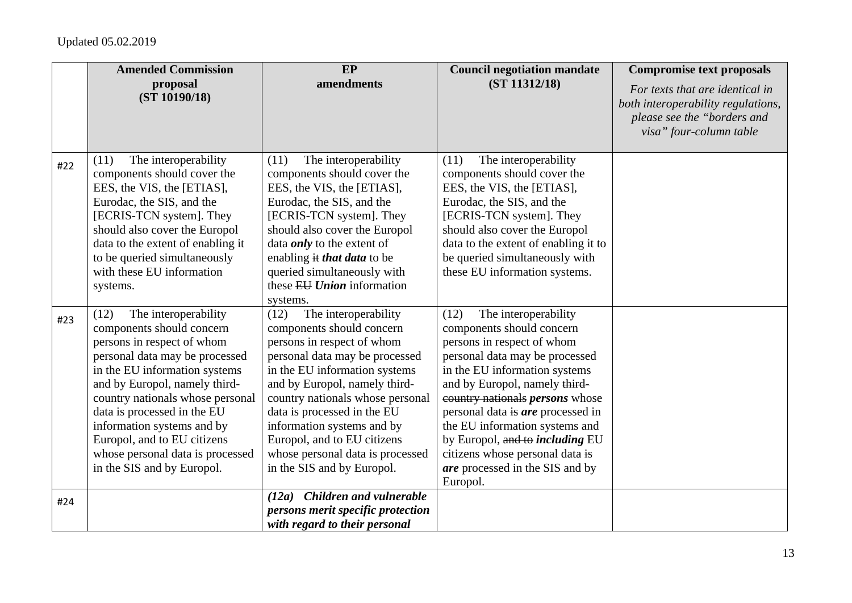|     | <b>Amended Commission</b>                                                                                                                                                                                                                                                                                                                                                                     | EP                                                                                                                                                                                                                                                                                                                                                                                            | <b>Council negotiation mandate</b>                                                                                                                                                                                                                                                                                                                                                                                                       | <b>Compromise text proposals</b>                                                                                                |
|-----|-----------------------------------------------------------------------------------------------------------------------------------------------------------------------------------------------------------------------------------------------------------------------------------------------------------------------------------------------------------------------------------------------|-----------------------------------------------------------------------------------------------------------------------------------------------------------------------------------------------------------------------------------------------------------------------------------------------------------------------------------------------------------------------------------------------|------------------------------------------------------------------------------------------------------------------------------------------------------------------------------------------------------------------------------------------------------------------------------------------------------------------------------------------------------------------------------------------------------------------------------------------|---------------------------------------------------------------------------------------------------------------------------------|
|     | proposal<br>(ST 10190/18)                                                                                                                                                                                                                                                                                                                                                                     | amendments                                                                                                                                                                                                                                                                                                                                                                                    | (ST 11312/18)                                                                                                                                                                                                                                                                                                                                                                                                                            | For texts that are identical in<br>both interoperability regulations,<br>please see the "borders and<br>visa" four-column table |
| #22 | The interoperability<br>(11)<br>components should cover the<br>EES, the VIS, the [ETIAS],<br>Eurodac, the SIS, and the<br>[ECRIS-TCN system]. They<br>should also cover the Europol<br>data to the extent of enabling it<br>to be queried simultaneously<br>with these EU information                                                                                                         | The interoperability<br>(11)<br>components should cover the<br>EES, the VIS, the [ETIAS],<br>Eurodac, the SIS, and the<br>[ECRIS-TCN system]. They<br>should also cover the Europol<br>data <i>only</i> to the extent of<br>enabling it that data to be<br>queried simultaneously with                                                                                                        | The interoperability<br>(11)<br>components should cover the<br>EES, the VIS, the [ETIAS],<br>Eurodac, the SIS, and the<br>[ECRIS-TCN system]. They<br>should also cover the Europol<br>data to the extent of enabling it to<br>be queried simultaneously with<br>these EU information systems.                                                                                                                                           |                                                                                                                                 |
|     | systems.                                                                                                                                                                                                                                                                                                                                                                                      | these EU Union information<br>systems.                                                                                                                                                                                                                                                                                                                                                        |                                                                                                                                                                                                                                                                                                                                                                                                                                          |                                                                                                                                 |
| #23 | The interoperability<br>(12)<br>components should concern<br>persons in respect of whom<br>personal data may be processed<br>in the EU information systems<br>and by Europol, namely third-<br>country nationals whose personal<br>data is processed in the EU<br>information systems and by<br>Europol, and to EU citizens<br>whose personal data is processed<br>in the SIS and by Europol. | The interoperability<br>(12)<br>components should concern<br>persons in respect of whom<br>personal data may be processed<br>in the EU information systems<br>and by Europol, namely third-<br>country nationals whose personal<br>data is processed in the EU<br>information systems and by<br>Europol, and to EU citizens<br>whose personal data is processed<br>in the SIS and by Europol. | The interoperability<br>(12)<br>components should concern<br>persons in respect of whom<br>personal data may be processed<br>in the EU information systems<br>and by Europol, namely third-<br>country nationals <i>persons</i> whose<br>personal data is are processed in<br>the EU information systems and<br>by Europol, and to <i>including</i> EU<br>citizens whose personal data is<br>are processed in the SIS and by<br>Europol. |                                                                                                                                 |
| #24 |                                                                                                                                                                                                                                                                                                                                                                                               | (12a) Children and vulnerable<br>persons merit specific protection<br>with regard to their personal                                                                                                                                                                                                                                                                                           |                                                                                                                                                                                                                                                                                                                                                                                                                                          |                                                                                                                                 |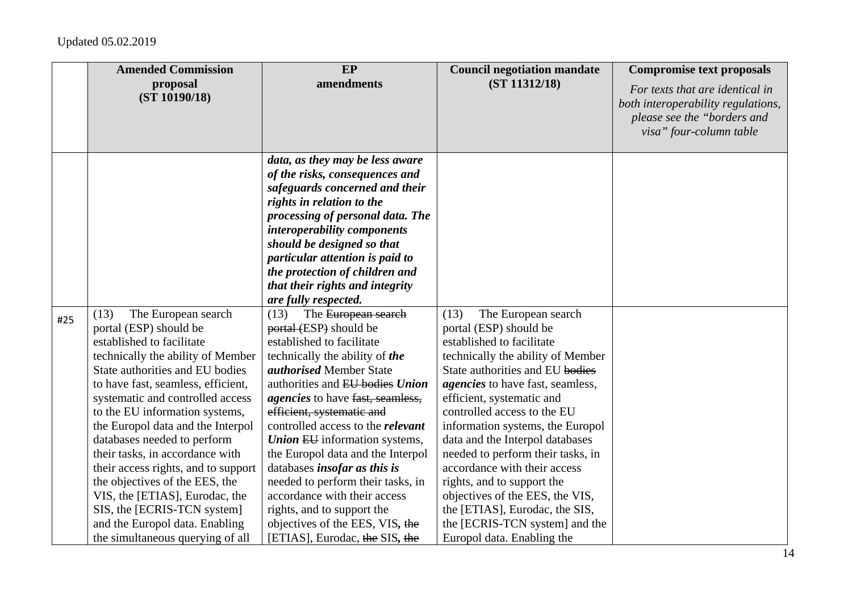|     | <b>Amended Commission</b>                                                                                                                                                                                                                                                                                                                                                                                                                                                                                                                                                                     | EP                                                                                                                                                                                                                                                                                                                                                                                                                                                                                                                                                                                                 | <b>Council negotiation mandate</b>                                                                                                                                                                                                                                                                                                                                                                                                                                                                                                                                               | <b>Compromise text proposals</b>                                                                                                |
|-----|-----------------------------------------------------------------------------------------------------------------------------------------------------------------------------------------------------------------------------------------------------------------------------------------------------------------------------------------------------------------------------------------------------------------------------------------------------------------------------------------------------------------------------------------------------------------------------------------------|----------------------------------------------------------------------------------------------------------------------------------------------------------------------------------------------------------------------------------------------------------------------------------------------------------------------------------------------------------------------------------------------------------------------------------------------------------------------------------------------------------------------------------------------------------------------------------------------------|----------------------------------------------------------------------------------------------------------------------------------------------------------------------------------------------------------------------------------------------------------------------------------------------------------------------------------------------------------------------------------------------------------------------------------------------------------------------------------------------------------------------------------------------------------------------------------|---------------------------------------------------------------------------------------------------------------------------------|
|     | proposal<br>(ST 10190/18)                                                                                                                                                                                                                                                                                                                                                                                                                                                                                                                                                                     | amendments                                                                                                                                                                                                                                                                                                                                                                                                                                                                                                                                                                                         | (ST 11312/18)                                                                                                                                                                                                                                                                                                                                                                                                                                                                                                                                                                    | For texts that are identical in<br>both interoperability regulations,<br>please see the "borders and<br>visa" four-column table |
|     |                                                                                                                                                                                                                                                                                                                                                                                                                                                                                                                                                                                               | data, as they may be less aware<br>of the risks, consequences and<br>safeguards concerned and their<br>rights in relation to the<br>processing of personal data. The<br>interoperability components<br>should be designed so that<br>particular attention is paid to<br>the protection of children and<br>that their rights and integrity<br>are fully respected.                                                                                                                                                                                                                                  |                                                                                                                                                                                                                                                                                                                                                                                                                                                                                                                                                                                  |                                                                                                                                 |
| #25 | The European search<br>(13)<br>portal (ESP) should be<br>established to facilitate<br>technically the ability of Member<br>State authorities and EU bodies<br>to have fast, seamless, efficient,<br>systematic and controlled access<br>to the EU information systems,<br>the Europol data and the Interpol<br>databases needed to perform<br>their tasks, in accordance with<br>their access rights, and to support<br>the objectives of the EES, the<br>VIS, the [ETIAS], Eurodac, the<br>SIS, the [ECRIS-TCN system]<br>and the Europol data. Enabling<br>the simultaneous querying of all | The European search<br>(13)<br>portal (ESP) should be<br>established to facilitate<br>technically the ability of the<br><i>authorised</i> Member State<br>authorities and EU bodies Union<br><i>agencies</i> to have fast, seamless,<br>efficient, systematic and<br>controlled access to the <i>relevant</i><br><b>Union EU</b> information systems,<br>the Europol data and the Interpol<br>databases insofar as this is<br>needed to perform their tasks, in<br>accordance with their access<br>rights, and to support the<br>objectives of the EES, VIS, the<br>[ETIAS], Eurodac, the SIS, the | The European search<br>(13)<br>portal (ESP) should be<br>established to facilitate<br>technically the ability of Member<br>State authorities and EU bodies<br><i>agencies</i> to have fast, seamless,<br>efficient, systematic and<br>controlled access to the EU<br>information systems, the Europol<br>data and the Interpol databases<br>needed to perform their tasks, in<br>accordance with their access<br>rights, and to support the<br>objectives of the EES, the VIS,<br>the [ETIAS], Eurodac, the SIS,<br>the [ECRIS-TCN system] and the<br>Europol data. Enabling the |                                                                                                                                 |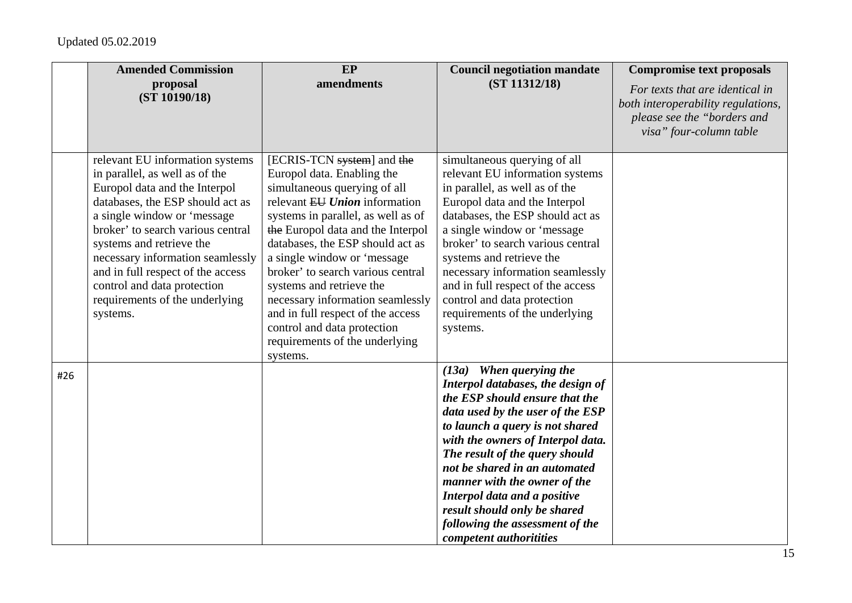|     | <b>Amended Commission</b><br>proposal                                                                                                                                                                                                                                                                                                                                                        | EP<br>amendments                                                                                                                                                                                                                                                                                                                                                                                                                                                                               | <b>Council negotiation mandate</b><br>(ST 11312/18)                                                                                                                                                                                                                                                                                                                                                                                         | <b>Compromise text proposals</b><br>For texts that are identical in                          |
|-----|----------------------------------------------------------------------------------------------------------------------------------------------------------------------------------------------------------------------------------------------------------------------------------------------------------------------------------------------------------------------------------------------|------------------------------------------------------------------------------------------------------------------------------------------------------------------------------------------------------------------------------------------------------------------------------------------------------------------------------------------------------------------------------------------------------------------------------------------------------------------------------------------------|---------------------------------------------------------------------------------------------------------------------------------------------------------------------------------------------------------------------------------------------------------------------------------------------------------------------------------------------------------------------------------------------------------------------------------------------|----------------------------------------------------------------------------------------------|
|     | (ST 10190/18)                                                                                                                                                                                                                                                                                                                                                                                |                                                                                                                                                                                                                                                                                                                                                                                                                                                                                                |                                                                                                                                                                                                                                                                                                                                                                                                                                             | both interoperability regulations,<br>please see the "borders and<br>visa" four-column table |
|     | relevant EU information systems<br>in parallel, as well as of the<br>Europol data and the Interpol<br>databases, the ESP should act as<br>a single window or 'message<br>broker' to search various central<br>systems and retrieve the<br>necessary information seamlessly<br>and in full respect of the access<br>control and data protection<br>requirements of the underlying<br>systems. | [ECRIS-TCN system] and the<br>Europol data. Enabling the<br>simultaneous querying of all<br>relevant EU Union information<br>systems in parallel, as well as of<br>the Europol data and the Interpol<br>databases, the ESP should act as<br>a single window or 'message<br>broker' to search various central<br>systems and retrieve the<br>necessary information seamlessly<br>and in full respect of the access<br>control and data protection<br>requirements of the underlying<br>systems. | simultaneous querying of all<br>relevant EU information systems<br>in parallel, as well as of the<br>Europol data and the Interpol<br>databases, the ESP should act as<br>a single window or 'message<br>broker' to search various central<br>systems and retrieve the<br>necessary information seamlessly<br>and in full respect of the access<br>control and data protection<br>requirements of the underlying<br>systems.                |                                                                                              |
| #26 |                                                                                                                                                                                                                                                                                                                                                                                              |                                                                                                                                                                                                                                                                                                                                                                                                                                                                                                | (13a) When querying the<br>Interpol databases, the design of<br>the ESP should ensure that the<br>data used by the user of the ESP<br>to launch a query is not shared<br>with the owners of Interpol data.<br>The result of the query should<br>not be shared in an automated<br>manner with the owner of the<br>Interpol data and a positive<br>result should only be shared<br>following the assessment of the<br>competent authoritities |                                                                                              |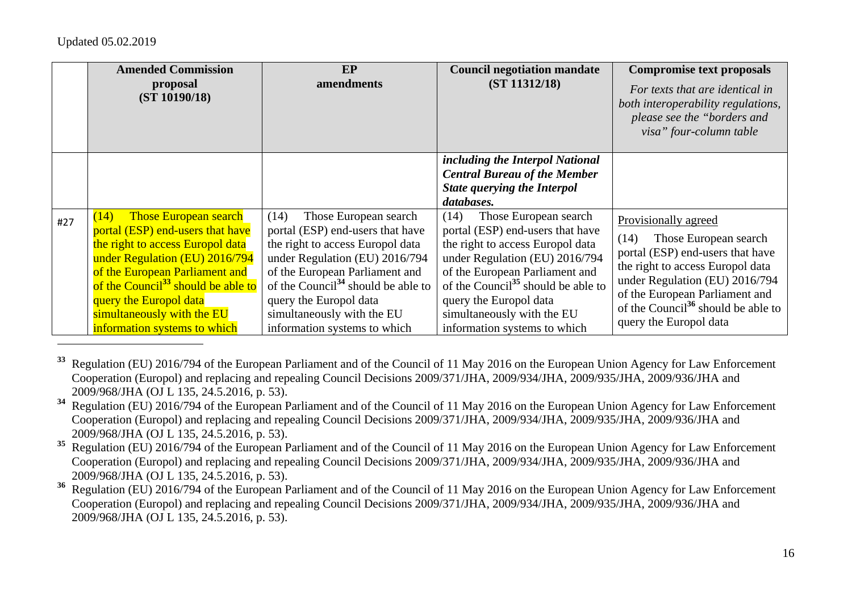|     | <b>Amended Commission</b><br>proposal<br>(ST 10190/18)                                                                                                                                                                                                                                                                     | EP<br>amendments                                                                                                                                                                                                                                                                                                    | <b>Council negotiation mandate</b><br>(ST 11312/18)                                                                                                                                                                                                                                                                 | <b>Compromise text proposals</b><br>For texts that are identical in<br>both interoperability regulations,<br>please see the "borders and<br>visa" four-column table                                                                                                           |
|-----|----------------------------------------------------------------------------------------------------------------------------------------------------------------------------------------------------------------------------------------------------------------------------------------------------------------------------|---------------------------------------------------------------------------------------------------------------------------------------------------------------------------------------------------------------------------------------------------------------------------------------------------------------------|---------------------------------------------------------------------------------------------------------------------------------------------------------------------------------------------------------------------------------------------------------------------------------------------------------------------|-------------------------------------------------------------------------------------------------------------------------------------------------------------------------------------------------------------------------------------------------------------------------------|
|     |                                                                                                                                                                                                                                                                                                                            |                                                                                                                                                                                                                                                                                                                     | including the Interpol National<br><b>Central Bureau of the Member</b><br><b>State querying the Interpol</b><br>databases.                                                                                                                                                                                          |                                                                                                                                                                                                                                                                               |
| #27 | <b>Those European search</b><br>(14)<br>portal (ESP) end-users that have<br>the right to access Europol data<br>under Regulation (EU) 2016/794<br>of the European Parliament and<br>of the Council <sup>33</sup> should be able to<br>query the Europol data<br>simultaneously with the EU<br>information systems to which | Those European search<br>(14)<br>portal (ESP) end-users that have<br>the right to access Europol data<br>under Regulation (EU) 2016/794<br>of the European Parliament and<br>of the Council <sup>34</sup> should be able to<br>query the Europol data<br>simultaneously with the EU<br>information systems to which | Those European search<br>(14)<br>portal (ESP) end-users that have<br>the right to access Europol data<br>under Regulation (EU) 2016/794<br>of the European Parliament and<br>of the Council <sup>35</sup> should be able to<br>query the Europol data<br>simultaneously with the EU<br>information systems to which | Provisionally agreed<br>Those European search<br>(14)<br>portal (ESP) end-users that have<br>the right to access Europol data<br>under Regulation (EU) 2016/794<br>of the European Parliament and<br>of the Council <sup>36</sup> should be able to<br>query the Europol data |

**<sup>33</sup>** Regulation (EU) 2016/794 of the European Parliament and of the Council of 11 May 2016 on the European Union Agency for Law Enforcement Cooperation (Europol) and replacing and repealing Council Decisions 2009/371/JHA, 2009/934/JHA, 2009/935/JHA, 2009/936/JHA and 2009/968/JHA (OJ L 135, 24.5.2016, p. 53).

- **<sup>34</sup>** Regulation (EU) 2016/794 of the European Parliament and of the Council of 11 May 2016 on the European Union Agency for Law Enforcement Cooperation (Europol) and replacing and repealing Council Decisions 2009/371/JHA, 2009/934/JHA, 2009/935/JHA, 2009/936/JHA and 2009/968/JHA (OJ L 135, 24.5.2016, p. 53).
- <sup>35</sup> Regulation (EU) 2016/794 of the European Parliament and of the Council of 11 May 2016 on the European Union Agency for Law Enforcement Cooperation (Europol) and replacing and repealing Council Decisions 2009/371/JHA, 2009/934/JHA, 2009/935/JHA, 2009/936/JHA and 2009/968/JHA (OJ L 135, 24.5.2016, p. 53).

<sup>36</sup> Regulation (EU) 2016/794 of the European Parliament and of the Council of 11 May 2016 on the European Union Agency for Law Enforcement Cooperation (Europol) and replacing and repealing Council Decisions 2009/371/JHA, 2009/934/JHA, 2009/935/JHA, 2009/936/JHA and 2009/968/JHA (OJ L 135, 24.5.2016, p. 53).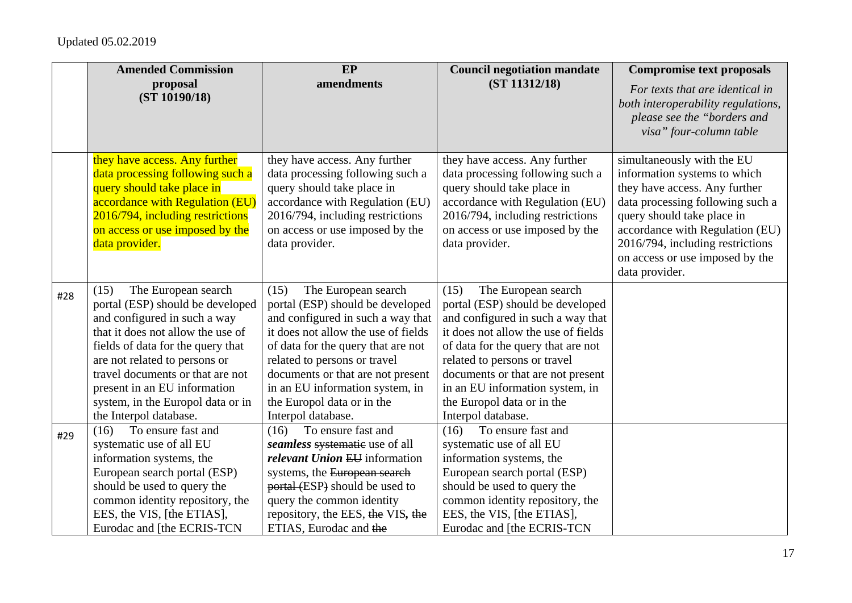|     | <b>Amended Commission</b>                                                                                                                                                                                                                                                                                                                     | EP                                                                                                                                                                                                                                                                                                                                            | <b>Council negotiation mandate</b>                                                                                                                                                                                                                                                                                                            | <b>Compromise text proposals</b>                                                                                                                                                                                                                                                          |
|-----|-----------------------------------------------------------------------------------------------------------------------------------------------------------------------------------------------------------------------------------------------------------------------------------------------------------------------------------------------|-----------------------------------------------------------------------------------------------------------------------------------------------------------------------------------------------------------------------------------------------------------------------------------------------------------------------------------------------|-----------------------------------------------------------------------------------------------------------------------------------------------------------------------------------------------------------------------------------------------------------------------------------------------------------------------------------------------|-------------------------------------------------------------------------------------------------------------------------------------------------------------------------------------------------------------------------------------------------------------------------------------------|
|     | proposal<br>(ST 10190/18)                                                                                                                                                                                                                                                                                                                     | amendments                                                                                                                                                                                                                                                                                                                                    | (ST 11312/18)                                                                                                                                                                                                                                                                                                                                 | For texts that are identical in<br>both interoperability regulations,<br>please see the "borders and<br>visa" four-column table                                                                                                                                                           |
|     | they have access. Any further<br>data processing following such a<br>query should take place in<br>accordance with Regulation (EU)<br>2016/794, including restrictions<br>on access or use imposed by the<br>data provider.                                                                                                                   | they have access. Any further<br>data processing following such a<br>query should take place in<br>accordance with Regulation (EU)<br>2016/794, including restrictions<br>on access or use imposed by the<br>data provider.                                                                                                                   | they have access. Any further<br>data processing following such a<br>query should take place in<br>accordance with Regulation (EU)<br>2016/794, including restrictions<br>on access or use imposed by the<br>data provider.                                                                                                                   | simultaneously with the EU<br>information systems to which<br>they have access. Any further<br>data processing following such a<br>query should take place in<br>accordance with Regulation (EU)<br>2016/794, including restrictions<br>on access or use imposed by the<br>data provider. |
| #28 | The European search<br>(15)<br>portal (ESP) should be developed<br>and configured in such a way<br>that it does not allow the use of<br>fields of data for the query that<br>are not related to persons or<br>travel documents or that are not<br>present in an EU information<br>system, in the Europol data or in<br>the Interpol database. | The European search<br>(15)<br>portal (ESP) should be developed<br>and configured in such a way that<br>it does not allow the use of fields<br>of data for the query that are not<br>related to persons or travel<br>documents or that are not present<br>in an EU information system, in<br>the Europol data or in the<br>Interpol database. | The European search<br>(15)<br>portal (ESP) should be developed<br>and configured in such a way that<br>it does not allow the use of fields<br>of data for the query that are not<br>related to persons or travel<br>documents or that are not present<br>in an EU information system, in<br>the Europol data or in the<br>Interpol database. |                                                                                                                                                                                                                                                                                           |
| #29 | To ensure fast and<br>(16)<br>systematic use of all EU<br>information systems, the<br>European search portal (ESP)<br>should be used to query the<br>common identity repository, the<br>EES, the VIS, [the ETIAS],<br>Eurodac and [the ECRIS-TCN                                                                                              | To ensure fast and<br>(16)<br>seamless systematic use of all<br>relevant Union EU information<br>systems, the European search<br>portal (ESP) should be used to<br>query the common identity<br>repository, the EES, the VIS, the<br>ETIAS, Eurodac and the                                                                                   | To ensure fast and<br>(16)<br>systematic use of all EU<br>information systems, the<br>European search portal (ESP)<br>should be used to query the<br>common identity repository, the<br>EES, the VIS, [the ETIAS],<br>Eurodac and [the ECRIS-TCN                                                                                              |                                                                                                                                                                                                                                                                                           |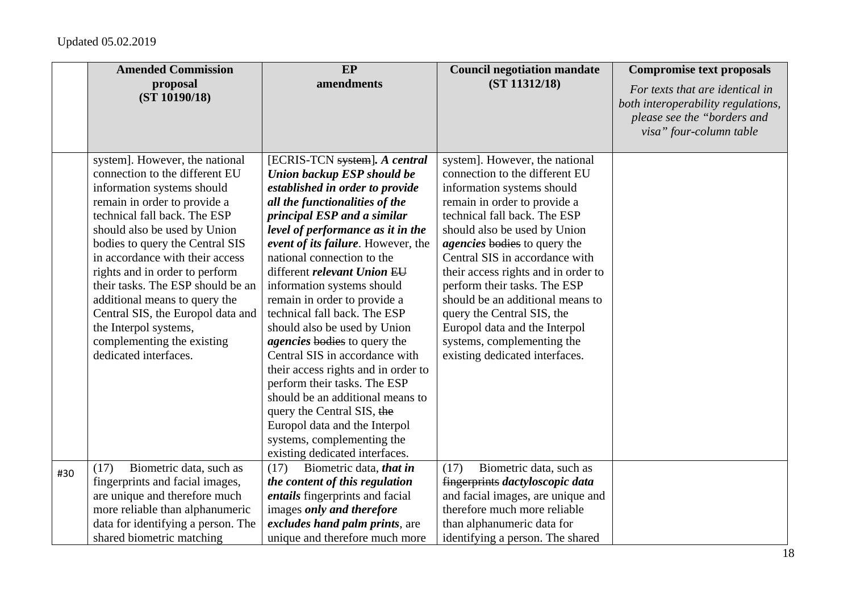|     | <b>Amended Commission</b>                                                                                                                                                                                                                                                                                                                                                                                                                                                                         | EP                                                                                                                                                                                                                                                                                                                                                                                                                                                                                                                                                                                                                                                                                                                                                       | <b>Council negotiation mandate</b>                                                                                                                                                                                                                                                                                                                                                                                                                                                                                | <b>Compromise text proposals</b>                                                                                                |
|-----|---------------------------------------------------------------------------------------------------------------------------------------------------------------------------------------------------------------------------------------------------------------------------------------------------------------------------------------------------------------------------------------------------------------------------------------------------------------------------------------------------|----------------------------------------------------------------------------------------------------------------------------------------------------------------------------------------------------------------------------------------------------------------------------------------------------------------------------------------------------------------------------------------------------------------------------------------------------------------------------------------------------------------------------------------------------------------------------------------------------------------------------------------------------------------------------------------------------------------------------------------------------------|-------------------------------------------------------------------------------------------------------------------------------------------------------------------------------------------------------------------------------------------------------------------------------------------------------------------------------------------------------------------------------------------------------------------------------------------------------------------------------------------------------------------|---------------------------------------------------------------------------------------------------------------------------------|
|     | proposal<br>(ST 10190/18)                                                                                                                                                                                                                                                                                                                                                                                                                                                                         | amendments                                                                                                                                                                                                                                                                                                                                                                                                                                                                                                                                                                                                                                                                                                                                               | (ST 11312/18)                                                                                                                                                                                                                                                                                                                                                                                                                                                                                                     | For texts that are identical in<br>both interoperability regulations,<br>please see the "borders and<br>visa" four-column table |
|     | system]. However, the national<br>connection to the different EU<br>information systems should<br>remain in order to provide a<br>technical fall back. The ESP<br>should also be used by Union<br>bodies to query the Central SIS<br>in accordance with their access<br>rights and in order to perform<br>their tasks. The ESP should be an<br>additional means to query the<br>Central SIS, the Europol data and<br>the Interpol systems,<br>complementing the existing<br>dedicated interfaces. | [ECRIS-TCN system]. A central<br>Union backup ESP should be<br>established in order to provide<br>all the functionalities of the<br>principal ESP and a similar<br>level of performance as it in the<br>event of its failure. However, the<br>national connection to the<br>different relevant Union EU<br>information systems should<br>remain in order to provide a<br>technical fall back. The ESP<br>should also be used by Union<br><i>agencies</i> bodies to query the<br>Central SIS in accordance with<br>their access rights and in order to<br>perform their tasks. The ESP<br>should be an additional means to<br>query the Central SIS, the<br>Europol data and the Interpol<br>systems, complementing the<br>existing dedicated interfaces. | system]. However, the national<br>connection to the different EU<br>information systems should<br>remain in order to provide a<br>technical fall back. The ESP<br>should also be used by Union<br><i>agencies</i> bodies to query the<br>Central SIS in accordance with<br>their access rights and in order to<br>perform their tasks. The ESP<br>should be an additional means to<br>query the Central SIS, the<br>Europol data and the Interpol<br>systems, complementing the<br>existing dedicated interfaces. |                                                                                                                                 |
| #30 | Biometric data, such as<br>(17)<br>fingerprints and facial images,<br>are unique and therefore much<br>more reliable than alphanumeric<br>data for identifying a person. The<br>shared biometric matching                                                                                                                                                                                                                                                                                         | Biometric data, that in<br>(17)<br>the content of this regulation<br><i>entails</i> fingerprints and facial<br>images only and therefore<br>excludes hand palm prints, are<br>unique and therefore much more                                                                                                                                                                                                                                                                                                                                                                                                                                                                                                                                             | Biometric data, such as<br>(17)<br>fingerprints dactyloscopic data<br>and facial images, are unique and<br>therefore much more reliable<br>than alphanumeric data for<br>identifying a person. The shared                                                                                                                                                                                                                                                                                                         |                                                                                                                                 |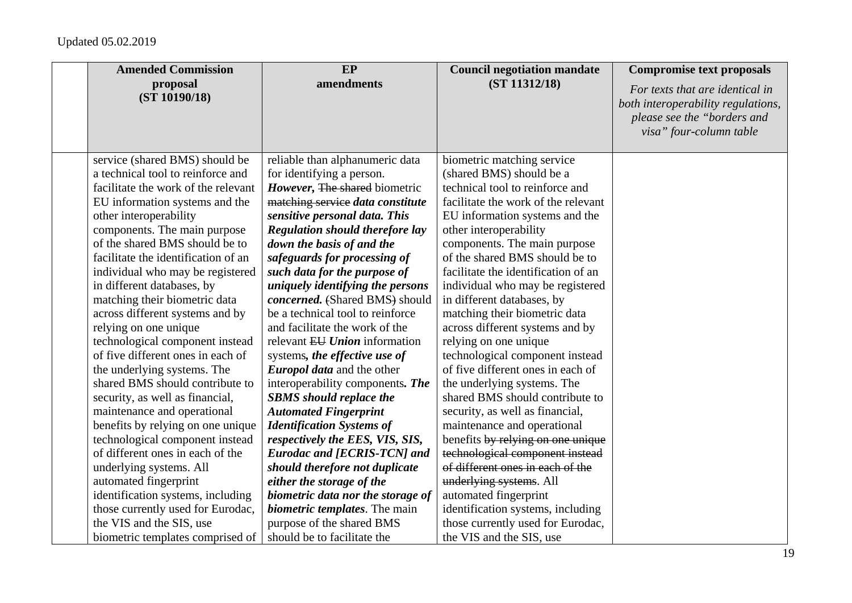| <b>Amended Commission</b>           | EP                                     | <b>Council negotiation mandate</b>  | <b>Compromise text proposals</b>                                                                                                |
|-------------------------------------|----------------------------------------|-------------------------------------|---------------------------------------------------------------------------------------------------------------------------------|
| proposal<br>(ST 10190/18)           | amendments                             | (ST 11312/18)                       | For texts that are identical in<br>both interoperability regulations,<br>please see the "borders and<br>visa" four-column table |
| service (shared BMS) should be      | reliable than alphanumeric data        | biometric matching service          |                                                                                                                                 |
| a technical tool to reinforce and   | for identifying a person.              | (shared BMS) should be a            |                                                                                                                                 |
| facilitate the work of the relevant | However, The shared biometric          | technical tool to reinforce and     |                                                                                                                                 |
| EU information systems and the      | matching service data constitute       | facilitate the work of the relevant |                                                                                                                                 |
| other interoperability              | sensitive personal data. This          | EU information systems and the      |                                                                                                                                 |
| components. The main purpose        | <b>Regulation should therefore lay</b> | other interoperability              |                                                                                                                                 |
| of the shared BMS should be to      | down the basis of and the              | components. The main purpose        |                                                                                                                                 |
| facilitate the identification of an | safeguards for processing of           | of the shared BMS should be to      |                                                                                                                                 |
| individual who may be registered    | such data for the purpose of           | facilitate the identification of an |                                                                                                                                 |
| in different databases, by          | uniquely identifying the persons       | individual who may be registered    |                                                                                                                                 |
| matching their biometric data       | concerned. (Shared BMS) should         | in different databases, by          |                                                                                                                                 |
| across different systems and by     | be a technical tool to reinforce       | matching their biometric data       |                                                                                                                                 |
| relying on one unique               | and facilitate the work of the         | across different systems and by     |                                                                                                                                 |
| technological component instead     | relevant EU Union information          | relying on one unique               |                                                                                                                                 |
| of five different ones in each of   | systems, the effective use of          | technological component instead     |                                                                                                                                 |
| the underlying systems. The         | Europol data and the other             | of five different ones in each of   |                                                                                                                                 |
| shared BMS should contribute to     | interoperability components. The       | the underlying systems. The         |                                                                                                                                 |
| security, as well as financial,     | <b>SBMS</b> should replace the         | shared BMS should contribute to     |                                                                                                                                 |
| maintenance and operational         | <b>Automated Fingerprint</b>           | security, as well as financial,     |                                                                                                                                 |
| benefits by relying on one unique   | <b>Identification Systems of</b>       | maintenance and operational         |                                                                                                                                 |
| technological component instead     | respectively the EES, VIS, SIS,        | benefits by relying on one unique   |                                                                                                                                 |
| of different ones in each of the    | <b>Eurodac and [ECRIS-TCN] and</b>     | technological component instead     |                                                                                                                                 |
| underlying systems. All             | should therefore not duplicate         | of different ones in each of the    |                                                                                                                                 |
| automated fingerprint               | either the storage of the              | underlying systems. All             |                                                                                                                                 |
| identification systems, including   | biometric data nor the storage of      | automated fingerprint               |                                                                                                                                 |
| those currently used for Eurodac,   | <i>biometric templates.</i> The main   | identification systems, including   |                                                                                                                                 |
| the VIS and the SIS, use            | purpose of the shared BMS              | those currently used for Eurodac,   |                                                                                                                                 |
| biometric templates comprised of    | should be to facilitate the            | the VIS and the SIS, use            |                                                                                                                                 |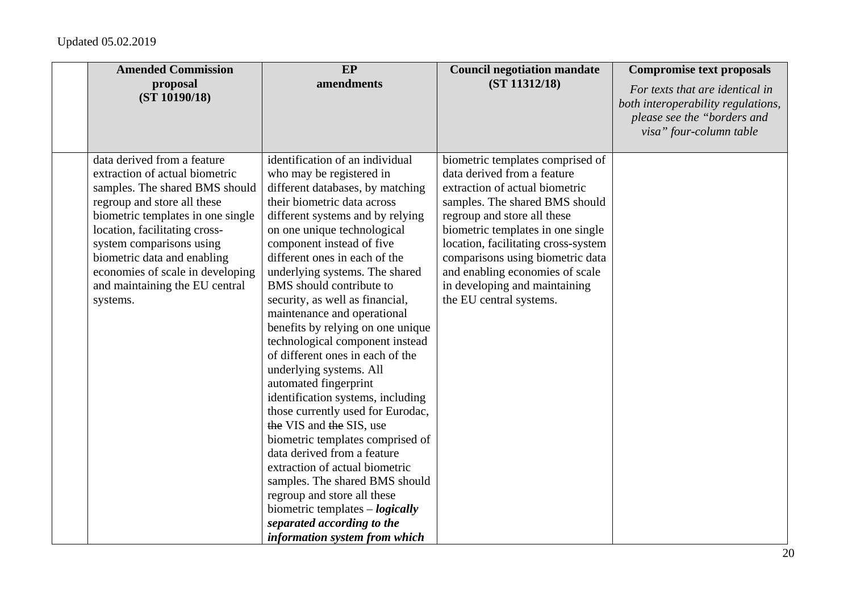| <b>Amended Commission</b>                                                                                                                                                                                                                                                                                                                         | EP                                                                                                                                                                                                                                                                                                                                                                                                                                                                                                                                                                                                                                                                                                                                                                                                                                                                                                                                                    | <b>Council negotiation mandate</b>                                                                                                                                                                                                                                                                                                                                                | <b>Compromise text proposals</b>                                                                                                |
|---------------------------------------------------------------------------------------------------------------------------------------------------------------------------------------------------------------------------------------------------------------------------------------------------------------------------------------------------|-------------------------------------------------------------------------------------------------------------------------------------------------------------------------------------------------------------------------------------------------------------------------------------------------------------------------------------------------------------------------------------------------------------------------------------------------------------------------------------------------------------------------------------------------------------------------------------------------------------------------------------------------------------------------------------------------------------------------------------------------------------------------------------------------------------------------------------------------------------------------------------------------------------------------------------------------------|-----------------------------------------------------------------------------------------------------------------------------------------------------------------------------------------------------------------------------------------------------------------------------------------------------------------------------------------------------------------------------------|---------------------------------------------------------------------------------------------------------------------------------|
| proposal<br>(ST 10190/18)                                                                                                                                                                                                                                                                                                                         | amendments                                                                                                                                                                                                                                                                                                                                                                                                                                                                                                                                                                                                                                                                                                                                                                                                                                                                                                                                            | (ST 11312/18)                                                                                                                                                                                                                                                                                                                                                                     | For texts that are identical in<br>both interoperability regulations,<br>please see the "borders and<br>visa" four-column table |
| data derived from a feature<br>extraction of actual biometric<br>samples. The shared BMS should<br>regroup and store all these<br>biometric templates in one single<br>location, facilitating cross-<br>system comparisons using<br>biometric data and enabling<br>economies of scale in developing<br>and maintaining the EU central<br>systems. | identification of an individual<br>who may be registered in<br>different databases, by matching<br>their biometric data across<br>different systems and by relying<br>on one unique technological<br>component instead of five<br>different ones in each of the<br>underlying systems. The shared<br>BMS should contribute to<br>security, as well as financial,<br>maintenance and operational<br>benefits by relying on one unique<br>technological component instead<br>of different ones in each of the<br>underlying systems. All<br>automated fingerprint<br>identification systems, including<br>those currently used for Eurodac,<br>the VIS and the SIS, use<br>biometric templates comprised of<br>data derived from a feature<br>extraction of actual biometric<br>samples. The shared BMS should<br>regroup and store all these<br>biometric templates $-\text{logically}$<br>separated according to the<br>information system from which | biometric templates comprised of<br>data derived from a feature<br>extraction of actual biometric<br>samples. The shared BMS should<br>regroup and store all these<br>biometric templates in one single<br>location, facilitating cross-system<br>comparisons using biometric data<br>and enabling economies of scale<br>in developing and maintaining<br>the EU central systems. |                                                                                                                                 |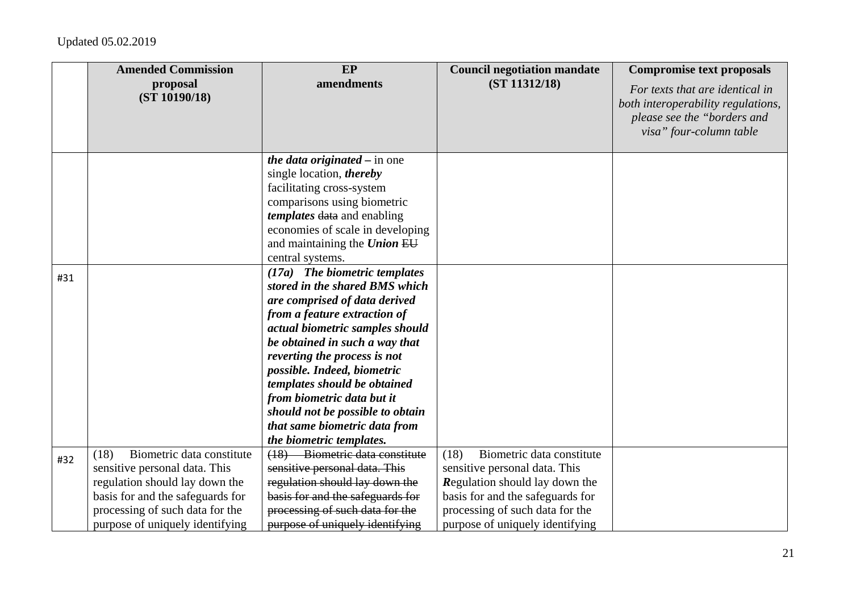|     | <b>Amended Commission</b>                                                                                                                                                   | EP                                                                                                                                                                                                                                                                                                                                                                                                                                  | <b>Council negotiation mandate</b>                                                                                                                                          | <b>Compromise text proposals</b>                                                                                                |
|-----|-----------------------------------------------------------------------------------------------------------------------------------------------------------------------------|-------------------------------------------------------------------------------------------------------------------------------------------------------------------------------------------------------------------------------------------------------------------------------------------------------------------------------------------------------------------------------------------------------------------------------------|-----------------------------------------------------------------------------------------------------------------------------------------------------------------------------|---------------------------------------------------------------------------------------------------------------------------------|
|     | proposal<br>(ST 10190/18)                                                                                                                                                   | amendments                                                                                                                                                                                                                                                                                                                                                                                                                          | (ST 11312/18)                                                                                                                                                               | For texts that are identical in<br>both interoperability regulations,<br>please see the "borders and<br>visa" four-column table |
|     |                                                                                                                                                                             | <i>the data originated – in one</i><br>single location, <i>thereby</i><br>facilitating cross-system<br>comparisons using biometric<br>templates data and enabling<br>economies of scale in developing<br>and maintaining the Union EU<br>central systems.                                                                                                                                                                           |                                                                                                                                                                             |                                                                                                                                 |
| #31 |                                                                                                                                                                             | (17a) The biometric templates<br>stored in the shared BMS which<br>are comprised of data derived<br>from a feature extraction of<br>actual biometric samples should<br>be obtained in such a way that<br>reverting the process is not<br>possible. Indeed, biometric<br>templates should be obtained<br>from biometric data but it<br>should not be possible to obtain<br>that same biometric data from<br>the biometric templates. |                                                                                                                                                                             |                                                                                                                                 |
| #32 | Biometric data constitute<br>(18)<br>sensitive personal data. This<br>regulation should lay down the<br>basis for and the safeguards for<br>processing of such data for the | (18) Biometric data constitute<br>sensitive personal data. This<br>regulation should lay down the<br>basis for and the safeguards for<br>processing of such data for the                                                                                                                                                                                                                                                            | (18)<br>Biometric data constitute<br>sensitive personal data. This<br>Regulation should lay down the<br>basis for and the safeguards for<br>processing of such data for the |                                                                                                                                 |
|     | purpose of uniquely identifying                                                                                                                                             | purpose of uniquely identifying                                                                                                                                                                                                                                                                                                                                                                                                     | purpose of uniquely identifying                                                                                                                                             |                                                                                                                                 |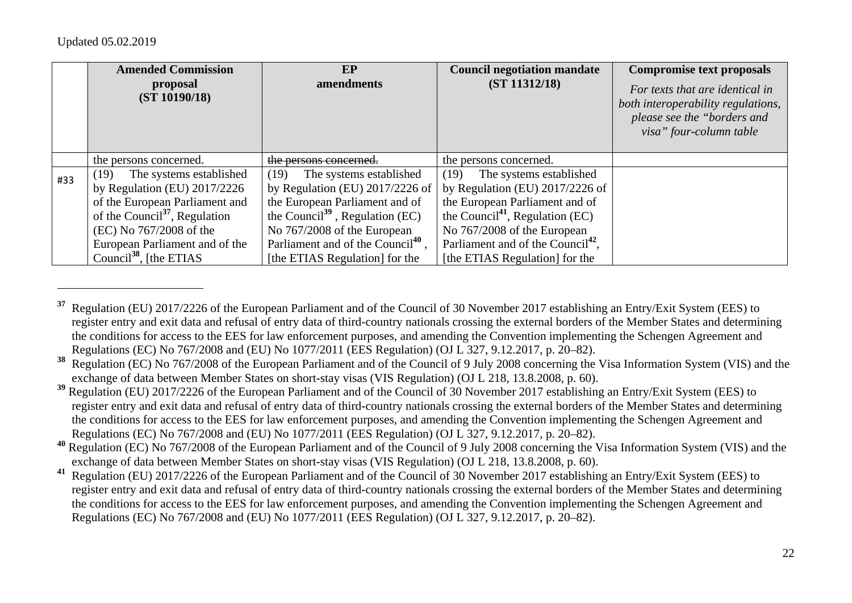|     | <b>Amended Commission</b><br>proposal<br>(ST 10190/18) | EP<br>amendments                              | <b>Council negotiation mandate</b><br>(ST 11312/18) | <b>Compromise text proposals</b><br>For texts that are identical in<br>both interoperability regulations,<br>please see the "borders and<br>visa" four-column table |
|-----|--------------------------------------------------------|-----------------------------------------------|-----------------------------------------------------|---------------------------------------------------------------------------------------------------------------------------------------------------------------------|
|     |                                                        |                                               |                                                     |                                                                                                                                                                     |
|     | the persons concerned.                                 | the persons concerned.                        | the persons concerned.                              |                                                                                                                                                                     |
| #33 | (19)<br>The systems established                        | The systems established<br>(19)               | The systems established<br>(19)                     |                                                                                                                                                                     |
|     | by Regulation (EU) $2017/2226$                         | by Regulation (EU) $2017/2226$ of             | by Regulation (EU) $2017/2226$ of                   |                                                                                                                                                                     |
|     | of the European Parliament and                         | the European Parliament and of                | the European Parliament and of                      |                                                                                                                                                                     |
|     | of the Council <sup>37</sup> , Regulation              | the Council <sup>39</sup> , Regulation (EC)   | the Council <sup>41</sup> , Regulation (EC)         |                                                                                                                                                                     |
|     | (EC) No 767/2008 of the                                | No 767/2008 of the European                   | No 767/2008 of the European                         |                                                                                                                                                                     |
|     | European Parliament and of the                         | Parliament and of the Council <sup>40</sup> . | Parliament and of the Council <sup>42</sup> ,       |                                                                                                                                                                     |
|     | Council <sup>38</sup> , [the ETIAS]                    | [the ETIAS Regulation] for the                | [the ETIAS Regulation] for the                      |                                                                                                                                                                     |

**<sup>37</sup>** Regulation (EU) 2017/2226 of the European Parliament and of the Council of 30 November 2017 establishing an Entry/Exit System (EES) to register entry and exit data and refusal of entry data of third-country nationals crossing the external borders of the Member States and determining the conditions for access to the EES for law enforcement purposes, and amending the Convention implementing the Schengen Agreement and Regulations (EC) No 767/2008 and (EU) No 1077/2011 (EES Regulation) (OJ L 327, 9.12.2017, p. 20–82).

<sup>&</sup>lt;sup>38</sup> Regulation (EC) No 767/2008 of the European Parliament and of the Council of 9 July 2008 concerning the Visa Information System (VIS) and the exchange of data between Member States on short-stay visas (VIS Regulation) (OJ L 218, 13.8.2008, p. 60).

**<sup>39</sup>** Regulation (EU) 2017/2226 of the European Parliament and of the Council of 30 November 2017 establishing an Entry/Exit System (EES) to register entry and exit data and refusal of entry data of third-country nationals crossing the external borders of the Member States and determining the conditions for access to the EES for law enforcement purposes, and amending the Convention implementing the Schengen Agreement and Regulations (EC) No 767/2008 and (EU) No 1077/2011 (EES Regulation) (OJ L 327, 9.12.2017, p. 20–82).

**<sup>40</sup>** Regulation (EC) No 767/2008 of the European Parliament and of the Council of 9 July 2008 concerning the Visa Information System (VIS) and the exchange of data between Member States on short-stay visas (VIS Regulation) (OJ L 218, 13.8.2008, p. 60).

**<sup>41</sup>** Regulation (EU) 2017/2226 of the European Parliament and of the Council of 30 November 2017 establishing an Entry/Exit System (EES) to register entry and exit data and refusal of entry data of third-country nationals crossing the external borders of the Member States and determining the conditions for access to the EES for law enforcement purposes, and amending the Convention implementing the Schengen Agreement and Regulations (EC) No 767/2008 and (EU) No 1077/2011 (EES Regulation) (OJ L 327, 9.12.2017, p. 20–82).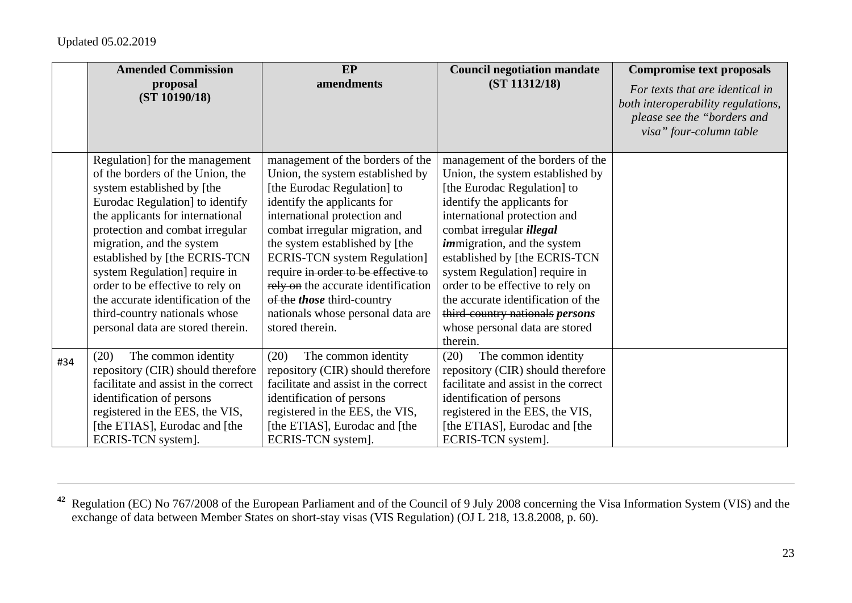|     | <b>Amended Commission</b>            | EP                                   | <b>Council negotiation mandate</b>   | <b>Compromise text proposals</b>                                                                                                |
|-----|--------------------------------------|--------------------------------------|--------------------------------------|---------------------------------------------------------------------------------------------------------------------------------|
|     | proposal<br>(ST 10190/18)            | amendments                           | (ST 11312/18)                        | For texts that are identical in<br>both interoperability regulations,<br>please see the "borders and<br>visa" four-column table |
|     | Regulation] for the management       | management of the borders of the     | management of the borders of the     |                                                                                                                                 |
|     | of the borders of the Union, the     | Union, the system established by     | Union, the system established by     |                                                                                                                                 |
|     | system established by [the           | [the Eurodac Regulation] to          | [the Eurodac Regulation] to          |                                                                                                                                 |
|     | Eurodac Regulation] to identify      | identify the applicants for          | identify the applicants for          |                                                                                                                                 |
|     | the applicants for international     | international protection and         | international protection and         |                                                                                                                                 |
|     | protection and combat irregular      | combat irregular migration, and      | combat irregular illegal             |                                                                                                                                 |
|     | migration, and the system            | the system established by [the       | <i>immigration</i> , and the system  |                                                                                                                                 |
|     | established by [the ECRIS-TCN]       | <b>ECRIS-TCN</b> system Regulation]  | established by [the ECRIS-TCN        |                                                                                                                                 |
|     | system Regulation] require in        | require in order to be effective to  | system Regulation require in         |                                                                                                                                 |
|     | order to be effective to rely on     | rely on the accurate identification  | order to be effective to rely on     |                                                                                                                                 |
|     | the accurate identification of the   | of the <i>those</i> third-country    | the accurate identification of the   |                                                                                                                                 |
|     | third-country nationals whose        | nationals whose personal data are    | third-country nationals persons      |                                                                                                                                 |
|     | personal data are stored therein.    | stored therein.                      | whose personal data are stored       |                                                                                                                                 |
|     |                                      |                                      | therein.                             |                                                                                                                                 |
| #34 | The common identity<br>(20)          | The common identity<br>(20)          | The common identity<br>(20)          |                                                                                                                                 |
|     | repository (CIR) should therefore    | repository (CIR) should therefore    | repository (CIR) should therefore    |                                                                                                                                 |
|     | facilitate and assist in the correct | facilitate and assist in the correct | facilitate and assist in the correct |                                                                                                                                 |
|     | identification of persons            | identification of persons            | identification of persons            |                                                                                                                                 |
|     | registered in the EES, the VIS,      | registered in the EES, the VIS,      | registered in the EES, the VIS,      |                                                                                                                                 |
|     | [the ETIAS], Eurodac and [the        | [the ETIAS], Eurodac and [the        | [the ETIAS], Eurodac and [the        |                                                                                                                                 |
|     | ECRIS-TCN system].                   | ECRIS-TCN system].                   | ECRIS-TCN system].                   |                                                                                                                                 |

**<sup>42</sup>** Regulation (EC) No 767/2008 of the European Parliament and of the Council of 9 July 2008 concerning the Visa Information System (VIS) and the exchange of data between Member States on short-stay visas (VIS Regulation) (OJ L 218, 13.8.2008, p. 60).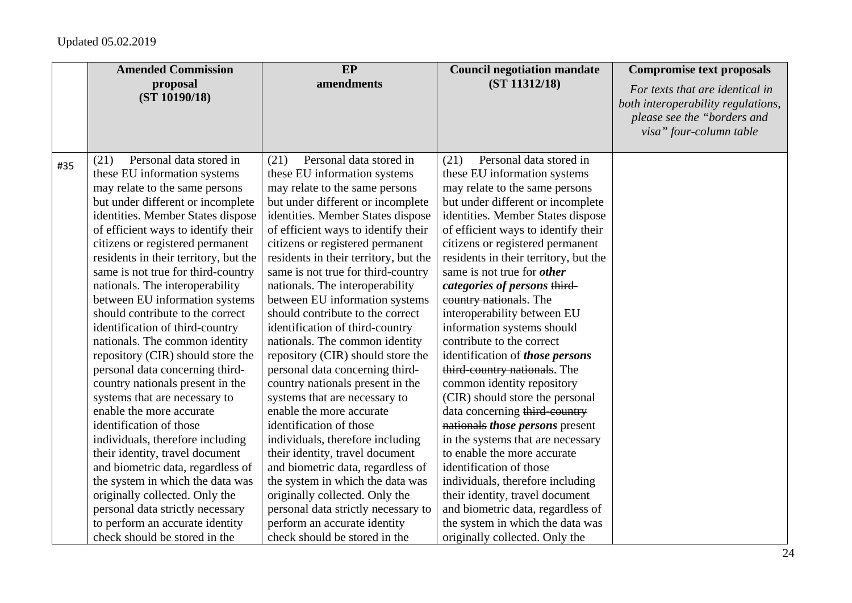| <b>Amended Commission</b>                                                                                                                                                                                                                                                                     | EP                                                                                                                                                                                                                                                                                            | <b>Council negotiation mandate</b>                                                                                                                                                                                                                                            | <b>Compromise text proposals</b>                                                                                                |
|-----------------------------------------------------------------------------------------------------------------------------------------------------------------------------------------------------------------------------------------------------------------------------------------------|-----------------------------------------------------------------------------------------------------------------------------------------------------------------------------------------------------------------------------------------------------------------------------------------------|-------------------------------------------------------------------------------------------------------------------------------------------------------------------------------------------------------------------------------------------------------------------------------|---------------------------------------------------------------------------------------------------------------------------------|
| proposal<br>(ST 10190/18)                                                                                                                                                                                                                                                                     | amendments                                                                                                                                                                                                                                                                                    | (ST 11312/18)                                                                                                                                                                                                                                                                 | For texts that are identical in<br>both interoperability regulations,<br>please see the "borders and<br>visa" four-column table |
| these EU information systems<br>may relate to the same persons<br>but under different or incomplete<br>identities. Member States dispose<br>of efficient ways to identify their                                                                                                               | these EU information systems<br>may relate to the same persons<br>but under different or incomplete<br>identities. Member States dispose<br>of efficient ways to identify their                                                                                                               | these EU information systems<br>may relate to the same persons<br>but under different or incomplete<br>identities. Member States dispose<br>of efficient ways to identify their                                                                                               |                                                                                                                                 |
| citizens or registered permanent<br>residents in their territory, but the<br>same is not true for third-country<br>nationals. The interoperability<br>between EU information systems<br>should contribute to the correct<br>identification of third-country<br>nationals. The common identity | citizens or registered permanent<br>residents in their territory, but the<br>same is not true for third-country<br>nationals. The interoperability<br>between EU information systems<br>should contribute to the correct<br>identification of third-country<br>nationals. The common identity | citizens or registered permanent<br>residents in their territory, but the<br>same is not true for <i>other</i><br>categories of persons third-<br>country nationals. The<br>interoperability between EU<br>information systems should<br>contribute to the correct            |                                                                                                                                 |
| repository (CIR) should store the<br>personal data concerning third-<br>country nationals present in the<br>systems that are necessary to<br>enable the more accurate<br>identification of those                                                                                              | repository (CIR) should store the<br>personal data concerning third-<br>country nationals present in the<br>systems that are necessary to<br>enable the more accurate<br>identification of those                                                                                              | identification of those persons<br>third-country nationals. The<br>common identity repository<br>(CIR) should store the personal<br>data concerning third-country<br>nationals those persons present                                                                          |                                                                                                                                 |
| individuals, therefore including<br>their identity, travel document<br>and biometric data, regardless of<br>the system in which the data was<br>originally collected. Only the<br>personal data strictly necessary<br>to perform an accurate identity<br>check should be stored in the        | individuals, therefore including<br>their identity, travel document<br>and biometric data, regardless of<br>the system in which the data was<br>originally collected. Only the<br>personal data strictly necessary to<br>perform an accurate identity<br>check should be stored in the        | in the systems that are necessary<br>to enable the more accurate<br>identification of those<br>individuals, therefore including<br>their identity, travel document<br>and biometric data, regardless of<br>the system in which the data was<br>originally collected. Only the |                                                                                                                                 |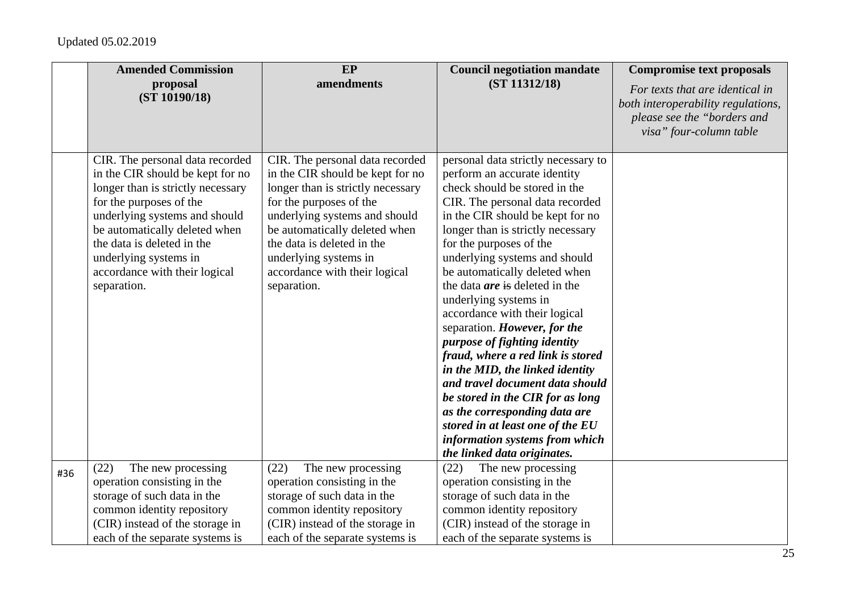|     | <b>Amended Commission</b>                                                                                                                                                                                                                                                                                    | EP                                                                                                                                                                                                                                                                                                           | <b>Council negotiation mandate</b>                                                                                                                                                                                                                                                                                                                                                                                                                                                                                                                                                                                                                                                                                                                                    | <b>Compromise text proposals</b>                                                                                                |
|-----|--------------------------------------------------------------------------------------------------------------------------------------------------------------------------------------------------------------------------------------------------------------------------------------------------------------|--------------------------------------------------------------------------------------------------------------------------------------------------------------------------------------------------------------------------------------------------------------------------------------------------------------|-----------------------------------------------------------------------------------------------------------------------------------------------------------------------------------------------------------------------------------------------------------------------------------------------------------------------------------------------------------------------------------------------------------------------------------------------------------------------------------------------------------------------------------------------------------------------------------------------------------------------------------------------------------------------------------------------------------------------------------------------------------------------|---------------------------------------------------------------------------------------------------------------------------------|
|     | proposal<br>(ST 10190/18)                                                                                                                                                                                                                                                                                    | amendments                                                                                                                                                                                                                                                                                                   | (ST 11312/18)                                                                                                                                                                                                                                                                                                                                                                                                                                                                                                                                                                                                                                                                                                                                                         | For texts that are identical in<br>both interoperability regulations,<br>please see the "borders and<br>visa" four-column table |
|     | CIR. The personal data recorded<br>in the CIR should be kept for no<br>longer than is strictly necessary<br>for the purposes of the<br>underlying systems and should<br>be automatically deleted when<br>the data is deleted in the<br>underlying systems in<br>accordance with their logical<br>separation. | CIR. The personal data recorded<br>in the CIR should be kept for no<br>longer than is strictly necessary<br>for the purposes of the<br>underlying systems and should<br>be automatically deleted when<br>the data is deleted in the<br>underlying systems in<br>accordance with their logical<br>separation. | personal data strictly necessary to<br>perform an accurate identity<br>check should be stored in the<br>CIR. The personal data recorded<br>in the CIR should be kept for no<br>longer than is strictly necessary<br>for the purposes of the<br>underlying systems and should<br>be automatically deleted when<br>the data <i>are</i> is deleted in the<br>underlying systems in<br>accordance with their logical<br>separation. However, for the<br>purpose of fighting identity<br>fraud, where a red link is stored<br>in the MID, the linked identity<br>and travel document data should<br>be stored in the CIR for as long<br>as the corresponding data are<br>stored in at least one of the EU<br>information systems from which<br>the linked data originates. |                                                                                                                                 |
| #36 | (22)<br>The new processing<br>operation consisting in the<br>storage of such data in the<br>common identity repository<br>(CIR) instead of the storage in<br>each of the separate systems is                                                                                                                 | (22)<br>The new processing<br>operation consisting in the<br>storage of such data in the<br>common identity repository<br>(CIR) instead of the storage in<br>each of the separate systems is                                                                                                                 | The new processing<br>(22)<br>operation consisting in the<br>storage of such data in the<br>common identity repository<br>(CIR) instead of the storage in<br>each of the separate systems is                                                                                                                                                                                                                                                                                                                                                                                                                                                                                                                                                                          |                                                                                                                                 |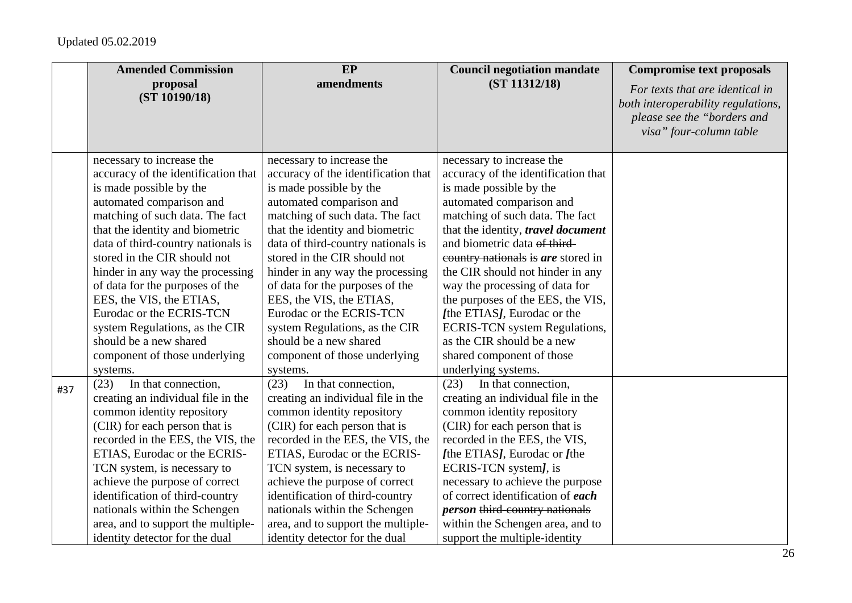|     | <b>Amended Commission</b>           | EP                                  | <b>Council negotiation mandate</b>    | <b>Compromise text proposals</b>                                                                                                |
|-----|-------------------------------------|-------------------------------------|---------------------------------------|---------------------------------------------------------------------------------------------------------------------------------|
|     | proposal<br>(ST 10190/18)           | amendments                          | (ST 11312/18)                         | For texts that are identical in<br>both interoperability regulations,<br>please see the "borders and<br>visa" four-column table |
|     | necessary to increase the           | necessary to increase the           | necessary to increase the             |                                                                                                                                 |
|     | accuracy of the identification that | accuracy of the identification that | accuracy of the identification that   |                                                                                                                                 |
|     | is made possible by the             | is made possible by the             | is made possible by the               |                                                                                                                                 |
|     | automated comparison and            | automated comparison and            | automated comparison and              |                                                                                                                                 |
|     | matching of such data. The fact     | matching of such data. The fact     | matching of such data. The fact       |                                                                                                                                 |
|     | that the identity and biometric     | that the identity and biometric     | that the identity, travel document    |                                                                                                                                 |
|     | data of third-country nationals is  | data of third-country nationals is  | and biometric data of third-          |                                                                                                                                 |
|     | stored in the CIR should not        | stored in the CIR should not        | country nationals is are stored in    |                                                                                                                                 |
|     | hinder in any way the processing    | hinder in any way the processing    | the CIR should not hinder in any      |                                                                                                                                 |
|     | of data for the purposes of the     | of data for the purposes of the     | way the processing of data for        |                                                                                                                                 |
|     | EES, the VIS, the ETIAS,            | EES, the VIS, the ETIAS,            | the purposes of the EES, the VIS,     |                                                                                                                                 |
|     | Eurodac or the ECRIS-TCN            | Eurodac or the ECRIS-TCN            | [the ETIAS], Eurodac or the           |                                                                                                                                 |
|     | system Regulations, as the CIR      | system Regulations, as the CIR      | <b>ECRIS-TCN</b> system Regulations,  |                                                                                                                                 |
|     | should be a new shared              | should be a new shared              | as the CIR should be a new            |                                                                                                                                 |
|     | component of those underlying       | component of those underlying       | shared component of those             |                                                                                                                                 |
|     | systems.                            | systems.                            | underlying systems.                   |                                                                                                                                 |
| #37 | (23)<br>In that connection,         | (23)<br>In that connection,         | In that connection,<br>(23)           |                                                                                                                                 |
|     | creating an individual file in the  | creating an individual file in the  | creating an individual file in the    |                                                                                                                                 |
|     | common identity repository          | common identity repository          | common identity repository            |                                                                                                                                 |
|     | (CIR) for each person that is       | (CIR) for each person that is       | (CIR) for each person that is         |                                                                                                                                 |
|     | recorded in the EES, the VIS, the   | recorded in the EES, the VIS, the   | recorded in the EES, the VIS,         |                                                                                                                                 |
|     | ETIAS, Eurodac or the ECRIS-        | ETIAS, Eurodac or the ECRIS-        | [the ETIAS], Eurodac or [the          |                                                                                                                                 |
|     | TCN system, is necessary to         | TCN system, is necessary to         | ECRIS-TCN system], is                 |                                                                                                                                 |
|     | achieve the purpose of correct      | achieve the purpose of correct      | necessary to achieve the purpose      |                                                                                                                                 |
|     | identification of third-country     | identification of third-country     | of correct identification of each     |                                                                                                                                 |
|     | nationals within the Schengen       | nationals within the Schengen       | <i>person</i> third-country nationals |                                                                                                                                 |
|     | area, and to support the multiple-  | area, and to support the multiple-  | within the Schengen area, and to      |                                                                                                                                 |
|     | identity detector for the dual      | identity detector for the dual      | support the multiple-identity         |                                                                                                                                 |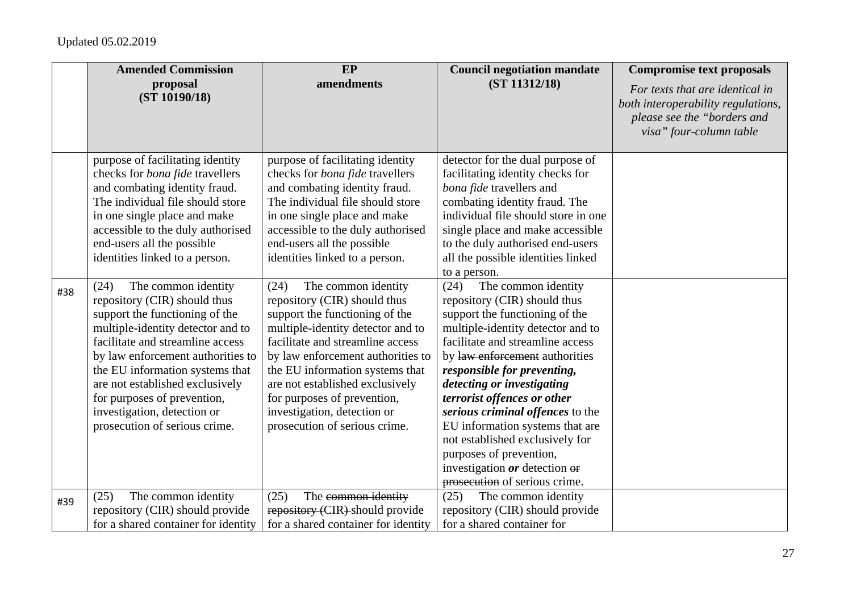|     | <b>Amended Commission</b>                                                                                                                                                                                                                                                                                                                                                                                                                                                                                                                                                                                                                                                | EP                                                                                                                                                                                                                                                                                                                                                                                                                                                                                                                                                                                                                                                                       | <b>Council negotiation mandate</b>                                                                                                                                                                                                                                                                                                                                                                                                                                                                                                                                                                                                                                                                                                                                                       | <b>Compromise text proposals</b>                                                                                                |
|-----|--------------------------------------------------------------------------------------------------------------------------------------------------------------------------------------------------------------------------------------------------------------------------------------------------------------------------------------------------------------------------------------------------------------------------------------------------------------------------------------------------------------------------------------------------------------------------------------------------------------------------------------------------------------------------|--------------------------------------------------------------------------------------------------------------------------------------------------------------------------------------------------------------------------------------------------------------------------------------------------------------------------------------------------------------------------------------------------------------------------------------------------------------------------------------------------------------------------------------------------------------------------------------------------------------------------------------------------------------------------|------------------------------------------------------------------------------------------------------------------------------------------------------------------------------------------------------------------------------------------------------------------------------------------------------------------------------------------------------------------------------------------------------------------------------------------------------------------------------------------------------------------------------------------------------------------------------------------------------------------------------------------------------------------------------------------------------------------------------------------------------------------------------------------|---------------------------------------------------------------------------------------------------------------------------------|
|     | proposal<br>(ST 10190/18)                                                                                                                                                                                                                                                                                                                                                                                                                                                                                                                                                                                                                                                | amendments                                                                                                                                                                                                                                                                                                                                                                                                                                                                                                                                                                                                                                                               | (ST 11312/18)                                                                                                                                                                                                                                                                                                                                                                                                                                                                                                                                                                                                                                                                                                                                                                            | For texts that are identical in<br>both interoperability regulations,<br>please see the "borders and<br>visa" four-column table |
| #38 | purpose of facilitating identity<br>checks for <i>bona fide</i> travellers<br>and combating identity fraud.<br>The individual file should store<br>in one single place and make<br>accessible to the duly authorised<br>end-users all the possible<br>identities linked to a person.<br>The common identity<br>(24)<br>repository (CIR) should thus<br>support the functioning of the<br>multiple-identity detector and to<br>facilitate and streamline access<br>by law enforcement authorities to<br>the EU information systems that<br>are not established exclusively<br>for purposes of prevention,<br>investigation, detection or<br>prosecution of serious crime. | purpose of facilitating identity<br>checks for <i>bona fide</i> travellers<br>and combating identity fraud.<br>The individual file should store<br>in one single place and make<br>accessible to the duly authorised<br>end-users all the possible<br>identities linked to a person.<br>The common identity<br>(24)<br>repository (CIR) should thus<br>support the functioning of the<br>multiple-identity detector and to<br>facilitate and streamline access<br>by law enforcement authorities to<br>the EU information systems that<br>are not established exclusively<br>for purposes of prevention,<br>investigation, detection or<br>prosecution of serious crime. | detector for the dual purpose of<br>facilitating identity checks for<br>bona fide travellers and<br>combating identity fraud. The<br>individual file should store in one<br>single place and make accessible<br>to the duly authorised end-users<br>all the possible identities linked<br>to a person.<br>The common identity<br>(24)<br>repository (CIR) should thus<br>support the functioning of the<br>multiple-identity detector and to<br>facilitate and streamline access<br>by law enforcement authorities<br>responsible for preventing,<br>detecting or investigating<br>terrorist offences or other<br>serious criminal offences to the<br>EU information systems that are<br>not established exclusively for<br>purposes of prevention,<br>investigation $or$ detection $er$ |                                                                                                                                 |
|     |                                                                                                                                                                                                                                                                                                                                                                                                                                                                                                                                                                                                                                                                          |                                                                                                                                                                                                                                                                                                                                                                                                                                                                                                                                                                                                                                                                          | prosecution of serious crime.                                                                                                                                                                                                                                                                                                                                                                                                                                                                                                                                                                                                                                                                                                                                                            |                                                                                                                                 |
| #39 | The common identity<br>(25)<br>repository (CIR) should provide                                                                                                                                                                                                                                                                                                                                                                                                                                                                                                                                                                                                           | The common identity<br>(25)<br>repository (CIR) should provide                                                                                                                                                                                                                                                                                                                                                                                                                                                                                                                                                                                                           | The common identity<br>(25)<br>repository (CIR) should provide                                                                                                                                                                                                                                                                                                                                                                                                                                                                                                                                                                                                                                                                                                                           |                                                                                                                                 |
|     | for a shared container for identity                                                                                                                                                                                                                                                                                                                                                                                                                                                                                                                                                                                                                                      | for a shared container for identity                                                                                                                                                                                                                                                                                                                                                                                                                                                                                                                                                                                                                                      | for a shared container for                                                                                                                                                                                                                                                                                                                                                                                                                                                                                                                                                                                                                                                                                                                                                               |                                                                                                                                 |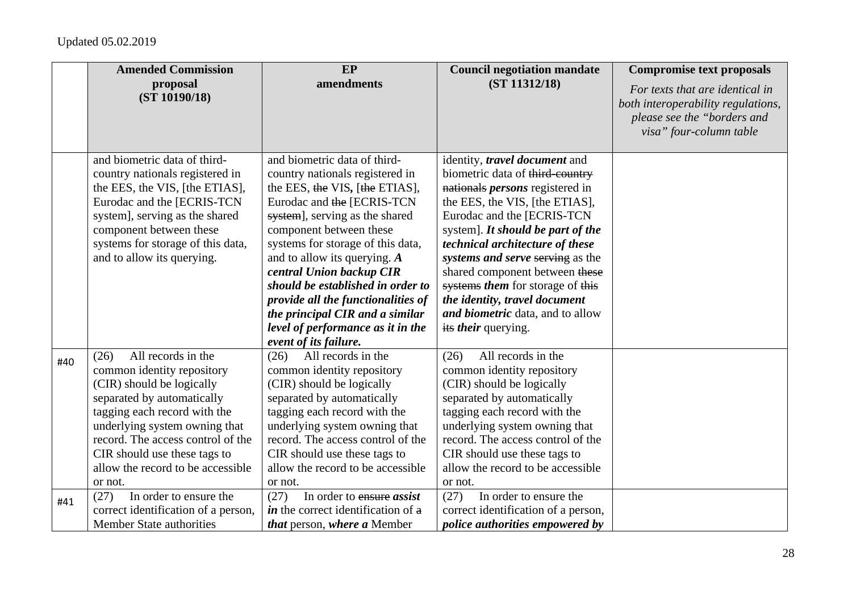|     | <b>Amended Commission</b>                                                                                                                                                                                                                                                                                 | <b>EP</b>                                                                                                                                                                                                                                                                                                                                                                                                                                                                   | <b>Council negotiation mandate</b>                                                                                                                                                                                                                                                                                                                                                                                                                                     | <b>Compromise text proposals</b>                                                                                                |
|-----|-----------------------------------------------------------------------------------------------------------------------------------------------------------------------------------------------------------------------------------------------------------------------------------------------------------|-----------------------------------------------------------------------------------------------------------------------------------------------------------------------------------------------------------------------------------------------------------------------------------------------------------------------------------------------------------------------------------------------------------------------------------------------------------------------------|------------------------------------------------------------------------------------------------------------------------------------------------------------------------------------------------------------------------------------------------------------------------------------------------------------------------------------------------------------------------------------------------------------------------------------------------------------------------|---------------------------------------------------------------------------------------------------------------------------------|
|     | proposal<br>(ST 10190/18)                                                                                                                                                                                                                                                                                 | amendments                                                                                                                                                                                                                                                                                                                                                                                                                                                                  | (ST 11312/18)                                                                                                                                                                                                                                                                                                                                                                                                                                                          | For texts that are identical in<br>both interoperability regulations,<br>please see the "borders and<br>visa" four-column table |
|     | and biometric data of third-<br>country nationals registered in<br>the EES, the VIS, [the ETIAS],<br>Eurodac and the [ECRIS-TCN<br>system], serving as the shared<br>component between these<br>systems for storage of this data,<br>and to allow its querying.                                           | and biometric data of third-<br>country nationals registered in<br>the EES, the VIS, [the ETIAS],<br>Eurodac and the [ECRIS-TCN<br>system], serving as the shared<br>component between these<br>systems for storage of this data,<br>and to allow its querying. $A$<br>central Union backup CIR<br>should be established in order to<br>provide all the functionalities of<br>the principal CIR and a similar<br>level of performance as it in the<br>event of its failure. | identity, <i>travel document</i> and<br>biometric data of third-country<br>nationals <i>persons</i> registered in<br>the EES, the VIS, [the ETIAS],<br>Eurodac and the [ECRIS-TCN<br>system]. It should be part of the<br>technical architecture of these<br>systems and serve serving as the<br>shared component between these<br>systems them for storage of this<br>the identity, travel document<br>and biometric data, and to allow<br>its <i>their</i> querying. |                                                                                                                                 |
| #40 | All records in the<br>(26)<br>common identity repository<br>(CIR) should be logically<br>separated by automatically<br>tagging each record with the<br>underlying system owning that<br>record. The access control of the<br>CIR should use these tags to<br>allow the record to be accessible<br>or not. | All records in the<br>(26)<br>common identity repository<br>(CIR) should be logically<br>separated by automatically<br>tagging each record with the<br>underlying system owning that<br>record. The access control of the<br>CIR should use these tags to<br>allow the record to be accessible<br>or not.                                                                                                                                                                   | All records in the<br>(26)<br>common identity repository<br>(CIR) should be logically<br>separated by automatically<br>tagging each record with the<br>underlying system owning that<br>record. The access control of the<br>CIR should use these tags to<br>allow the record to be accessible<br>or not.                                                                                                                                                              |                                                                                                                                 |
| #41 | In order to ensure the<br>(27)<br>correct identification of a person,<br><b>Member State authorities</b>                                                                                                                                                                                                  | In order to ensure assist<br>(27)<br><i>in</i> the correct identification of $\theta$<br>that person, where a Member                                                                                                                                                                                                                                                                                                                                                        | In order to ensure the<br>(27)<br>correct identification of a person,<br><i>police authorities empowered by</i>                                                                                                                                                                                                                                                                                                                                                        |                                                                                                                                 |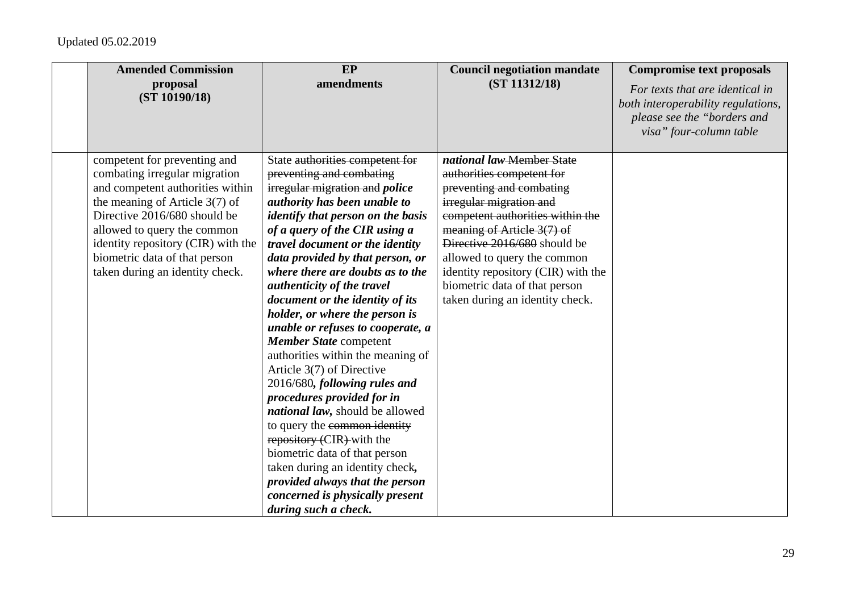| <b>Amended Commission</b>          | EP                                       | <b>Council negotiation mandate</b> | <b>Compromise text proposals</b>                                  |
|------------------------------------|------------------------------------------|------------------------------------|-------------------------------------------------------------------|
| proposal<br>(ST 10190/18)          | amendments                               | (ST 11312/18)                      | For texts that are identical in                                   |
|                                    |                                          |                                    | both interoperability regulations,<br>please see the "borders and |
|                                    |                                          |                                    | visa" four-column table                                           |
|                                    |                                          |                                    |                                                                   |
| competent for preventing and       | State authorities competent for          | national law-Member State          |                                                                   |
| combating irregular migration      | preventing and combating                 | authorities competent for          |                                                                   |
| and competent authorities within   | irregular migration and <i>police</i>    | preventing and combating           |                                                                   |
| the meaning of Article $3(7)$ of   | authority has been unable to             | irregular migration and            |                                                                   |
| Directive 2016/680 should be       | <i>identify that person on the basis</i> | competent authorities within the   |                                                                   |
| allowed to query the common        | of a query of the CIR using a            | meaning of Article 3(7) of         |                                                                   |
| identity repository (CIR) with the | <i>travel document or the identity</i>   | Directive 2016/680 should be       |                                                                   |
| biometric data of that person      | data provided by that person, or         | allowed to query the common        |                                                                   |
| taken during an identity check.    | where there are doubts as to the         | identity repository (CIR) with the |                                                                   |
|                                    | authenticity of the travel               | biometric data of that person      |                                                                   |
|                                    | document or the identity of its          | taken during an identity check.    |                                                                   |
|                                    | holder, or where the person is           |                                    |                                                                   |
|                                    | unable or refuses to cooperate, a        |                                    |                                                                   |
|                                    | Member State competent                   |                                    |                                                                   |
|                                    | authorities within the meaning of        |                                    |                                                                   |
|                                    | Article 3(7) of Directive                |                                    |                                                                   |
|                                    | 2016/680, following rules and            |                                    |                                                                   |
|                                    | procedures provided for in               |                                    |                                                                   |
|                                    | national law, should be allowed          |                                    |                                                                   |
|                                    | to query the common identity             |                                    |                                                                   |
|                                    | repository (CIR) with the                |                                    |                                                                   |
|                                    | biometric data of that person            |                                    |                                                                   |
|                                    | taken during an identity check,          |                                    |                                                                   |
|                                    | provided always that the person          |                                    |                                                                   |
|                                    | concerned is physically present          |                                    |                                                                   |
|                                    | during such a check.                     |                                    |                                                                   |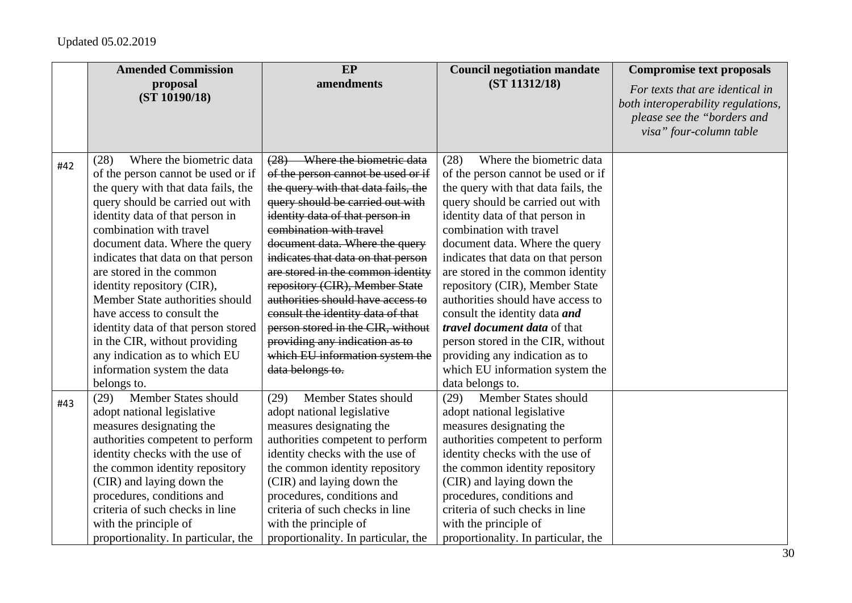|     | <b>Amended Commission</b>           | EP                                  | <b>Council negotiation mandate</b>  | <b>Compromise text proposals</b>                                                                                                |
|-----|-------------------------------------|-------------------------------------|-------------------------------------|---------------------------------------------------------------------------------------------------------------------------------|
|     | proposal<br>(ST 10190/18)           | amendments                          | (ST 11312/18)                       | For texts that are identical in<br>both interoperability regulations,<br>please see the "borders and<br>visa" four-column table |
| #42 | Where the biometric data<br>(28)    | (28) Where the biometric data       | Where the biometric data<br>(28)    |                                                                                                                                 |
|     | of the person cannot be used or if  | of the person cannot be used or if  | of the person cannot be used or if  |                                                                                                                                 |
|     | the query with that data fails, the | the query with that data fails, the | the query with that data fails, the |                                                                                                                                 |
|     | query should be carried out with    | query should be carried out with    | query should be carried out with    |                                                                                                                                 |
|     | identity data of that person in     | identity data of that person in     | identity data of that person in     |                                                                                                                                 |
|     | combination with travel             | combination with travel             | combination with travel             |                                                                                                                                 |
|     | document data. Where the query      | document data. Where the query      | document data. Where the query      |                                                                                                                                 |
|     | indicates that data on that person  | indicates that data on that person  | indicates that data on that person  |                                                                                                                                 |
|     | are stored in the common            | are stored in the common identity   | are stored in the common identity   |                                                                                                                                 |
|     | identity repository (CIR),          | repository (CIR), Member State      | repository (CIR), Member State      |                                                                                                                                 |
|     | Member State authorities should     | authorities should have access to   | authorities should have access to   |                                                                                                                                 |
|     | have access to consult the          | consult the identity data of that   | consult the identity data and       |                                                                                                                                 |
|     | identity data of that person stored | person stored in the CIR, without   | <i>travel document data</i> of that |                                                                                                                                 |
|     | in the CIR, without providing       | providing any indication as to      | person stored in the CIR, without   |                                                                                                                                 |
|     | any indication as to which EU       | which EU information system the     | providing any indication as to      |                                                                                                                                 |
|     | information system the data         | data belongs to.                    | which EU information system the     |                                                                                                                                 |
|     | belongs to.                         |                                     | data belongs to.                    |                                                                                                                                 |
| #43 | Member States should<br>(29)        | Member States should<br>(29)        | Member States should<br>(29)        |                                                                                                                                 |
|     | adopt national legislative          | adopt national legislative          | adopt national legislative          |                                                                                                                                 |
|     | measures designating the            | measures designating the            | measures designating the            |                                                                                                                                 |
|     | authorities competent to perform    | authorities competent to perform    | authorities competent to perform    |                                                                                                                                 |
|     | identity checks with the use of     | identity checks with the use of     | identity checks with the use of     |                                                                                                                                 |
|     | the common identity repository      | the common identity repository      | the common identity repository      |                                                                                                                                 |
|     | (CIR) and laying down the           | (CIR) and laying down the           | (CIR) and laying down the           |                                                                                                                                 |
|     | procedures, conditions and          | procedures, conditions and          | procedures, conditions and          |                                                                                                                                 |
|     | criteria of such checks in line     | criteria of such checks in line     | criteria of such checks in line     |                                                                                                                                 |
|     | with the principle of               | with the principle of               | with the principle of               |                                                                                                                                 |
|     | proportionality. In particular, the | proportionality. In particular, the | proportionality. In particular, the |                                                                                                                                 |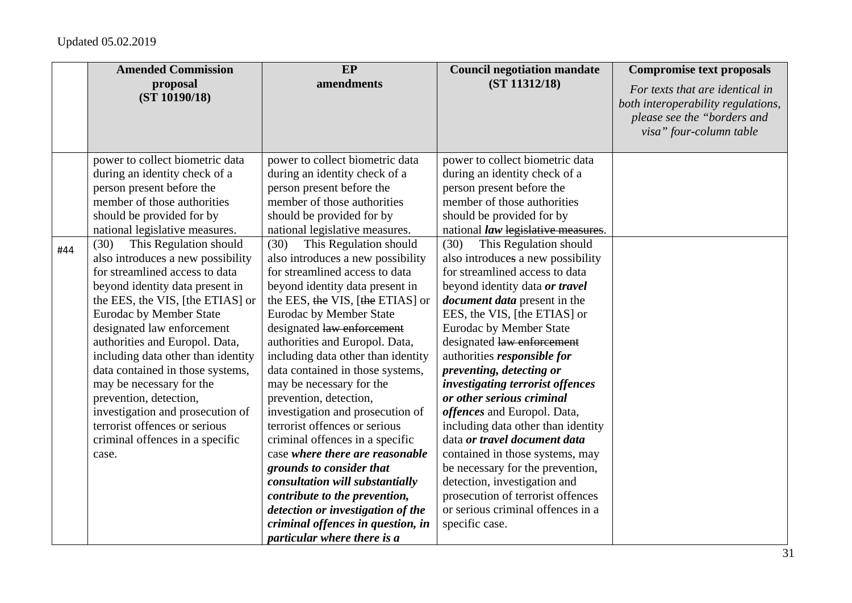|     | <b>Amended Commission</b>          | EP                                 | <b>Council negotiation mandate</b>  | <b>Compromise text proposals</b>                                                                                                |
|-----|------------------------------------|------------------------------------|-------------------------------------|---------------------------------------------------------------------------------------------------------------------------------|
|     | proposal<br>(ST 10190/18)          | amendments                         | (ST 11312/18)                       | For texts that are identical in<br>both interoperability regulations,<br>please see the "borders and<br>visa" four-column table |
|     | power to collect biometric data    | power to collect biometric data    | power to collect biometric data     |                                                                                                                                 |
|     | during an identity check of a      | during an identity check of a      | during an identity check of a       |                                                                                                                                 |
|     | person present before the          | person present before the          | person present before the           |                                                                                                                                 |
|     | member of those authorities        | member of those authorities        | member of those authorities         |                                                                                                                                 |
|     | should be provided for by          | should be provided for by          | should be provided for by           |                                                                                                                                 |
|     | national legislative measures.     | national legislative measures.     | national law legislative measures.  |                                                                                                                                 |
| #44 | This Regulation should<br>(30)     | This Regulation should<br>(30)     | This Regulation should<br>(30)      |                                                                                                                                 |
|     | also introduces a new possibility  | also introduces a new possibility  | also introduces a new possibility   |                                                                                                                                 |
|     | for streamlined access to data     | for streamlined access to data     | for streamlined access to data      |                                                                                                                                 |
|     | beyond identity data present in    | beyond identity data present in    | beyond identity data or travel      |                                                                                                                                 |
|     | the EES, the VIS, [the ETIAS] or   | the EES, the VIS, [the ETIAS] or   | <i>document data</i> present in the |                                                                                                                                 |
|     | <b>Eurodac by Member State</b>     | <b>Eurodac by Member State</b>     | EES, the VIS, [the ETIAS] or        |                                                                                                                                 |
|     | designated law enforcement         | designated law enforcement         | Eurodac by Member State             |                                                                                                                                 |
|     | authorities and Europol. Data,     | authorities and Europol. Data,     | designated law enforcement          |                                                                                                                                 |
|     | including data other than identity | including data other than identity | authorities <i>responsible for</i>  |                                                                                                                                 |
|     | data contained in those systems,   | data contained in those systems,   | preventing, detecting or            |                                                                                                                                 |
|     | may be necessary for the           | may be necessary for the           | investigating terrorist offences    |                                                                                                                                 |
|     | prevention, detection,             | prevention, detection,             | or other serious criminal           |                                                                                                                                 |
|     | investigation and prosecution of   | investigation and prosecution of   | offences and Europol. Data,         |                                                                                                                                 |
|     | terrorist offences or serious      | terrorist offences or serious      | including data other than identity  |                                                                                                                                 |
|     | criminal offences in a specific    | criminal offences in a specific    | data or travel document data        |                                                                                                                                 |
|     | case.                              | case where there are reasonable    | contained in those systems, may     |                                                                                                                                 |
|     |                                    | grounds to consider that           | be necessary for the prevention,    |                                                                                                                                 |
|     |                                    | consultation will substantially    | detection, investigation and        |                                                                                                                                 |
|     |                                    | contribute to the prevention,      | prosecution of terrorist offences   |                                                                                                                                 |
|     |                                    | detection or investigation of the  | or serious criminal offences in a   |                                                                                                                                 |
|     |                                    | criminal offences in question, in  | specific case.                      |                                                                                                                                 |
|     |                                    | particular where there is a        |                                     |                                                                                                                                 |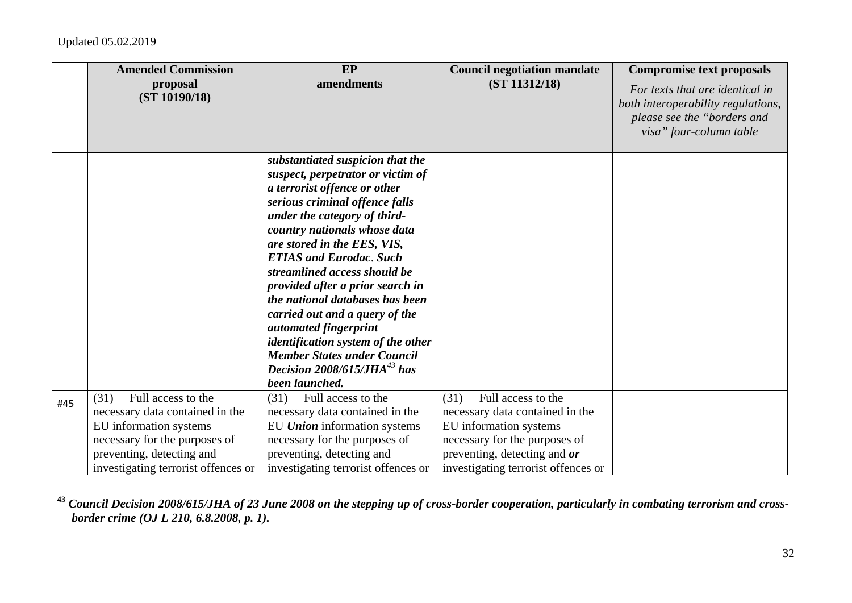| please see the "borders and<br>visa" four-column table<br>substantiated suspicion that the<br>suspect, perpetrator or victim of<br>a terrorist offence or other<br>serious criminal offence falls<br>under the category of third-<br>country nationals whose data<br>are stored in the EES, VIS,<br><b>ETIAS and Eurodac. Such</b><br>streamlined access should be<br>provided after a prior search in<br>the national databases has been<br>carried out and a query of the<br>automated fingerprint<br>identification system of the other | <b>Amended Commission</b><br>proposal<br>(ST 10190/18) | EP<br>amendments                   | <b>Council negotiation mandate</b><br>(ST 11312/18) | <b>Compromise text proposals</b><br>For texts that are identical in<br>both interoperability regulations, |
|--------------------------------------------------------------------------------------------------------------------------------------------------------------------------------------------------------------------------------------------------------------------------------------------------------------------------------------------------------------------------------------------------------------------------------------------------------------------------------------------------------------------------------------------|--------------------------------------------------------|------------------------------------|-----------------------------------------------------|-----------------------------------------------------------------------------------------------------------|
|                                                                                                                                                                                                                                                                                                                                                                                                                                                                                                                                            |                                                        |                                    |                                                     |                                                                                                           |
|                                                                                                                                                                                                                                                                                                                                                                                                                                                                                                                                            |                                                        |                                    |                                                     |                                                                                                           |
|                                                                                                                                                                                                                                                                                                                                                                                                                                                                                                                                            |                                                        |                                    |                                                     |                                                                                                           |
|                                                                                                                                                                                                                                                                                                                                                                                                                                                                                                                                            |                                                        |                                    |                                                     |                                                                                                           |
|                                                                                                                                                                                                                                                                                                                                                                                                                                                                                                                                            |                                                        |                                    |                                                     |                                                                                                           |
|                                                                                                                                                                                                                                                                                                                                                                                                                                                                                                                                            |                                                        |                                    |                                                     |                                                                                                           |
|                                                                                                                                                                                                                                                                                                                                                                                                                                                                                                                                            |                                                        |                                    |                                                     |                                                                                                           |
|                                                                                                                                                                                                                                                                                                                                                                                                                                                                                                                                            |                                                        |                                    |                                                     |                                                                                                           |
|                                                                                                                                                                                                                                                                                                                                                                                                                                                                                                                                            |                                                        |                                    |                                                     |                                                                                                           |
|                                                                                                                                                                                                                                                                                                                                                                                                                                                                                                                                            |                                                        |                                    |                                                     |                                                                                                           |
|                                                                                                                                                                                                                                                                                                                                                                                                                                                                                                                                            |                                                        |                                    |                                                     |                                                                                                           |
|                                                                                                                                                                                                                                                                                                                                                                                                                                                                                                                                            |                                                        |                                    |                                                     |                                                                                                           |
|                                                                                                                                                                                                                                                                                                                                                                                                                                                                                                                                            |                                                        |                                    |                                                     |                                                                                                           |
|                                                                                                                                                                                                                                                                                                                                                                                                                                                                                                                                            |                                                        |                                    |                                                     |                                                                                                           |
|                                                                                                                                                                                                                                                                                                                                                                                                                                                                                                                                            |                                                        | <b>Member States under Council</b> |                                                     |                                                                                                           |
| Decision $2008/615/JHA^{43}$ has                                                                                                                                                                                                                                                                                                                                                                                                                                                                                                           |                                                        |                                    |                                                     |                                                                                                           |
| been launched.                                                                                                                                                                                                                                                                                                                                                                                                                                                                                                                             |                                                        |                                    |                                                     |                                                                                                           |
| Full access to the<br>(31)<br>Full access to the<br>(31)<br>Full access to the<br>(31)<br>#45                                                                                                                                                                                                                                                                                                                                                                                                                                              |                                                        |                                    |                                                     |                                                                                                           |
| necessary data contained in the<br>necessary data contained in the<br>necessary data contained in the                                                                                                                                                                                                                                                                                                                                                                                                                                      |                                                        |                                    |                                                     |                                                                                                           |
| EU information systems<br>EU information systems<br><b>EU Union</b> information systems                                                                                                                                                                                                                                                                                                                                                                                                                                                    |                                                        |                                    |                                                     |                                                                                                           |
| necessary for the purposes of<br>necessary for the purposes of<br>necessary for the purposes of                                                                                                                                                                                                                                                                                                                                                                                                                                            |                                                        |                                    |                                                     |                                                                                                           |
| preventing, detecting and or<br>preventing, detecting and<br>preventing, detecting and<br>investigating terrorist offences or<br>investigating terrorist offences or<br>investigating terrorist offences or                                                                                                                                                                                                                                                                                                                                |                                                        |                                    |                                                     |                                                                                                           |

**43** *Council Decision 2008/615/JHA of 23 June 2008 on the stepping up of cross-border cooperation, particularly in combating terrorism and crossborder crime (OJ L 210, 6.8.2008, p. 1).*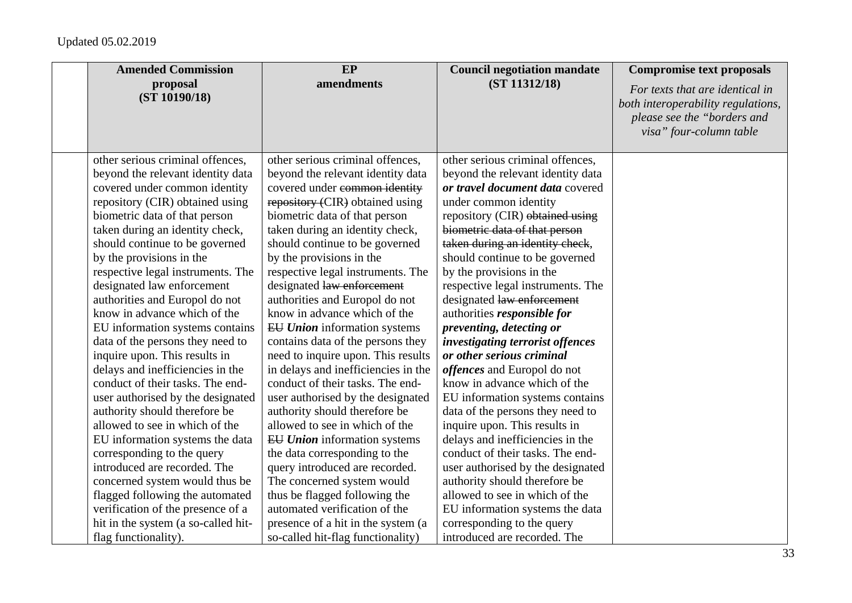| <b>Amended Commission</b>           | EP                                  | <b>Council negotiation mandate</b> | <b>Compromise text proposals</b>                                                                                                |
|-------------------------------------|-------------------------------------|------------------------------------|---------------------------------------------------------------------------------------------------------------------------------|
| proposal<br>(ST 10190/18)           | amendments                          | (ST 11312/18)                      | For texts that are identical in<br>both interoperability regulations,<br>please see the "borders and<br>visa" four-column table |
| other serious criminal offences,    | other serious criminal offences,    | other serious criminal offences,   |                                                                                                                                 |
| beyond the relevant identity data   | beyond the relevant identity data   | beyond the relevant identity data  |                                                                                                                                 |
| covered under common identity       | covered under common identity       | or travel document data covered    |                                                                                                                                 |
| repository (CIR) obtained using     | repository (CIR) obtained using     | under common identity              |                                                                                                                                 |
| biometric data of that person       | biometric data of that person       | repository (CIR) obtained using    |                                                                                                                                 |
| taken during an identity check,     | taken during an identity check,     | biometric data of that person      |                                                                                                                                 |
| should continue to be governed      | should continue to be governed      | taken during an identity check,    |                                                                                                                                 |
| by the provisions in the            | by the provisions in the            | should continue to be governed     |                                                                                                                                 |
| respective legal instruments. The   | respective legal instruments. The   | by the provisions in the           |                                                                                                                                 |
| designated law enforcement          | designated law enforcement          | respective legal instruments. The  |                                                                                                                                 |
| authorities and Europol do not      | authorities and Europol do not      | designated law enforcement         |                                                                                                                                 |
| know in advance which of the        | know in advance which of the        | authorities responsible for        |                                                                                                                                 |
| EU information systems contains     | <b>EU Union</b> information systems | preventing, detecting or           |                                                                                                                                 |
| data of the persons they need to    | contains data of the persons they   | investigating terrorist offences   |                                                                                                                                 |
| inquire upon. This results in       | need to inquire upon. This results  | or other serious criminal          |                                                                                                                                 |
| delays and inefficiencies in the    | in delays and inefficiencies in the | offences and Europol do not        |                                                                                                                                 |
| conduct of their tasks. The end-    | conduct of their tasks. The end-    | know in advance which of the       |                                                                                                                                 |
| user authorised by the designated   | user authorised by the designated   | EU information systems contains    |                                                                                                                                 |
| authority should therefore be       | authority should therefore be       | data of the persons they need to   |                                                                                                                                 |
| allowed to see in which of the      | allowed to see in which of the      | inquire upon. This results in      |                                                                                                                                 |
| EU information systems the data     | EU Union information systems        | delays and inefficiencies in the   |                                                                                                                                 |
| corresponding to the query          | the data corresponding to the       | conduct of their tasks. The end-   |                                                                                                                                 |
| introduced are recorded. The        | query introduced are recorded.      | user authorised by the designated  |                                                                                                                                 |
| concerned system would thus be      | The concerned system would          | authority should therefore be      |                                                                                                                                 |
| flagged following the automated     | thus be flagged following the       | allowed to see in which of the     |                                                                                                                                 |
| verification of the presence of a   | automated verification of the       | EU information systems the data    |                                                                                                                                 |
| hit in the system (a so-called hit- | presence of a hit in the system (a  | corresponding to the query         |                                                                                                                                 |
| flag functionality).                | so-called hit-flag functionality)   | introduced are recorded. The       |                                                                                                                                 |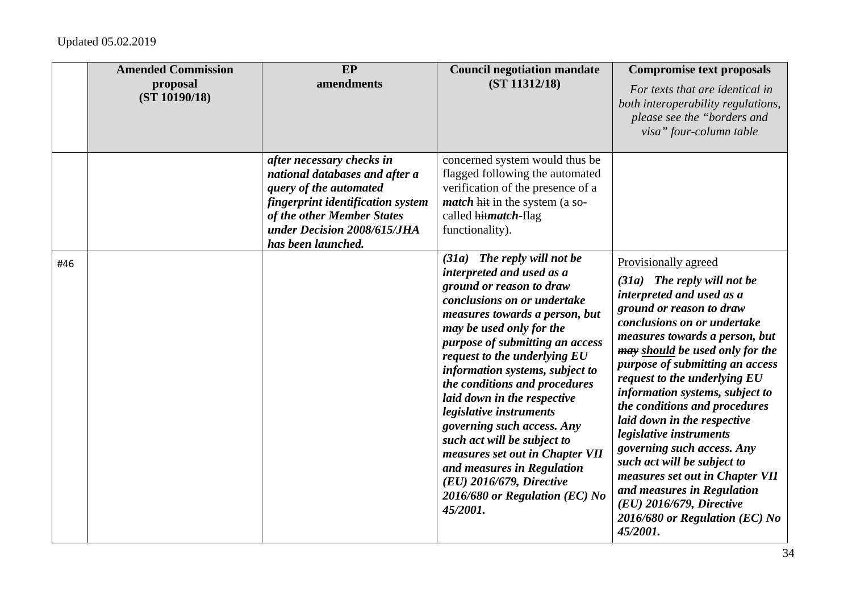| after necessary checks in<br>concerned system would thus be<br>national databases and after a<br>flagged following the automated<br>verification of the presence of a<br>query of the automated<br><i>match</i> hit in the system (a so-<br>fingerprint identification system<br>of the other Member States<br>called hitmatch-flag<br>under Decision 2008/615/JHA<br>functionality).<br>has been launched.<br>$(31a)$ The reply will not be<br>Provisionally agreed<br>#46<br>interpreted and used as a<br>$(31a)$ The reply will not be<br>ground or reason to draw<br>interpreted and used as a<br>conclusions on or undertake<br>ground or reason to draw<br>measures towards a person, but<br>conclusions on or undertake<br>may be used only for the<br>purpose of submitting an access<br>request to the underlying EU<br>information systems, subject to<br>request to the underlying EU<br>the conditions and procedures<br>laid down in the respective<br>the conditions and procedures<br>legislative instruments<br>laid down in the respective<br>governing such access. Any<br>legislative instruments<br>such act will be subject to<br>governing such access. Any<br>measures set out in Chapter VII | <b>Amended Commission</b><br>proposal<br>(ST 10190/18) | EP<br>amendments | <b>Council negotiation mandate</b><br>(ST 11312/18) | <b>Compromise text proposals</b><br>For texts that are identical in<br>both interoperability regulations,<br>please see the "borders and<br>visa" four-column table                                                                         |
|----------------------------------------------------------------------------------------------------------------------------------------------------------------------------------------------------------------------------------------------------------------------------------------------------------------------------------------------------------------------------------------------------------------------------------------------------------------------------------------------------------------------------------------------------------------------------------------------------------------------------------------------------------------------------------------------------------------------------------------------------------------------------------------------------------------------------------------------------------------------------------------------------------------------------------------------------------------------------------------------------------------------------------------------------------------------------------------------------------------------------------------------------------------------------------------------------------------------|--------------------------------------------------------|------------------|-----------------------------------------------------|---------------------------------------------------------------------------------------------------------------------------------------------------------------------------------------------------------------------------------------------|
| $(EU)$ 2016/679, Directive<br>and measures in Regulation<br>2016/680 or Regulation (EC) No<br>$(EU)$ 2016/679, Directive<br>45/2001.                                                                                                                                                                                                                                                                                                                                                                                                                                                                                                                                                                                                                                                                                                                                                                                                                                                                                                                                                                                                                                                                                 |                                                        |                  | and measures in Regulation                          | measures towards a person, but<br>may should be used only for the<br>purpose of submitting an access<br>information systems, subject to<br>such act will be subject to<br>measures set out in Chapter VII<br>2016/680 or Regulation (EC) No |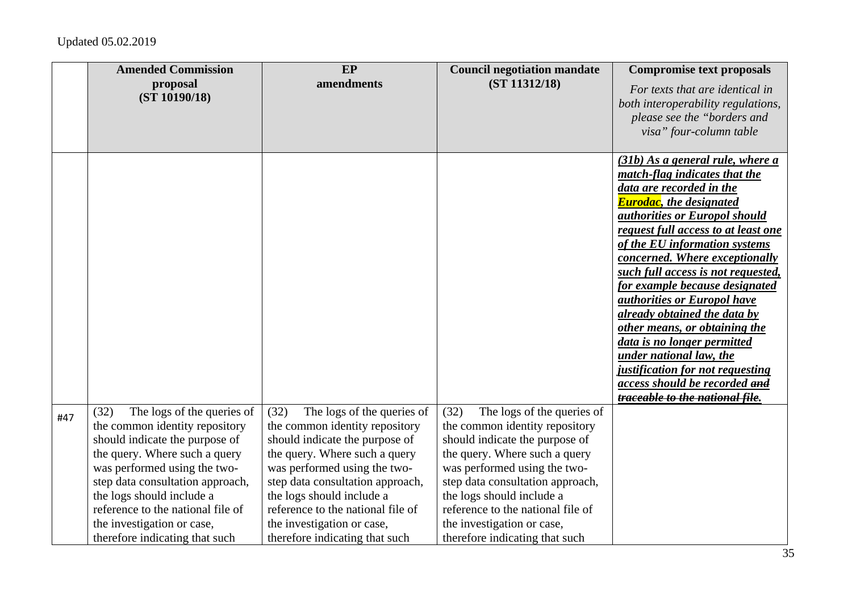|     | <b>Amended Commission</b><br>proposal<br>(ST 10190/18)                                                                                                                                                      | EP<br>amendments                                                                                                                                                                                            | <b>Council negotiation mandate</b><br>(ST 11312/18)                                                                                                                                                         | <b>Compromise text proposals</b><br>For texts that are identical in<br>both interoperability regulations,<br>please see the "borders and                                                                                                                                                                                                                                                                                                                                                                                                                                                                                                                  |
|-----|-------------------------------------------------------------------------------------------------------------------------------------------------------------------------------------------------------------|-------------------------------------------------------------------------------------------------------------------------------------------------------------------------------------------------------------|-------------------------------------------------------------------------------------------------------------------------------------------------------------------------------------------------------------|-----------------------------------------------------------------------------------------------------------------------------------------------------------------------------------------------------------------------------------------------------------------------------------------------------------------------------------------------------------------------------------------------------------------------------------------------------------------------------------------------------------------------------------------------------------------------------------------------------------------------------------------------------------|
| #47 | The logs of the queries of<br>(32)<br>the common identity repository<br>should indicate the purpose of<br>the query. Where such a query<br>was performed using the two-<br>step data consultation approach, | The logs of the queries of<br>(32)<br>the common identity repository<br>should indicate the purpose of<br>the query. Where such a query<br>was performed using the two-<br>step data consultation approach, | The logs of the queries of<br>(32)<br>the common identity repository<br>should indicate the purpose of<br>the query. Where such a query<br>was performed using the two-<br>step data consultation approach, | visa" four-column table<br>$(31b)$ As a general rule, where a<br>match-flag indicates that the<br>data are recorded in the<br><b>Eurodac</b> , the designated<br>authorities or Europol should<br>request full access to at least one<br>of the EU information systems<br>concerned. Where exceptionally<br>such full access is not requested,<br>for example because designated<br><i>authorities or Europol have</i><br>already obtained the data by<br>other means, or obtaining the<br>data is no longer permitted<br>under national law, the<br>justification for not requesting<br>access should be recorded and<br>traceable to the national file. |
|     | the logs should include a<br>reference to the national file of<br>the investigation or case,<br>therefore indicating that such                                                                              | the logs should include a<br>reference to the national file of<br>the investigation or case,<br>therefore indicating that such                                                                              | the logs should include a<br>reference to the national file of<br>the investigation or case,<br>therefore indicating that such                                                                              |                                                                                                                                                                                                                                                                                                                                                                                                                                                                                                                                                                                                                                                           |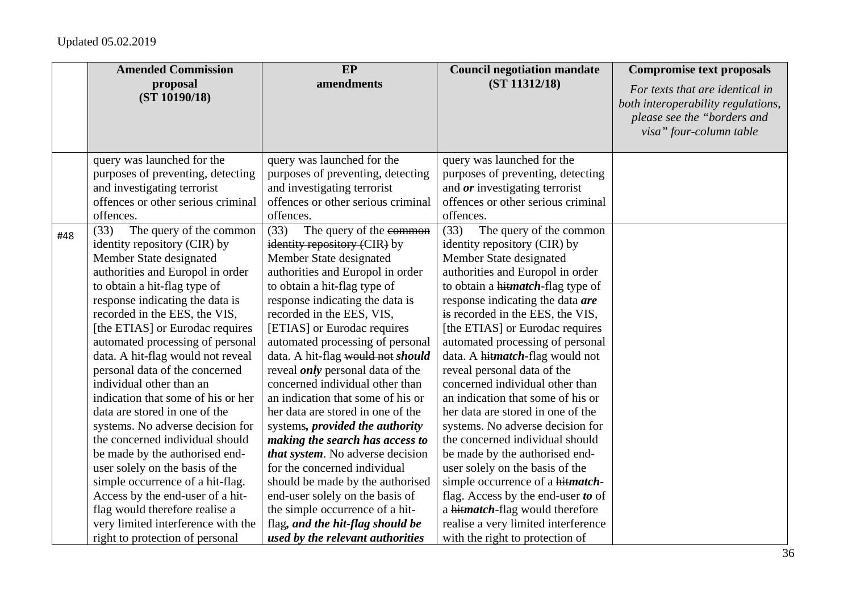|     | <b>Amended Commission</b>          | EP                                      | <b>Council negotiation mandate</b>       | <b>Compromise text proposals</b>                                                                                                |
|-----|------------------------------------|-----------------------------------------|------------------------------------------|---------------------------------------------------------------------------------------------------------------------------------|
|     | proposal<br>(ST 10190/18)          | amendments                              | (ST 11312/18)                            | For texts that are identical in<br>both interoperability regulations,<br>please see the "borders and<br>visa" four-column table |
|     | query was launched for the         | query was launched for the              | query was launched for the               |                                                                                                                                 |
|     | purposes of preventing, detecting  | purposes of preventing, detecting       | purposes of preventing, detecting        |                                                                                                                                 |
|     | and investigating terrorist        | and investigating terrorist             | and or investigating terrorist           |                                                                                                                                 |
|     | offences or other serious criminal | offences or other serious criminal      | offences or other serious criminal       |                                                                                                                                 |
|     | offences.                          | offences.                               | offences.                                |                                                                                                                                 |
| #48 | (33)<br>The query of the common    | (33)<br>The query of the common         | The query of the common<br>(33)          |                                                                                                                                 |
|     | identity repository (CIR) by       | identity repository (CIR) by            | identity repository (CIR) by             |                                                                                                                                 |
|     | Member State designated            | Member State designated                 | Member State designated                  |                                                                                                                                 |
|     | authorities and Europol in order   | authorities and Europol in order        | authorities and Europol in order         |                                                                                                                                 |
|     | to obtain a hit-flag type of       | to obtain a hit-flag type of            | to obtain a hitmatch-flag type of        |                                                                                                                                 |
|     | response indicating the data is    | response indicating the data is         | response indicating the data are         |                                                                                                                                 |
|     | recorded in the EES, the VIS,      | recorded in the EES, VIS,               | is recorded in the EES, the VIS,         |                                                                                                                                 |
|     | [the ETIAS] or Eurodac requires    | [ETIAS] or Eurodac requires             | [the ETIAS] or Eurodac requires          |                                                                                                                                 |
|     | automated processing of personal   | automated processing of personal        | automated processing of personal         |                                                                                                                                 |
|     | data. A hit-flag would not reveal  | data. A hit-flag would not should       | data. A hitmatch-flag would not          |                                                                                                                                 |
|     | personal data of the concerned     | reveal <i>only</i> personal data of the | reveal personal data of the              |                                                                                                                                 |
|     | individual other than an           | concerned individual other than         | concerned individual other than          |                                                                                                                                 |
|     | indication that some of his or her | an indication that some of his or       | an indication that some of his or        |                                                                                                                                 |
|     | data are stored in one of the      | her data are stored in one of the       | her data are stored in one of the        |                                                                                                                                 |
|     | systems. No adverse decision for   | systems, <i>provided the authority</i>  | systems. No adverse decision for         |                                                                                                                                 |
|     | the concerned individual should    | making the search has access to         | the concerned individual should          |                                                                                                                                 |
|     | be made by the authorised end-     | that system. No adverse decision        | be made by the authorised end-           |                                                                                                                                 |
|     | user solely on the basis of the    | for the concerned individual            | user solely on the basis of the          |                                                                                                                                 |
|     | simple occurrence of a hit-flag.   | should be made by the authorised        | simple occurrence of a hitmatch-         |                                                                                                                                 |
|     | Access by the end-user of a hit-   | end-user solely on the basis of         | flag. Access by the end-user to $\theta$ |                                                                                                                                 |
|     | flag would therefore realise a     | the simple occurrence of a hit-         | a hitmatch-flag would therefore          |                                                                                                                                 |
|     | very limited interference with the | flag, and the hit-flag should be        | realise a very limited interference      |                                                                                                                                 |
|     | right to protection of personal    | used by the relevant authorities        | with the right to protection of          |                                                                                                                                 |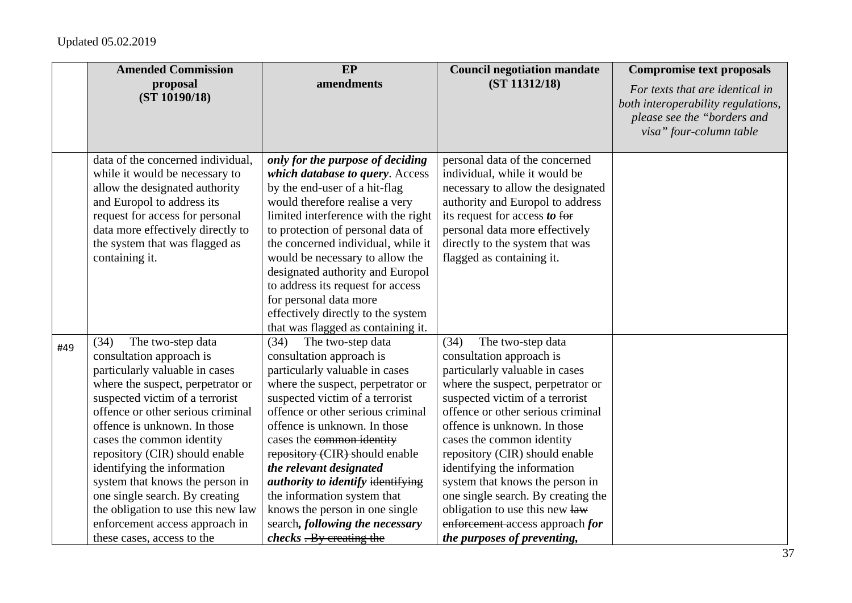|     | <b>Amended Commission</b>                                                                                                                                                                                                                                                                                                                                                                                                                                                                                     | EP                                                                                                                                                                                                                                                                                                                                                                                                                                                                                                                           | <b>Council negotiation mandate</b>                                                                                                                                                                                                                                                                                                                                                                                                                                                                              | <b>Compromise text proposals</b>                                                                                                |
|-----|---------------------------------------------------------------------------------------------------------------------------------------------------------------------------------------------------------------------------------------------------------------------------------------------------------------------------------------------------------------------------------------------------------------------------------------------------------------------------------------------------------------|------------------------------------------------------------------------------------------------------------------------------------------------------------------------------------------------------------------------------------------------------------------------------------------------------------------------------------------------------------------------------------------------------------------------------------------------------------------------------------------------------------------------------|-----------------------------------------------------------------------------------------------------------------------------------------------------------------------------------------------------------------------------------------------------------------------------------------------------------------------------------------------------------------------------------------------------------------------------------------------------------------------------------------------------------------|---------------------------------------------------------------------------------------------------------------------------------|
|     | proposal<br>(ST 10190/18)                                                                                                                                                                                                                                                                                                                                                                                                                                                                                     | amendments                                                                                                                                                                                                                                                                                                                                                                                                                                                                                                                   | (ST 11312/18)                                                                                                                                                                                                                                                                                                                                                                                                                                                                                                   | For texts that are identical in<br>both interoperability regulations,<br>please see the "borders and<br>visa" four-column table |
|     | data of the concerned individual,<br>while it would be necessary to<br>allow the designated authority<br>and Europol to address its<br>request for access for personal<br>data more effectively directly to<br>the system that was flagged as<br>containing it.                                                                                                                                                                                                                                               | only for the purpose of deciding<br>which database to query. Access<br>by the end-user of a hit-flag<br>would therefore realise a very<br>limited interference with the right<br>to protection of personal data of<br>the concerned individual, while it<br>would be necessary to allow the<br>designated authority and Europol<br>to address its request for access<br>for personal data more<br>effectively directly to the system<br>that was flagged as containing it.                                                   | personal data of the concerned<br>individual, while it would be<br>necessary to allow the designated<br>authority and Europol to address<br>its request for access to for<br>personal data more effectively<br>directly to the system that was<br>flagged as containing it.                                                                                                                                                                                                                                     |                                                                                                                                 |
| #49 | The two-step data<br>(34)<br>consultation approach is<br>particularly valuable in cases<br>where the suspect, perpetrator or<br>suspected victim of a terrorist<br>offence or other serious criminal<br>offence is unknown. In those<br>cases the common identity<br>repository (CIR) should enable<br>identifying the information<br>system that knows the person in<br>one single search. By creating<br>the obligation to use this new law<br>enforcement access approach in<br>these cases, access to the | (34)<br>The two-step data<br>consultation approach is<br>particularly valuable in cases<br>where the suspect, perpetrator or<br>suspected victim of a terrorist<br>offence or other serious criminal<br>offence is unknown. In those<br>cases the common identity<br>repository (CIR) should enable<br>the relevant designated<br><i>authority to identify identifying</i><br>the information system that<br>knows the person in one single<br>search, following the necessary<br><i>checks</i> <del>. By creating the</del> | (34)<br>The two-step data<br>consultation approach is<br>particularly valuable in cases<br>where the suspect, perpetrator or<br>suspected victim of a terrorist<br>offence or other serious criminal<br>offence is unknown. In those<br>cases the common identity<br>repository (CIR) should enable<br>identifying the information<br>system that knows the person in<br>one single search. By creating the<br>obligation to use this new law<br>enforcement-access approach for<br>the purposes of preventing, |                                                                                                                                 |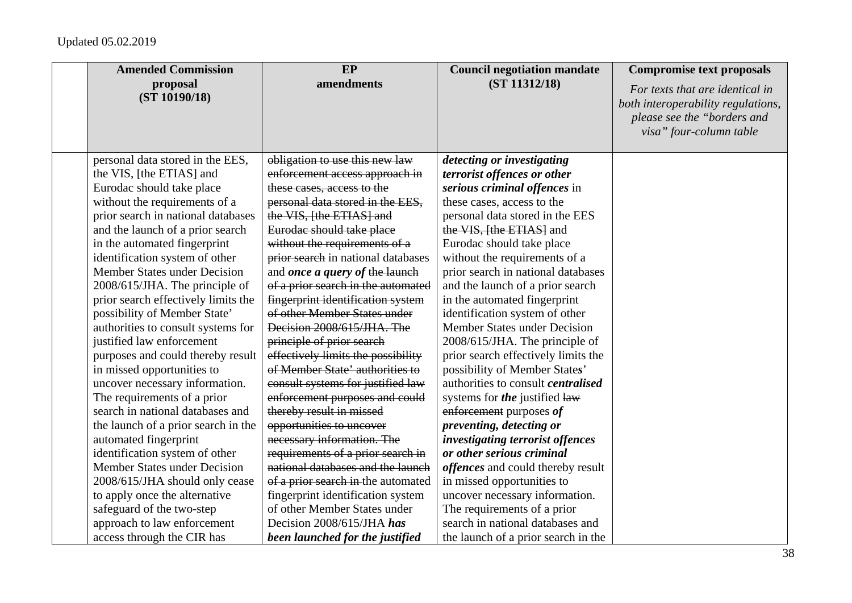| <b>Amended Commission</b>           | EP                                    | <b>Council negotiation mandate</b>        | <b>Compromise text proposals</b>                                                                                                |
|-------------------------------------|---------------------------------------|-------------------------------------------|---------------------------------------------------------------------------------------------------------------------------------|
| proposal<br>(ST 10190/18)           | amendments                            | (ST 11312/18)                             | For texts that are identical in<br>both interoperability regulations,<br>please see the "borders and<br>visa" four-column table |
| personal data stored in the EES,    | obligation to use this new law        | detecting or investigating                |                                                                                                                                 |
| the VIS, [the ETIAS] and            | enforcement access approach in        | terrorist offences or other               |                                                                                                                                 |
| Eurodac should take place           | these cases, access to the            | serious criminal offences in              |                                                                                                                                 |
| without the requirements of a       | personal data stored in the EES,      | these cases, access to the                |                                                                                                                                 |
| prior search in national databases  | the VIS, [the ETIAS] and              | personal data stored in the EES           |                                                                                                                                 |
| and the launch of a prior search    | Eurodae should take place             | the VIS, [the ETIAS] and                  |                                                                                                                                 |
| in the automated fingerprint        | without the requirements of a         | Eurodac should take place                 |                                                                                                                                 |
| identification system of other      | prior search in national databases    | without the requirements of a             |                                                                                                                                 |
| Member States under Decision        | and <i>once a query of the launch</i> | prior search in national databases        |                                                                                                                                 |
| 2008/615/JHA. The principle of      | of a prior search in the automated    | and the launch of a prior search          |                                                                                                                                 |
| prior search effectively limits the | fingerprint identification system     | in the automated fingerprint              |                                                                                                                                 |
| possibility of Member State'        | of other Member States under          | identification system of other            |                                                                                                                                 |
| authorities to consult systems for  | Decision 2008/615/JHA. The            | Member States under Decision              |                                                                                                                                 |
| justified law enforcement           | principle of prior search             | 2008/615/JHA. The principle of            |                                                                                                                                 |
| purposes and could thereby result   | effectively limits the possibility    | prior search effectively limits the       |                                                                                                                                 |
| in missed opportunities to          | of Member State' authorities to       | possibility of Member States'             |                                                                                                                                 |
| uncover necessary information.      | consult systems for justified law     | authorities to consult <i>centralised</i> |                                                                                                                                 |
| The requirements of a prior         | enforcement purposes and could        | systems for the justified law             |                                                                                                                                 |
| search in national databases and    | thereby result in missed              | enforcement purposes of                   |                                                                                                                                 |
| the launch of a prior search in the | opportunities to uncover              | preventing, detecting or                  |                                                                                                                                 |
| automated fingerprint               | necessary information. The            | investigating terrorist offences          |                                                                                                                                 |
| identification system of other      | requirements of a prior search in     | or other serious criminal                 |                                                                                                                                 |
| Member States under Decision        | national databases and the launch     | <i>offences</i> and could thereby result  |                                                                                                                                 |
| 2008/615/JHA should only cease      | of a prior search in the automated    | in missed opportunities to                |                                                                                                                                 |
| to apply once the alternative       | fingerprint identification system     | uncover necessary information.            |                                                                                                                                 |
| safeguard of the two-step           | of other Member States under          | The requirements of a prior               |                                                                                                                                 |
| approach to law enforcement         | Decision 2008/615/JHA has             | search in national databases and          |                                                                                                                                 |
| access through the CIR has          | been launched for the justified       | the launch of a prior search in the       |                                                                                                                                 |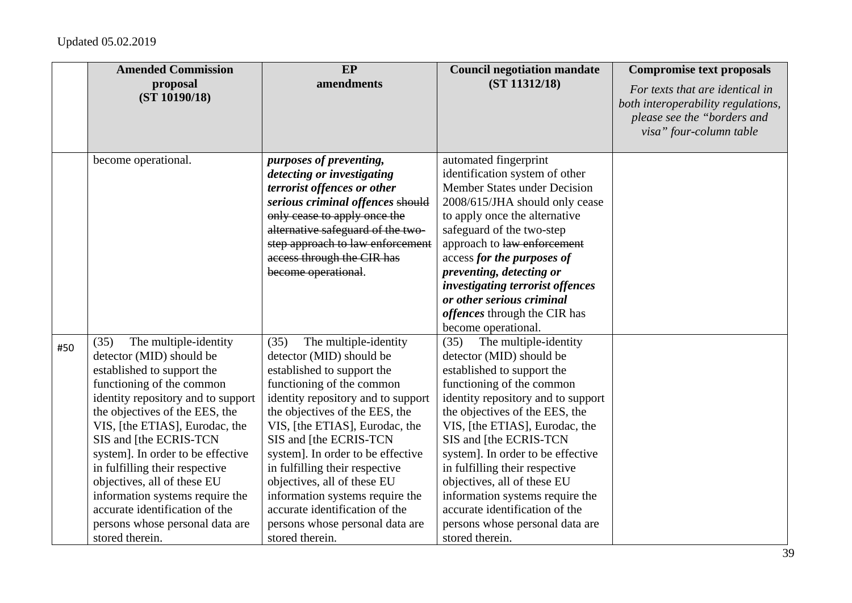|     | <b>Amended Commission</b>                                                                                                                                                                                                                                                                                                                                                                                                                                                                 | EP                                                                                                                                                                                                                                                                                                                                                                                                                                                                                        | <b>Council negotiation mandate</b>                                                                                                                                                                                                                                                                                                                                                                                                                                                        | <b>Compromise text proposals</b>                                                                                                |
|-----|-------------------------------------------------------------------------------------------------------------------------------------------------------------------------------------------------------------------------------------------------------------------------------------------------------------------------------------------------------------------------------------------------------------------------------------------------------------------------------------------|-------------------------------------------------------------------------------------------------------------------------------------------------------------------------------------------------------------------------------------------------------------------------------------------------------------------------------------------------------------------------------------------------------------------------------------------------------------------------------------------|-------------------------------------------------------------------------------------------------------------------------------------------------------------------------------------------------------------------------------------------------------------------------------------------------------------------------------------------------------------------------------------------------------------------------------------------------------------------------------------------|---------------------------------------------------------------------------------------------------------------------------------|
|     | proposal<br>(ST 10190/18)                                                                                                                                                                                                                                                                                                                                                                                                                                                                 | amendments                                                                                                                                                                                                                                                                                                                                                                                                                                                                                | (ST 11312/18)                                                                                                                                                                                                                                                                                                                                                                                                                                                                             | For texts that are identical in<br>both interoperability regulations,<br>please see the "borders and<br>visa" four-column table |
|     | become operational.                                                                                                                                                                                                                                                                                                                                                                                                                                                                       | purposes of preventing,<br>detecting or investigating<br>terrorist offences or other                                                                                                                                                                                                                                                                                                                                                                                                      | automated fingerprint<br>identification system of other<br><b>Member States under Decision</b>                                                                                                                                                                                                                                                                                                                                                                                            |                                                                                                                                 |
|     |                                                                                                                                                                                                                                                                                                                                                                                                                                                                                           | serious criminal offences should<br>only cease to apply once the<br>alternative safeguard of the two-                                                                                                                                                                                                                                                                                                                                                                                     | 2008/615/JHA should only cease<br>to apply once the alternative<br>safeguard of the two-step                                                                                                                                                                                                                                                                                                                                                                                              |                                                                                                                                 |
|     |                                                                                                                                                                                                                                                                                                                                                                                                                                                                                           | step approach to law enforcement<br>access through the CIR has<br>become operational.                                                                                                                                                                                                                                                                                                                                                                                                     | approach to law enforcement<br>access for the purposes of<br>preventing, detecting or                                                                                                                                                                                                                                                                                                                                                                                                     |                                                                                                                                 |
|     |                                                                                                                                                                                                                                                                                                                                                                                                                                                                                           |                                                                                                                                                                                                                                                                                                                                                                                                                                                                                           | investigating terrorist offences<br>or other serious criminal<br>offences through the CIR has<br>become operational.                                                                                                                                                                                                                                                                                                                                                                      |                                                                                                                                 |
| #50 | The multiple-identity<br>(35)<br>detector (MID) should be<br>established to support the<br>functioning of the common<br>identity repository and to support<br>the objectives of the EES, the<br>VIS, [the ETIAS], Eurodac, the<br>SIS and [the ECRIS-TCN<br>system]. In order to be effective<br>in fulfilling their respective<br>objectives, all of these EU<br>information systems require the<br>accurate identification of the<br>persons whose personal data are<br>stored therein. | The multiple-identity<br>(35)<br>detector (MID) should be<br>established to support the<br>functioning of the common<br>identity repository and to support<br>the objectives of the EES, the<br>VIS, [the ETIAS], Eurodac, the<br>SIS and [the ECRIS-TCN<br>system]. In order to be effective<br>in fulfilling their respective<br>objectives, all of these EU<br>information systems require the<br>accurate identification of the<br>persons whose personal data are<br>stored therein. | The multiple-identity<br>(35)<br>detector (MID) should be<br>established to support the<br>functioning of the common<br>identity repository and to support<br>the objectives of the EES, the<br>VIS, [the ETIAS], Eurodac, the<br>SIS and [the ECRIS-TCN<br>system]. In order to be effective<br>in fulfilling their respective<br>objectives, all of these EU<br>information systems require the<br>accurate identification of the<br>persons whose personal data are<br>stored therein. |                                                                                                                                 |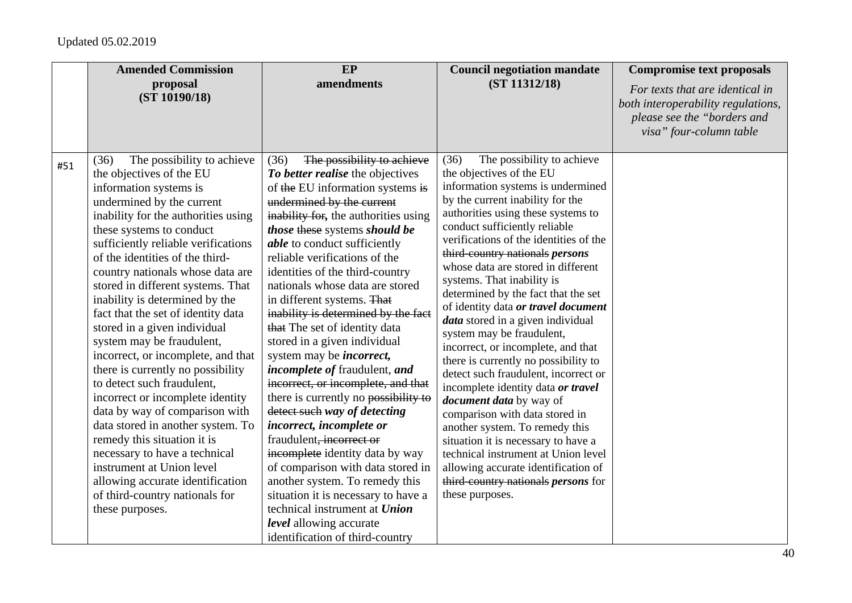|     | <b>Amended Commission</b><br>proposal<br>(ST 10190/18)                                                                                                                                                                                                                                                                                                                                                                                                                                                                                                                                                                                                                                                                                                                                                                                                                                     | EP<br>amendments                                                                                                                                                                                                                                                                                                                                                                                                                                                                                                                                                                                                                                                                                                                                                                                                                                                                                                                         | <b>Council negotiation mandate</b><br>(ST 11312/18)                                                                                                                                                                                                                                                                                                                                                                                                                                                                                                                                                                                                                                                                                                                                                                                                                                                                                                                            | <b>Compromise text proposals</b><br>For texts that are identical in<br>both interoperability regulations,<br>please see the "borders and |
|-----|--------------------------------------------------------------------------------------------------------------------------------------------------------------------------------------------------------------------------------------------------------------------------------------------------------------------------------------------------------------------------------------------------------------------------------------------------------------------------------------------------------------------------------------------------------------------------------------------------------------------------------------------------------------------------------------------------------------------------------------------------------------------------------------------------------------------------------------------------------------------------------------------|------------------------------------------------------------------------------------------------------------------------------------------------------------------------------------------------------------------------------------------------------------------------------------------------------------------------------------------------------------------------------------------------------------------------------------------------------------------------------------------------------------------------------------------------------------------------------------------------------------------------------------------------------------------------------------------------------------------------------------------------------------------------------------------------------------------------------------------------------------------------------------------------------------------------------------------|--------------------------------------------------------------------------------------------------------------------------------------------------------------------------------------------------------------------------------------------------------------------------------------------------------------------------------------------------------------------------------------------------------------------------------------------------------------------------------------------------------------------------------------------------------------------------------------------------------------------------------------------------------------------------------------------------------------------------------------------------------------------------------------------------------------------------------------------------------------------------------------------------------------------------------------------------------------------------------|------------------------------------------------------------------------------------------------------------------------------------------|
| #51 | The possibility to achieve<br>(36)<br>the objectives of the EU<br>information systems is<br>undermined by the current<br>inability for the authorities using<br>these systems to conduct<br>sufficiently reliable verifications<br>of the identities of the third-<br>country nationals whose data are<br>stored in different systems. That<br>inability is determined by the<br>fact that the set of identity data<br>stored in a given individual<br>system may be fraudulent,<br>incorrect, or incomplete, and that<br>there is currently no possibility<br>to detect such fraudulent,<br>incorrect or incomplete identity<br>data by way of comparison with<br>data stored in another system. To<br>remedy this situation it is<br>necessary to have a technical<br>instrument at Union level<br>allowing accurate identification<br>of third-country nationals for<br>these purposes. | The possibility to achieve<br>(36)<br>To better realise the objectives<br>of the EU information systems is<br>undermined by the current<br>inability for, the authorities using<br>those these systems should be<br><i>able</i> to conduct sufficiently<br>reliable verifications of the<br>identities of the third-country<br>nationals whose data are stored<br>in different systems. That<br>inability is determined by the fact<br>that The set of identity data<br>stored in a given individual<br>system may be <i>incorrect</i> ,<br><i>incomplete of fraudulent, and</i><br>incorrect, or incomplete, and that<br>there is currently no possibility to<br>detect such way of detecting<br>incorrect, incomplete or<br>fraudulent, incorrect or<br>incomplete identity data by way<br>of comparison with data stored in<br>another system. To remedy this<br>situation it is necessary to have a<br>technical instrument at Union | The possibility to achieve<br>(36)<br>the objectives of the EU<br>information systems is undermined<br>by the current inability for the<br>authorities using these systems to<br>conduct sufficiently reliable<br>verifications of the identities of the<br>third country nationals persons<br>whose data are stored in different<br>systems. That inability is<br>determined by the fact that the set<br>of identity data or travel document<br><i>data</i> stored in a given individual<br>system may be fraudulent,<br>incorrect, or incomplete, and that<br>there is currently no possibility to<br>detect such fraudulent, incorrect or<br>incomplete identity data or travel<br><i>document data</i> by way of<br>comparison with data stored in<br>another system. To remedy this<br>situation it is necessary to have a<br>technical instrument at Union level<br>allowing accurate identification of<br>third-country nationals <i>persons</i> for<br>these purposes. | visa" four-column table                                                                                                                  |
|     |                                                                                                                                                                                                                                                                                                                                                                                                                                                                                                                                                                                                                                                                                                                                                                                                                                                                                            | <i>level</i> allowing accurate<br>identification of third-country                                                                                                                                                                                                                                                                                                                                                                                                                                                                                                                                                                                                                                                                                                                                                                                                                                                                        |                                                                                                                                                                                                                                                                                                                                                                                                                                                                                                                                                                                                                                                                                                                                                                                                                                                                                                                                                                                |                                                                                                                                          |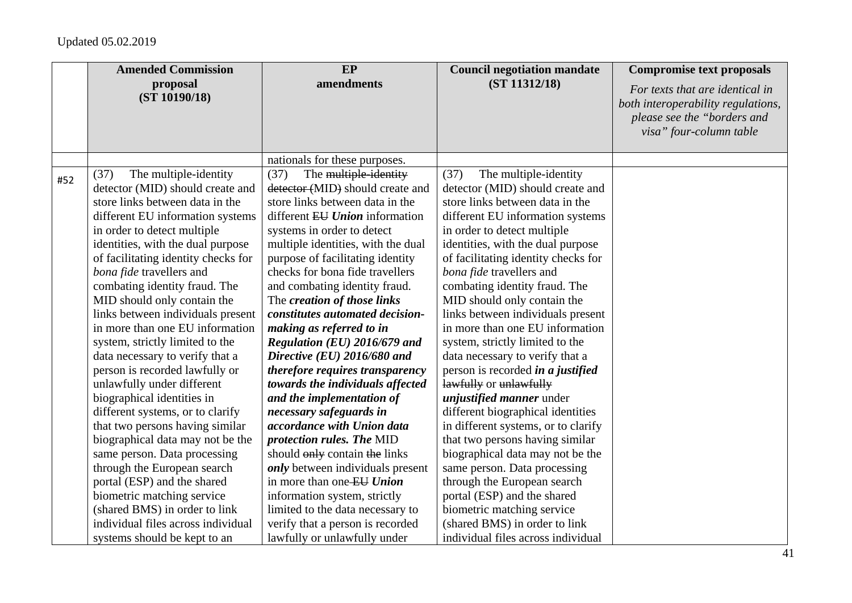|     | <b>Amended Commission</b>           | EP                                 | <b>Council negotiation mandate</b>       | <b>Compromise text proposals</b>                                                                                                |
|-----|-------------------------------------|------------------------------------|------------------------------------------|---------------------------------------------------------------------------------------------------------------------------------|
|     | proposal<br>(ST 10190/18)           | amendments                         | (ST 11312/18)                            | For texts that are identical in<br>both interoperability regulations,<br>please see the "borders and<br>visa" four-column table |
|     |                                     | nationals for these purposes.      |                                          |                                                                                                                                 |
| #52 | The multiple-identity<br>(37)       | The multiple-identity<br>(37)      | The multiple-identity<br>(37)            |                                                                                                                                 |
|     | detector (MID) should create and    | detector (MID) should create and   | detector (MID) should create and         |                                                                                                                                 |
|     | store links between data in the     | store links between data in the    | store links between data in the          |                                                                                                                                 |
|     | different EU information systems    | different EU Union information     | different EU information systems         |                                                                                                                                 |
|     | in order to detect multiple         | systems in order to detect         | in order to detect multiple              |                                                                                                                                 |
|     | identities, with the dual purpose   | multiple identities, with the dual | identities, with the dual purpose        |                                                                                                                                 |
|     | of facilitating identity checks for | purpose of facilitating identity   | of facilitating identity checks for      |                                                                                                                                 |
|     | bona fide travellers and            | checks for bona fide travellers    | bona fide travellers and                 |                                                                                                                                 |
|     | combating identity fraud. The       | and combating identity fraud.      | combating identity fraud. The            |                                                                                                                                 |
|     | MID should only contain the         | The creation of those links        | MID should only contain the              |                                                                                                                                 |
|     | links between individuals present   | constitutes automated decision-    | links between individuals present        |                                                                                                                                 |
|     | in more than one EU information     | making as referred to in           | in more than one EU information          |                                                                                                                                 |
|     | system, strictly limited to the     | Regulation (EU) 2016/679 and       | system, strictly limited to the          |                                                                                                                                 |
|     | data necessary to verify that a     | Directive (EU) 2016/680 and        | data necessary to verify that a          |                                                                                                                                 |
|     | person is recorded lawfully or      | therefore requires transparency    | person is recorded <i>in a justified</i> |                                                                                                                                 |
|     | unlawfully under different          | towards the individuals affected   | lawfully or unlawfully                   |                                                                                                                                 |
|     | biographical identities in          | and the implementation of          | <i>unjustified manner</i> under          |                                                                                                                                 |
|     | different systems, or to clarify    | necessary safeguards in            | different biographical identities        |                                                                                                                                 |
|     | that two persons having similar     | accordance with Union data         | in different systems, or to clarify      |                                                                                                                                 |
|     | biographical data may not be the    | protection rules. The MID          | that two persons having similar          |                                                                                                                                 |
|     | same person. Data processing        | should only contain the links      | biographical data may not be the         |                                                                                                                                 |
|     | through the European search         | only between individuals present   | same person. Data processing             |                                                                                                                                 |
|     | portal (ESP) and the shared         | in more than one EU Union          | through the European search              |                                                                                                                                 |
|     | biometric matching service          | information system, strictly       | portal (ESP) and the shared              |                                                                                                                                 |
|     | (shared BMS) in order to link       | limited to the data necessary to   | biometric matching service               |                                                                                                                                 |
|     | individual files across individual  | verify that a person is recorded   | (shared BMS) in order to link            |                                                                                                                                 |
|     | systems should be kept to an        | lawfully or unlawfully under       | individual files across individual       |                                                                                                                                 |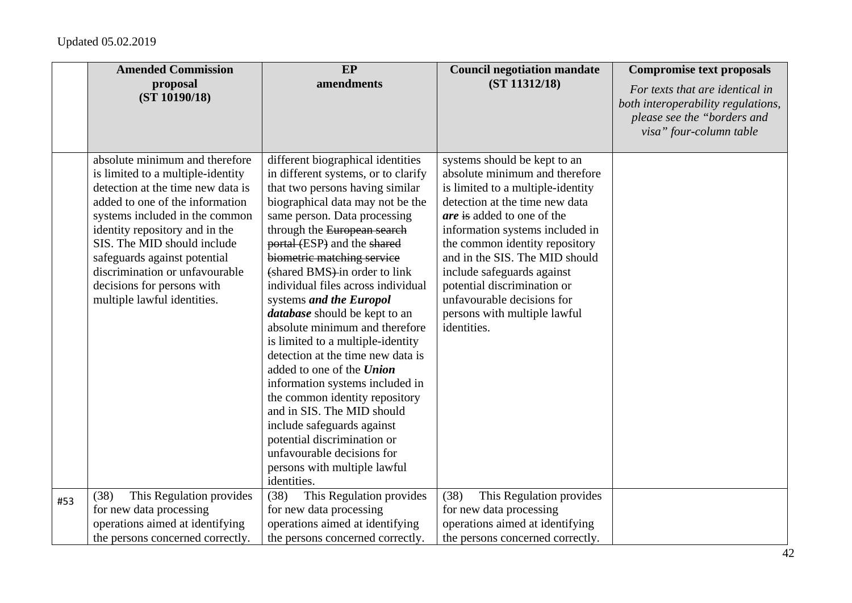|     | <b>Amended Commission</b>                                                                                                                                                                                                                                                                                                                                                     | EP                                                                                                                                                                                                                                                                                                                                                                                                                                                                                                                                                                                                                                                                                                                                                                                                          | <b>Council negotiation mandate</b>                                                                                                                                                                                                                                                                                                                                                                                          | <b>Compromise text proposals</b>                                                                                                |
|-----|-------------------------------------------------------------------------------------------------------------------------------------------------------------------------------------------------------------------------------------------------------------------------------------------------------------------------------------------------------------------------------|-------------------------------------------------------------------------------------------------------------------------------------------------------------------------------------------------------------------------------------------------------------------------------------------------------------------------------------------------------------------------------------------------------------------------------------------------------------------------------------------------------------------------------------------------------------------------------------------------------------------------------------------------------------------------------------------------------------------------------------------------------------------------------------------------------------|-----------------------------------------------------------------------------------------------------------------------------------------------------------------------------------------------------------------------------------------------------------------------------------------------------------------------------------------------------------------------------------------------------------------------------|---------------------------------------------------------------------------------------------------------------------------------|
|     | proposal<br>(ST 10190/18)                                                                                                                                                                                                                                                                                                                                                     | amendments                                                                                                                                                                                                                                                                                                                                                                                                                                                                                                                                                                                                                                                                                                                                                                                                  | (ST 11312/18)                                                                                                                                                                                                                                                                                                                                                                                                               | For texts that are identical in<br>both interoperability regulations,<br>please see the "borders and<br>visa" four-column table |
|     | absolute minimum and therefore<br>is limited to a multiple-identity<br>detection at the time new data is<br>added to one of the information<br>systems included in the common<br>identity repository and in the<br>SIS. The MID should include<br>safeguards against potential<br>discrimination or unfavourable<br>decisions for persons with<br>multiple lawful identities. | different biographical identities<br>in different systems, or to clarify<br>that two persons having similar<br>biographical data may not be the<br>same person. Data processing<br>through the European search<br>portal (ESP) and the shared<br>biometric matching service<br>(shared BMS) in order to link<br>individual files across individual<br>systems and the Europol<br><i>database</i> should be kept to an<br>absolute minimum and therefore<br>is limited to a multiple-identity<br>detection at the time new data is<br>added to one of the Union<br>information systems included in<br>the common identity repository<br>and in SIS. The MID should<br>include safeguards against<br>potential discrimination or<br>unfavourable decisions for<br>persons with multiple lawful<br>identities. | systems should be kept to an<br>absolute minimum and therefore<br>is limited to a multiple-identity<br>detection at the time new data<br><i>are</i> is added to one of the<br>information systems included in<br>the common identity repository<br>and in the SIS. The MID should<br>include safeguards against<br>potential discrimination or<br>unfavourable decisions for<br>persons with multiple lawful<br>identities. |                                                                                                                                 |
| #53 | This Regulation provides<br>(38)<br>for new data processing<br>operations aimed at identifying<br>the persons concerned correctly.                                                                                                                                                                                                                                            | (38)<br>This Regulation provides<br>for new data processing<br>operations aimed at identifying<br>the persons concerned correctly.                                                                                                                                                                                                                                                                                                                                                                                                                                                                                                                                                                                                                                                                          | (38)<br>This Regulation provides<br>for new data processing<br>operations aimed at identifying<br>the persons concerned correctly.                                                                                                                                                                                                                                                                                          |                                                                                                                                 |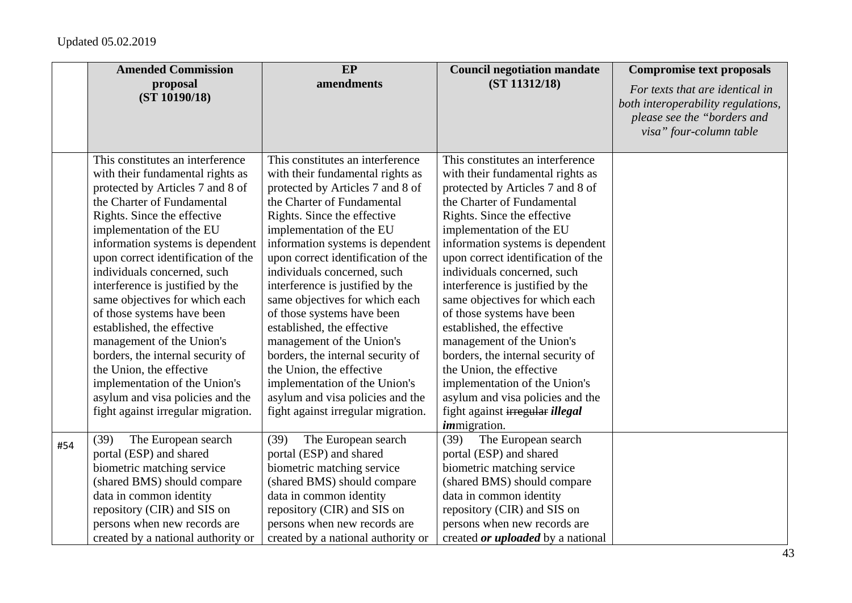|     | <b>Amended Commission</b>          | EP                                 | <b>Council negotiation mandate</b>       | <b>Compromise text proposals</b>                                                                                                |
|-----|------------------------------------|------------------------------------|------------------------------------------|---------------------------------------------------------------------------------------------------------------------------------|
|     | proposal<br>(ST 10190/18)          | amendments                         | (ST 11312/18)                            | For texts that are identical in<br>both interoperability regulations,<br>please see the "borders and<br>visa" four-column table |
|     | This constitutes an interference   | This constitutes an interference   | This constitutes an interference         |                                                                                                                                 |
|     | with their fundamental rights as   | with their fundamental rights as   | with their fundamental rights as         |                                                                                                                                 |
|     | protected by Articles 7 and 8 of   | protected by Articles 7 and 8 of   | protected by Articles 7 and 8 of         |                                                                                                                                 |
|     | the Charter of Fundamental         | the Charter of Fundamental         | the Charter of Fundamental               |                                                                                                                                 |
|     | Rights. Since the effective        | Rights. Since the effective        | Rights. Since the effective              |                                                                                                                                 |
|     | implementation of the EU           | implementation of the EU           | implementation of the EU                 |                                                                                                                                 |
|     | information systems is dependent   | information systems is dependent   | information systems is dependent         |                                                                                                                                 |
|     | upon correct identification of the | upon correct identification of the | upon correct identification of the       |                                                                                                                                 |
|     | individuals concerned, such        | individuals concerned, such        | individuals concerned, such              |                                                                                                                                 |
|     | interference is justified by the   | interference is justified by the   | interference is justified by the         |                                                                                                                                 |
|     | same objectives for which each     | same objectives for which each     | same objectives for which each           |                                                                                                                                 |
|     | of those systems have been         | of those systems have been         | of those systems have been               |                                                                                                                                 |
|     | established, the effective         | established, the effective         | established, the effective               |                                                                                                                                 |
|     | management of the Union's          | management of the Union's          | management of the Union's                |                                                                                                                                 |
|     | borders, the internal security of  | borders, the internal security of  | borders, the internal security of        |                                                                                                                                 |
|     | the Union, the effective           | the Union, the effective           | the Union, the effective                 |                                                                                                                                 |
|     | implementation of the Union's      | implementation of the Union's      | implementation of the Union's            |                                                                                                                                 |
|     | asylum and visa policies and the   | asylum and visa policies and the   | asylum and visa policies and the         |                                                                                                                                 |
|     | fight against irregular migration. | fight against irregular migration. | fight against irregular illegal          |                                                                                                                                 |
|     |                                    |                                    | <i>immigration.</i>                      |                                                                                                                                 |
| #54 | (39)<br>The European search        | The European search<br>(39)        | The European search<br>(39)              |                                                                                                                                 |
|     | portal (ESP) and shared            | portal (ESP) and shared            | portal (ESP) and shared                  |                                                                                                                                 |
|     | biometric matching service         | biometric matching service         | biometric matching service               |                                                                                                                                 |
|     | (shared BMS) should compare        | (shared BMS) should compare        | (shared BMS) should compare              |                                                                                                                                 |
|     | data in common identity            | data in common identity            | data in common identity                  |                                                                                                                                 |
|     | repository (CIR) and SIS on        | repository (CIR) and SIS on        | repository (CIR) and SIS on              |                                                                                                                                 |
|     | persons when new records are       | persons when new records are       | persons when new records are             |                                                                                                                                 |
|     | created by a national authority or | created by a national authority or | created <i>or uploaded</i> by a national |                                                                                                                                 |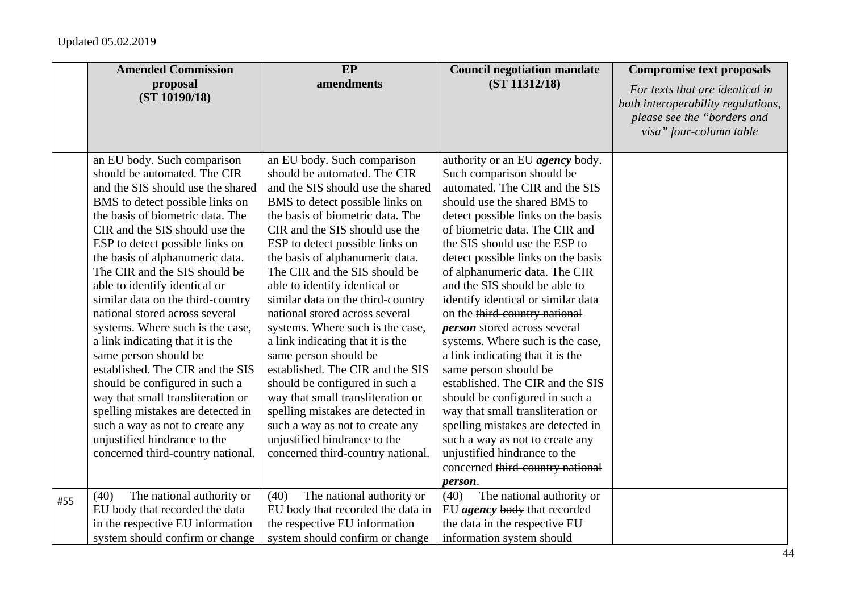|     | <b>Amended Commission</b>                                                                                                                                                                                                                                                                                                                                                                                                                                                                                                 | EP                                                                                                                                                                                                                                                                                                                                                                                                                                                                                                                        | <b>Council negotiation mandate</b>                                                                                                                                                                                                                                                                                                                                                                                                                                                                                                           | <b>Compromise text proposals</b>                                                                                                |
|-----|---------------------------------------------------------------------------------------------------------------------------------------------------------------------------------------------------------------------------------------------------------------------------------------------------------------------------------------------------------------------------------------------------------------------------------------------------------------------------------------------------------------------------|---------------------------------------------------------------------------------------------------------------------------------------------------------------------------------------------------------------------------------------------------------------------------------------------------------------------------------------------------------------------------------------------------------------------------------------------------------------------------------------------------------------------------|----------------------------------------------------------------------------------------------------------------------------------------------------------------------------------------------------------------------------------------------------------------------------------------------------------------------------------------------------------------------------------------------------------------------------------------------------------------------------------------------------------------------------------------------|---------------------------------------------------------------------------------------------------------------------------------|
|     | proposal<br>(ST 10190/18)                                                                                                                                                                                                                                                                                                                                                                                                                                                                                                 | amendments                                                                                                                                                                                                                                                                                                                                                                                                                                                                                                                | (ST 11312/18)                                                                                                                                                                                                                                                                                                                                                                                                                                                                                                                                | For texts that are identical in<br>both interoperability regulations,<br>please see the "borders and<br>visa" four-column table |
|     | an EU body. Such comparison<br>should be automated. The CIR<br>and the SIS should use the shared<br>BMS to detect possible links on<br>the basis of biometric data. The<br>CIR and the SIS should use the<br>ESP to detect possible links on<br>the basis of alphanumeric data.<br>The CIR and the SIS should be<br>able to identify identical or<br>similar data on the third-country<br>national stored across several<br>systems. Where such is the case,<br>a link indicating that it is the<br>same person should be | an EU body. Such comparison<br>should be automated. The CIR<br>and the SIS should use the shared<br>BMS to detect possible links on<br>the basis of biometric data. The<br>CIR and the SIS should use the<br>ESP to detect possible links on<br>the basis of alphanumeric data.<br>The CIR and the SIS should be<br>able to identify identical or<br>similar data on the third-country<br>national stored across several<br>systems. Where such is the case,<br>a link indicating that it is the<br>same person should be | authority or an EU <i>agency</i> body.<br>Such comparison should be<br>automated. The CIR and the SIS<br>should use the shared BMS to<br>detect possible links on the basis<br>of biometric data. The CIR and<br>the SIS should use the ESP to<br>detect possible links on the basis<br>of alphanumeric data. The CIR<br>and the SIS should be able to<br>identify identical or similar data<br>on the third-country national<br><i>person</i> stored across several<br>systems. Where such is the case,<br>a link indicating that it is the |                                                                                                                                 |
|     | established. The CIR and the SIS<br>should be configured in such a<br>way that small transliteration or<br>spelling mistakes are detected in<br>such a way as not to create any<br>unjustified hindrance to the<br>concerned third-country national.                                                                                                                                                                                                                                                                      | established. The CIR and the SIS<br>should be configured in such a<br>way that small transliteration or<br>spelling mistakes are detected in<br>such a way as not to create any<br>unjustified hindrance to the<br>concerned third-country national.                                                                                                                                                                                                                                                                      | same person should be<br>established. The CIR and the SIS<br>should be configured in such a<br>way that small transliteration or<br>spelling mistakes are detected in<br>such a way as not to create any<br>unjustified hindrance to the<br>concerned third-country national<br>person.                                                                                                                                                                                                                                                      |                                                                                                                                 |
| #55 | The national authority or<br>(40)<br>EU body that recorded the data<br>in the respective EU information<br>system should confirm or change                                                                                                                                                                                                                                                                                                                                                                                | The national authority or<br>(40)<br>EU body that recorded the data in<br>the respective EU information<br>system should confirm or change                                                                                                                                                                                                                                                                                                                                                                                | (40)<br>The national authority or<br>EU <i>agency</i> body that recorded<br>the data in the respective EU<br>information system should                                                                                                                                                                                                                                                                                                                                                                                                       |                                                                                                                                 |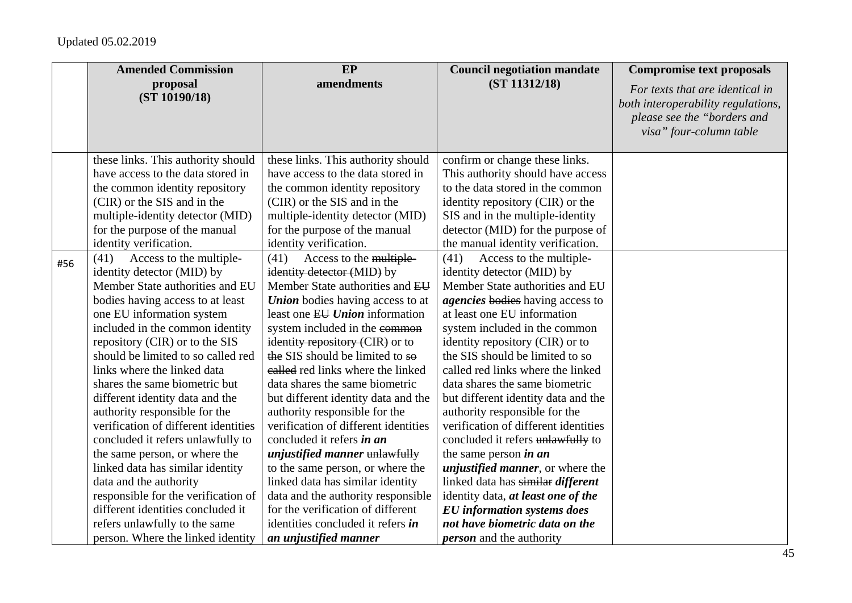|     | <b>Amended Commission</b>            | EP                                      | <b>Council negotiation mandate</b>       | <b>Compromise text proposals</b>                                                                                                |
|-----|--------------------------------------|-----------------------------------------|------------------------------------------|---------------------------------------------------------------------------------------------------------------------------------|
|     | proposal<br>(ST 10190/18)            | amendments                              | (ST 11312/18)                            | For texts that are identical in<br>both interoperability regulations,<br>please see the "borders and<br>visa" four-column table |
|     | these links. This authority should   | these links. This authority should      | confirm or change these links.           |                                                                                                                                 |
|     | have access to the data stored in    | have access to the data stored in       | This authority should have access        |                                                                                                                                 |
|     | the common identity repository       | the common identity repository          | to the data stored in the common         |                                                                                                                                 |
|     | (CIR) or the SIS and in the          | (CIR) or the SIS and in the             | identity repository (CIR) or the         |                                                                                                                                 |
|     | multiple-identity detector (MID)     | multiple-identity detector (MID)        | SIS and in the multiple-identity         |                                                                                                                                 |
|     | for the purpose of the manual        | for the purpose of the manual           | detector (MID) for the purpose of        |                                                                                                                                 |
|     | identity verification.               | identity verification.                  | the manual identity verification.        |                                                                                                                                 |
| #56 | Access to the multiple-<br>(41)      | (41)<br>Access to the multiple-         | Access to the multiple-<br>(41)          |                                                                                                                                 |
|     | identity detector (MID) by           | identity detector (MID) by              | identity detector (MID) by               |                                                                                                                                 |
|     | Member State authorities and EU      | Member State authorities and EU         | Member State authorities and EU          |                                                                                                                                 |
|     | bodies having access to at least     | <b>Union</b> bodies having access to at | <i>agencies</i> bodies having access to  |                                                                                                                                 |
|     | one EU information system            | least one EU Union information          | at least one EU information              |                                                                                                                                 |
|     | included in the common identity      | system included in the common           | system included in the common            |                                                                                                                                 |
|     | repository (CIR) or to the SIS       | identity repository (CIR) or to         | identity repository (CIR) or to          |                                                                                                                                 |
|     | should be limited to so called red   | the SIS should be limited to so         | the SIS should be limited to so          |                                                                                                                                 |
|     | links where the linked data          | ealled red links where the linked       | called red links where the linked        |                                                                                                                                 |
|     | shares the same biometric but        | data shares the same biometric          | data shares the same biometric           |                                                                                                                                 |
|     | different identity data and the      | but different identity data and the     | but different identity data and the      |                                                                                                                                 |
|     | authority responsible for the        | authority responsible for the           | authority responsible for the            |                                                                                                                                 |
|     | verification of different identities | verification of different identities    | verification of different identities     |                                                                                                                                 |
|     | concluded it refers unlawfully to    | concluded it refers in an               | concluded it refers unlawfully to        |                                                                                                                                 |
|     | the same person, or where the        | <i>unjustified manner</i> unlawfully    | the same person <i>in an</i>             |                                                                                                                                 |
|     | linked data has similar identity     | to the same person, or where the        | <i>unjustified manner</i> , or where the |                                                                                                                                 |
|     | data and the authority               | linked data has similar identity        | linked data has similar different        |                                                                                                                                 |
|     | responsible for the verification of  | data and the authority responsible      | identity data, at least one of the       |                                                                                                                                 |
|     | different identities concluded it    | for the verification of different       | <b>EU</b> information systems does       |                                                                                                                                 |
|     | refers unlawfully to the same        | identities concluded it refers in       | not have biometric data on the           |                                                                                                                                 |
|     | person. Where the linked identity    | an unjustified manner                   | <i>person</i> and the authority          |                                                                                                                                 |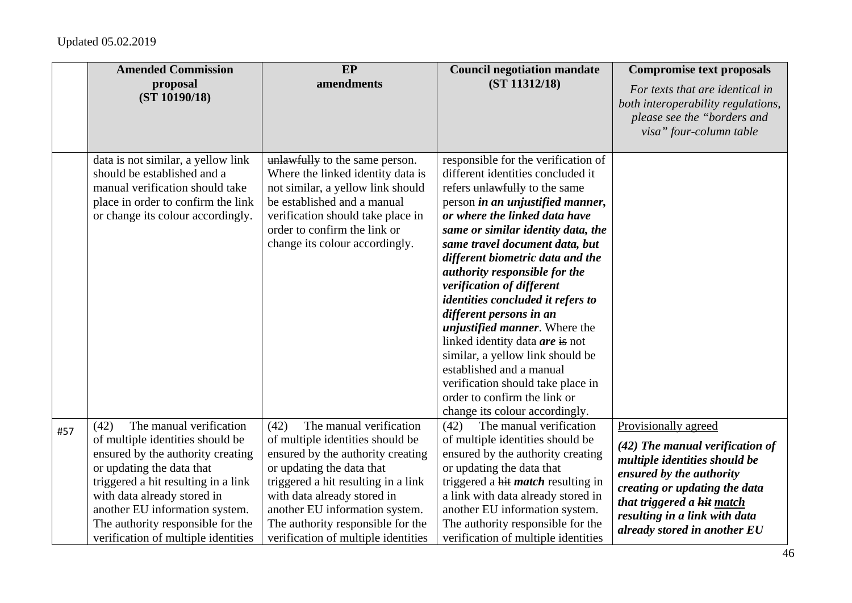|     | <b>Amended Commission</b>                                                                                                                                                                                                                                                                                                 | <b>EP</b>                                                                                                                                                                                                                                                                                                                 | <b>Council negotiation mandate</b>                                                                                                                                                                                                                                                                                                                                                                                                                                                                                                                                                                                                                                                 | <b>Compromise text proposals</b>                                                                                                                                                                                                                       |
|-----|---------------------------------------------------------------------------------------------------------------------------------------------------------------------------------------------------------------------------------------------------------------------------------------------------------------------------|---------------------------------------------------------------------------------------------------------------------------------------------------------------------------------------------------------------------------------------------------------------------------------------------------------------------------|------------------------------------------------------------------------------------------------------------------------------------------------------------------------------------------------------------------------------------------------------------------------------------------------------------------------------------------------------------------------------------------------------------------------------------------------------------------------------------------------------------------------------------------------------------------------------------------------------------------------------------------------------------------------------------|--------------------------------------------------------------------------------------------------------------------------------------------------------------------------------------------------------------------------------------------------------|
|     | proposal<br>(ST 10190/18)                                                                                                                                                                                                                                                                                                 | amendments                                                                                                                                                                                                                                                                                                                | (ST 11312/18)                                                                                                                                                                                                                                                                                                                                                                                                                                                                                                                                                                                                                                                                      | For texts that are identical in<br>both interoperability regulations,<br>please see the "borders and<br>visa" four-column table                                                                                                                        |
|     | data is not similar, a yellow link<br>should be established and a<br>manual verification should take<br>place in order to confirm the link<br>or change its colour accordingly.                                                                                                                                           | unlawfully to the same person.<br>Where the linked identity data is<br>not similar, a yellow link should<br>be established and a manual<br>verification should take place in<br>order to confirm the link or<br>change its colour accordingly.                                                                            | responsible for the verification of<br>different identities concluded it<br>refers unlawfully to the same<br>person in an unjustified manner,<br>or where the linked data have<br>same or similar identity data, the<br>same travel document data, but<br>different biometric data and the<br><i>authority responsible for the</i><br>verification of different<br>identities concluded it refers to<br>different persons in an<br><i>unjustified manner</i> . Where the<br>linked identity data are is not<br>similar, a yellow link should be<br>established and a manual<br>verification should take place in<br>order to confirm the link or<br>change its colour accordingly. |                                                                                                                                                                                                                                                        |
| #57 | The manual verification<br>(42)<br>of multiple identities should be<br>ensured by the authority creating<br>or updating the data that<br>triggered a hit resulting in a link<br>with data already stored in<br>another EU information system.<br>The authority responsible for the<br>verification of multiple identities | (42)<br>The manual verification<br>of multiple identities should be<br>ensured by the authority creating<br>or updating the data that<br>triggered a hit resulting in a link<br>with data already stored in<br>another EU information system.<br>The authority responsible for the<br>verification of multiple identities | The manual verification<br>(42)<br>of multiple identities should be<br>ensured by the authority creating<br>or updating the data that<br>triggered a hit <i>match</i> resulting in<br>a link with data already stored in<br>another EU information system.<br>The authority responsible for the<br>verification of multiple identities                                                                                                                                                                                                                                                                                                                                             | Provisionally agreed<br>$(42)$ The manual verification of<br>multiple identities should be<br>ensured by the authority<br>creating or updating the data<br>that triggered a hit match<br>resulting in a link with data<br>already stored in another EU |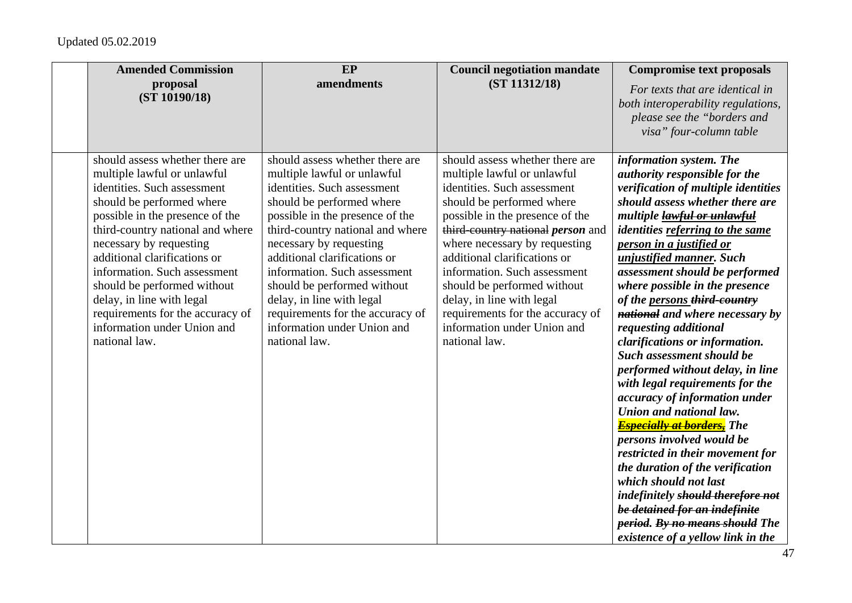| <b>Amended Commission</b>                                                                                                                                                                                                                                                                                                                                                                                                                    | EP                                                                                                                                                                                                                                                                                                                                                                                                                                           | <b>Council negotiation mandate</b>                                                                                                                                                                                                                                                                                                                                                                                                                         | <b>Compromise text proposals</b>                                                                                                                                                                                                                                                                                                                                                                                                                                                                                                                                                                                                                                                                                                                                                                                                                                                                                                                       |
|----------------------------------------------------------------------------------------------------------------------------------------------------------------------------------------------------------------------------------------------------------------------------------------------------------------------------------------------------------------------------------------------------------------------------------------------|----------------------------------------------------------------------------------------------------------------------------------------------------------------------------------------------------------------------------------------------------------------------------------------------------------------------------------------------------------------------------------------------------------------------------------------------|------------------------------------------------------------------------------------------------------------------------------------------------------------------------------------------------------------------------------------------------------------------------------------------------------------------------------------------------------------------------------------------------------------------------------------------------------------|--------------------------------------------------------------------------------------------------------------------------------------------------------------------------------------------------------------------------------------------------------------------------------------------------------------------------------------------------------------------------------------------------------------------------------------------------------------------------------------------------------------------------------------------------------------------------------------------------------------------------------------------------------------------------------------------------------------------------------------------------------------------------------------------------------------------------------------------------------------------------------------------------------------------------------------------------------|
| proposal<br>(ST 10190/18)                                                                                                                                                                                                                                                                                                                                                                                                                    | amendments                                                                                                                                                                                                                                                                                                                                                                                                                                   | (ST 11312/18)                                                                                                                                                                                                                                                                                                                                                                                                                                              | For texts that are identical in<br>both interoperability regulations,<br>please see the "borders and<br>visa" four-column table                                                                                                                                                                                                                                                                                                                                                                                                                                                                                                                                                                                                                                                                                                                                                                                                                        |
| should assess whether there are<br>multiple lawful or unlawful<br>identities. Such assessment<br>should be performed where<br>possible in the presence of the<br>third-country national and where<br>necessary by requesting<br>additional clarifications or<br>information. Such assessment<br>should be performed without<br>delay, in line with legal<br>requirements for the accuracy of<br>information under Union and<br>national law. | should assess whether there are<br>multiple lawful or unlawful<br>identities. Such assessment<br>should be performed where<br>possible in the presence of the<br>third-country national and where<br>necessary by requesting<br>additional clarifications or<br>information. Such assessment<br>should be performed without<br>delay, in line with legal<br>requirements for the accuracy of<br>information under Union and<br>national law. | should assess whether there are<br>multiple lawful or unlawful<br>identities. Such assessment<br>should be performed where<br>possible in the presence of the<br>third-country national <i>person</i> and<br>where necessary by requesting<br>additional clarifications or<br>information. Such assessment<br>should be performed without<br>delay, in line with legal<br>requirements for the accuracy of<br>information under Union and<br>national law. | information system. The<br>authority responsible for the<br>verification of multiple identities<br>should assess whether there are<br>multiple lawful or unlawful<br><i>identities referring to the same</i><br>person in a justified or<br>unjustified manner. Such<br>assessment should be performed<br>where possible in the presence<br>of the persons third-country<br>national and where necessary by<br>requesting additional<br>clarifications or information.<br>Such assessment should be<br>performed without delay, in line<br>with legal requirements for the<br>accuracy of information under<br>Union and national law.<br><b>Especially at borders,</b> The<br>persons involved would be<br>restricted in their movement for<br>the duration of the verification<br>which should not last<br>indefinitely should therefore not<br>be detained for an indefinite<br>period. By no means should The<br>existence of a yellow link in the |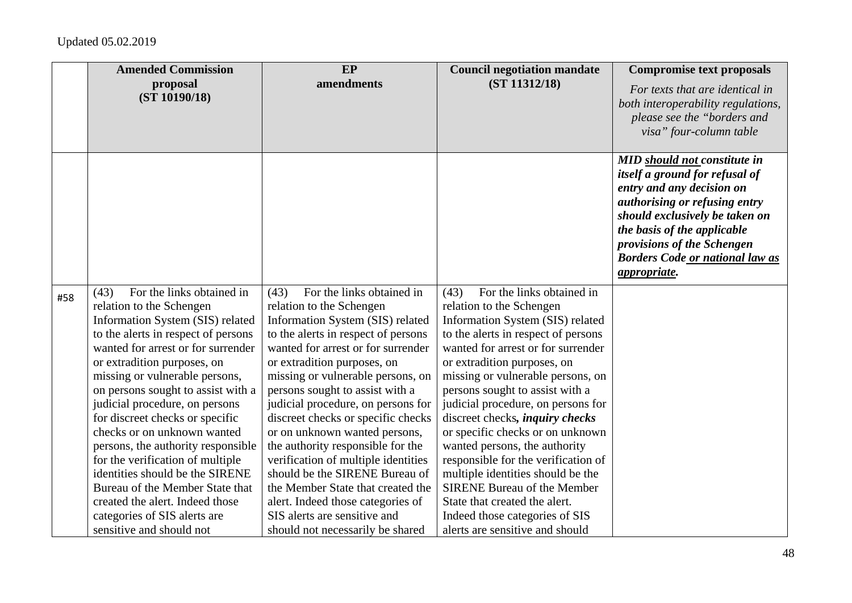|     | <b>Amended Commission</b>                                                                                                                                                                                                                                                                                                                                                                                                                                                                                                                                                                                                                | EP                                                                                                                                                                                                                                                                                                                                                                                                                                                                                                                                                                                                                                                             | <b>Council negotiation mandate</b>                                                                                                                                                                                                                                                                                                                                                                                                                                                                                                                                                                                                                                 | <b>Compromise text proposals</b>                                                                                                                                                                                                                                                                           |
|-----|------------------------------------------------------------------------------------------------------------------------------------------------------------------------------------------------------------------------------------------------------------------------------------------------------------------------------------------------------------------------------------------------------------------------------------------------------------------------------------------------------------------------------------------------------------------------------------------------------------------------------------------|----------------------------------------------------------------------------------------------------------------------------------------------------------------------------------------------------------------------------------------------------------------------------------------------------------------------------------------------------------------------------------------------------------------------------------------------------------------------------------------------------------------------------------------------------------------------------------------------------------------------------------------------------------------|--------------------------------------------------------------------------------------------------------------------------------------------------------------------------------------------------------------------------------------------------------------------------------------------------------------------------------------------------------------------------------------------------------------------------------------------------------------------------------------------------------------------------------------------------------------------------------------------------------------------------------------------------------------------|------------------------------------------------------------------------------------------------------------------------------------------------------------------------------------------------------------------------------------------------------------------------------------------------------------|
|     | proposal<br>(ST 10190/18)                                                                                                                                                                                                                                                                                                                                                                                                                                                                                                                                                                                                                | amendments                                                                                                                                                                                                                                                                                                                                                                                                                                                                                                                                                                                                                                                     | (ST 11312/18)                                                                                                                                                                                                                                                                                                                                                                                                                                                                                                                                                                                                                                                      | For texts that are identical in<br>both interoperability regulations,<br>please see the "borders and<br>visa" four-column table                                                                                                                                                                            |
|     |                                                                                                                                                                                                                                                                                                                                                                                                                                                                                                                                                                                                                                          |                                                                                                                                                                                                                                                                                                                                                                                                                                                                                                                                                                                                                                                                |                                                                                                                                                                                                                                                                                                                                                                                                                                                                                                                                                                                                                                                                    | <b>MID</b> should not constitute in<br>itself a ground for refusal of<br>entry and any decision on<br><i>authorising or refusing entry</i><br>should exclusively be taken on<br>the basis of the applicable<br>provisions of the Schengen<br><b>Borders Code or national law as</b><br><i>appropriate.</i> |
| #58 | For the links obtained in<br>(43)<br>relation to the Schengen<br>Information System (SIS) related<br>to the alerts in respect of persons<br>wanted for arrest or for surrender<br>or extradition purposes, on<br>missing or vulnerable persons,<br>on persons sought to assist with a<br>judicial procedure, on persons<br>for discreet checks or specific<br>checks or on unknown wanted<br>persons, the authority responsible<br>for the verification of multiple<br>identities should be the SIRENE<br>Bureau of the Member State that<br>created the alert. Indeed those<br>categories of SIS alerts are<br>sensitive and should not | For the links obtained in<br>(43)<br>relation to the Schengen<br>Information System (SIS) related<br>to the alerts in respect of persons<br>wanted for arrest or for surrender<br>or extradition purposes, on<br>missing or vulnerable persons, on<br>persons sought to assist with a<br>judicial procedure, on persons for<br>discreet checks or specific checks<br>or on unknown wanted persons,<br>the authority responsible for the<br>verification of multiple identities<br>should be the SIRENE Bureau of<br>the Member State that created the<br>alert. Indeed those categories of<br>SIS alerts are sensitive and<br>should not necessarily be shared | For the links obtained in<br>(43)<br>relation to the Schengen<br>Information System (SIS) related<br>to the alerts in respect of persons<br>wanted for arrest or for surrender<br>or extradition purposes, on<br>missing or vulnerable persons, on<br>persons sought to assist with a<br>judicial procedure, on persons for<br>discreet checks, <i>inquiry checks</i><br>or specific checks or on unknown<br>wanted persons, the authority<br>responsible for the verification of<br>multiple identities should be the<br><b>SIRENE Bureau of the Member</b><br>State that created the alert.<br>Indeed those categories of SIS<br>alerts are sensitive and should |                                                                                                                                                                                                                                                                                                            |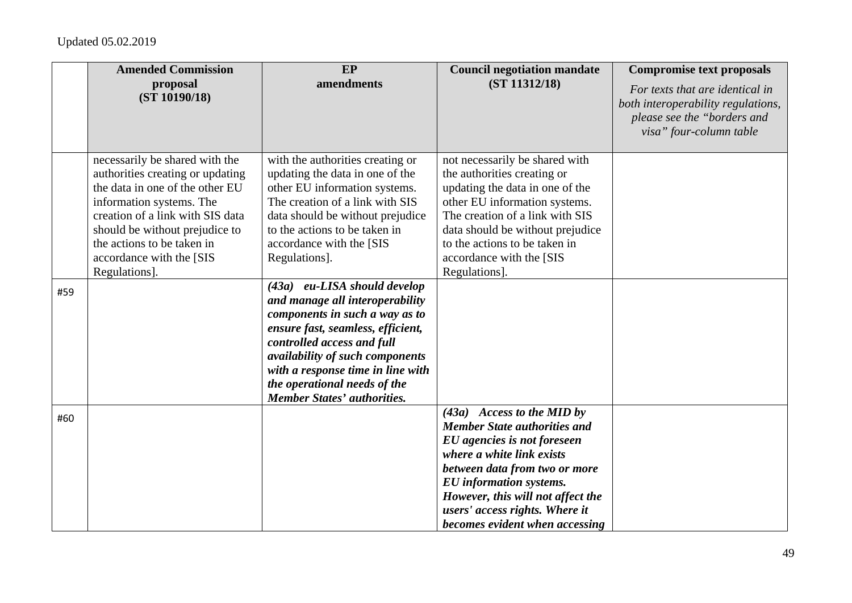|     | <b>Amended Commission</b>                                                                                                                                                                                                                                                          | EP                                                                                                                                                                                                                                                                                                                 | <b>Council negotiation mandate</b>                                                                                                                                                                                                                                                                          | <b>Compromise text proposals</b>                                                                                                |
|-----|------------------------------------------------------------------------------------------------------------------------------------------------------------------------------------------------------------------------------------------------------------------------------------|--------------------------------------------------------------------------------------------------------------------------------------------------------------------------------------------------------------------------------------------------------------------------------------------------------------------|-------------------------------------------------------------------------------------------------------------------------------------------------------------------------------------------------------------------------------------------------------------------------------------------------------------|---------------------------------------------------------------------------------------------------------------------------------|
|     | proposal<br>(ST 10190/18)                                                                                                                                                                                                                                                          | amendments                                                                                                                                                                                                                                                                                                         | (ST 11312/18)                                                                                                                                                                                                                                                                                               | For texts that are identical in<br>both interoperability regulations,<br>please see the "borders and<br>visa" four-column table |
|     | necessarily be shared with the<br>authorities creating or updating<br>the data in one of the other EU<br>information systems. The<br>creation of a link with SIS data<br>should be without prejudice to<br>the actions to be taken in<br>accordance with the [SIS<br>Regulations]. | with the authorities creating or<br>updating the data in one of the<br>other EU information systems.<br>The creation of a link with SIS<br>data should be without prejudice<br>to the actions to be taken in<br>accordance with the [SIS<br>Regulations].                                                          | not necessarily be shared with<br>the authorities creating or<br>updating the data in one of the<br>other EU information systems.<br>The creation of a link with SIS<br>data should be without prejudice<br>to the actions to be taken in<br>accordance with the [SIS<br>Regulations].                      |                                                                                                                                 |
| #59 |                                                                                                                                                                                                                                                                                    | (43a) eu-LISA should develop<br>and manage all interoperability<br>components in such a way as to<br>ensure fast, seamless, efficient,<br>controlled access and full<br>availability of such components<br>with a response time in line with<br>the operational needs of the<br><b>Member States' authorities.</b> |                                                                                                                                                                                                                                                                                                             |                                                                                                                                 |
| #60 |                                                                                                                                                                                                                                                                                    |                                                                                                                                                                                                                                                                                                                    | $(43a)$ Access to the MID by<br><b>Member State authorities and</b><br>EU agencies is not foreseen<br>where a white link exists<br>between data from two or more<br><b>EU</b> information systems.<br>However, this will not affect the<br>users' access rights. Where it<br>becomes evident when accessing |                                                                                                                                 |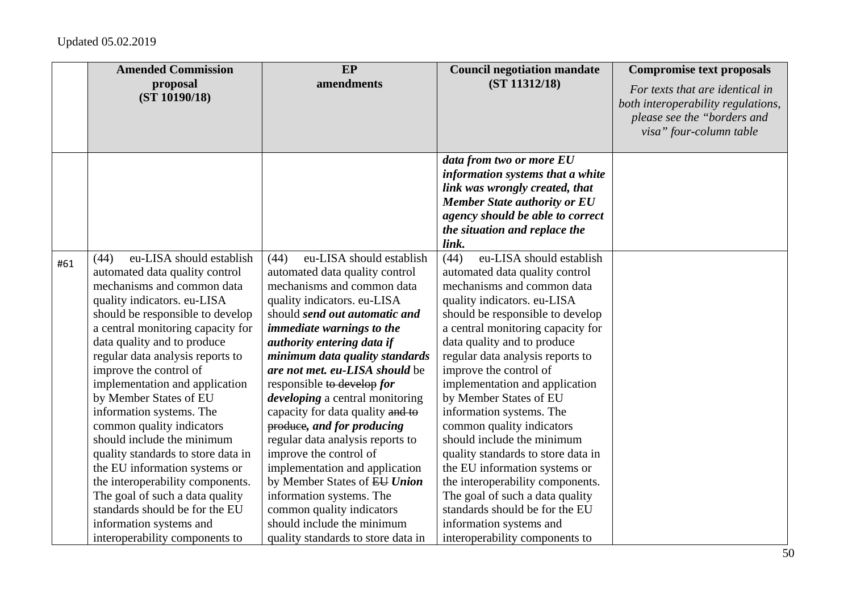|     | <b>Amended Commission</b>                                                                                                                                                                                                                                                                                                                                                                                                                                                                                                                                                                                                                                                                             | EP                                                                                                                                                                                                                                                                                                                                                                                                                                                                                                                                                                                                                                                                                                     | <b>Council negotiation mandate</b>                                                                                                                                                                                                                                                                                                                                                                                                                                                                                                                                                                                                                                                                    | <b>Compromise text proposals</b>                                                                                                |
|-----|-------------------------------------------------------------------------------------------------------------------------------------------------------------------------------------------------------------------------------------------------------------------------------------------------------------------------------------------------------------------------------------------------------------------------------------------------------------------------------------------------------------------------------------------------------------------------------------------------------------------------------------------------------------------------------------------------------|--------------------------------------------------------------------------------------------------------------------------------------------------------------------------------------------------------------------------------------------------------------------------------------------------------------------------------------------------------------------------------------------------------------------------------------------------------------------------------------------------------------------------------------------------------------------------------------------------------------------------------------------------------------------------------------------------------|-------------------------------------------------------------------------------------------------------------------------------------------------------------------------------------------------------------------------------------------------------------------------------------------------------------------------------------------------------------------------------------------------------------------------------------------------------------------------------------------------------------------------------------------------------------------------------------------------------------------------------------------------------------------------------------------------------|---------------------------------------------------------------------------------------------------------------------------------|
|     | proposal<br>(ST 10190/18)                                                                                                                                                                                                                                                                                                                                                                                                                                                                                                                                                                                                                                                                             | amendments                                                                                                                                                                                                                                                                                                                                                                                                                                                                                                                                                                                                                                                                                             | (ST 11312/18)                                                                                                                                                                                                                                                                                                                                                                                                                                                                                                                                                                                                                                                                                         | For texts that are identical in<br>both interoperability regulations,<br>please see the "borders and<br>visa" four-column table |
|     |                                                                                                                                                                                                                                                                                                                                                                                                                                                                                                                                                                                                                                                                                                       |                                                                                                                                                                                                                                                                                                                                                                                                                                                                                                                                                                                                                                                                                                        | data from two or more EU<br>information systems that a white<br>link was wrongly created, that<br><b>Member State authority or EU</b><br>agency should be able to correct<br>the situation and replace the<br>link.                                                                                                                                                                                                                                                                                                                                                                                                                                                                                   |                                                                                                                                 |
| #61 | eu-LISA should establish<br>(44)<br>automated data quality control<br>mechanisms and common data<br>quality indicators. eu-LISA<br>should be responsible to develop<br>a central monitoring capacity for<br>data quality and to produce<br>regular data analysis reports to<br>improve the control of<br>implementation and application<br>by Member States of EU<br>information systems. The<br>common quality indicators<br>should include the minimum<br>quality standards to store data in<br>the EU information systems or<br>the interoperability components.<br>The goal of such a data quality<br>standards should be for the EU<br>information systems and<br>interoperability components to | eu-LISA should establish<br>(44)<br>automated data quality control<br>mechanisms and common data<br>quality indicators. eu-LISA<br>should send out automatic and<br>immediate warnings to the<br>authority entering data if<br>minimum data quality standards<br>are not met. eu-LISA should be<br>responsible to develop for<br><i>developing</i> a central monitoring<br>capacity for data quality and to<br>produce, and for producing<br>regular data analysis reports to<br>improve the control of<br>implementation and application<br>by Member States of EU Union<br>information systems. The<br>common quality indicators<br>should include the minimum<br>quality standards to store data in | eu-LISA should establish<br>(44)<br>automated data quality control<br>mechanisms and common data<br>quality indicators. eu-LISA<br>should be responsible to develop<br>a central monitoring capacity for<br>data quality and to produce<br>regular data analysis reports to<br>improve the control of<br>implementation and application<br>by Member States of EU<br>information systems. The<br>common quality indicators<br>should include the minimum<br>quality standards to store data in<br>the EU information systems or<br>the interoperability components.<br>The goal of such a data quality<br>standards should be for the EU<br>information systems and<br>interoperability components to |                                                                                                                                 |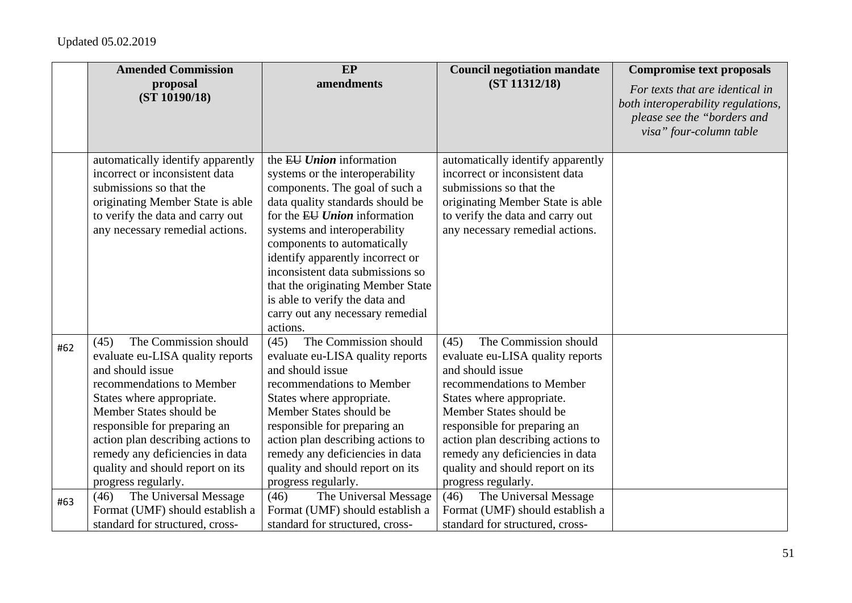|     | <b>Amended Commission</b>                                                                                                                                                                                                                                                                                                                     | EP                                                                                                                                                                                                                                                                                                                                                                                                                                       | <b>Council negotiation mandate</b>                                                                                                                                                                                                                                                                                                            | <b>Compromise text proposals</b>                                                                                                |
|-----|-----------------------------------------------------------------------------------------------------------------------------------------------------------------------------------------------------------------------------------------------------------------------------------------------------------------------------------------------|------------------------------------------------------------------------------------------------------------------------------------------------------------------------------------------------------------------------------------------------------------------------------------------------------------------------------------------------------------------------------------------------------------------------------------------|-----------------------------------------------------------------------------------------------------------------------------------------------------------------------------------------------------------------------------------------------------------------------------------------------------------------------------------------------|---------------------------------------------------------------------------------------------------------------------------------|
|     | proposal<br>(ST 10190/18)                                                                                                                                                                                                                                                                                                                     | amendments                                                                                                                                                                                                                                                                                                                                                                                                                               | (ST 11312/18)                                                                                                                                                                                                                                                                                                                                 | For texts that are identical in<br>both interoperability regulations,<br>please see the "borders and<br>visa" four-column table |
|     | automatically identify apparently<br>incorrect or inconsistent data<br>submissions so that the<br>originating Member State is able<br>to verify the data and carry out<br>any necessary remedial actions.                                                                                                                                     | the $E U$ <i>nion</i> information<br>systems or the interoperability<br>components. The goal of such a<br>data quality standards should be<br>for the EU Union information<br>systems and interoperability<br>components to automatically<br>identify apparently incorrect or<br>inconsistent data submissions so<br>that the originating Member State<br>is able to verify the data and<br>carry out any necessary remedial<br>actions. | automatically identify apparently<br>incorrect or inconsistent data<br>submissions so that the<br>originating Member State is able<br>to verify the data and carry out<br>any necessary remedial actions.                                                                                                                                     |                                                                                                                                 |
| #62 | The Commission should<br>(45)<br>evaluate eu-LISA quality reports<br>and should issue<br>recommendations to Member<br>States where appropriate.<br>Member States should be<br>responsible for preparing an<br>action plan describing actions to<br>remedy any deficiencies in data<br>quality and should report on its<br>progress regularly. | The Commission should<br>(45)<br>evaluate eu-LISA quality reports<br>and should issue<br>recommendations to Member<br>States where appropriate.<br>Member States should be<br>responsible for preparing an<br>action plan describing actions to<br>remedy any deficiencies in data<br>quality and should report on its<br>progress regularly.                                                                                            | The Commission should<br>(45)<br>evaluate eu-LISA quality reports<br>and should issue<br>recommendations to Member<br>States where appropriate.<br>Member States should be<br>responsible for preparing an<br>action plan describing actions to<br>remedy any deficiencies in data<br>quality and should report on its<br>progress regularly. |                                                                                                                                 |
| #63 | The Universal Message<br>(46)<br>Format (UMF) should establish a<br>standard for structured, cross-                                                                                                                                                                                                                                           | The Universal Message<br>(46)<br>Format (UMF) should establish a<br>standard for structured, cross-                                                                                                                                                                                                                                                                                                                                      | The Universal Message<br>(46)<br>Format (UMF) should establish a<br>standard for structured, cross-                                                                                                                                                                                                                                           |                                                                                                                                 |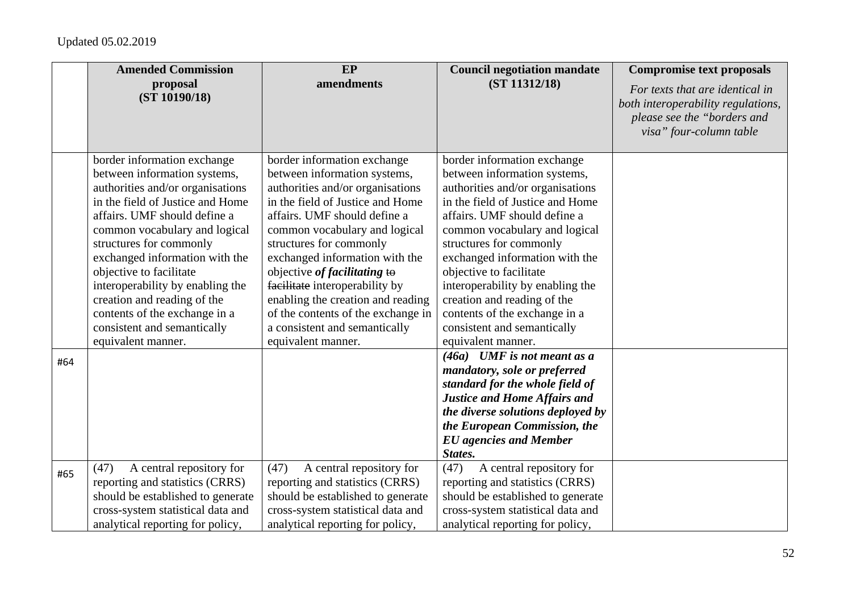|     | <b>Amended Commission</b>                                                                                                                                                                                                                                                                                                                                                                                                                             | <b>EP</b>                                                                                                                                                                                                                                                                                                                                                                                                                                                             | <b>Council negotiation mandate</b>                                                                                                                                                                                                                                                                                                                                                                                                                    | <b>Compromise text proposals</b>                                                                                                |
|-----|-------------------------------------------------------------------------------------------------------------------------------------------------------------------------------------------------------------------------------------------------------------------------------------------------------------------------------------------------------------------------------------------------------------------------------------------------------|-----------------------------------------------------------------------------------------------------------------------------------------------------------------------------------------------------------------------------------------------------------------------------------------------------------------------------------------------------------------------------------------------------------------------------------------------------------------------|-------------------------------------------------------------------------------------------------------------------------------------------------------------------------------------------------------------------------------------------------------------------------------------------------------------------------------------------------------------------------------------------------------------------------------------------------------|---------------------------------------------------------------------------------------------------------------------------------|
|     | proposal<br>(ST 10190/18)                                                                                                                                                                                                                                                                                                                                                                                                                             | amendments                                                                                                                                                                                                                                                                                                                                                                                                                                                            | (ST 11312/18)                                                                                                                                                                                                                                                                                                                                                                                                                                         | For texts that are identical in<br>both interoperability regulations,<br>please see the "borders and<br>visa" four-column table |
|     | border information exchange<br>between information systems,<br>authorities and/or organisations<br>in the field of Justice and Home<br>affairs. UMF should define a<br>common vocabulary and logical<br>structures for commonly<br>exchanged information with the<br>objective to facilitate<br>interoperability by enabling the<br>creation and reading of the<br>contents of the exchange in a<br>consistent and semantically<br>equivalent manner. | border information exchange<br>between information systems,<br>authorities and/or organisations<br>in the field of Justice and Home<br>affairs. UMF should define a<br>common vocabulary and logical<br>structures for commonly<br>exchanged information with the<br>objective of facilitating to<br>facilitate interoperability by<br>enabling the creation and reading<br>of the contents of the exchange in<br>a consistent and semantically<br>equivalent manner. | border information exchange<br>between information systems,<br>authorities and/or organisations<br>in the field of Justice and Home<br>affairs. UMF should define a<br>common vocabulary and logical<br>structures for commonly<br>exchanged information with the<br>objective to facilitate<br>interoperability by enabling the<br>creation and reading of the<br>contents of the exchange in a<br>consistent and semantically<br>equivalent manner. |                                                                                                                                 |
| #64 |                                                                                                                                                                                                                                                                                                                                                                                                                                                       |                                                                                                                                                                                                                                                                                                                                                                                                                                                                       | $(46a)$ UMF is not meant as a<br>mandatory, sole or preferred<br>standard for the whole field of<br><b>Justice and Home Affairs and</b><br>the diverse solutions deployed by<br>the European Commission, the<br><b>EU</b> agencies and Member<br>States.                                                                                                                                                                                              |                                                                                                                                 |
| #65 | A central repository for<br>(47)<br>reporting and statistics (CRRS)<br>should be established to generate<br>cross-system statistical data and<br>analytical reporting for policy,                                                                                                                                                                                                                                                                     | (47)<br>A central repository for<br>reporting and statistics (CRRS)<br>should be established to generate<br>cross-system statistical data and<br>analytical reporting for policy,                                                                                                                                                                                                                                                                                     | (47)<br>A central repository for<br>reporting and statistics (CRRS)<br>should be established to generate<br>cross-system statistical data and<br>analytical reporting for policy,                                                                                                                                                                                                                                                                     |                                                                                                                                 |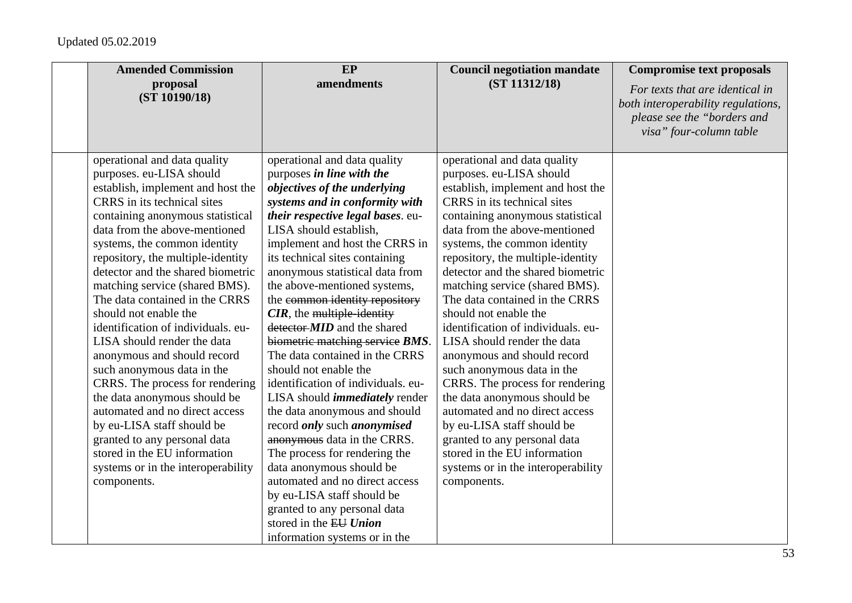| <b>Amended Commission</b>          | EP                                        | <b>Council negotiation mandate</b> | <b>Compromise text proposals</b>                                                                                                |
|------------------------------------|-------------------------------------------|------------------------------------|---------------------------------------------------------------------------------------------------------------------------------|
| proposal<br>(ST 10190/18)          | amendments                                | (ST 11312/18)                      | For texts that are identical in<br>both interoperability regulations,<br>please see the "borders and<br>visa" four-column table |
| operational and data quality       | operational and data quality              | operational and data quality       |                                                                                                                                 |
| purposes. eu-LISA should           | purposes in line with the                 | purposes. eu-LISA should           |                                                                                                                                 |
| establish, implement and host the  | objectives of the underlying              | establish, implement and host the  |                                                                                                                                 |
| CRRS in its technical sites        | systems and in conformity with            | CRRS in its technical sites        |                                                                                                                                 |
| containing anonymous statistical   | their respective legal bases. eu-         | containing anonymous statistical   |                                                                                                                                 |
| data from the above-mentioned      | LISA should establish,                    | data from the above-mentioned      |                                                                                                                                 |
| systems, the common identity       | implement and host the CRRS in            | systems, the common identity       |                                                                                                                                 |
| repository, the multiple-identity  | its technical sites containing            | repository, the multiple-identity  |                                                                                                                                 |
| detector and the shared biometric  | anonymous statistical data from           | detector and the shared biometric  |                                                                                                                                 |
| matching service (shared BMS).     | the above-mentioned systems,              | matching service (shared BMS).     |                                                                                                                                 |
| The data contained in the CRRS     | the common identity repository            | The data contained in the CRRS     |                                                                                                                                 |
| should not enable the              | $CIR$ , the multiple-identity             | should not enable the              |                                                                                                                                 |
| identification of individuals. eu- | detector- <i>MID</i> and the shared       | identification of individuals. eu- |                                                                                                                                 |
| LISA should render the data        | biometric matching service BMS.           | LISA should render the data        |                                                                                                                                 |
| anonymous and should record        | The data contained in the CRRS            | anonymous and should record        |                                                                                                                                 |
| such anonymous data in the         | should not enable the                     | such anonymous data in the         |                                                                                                                                 |
| CRRS. The process for rendering    | identification of individuals. eu-        | CRRS. The process for rendering    |                                                                                                                                 |
| the data anonymous should be       | LISA should <i>immediately</i> render     | the data anonymous should be       |                                                                                                                                 |
| automated and no direct access     | the data anonymous and should             | automated and no direct access     |                                                                                                                                 |
| by eu-LISA staff should be         | record <i>only</i> such <i>anonymised</i> | by eu-LISA staff should be         |                                                                                                                                 |
| granted to any personal data       | anonymous data in the CRRS.               | granted to any personal data       |                                                                                                                                 |
| stored in the EU information       | The process for rendering the             | stored in the EU information       |                                                                                                                                 |
| systems or in the interoperability | data anonymous should be                  | systems or in the interoperability |                                                                                                                                 |
| components.                        | automated and no direct access            | components.                        |                                                                                                                                 |
|                                    | by eu-LISA staff should be                |                                    |                                                                                                                                 |
|                                    | granted to any personal data              |                                    |                                                                                                                                 |
|                                    | stored in the EU Union                    |                                    |                                                                                                                                 |
|                                    | information systems or in the             |                                    |                                                                                                                                 |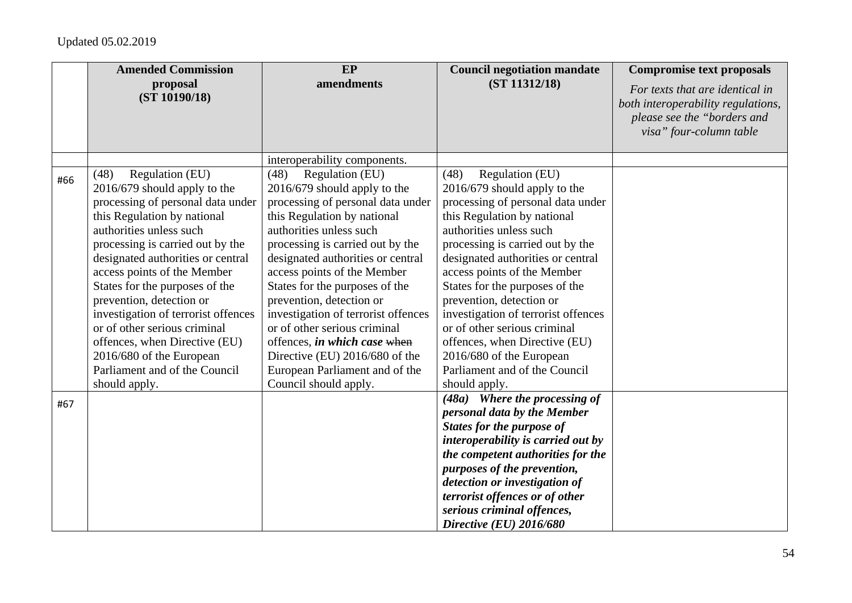|     | <b>Amended Commission</b>                                                                                                                                                                                                                                                                                                                                                                                                                                                                                          | EP                                                                                                                                                                                                                                                                                                                                                                                                                                                                                                                               | <b>Council negotiation mandate</b>                                                                                                                                                                                                                                                                                                                                                                                                                                                                                 | <b>Compromise text proposals</b>                                                                                                |
|-----|--------------------------------------------------------------------------------------------------------------------------------------------------------------------------------------------------------------------------------------------------------------------------------------------------------------------------------------------------------------------------------------------------------------------------------------------------------------------------------------------------------------------|----------------------------------------------------------------------------------------------------------------------------------------------------------------------------------------------------------------------------------------------------------------------------------------------------------------------------------------------------------------------------------------------------------------------------------------------------------------------------------------------------------------------------------|--------------------------------------------------------------------------------------------------------------------------------------------------------------------------------------------------------------------------------------------------------------------------------------------------------------------------------------------------------------------------------------------------------------------------------------------------------------------------------------------------------------------|---------------------------------------------------------------------------------------------------------------------------------|
|     | proposal<br>(ST 10190/18)                                                                                                                                                                                                                                                                                                                                                                                                                                                                                          | amendments                                                                                                                                                                                                                                                                                                                                                                                                                                                                                                                       | (ST 11312/18)                                                                                                                                                                                                                                                                                                                                                                                                                                                                                                      | For texts that are identical in<br>both interoperability regulations,<br>please see the "borders and<br>visa" four-column table |
|     |                                                                                                                                                                                                                                                                                                                                                                                                                                                                                                                    | interoperability components.                                                                                                                                                                                                                                                                                                                                                                                                                                                                                                     |                                                                                                                                                                                                                                                                                                                                                                                                                                                                                                                    |                                                                                                                                 |
| #66 | Regulation (EU)<br>(48)<br>2016/679 should apply to the<br>processing of personal data under<br>this Regulation by national<br>authorities unless such<br>processing is carried out by the<br>designated authorities or central<br>access points of the Member<br>States for the purposes of the<br>prevention, detection or<br>investigation of terrorist offences<br>or of other serious criminal<br>offences, when Directive (EU)<br>2016/680 of the European<br>Parliament and of the Council<br>should apply. | Regulation (EU)<br>(48)<br>2016/679 should apply to the<br>processing of personal data under<br>this Regulation by national<br>authorities unless such<br>processing is carried out by the<br>designated authorities or central<br>access points of the Member<br>States for the purposes of the<br>prevention, detection or<br>investigation of terrorist offences<br>or of other serious criminal<br>offences, in which case when<br>Directive (EU) 2016/680 of the<br>European Parliament and of the<br>Council should apply. | Regulation (EU)<br>(48)<br>2016/679 should apply to the<br>processing of personal data under<br>this Regulation by national<br>authorities unless such<br>processing is carried out by the<br>designated authorities or central<br>access points of the Member<br>States for the purposes of the<br>prevention, detection or<br>investigation of terrorist offences<br>or of other serious criminal<br>offences, when Directive (EU)<br>2016/680 of the European<br>Parliament and of the Council<br>should apply. |                                                                                                                                 |
| #67 |                                                                                                                                                                                                                                                                                                                                                                                                                                                                                                                    |                                                                                                                                                                                                                                                                                                                                                                                                                                                                                                                                  | $(48a)$ Where the processing of<br>personal data by the Member<br><b>States for the purpose of</b><br>interoperability is carried out by<br>the competent authorities for the<br>purposes of the prevention,<br>detection or investigation of<br>terrorist offences or of other<br>serious criminal offences,<br>Directive (EU) 2016/680                                                                                                                                                                           |                                                                                                                                 |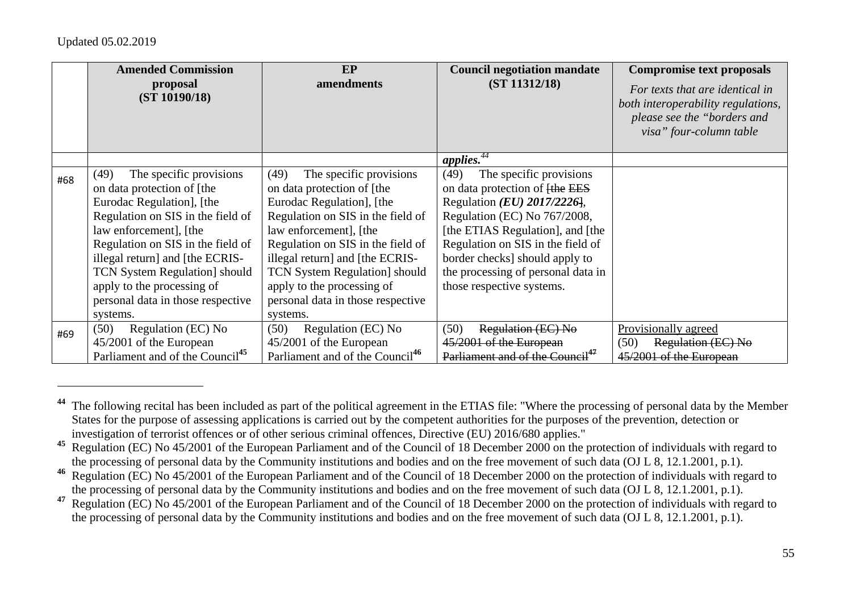|     | <b>Amended Commission</b><br>proposal<br>(ST 10190/18)                                                                                                                                                                                                                                                                                                  | EP<br>amendments                                                                                                                                                                                                                                                                                                                                        | <b>Council negotiation mandate</b><br>(ST 11312/18)                                                                                                                                                                                                                                                                          | <b>Compromise text proposals</b><br>For texts that are identical in<br>both interoperability regulations,<br>please see the "borders and<br>visa" four-column table |
|-----|---------------------------------------------------------------------------------------------------------------------------------------------------------------------------------------------------------------------------------------------------------------------------------------------------------------------------------------------------------|---------------------------------------------------------------------------------------------------------------------------------------------------------------------------------------------------------------------------------------------------------------------------------------------------------------------------------------------------------|------------------------------------------------------------------------------------------------------------------------------------------------------------------------------------------------------------------------------------------------------------------------------------------------------------------------------|---------------------------------------------------------------------------------------------------------------------------------------------------------------------|
|     |                                                                                                                                                                                                                                                                                                                                                         |                                                                                                                                                                                                                                                                                                                                                         | applies.                                                                                                                                                                                                                                                                                                                     |                                                                                                                                                                     |
| #68 | The specific provisions<br>(49)<br>on data protection of [the<br>Eurodac Regulation], [the<br>Regulation on SIS in the field of<br>law enforcement], [the<br>Regulation on SIS in the field of<br>illegal return] and [the ECRIS-<br><b>TCN System Regulation</b> should<br>apply to the processing of<br>personal data in those respective<br>systems. | The specific provisions<br>(49)<br>on data protection of [the<br>Eurodac Regulation], [the<br>Regulation on SIS in the field of<br>law enforcement], [the<br>Regulation on SIS in the field of<br>illegal return] and [the ECRIS-<br><b>TCN System Regulation</b> should<br>apply to the processing of<br>personal data in those respective<br>systems. | The specific provisions<br>(49)<br>on data protection of <del>[the EES</del> ]<br>Regulation $(EU)$ 2017/2226,<br>Regulation (EC) No 767/2008,<br>[the ETIAS Regulation], and [the<br>Regulation on SIS in the field of<br>border checks] should apply to<br>the processing of personal data in<br>those respective systems. |                                                                                                                                                                     |
| #69 | (50)<br>Regulation (EC) No<br>45/2001 of the European<br>Parliament and of the Council <sup>45</sup>                                                                                                                                                                                                                                                    | Regulation (EC) No<br>(50)<br>45/2001 of the European<br>Parliament and of the Council <sup>46</sup>                                                                                                                                                                                                                                                    | (50)<br>Regulation (EC) No<br>45/2001 of the European<br>Parliament and of the Council <sup>47</sup>                                                                                                                                                                                                                         | Provisionally agreed<br>Regulation (EC) No<br>(50)<br>45/2001 of the European                                                                                       |

**<sup>44</sup>** The following recital has been included as part of the political agreement in the ETIAS file: "Where the processing of personal data by the Member States for the purpose of assessing applications is carried out by the competent authorities for the purposes of the prevention, detection or investigation of terrorist offences or of other serious criminal offences, Directive (EU) 2016/680 applies."

<sup>&</sup>lt;sup>45</sup> Regulation (EC) No 45/2001 of the European Parliament and of the Council of 18 December 2000 on the protection of individuals with regard to the processing of personal data by the Community institutions and bodies and on the free movement of such data (OJ L 8, 12.1.2001, p.1).

<sup>&</sup>lt;sup>46</sup> Regulation (EC) No 45/2001 of the European Parliament and of the Council of 18 December 2000 on the protection of individuals with regard to the processing of personal data by the Community institutions and bodies and on the free movement of such data (OJ L 8, 12.1.2001, p.1).

<sup>&</sup>lt;sup>47</sup> Regulation (EC) No 45/2001 of the European Parliament and of the Council of 18 December 2000 on the protection of individuals with regard to the processing of personal data by the Community institutions and bodies and on the free movement of such data (OJ L 8, 12.1.2001, p.1).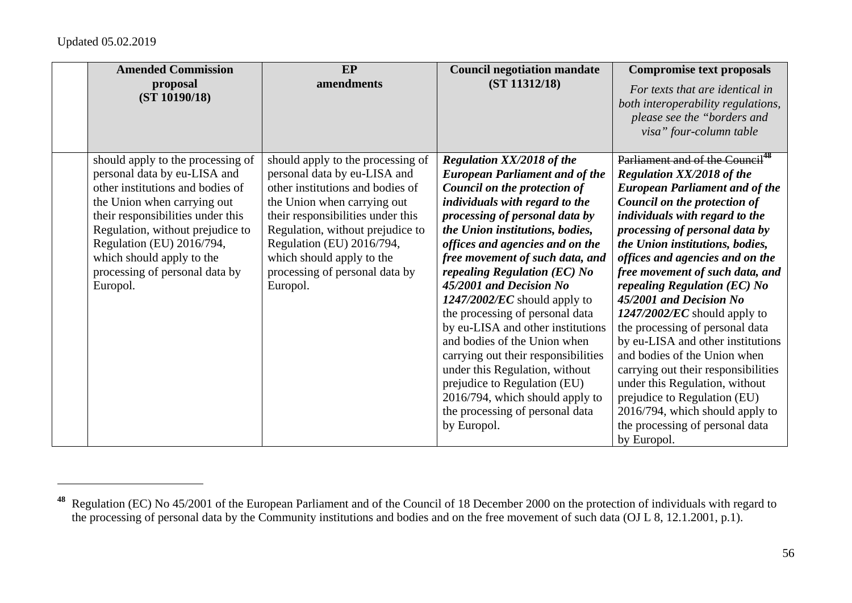| <b>Amended Commission</b><br>proposal<br>(ST 10190/18)                                                                                                                                                                                                                                                                | EP<br>amendments                                                                                                                                                                                                                                                                                                      | <b>Council negotiation mandate</b><br>(ST 11312/18)                                                                                                                                                                                                                                                                                                                                                                                                                                                                                                                                                                                                                                       | <b>Compromise text proposals</b><br>For texts that are identical in<br>both interoperability regulations,<br>please see the "borders and<br>visa" four-column table                                                                                                                                                                                                                                                                                                                                                                                                                                                                                                                                                                      |
|-----------------------------------------------------------------------------------------------------------------------------------------------------------------------------------------------------------------------------------------------------------------------------------------------------------------------|-----------------------------------------------------------------------------------------------------------------------------------------------------------------------------------------------------------------------------------------------------------------------------------------------------------------------|-------------------------------------------------------------------------------------------------------------------------------------------------------------------------------------------------------------------------------------------------------------------------------------------------------------------------------------------------------------------------------------------------------------------------------------------------------------------------------------------------------------------------------------------------------------------------------------------------------------------------------------------------------------------------------------------|------------------------------------------------------------------------------------------------------------------------------------------------------------------------------------------------------------------------------------------------------------------------------------------------------------------------------------------------------------------------------------------------------------------------------------------------------------------------------------------------------------------------------------------------------------------------------------------------------------------------------------------------------------------------------------------------------------------------------------------|
| should apply to the processing of<br>personal data by eu-LISA and<br>other institutions and bodies of<br>the Union when carrying out<br>their responsibilities under this<br>Regulation, without prejudice to<br>Regulation (EU) 2016/794,<br>which should apply to the<br>processing of personal data by<br>Europol. | should apply to the processing of<br>personal data by eu-LISA and<br>other institutions and bodies of<br>the Union when carrying out<br>their responsibilities under this<br>Regulation, without prejudice to<br>Regulation (EU) 2016/794,<br>which should apply to the<br>processing of personal data by<br>Europol. | <b>Regulation XX/2018 of the</b><br><b>European Parliament and of the</b><br>Council on the protection of<br>individuals with regard to the<br>processing of personal data by<br>the Union institutions, bodies,<br>offices and agencies and on the<br>free movement of such data, and<br>repealing Regulation (EC) No<br>45/2001 and Decision No<br>$1247/2002/EC$ should apply to<br>the processing of personal data<br>by eu-LISA and other institutions<br>and bodies of the Union when<br>carrying out their responsibilities<br>under this Regulation, without<br>prejudice to Regulation (EU)<br>2016/794, which should apply to<br>the processing of personal data<br>by Europol. | Parliament and of the Council <sup>48</sup><br><b>Regulation XX/2018 of the</b><br><b>European Parliament and of the</b><br>Council on the protection of<br>individuals with regard to the<br>processing of personal data by<br>the Union institutions, bodies,<br>offices and agencies and on the<br>free movement of such data, and<br>repealing Regulation (EC) No<br>45/2001 and Decision No<br>$1247/2002/EC$ should apply to<br>the processing of personal data<br>by eu-LISA and other institutions<br>and bodies of the Union when<br>carrying out their responsibilities<br>under this Regulation, without<br>prejudice to Regulation (EU)<br>2016/794, which should apply to<br>the processing of personal data<br>by Europol. |

<sup>&</sup>lt;sup>48</sup> Regulation (EC) No 45/2001 of the European Parliament and of the Council of 18 December 2000 on the protection of individuals with regard to the processing of personal data by the Community institutions and bodies and on the free movement of such data (OJ L 8, 12.1.2001, p.1).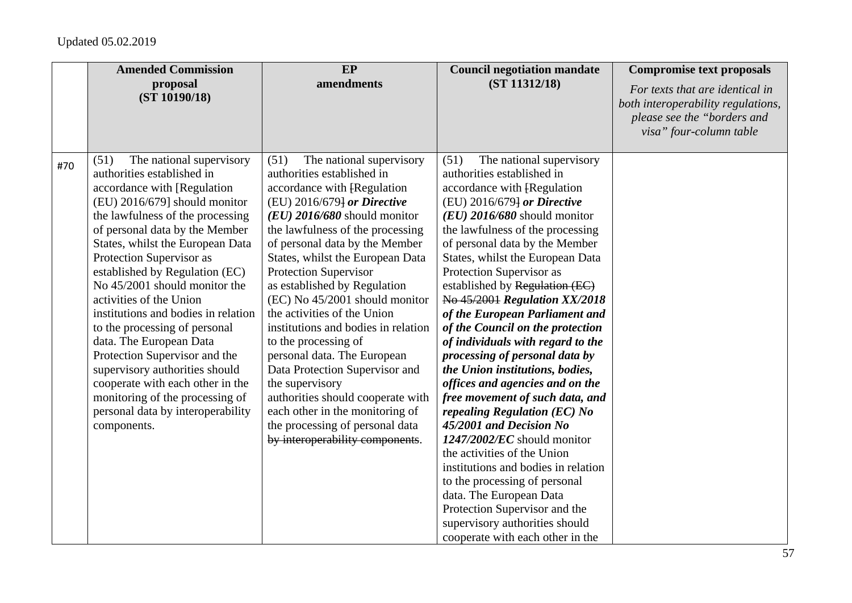|     | <b>Amended Commission</b>                                                                                                                                                                                                                                                                                                                                                                                                                                                                                                                                                                                                                                           | EP                                                                                                                                                                                                                                                                                                                                                                                                                                                                                                                                                                                                                                                                                                         | <b>Council negotiation mandate</b>                                                                                                                                                                                                                                                                                                                                                                                                                                                                                                                                                                                                                                                                                                                                                                                                                                                                                                                                 | <b>Compromise text proposals</b>                                                                                                |
|-----|---------------------------------------------------------------------------------------------------------------------------------------------------------------------------------------------------------------------------------------------------------------------------------------------------------------------------------------------------------------------------------------------------------------------------------------------------------------------------------------------------------------------------------------------------------------------------------------------------------------------------------------------------------------------|------------------------------------------------------------------------------------------------------------------------------------------------------------------------------------------------------------------------------------------------------------------------------------------------------------------------------------------------------------------------------------------------------------------------------------------------------------------------------------------------------------------------------------------------------------------------------------------------------------------------------------------------------------------------------------------------------------|--------------------------------------------------------------------------------------------------------------------------------------------------------------------------------------------------------------------------------------------------------------------------------------------------------------------------------------------------------------------------------------------------------------------------------------------------------------------------------------------------------------------------------------------------------------------------------------------------------------------------------------------------------------------------------------------------------------------------------------------------------------------------------------------------------------------------------------------------------------------------------------------------------------------------------------------------------------------|---------------------------------------------------------------------------------------------------------------------------------|
|     | proposal<br>(ST 10190/18)                                                                                                                                                                                                                                                                                                                                                                                                                                                                                                                                                                                                                                           | amendments                                                                                                                                                                                                                                                                                                                                                                                                                                                                                                                                                                                                                                                                                                 | (ST 11312/18)                                                                                                                                                                                                                                                                                                                                                                                                                                                                                                                                                                                                                                                                                                                                                                                                                                                                                                                                                      | For texts that are identical in<br>both interoperability regulations,<br>please see the "borders and<br>visa" four-column table |
| #70 | The national supervisory<br>(51)<br>authorities established in<br>accordance with [Regulation<br>(EU) 2016/679] should monitor<br>the lawfulness of the processing<br>of personal data by the Member<br>States, whilst the European Data<br>Protection Supervisor as<br>established by Regulation (EC)<br>No 45/2001 should monitor the<br>activities of the Union<br>institutions and bodies in relation<br>to the processing of personal<br>data. The European Data<br>Protection Supervisor and the<br>supervisory authorities should<br>cooperate with each other in the<br>monitoring of the processing of<br>personal data by interoperability<br>components. | (51)<br>The national supervisory<br>authorities established in<br>accordance with [Regulation<br>(EU) 2016/679] or Directive<br>$(EU)$ 2016/680 should monitor<br>the lawfulness of the processing<br>of personal data by the Member<br>States, whilst the European Data<br><b>Protection Supervisor</b><br>as established by Regulation<br>(EC) No 45/2001 should monitor<br>the activities of the Union<br>institutions and bodies in relation<br>to the processing of<br>personal data. The European<br>Data Protection Supervisor and<br>the supervisory<br>authorities should cooperate with<br>each other in the monitoring of<br>the processing of personal data<br>by interoperability components. | (51)<br>The national supervisory<br>authorities established in<br>accordance with [Regulation<br>(EU) 2016/679} or Directive<br>$(EU)$ 2016/680 should monitor<br>the lawfulness of the processing<br>of personal data by the Member<br>States, whilst the European Data<br>Protection Supervisor as<br>established by Regulation (EC)<br>No 45/2001 Regulation XX/2018<br>of the European Parliament and<br>of the Council on the protection<br>of individuals with regard to the<br>processing of personal data by<br>the Union institutions, bodies,<br>offices and agencies and on the<br>free movement of such data, and<br>repealing Regulation (EC) No<br>45/2001 and Decision No<br>$1247/2002/EC$ should monitor<br>the activities of the Union<br>institutions and bodies in relation<br>to the processing of personal<br>data. The European Data<br>Protection Supervisor and the<br>supervisory authorities should<br>cooperate with each other in the |                                                                                                                                 |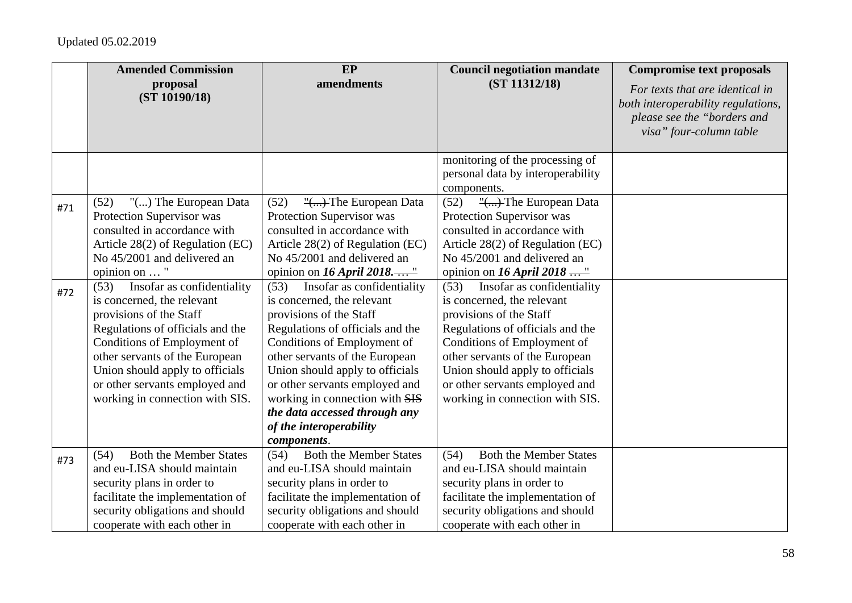|            | <b>Amended Commission</b>                                                                                                                                                                                                                                                                                                                                                                                                                                                                  | EP                                                                                                                                                                                                                                                                                                                                                                                                                                                                                                                                                      | <b>Council negotiation mandate</b>                                                                                                                                                                                                                                                                                                                                                                                                                                                                      | <b>Compromise text proposals</b>                                                                                                |
|------------|--------------------------------------------------------------------------------------------------------------------------------------------------------------------------------------------------------------------------------------------------------------------------------------------------------------------------------------------------------------------------------------------------------------------------------------------------------------------------------------------|---------------------------------------------------------------------------------------------------------------------------------------------------------------------------------------------------------------------------------------------------------------------------------------------------------------------------------------------------------------------------------------------------------------------------------------------------------------------------------------------------------------------------------------------------------|---------------------------------------------------------------------------------------------------------------------------------------------------------------------------------------------------------------------------------------------------------------------------------------------------------------------------------------------------------------------------------------------------------------------------------------------------------------------------------------------------------|---------------------------------------------------------------------------------------------------------------------------------|
|            | proposal<br>(ST 10190/18)                                                                                                                                                                                                                                                                                                                                                                                                                                                                  | amendments                                                                                                                                                                                                                                                                                                                                                                                                                                                                                                                                              | (ST 11312/18)                                                                                                                                                                                                                                                                                                                                                                                                                                                                                           | For texts that are identical in<br>both interoperability regulations,<br>please see the "borders and<br>visa" four-column table |
|            |                                                                                                                                                                                                                                                                                                                                                                                                                                                                                            |                                                                                                                                                                                                                                                                                                                                                                                                                                                                                                                                                         | monitoring of the processing of<br>personal data by interoperability<br>components.                                                                                                                                                                                                                                                                                                                                                                                                                     |                                                                                                                                 |
| #71<br>#72 | (52)<br>"() The European Data<br>Protection Supervisor was<br>consulted in accordance with<br>Article 28(2) of Regulation (EC)<br>No 45/2001 and delivered an<br>opinion on  "<br>(53)<br>Insofar as confidentiality<br>is concerned, the relevant<br>provisions of the Staff<br>Regulations of officials and the<br>Conditions of Employment of<br>other servants of the European<br>Union should apply to officials<br>or other servants employed and<br>working in connection with SIS. | (52)<br>Protection Supervisor was<br>consulted in accordance with<br>Article 28(2) of Regulation (EC)<br>No 45/2001 and delivered an<br>opinion on 16 April 2018"<br>Insofar as confidentiality<br>(53)<br>is concerned, the relevant<br>provisions of the Staff<br>Regulations of officials and the<br>Conditions of Employment of<br>other servants of the European<br>Union should apply to officials<br>or other servants employed and<br>working in connection with SIS<br>the data accessed through any<br>of the interoperability<br>components. | (52)<br>"() The European Data<br>Protection Supervisor was<br>consulted in accordance with<br>Article 28(2) of Regulation (EC)<br>No 45/2001 and delivered an<br>opinion on 16 April 2018 "<br>Insofar as confidentiality<br>(53)<br>is concerned, the relevant<br>provisions of the Staff<br>Regulations of officials and the<br>Conditions of Employment of<br>other servants of the European<br>Union should apply to officials<br>or other servants employed and<br>working in connection with SIS. |                                                                                                                                 |
| #73        | <b>Both the Member States</b><br>(54)                                                                                                                                                                                                                                                                                                                                                                                                                                                      | <b>Both the Member States</b><br>(54)                                                                                                                                                                                                                                                                                                                                                                                                                                                                                                                   | <b>Both the Member States</b><br>(54)                                                                                                                                                                                                                                                                                                                                                                                                                                                                   |                                                                                                                                 |
|            | and eu-LISA should maintain<br>security plans in order to                                                                                                                                                                                                                                                                                                                                                                                                                                  | and eu-LISA should maintain<br>security plans in order to                                                                                                                                                                                                                                                                                                                                                                                                                                                                                               | and eu-LISA should maintain<br>security plans in order to                                                                                                                                                                                                                                                                                                                                                                                                                                               |                                                                                                                                 |
|            | facilitate the implementation of<br>security obligations and should                                                                                                                                                                                                                                                                                                                                                                                                                        | facilitate the implementation of<br>security obligations and should                                                                                                                                                                                                                                                                                                                                                                                                                                                                                     | facilitate the implementation of<br>security obligations and should                                                                                                                                                                                                                                                                                                                                                                                                                                     |                                                                                                                                 |
|            | cooperate with each other in                                                                                                                                                                                                                                                                                                                                                                                                                                                               | cooperate with each other in                                                                                                                                                                                                                                                                                                                                                                                                                                                                                                                            | cooperate with each other in                                                                                                                                                                                                                                                                                                                                                                                                                                                                            |                                                                                                                                 |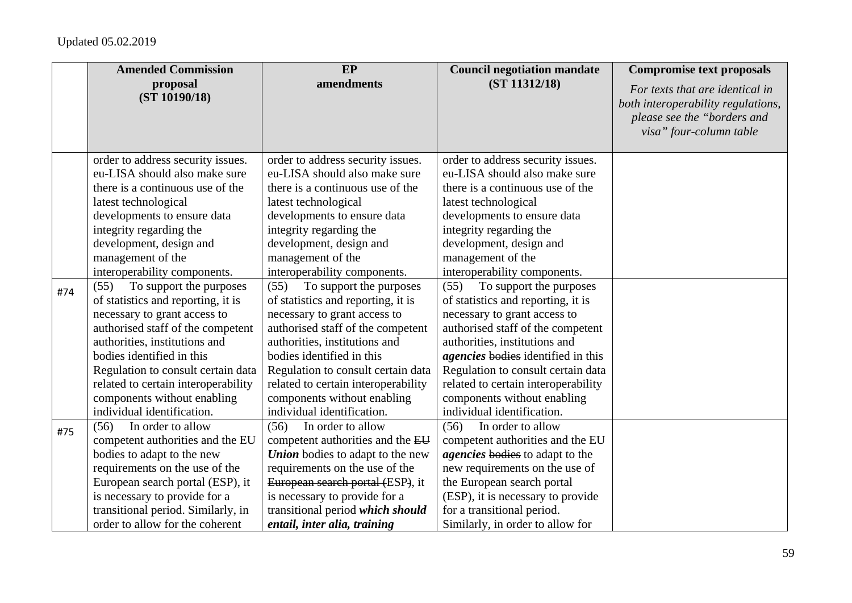|     | <b>Amended Commission</b>           | EP                                      | <b>Council negotiation mandate</b>     | <b>Compromise text proposals</b>                                                                                                |
|-----|-------------------------------------|-----------------------------------------|----------------------------------------|---------------------------------------------------------------------------------------------------------------------------------|
|     | proposal<br>(ST 10190/18)           | amendments                              | (ST 11312/18)                          | For texts that are identical in<br>both interoperability regulations,<br>please see the "borders and<br>visa" four-column table |
|     | order to address security issues.   | order to address security issues.       | order to address security issues.      |                                                                                                                                 |
|     | eu-LISA should also make sure       | eu-LISA should also make sure           | eu-LISA should also make sure          |                                                                                                                                 |
|     | there is a continuous use of the    | there is a continuous use of the        | there is a continuous use of the       |                                                                                                                                 |
|     | latest technological                | latest technological                    | latest technological                   |                                                                                                                                 |
|     | developments to ensure data         | developments to ensure data             | developments to ensure data            |                                                                                                                                 |
|     | integrity regarding the             | integrity regarding the                 | integrity regarding the                |                                                                                                                                 |
|     | development, design and             | development, design and                 | development, design and                |                                                                                                                                 |
|     | management of the                   | management of the                       | management of the                      |                                                                                                                                 |
|     | interoperability components.        | interoperability components.            | interoperability components.           |                                                                                                                                 |
| #74 | To support the purposes<br>(55)     | To support the purposes<br>(55)         | To support the purposes<br>(55)        |                                                                                                                                 |
|     | of statistics and reporting, it is  | of statistics and reporting, it is      | of statistics and reporting, it is     |                                                                                                                                 |
|     | necessary to grant access to        | necessary to grant access to            | necessary to grant access to           |                                                                                                                                 |
|     | authorised staff of the competent   | authorised staff of the competent       | authorised staff of the competent      |                                                                                                                                 |
|     | authorities, institutions and       | authorities, institutions and           | authorities, institutions and          |                                                                                                                                 |
|     | bodies identified in this           | bodies identified in this               | agencies bodies identified in this     |                                                                                                                                 |
|     | Regulation to consult certain data  | Regulation to consult certain data      | Regulation to consult certain data     |                                                                                                                                 |
|     | related to certain interoperability | related to certain interoperability     | related to certain interoperability    |                                                                                                                                 |
|     | components without enabling         | components without enabling             | components without enabling            |                                                                                                                                 |
|     | individual identification.          | individual identification.              | individual identification.             |                                                                                                                                 |
| #75 | In order to allow<br>(56)           | In order to allow<br>(56)               | In order to allow<br>(56)              |                                                                                                                                 |
|     | competent authorities and the EU    | competent authorities and the EU        | competent authorities and the EU       |                                                                                                                                 |
|     | bodies to adapt to the new          | <b>Union</b> bodies to adapt to the new | <i>agencies</i> bodies to adapt to the |                                                                                                                                 |
|     | requirements on the use of the      | requirements on the use of the          | new requirements on the use of         |                                                                                                                                 |
|     | European search portal (ESP), it    | European search portal (ESP), it        | the European search portal             |                                                                                                                                 |
|     | is necessary to provide for a       | is necessary to provide for a           | (ESP), it is necessary to provide      |                                                                                                                                 |
|     | transitional period. Similarly, in  | transitional period which should        | for a transitional period.             |                                                                                                                                 |
|     | order to allow for the coherent     | entail, inter alia, training            | Similarly, in order to allow for       |                                                                                                                                 |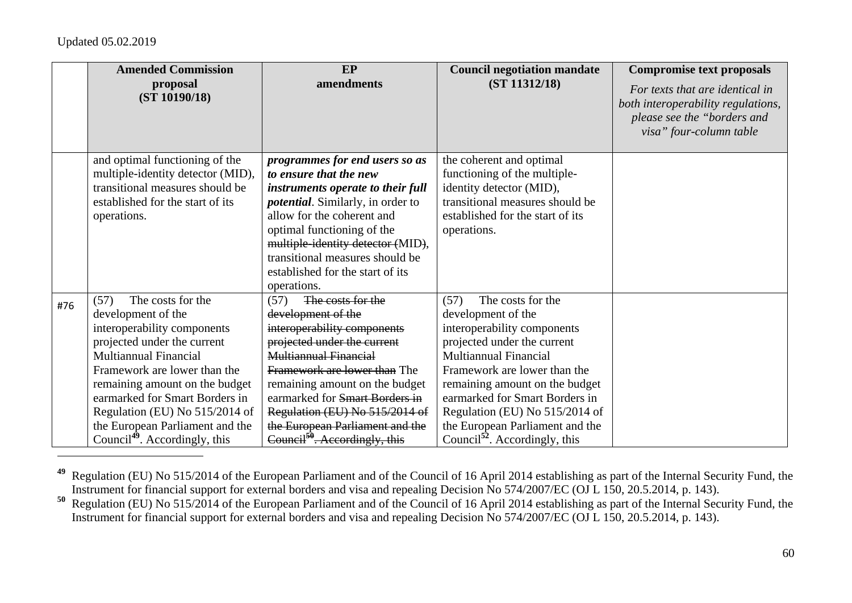|     | <b>Amended Commission</b>                                                                                                                                                                                                                                                                                                                                    | EP                                                                                                                                                                                                                                                                                                                                                           | <b>Council negotiation mandate</b>                                                                                                                                                                                                                                                                                                                                  | <b>Compromise text proposals</b>                                                                                                |
|-----|--------------------------------------------------------------------------------------------------------------------------------------------------------------------------------------------------------------------------------------------------------------------------------------------------------------------------------------------------------------|--------------------------------------------------------------------------------------------------------------------------------------------------------------------------------------------------------------------------------------------------------------------------------------------------------------------------------------------------------------|---------------------------------------------------------------------------------------------------------------------------------------------------------------------------------------------------------------------------------------------------------------------------------------------------------------------------------------------------------------------|---------------------------------------------------------------------------------------------------------------------------------|
|     | proposal<br>(ST 10190/18)                                                                                                                                                                                                                                                                                                                                    | amendments                                                                                                                                                                                                                                                                                                                                                   | (ST 11312/18)                                                                                                                                                                                                                                                                                                                                                       | For texts that are identical in<br>both interoperability regulations,<br>please see the "borders and<br>visa" four-column table |
|     | and optimal functioning of the<br>multiple-identity detector (MID),<br>transitional measures should be<br>established for the start of its<br>operations.                                                                                                                                                                                                    | programmes for end users so as<br>to ensure that the new<br>instruments operate to their full<br><i>potential</i> . Similarly, in order to<br>allow for the coherent and<br>optimal functioning of the<br>multiple-identity detector (MID),<br>transitional measures should be<br>established for the start of its<br>operations.                            | the coherent and optimal<br>functioning of the multiple-<br>identity detector (MID),<br>transitional measures should be<br>established for the start of its<br>operations.                                                                                                                                                                                          |                                                                                                                                 |
| #76 | The costs for the<br>(57)<br>development of the<br>interoperability components<br>projected under the current<br>Multiannual Financial<br>Framework are lower than the<br>remaining amount on the budget<br>earmarked for Smart Borders in<br>Regulation (EU) No 515/2014 of<br>the European Parliament and the<br>Council <sup>49</sup> . Accordingly, this | (57)<br>The costs for the<br>development of the<br>interoperability components<br>projected under the current<br>Multiannual Financial<br>Framework are lower than The<br>remaining amount on the budget<br>earmarked for Smart Borders in<br>Regulation (EU) No 515/2014 of<br>the European Parliament and the<br>Council <sup>50</sup> . Accordingly, this | The costs for the<br>(57)<br>development of the<br>interoperability components<br>projected under the current<br><b>Multiannual Financial</b><br>Framework are lower than the<br>remaining amount on the budget<br>earmarked for Smart Borders in<br>Regulation (EU) No 515/2014 of<br>the European Parliament and the<br>Council <sup>52</sup> . Accordingly, this |                                                                                                                                 |

**<sup>49</sup>** Regulation (EU) No 515/2014 of the European Parliament and of the Council of 16 April 2014 establishing as part of the Internal Security Fund, the Instrument for financial support for external borders and visa and repealing Decision No 574/2007/EC (OJ L 150, 20.5.2014, p. 143).

**<sup>50</sup>** Regulation (EU) No 515/2014 of the European Parliament and of the Council of 16 April 2014 establishing as part of the Internal Security Fund, the Instrument for financial support for external borders and visa and repealing Decision No 574/2007/EC (OJ L 150, 20.5.2014, p. 143).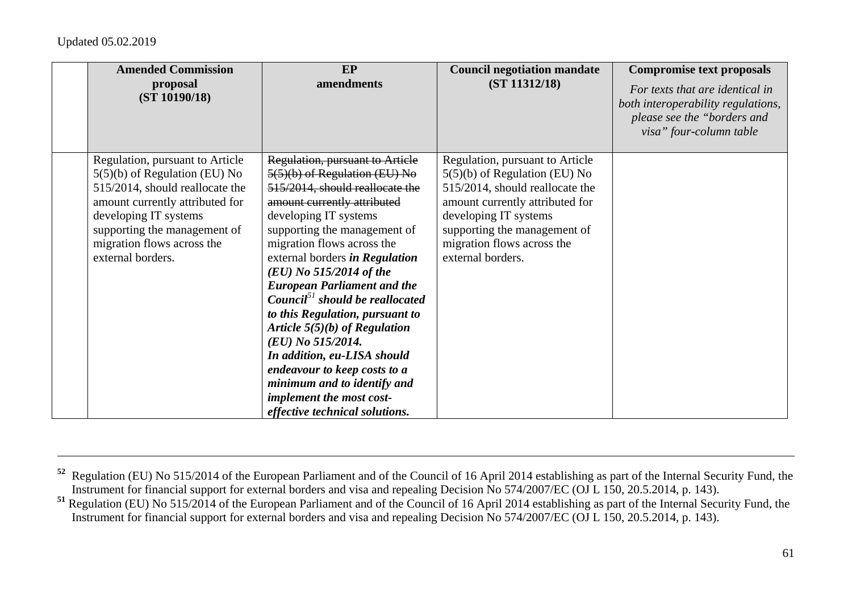| <b>Amended Commission</b>                                                                                                                                                                                                                            | EP                                                                                                                                                                                                                                                                                                                                                                                                                                                                                                                                                                     | <b>Council negotiation mandate</b>                                                                                                                                                                                                                   | <b>Compromise text proposals</b>                                                                                                |
|------------------------------------------------------------------------------------------------------------------------------------------------------------------------------------------------------------------------------------------------------|------------------------------------------------------------------------------------------------------------------------------------------------------------------------------------------------------------------------------------------------------------------------------------------------------------------------------------------------------------------------------------------------------------------------------------------------------------------------------------------------------------------------------------------------------------------------|------------------------------------------------------------------------------------------------------------------------------------------------------------------------------------------------------------------------------------------------------|---------------------------------------------------------------------------------------------------------------------------------|
| proposal<br>(ST 10190/18)                                                                                                                                                                                                                            | amendments                                                                                                                                                                                                                                                                                                                                                                                                                                                                                                                                                             | (ST 11312/18)                                                                                                                                                                                                                                        | For texts that are identical in<br>both interoperability regulations,<br>please see the "borders and<br>visa" four-column table |
| Regulation, pursuant to Article<br>$5(5)(b)$ of Regulation (EU) No<br>515/2014, should reallocate the<br>amount currently attributed for<br>developing IT systems<br>supporting the management of<br>migration flows across the<br>external borders. | Regulation, pursuant to Article<br>5(5)(b) of Regulation (EU) No<br>515/2014, should reallocate the<br>amount currently attributed<br>developing IT systems<br>supporting the management of<br>migration flows across the<br>external borders in Regulation<br>$(EU)$ No 515/2014 of the<br><b>European Parliament and the</b><br>Council <sup>51</sup> should be reallocated<br>to this Regulation, pursuant to<br>Article $5(5)(b)$ of Regulation<br>(EU) No 515/2014.<br>In addition, eu-LISA should<br>endeavour to keep costs to a<br>minimum and to identify and | Regulation, pursuant to Article<br>$5(5)(b)$ of Regulation (EU) No<br>515/2014, should reallocate the<br>amount currently attributed for<br>developing IT systems<br>supporting the management of<br>migration flows across the<br>external borders. |                                                                                                                                 |
|                                                                                                                                                                                                                                                      | implement the most cost-<br>effective technical solutions.                                                                                                                                                                                                                                                                                                                                                                                                                                                                                                             |                                                                                                                                                                                                                                                      |                                                                                                                                 |

**<sup>52</sup>** Regulation (EU) No 515/2014 of the European Parliament and of the Council of 16 April 2014 establishing as part of the Internal Security Fund, the Instrument for financial support for external borders and visa and repealing Decision No 574/2007/EC (OJ L 150, 20.5.2014, p. 143).

**<sup>51</sup>** Regulation (EU) No 515/2014 of the European Parliament and of the Council of 16 April 2014 establishing as part of the Internal Security Fund, the Instrument for financial support for external borders and visa and repealing Decision No 574/2007/EC (OJ L 150, 20.5.2014, p. 143).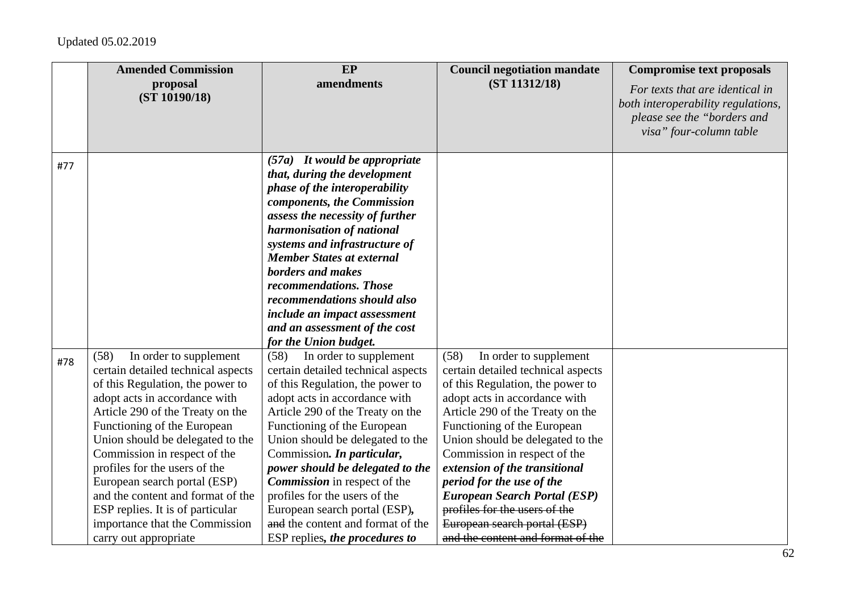|     | <b>Amended Commission</b>                                                                                                                                                                                                                                                                                                                                                                                                                                                             | EP                                                                                                                                                                                                                                                                                                                                                                                                                                                                                                 | <b>Council negotiation mandate</b>                                                                                                                                                                                                                                                                                                                                                                                                                                                          | <b>Compromise text proposals</b>                                                                                                |
|-----|---------------------------------------------------------------------------------------------------------------------------------------------------------------------------------------------------------------------------------------------------------------------------------------------------------------------------------------------------------------------------------------------------------------------------------------------------------------------------------------|----------------------------------------------------------------------------------------------------------------------------------------------------------------------------------------------------------------------------------------------------------------------------------------------------------------------------------------------------------------------------------------------------------------------------------------------------------------------------------------------------|---------------------------------------------------------------------------------------------------------------------------------------------------------------------------------------------------------------------------------------------------------------------------------------------------------------------------------------------------------------------------------------------------------------------------------------------------------------------------------------------|---------------------------------------------------------------------------------------------------------------------------------|
|     | proposal<br>(ST 10190/18)                                                                                                                                                                                                                                                                                                                                                                                                                                                             | amendments                                                                                                                                                                                                                                                                                                                                                                                                                                                                                         | (ST 11312/18)                                                                                                                                                                                                                                                                                                                                                                                                                                                                               | For texts that are identical in<br>both interoperability regulations,<br>please see the "borders and<br>visa" four-column table |
| #77 |                                                                                                                                                                                                                                                                                                                                                                                                                                                                                       | $(57a)$ It would be appropriate<br>that, during the development<br>phase of the interoperability<br>components, the Commission<br>assess the necessity of further<br>harmonisation of national<br>systems and infrastructure of<br><b>Member States at external</b><br>borders and makes<br>recommendations. Those<br>recommendations should also<br>include an impact assessment<br>and an assessment of the cost<br>for the Union budget.                                                        |                                                                                                                                                                                                                                                                                                                                                                                                                                                                                             |                                                                                                                                 |
| #78 | (58)<br>In order to supplement<br>certain detailed technical aspects<br>of this Regulation, the power to<br>adopt acts in accordance with<br>Article 290 of the Treaty on the<br>Functioning of the European<br>Union should be delegated to the<br>Commission in respect of the<br>profiles for the users of the<br>European search portal (ESP)<br>and the content and format of the<br>ESP replies. It is of particular<br>importance that the Commission<br>carry out appropriate | (58)<br>In order to supplement<br>certain detailed technical aspects<br>of this Regulation, the power to<br>adopt acts in accordance with<br>Article 290 of the Treaty on the<br>Functioning of the European<br>Union should be delegated to the<br>Commission. In particular,<br>power should be delegated to the<br><b>Commission</b> in respect of the<br>profiles for the users of the<br>European search portal (ESP),<br>and the content and format of the<br>ESP replies, the procedures to | (58)<br>In order to supplement<br>certain detailed technical aspects<br>of this Regulation, the power to<br>adopt acts in accordance with<br>Article 290 of the Treaty on the<br>Functioning of the European<br>Union should be delegated to the<br>Commission in respect of the<br>extension of the transitional<br>period for the use of the<br><b>European Search Portal (ESP)</b><br>profiles for the users of the<br>European search portal (ESP)<br>and the content and format of the |                                                                                                                                 |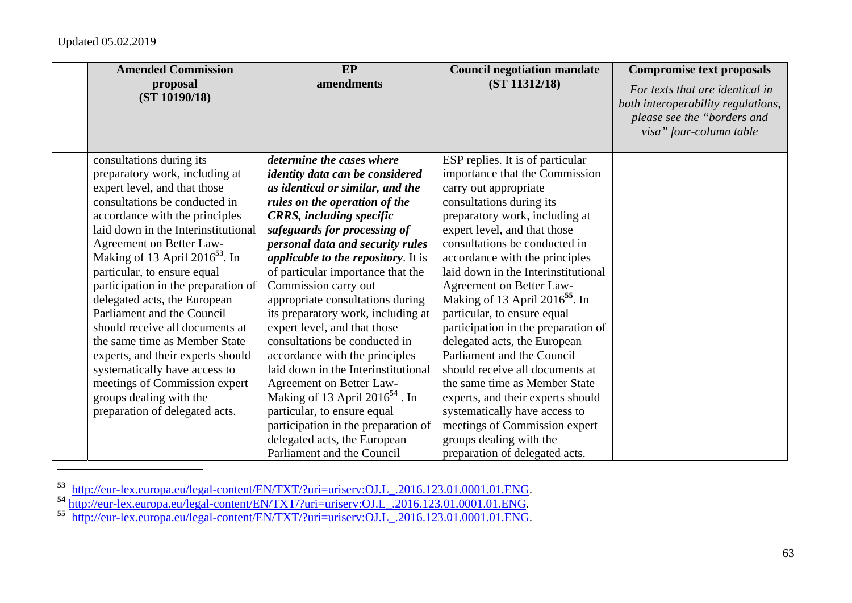| <b>Amended Commission</b><br>proposal | EP<br>amendments                           | <b>Council negotiation mandate</b><br>(ST 11312/18) | <b>Compromise text proposals</b>   |
|---------------------------------------|--------------------------------------------|-----------------------------------------------------|------------------------------------|
| (ST 10190/18)                         |                                            |                                                     | For texts that are identical in    |
|                                       |                                            |                                                     | both interoperability regulations, |
|                                       |                                            |                                                     | please see the "borders and        |
|                                       |                                            |                                                     | visa" four-column table            |
| consultations during its              | determine the cases where                  | <b>ESP</b> replies. It is of particular             |                                    |
| preparatory work, including at        | <i>identity data can be considered</i>     | importance that the Commission                      |                                    |
| expert level, and that those          | as identical or similar, and the           | carry out appropriate                               |                                    |
| consultations be conducted in         | rules on the operation of the              | consultations during its                            |                                    |
| accordance with the principles        | <b>CRRS</b> , including specific           | preparatory work, including at                      |                                    |
| laid down in the Interinstitutional   | safeguards for processing of               | expert level, and that those                        |                                    |
| Agreement on Better Law-              | personal data and security rules           | consultations be conducted in                       |                                    |
| Making of 13 April $2016^{53}$ . In   | <i>applicable to the repository.</i> It is | accordance with the principles                      |                                    |
| particular, to ensure equal           | of particular importance that the          | laid down in the Interinstitutional                 |                                    |
| participation in the preparation of   | Commission carry out                       | Agreement on Better Law-                            |                                    |
| delegated acts, the European          | appropriate consultations during           | Making of 13 April $2016^{55}$ . In                 |                                    |
| Parliament and the Council            | its preparatory work, including at         | particular, to ensure equal                         |                                    |
| should receive all documents at       | expert level, and that those               | participation in the preparation of                 |                                    |
| the same time as Member State         | consultations be conducted in              | delegated acts, the European                        |                                    |
| experts, and their experts should     | accordance with the principles             | Parliament and the Council                          |                                    |
| systematically have access to         | laid down in the Interinstitutional        | should receive all documents at                     |                                    |
| meetings of Commission expert         | Agreement on Better Law-                   | the same time as Member State                       |                                    |
| groups dealing with the               | Making of 13 April $2016^{54}$ . In        | experts, and their experts should                   |                                    |
| preparation of delegated acts.        | particular, to ensure equal                | systematically have access to                       |                                    |
|                                       | participation in the preparation of        | meetings of Commission expert                       |                                    |
|                                       | delegated acts, the European               | groups dealing with the                             |                                    |
|                                       | Parliament and the Council                 | preparation of delegated acts.                      |                                    |

<sup>&</sup>lt;sup>53</sup> http://eur-lex.europa.eu/legal-content/EN/TXT/?uri=uriserv:OJ.L\_.2016.123.01.0001.01.ENG.<br><sup>54</sup> http://eur-lex.europa.eu/legal-content/EN/TXT/?uri=uriserv:OJ.L\_.2016.123.01.0001.01.ENG.<br>55 http://eur-lex.europa.eu/lega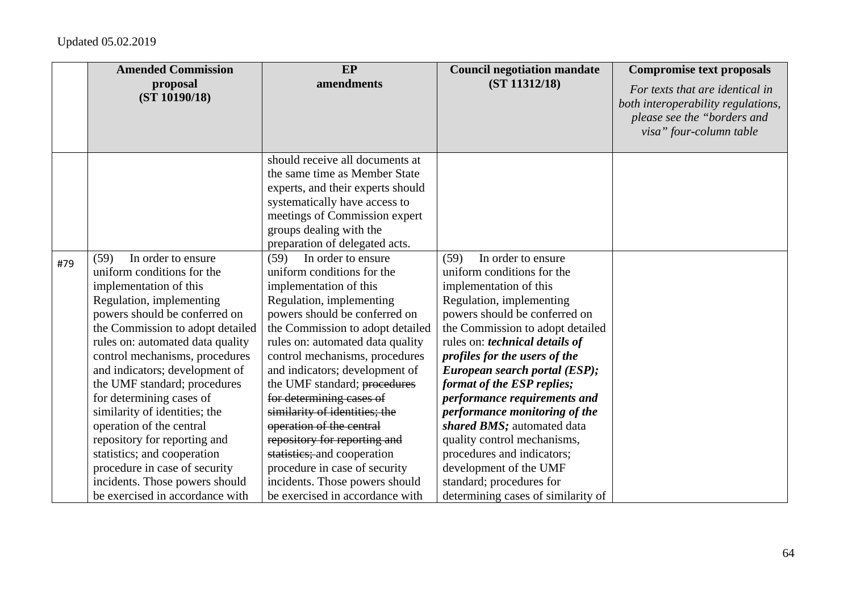|     | <b>Amended Commission</b>        | EP                                | <b>Council negotiation mandate</b> | <b>Compromise text proposals</b>   |
|-----|----------------------------------|-----------------------------------|------------------------------------|------------------------------------|
|     | proposal                         | amendments                        | (ST 11312/18)                      | For texts that are identical in    |
|     | (ST 10190/18)                    |                                   |                                    | both interoperability regulations, |
|     |                                  |                                   |                                    | please see the "borders and        |
|     |                                  |                                   |                                    | visa" four-column table            |
|     |                                  |                                   |                                    |                                    |
|     |                                  | should receive all documents at   |                                    |                                    |
|     |                                  | the same time as Member State     |                                    |                                    |
|     |                                  | experts, and their experts should |                                    |                                    |
|     |                                  | systematically have access to     |                                    |                                    |
|     |                                  | meetings of Commission expert     |                                    |                                    |
|     |                                  | groups dealing with the           |                                    |                                    |
|     |                                  | preparation of delegated acts.    |                                    |                                    |
| #79 | In order to ensure<br>(59)       | In order to ensure<br>(59)        | In order to ensure<br>(59)         |                                    |
|     | uniform conditions for the       | uniform conditions for the        | uniform conditions for the         |                                    |
|     | implementation of this           | implementation of this            | implementation of this             |                                    |
|     | Regulation, implementing         | Regulation, implementing          | Regulation, implementing           |                                    |
|     | powers should be conferred on    | powers should be conferred on     | powers should be conferred on      |                                    |
|     | the Commission to adopt detailed | the Commission to adopt detailed  | the Commission to adopt detailed   |                                    |
|     | rules on: automated data quality | rules on: automated data quality  | rules on: technical details of     |                                    |
|     | control mechanisms, procedures   | control mechanisms, procedures    | profiles for the users of the      |                                    |
|     | and indicators; development of   | and indicators; development of    | European search portal (ESP);      |                                    |
|     | the UMF standard; procedures     | the UMF standard; procedures      | format of the ESP replies;         |                                    |
|     | for determining cases of         | for determining cases of          | performance requirements and       |                                    |
|     | similarity of identities; the    | similarity of identities; the     | performance monitoring of the      |                                    |
|     | operation of the central         | operation of the central          | shared BMS; automated data         |                                    |
|     | repository for reporting and     | repository for reporting and      | quality control mechanisms,        |                                    |
|     | statistics; and cooperation      | statistics; and cooperation       | procedures and indicators;         |                                    |
|     | procedure in case of security    | procedure in case of security     | development of the UMF             |                                    |
|     | incidents. Those powers should   | incidents. Those powers should    | standard; procedures for           |                                    |
|     | be exercised in accordance with  | be exercised in accordance with   | determining cases of similarity of |                                    |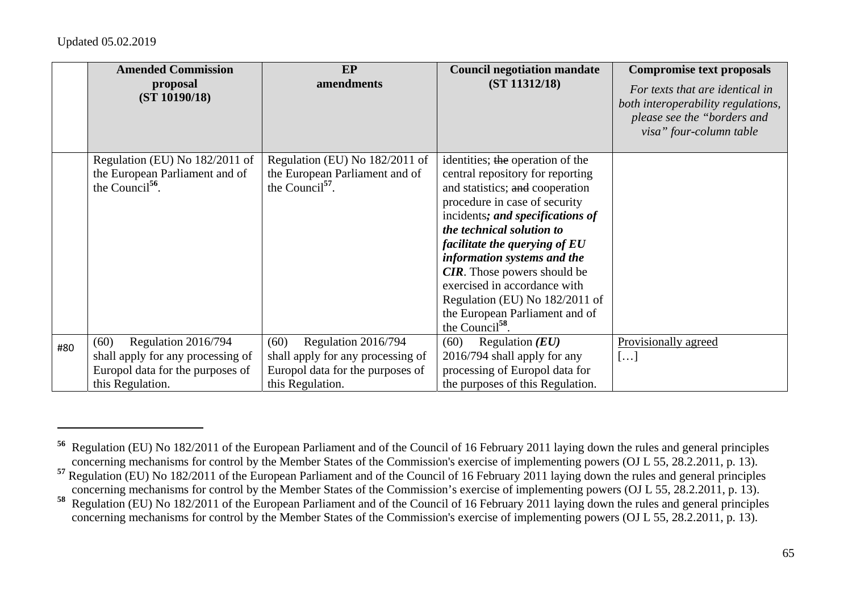|     | <b>Amended Commission</b>         | <b>EP</b>                         | <b>Council negotiation mandate</b>                                  | <b>Compromise text proposals</b>                                                                                                |
|-----|-----------------------------------|-----------------------------------|---------------------------------------------------------------------|---------------------------------------------------------------------------------------------------------------------------------|
|     | proposal<br>(ST 10190/18)         | amendments                        | (ST 11312/18)                                                       | For texts that are identical in<br>both interoperability regulations,<br>please see the "borders and<br>visa" four-column table |
|     | Regulation (EU) No 182/2011 of    | Regulation (EU) No 182/2011 of    | identities; the operation of the                                    |                                                                                                                                 |
|     | the European Parliament and of    | the European Parliament and of    | central repository for reporting                                    |                                                                                                                                 |
|     | the Council $^{56}$ .             | the Council $^{57}$ .             | and statistics; and cooperation                                     |                                                                                                                                 |
|     |                                   |                                   | procedure in case of security                                       |                                                                                                                                 |
|     |                                   |                                   | incidents; and specifications of                                    |                                                                                                                                 |
|     |                                   |                                   | the technical solution to                                           |                                                                                                                                 |
|     |                                   |                                   | facilitate the querying of EU                                       |                                                                                                                                 |
|     |                                   |                                   | information systems and the                                         |                                                                                                                                 |
|     |                                   |                                   | <b>CIR</b> . Those powers should be<br>exercised in accordance with |                                                                                                                                 |
|     |                                   |                                   | Regulation (EU) No 182/2011 of                                      |                                                                                                                                 |
|     |                                   |                                   | the European Parliament and of                                      |                                                                                                                                 |
|     |                                   |                                   | the Council <sup>58</sup> .                                         |                                                                                                                                 |
| #80 | (60)<br>Regulation 2016/794       | Regulation 2016/794<br>(60)       | (60)<br>Regulation $(EU)$                                           | Provisionally agreed                                                                                                            |
|     | shall apply for any processing of | shall apply for any processing of | 2016/794 shall apply for any                                        | []                                                                                                                              |
|     | Europol data for the purposes of  | Europol data for the purposes of  | processing of Europol data for                                      |                                                                                                                                 |
|     | this Regulation.                  | this Regulation.                  | the purposes of this Regulation.                                    |                                                                                                                                 |

**<sup>56</sup>** Regulation (EU) No 182/2011 of the European Parliament and of the Council of 16 February 2011 laying down the rules and general principles concerning mechanisms for control by the Member States of the Commission's exercise of implementing powers (OJ L 55, 28.2.2011, p. 13).

**<sup>57</sup>** Regulation (EU) No 182/2011 of the European Parliament and of the Council of 16 February 2011 laying down the rules and general principles concerning mechanisms for control by the Member States of the Commission's exercise of implementing powers (OJ L 55, 28.2.2011, p. 13).

**<sup>58</sup>** Regulation (EU) No 182/2011 of the European Parliament and of the Council of 16 February 2011 laying down the rules and general principles concerning mechanisms for control by the Member States of the Commission's exercise of implementing powers (OJ L 55, 28.2.2011, p. 13).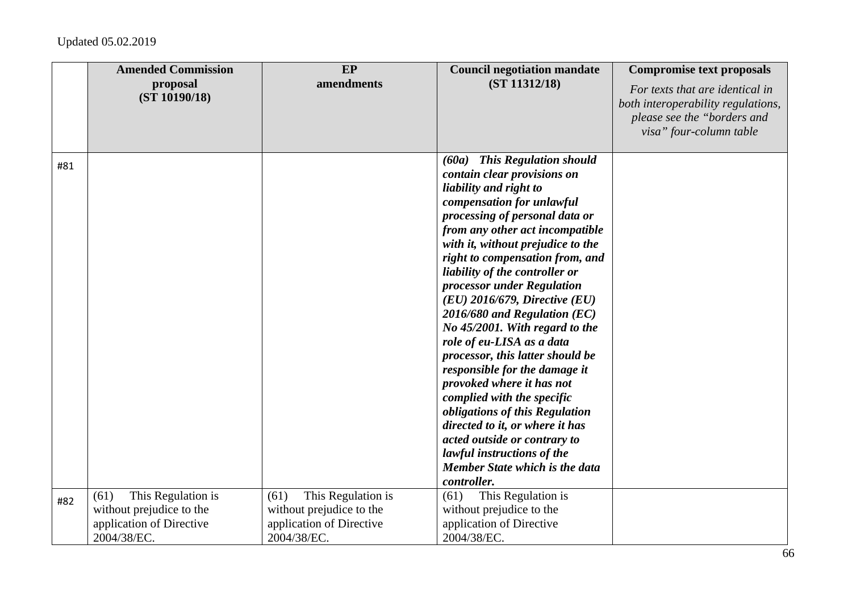|     | <b>Amended Commission</b><br>proposal<br>(ST 10190/18)                                            | EP<br>amendments                                                                                  | <b>Council negotiation mandate</b><br>(ST 11312/18)                                                                                                                                                                                                                                                                                                                                                                                                                                                                                                                                                                                                                                                                                                                                       | <b>Compromise text proposals</b><br>For texts that are identical in<br>both interoperability regulations,<br>please see the "borders and<br>visa" four-column table |
|-----|---------------------------------------------------------------------------------------------------|---------------------------------------------------------------------------------------------------|-------------------------------------------------------------------------------------------------------------------------------------------------------------------------------------------------------------------------------------------------------------------------------------------------------------------------------------------------------------------------------------------------------------------------------------------------------------------------------------------------------------------------------------------------------------------------------------------------------------------------------------------------------------------------------------------------------------------------------------------------------------------------------------------|---------------------------------------------------------------------------------------------------------------------------------------------------------------------|
| #81 |                                                                                                   |                                                                                                   | (60a) This Regulation should<br>contain clear provisions on<br>liability and right to<br>compensation for unlawful<br>processing of personal data or<br>from any other act incompatible<br>with it, without prejudice to the<br>right to compensation from, and<br>liability of the controller or<br>processor under Regulation<br>$(EU)$ 2016/679, Directive $(EU)$<br>$2016/680$ and Regulation (EC)<br>No 45/2001. With regard to the<br>role of eu-LISA as a data<br>processor, this latter should be<br>responsible for the damage it<br>provoked where it has not<br>complied with the specific<br>obligations of this Regulation<br>directed to it, or where it has<br>acted outside or contrary to<br>lawful instructions of the<br>Member State which is the data<br>controller. |                                                                                                                                                                     |
| #82 | (61)<br>This Regulation is<br>without prejudice to the<br>application of Directive<br>2004/38/EC. | This Regulation is<br>(61)<br>without prejudice to the<br>application of Directive<br>2004/38/EC. | This Regulation is<br>(61)<br>without prejudice to the<br>application of Directive<br>2004/38/EC.                                                                                                                                                                                                                                                                                                                                                                                                                                                                                                                                                                                                                                                                                         |                                                                                                                                                                     |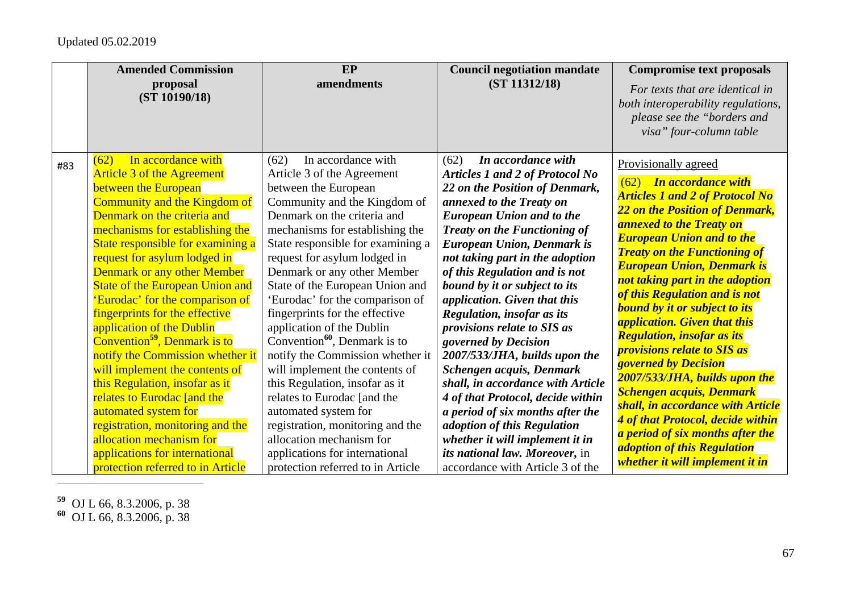|     | <b>Amended Commission</b><br>proposal<br>(ST 10190/18)                                                                                                                                                                                                                                                                                                                                                                                                                                                                                                                                                                                                                                                                                                                                             | EP<br>amendments                                                                                                                                                                                                                                                                                                                                                                                                                                                                                                                                                                                                                                                                                                                                                        | <b>Council negotiation mandate</b><br>(ST 11312/18)                                                                                                                                                                                                                                                                                                                                                                                                                                                                                                                                                                                                                                                                                                                                             | <b>Compromise text proposals</b><br>For texts that are identical in<br>both interoperability regulations,<br>please see the "borders and<br>visa" four-column table                                                                                                                                                                                                                                                                                                                                                                                                                                                                                                                                                                                                                                                  |
|-----|----------------------------------------------------------------------------------------------------------------------------------------------------------------------------------------------------------------------------------------------------------------------------------------------------------------------------------------------------------------------------------------------------------------------------------------------------------------------------------------------------------------------------------------------------------------------------------------------------------------------------------------------------------------------------------------------------------------------------------------------------------------------------------------------------|-------------------------------------------------------------------------------------------------------------------------------------------------------------------------------------------------------------------------------------------------------------------------------------------------------------------------------------------------------------------------------------------------------------------------------------------------------------------------------------------------------------------------------------------------------------------------------------------------------------------------------------------------------------------------------------------------------------------------------------------------------------------------|-------------------------------------------------------------------------------------------------------------------------------------------------------------------------------------------------------------------------------------------------------------------------------------------------------------------------------------------------------------------------------------------------------------------------------------------------------------------------------------------------------------------------------------------------------------------------------------------------------------------------------------------------------------------------------------------------------------------------------------------------------------------------------------------------|----------------------------------------------------------------------------------------------------------------------------------------------------------------------------------------------------------------------------------------------------------------------------------------------------------------------------------------------------------------------------------------------------------------------------------------------------------------------------------------------------------------------------------------------------------------------------------------------------------------------------------------------------------------------------------------------------------------------------------------------------------------------------------------------------------------------|
| #83 | In accordance with<br>(62)<br><b>Article 3 of the Agreement</b><br>between the European<br>Community and the Kingdom of<br>Denmark on the criteria and<br>mechanisms for establishing the<br>State responsible for examining a<br>request for asylum lodged in<br><b>Denmark or any other Member</b><br><b>State of the European Union and</b><br>'Eurodac' for the comparison of<br>fingerprints for the effective<br>application of the Dublin<br>Convention <sup>59</sup> , Denmark is to<br>notify the Commission whether it<br>will implement the contents of<br>this Regulation, insofar as it<br>relates to Eurodac [and the<br>automated system for<br>registration, monitoring and the<br>allocation mechanism for<br>applications for international<br>protection referred to in Article | In accordance with<br>(62)<br>Article 3 of the Agreement<br>between the European<br>Community and the Kingdom of<br>Denmark on the criteria and<br>mechanisms for establishing the<br>State responsible for examining a<br>request for asylum lodged in<br>Denmark or any other Member<br>State of the European Union and<br>'Eurodac' for the comparison of<br>fingerprints for the effective<br>application of the Dublin<br>Convention $^{60}$ , Denmark is to<br>notify the Commission whether it<br>will implement the contents of<br>this Regulation, insofar as it<br>relates to Eurodac [and the<br>automated system for<br>registration, monitoring and the<br>allocation mechanism for<br>applications for international<br>protection referred to in Article | In accordance with<br>(62)<br>Articles 1 and 2 of Protocol No<br>22 on the Position of Denmark,<br>annexed to the Treaty on<br><b>European Union and to the</b><br><b>Treaty on the Functioning of</b><br><b>European Union, Denmark is</b><br>not taking part in the adoption<br>of this Regulation and is not<br>bound by it or subject to its<br>application. Given that this<br><b>Regulation, insofar as its</b><br>provisions relate to SIS as<br>governed by Decision<br>2007/533/JHA, builds upon the<br>Schengen acquis, Denmark<br>shall, in accordance with Article<br>4 of that Protocol, decide within<br>a period of six months after the<br>adoption of this Regulation<br>whether it will implement it in<br>its national law. Moreover, in<br>accordance with Article 3 of the | Provisionally agreed<br>(62) In accordance with<br><b>Articles 1 and 2 of Protocol No</b><br>22 on the Position of Denmark,<br><b>annexed to the Treaty on</b><br><b>European Union and to the</b><br><b>Treaty on the Functioning of</b><br><b>European Union, Denmark is</b><br>not taking part in the adoption<br>of this Regulation and is not<br><b>bound by it or subject to its</b><br><i><b>application. Given that this</b></i><br><b>Regulation, insofar as its</b><br><i><b>provisions relate to SIS as</b></i><br><b>governed by Decision</b><br>2007/533/JHA, builds upon the<br><b>Schengen acquis, Denmark</b><br>shall, in accordance with Article<br>4 of that Protocol, decide within<br>a period of six months after the<br><i>adoption of this Regulation</i><br>whether it will implement it in |

**<sup>59</sup>** OJ L 66, 8.3.2006, p. 38

**<sup>60</sup>** OJ L 66, 8.3.2006, p. 38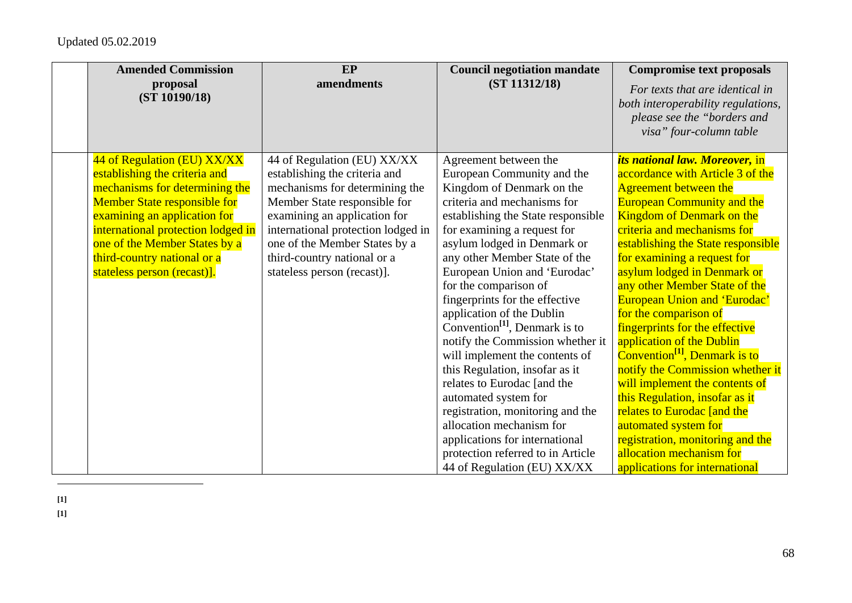| <b>Amended Commission</b><br>proposal | EP<br>amendments                   | <b>Council negotiation mandate</b><br>(ST 11312/18) | <b>Compromise text proposals</b><br>For texts that are identical in |
|---------------------------------------|------------------------------------|-----------------------------------------------------|---------------------------------------------------------------------|
| (ST 10190/18)                         |                                    |                                                     | both interoperability regulations,                                  |
|                                       |                                    |                                                     | please see the "borders and                                         |
|                                       |                                    |                                                     | visa" four-column table                                             |
|                                       |                                    |                                                     |                                                                     |
| 44 of Regulation (EU) XX/XX           | 44 of Regulation (EU) XX/XX        | Agreement between the                               | its national law. Moreover, in                                      |
| establishing the criteria and         | establishing the criteria and      | European Community and the                          | accordance with Article 3 of the                                    |
| mechanisms for determining the        | mechanisms for determining the     | Kingdom of Denmark on the                           | <b>Agreement between the</b>                                        |
| <b>Member State responsible for</b>   | Member State responsible for       | criteria and mechanisms for                         | <b>European Community and the</b>                                   |
| examining an application for          | examining an application for       | establishing the State responsible                  | <b>Kingdom of Denmark on the</b>                                    |
| international protection lodged in    | international protection lodged in | for examining a request for                         | criteria and mechanisms for                                         |
| one of the Member States by a         | one of the Member States by a      | asylum lodged in Denmark or                         | establishing the State responsible                                  |
| third-country national or a           | third-country national or a        | any other Member State of the                       | for examining a request for                                         |
| stateless person (recast)].           | stateless person (recast)].        | European Union and 'Eurodac'                        | asylum lodged in Denmark or                                         |
|                                       |                                    | for the comparison of                               | any other Member State of the                                       |
|                                       |                                    | fingerprints for the effective                      | <b>European Union and 'Eurodac'</b>                                 |
|                                       |                                    | application of the Dublin                           | for the comparison of                                               |
|                                       |                                    | Convention <sup>[1]</sup> , Denmark is to           | fingerprints for the effective                                      |
|                                       |                                    | notify the Commission whether it                    | application of the Dublin                                           |
|                                       |                                    | will implement the contents of                      | Convention <sup>[1]</sup> , Denmark is to                           |
|                                       |                                    | this Regulation, insofar as it                      | notify the Commission whether it                                    |
|                                       |                                    | relates to Eurodac [and the                         | will implement the contents of                                      |
|                                       |                                    | automated system for                                | this Regulation, insofar as it                                      |
|                                       |                                    | registration, monitoring and the                    | relates to Eurodac [and the                                         |
|                                       |                                    | allocation mechanism for                            | automated system for                                                |
|                                       |                                    | applications for international                      | registration, monitoring and the                                    |
|                                       |                                    | protection referred to in Article                   | allocation mechanism for                                            |
|                                       |                                    | 44 of Regulation (EU) XX/XX                         | applications for international                                      |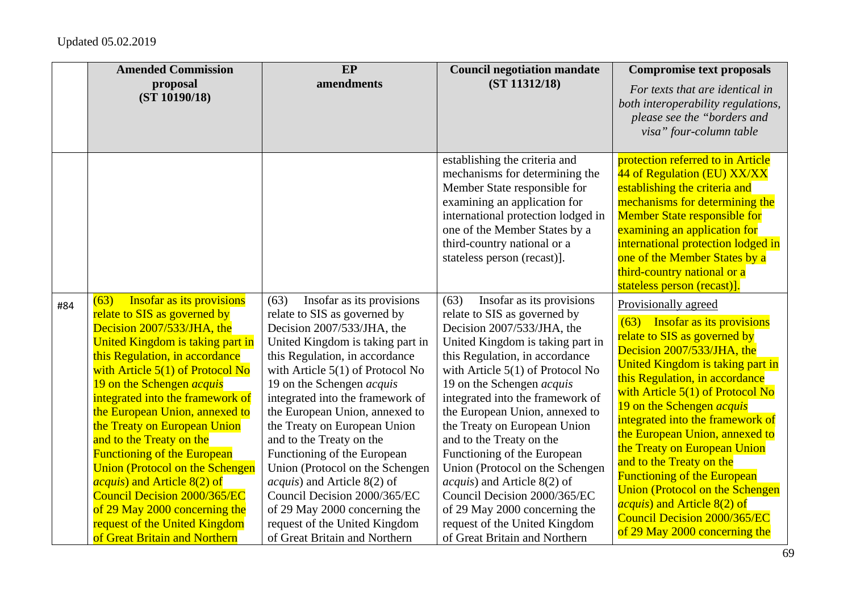|     | <b>Amended Commission</b><br>proposal                                                                                                                                                                                                                                                                                                                                                                                                                                                                                                                                                                                                                     | EP<br>amendments                                                                                                                                                                                                                                                                                                                                                                                                                                                                                                                                                                                                              | <b>Council negotiation mandate</b><br>(ST 11312/18)                                                                                                                                                                                                                                                                                                                                                                                                                                                                                                                                                                           | <b>Compromise text proposals</b>                                                                                                                                                                                                                                                                                                                                                                                                                                                                                                                                                               |
|-----|-----------------------------------------------------------------------------------------------------------------------------------------------------------------------------------------------------------------------------------------------------------------------------------------------------------------------------------------------------------------------------------------------------------------------------------------------------------------------------------------------------------------------------------------------------------------------------------------------------------------------------------------------------------|-------------------------------------------------------------------------------------------------------------------------------------------------------------------------------------------------------------------------------------------------------------------------------------------------------------------------------------------------------------------------------------------------------------------------------------------------------------------------------------------------------------------------------------------------------------------------------------------------------------------------------|-------------------------------------------------------------------------------------------------------------------------------------------------------------------------------------------------------------------------------------------------------------------------------------------------------------------------------------------------------------------------------------------------------------------------------------------------------------------------------------------------------------------------------------------------------------------------------------------------------------------------------|------------------------------------------------------------------------------------------------------------------------------------------------------------------------------------------------------------------------------------------------------------------------------------------------------------------------------------------------------------------------------------------------------------------------------------------------------------------------------------------------------------------------------------------------------------------------------------------------|
|     | (ST 10190/18)                                                                                                                                                                                                                                                                                                                                                                                                                                                                                                                                                                                                                                             |                                                                                                                                                                                                                                                                                                                                                                                                                                                                                                                                                                                                                               |                                                                                                                                                                                                                                                                                                                                                                                                                                                                                                                                                                                                                               | For texts that are identical in<br>both interoperability regulations,<br>please see the "borders and<br>visa" four-column table                                                                                                                                                                                                                                                                                                                                                                                                                                                                |
|     |                                                                                                                                                                                                                                                                                                                                                                                                                                                                                                                                                                                                                                                           |                                                                                                                                                                                                                                                                                                                                                                                                                                                                                                                                                                                                                               | establishing the criteria and<br>mechanisms for determining the<br>Member State responsible for<br>examining an application for<br>international protection lodged in<br>one of the Member States by a<br>third-country national or a<br>stateless person (recast)].                                                                                                                                                                                                                                                                                                                                                          | protection referred to in Article<br>44 of Regulation (EU) XX/XX<br>establishing the criteria and<br>mechanisms for determining the<br><b>Member State responsible for</b><br>examining an application for<br>international protection lodged in<br>one of the Member States by a<br>third-country national or a<br>stateless person (recast)].                                                                                                                                                                                                                                                |
| #84 | <b>Insofar as its provisions</b><br>(63)<br>relate to SIS as governed by<br>Decision 2007/533/JHA, the<br>United Kingdom is taking part in<br>this Regulation, in accordance<br>with Article $5(1)$ of Protocol No<br>19 on the Schengen <i>acquis</i><br>integrated into the framework of<br>the European Union, annexed to<br>the Treaty on European Union<br>and to the Treaty on the<br><b>Functioning of the European</b><br><b>Union (Protocol on the Schengen</b><br><i>acquis</i> ) and Article 8(2) of<br><b>Council Decision 2000/365/EC</b><br>of 29 May 2000 concerning the<br>request of the United Kingdom<br>of Great Britain and Northern | (63)<br>Insofar as its provisions<br>relate to SIS as governed by<br>Decision 2007/533/JHA, the<br>United Kingdom is taking part in<br>this Regulation, in accordance<br>with Article $5(1)$ of Protocol No<br>19 on the Schengen <i>acquis</i><br>integrated into the framework of<br>the European Union, annexed to<br>the Treaty on European Union<br>and to the Treaty on the<br>Functioning of the European<br>Union (Protocol on the Schengen<br><i>acquis</i> ) and Article 8(2) of<br>Council Decision 2000/365/EC<br>of 29 May 2000 concerning the<br>request of the United Kingdom<br>of Great Britain and Northern | (63)<br>Insofar as its provisions<br>relate to SIS as governed by<br>Decision 2007/533/JHA, the<br>United Kingdom is taking part in<br>this Regulation, in accordance<br>with Article $5(1)$ of Protocol No<br>19 on the Schengen <i>acquis</i><br>integrated into the framework of<br>the European Union, annexed to<br>the Treaty on European Union<br>and to the Treaty on the<br>Functioning of the European<br>Union (Protocol on the Schengen<br><i>acquis</i> ) and Article 8(2) of<br>Council Decision 2000/365/EC<br>of 29 May 2000 concerning the<br>request of the United Kingdom<br>of Great Britain and Northern | Provisionally agreed<br>(63) Insofar as its provisions<br>relate to SIS as governed by<br>Decision 2007/533/JHA, the<br>United Kingdom is taking part in<br>this Regulation, in accordance<br>with Article $5(1)$ of Protocol No<br>19 on the Schengen <i>acquis</i><br>integrated into the framework of<br>the European Union, annexed to<br>the Treaty on European Union<br>and to the Treaty on the<br><b>Functioning of the European</b><br><b>Union (Protocol on the Schengen</b><br><i>acquis</i> ) and Article 8(2) of<br>Council Decision 2000/365/EC<br>of 29 May 2000 concerning the |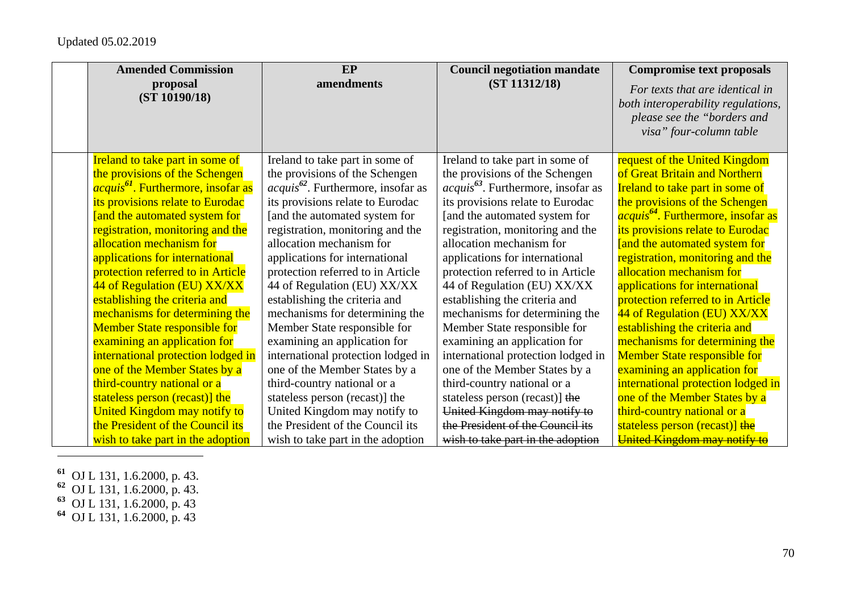| <b>Amended Commission</b>                            | <b>EP</b>                               | <b>Council negotiation mandate</b>      | <b>Compromise text proposals</b>               |
|------------------------------------------------------|-----------------------------------------|-----------------------------------------|------------------------------------------------|
| proposal                                             | amendments                              | (ST 11312/18)                           | For texts that are identical in                |
| (ST 10190/18)                                        |                                         |                                         | both interoperability regulations,             |
|                                                      |                                         |                                         | please see the "borders and                    |
|                                                      |                                         |                                         | visa" four-column table                        |
|                                                      |                                         |                                         |                                                |
| <b>Ireland to take part in some of</b>               | Ireland to take part in some of         | Ireland to take part in some of         | request of the United Kingdom                  |
| the provisions of the Schengen                       | the provisions of the Schengen          | the provisions of the Schengen          | of Great Britain and Northern                  |
| <i>acquis<sup>61</sup></i> . Furthermore, insofar as | $acquis^{62}$ . Furthermore, insofar as | $acquis^{63}$ . Furthermore, insofar as | Ireland to take part in some of                |
| its provisions relate to Eurodac                     | its provisions relate to Eurodac        | its provisions relate to Eurodac        | the provisions of the Schengen                 |
| [and the automated system for                        | [and the automated system for           | [and the automated system for           | acquis <sup>64</sup> . Furthermore, insofar as |
| registration, monitoring and the                     | registration, monitoring and the        | registration, monitoring and the        | its provisions relate to Eurodac               |
| allocation mechanism for                             | allocation mechanism for                | allocation mechanism for                | [and the automated system for                  |
| applications for international                       | applications for international          | applications for international          | registration, monitoring and the               |
| protection referred to in Article                    | protection referred to in Article       | protection referred to in Article       | allocation mechanism for                       |
| 44 of Regulation (EU) XX/XX                          | 44 of Regulation (EU) XX/XX             | 44 of Regulation (EU) XX/XX             | applications for international                 |
| establishing the criteria and                        | establishing the criteria and           | establishing the criteria and           | protection referred to in Article              |
| mechanisms for determining the                       | mechanisms for determining the          | mechanisms for determining the          | 44 of Regulation (EU) XX/XX                    |
| <b>Member State responsible for</b>                  | Member State responsible for            | Member State responsible for            | establishing the criteria and                  |
| examining an application for                         | examining an application for            | examining an application for            | mechanisms for determining the                 |
| international protection lodged in                   | international protection lodged in      | international protection lodged in      | <b>Member State responsible for</b>            |
| one of the Member States by a                        | one of the Member States by a           | one of the Member States by a           | examining an application for                   |
| third-country national or a                          | third-country national or a             | third-country national or a             | international protection lodged in             |
| stateless person (recast)] the                       | stateless person (recast)] the          | stateless person (recast)] the          | one of the Member States by a                  |
| <b>United Kingdom may notify to</b>                  | United Kingdom may notify to            | United Kingdom may notify to            | third-country national or a                    |
| the President of the Council its                     | the President of the Council its        | the President of the Council its        | stateless person (recast)] the                 |
| wish to take part in the adoption                    | wish to take part in the adoption       | wish to take part in the adoption       | United Kingdom may notify to                   |

- **<sup>61</sup>** OJ L 131, 1.6.2000, p. 43.
- **<sup>62</sup>** OJ L 131, 1.6.2000, p. 43.
- **<sup>63</sup>** OJ L 131, 1.6.2000, p. 43
- **<sup>64</sup>** OJ L 131, 1.6.2000, p. 43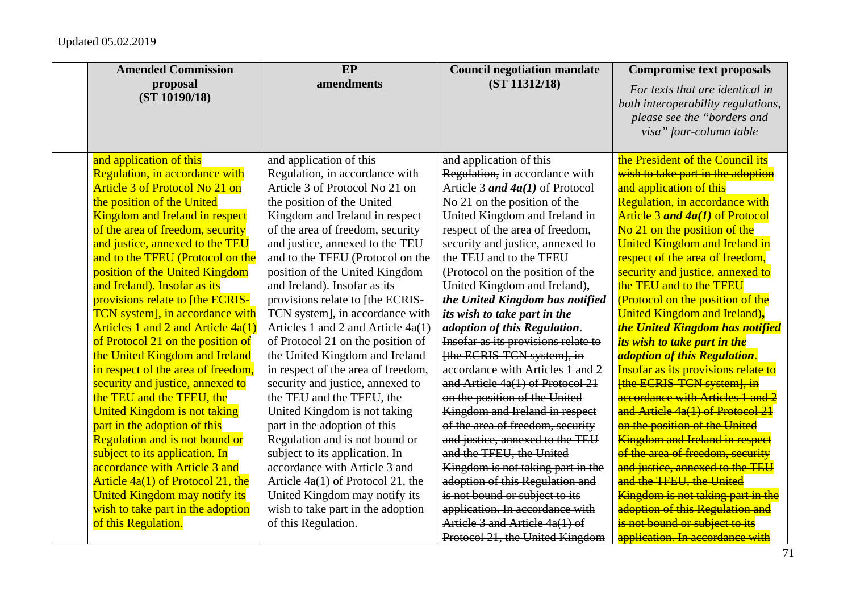| <b>Amended Commission</b>             | EP                                 | <b>Council negotiation mandate</b>  | <b>Compromise text proposals</b>      |
|---------------------------------------|------------------------------------|-------------------------------------|---------------------------------------|
| proposal                              | amendments                         | (ST 11312/18)                       | For texts that are identical in       |
| (ST 10190/18)                         |                                    |                                     | both interoperability regulations,    |
|                                       |                                    |                                     | please see the "borders and           |
|                                       |                                    |                                     | visa" four-column table               |
|                                       |                                    |                                     |                                       |
| and application of this               | and application of this            | and application of this             | the President of the Council its      |
| Regulation, in accordance with        | Regulation, in accordance with     | Regulation, in accordance with      | wish to take part in the adoption     |
| <b>Article 3 of Protocol No 21 on</b> | Article 3 of Protocol No 21 on     | Article 3 and $4a(1)$ of Protocol   | and application of this               |
| the position of the United            | the position of the United         | No 21 on the position of the        | Regulation, in accordance with        |
| <b>Kingdom and Ireland in respect</b> | Kingdom and Ireland in respect     | United Kingdom and Ireland in       | Article 3 and 4a(1) of Protocol       |
| of the area of freedom, security      | of the area of freedom, security   | respect of the area of freedom,     | No 21 on the position of the          |
| and justice, annexed to the TEU       | and justice, annexed to the TEU    | security and justice, annexed to    | <b>United Kingdom and Ireland in</b>  |
| and to the TFEU (Protocol on the      | and to the TFEU (Protocol on the   | the TEU and to the TFEU             | respect of the area of freedom,       |
| position of the United Kingdom        | position of the United Kingdom     | (Protocol on the position of the    | security and justice, annexed to      |
| and Ireland). Insofar as its          | and Ireland). Insofar as its       | United Kingdom and Ireland),        | the TEU and to the TFEU               |
| provisions relate to [the ECRIS-      | provisions relate to [the ECRIS-   | the United Kingdom has notified     | (Protocol on the position of the      |
| TCN system], in accordance with       | TCN system], in accordance with    | its wish to take part in the        | United Kingdom and Ireland),          |
| Articles 1 and 2 and Article 4a(1)    | Articles 1 and 2 and Article 4a(1) | adoption of this Regulation.        | the United Kingdom has notified       |
| of Protocol 21 on the position of     | of Protocol 21 on the position of  | Insofar as its provisions relate to | its wish to take part in the          |
| the United Kingdom and Ireland        | the United Kingdom and Ireland     | [the ECRIS-TCN system], in          | adoption of this Regulation.          |
| in respect of the area of freedom,    | in respect of the area of freedom, | accordance with Articles 1 and 2    | Insofar as its provisions relate to   |
| security and justice, annexed to      | security and justice, annexed to   | and Article $4a(1)$ of Protocol 21  | [the ECRIS-TCN system], in            |
| the TEU and the TFEU, the             | the TEU and the TFEU, the          | on the position of the United       | accordance with Articles 1 and 2      |
| <b>United Kingdom is not taking</b>   | United Kingdom is not taking       | Kingdom and Ireland in respect      | and Article 4a(1) of Protocol 21      |
| part in the adoption of this          | part in the adoption of this       | of the area of freedom, security    | on the position of the United         |
| <b>Regulation and is not bound or</b> | Regulation and is not bound or     | and justice, annexed to the TEU     | <b>Kingdom and Ireland in respect</b> |
| subject to its application. In        | subject to its application. In     | and the TFEU, the United            | of the area of freedom, security      |
| accordance with Article 3 and         | accordance with Article 3 and      | Kingdom is not taking part in the   | and justice, annexed to the TEU       |
| Article $4a(1)$ of Protocol 21, the   | Article 4a(1) of Protocol 21, the  | adoption of this Regulation and     | and the TFEU, the United              |
| United Kingdom may notify its         | United Kingdom may notify its      | is not bound or subject to its      | Kingdom is not taking part in the     |
| wish to take part in the adoption     | wish to take part in the adoption  | application. In accordance with     | adoption of this Regulation and       |
| of this Regulation.                   | of this Regulation.                | Article 3 and Article 4a(1) of      | is not bound or subject to its        |
|                                       |                                    | Protocol 21, the United Kingdom     | application. In accordance with       |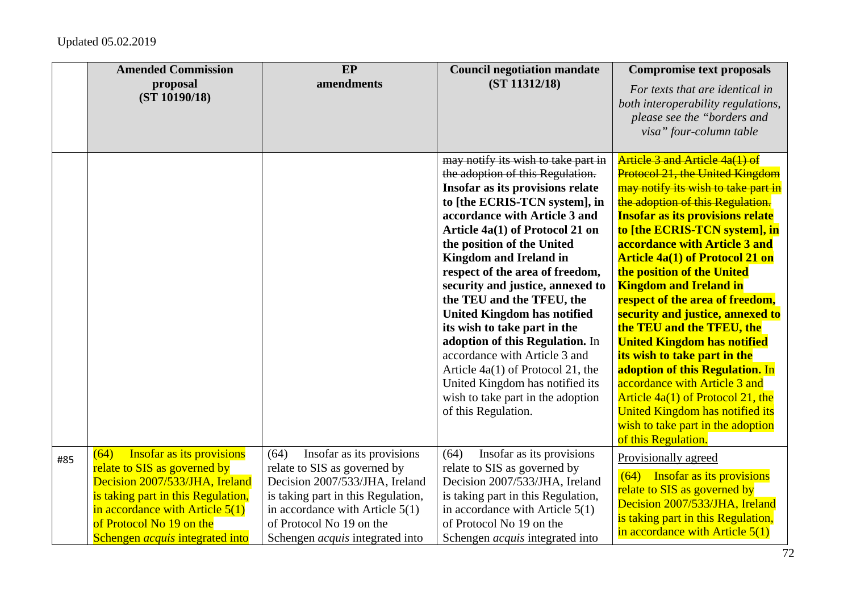|     | <b>Amended Commission</b><br>proposal<br>(ST 10190/18)                                                                                                                                                                                               | EP<br>amendments                                                                                                                                                                                                                                     | <b>Council negotiation mandate</b><br>(ST 11312/18)                                                                                                                                                                                                                                                                                                                                                                                                                                                                                                                                                                                                               | <b>Compromise text proposals</b><br>For texts that are identical in<br>both interoperability regulations,<br>please see the "borders and<br>visa" four-column table                                                                                                                                                                                                                                                                                                                                                                                                                                                                                                                                                                                         |
|-----|------------------------------------------------------------------------------------------------------------------------------------------------------------------------------------------------------------------------------------------------------|------------------------------------------------------------------------------------------------------------------------------------------------------------------------------------------------------------------------------------------------------|-------------------------------------------------------------------------------------------------------------------------------------------------------------------------------------------------------------------------------------------------------------------------------------------------------------------------------------------------------------------------------------------------------------------------------------------------------------------------------------------------------------------------------------------------------------------------------------------------------------------------------------------------------------------|-------------------------------------------------------------------------------------------------------------------------------------------------------------------------------------------------------------------------------------------------------------------------------------------------------------------------------------------------------------------------------------------------------------------------------------------------------------------------------------------------------------------------------------------------------------------------------------------------------------------------------------------------------------------------------------------------------------------------------------------------------------|
|     |                                                                                                                                                                                                                                                      |                                                                                                                                                                                                                                                      | may notify its wish to take part in<br>the adoption of this Regulation.<br>Insofar as its provisions relate<br>to [the ECRIS-TCN system], in<br>accordance with Article 3 and<br>Article 4a(1) of Protocol 21 on<br>the position of the United<br><b>Kingdom and Ireland in</b><br>respect of the area of freedom,<br>security and justice, annexed to<br>the TEU and the TFEU, the<br><b>United Kingdom has notified</b><br>its wish to take part in the<br>adoption of this Regulation. In<br>accordance with Article 3 and<br>Article 4a(1) of Protocol 21, the<br>United Kingdom has notified its<br>wish to take part in the adoption<br>of this Regulation. | Article 3 and Article 4a(1) of<br><b>Protocol 21, the United Kingdom</b><br>may notify its wish to take part in<br>the adoption of this Regulation.<br><b>Insofar as its provisions relate</b><br>to [the ECRIS-TCN system], in<br>accordance with Article 3 and<br><b>Article 4a(1) of Protocol 21 on</b><br>the position of the United<br><b>Kingdom and Ireland in</b><br>respect of the area of freedom,<br>security and justice, annexed to<br>the TEU and the TFEU, the<br><b>United Kingdom has notified</b><br>its wish to take part in the<br>adoption of this Regulation. In<br>accordance with Article 3 and<br>Article 4a(1) of Protocol 21, the<br>United Kingdom has notified its<br>wish to take part in the adoption<br>of this Regulation. |
| #85 | Insofar as its provisions<br>(64)<br>relate to SIS as governed by<br>Decision 2007/533/JHA, Ireland<br>is taking part in this Regulation,<br>in accordance with Article $5(1)$<br>of Protocol No 19 on the<br>Schengen <i>acquis</i> integrated into | (64)<br>Insofar as its provisions<br>relate to SIS as governed by<br>Decision 2007/533/JHA, Ireland<br>is taking part in this Regulation,<br>in accordance with Article $5(1)$<br>of Protocol No 19 on the<br>Schengen <i>acquis</i> integrated into | (64)<br>Insofar as its provisions<br>relate to SIS as governed by<br>Decision 2007/533/JHA, Ireland<br>is taking part in this Regulation,<br>in accordance with Article $5(1)$<br>of Protocol No 19 on the<br>Schengen <i>acquis</i> integrated into                                                                                                                                                                                                                                                                                                                                                                                                              | Provisionally agreed<br>(64) Insofar as its provisions<br>relate to SIS as governed by<br>Decision 2007/533/JHA, Ireland<br>is taking part in this Regulation,<br>in accordance with Article $5(1)$                                                                                                                                                                                                                                                                                                                                                                                                                                                                                                                                                         |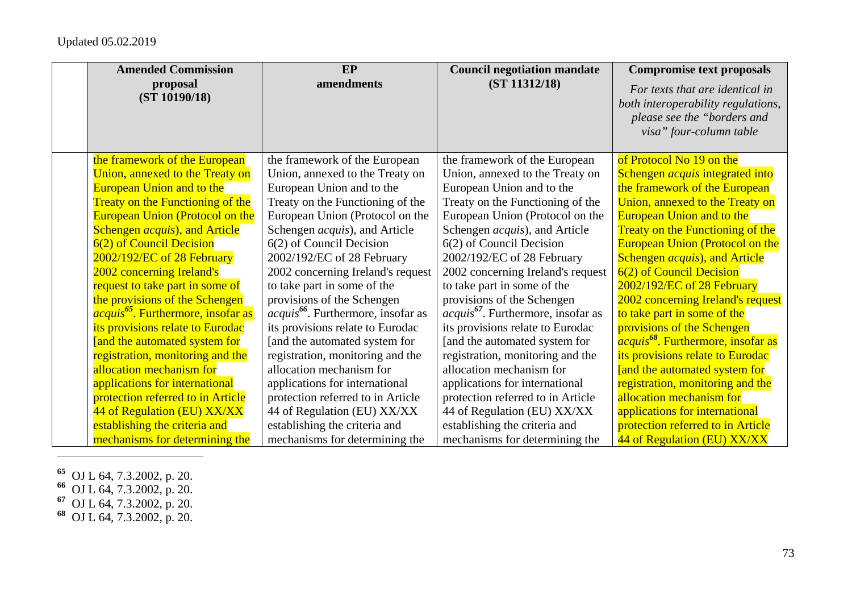| <b>Amended Commission</b>                            | EP                                             | <b>Council negotiation mandate</b>    | <b>Compromise text proposals</b>                     |
|------------------------------------------------------|------------------------------------------------|---------------------------------------|------------------------------------------------------|
| proposal                                             | amendments                                     | (ST 11312/18)                         | For texts that are identical in                      |
| (ST 10190/18)                                        |                                                |                                       | both interoperability regulations,                   |
|                                                      |                                                |                                       | please see the "borders and                          |
|                                                      |                                                |                                       | visa" four-column table                              |
|                                                      |                                                |                                       |                                                      |
| the framework of the European                        | the framework of the European                  | the framework of the European         | of Protocol No 19 on the                             |
| Union, annexed to the Treaty on                      | Union, annexed to the Treaty on                | Union, annexed to the Treaty on       | Schengen <i>acquis</i> integrated into               |
| <b>European Union and to the</b>                     | European Union and to the                      | European Union and to the             | the framework of the European                        |
| <b>Treaty on the Functioning of the</b>              | Treaty on the Functioning of the               | Treaty on the Functioning of the      | Union, annexed to the Treaty on                      |
| <b>European Union (Protocol on the</b>               | European Union (Protocol on the                | European Union (Protocol on the       | <b>European Union and to the</b>                     |
| <b>Schengen <i>acquis</i></b> ), and Article         | Schengen <i>acquis</i> ), and Article          | Schengen <i>acquis</i> ), and Article | <b>Treaty on the Functioning of the</b>              |
| 6(2) of Council Decision                             | 6(2) of Council Decision                       | 6(2) of Council Decision              | <b>European Union (Protocol on the</b>               |
| 2002/192/EC of 28 February                           | 2002/192/EC of 28 February                     | 2002/192/EC of 28 February            | Schengen <i>acquis</i> ), and Article                |
| 2002 concerning Ireland's                            | 2002 concerning Ireland's request              | 2002 concerning Ireland's request     | 6(2) of Council Decision                             |
| request to take part in some of                      | to take part in some of the                    | to take part in some of the           | 2002/192/EC of 28 February                           |
| the provisions of the Schengen                       | provisions of the Schengen                     | provisions of the Schengen            | 2002 concerning Ireland's request                    |
| <i>acquis<sup>65</sup></i> . Furthermore, insofar as | acquis <sup>66</sup> . Furthermore, insofar as | $acquis67$ . Furthermore, insofar as  | to take part in some of the                          |
| its provisions relate to Eurodac                     | its provisions relate to Eurodac               | its provisions relate to Eurodac      | provisions of the Schengen                           |
| [and the automated system for                        | [and the automated system for                  | [and the automated system for         | <i>acquis<sup>68</sup></i> . Furthermore, insofar as |
| registration, monitoring and the                     | registration, monitoring and the               | registration, monitoring and the      | its provisions relate to Eurodac                     |
| allocation mechanism for                             | allocation mechanism for                       | allocation mechanism for              | [and the automated system for                        |
| applications for international                       | applications for international                 | applications for international        | registration, monitoring and the                     |
| protection referred to in Article                    | protection referred to in Article              | protection referred to in Article     | allocation mechanism for                             |
| 44 of Regulation (EU) XX/XX                          | 44 of Regulation (EU) XX/XX                    | 44 of Regulation (EU) XX/XX           | applications for international                       |
| establishing the criteria and                        | establishing the criteria and                  | establishing the criteria and         | protection referred to in Article                    |
| mechanisms for determining the                       | mechanisms for determining the                 | mechanisms for determining the        | 44 of Regulation (EU) XX/XX                          |

- **<sup>65</sup>** OJ L 64, 7.3.2002, p. 20.
- **<sup>66</sup>** OJ L 64, 7.3.2002, p. 20.
- **<sup>67</sup>** OJ L 64, 7.3.2002, p. 20.
- **<sup>68</sup>** OJ L 64, 7.3.2002, p. 20.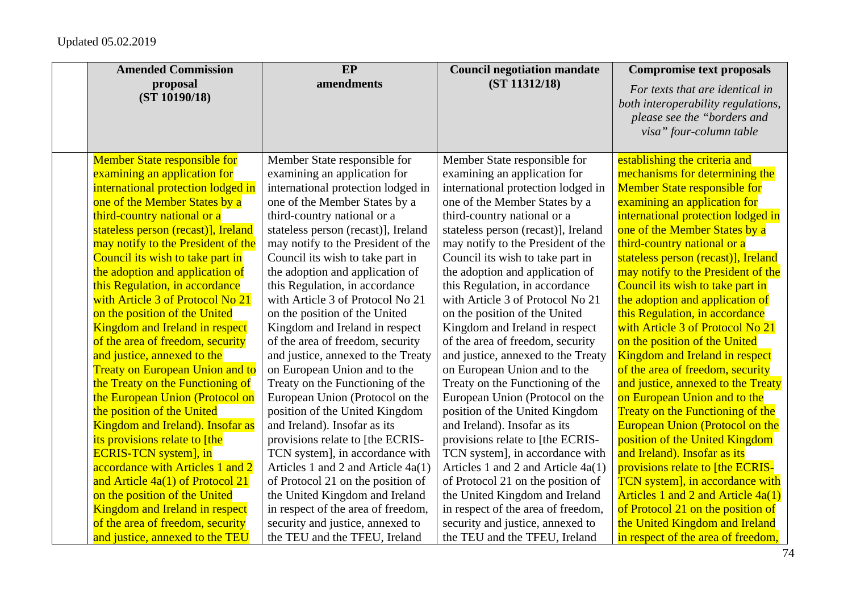| <b>Amended Commission</b>              | EP                                   | <b>Council negotiation mandate</b>  | <b>Compromise text proposals</b>                                                                                                |
|----------------------------------------|--------------------------------------|-------------------------------------|---------------------------------------------------------------------------------------------------------------------------------|
| proposal<br>(ST 10190/18)              | amendments                           | (ST 11312/18)                       | For texts that are identical in<br>both interoperability regulations,<br>please see the "borders and<br>visa" four-column table |
| <b>Member State responsible for</b>    | Member State responsible for         | Member State responsible for        | establishing the criteria and                                                                                                   |
| examining an application for           | examining an application for         | examining an application for        | mechanisms for determining the                                                                                                  |
| international protection lodged in     | international protection lodged in   | international protection lodged in  | <b>Member State responsible for</b>                                                                                             |
| one of the Member States by a          | one of the Member States by a        | one of the Member States by a       | examining an application for                                                                                                    |
| third-country national or a            | third-country national or a          | third-country national or a         | international protection lodged in                                                                                              |
| stateless person (recast)], Ireland    | stateless person (recast)], Ireland  | stateless person (recast)], Ireland | one of the Member States by a                                                                                                   |
| may notify to the President of the     | may notify to the President of the   | may notify to the President of the  | third-country national or a                                                                                                     |
| Council its wish to take part in       | Council its wish to take part in     | Council its wish to take part in    | stateless person (recast)], Ireland                                                                                             |
| the adoption and application of        | the adoption and application of      | the adoption and application of     | may notify to the President of the                                                                                              |
| this Regulation, in accordance         | this Regulation, in accordance       | this Regulation, in accordance      | Council its wish to take part in                                                                                                |
| with Article 3 of Protocol No 21       | with Article 3 of Protocol No 21     | with Article 3 of Protocol No 21    | the adoption and application of                                                                                                 |
| on the position of the United          | on the position of the United        | on the position of the United       | this Regulation, in accordance                                                                                                  |
| <b>Kingdom and Ireland in respect</b>  | Kingdom and Ireland in respect       | Kingdom and Ireland in respect      | with Article 3 of Protocol No 21                                                                                                |
| of the area of freedom, security       | of the area of freedom, security     | of the area of freedom, security    | on the position of the United                                                                                                   |
| and justice, annexed to the            | and justice, annexed to the Treaty   | and justice, annexed to the Treaty  | <b>Kingdom and Ireland in respect</b>                                                                                           |
| <b>Treaty on European Union and to</b> | on European Union and to the         | on European Union and to the        | of the area of freedom, security                                                                                                |
| the Treaty on the Functioning of       | Treaty on the Functioning of the     | Treaty on the Functioning of the    | and justice, annexed to the Treaty                                                                                              |
| the European Union (Protocol on        | European Union (Protocol on the      | European Union (Protocol on the     | on European Union and to the                                                                                                    |
| the position of the United             | position of the United Kingdom       | position of the United Kingdom      | <b>Treaty on the Functioning of the</b>                                                                                         |
| Kingdom and Ireland). Insofar as       | and Ireland). Insofar as its         | and Ireland). Insofar as its        | <b>European Union (Protocol on the</b>                                                                                          |
| its provisions relate to [the          | provisions relate to [the ECRIS-     | provisions relate to [the ECRIS-    | position of the United Kingdom                                                                                                  |
| <b>ECRIS-TCN</b> system], in           | TCN system], in accordance with      | TCN system], in accordance with     | and Ireland). Insofar as its                                                                                                    |
| accordance with Articles 1 and 2       | Articles 1 and 2 and Article $4a(1)$ | Articles 1 and 2 and Article 4a(1)  | provisions relate to [the ECRIS-                                                                                                |
| and Article 4a(1) of Protocol 21       | of Protocol 21 on the position of    | of Protocol 21 on the position of   | TCN system], in accordance with                                                                                                 |
| on the position of the United          | the United Kingdom and Ireland       | the United Kingdom and Ireland      | Articles 1 and 2 and Article 4a(1)                                                                                              |
| <b>Kingdom and Ireland in respect</b>  | in respect of the area of freedom,   | in respect of the area of freedom,  | of Protocol 21 on the position of                                                                                               |
| of the area of freedom, security       | security and justice, annexed to     | security and justice, annexed to    | the United Kingdom and Ireland                                                                                                  |
| and justice, annexed to the TEU        | the TEU and the TFEU, Ireland        | the TEU and the TFEU, Ireland       | in respect of the area of freedom,                                                                                              |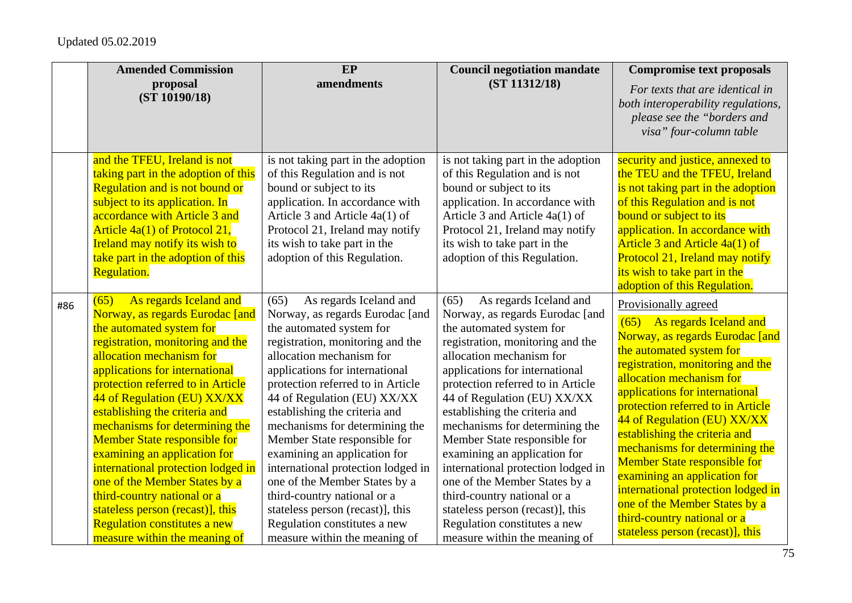|     | <b>Amended Commission</b>                                                                                                                                                                                                                                                                                                                                                                                                                                                                                                                                                                                                | EP                                                                                                                                                                                                                                                                                                                                                                                                                                                                                                                                                                                                                | <b>Council negotiation mandate</b>                                                                                                                                                                                                                                                                                                                                                                                                                                                                                                                                                                                | <b>Compromise text proposals</b>                                                                                                                                                                                                                                                                                                                                                                                                                                                                                                                                             |
|-----|--------------------------------------------------------------------------------------------------------------------------------------------------------------------------------------------------------------------------------------------------------------------------------------------------------------------------------------------------------------------------------------------------------------------------------------------------------------------------------------------------------------------------------------------------------------------------------------------------------------------------|-------------------------------------------------------------------------------------------------------------------------------------------------------------------------------------------------------------------------------------------------------------------------------------------------------------------------------------------------------------------------------------------------------------------------------------------------------------------------------------------------------------------------------------------------------------------------------------------------------------------|-------------------------------------------------------------------------------------------------------------------------------------------------------------------------------------------------------------------------------------------------------------------------------------------------------------------------------------------------------------------------------------------------------------------------------------------------------------------------------------------------------------------------------------------------------------------------------------------------------------------|------------------------------------------------------------------------------------------------------------------------------------------------------------------------------------------------------------------------------------------------------------------------------------------------------------------------------------------------------------------------------------------------------------------------------------------------------------------------------------------------------------------------------------------------------------------------------|
|     | proposal<br>(ST 10190/18)                                                                                                                                                                                                                                                                                                                                                                                                                                                                                                                                                                                                | amendments                                                                                                                                                                                                                                                                                                                                                                                                                                                                                                                                                                                                        | (ST 11312/18)                                                                                                                                                                                                                                                                                                                                                                                                                                                                                                                                                                                                     | For texts that are identical in<br>both interoperability regulations,<br>please see the "borders and<br>visa" four-column table                                                                                                                                                                                                                                                                                                                                                                                                                                              |
|     | and the TFEU, Ireland is not<br>taking part in the adoption of this<br>Regulation and is not bound or<br>subject to its application. In<br>accordance with Article 3 and<br>Article 4a(1) of Protocol 21,<br><b>Ireland may notify its wish to</b><br>take part in the adoption of this<br><b>Regulation.</b>                                                                                                                                                                                                                                                                                                            | is not taking part in the adoption<br>of this Regulation and is not<br>bound or subject to its<br>application. In accordance with<br>Article 3 and Article 4a(1) of<br>Protocol 21, Ireland may notify<br>its wish to take part in the<br>adoption of this Regulation.                                                                                                                                                                                                                                                                                                                                            | is not taking part in the adoption<br>of this Regulation and is not<br>bound or subject to its<br>application. In accordance with<br>Article 3 and Article 4a(1) of<br>Protocol 21, Ireland may notify<br>its wish to take part in the<br>adoption of this Regulation.                                                                                                                                                                                                                                                                                                                                            | security and justice, annexed to<br>the TEU and the TFEU, Ireland<br>is not taking part in the adoption<br>of this Regulation and is not<br>bound or subject to its<br>application. In accordance with<br>Article 3 and Article 4a(1) of<br>Protocol 21, Ireland may notify<br>its wish to take part in the<br>adoption of this Regulation.                                                                                                                                                                                                                                  |
| #86 | As regards Iceland and<br>(65)<br>Norway, as regards Eurodac [and<br>the automated system for<br>registration, monitoring and the<br>allocation mechanism for<br>applications for international<br>protection referred to in Article<br>44 of Regulation (EU) XX/XX<br>establishing the criteria and<br>mechanisms for determining the<br><b>Member State responsible for</b><br>examining an application for<br>international protection lodged in<br>one of the Member States by a<br>third-country national or a<br>stateless person (recast)], this<br>Regulation constitutes a new<br>measure within the meaning of | As regards Iceland and<br>(65)<br>Norway, as regards Eurodac [and<br>the automated system for<br>registration, monitoring and the<br>allocation mechanism for<br>applications for international<br>protection referred to in Article<br>44 of Regulation (EU) XX/XX<br>establishing the criteria and<br>mechanisms for determining the<br>Member State responsible for<br>examining an application for<br>international protection lodged in<br>one of the Member States by a<br>third-country national or a<br>stateless person (recast)], this<br>Regulation constitutes a new<br>measure within the meaning of | As regards Iceland and<br>(65)<br>Norway, as regards Eurodac [and<br>the automated system for<br>registration, monitoring and the<br>allocation mechanism for<br>applications for international<br>protection referred to in Article<br>44 of Regulation (EU) XX/XX<br>establishing the criteria and<br>mechanisms for determining the<br>Member State responsible for<br>examining an application for<br>international protection lodged in<br>one of the Member States by a<br>third-country national or a<br>stateless person (recast)], this<br>Regulation constitutes a new<br>measure within the meaning of | Provisionally agreed<br>(65) As regards Iceland and<br>Norway, as regards Eurodac [and<br>the automated system for<br>registration, monitoring and the<br>allocation mechanism for<br>applications for international<br>protection referred to in Article<br>44 of Regulation (EU) XX/XX<br>establishing the criteria and<br>mechanisms for determining the<br><b>Member State responsible for</b><br>examining an application for<br>international protection lodged in<br>one of the Member States by a<br>third-country national or a<br>stateless person (recast)], this |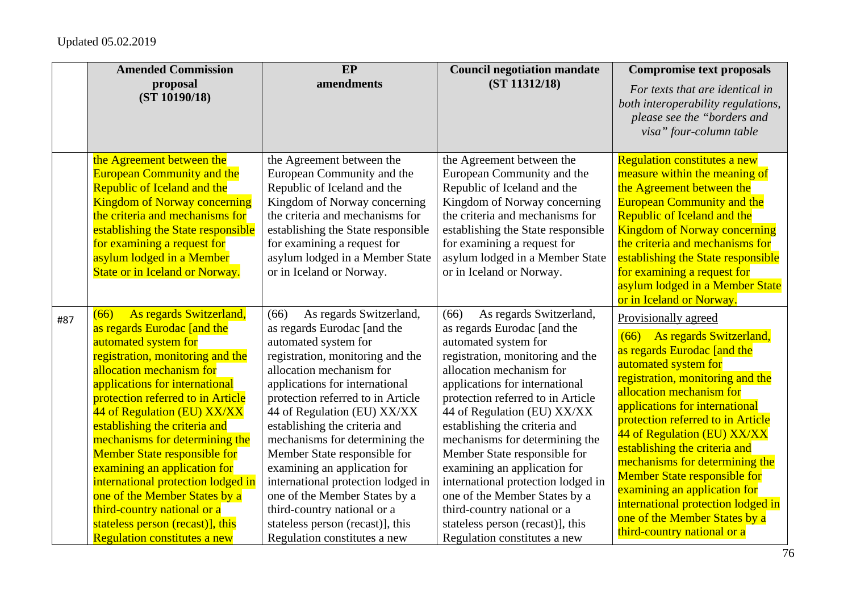|     | <b>Amended Commission</b>                                                                                                                                                                                                                                                                                                                                                                                                                                                                                                                                                               | EP                                                                                                                                                                                                                                                                                                                                                                                                                                                                                                                                                                        | <b>Council negotiation mandate</b>                                                                                                                                                                                                                                                                                                                                                                                                                                                                                                                                        | <b>Compromise text proposals</b>                                                                                                                                                                                                                                                                                                                                                                                                                                                                                                  |
|-----|-----------------------------------------------------------------------------------------------------------------------------------------------------------------------------------------------------------------------------------------------------------------------------------------------------------------------------------------------------------------------------------------------------------------------------------------------------------------------------------------------------------------------------------------------------------------------------------------|---------------------------------------------------------------------------------------------------------------------------------------------------------------------------------------------------------------------------------------------------------------------------------------------------------------------------------------------------------------------------------------------------------------------------------------------------------------------------------------------------------------------------------------------------------------------------|---------------------------------------------------------------------------------------------------------------------------------------------------------------------------------------------------------------------------------------------------------------------------------------------------------------------------------------------------------------------------------------------------------------------------------------------------------------------------------------------------------------------------------------------------------------------------|-----------------------------------------------------------------------------------------------------------------------------------------------------------------------------------------------------------------------------------------------------------------------------------------------------------------------------------------------------------------------------------------------------------------------------------------------------------------------------------------------------------------------------------|
|     | proposal<br>(ST 10190/18)                                                                                                                                                                                                                                                                                                                                                                                                                                                                                                                                                               | amendments                                                                                                                                                                                                                                                                                                                                                                                                                                                                                                                                                                | (ST 11312/18)                                                                                                                                                                                                                                                                                                                                                                                                                                                                                                                                                             | For texts that are identical in<br>both interoperability regulations,<br>please see the "borders and<br>visa" four-column table                                                                                                                                                                                                                                                                                                                                                                                                   |
|     | the Agreement between the<br><b>European Community and the</b><br>Republic of Iceland and the<br><b>Kingdom of Norway concerning</b><br>the criteria and mechanisms for<br>establishing the State responsible<br>for examining a request for<br>asylum lodged in a Member<br><b>State or in Iceland or Norway.</b>                                                                                                                                                                                                                                                                      | the Agreement between the<br>European Community and the<br>Republic of Iceland and the<br>Kingdom of Norway concerning<br>the criteria and mechanisms for<br>establishing the State responsible<br>for examining a request for<br>asylum lodged in a Member State<br>or in Iceland or Norway.                                                                                                                                                                                                                                                                             | the Agreement between the<br>European Community and the<br>Republic of Iceland and the<br>Kingdom of Norway concerning<br>the criteria and mechanisms for<br>establishing the State responsible<br>for examining a request for<br>asylum lodged in a Member State<br>or in Iceland or Norway.                                                                                                                                                                                                                                                                             | <b>Regulation constitutes a new</b><br>measure within the meaning of<br>the Agreement between the<br><b>European Community and the</b><br>Republic of Iceland and the<br><b>Kingdom of Norway concerning</b><br>the criteria and mechanisms for<br>establishing the State responsible<br>for examining a request for<br>asylum lodged in a Member State<br>or in Iceland or Norway.                                                                                                                                               |
| #87 | As regards Switzerland,<br>(66)<br>as regards Eurodac [and the<br>automated system for<br>registration, monitoring and the<br>allocation mechanism for<br>applications for international<br>protection referred to in Article<br>44 of Regulation (EU) XX/XX<br>establishing the criteria and<br>mechanisms for determining the<br><b>Member State responsible for</b><br>examining an application for<br>international protection lodged in<br>one of the Member States by a<br>third-country national or a<br>stateless person (recast)], this<br><b>Regulation constitutes a new</b> | As regards Switzerland,<br>(66)<br>as regards Eurodac [and the<br>automated system for<br>registration, monitoring and the<br>allocation mechanism for<br>applications for international<br>protection referred to in Article<br>44 of Regulation (EU) XX/XX<br>establishing the criteria and<br>mechanisms for determining the<br>Member State responsible for<br>examining an application for<br>international protection lodged in<br>one of the Member States by a<br>third-country national or a<br>stateless person (recast)], this<br>Regulation constitutes a new | As regards Switzerland,<br>(66)<br>as regards Eurodac [and the<br>automated system for<br>registration, monitoring and the<br>allocation mechanism for<br>applications for international<br>protection referred to in Article<br>44 of Regulation (EU) XX/XX<br>establishing the criteria and<br>mechanisms for determining the<br>Member State responsible for<br>examining an application for<br>international protection lodged in<br>one of the Member States by a<br>third-country national or a<br>stateless person (recast)], this<br>Regulation constitutes a new | Provisionally agreed<br>(66) As regards Switzerland,<br>as regards Eurodac [and the<br>automated system for<br>registration, monitoring and the<br>allocation mechanism for<br>applications for international<br>protection referred to in Article<br>44 of Regulation (EU) XX/XX<br>establishing the criteria and<br>mechanisms for determining the<br><b>Member State responsible for</b><br>examining an application for<br>international protection lodged in<br>one of the Member States by a<br>third-country national or a |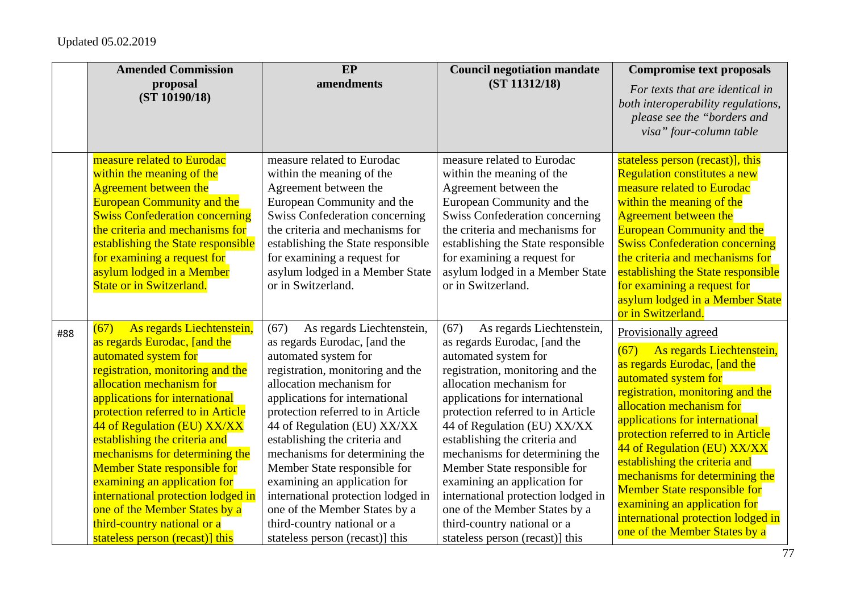|     | <b>Amended Commission</b>                                                                                                                                                                                                                                                                                                                                                                                                                                                                                                                          | EP                                                                                                                                                                                                                                                                                                                                                                                                                                                                                                                                          | <b>Council negotiation mandate</b>                                                                                                                                                                                                                                                                                                                                                                                                                                                                                                         | <b>Compromise text proposals</b>                                                                                                                                                                                                                                                                                                                                                                                                                                                                         |
|-----|----------------------------------------------------------------------------------------------------------------------------------------------------------------------------------------------------------------------------------------------------------------------------------------------------------------------------------------------------------------------------------------------------------------------------------------------------------------------------------------------------------------------------------------------------|---------------------------------------------------------------------------------------------------------------------------------------------------------------------------------------------------------------------------------------------------------------------------------------------------------------------------------------------------------------------------------------------------------------------------------------------------------------------------------------------------------------------------------------------|--------------------------------------------------------------------------------------------------------------------------------------------------------------------------------------------------------------------------------------------------------------------------------------------------------------------------------------------------------------------------------------------------------------------------------------------------------------------------------------------------------------------------------------------|----------------------------------------------------------------------------------------------------------------------------------------------------------------------------------------------------------------------------------------------------------------------------------------------------------------------------------------------------------------------------------------------------------------------------------------------------------------------------------------------------------|
|     | proposal<br>(ST 10190/18)                                                                                                                                                                                                                                                                                                                                                                                                                                                                                                                          | amendments                                                                                                                                                                                                                                                                                                                                                                                                                                                                                                                                  | (ST 11312/18)                                                                                                                                                                                                                                                                                                                                                                                                                                                                                                                              | For texts that are identical in<br>both interoperability regulations,<br>please see the "borders and<br>visa" four-column table                                                                                                                                                                                                                                                                                                                                                                          |
|     | measure related to Eurodac<br>within the meaning of the<br><b>Agreement between the</b><br><b>European Community and the</b><br><b>Swiss Confederation concerning</b><br>the criteria and mechanisms for<br>establishing the State responsible<br>for examining a request for<br>asylum lodged in a Member<br><b>State or in Switzerland.</b>                                                                                                                                                                                                      | measure related to Eurodac<br>within the meaning of the<br>Agreement between the<br>European Community and the<br><b>Swiss Confederation concerning</b><br>the criteria and mechanisms for<br>establishing the State responsible<br>for examining a request for<br>asylum lodged in a Member State<br>or in Switzerland.                                                                                                                                                                                                                    | measure related to Eurodac<br>within the meaning of the<br>Agreement between the<br>European Community and the<br><b>Swiss Confederation concerning</b><br>the criteria and mechanisms for<br>establishing the State responsible<br>for examining a request for<br>asylum lodged in a Member State<br>or in Switzerland.                                                                                                                                                                                                                   | stateless person (recast)], this<br>Regulation constitutes a new<br>measure related to Eurodac<br>within the meaning of the<br><b>Agreement between the</b><br><b>European Community and the</b><br><b>Swiss Confederation concerning</b><br>the criteria and mechanisms for<br>establishing the State responsible<br>for examining a request for<br>asylum lodged in a Member State<br>or in Switzerland.                                                                                               |
| #88 | As regards Liechtenstein,<br>(67)<br>as regards Eurodac, [and the<br>automated system for<br>registration, monitoring and the<br>allocation mechanism for<br>applications for international<br>protection referred to in Article<br>44 of Regulation (EU) XX/XX<br>establishing the criteria and<br>mechanisms for determining the<br><b>Member State responsible for</b><br>examining an application for<br>international protection lodged in<br>one of the Member States by a<br>third-country national or a<br>stateless person (recast)] this | As regards Liechtenstein,<br>(67)<br>as regards Eurodac, [and the<br>automated system for<br>registration, monitoring and the<br>allocation mechanism for<br>applications for international<br>protection referred to in Article<br>44 of Regulation (EU) XX/XX<br>establishing the criteria and<br>mechanisms for determining the<br>Member State responsible for<br>examining an application for<br>international protection lodged in<br>one of the Member States by a<br>third-country national or a<br>stateless person (recast)] this | As regards Liechtenstein,<br>(67)<br>as regards Eurodac, [and the<br>automated system for<br>registration, monitoring and the<br>allocation mechanism for<br>applications for international<br>protection referred to in Article<br>44 of Regulation (EU) XX/XX<br>establishing the criteria and<br>mechanisms for determining the<br>Member State responsible for<br>examining an application for<br>international protection lodged in<br>one of the Member States by a<br>third-country national or a<br>stateless person (recast) this | Provisionally agreed<br>(67)<br>As regards Liechtenstein,<br>as regards Eurodac, [and the<br>automated system for<br>registration, monitoring and the<br>allocation mechanism for<br>applications for international<br>protection referred to in Article<br>44 of Regulation (EU) XX/XX<br>establishing the criteria and<br>mechanisms for determining the<br><b>Member State responsible for</b><br>examining an application for<br>international protection lodged in<br>one of the Member States by a |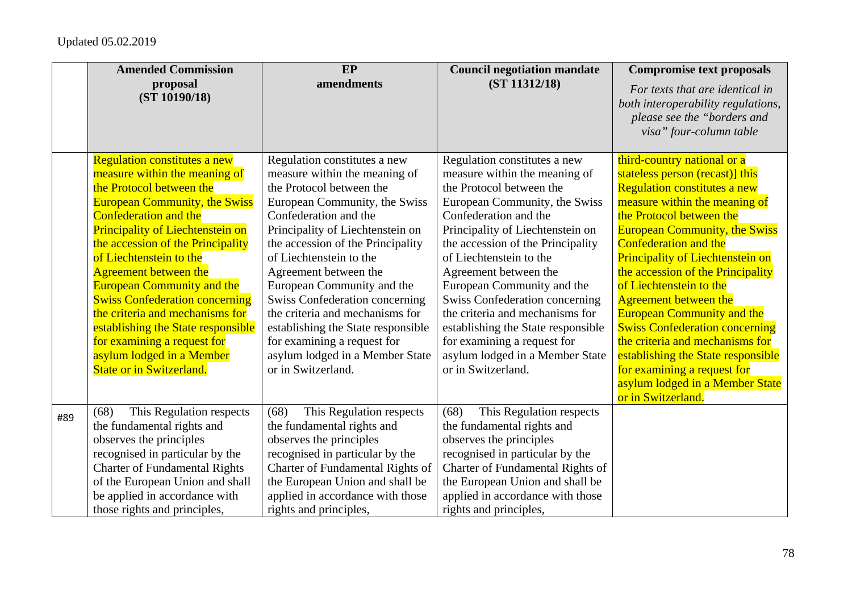|     | <b>Amended Commission</b>                                                                                                                                                                                                                                                                                                                                                                                                                                                                                                                                                 | EP                                                                                                                                                                                                                                                                                                                                                                                                                                                                                                                       | <b>Council negotiation mandate</b>                                                                                                                                                                                                                                                                                                                                                                                                                                                                                       | <b>Compromise text proposals</b>                                                                                                                                                                                                                                                                                                                                                                                                                                                                                                                                                                                                     |
|-----|---------------------------------------------------------------------------------------------------------------------------------------------------------------------------------------------------------------------------------------------------------------------------------------------------------------------------------------------------------------------------------------------------------------------------------------------------------------------------------------------------------------------------------------------------------------------------|--------------------------------------------------------------------------------------------------------------------------------------------------------------------------------------------------------------------------------------------------------------------------------------------------------------------------------------------------------------------------------------------------------------------------------------------------------------------------------------------------------------------------|--------------------------------------------------------------------------------------------------------------------------------------------------------------------------------------------------------------------------------------------------------------------------------------------------------------------------------------------------------------------------------------------------------------------------------------------------------------------------------------------------------------------------|--------------------------------------------------------------------------------------------------------------------------------------------------------------------------------------------------------------------------------------------------------------------------------------------------------------------------------------------------------------------------------------------------------------------------------------------------------------------------------------------------------------------------------------------------------------------------------------------------------------------------------------|
|     | proposal<br>(ST 10190/18)                                                                                                                                                                                                                                                                                                                                                                                                                                                                                                                                                 | amendments                                                                                                                                                                                                                                                                                                                                                                                                                                                                                                               | (ST 11312/18)                                                                                                                                                                                                                                                                                                                                                                                                                                                                                                            | For texts that are identical in<br>both interoperability regulations,<br>please see the "borders and<br>visa" four-column table                                                                                                                                                                                                                                                                                                                                                                                                                                                                                                      |
|     | <b>Regulation constitutes a new</b><br>measure within the meaning of<br>the Protocol between the<br><b>European Community, the Swiss</b><br><b>Confederation and the</b><br><b>Principality of Liechtenstein on</b><br>the accession of the Principality<br>of Liechtenstein to the<br><b>Agreement between the</b><br><b>European Community and the</b><br><b>Swiss Confederation concerning</b><br>the criteria and mechanisms for<br>establishing the State responsible<br>for examining a request for<br>asylum lodged in a Member<br><b>State or in Switzerland.</b> | Regulation constitutes a new<br>measure within the meaning of<br>the Protocol between the<br>European Community, the Swiss<br>Confederation and the<br>Principality of Liechtenstein on<br>the accession of the Principality<br>of Liechtenstein to the<br>Agreement between the<br>European Community and the<br><b>Swiss Confederation concerning</b><br>the criteria and mechanisms for<br>establishing the State responsible<br>for examining a request for<br>asylum lodged in a Member State<br>or in Switzerland. | Regulation constitutes a new<br>measure within the meaning of<br>the Protocol between the<br>European Community, the Swiss<br>Confederation and the<br>Principality of Liechtenstein on<br>the accession of the Principality<br>of Liechtenstein to the<br>Agreement between the<br>European Community and the<br><b>Swiss Confederation concerning</b><br>the criteria and mechanisms for<br>establishing the State responsible<br>for examining a request for<br>asylum lodged in a Member State<br>or in Switzerland. | third-country national or a<br>stateless person (recast)] this<br><b>Regulation constitutes a new</b><br>measure within the meaning of<br>the Protocol between the<br><b>European Community, the Swiss</b><br><b>Confederation and the</b><br><b>Principality of Liechtenstein on</b><br>the accession of the Principality<br>of Liechtenstein to the<br><b>Agreement between the</b><br><b>European Community and the</b><br><b>Swiss Confederation concerning</b><br>the criteria and mechanisms for<br>establishing the State responsible<br>for examining a request for<br>asylum lodged in a Member State<br>or in Switzerland. |
| #89 | This Regulation respects<br>(68)<br>the fundamental rights and<br>observes the principles<br>recognised in particular by the<br><b>Charter of Fundamental Rights</b><br>of the European Union and shall<br>be applied in accordance with<br>those rights and principles,                                                                                                                                                                                                                                                                                                  | This Regulation respects<br>(68)<br>the fundamental rights and<br>observes the principles<br>recognised in particular by the<br>Charter of Fundamental Rights of<br>the European Union and shall be<br>applied in accordance with those<br>rights and principles,                                                                                                                                                                                                                                                        | This Regulation respects<br>(68)<br>the fundamental rights and<br>observes the principles<br>recognised in particular by the<br>Charter of Fundamental Rights of<br>the European Union and shall be<br>applied in accordance with those<br>rights and principles,                                                                                                                                                                                                                                                        |                                                                                                                                                                                                                                                                                                                                                                                                                                                                                                                                                                                                                                      |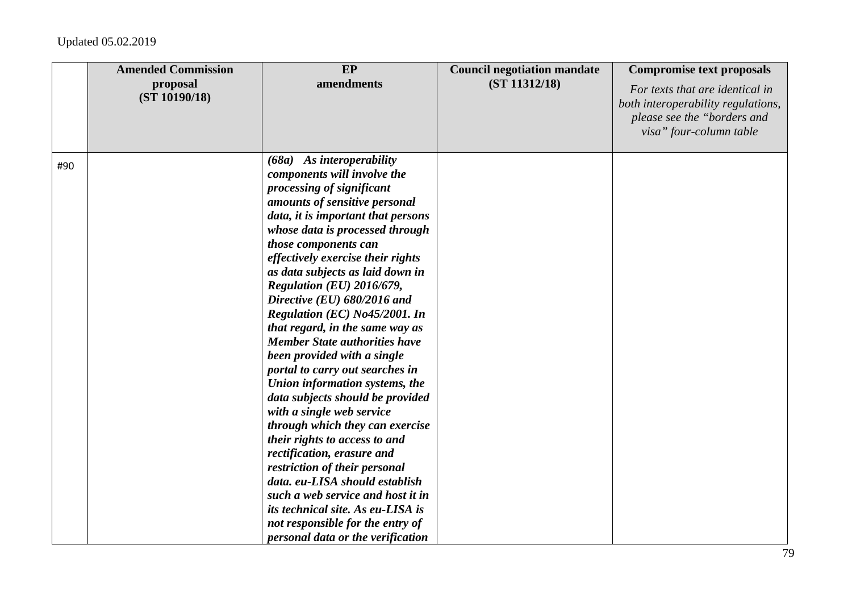|     | <b>Amended Commission</b><br>proposal<br>(ST 10190/18) | EP<br>amendments                                                                                                                                                                                                                                                                                                                                                                                                                                                                                                                                                                                                                                                                                                                                                                                                                                                                                                                                                        | <b>Council negotiation mandate</b><br>(ST 11312/18) | <b>Compromise text proposals</b><br>For texts that are identical in<br>both interoperability regulations,<br>please see the "borders and<br>visa" four-column table |
|-----|--------------------------------------------------------|-------------------------------------------------------------------------------------------------------------------------------------------------------------------------------------------------------------------------------------------------------------------------------------------------------------------------------------------------------------------------------------------------------------------------------------------------------------------------------------------------------------------------------------------------------------------------------------------------------------------------------------------------------------------------------------------------------------------------------------------------------------------------------------------------------------------------------------------------------------------------------------------------------------------------------------------------------------------------|-----------------------------------------------------|---------------------------------------------------------------------------------------------------------------------------------------------------------------------|
| #90 |                                                        | $(68a)$ As interoperability<br>components will involve the<br>processing of significant<br>amounts of sensitive personal<br>data, it is important that persons<br>whose data is processed through<br>those components can<br>effectively exercise their rights<br>as data subjects as laid down in<br>Regulation (EU) 2016/679,<br>Directive (EU) 680/2016 and<br>Regulation (EC) No45/2001. In<br>that regard, in the same way as<br><b>Member State authorities have</b><br>been provided with a single<br>portal to carry out searches in<br>Union information systems, the<br>data subjects should be provided<br>with a single web service<br>through which they can exercise<br>their rights to access to and<br>rectification, erasure and<br>restriction of their personal<br>data. eu-LISA should establish<br>such a web service and host it in<br>its technical site. As eu-LISA is<br>not responsible for the entry of<br>personal data or the verification |                                                     |                                                                                                                                                                     |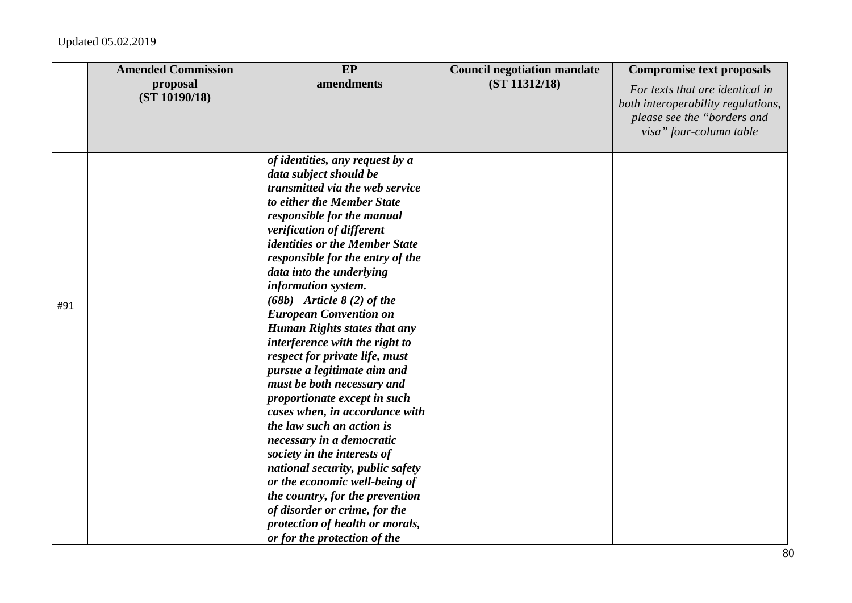|     | <b>Amended Commission</b><br>proposal<br>(ST 10190/18) | EP<br>amendments                                                                                                                                                                                                                                                                                                                                                                                                                                                                                                                                                                                                                                                                                                                                                                                                                                                                                                                       | <b>Council negotiation mandate</b><br>(ST 11312/18) | <b>Compromise text proposals</b><br>For texts that are identical in<br>both interoperability regulations,<br>please see the "borders and<br>visa" four-column table |
|-----|--------------------------------------------------------|----------------------------------------------------------------------------------------------------------------------------------------------------------------------------------------------------------------------------------------------------------------------------------------------------------------------------------------------------------------------------------------------------------------------------------------------------------------------------------------------------------------------------------------------------------------------------------------------------------------------------------------------------------------------------------------------------------------------------------------------------------------------------------------------------------------------------------------------------------------------------------------------------------------------------------------|-----------------------------------------------------|---------------------------------------------------------------------------------------------------------------------------------------------------------------------|
| #91 |                                                        | of identities, any request by a<br>data subject should be<br>transmitted via the web service<br>to either the Member State<br>responsible for the manual<br>verification of different<br><i>identities or the Member State</i><br>responsible for the entry of the<br>data into the underlying<br>information system.<br>$(68b)$ Article $8(2)$ of the<br><b>European Convention on</b><br><b>Human Rights states that any</b><br>interference with the right to<br>respect for private life, must<br>pursue a legitimate aim and<br>must be both necessary and<br>proportionate except in such<br>cases when, in accordance with<br>the law such an action is<br>necessary in a democratic<br>society in the interests of<br>national security, public safety<br>or the economic well-being of<br>the country, for the prevention<br>of disorder or crime, for the<br>protection of health or morals,<br>or for the protection of the |                                                     |                                                                                                                                                                     |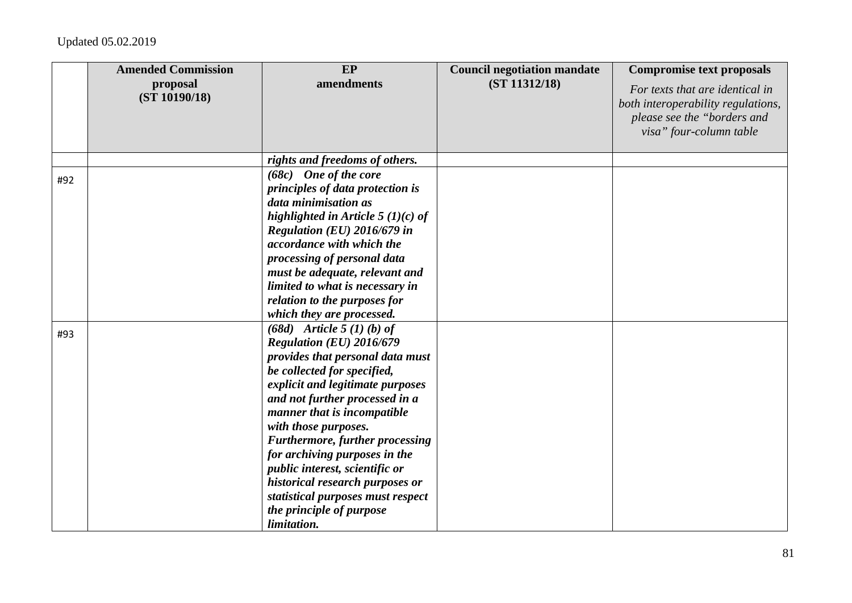|     | <b>Amended Commission</b> | EP                                                                                                                                                                                                                                                                                                                          | <b>Council negotiation mandate</b> | <b>Compromise text proposals</b>                                                                                                |
|-----|---------------------------|-----------------------------------------------------------------------------------------------------------------------------------------------------------------------------------------------------------------------------------------------------------------------------------------------------------------------------|------------------------------------|---------------------------------------------------------------------------------------------------------------------------------|
|     | proposal<br>(ST 10190/18) | amendments                                                                                                                                                                                                                                                                                                                  | (ST 11312/18)                      | For texts that are identical in<br>both interoperability regulations,<br>please see the "borders and<br>visa" four-column table |
|     |                           | rights and freedoms of others.                                                                                                                                                                                                                                                                                              |                                    |                                                                                                                                 |
| #92 |                           | $(68c)$ One of the core<br>principles of data protection is<br>data minimisation as<br>highlighted in Article 5 $(1)(c)$ of<br>Regulation (EU) 2016/679 in<br>accordance with which the<br>processing of personal data<br>must be adequate, relevant and<br>limited to what is necessary in<br>relation to the purposes for |                                    |                                                                                                                                 |
| #93 |                           | which they are processed.<br>$(68d)$ Article 5 (1) (b) of<br>Regulation (EU) 2016/679<br>provides that personal data must<br>be collected for specified,<br>explicit and legitimate purposes<br>and not further processed in a                                                                                              |                                    |                                                                                                                                 |
|     |                           | manner that is incompatible<br>with those purposes.<br><b>Furthermore, further processing</b><br>for archiving purposes in the<br>public interest, scientific or<br>historical research purposes or<br>statistical purposes must respect<br>the principle of purpose<br>limitation.                                         |                                    |                                                                                                                                 |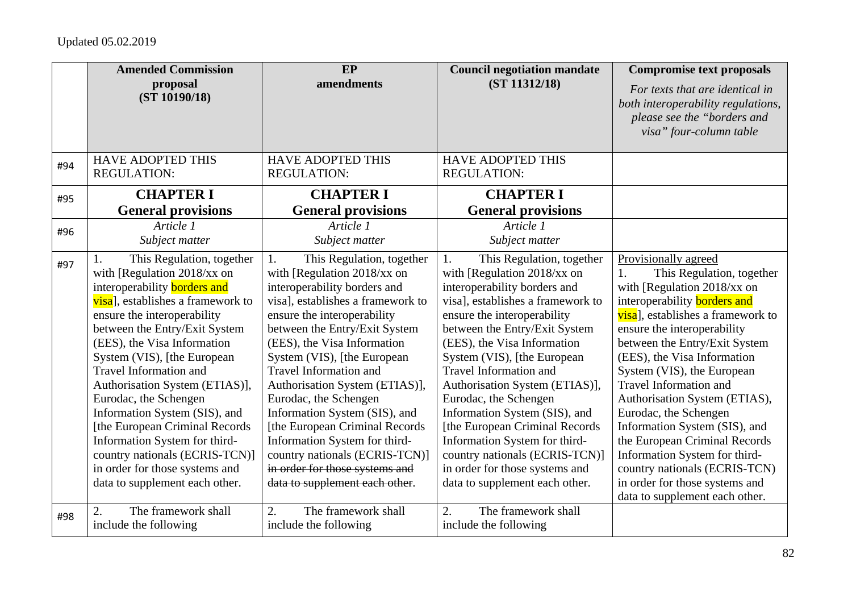|     | <b>Amended Commission</b>                                                                                                                                                                                                                                                                                                                                                                                                                                                                                                                                                | EP                                                                                                                                                                                                                                                                                                                                                                                                                                                                                                                                                                      | <b>Council negotiation mandate</b>                                                                                                                                                                                                                                                                                                                                                                                                                                                                                                                                      | <b>Compromise text proposals</b>                                                                                                                                                                                                                                                                                                                                                                                                                                                                                                                                                      |
|-----|--------------------------------------------------------------------------------------------------------------------------------------------------------------------------------------------------------------------------------------------------------------------------------------------------------------------------------------------------------------------------------------------------------------------------------------------------------------------------------------------------------------------------------------------------------------------------|-------------------------------------------------------------------------------------------------------------------------------------------------------------------------------------------------------------------------------------------------------------------------------------------------------------------------------------------------------------------------------------------------------------------------------------------------------------------------------------------------------------------------------------------------------------------------|-------------------------------------------------------------------------------------------------------------------------------------------------------------------------------------------------------------------------------------------------------------------------------------------------------------------------------------------------------------------------------------------------------------------------------------------------------------------------------------------------------------------------------------------------------------------------|---------------------------------------------------------------------------------------------------------------------------------------------------------------------------------------------------------------------------------------------------------------------------------------------------------------------------------------------------------------------------------------------------------------------------------------------------------------------------------------------------------------------------------------------------------------------------------------|
|     | proposal<br>(ST 10190/18)                                                                                                                                                                                                                                                                                                                                                                                                                                                                                                                                                | amendments                                                                                                                                                                                                                                                                                                                                                                                                                                                                                                                                                              | (ST 11312/18)                                                                                                                                                                                                                                                                                                                                                                                                                                                                                                                                                           | For texts that are identical in<br>both interoperability regulations,<br>please see the "borders and<br>visa" four-column table                                                                                                                                                                                                                                                                                                                                                                                                                                                       |
| #94 | <b>HAVE ADOPTED THIS</b><br><b>REGULATION:</b>                                                                                                                                                                                                                                                                                                                                                                                                                                                                                                                           | <b>HAVE ADOPTED THIS</b><br><b>REGULATION:</b>                                                                                                                                                                                                                                                                                                                                                                                                                                                                                                                          | <b>HAVE ADOPTED THIS</b><br><b>REGULATION:</b>                                                                                                                                                                                                                                                                                                                                                                                                                                                                                                                          |                                                                                                                                                                                                                                                                                                                                                                                                                                                                                                                                                                                       |
| #95 | <b>CHAPTER I</b>                                                                                                                                                                                                                                                                                                                                                                                                                                                                                                                                                         | <b>CHAPTER I</b>                                                                                                                                                                                                                                                                                                                                                                                                                                                                                                                                                        | <b>CHAPTER I</b>                                                                                                                                                                                                                                                                                                                                                                                                                                                                                                                                                        |                                                                                                                                                                                                                                                                                                                                                                                                                                                                                                                                                                                       |
|     | <b>General provisions</b>                                                                                                                                                                                                                                                                                                                                                                                                                                                                                                                                                | <b>General provisions</b>                                                                                                                                                                                                                                                                                                                                                                                                                                                                                                                                               | <b>General provisions</b>                                                                                                                                                                                                                                                                                                                                                                                                                                                                                                                                               |                                                                                                                                                                                                                                                                                                                                                                                                                                                                                                                                                                                       |
| #96 | Article 1<br>Subject matter                                                                                                                                                                                                                                                                                                                                                                                                                                                                                                                                              | Article 1<br>Subject matter                                                                                                                                                                                                                                                                                                                                                                                                                                                                                                                                             | Article 1<br>Subject matter                                                                                                                                                                                                                                                                                                                                                                                                                                                                                                                                             |                                                                                                                                                                                                                                                                                                                                                                                                                                                                                                                                                                                       |
| #97 | This Regulation, together<br>with [Regulation 2018/xx on<br>interoperability <b>borders</b> and<br>visa], establishes a framework to<br>ensure the interoperability<br>between the Entry/Exit System<br>(EES), the Visa Information<br>System (VIS), [the European<br><b>Travel Information and</b><br>Authorisation System (ETIAS)],<br>Eurodac, the Schengen<br>Information System (SIS), and<br>[the European Criminal Records<br>Information System for third-<br>country nationals (ECRIS-TCN)]<br>in order for those systems and<br>data to supplement each other. | This Regulation, together<br>1.<br>with [Regulation 2018/xx on<br>interoperability borders and<br>visal, establishes a framework to<br>ensure the interoperability<br>between the Entry/Exit System<br>(EES), the Visa Information<br>System (VIS), [the European<br><b>Travel Information and</b><br>Authorisation System (ETIAS)],<br>Eurodac, the Schengen<br>Information System (SIS), and<br>[the European Criminal Records<br>Information System for third-<br>country nationals (ECRIS-TCN)]<br>in order for those systems and<br>data to supplement each other. | This Regulation, together<br>1.<br>with [Regulation 2018/xx on<br>interoperability borders and<br>visal, establishes a framework to<br>ensure the interoperability<br>between the Entry/Exit System<br>(EES), the Visa Information<br>System (VIS), [the European<br><b>Travel Information and</b><br>Authorisation System (ETIAS)],<br>Eurodac, the Schengen<br>Information System (SIS), and<br>[the European Criminal Records<br>Information System for third-<br>country nationals (ECRIS-TCN)]<br>in order for those systems and<br>data to supplement each other. | Provisionally agreed<br>This Regulation, together<br>with [Regulation 2018/xx on<br>interoperability <b>borders</b> and<br>visa], establishes a framework to<br>ensure the interoperability<br>between the Entry/Exit System<br>(EES), the Visa Information<br>System (VIS), the European<br>Travel Information and<br>Authorisation System (ETIAS),<br>Eurodac, the Schengen<br>Information System (SIS), and<br>the European Criminal Records<br>Information System for third-<br>country nationals (ECRIS-TCN)<br>in order for those systems and<br>data to supplement each other. |
| #98 | The framework shall<br>2.<br>include the following                                                                                                                                                                                                                                                                                                                                                                                                                                                                                                                       | 2.<br>The framework shall<br>include the following                                                                                                                                                                                                                                                                                                                                                                                                                                                                                                                      | 2.<br>The framework shall<br>include the following                                                                                                                                                                                                                                                                                                                                                                                                                                                                                                                      |                                                                                                                                                                                                                                                                                                                                                                                                                                                                                                                                                                                       |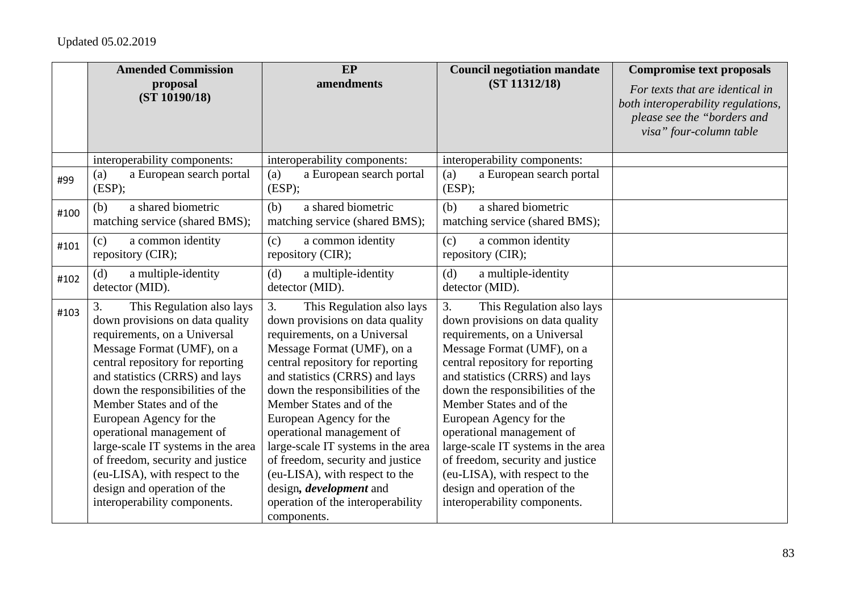|      | <b>Amended Commission</b>                                                                                                                                                                                                                                                                                                                                                                                                                                                                                 | EP                                                                                                                                                                                                                                                                                                                                                                                                                                                                                                                               | <b>Council negotiation mandate</b>                                                                                                                                                                                                                                                                                                                                                                                                                                                                        | <b>Compromise text proposals</b>                                                                                                |
|------|-----------------------------------------------------------------------------------------------------------------------------------------------------------------------------------------------------------------------------------------------------------------------------------------------------------------------------------------------------------------------------------------------------------------------------------------------------------------------------------------------------------|----------------------------------------------------------------------------------------------------------------------------------------------------------------------------------------------------------------------------------------------------------------------------------------------------------------------------------------------------------------------------------------------------------------------------------------------------------------------------------------------------------------------------------|-----------------------------------------------------------------------------------------------------------------------------------------------------------------------------------------------------------------------------------------------------------------------------------------------------------------------------------------------------------------------------------------------------------------------------------------------------------------------------------------------------------|---------------------------------------------------------------------------------------------------------------------------------|
|      | proposal<br>(ST 10190/18)                                                                                                                                                                                                                                                                                                                                                                                                                                                                                 | amendments                                                                                                                                                                                                                                                                                                                                                                                                                                                                                                                       | (ST 11312/18)                                                                                                                                                                                                                                                                                                                                                                                                                                                                                             | For texts that are identical in<br>both interoperability regulations,<br>please see the "borders and<br>visa" four-column table |
|      | interoperability components:                                                                                                                                                                                                                                                                                                                                                                                                                                                                              | interoperability components:                                                                                                                                                                                                                                                                                                                                                                                                                                                                                                     | interoperability components:                                                                                                                                                                                                                                                                                                                                                                                                                                                                              |                                                                                                                                 |
| #99  | a European search portal<br>(a)<br>(ESP);                                                                                                                                                                                                                                                                                                                                                                                                                                                                 | a European search portal<br>(a)<br>(ESP);                                                                                                                                                                                                                                                                                                                                                                                                                                                                                        | a European search portal<br>(a)<br>(ESP);                                                                                                                                                                                                                                                                                                                                                                                                                                                                 |                                                                                                                                 |
| #100 | a shared biometric<br>(b)<br>matching service (shared BMS);                                                                                                                                                                                                                                                                                                                                                                                                                                               | a shared biometric<br>(b)<br>matching service (shared BMS);                                                                                                                                                                                                                                                                                                                                                                                                                                                                      | a shared biometric<br>(b)<br>matching service (shared BMS);                                                                                                                                                                                                                                                                                                                                                                                                                                               |                                                                                                                                 |
| #101 | a common identity<br>(c)<br>repository (CIR);                                                                                                                                                                                                                                                                                                                                                                                                                                                             | a common identity<br>(c)<br>repository (CIR);                                                                                                                                                                                                                                                                                                                                                                                                                                                                                    | a common identity<br>(c)<br>repository (CIR);                                                                                                                                                                                                                                                                                                                                                                                                                                                             |                                                                                                                                 |
| #102 | a multiple-identity<br>(d)<br>detector (MID).                                                                                                                                                                                                                                                                                                                                                                                                                                                             | a multiple-identity<br>(d)<br>detector (MID).                                                                                                                                                                                                                                                                                                                                                                                                                                                                                    | (d)<br>a multiple-identity<br>detector (MID).                                                                                                                                                                                                                                                                                                                                                                                                                                                             |                                                                                                                                 |
| #103 | 3.<br>This Regulation also lays<br>down provisions on data quality<br>requirements, on a Universal<br>Message Format (UMF), on a<br>central repository for reporting<br>and statistics (CRRS) and lays<br>down the responsibilities of the<br>Member States and of the<br>European Agency for the<br>operational management of<br>large-scale IT systems in the area<br>of freedom, security and justice<br>(eu-LISA), with respect to the<br>design and operation of the<br>interoperability components. | 3.<br>This Regulation also lays<br>down provisions on data quality<br>requirements, on a Universal<br>Message Format (UMF), on a<br>central repository for reporting<br>and statistics (CRRS) and lays<br>down the responsibilities of the<br>Member States and of the<br>European Agency for the<br>operational management of<br>large-scale IT systems in the area<br>of freedom, security and justice<br>(eu-LISA), with respect to the<br>design, <i>development</i> and<br>operation of the interoperability<br>components. | 3.<br>This Regulation also lays<br>down provisions on data quality<br>requirements, on a Universal<br>Message Format (UMF), on a<br>central repository for reporting<br>and statistics (CRRS) and lays<br>down the responsibilities of the<br>Member States and of the<br>European Agency for the<br>operational management of<br>large-scale IT systems in the area<br>of freedom, security and justice<br>(eu-LISA), with respect to the<br>design and operation of the<br>interoperability components. |                                                                                                                                 |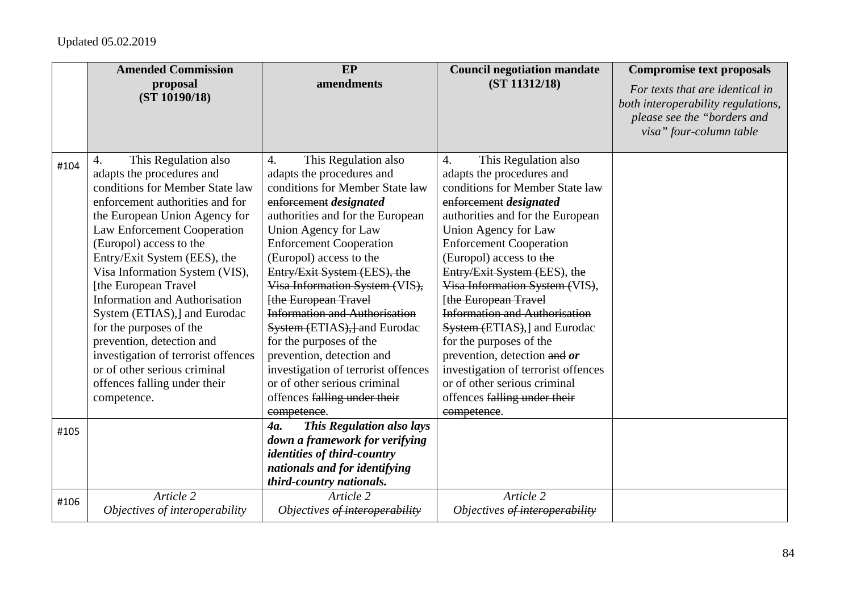|      | <b>Amended Commission</b>                               | <b>EP</b>                                               | <b>Council negotiation mandate</b>                      | <b>Compromise text proposals</b>                                                                                                |
|------|---------------------------------------------------------|---------------------------------------------------------|---------------------------------------------------------|---------------------------------------------------------------------------------------------------------------------------------|
|      | proposal<br>(ST 10190/18)                               | amendments                                              | (ST 11312/18)                                           | For texts that are identical in<br>both interoperability regulations,<br>please see the "borders and<br>visa" four-column table |
| #104 | This Regulation also<br>4.<br>adapts the procedures and | This Regulation also<br>4.<br>adapts the procedures and | This Regulation also<br>4.<br>adapts the procedures and |                                                                                                                                 |
|      | conditions for Member State law                         | conditions for Member State law                         | conditions for Member State law                         |                                                                                                                                 |
|      | enforcement authorities and for                         | enforcement designated                                  | enforcement designated                                  |                                                                                                                                 |
|      | the European Union Agency for                           | authorities and for the European                        | authorities and for the European                        |                                                                                                                                 |
|      | Law Enforcement Cooperation                             | Union Agency for Law                                    | Union Agency for Law                                    |                                                                                                                                 |
|      | (Europol) access to the                                 | <b>Enforcement Cooperation</b>                          | <b>Enforcement Cooperation</b>                          |                                                                                                                                 |
|      | Entry/Exit System (EES), the                            | (Europol) access to the                                 | (Europol) access to the                                 |                                                                                                                                 |
|      | Visa Information System (VIS),                          | Entry/Exit System (EES), the                            | Entry/Exit System (EES), the                            |                                                                                                                                 |
|      | [the European Travel                                    | Visa Information System (VIS),                          | Visa Information System (VIS),                          |                                                                                                                                 |
|      | <b>Information and Authorisation</b>                    | [the European Travel                                    | [the European Travel                                    |                                                                                                                                 |
|      | System (ETIAS),] and Eurodac                            | <b>Information and Authorisation</b>                    | <b>Information and Authorisation</b>                    |                                                                                                                                 |
|      | for the purposes of the                                 | System (ETIAS), and Eurodac                             | System (ETIAS),] and Eurodac                            |                                                                                                                                 |
|      | prevention, detection and                               | for the purposes of the                                 | for the purposes of the                                 |                                                                                                                                 |
|      | investigation of terrorist offences                     | prevention, detection and                               | prevention, detection and or                            |                                                                                                                                 |
|      | or of other serious criminal                            | investigation of terrorist offences                     | investigation of terrorist offences                     |                                                                                                                                 |
|      | offences falling under their                            | or of other serious criminal                            | or of other serious criminal                            |                                                                                                                                 |
|      | competence.                                             | offences falling under their                            | offences falling under their                            |                                                                                                                                 |
|      |                                                         | competence.<br><b>This Regulation also lays</b><br>4a.  | competence.                                             |                                                                                                                                 |
| #105 |                                                         | down a framework for verifying                          |                                                         |                                                                                                                                 |
|      |                                                         | <i>identities of third-country</i>                      |                                                         |                                                                                                                                 |
|      |                                                         | nationals and for identifying                           |                                                         |                                                                                                                                 |
|      |                                                         | third-country nationals.                                |                                                         |                                                                                                                                 |
| #106 | Article 2                                               | Article 2                                               | Article 2                                               |                                                                                                                                 |
|      | Objectives of interoperability                          | Objectives of interoperability                          | Objectives of interoperability                          |                                                                                                                                 |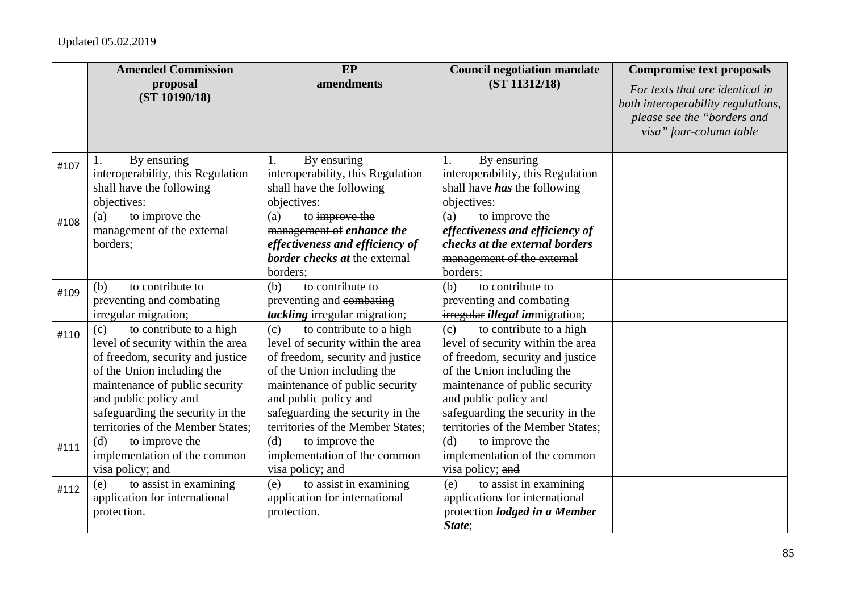|      | <b>Amended Commission</b>                                                                                                                                                                                                                                                 | EP                                                                                                                                                                                                                                                                        | <b>Council negotiation mandate</b>                                                                                                                                                                                                                                        | <b>Compromise text proposals</b>                                                                                                |
|------|---------------------------------------------------------------------------------------------------------------------------------------------------------------------------------------------------------------------------------------------------------------------------|---------------------------------------------------------------------------------------------------------------------------------------------------------------------------------------------------------------------------------------------------------------------------|---------------------------------------------------------------------------------------------------------------------------------------------------------------------------------------------------------------------------------------------------------------------------|---------------------------------------------------------------------------------------------------------------------------------|
|      | proposal<br>(ST 10190/18)                                                                                                                                                                                                                                                 | amendments                                                                                                                                                                                                                                                                | (ST 11312/18)                                                                                                                                                                                                                                                             | For texts that are identical in<br>both interoperability regulations,<br>please see the "borders and<br>visa" four-column table |
| #107 | By ensuring<br>interoperability, this Regulation<br>shall have the following<br>objectives:                                                                                                                                                                               | By ensuring<br>1.<br>interoperability, this Regulation<br>shall have the following<br>objectives:                                                                                                                                                                         | By ensuring<br>1.<br>interoperability, this Regulation<br>shall have has the following<br>objectives:                                                                                                                                                                     |                                                                                                                                 |
| #108 | to improve the<br>(a)<br>management of the external<br>borders;                                                                                                                                                                                                           | to improve the<br>(a)<br>management of enhance the<br>effectiveness and efficiency of<br><b>border checks at the external</b><br>borders;                                                                                                                                 | to improve the<br>(a)<br>effectiveness and efficiency of<br>checks at the external borders<br>management of the external<br>borders;                                                                                                                                      |                                                                                                                                 |
| #109 | to contribute to<br>(b)<br>preventing and combating<br>irregular migration;                                                                                                                                                                                               | to contribute to<br>(b)<br>preventing and combating<br>tackling irregular migration;                                                                                                                                                                                      | to contribute to<br>(b)<br>preventing and combating<br>irregular <i>illegal immigration</i> ;                                                                                                                                                                             |                                                                                                                                 |
| #110 | to contribute to a high<br>(c)<br>level of security within the area<br>of freedom, security and justice<br>of the Union including the<br>maintenance of public security<br>and public policy and<br>safeguarding the security in the<br>territories of the Member States; | to contribute to a high<br>(c)<br>level of security within the area<br>of freedom, security and justice<br>of the Union including the<br>maintenance of public security<br>and public policy and<br>safeguarding the security in the<br>territories of the Member States; | to contribute to a high<br>(c)<br>level of security within the area<br>of freedom, security and justice<br>of the Union including the<br>maintenance of public security<br>and public policy and<br>safeguarding the security in the<br>territories of the Member States; |                                                                                                                                 |
| #111 | (d)<br>to improve the<br>implementation of the common<br>visa policy; and                                                                                                                                                                                                 | (d)<br>to improve the<br>implementation of the common<br>visa policy; and                                                                                                                                                                                                 | (d)<br>to improve the<br>implementation of the common<br>visa policy; and                                                                                                                                                                                                 |                                                                                                                                 |
| #112 | to assist in examining<br>(e)<br>application for international<br>protection.                                                                                                                                                                                             | to assist in examining<br>(e)<br>application for international<br>protection.                                                                                                                                                                                             | to assist in examining<br>(e)<br>applications for international<br>protection <i>lodged in a Member</i><br>State:                                                                                                                                                         |                                                                                                                                 |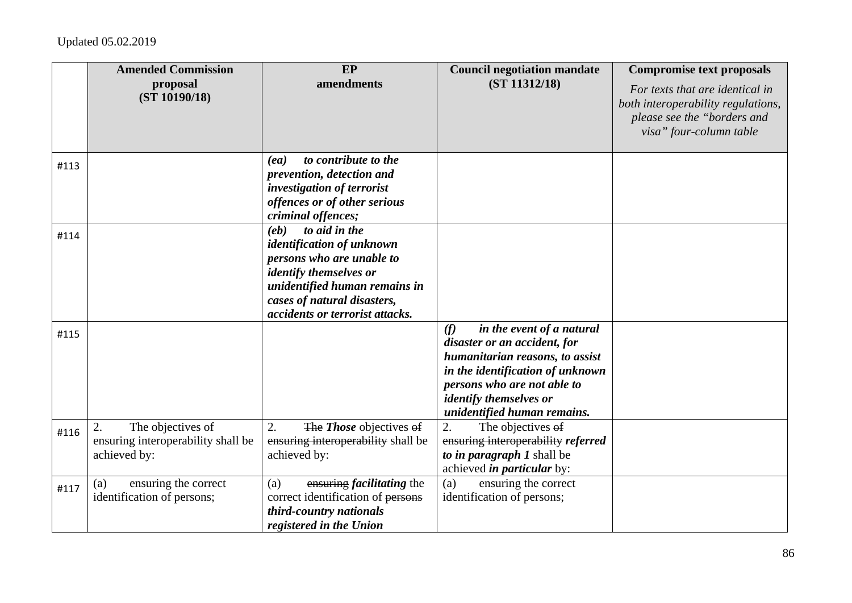|      | <b>Amended Commission</b>                                                     | EP                                                                                                                                                                                                                  | <b>Council negotiation mandate</b>                                                                                                                                                                                                     | <b>Compromise text proposals</b>                                                                                                |
|------|-------------------------------------------------------------------------------|---------------------------------------------------------------------------------------------------------------------------------------------------------------------------------------------------------------------|----------------------------------------------------------------------------------------------------------------------------------------------------------------------------------------------------------------------------------------|---------------------------------------------------------------------------------------------------------------------------------|
|      | proposal<br>(ST 10190/18)                                                     | amendments                                                                                                                                                                                                          | (ST 11312/18)                                                                                                                                                                                                                          | For texts that are identical in<br>both interoperability regulations,<br>please see the "borders and<br>visa" four-column table |
| #113 |                                                                               | to contribute to the<br>(ea)<br>prevention, detection and<br>investigation of terrorist<br>offences or of other serious<br>criminal offences;                                                                       |                                                                                                                                                                                                                                        |                                                                                                                                 |
| #114 |                                                                               | to aid in the<br>(eb)<br>identification of unknown<br>persons who are unable to<br><i>identify themselves or</i><br>unidentified human remains in<br>cases of natural disasters,<br>accidents or terrorist attacks. |                                                                                                                                                                                                                                        |                                                                                                                                 |
| #115 |                                                                               |                                                                                                                                                                                                                     | (f)<br>in the event of a natural<br>disaster or an accident, for<br>humanitarian reasons, to assist<br>in the identification of unknown<br>persons who are not able to<br><i>identify themselves or</i><br>unidentified human remains. |                                                                                                                                 |
| #116 | 2.<br>The objectives of<br>ensuring interoperability shall be<br>achieved by: | 2.<br>The <i>Those</i> objectives of<br>ensuring interoperability shall be<br>achieved by:                                                                                                                          | 2.<br>The objectives of<br>ensuring interoperability referred<br>to in paragraph 1 shall be<br>achieved in particular by:                                                                                                              |                                                                                                                                 |
| #117 | ensuring the correct<br>(a)<br>identification of persons;                     | ensuring <i>facilitating</i> the<br>(a)<br>correct identification of persons<br>third-country nationals<br>registered in the Union                                                                                  | ensuring the correct<br>(a)<br>identification of persons;                                                                                                                                                                              |                                                                                                                                 |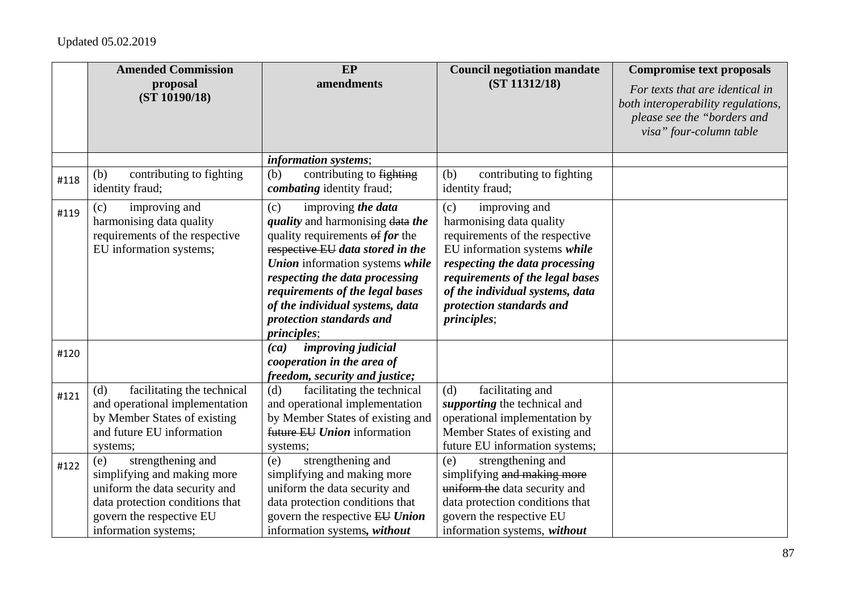|      | <b>Amended Commission</b><br>proposal<br>(ST 10190/18)                                                                                                                          | EP<br>amendments                                                                                                                                                                                                                                                                                                                                | <b>Council negotiation mandate</b><br>(ST 11312/18)                                                                                                                                                                                                                           | <b>Compromise text proposals</b><br>For texts that are identical in<br>both interoperability regulations, |
|------|---------------------------------------------------------------------------------------------------------------------------------------------------------------------------------|-------------------------------------------------------------------------------------------------------------------------------------------------------------------------------------------------------------------------------------------------------------------------------------------------------------------------------------------------|-------------------------------------------------------------------------------------------------------------------------------------------------------------------------------------------------------------------------------------------------------------------------------|-----------------------------------------------------------------------------------------------------------|
|      |                                                                                                                                                                                 |                                                                                                                                                                                                                                                                                                                                                 |                                                                                                                                                                                                                                                                               | please see the "borders and<br>visa" four-column table                                                    |
|      |                                                                                                                                                                                 | <i>information systems;</i>                                                                                                                                                                                                                                                                                                                     |                                                                                                                                                                                                                                                                               |                                                                                                           |
| #118 | contributing to fighting<br>(b)<br>identity fraud;                                                                                                                              | contributing to fighting<br>(b)<br>combating identity fraud;                                                                                                                                                                                                                                                                                    | (b)<br>contributing to fighting<br>identity fraud;                                                                                                                                                                                                                            |                                                                                                           |
| #119 | improving and<br>(c)<br>harmonising data quality<br>requirements of the respective<br>EU information systems;                                                                   | improving the data<br>(c)<br><i>quality</i> and harmonising data the<br>quality requirements $\theta$ for the<br>respective EU data stored in the<br>Union information systems while<br>respecting the data processing<br>requirements of the legal bases<br>of the individual systems, data<br>protection standards and<br><i>principles</i> ; | improving and<br>(c)<br>harmonising data quality<br>requirements of the respective<br>EU information systems while<br>respecting the data processing<br>requirements of the legal bases<br>of the individual systems, data<br>protection standards and<br><i>principles</i> ; |                                                                                                           |
| #120 |                                                                                                                                                                                 | improving judicial<br>(ca)<br>cooperation in the area of<br>freedom, security and justice;                                                                                                                                                                                                                                                      |                                                                                                                                                                                                                                                                               |                                                                                                           |
| #121 | facilitating the technical<br>(d)<br>and operational implementation<br>by Member States of existing<br>and future EU information<br>systems;                                    | facilitating the technical<br>(d)<br>and operational implementation<br>by Member States of existing and<br>future EU Union information<br>systems;                                                                                                                                                                                              | facilitating and<br>(d)<br>supporting the technical and<br>operational implementation by<br>Member States of existing and<br>future EU information systems;                                                                                                                   |                                                                                                           |
| #122 | strengthening and<br>(e)<br>simplifying and making more<br>uniform the data security and<br>data protection conditions that<br>govern the respective EU<br>information systems; | strengthening and<br>(e)<br>simplifying and making more<br>uniform the data security and<br>data protection conditions that<br>govern the respective EU Union<br>information systems, without                                                                                                                                                   | strengthening and<br>(e)<br>simplifying and making more<br>uniform the data security and<br>data protection conditions that<br>govern the respective EU<br>information systems, without                                                                                       |                                                                                                           |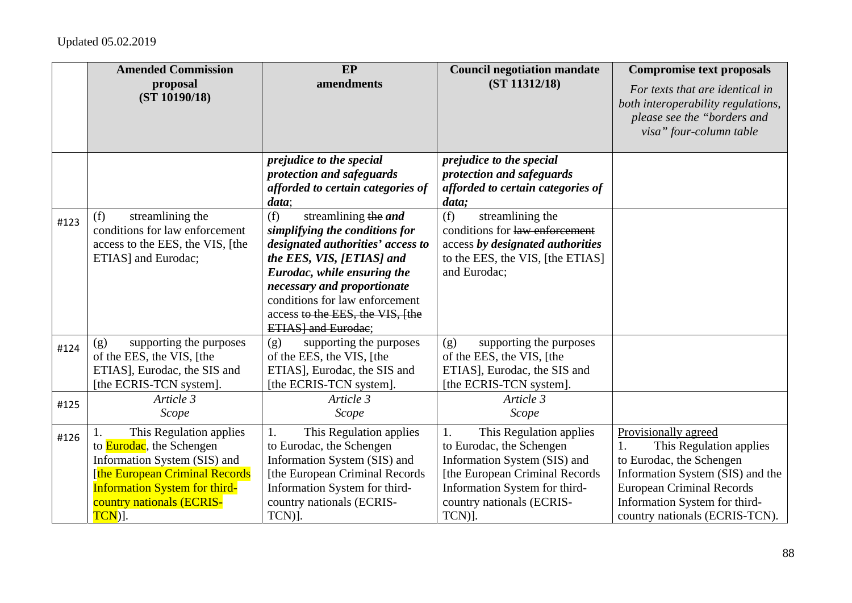|      | <b>Amended Commission</b><br>proposal<br>(ST 10190/18)                                                                                                                                                         | EP<br>amendments                                                                                                                                                                                                                                                                                 | <b>Council negotiation mandate</b><br>(ST 11312/18)                                                                                                                                                  | <b>Compromise text proposals</b><br>For texts that are identical in<br>both interoperability regulations,<br>please see the "borders and<br>visa" four-column table                                                          |
|------|----------------------------------------------------------------------------------------------------------------------------------------------------------------------------------------------------------------|--------------------------------------------------------------------------------------------------------------------------------------------------------------------------------------------------------------------------------------------------------------------------------------------------|------------------------------------------------------------------------------------------------------------------------------------------------------------------------------------------------------|------------------------------------------------------------------------------------------------------------------------------------------------------------------------------------------------------------------------------|
|      |                                                                                                                                                                                                                | prejudice to the special<br>protection and safeguards<br>afforded to certain categories of<br>data;                                                                                                                                                                                              | prejudice to the special<br>protection and safeguards<br>afforded to certain categories of<br>data;                                                                                                  |                                                                                                                                                                                                                              |
| #123 | streamlining the<br>(f)<br>conditions for law enforcement<br>access to the EES, the VIS, [the<br>ETIAS] and Eurodac;                                                                                           | (f)<br>streamlining the and<br>simplifying the conditions for<br>designated authorities' access to<br>the EES, VIS, [ETIAS] and<br>Eurodac, while ensuring the<br>necessary and proportionate<br>conditions for law enforcement<br>access to the EES, the VIS, [the<br><b>ETIAS</b> and Eurodae; | (f)<br>streamlining the<br>conditions for law enforcement<br>access by designated authorities<br>to the EES, the VIS, [the ETIAS]<br>and Eurodac;                                                    |                                                                                                                                                                                                                              |
| #124 | supporting the purposes<br>(g)<br>of the EES, the VIS, [the<br>ETIAS], Eurodac, the SIS and<br>[the ECRIS-TCN system].                                                                                         | supporting the purposes<br>(g)<br>of the EES, the VIS, [the<br>ETIAS], Eurodac, the SIS and<br>[the ECRIS-TCN system].                                                                                                                                                                           | supporting the purposes<br>(g)<br>of the EES, the VIS, [the<br>ETIAS], Eurodac, the SIS and<br>[the ECRIS-TCN system].                                                                               |                                                                                                                                                                                                                              |
| #125 | Article 3<br>Scope                                                                                                                                                                                             | Article 3<br>Scope                                                                                                                                                                                                                                                                               | Article 3<br>Scope                                                                                                                                                                                   |                                                                                                                                                                                                                              |
| #126 | This Regulation applies<br>to <b>Eurodac</b> , the Schengen<br>Information System (SIS) and<br>[the European Criminal Records<br><b>Information System for third-</b><br>country nationals (ECRIS-<br>$TCN$ ]. | This Regulation applies<br>1.<br>to Eurodac, the Schengen<br>Information System (SIS) and<br>[the European Criminal Records<br>Information System for third-<br>country nationals (ECRIS-<br>TCN)].                                                                                              | This Regulation applies<br>1.<br>to Eurodac, the Schengen<br>Information System (SIS) and<br>[the European Criminal Records]<br>Information System for third-<br>country nationals (ECRIS-<br>TCN)]. | Provisionally agreed<br>This Regulation applies<br>1.<br>to Eurodac, the Schengen<br>Information System (SIS) and the<br><b>European Criminal Records</b><br>Information System for third-<br>country nationals (ECRIS-TCN). |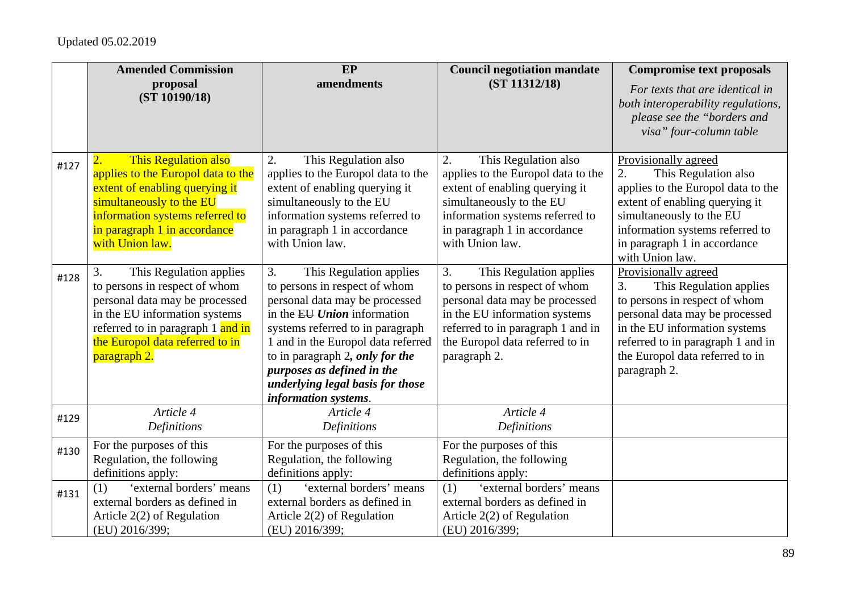|      | <b>Amended Commission</b>                                                                                                                                                                                                          | EP                                                                                                                                                                                                                                                                                                                                     | <b>Council negotiation mandate</b>                                                                                                                                                                                        | <b>Compromise text proposals</b>                                                                                                                                                                                                                  |
|------|------------------------------------------------------------------------------------------------------------------------------------------------------------------------------------------------------------------------------------|----------------------------------------------------------------------------------------------------------------------------------------------------------------------------------------------------------------------------------------------------------------------------------------------------------------------------------------|---------------------------------------------------------------------------------------------------------------------------------------------------------------------------------------------------------------------------|---------------------------------------------------------------------------------------------------------------------------------------------------------------------------------------------------------------------------------------------------|
|      | proposal<br>(ST 10190/18)                                                                                                                                                                                                          | amendments                                                                                                                                                                                                                                                                                                                             | (ST 11312/18)                                                                                                                                                                                                             | For texts that are identical in<br>both interoperability regulations,<br>please see the "borders and<br>visa" four-column table                                                                                                                   |
| #127 | This Regulation also<br>$\overline{2}$ .<br>applies to the Europol data to the<br>extent of enabling querying it<br>simultaneously to the EU<br>information systems referred to<br>in paragraph 1 in accordance<br>with Union law. | This Regulation also<br>2.<br>applies to the Europol data to the<br>extent of enabling querying it<br>simultaneously to the EU<br>information systems referred to<br>in paragraph 1 in accordance<br>with Union law.                                                                                                                   | This Regulation also<br>2.<br>applies to the Europol data to the<br>extent of enabling querying it<br>simultaneously to the EU<br>information systems referred to<br>in paragraph 1 in accordance<br>with Union law.      | Provisionally agreed<br>This Regulation also<br>2.<br>applies to the Europol data to the<br>extent of enabling querying it<br>simultaneously to the EU<br>information systems referred to<br>in paragraph 1 in accordance<br>with Union law.      |
| #128 | 3.<br>This Regulation applies<br>to persons in respect of whom<br>personal data may be processed<br>in the EU information systems<br>referred to in paragraph 1 and in<br>the Europol data referred to in<br>paragraph 2.          | 3.<br>This Regulation applies<br>to persons in respect of whom<br>personal data may be processed<br>in the EU Union information<br>systems referred to in paragraph<br>1 and in the Europol data referred<br>to in paragraph 2, only for the<br>purposes as defined in the<br>underlying legal basis for those<br>information systems. | 3.<br>This Regulation applies<br>to persons in respect of whom<br>personal data may be processed<br>in the EU information systems<br>referred to in paragraph 1 and in<br>the Europol data referred to in<br>paragraph 2. | Provisionally agreed<br>This Regulation applies<br>3.<br>to persons in respect of whom<br>personal data may be processed<br>in the EU information systems<br>referred to in paragraph 1 and in<br>the Europol data referred to in<br>paragraph 2. |
| #129 | Article 4<br><b>Definitions</b>                                                                                                                                                                                                    | Article 4<br>Definitions                                                                                                                                                                                                                                                                                                               | Article 4<br>Definitions                                                                                                                                                                                                  |                                                                                                                                                                                                                                                   |
| #130 | For the purposes of this<br>Regulation, the following<br>definitions apply:                                                                                                                                                        | For the purposes of this<br>Regulation, the following<br>definitions apply:                                                                                                                                                                                                                                                            | For the purposes of this<br>Regulation, the following<br>definitions apply:                                                                                                                                               |                                                                                                                                                                                                                                                   |
| #131 | 'external borders' means<br>(1)<br>external borders as defined in<br>Article $2(2)$ of Regulation<br>(EU) 2016/399;                                                                                                                | 'external borders' means<br>(1)<br>external borders as defined in<br>Article $2(2)$ of Regulation<br>(EU) 2016/399;                                                                                                                                                                                                                    | 'external borders' means<br>(1)<br>external borders as defined in<br>Article $2(2)$ of Regulation<br>(EU) 2016/399;                                                                                                       |                                                                                                                                                                                                                                                   |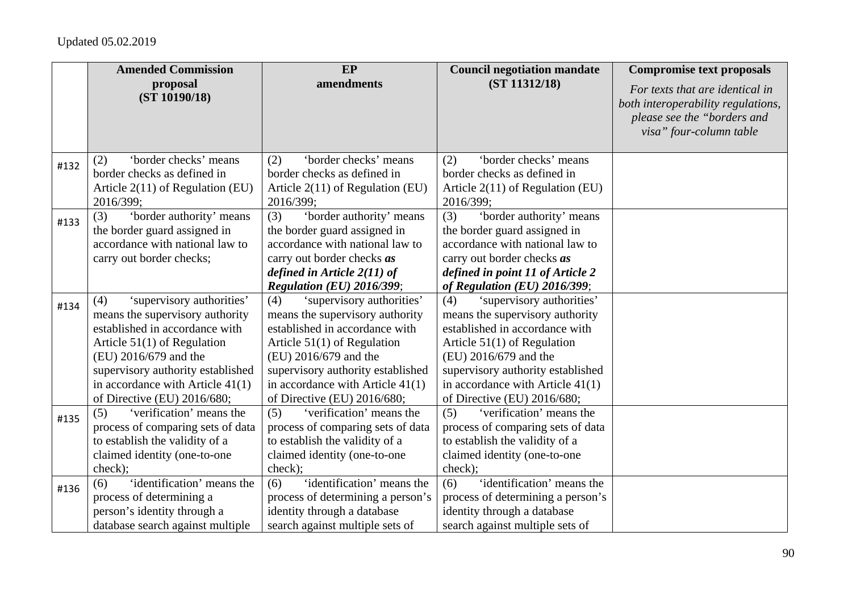|      | <b>Amended Commission</b>          | EP                                 | <b>Council negotiation mandate</b> | <b>Compromise text proposals</b>                                                                                                |
|------|------------------------------------|------------------------------------|------------------------------------|---------------------------------------------------------------------------------------------------------------------------------|
|      | proposal<br>(ST 10190/18)          | amendments                         | (ST 11312/18)                      | For texts that are identical in<br>both interoperability regulations,<br>please see the "borders and<br>visa" four-column table |
| #132 | 'border checks' means<br>(2)       | 'border checks' means<br>(2)       | 'border checks' means<br>(2)       |                                                                                                                                 |
|      | border checks as defined in        | border checks as defined in        | border checks as defined in        |                                                                                                                                 |
|      | Article $2(11)$ of Regulation (EU) | Article $2(11)$ of Regulation (EU) | Article $2(11)$ of Regulation (EU) |                                                                                                                                 |
|      | 2016/399;                          | 2016/399;                          | 2016/399;                          |                                                                                                                                 |
| #133 | (3)<br>'border authority' means    | (3)<br>'border authority' means    | (3)<br>'border authority' means    |                                                                                                                                 |
|      | the border guard assigned in       | the border guard assigned in       | the border guard assigned in       |                                                                                                                                 |
|      | accordance with national law to    | accordance with national law to    | accordance with national law to    |                                                                                                                                 |
|      | carry out border checks;           | carry out border checks <i>as</i>  | carry out border checks <i>as</i>  |                                                                                                                                 |
|      |                                    | defined in Article 2(11) of        | defined in point 11 of Article 2   |                                                                                                                                 |
|      |                                    | <b>Regulation (EU) 2016/399;</b>   | of Regulation $(EU)$ 2016/399;     |                                                                                                                                 |
| #134 | 'supervisory authorities'<br>(4)   | (4)<br>'supervisory authorities'   | 'supervisory authorities'<br>(4)   |                                                                                                                                 |
|      | means the supervisory authority    | means the supervisory authority    | means the supervisory authority    |                                                                                                                                 |
|      | established in accordance with     | established in accordance with     | established in accordance with     |                                                                                                                                 |
|      | Article $51(1)$ of Regulation      | Article $51(1)$ of Regulation      | Article $51(1)$ of Regulation      |                                                                                                                                 |
|      | (EU) 2016/679 and the              | (EU) 2016/679 and the              | (EU) 2016/679 and the              |                                                                                                                                 |
|      | supervisory authority established  | supervisory authority established  | supervisory authority established  |                                                                                                                                 |
|      | in accordance with Article $41(1)$ | in accordance with Article $41(1)$ | in accordance with Article $41(1)$ |                                                                                                                                 |
|      | of Directive (EU) 2016/680;        | of Directive (EU) 2016/680;        | of Directive (EU) 2016/680;        |                                                                                                                                 |
| #135 | 'verification' means the<br>(5)    | 'verification' means the<br>(5)    | 'verification' means the<br>(5)    |                                                                                                                                 |
|      | process of comparing sets of data  | process of comparing sets of data  | process of comparing sets of data  |                                                                                                                                 |
|      | to establish the validity of a     | to establish the validity of a     | to establish the validity of a     |                                                                                                                                 |
|      | claimed identity (one-to-one       | claimed identity (one-to-one       | claimed identity (one-to-one       |                                                                                                                                 |
|      | check);                            | check);                            | check);                            |                                                                                                                                 |
| #136 | 'identification' means the<br>(6)  | 'identification' means the<br>(6)  | 'identification' means the<br>(6)  |                                                                                                                                 |
|      | process of determining a           | process of determining a person's  | process of determining a person's  |                                                                                                                                 |
|      | person's identity through a        | identity through a database        | identity through a database        |                                                                                                                                 |
|      | database search against multiple   | search against multiple sets of    | search against multiple sets of    |                                                                                                                                 |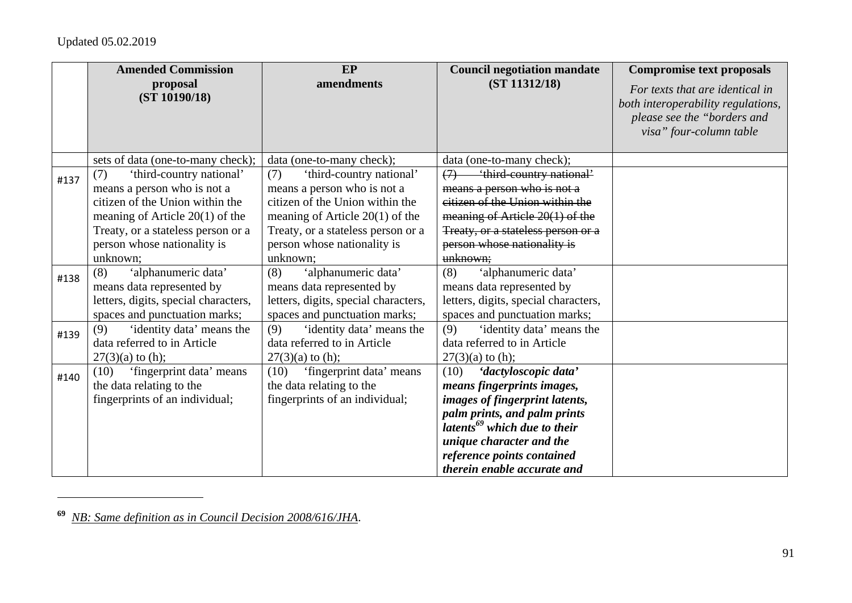|      | <b>Amended Commission</b><br>proposal | EP<br>amendments                     | <b>Council negotiation mandate</b><br>(ST 11312/18) | <b>Compromise text proposals</b>   |
|------|---------------------------------------|--------------------------------------|-----------------------------------------------------|------------------------------------|
|      | (ST 10190/18)                         |                                      |                                                     | For texts that are identical in    |
|      |                                       |                                      |                                                     | both interoperability regulations, |
|      |                                       |                                      |                                                     | please see the "borders and        |
|      |                                       |                                      |                                                     | visa" four-column table            |
|      |                                       |                                      |                                                     |                                    |
|      | sets of data (one-to-many check);     | data (one-to-many check);            | data (one-to-many check);                           |                                    |
| #137 | (7)<br>'third-country national'       | (7)<br>'third-country national'      | <i><b>'third-country national'</b></i><br>(7)       |                                    |
|      | means a person who is not a           | means a person who is not a          | means a person who is not a                         |                                    |
|      | citizen of the Union within the       | citizen of the Union within the      | citizen of the Union within the                     |                                    |
|      | meaning of Article $20(1)$ of the     | meaning of Article $20(1)$ of the    | meaning of Article $20(1)$ of the                   |                                    |
|      | Treaty, or a stateless person or a    | Treaty, or a stateless person or a   | Treaty, or a stateless person or a                  |                                    |
|      | person whose nationality is           | person whose nationality is          | person whose nationality is                         |                                    |
|      | unknown;                              | unknown;                             | unknown;                                            |                                    |
| #138 | (8)<br>'alphanumeric data'            | 'alphanumeric data'<br>(8)           | 'alphanumeric data'<br>(8)                          |                                    |
|      | means data represented by             | means data represented by            | means data represented by                           |                                    |
|      | letters, digits, special characters,  | letters, digits, special characters, | letters, digits, special characters,                |                                    |
|      | spaces and punctuation marks;         | spaces and punctuation marks;        | spaces and punctuation marks;                       |                                    |
| #139 | (9)<br>'identity data' means the      | 'identity data' means the<br>(9)     | 'identity data' means the<br>(9)                    |                                    |
|      | data referred to in Article           | data referred to in Article          | data referred to in Article                         |                                    |
|      | $27(3)(a)$ to (h);                    | $27(3)(a)$ to (h);                   | $27(3)(a)$ to (h);                                  |                                    |
| #140 | 'fingerprint data' means<br>(10)      | 'fingerprint data' means<br>(10)     | 'dactyloscopic data'<br>(10)                        |                                    |
|      | the data relating to the              | the data relating to the             | means fingerprints images,                          |                                    |
|      | fingerprints of an individual;        | fingerprints of an individual;       | images of fingerprint latents,                      |                                    |
|      |                                       |                                      | palm prints, and palm prints                        |                                    |
|      |                                       |                                      | latents <sup>69</sup> which due to their            |                                    |
|      |                                       |                                      | unique character and the                            |                                    |
|      |                                       |                                      | reference points contained                          |                                    |
|      |                                       |                                      | therein enable accurate and                         |                                    |

**<sup>69</sup>** *NB: Same definition as in Council Decision 2008/616/JHA*.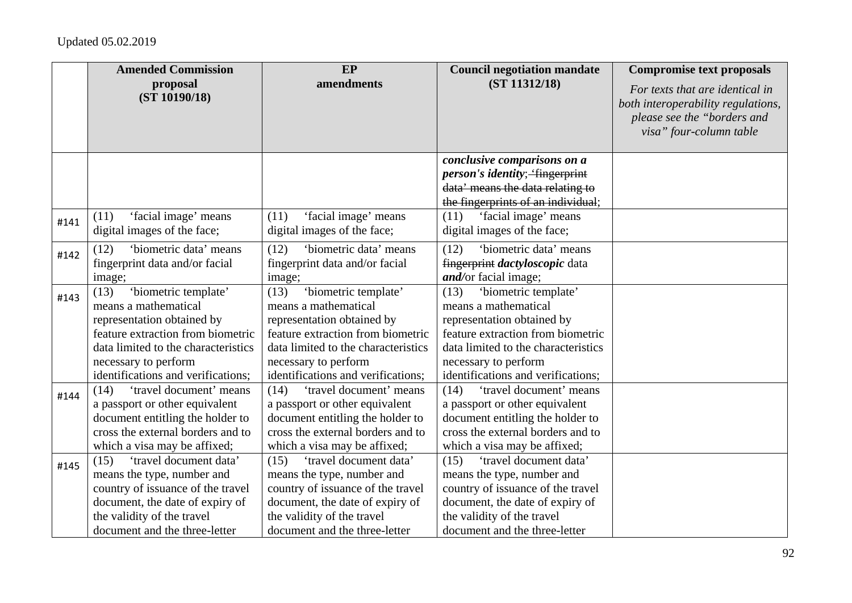|      | <b>Amended Commission</b>                                       | EP                                                              | <b>Council negotiation mandate</b>                                     | <b>Compromise text proposals</b>                                                                                                |
|------|-----------------------------------------------------------------|-----------------------------------------------------------------|------------------------------------------------------------------------|---------------------------------------------------------------------------------------------------------------------------------|
|      | proposal<br>(ST 10190/18)                                       | amendments                                                      | (ST 11312/18)                                                          | For texts that are identical in<br>both interoperability regulations,<br>please see the "borders and<br>visa" four-column table |
|      |                                                                 |                                                                 | conclusive comparisons on a<br><i>person's identity</i> ; "fingerprint |                                                                                                                                 |
|      |                                                                 |                                                                 | data' means the data relating to                                       |                                                                                                                                 |
|      |                                                                 |                                                                 | the fingerprints of an individual;                                     |                                                                                                                                 |
|      | 'facial image' means<br>(11)                                    | 'facial image' means<br>(11)                                    | 'facial image' means<br>(11)                                           |                                                                                                                                 |
| #141 | digital images of the face;                                     | digital images of the face;                                     | digital images of the face;                                            |                                                                                                                                 |
|      | 'biometric data' means<br>(12)                                  | 'biometric data' means<br>(12)                                  | (12)<br>'biometric data' means                                         |                                                                                                                                 |
| #142 | fingerprint data and/or facial                                  | fingerprint data and/or facial                                  | fingerprint <i>dactyloscopic</i> data                                  |                                                                                                                                 |
|      | image;                                                          | image;                                                          | and/or facial image;                                                   |                                                                                                                                 |
|      | 'biometric template'<br>(13)                                    | 'biometric template'<br>(13)                                    | 'biometric template'<br>(13)                                           |                                                                                                                                 |
| #143 | means a mathematical                                            | means a mathematical                                            | means a mathematical                                                   |                                                                                                                                 |
|      | representation obtained by                                      | representation obtained by                                      | representation obtained by                                             |                                                                                                                                 |
|      | feature extraction from biometric                               | feature extraction from biometric                               | feature extraction from biometric                                      |                                                                                                                                 |
|      | data limited to the characteristics                             | data limited to the characteristics                             | data limited to the characteristics                                    |                                                                                                                                 |
|      | necessary to perform                                            | necessary to perform                                            | necessary to perform                                                   |                                                                                                                                 |
|      | identifications and verifications;                              | identifications and verifications;                              | identifications and verifications;                                     |                                                                                                                                 |
| #144 | (14)<br>'travel document' means                                 | (14)<br>'travel document' means                                 | (14)<br>'travel document' means                                        |                                                                                                                                 |
|      | a passport or other equivalent                                  | a passport or other equivalent                                  | a passport or other equivalent                                         |                                                                                                                                 |
|      | document entitling the holder to                                | document entitling the holder to                                | document entitling the holder to                                       |                                                                                                                                 |
|      | cross the external borders and to                               | cross the external borders and to                               | cross the external borders and to                                      |                                                                                                                                 |
|      | which a visa may be affixed;                                    | which a visa may be affixed;                                    | which a visa may be affixed;                                           |                                                                                                                                 |
| #145 | 'travel document data'<br>(15)                                  | 'travel document data'<br>(15)                                  | 'travel document data'<br>(15)                                         |                                                                                                                                 |
|      | means the type, number and<br>country of issuance of the travel | means the type, number and<br>country of issuance of the travel | means the type, number and<br>country of issuance of the travel        |                                                                                                                                 |
|      | document, the date of expiry of                                 | document, the date of expiry of                                 | document, the date of expiry of                                        |                                                                                                                                 |
|      | the validity of the travel                                      | the validity of the travel                                      | the validity of the travel                                             |                                                                                                                                 |
|      | document and the three-letter                                   | document and the three-letter                                   | document and the three-letter                                          |                                                                                                                                 |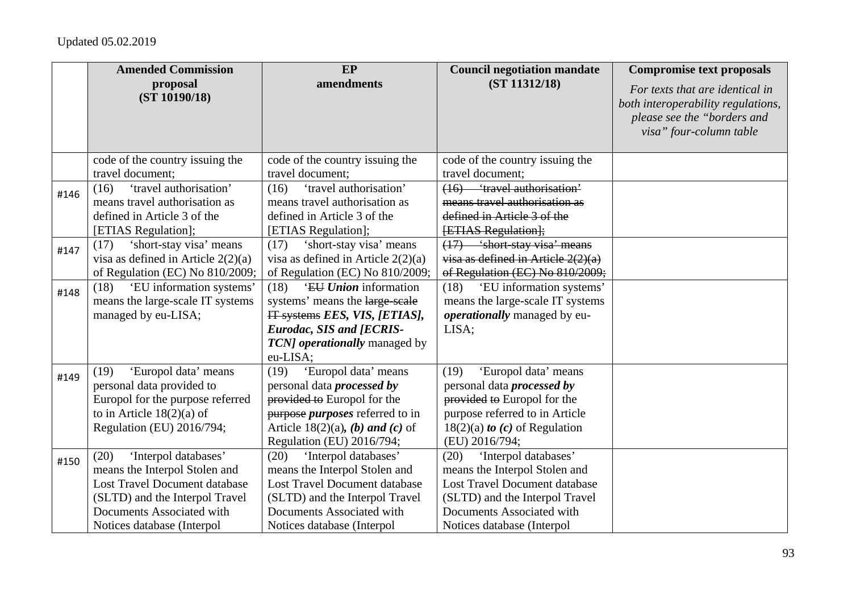|      | <b>Amended Commission</b><br>proposal | EP<br>amendments                       | <b>Council negotiation mandate</b><br>(ST 11312/18) | <b>Compromise text proposals</b>                                      |
|------|---------------------------------------|----------------------------------------|-----------------------------------------------------|-----------------------------------------------------------------------|
|      | (ST 10190/18)                         |                                        |                                                     | For texts that are identical in<br>both interoperability regulations, |
|      |                                       |                                        |                                                     | please see the "borders and                                           |
|      |                                       |                                        |                                                     | visa" four-column table                                               |
|      |                                       |                                        |                                                     |                                                                       |
|      | code of the country issuing the       | code of the country issuing the        | code of the country issuing the                     |                                                                       |
|      | travel document;                      | travel document;                       | travel document;                                    |                                                                       |
| #146 | 'travel authorisation'<br>(16)        | 'travel authorisation'<br>(16)         | (16) 'travel authorisation'                         |                                                                       |
|      | means travel authorisation as         | means travel authorisation as          | means travel authorisation as                       |                                                                       |
|      | defined in Article 3 of the           | defined in Article 3 of the            | defined in Article 3 of the                         |                                                                       |
|      | [ETIAS Regulation];                   | [ETIAS Regulation];                    | <b>[ETIAS Regulation];</b>                          |                                                                       |
| #147 | 'short-stay visa' means<br>(17)       | 'short-stay visa' means<br>(17)        | $(17)$ 'short-stay visa' means                      |                                                                       |
|      | visa as defined in Article $2(2)(a)$  | visa as defined in Article $2(2)(a)$   | $visa$ as defined in Article $2(2)(a)$              |                                                                       |
|      | of Regulation (EC) No 810/2009;       | of Regulation (EC) No 810/2009;        | of Regulation (EC) No 810/2009;                     |                                                                       |
| #148 | (18) 'EU information systems'         | 'EU Union information<br>(18)          | 'EU information systems'<br>(18)                    |                                                                       |
|      | means the large-scale IT systems      | systems' means the large scale         | means the large-scale IT systems                    |                                                                       |
|      | managed by eu-LISA;                   | IT systems EES, VIS, [ETIAS],          | <i>operationally</i> managed by eu-                 |                                                                       |
|      |                                       | <b>Eurodac, SIS and [ECRIS-</b>        | LISA;                                               |                                                                       |
|      |                                       | TCN] operationally managed by          |                                                     |                                                                       |
|      |                                       | eu-LISA;                               |                                                     |                                                                       |
| #149 | 'Europol data' means<br>(19)          | (19)<br>'Europol data' means           | 'Europol data' means<br>(19)                        |                                                                       |
|      | personal data provided to             | personal data <i>processed</i> by      | personal data <i>processed</i> by                   |                                                                       |
|      | Europol for the purpose referred      | provided to Europol for the            | provided to Europol for the                         |                                                                       |
|      | to in Article $18(2)(a)$ of           | purpose <i>purposes</i> referred to in | purpose referred to in Article                      |                                                                       |
|      | Regulation (EU) 2016/794;             | Article 18(2)(a), (b) and (c) of       | $18(2)(a)$ to (c) of Regulation                     |                                                                       |
|      |                                       | Regulation (EU) 2016/794;              | (EU) 2016/794;                                      |                                                                       |
| #150 | (20)<br>'Interpol databases'          | (20)<br>'Interpol databases'           | (20)<br>'Interpol databases'                        |                                                                       |
|      | means the Interpol Stolen and         | means the Interpol Stolen and          | means the Interpol Stolen and                       |                                                                       |
|      | Lost Travel Document database         | <b>Lost Travel Document database</b>   | <b>Lost Travel Document database</b>                |                                                                       |
|      | (SLTD) and the Interpol Travel        | (SLTD) and the Interpol Travel         | (SLTD) and the Interpol Travel                      |                                                                       |
|      | Documents Associated with             | Documents Associated with              | Documents Associated with                           |                                                                       |
|      | Notices database (Interpol            | Notices database (Interpol             | Notices database (Interpol                          |                                                                       |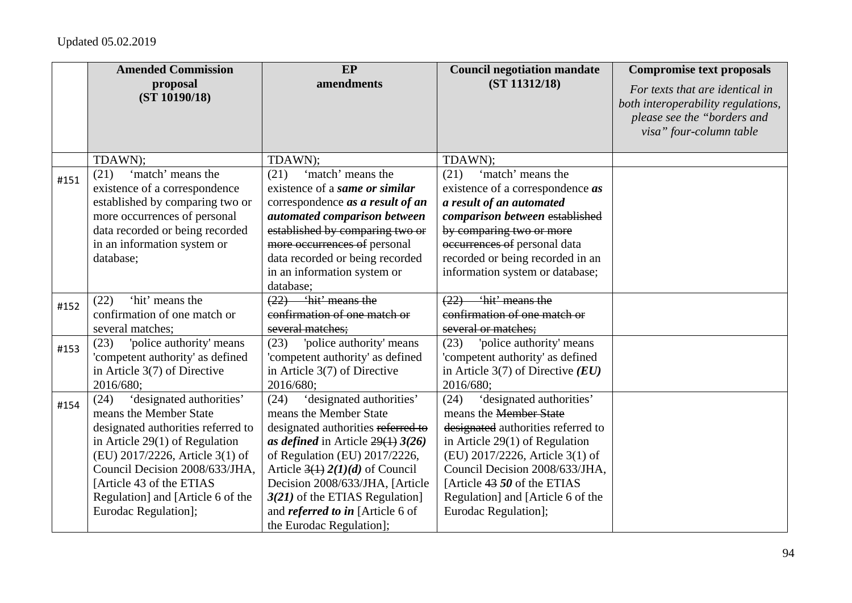|      | <b>Amended Commission</b>                                                                                                                                                                                                                                                                          | EP                                                                                                                                                                                                                                                                                                                                                          | <b>Council negotiation mandate</b>                                                                                                                                                                                                                                                                     | <b>Compromise text proposals</b>                                                                                                |
|------|----------------------------------------------------------------------------------------------------------------------------------------------------------------------------------------------------------------------------------------------------------------------------------------------------|-------------------------------------------------------------------------------------------------------------------------------------------------------------------------------------------------------------------------------------------------------------------------------------------------------------------------------------------------------------|--------------------------------------------------------------------------------------------------------------------------------------------------------------------------------------------------------------------------------------------------------------------------------------------------------|---------------------------------------------------------------------------------------------------------------------------------|
|      | proposal<br>(ST 10190/18)                                                                                                                                                                                                                                                                          | amendments                                                                                                                                                                                                                                                                                                                                                  | (ST 11312/18)                                                                                                                                                                                                                                                                                          | For texts that are identical in<br>both interoperability regulations,<br>please see the "borders and<br>visa" four-column table |
|      | TDAWN);                                                                                                                                                                                                                                                                                            | TDAWN);                                                                                                                                                                                                                                                                                                                                                     | TDAWN);                                                                                                                                                                                                                                                                                                |                                                                                                                                 |
| #151 | 'match' means the<br>(21)<br>existence of a correspondence<br>established by comparing two or<br>more occurrences of personal<br>data recorded or being recorded<br>in an information system or<br>database;                                                                                       | 'match' means the<br>(21)<br>existence of a same or similar<br>correspondence as a result of an<br>automated comparison between<br>established by comparing two or<br>more occurrences of personal<br>data recorded or being recorded<br>in an information system or<br>database;                                                                           | 'match' means the<br>(21)<br>existence of a correspondence <i>as</i><br>a result of an automated<br>comparison between established<br>by comparing two or more<br>occurrences of personal data<br>recorded or being recorded in an<br>information system or database;                                  |                                                                                                                                 |
|      | 'hit' means the<br>(22)                                                                                                                                                                                                                                                                            | $(22)$ 'hit' means the                                                                                                                                                                                                                                                                                                                                      | <i>ihit'</i> means the<br>(22)                                                                                                                                                                                                                                                                         |                                                                                                                                 |
| #152 | confirmation of one match or                                                                                                                                                                                                                                                                       | confirmation of one match or                                                                                                                                                                                                                                                                                                                                | confirmation of one match or                                                                                                                                                                                                                                                                           |                                                                                                                                 |
|      | several matches;                                                                                                                                                                                                                                                                                   | several matches:                                                                                                                                                                                                                                                                                                                                            | several or matches:                                                                                                                                                                                                                                                                                    |                                                                                                                                 |
| #153 | 'police authority' means<br>(23)<br>'competent authority' as defined<br>in Article 3(7) of Directive<br>2016/680;                                                                                                                                                                                  | 'police authority' means<br>(23)<br>'competent authority' as defined<br>in Article 3(7) of Directive<br>2016/680;                                                                                                                                                                                                                                           | (23)<br>'police authority' means<br>'competent authority' as defined<br>in Article 3(7) of Directive $(EU)$<br>2016/680;                                                                                                                                                                               |                                                                                                                                 |
| #154 | 'designated authorities'<br>(24)<br>means the Member State<br>designated authorities referred to<br>in Article $29(1)$ of Regulation<br>(EU) 2017/2226, Article 3(1) of<br>Council Decision 2008/633/JHA,<br>[Article 43 of the ETIAS<br>Regulation] and [Article 6 of the<br>Eurodac Regulation]; | 'designated authorities'<br>(24)<br>means the Member State<br>designated authorities referred to<br>as defined in Article $29(1)$ 3(26)<br>of Regulation (EU) 2017/2226,<br>Article $3(1) 2(1)(d)$ of Council<br>Decision 2008/633/JHA, [Article<br>$3(21)$ of the ETIAS Regulation]<br>and <i>referred to in</i> [Article 6 of<br>the Eurodac Regulation]; | 'designated authorities'<br>(24)<br>means the Member State<br>designated authorities referred to<br>in Article $29(1)$ of Regulation<br>(EU) 2017/2226, Article 3(1) of<br>Council Decision 2008/633/JHA,<br>[Article $4350$ of the ETIAS<br>Regulation] and [Article 6 of the<br>Eurodac Regulation]; |                                                                                                                                 |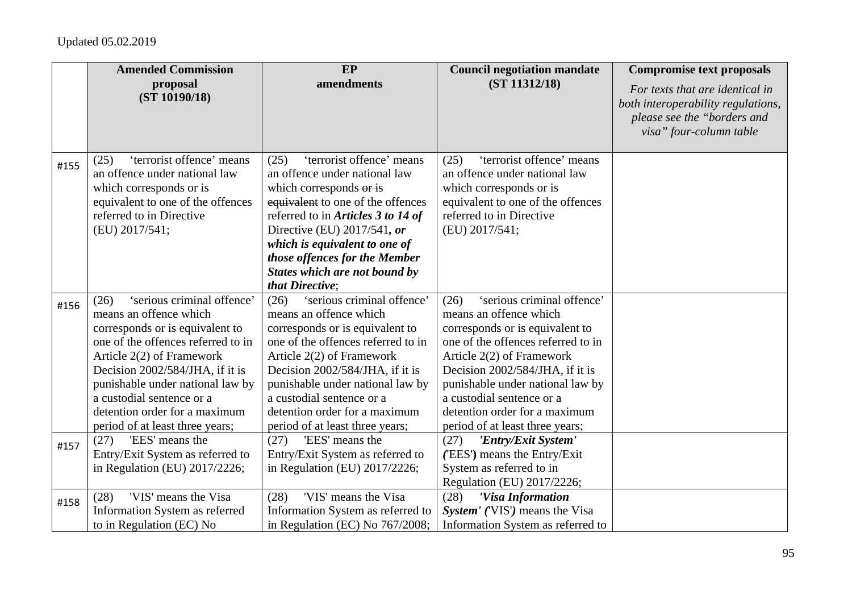|      | <b>Amended Commission</b>                                                                                                                                                                                                                                                                                                                                             | EP                                                                                                                                                                                                                                                                                                                                                                    | <b>Council negotiation mandate</b>                                                                                                                                                                                                                                                                                                                                        | <b>Compromise text proposals</b>                                                                                                |
|------|-----------------------------------------------------------------------------------------------------------------------------------------------------------------------------------------------------------------------------------------------------------------------------------------------------------------------------------------------------------------------|-----------------------------------------------------------------------------------------------------------------------------------------------------------------------------------------------------------------------------------------------------------------------------------------------------------------------------------------------------------------------|---------------------------------------------------------------------------------------------------------------------------------------------------------------------------------------------------------------------------------------------------------------------------------------------------------------------------------------------------------------------------|---------------------------------------------------------------------------------------------------------------------------------|
|      | proposal<br>(ST 10190/18)                                                                                                                                                                                                                                                                                                                                             | amendments                                                                                                                                                                                                                                                                                                                                                            | (ST 11312/18)                                                                                                                                                                                                                                                                                                                                                             | For texts that are identical in<br>both interoperability regulations,<br>please see the "borders and<br>visa" four-column table |
| #155 | 'terrorist offence' means<br>(25)<br>an offence under national law<br>which corresponds or is<br>equivalent to one of the offences<br>referred to in Directive<br>(EU) 2017/541;                                                                                                                                                                                      | 'terrorist offence' means<br>(25)<br>an offence under national law<br>which corresponds or is<br>equivalent to one of the offences<br>referred to in Articles 3 to 14 of<br>Directive (EU) 2017/541, or<br>which is equivalent to one of<br>those offences for the Member<br><b>States which are not bound by</b><br>that Directive:                                  | 'terrorist offence' means<br>(25)<br>an offence under national law<br>which corresponds or is<br>equivalent to one of the offences<br>referred to in Directive<br>(EU) 2017/541;                                                                                                                                                                                          |                                                                                                                                 |
| #156 | 'serious criminal offence'<br>(26)<br>means an offence which<br>corresponds or is equivalent to<br>one of the offences referred to in<br>Article 2(2) of Framework<br>Decision 2002/584/JHA, if it is<br>punishable under national law by<br>a custodial sentence or a<br>detention order for a maximum<br>period of at least three years;<br>'EES' means the<br>(27) | 'serious criminal offence'<br>(26)<br>means an offence which<br>corresponds or is equivalent to<br>one of the offences referred to in<br>Article 2(2) of Framework<br>Decision 2002/584/JHA, if it is<br>punishable under national law by<br>a custodial sentence or a<br>detention order for a maximum<br>period of at least three years;<br>'EES' means the<br>(27) | 'serious criminal offence'<br>(26)<br>means an offence which<br>corresponds or is equivalent to<br>one of the offences referred to in<br>Article 2(2) of Framework<br>Decision 2002/584/JHA, if it is<br>punishable under national law by<br>a custodial sentence or a<br>detention order for a maximum<br>period of at least three years;<br>'Entry/Exit System'<br>(27) |                                                                                                                                 |
| #157 | Entry/Exit System as referred to<br>in Regulation (EU) 2017/2226;                                                                                                                                                                                                                                                                                                     | Entry/Exit System as referred to<br>in Regulation (EU) $2017/2226$ ;                                                                                                                                                                                                                                                                                                  | ('EES') means the Entry/Exit<br>System as referred to in<br>Regulation (EU) 2017/2226;                                                                                                                                                                                                                                                                                    |                                                                                                                                 |
| #158 | 'VIS' means the Visa<br>(28)<br>Information System as referred<br>to in Regulation (EC) No                                                                                                                                                                                                                                                                            | 'VIS' means the Visa<br>(28)<br>Information System as referred to<br>in Regulation (EC) No $767/2008$ ;                                                                                                                                                                                                                                                               | (28)<br>'Visa Information<br>System' ('VIS') means the Visa<br>Information System as referred to                                                                                                                                                                                                                                                                          |                                                                                                                                 |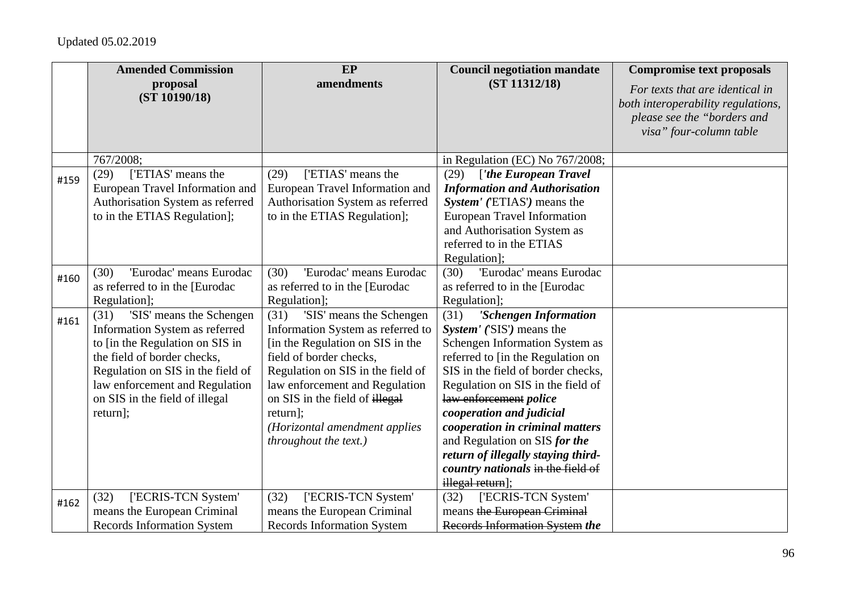|      | <b>Amended Commission</b>                                                                                                                                                                                                                                 | EP                                                                                                                                                                                                                                                                                                                  | <b>Council negotiation mandate</b>                                                                                                                                                                                                                                                                                                                                                                                                    | <b>Compromise text proposals</b>                                                                                                |
|------|-----------------------------------------------------------------------------------------------------------------------------------------------------------------------------------------------------------------------------------------------------------|---------------------------------------------------------------------------------------------------------------------------------------------------------------------------------------------------------------------------------------------------------------------------------------------------------------------|---------------------------------------------------------------------------------------------------------------------------------------------------------------------------------------------------------------------------------------------------------------------------------------------------------------------------------------------------------------------------------------------------------------------------------------|---------------------------------------------------------------------------------------------------------------------------------|
|      | proposal<br>(ST 10190/18)                                                                                                                                                                                                                                 | amendments                                                                                                                                                                                                                                                                                                          | (ST 11312/18)                                                                                                                                                                                                                                                                                                                                                                                                                         | For texts that are identical in<br>both interoperability regulations,<br>please see the "borders and<br>visa" four-column table |
|      | 767/2008;                                                                                                                                                                                                                                                 |                                                                                                                                                                                                                                                                                                                     | in Regulation (EC) No 767/2008;                                                                                                                                                                                                                                                                                                                                                                                                       |                                                                                                                                 |
| #159 | ['ETIAS' means the<br>(29)<br>European Travel Information and<br>Authorisation System as referred<br>to in the ETIAS Regulation];                                                                                                                         | ['ETIAS' means the<br>(29)<br>European Travel Information and<br>Authorisation System as referred<br>to in the ETIAS Regulation];                                                                                                                                                                                   | ['the European Travel<br>(29)<br><b>Information and Authorisation</b><br>System' ('ETIAS') means the<br><b>European Travel Information</b><br>and Authorisation System as<br>referred to in the ETIAS<br>Regulation];                                                                                                                                                                                                                 |                                                                                                                                 |
| #160 | 'Eurodac' means Eurodac<br>(30)<br>as referred to in the [Eurodac<br>Regulation];                                                                                                                                                                         | 'Eurodac' means Eurodac<br>(30)<br>as referred to in the [Eurodac<br>Regulation];                                                                                                                                                                                                                                   | 'Eurodac' means Eurodac<br>(30)<br>as referred to in the [Eurodac<br>Regulation];                                                                                                                                                                                                                                                                                                                                                     |                                                                                                                                 |
| #161 | 'SIS' means the Schengen<br>(31)<br>Information System as referred<br>to [in the Regulation on SIS in<br>the field of border checks,<br>Regulation on SIS in the field of<br>law enforcement and Regulation<br>on SIS in the field of illegal<br>return]; | 'SIS' means the Schengen<br>(31)<br>Information System as referred to<br>[in the Regulation on SIS in the<br>field of border checks,<br>Regulation on SIS in the field of<br>law enforcement and Regulation<br>on SIS in the field of illegal<br>return];<br>(Horizontal amendment applies<br>throughout the text.) | 'Schengen Information<br>(31)<br>System' ('SIS') means the<br>Schengen Information System as<br>referred to [in the Regulation on<br>SIS in the field of border checks,<br>Regulation on SIS in the field of<br>law enforcement police<br>cooperation and judicial<br>cooperation in criminal matters<br>and Regulation on SIS for the<br>return of illegally staying third-<br>country nationals in the field of<br>illegal return]; |                                                                                                                                 |
| #162 | ['ECRIS-TCN System'<br>(32)<br>means the European Criminal<br><b>Records Information System</b>                                                                                                                                                           | ['ECRIS-TCN System'<br>(32)<br>means the European Criminal<br><b>Records Information System</b>                                                                                                                                                                                                                     | ['ECRIS-TCN System'<br>(32)<br>means the European Criminal<br>Records Information System the                                                                                                                                                                                                                                                                                                                                          |                                                                                                                                 |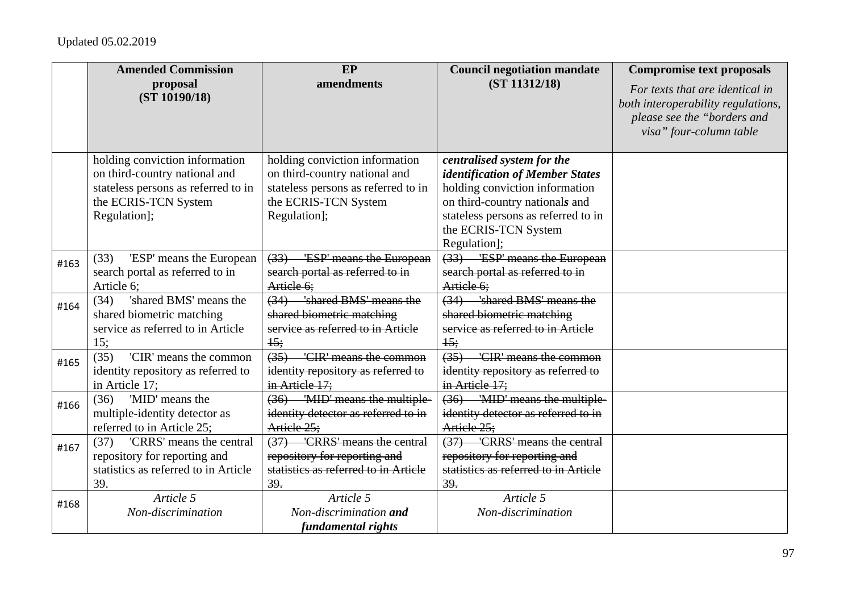|      | <b>Amended Commission</b>            | EP                                   | <b>Council negotiation mandate</b>        | <b>Compromise text proposals</b>                                                                                                |
|------|--------------------------------------|--------------------------------------|-------------------------------------------|---------------------------------------------------------------------------------------------------------------------------------|
|      | proposal<br>(ST 10190/18)            | amendments                           | (ST 11312/18)                             | For texts that are identical in<br>both interoperability regulations,<br>please see the "borders and<br>visa" four-column table |
|      | holding conviction information       | holding conviction information       | centralised system for the                |                                                                                                                                 |
|      | on third-country national and        | on third-country national and        | identification of Member States           |                                                                                                                                 |
|      | stateless persons as referred to in  | stateless persons as referred to in  | holding conviction information            |                                                                                                                                 |
|      | the ECRIS-TCN System                 | the ECRIS-TCN System                 | on third-country nationals and            |                                                                                                                                 |
|      | Regulation];                         | Regulation];                         | stateless persons as referred to in       |                                                                                                                                 |
|      |                                      |                                      | the ECRIS-TCN System                      |                                                                                                                                 |
|      |                                      |                                      | Regulation];                              |                                                                                                                                 |
| #163 | 'ESP' means the European<br>(33)     | (33) ESP' means the European         | $\overline{(33)}$ ESP' means the European |                                                                                                                                 |
|      | search portal as referred to in      | search portal as referred to in      | search portal as referred to in           |                                                                                                                                 |
|      | Article 6;                           | Article 6;                           | Article 6;                                |                                                                                                                                 |
| #164 | 'shared BMS' means the<br>(34)       | (34) 'shared BMS' means the          | (34) 'shared BMS' means the               |                                                                                                                                 |
|      | shared biometric matching            | shared biometric matching            | shared biometric matching                 |                                                                                                                                 |
|      | service as referred to in Article    | service as referred to in Article    | service as referred to in Article         |                                                                                                                                 |
|      | 15:                                  | 15:                                  | 15:                                       |                                                                                                                                 |
| #165 | 'CIR' means the common<br>(35)       | (35) 'CIR' means the common          | (35) 'CIR' means the common               |                                                                                                                                 |
|      | identity repository as referred to   | identity repository as referred to   | identity repository as referred to        |                                                                                                                                 |
|      | in Article 17;                       | in Article 17;                       | in Article 17;                            |                                                                                                                                 |
| #166 | (36)<br>'MID' means the              | (36) 'MID' means the multiple-       | (36) 'MID' means the multiple-            |                                                                                                                                 |
|      | multiple-identity detector as        | identity detector as referred to in  | identity detector as referred to in       |                                                                                                                                 |
|      | referred to in Article 25;           | Article 25:                          | Article 25;                               |                                                                                                                                 |
| #167 | 'CRRS' means the central<br>(37)     | (37) 'CRRS' means the central        | (37) 'CRRS' means the central             |                                                                                                                                 |
|      | repository for reporting and         | repository for reporting and         | repository for reporting and              |                                                                                                                                 |
|      | statistics as referred to in Article | statistics as referred to in Article | statistics as referred to in Article      |                                                                                                                                 |
|      | 39.                                  | 39.                                  | 39.                                       |                                                                                                                                 |
| #168 | Article 5                            | Article 5                            | Article 5                                 |                                                                                                                                 |
|      | Non-discrimination                   | Non-discrimination and               | Non-discrimination                        |                                                                                                                                 |
|      |                                      | fundamental rights                   |                                           |                                                                                                                                 |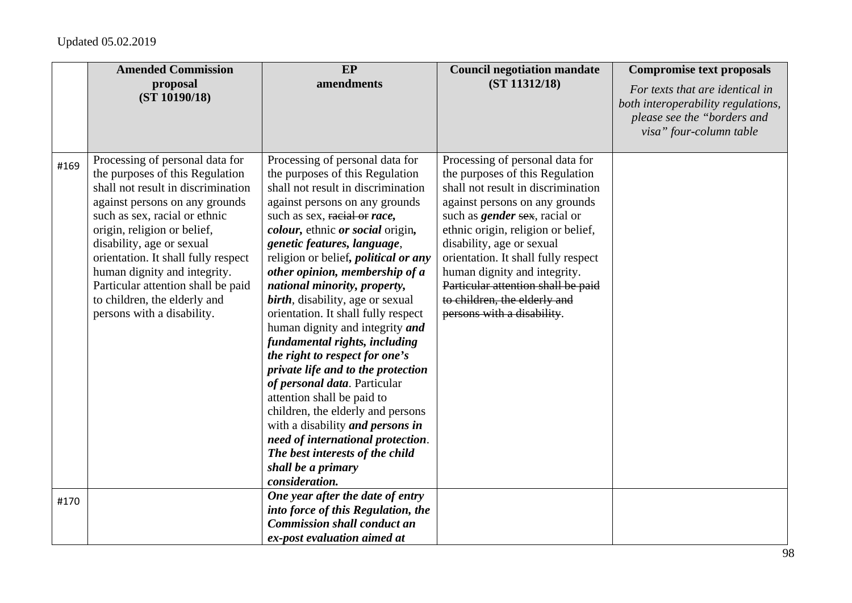|      | <b>Amended Commission</b>                                                                                                                                                                                                                                                                                                                                                                                          | EP                                                                                                                                                                                                                                                                                                                                                                                                                                                                                                                                                                                                                                                                                                                                                                                                                                           | <b>Council negotiation mandate</b>                                                                                                                                                                                                                                                                                                                                                                                               | <b>Compromise text proposals</b>                                                                                                |
|------|--------------------------------------------------------------------------------------------------------------------------------------------------------------------------------------------------------------------------------------------------------------------------------------------------------------------------------------------------------------------------------------------------------------------|----------------------------------------------------------------------------------------------------------------------------------------------------------------------------------------------------------------------------------------------------------------------------------------------------------------------------------------------------------------------------------------------------------------------------------------------------------------------------------------------------------------------------------------------------------------------------------------------------------------------------------------------------------------------------------------------------------------------------------------------------------------------------------------------------------------------------------------------|----------------------------------------------------------------------------------------------------------------------------------------------------------------------------------------------------------------------------------------------------------------------------------------------------------------------------------------------------------------------------------------------------------------------------------|---------------------------------------------------------------------------------------------------------------------------------|
|      | proposal<br>(ST 10190/18)                                                                                                                                                                                                                                                                                                                                                                                          | amendments                                                                                                                                                                                                                                                                                                                                                                                                                                                                                                                                                                                                                                                                                                                                                                                                                                   | (ST 11312/18)                                                                                                                                                                                                                                                                                                                                                                                                                    | For texts that are identical in<br>both interoperability regulations,<br>please see the "borders and<br>visa" four-column table |
| #169 | Processing of personal data for<br>the purposes of this Regulation<br>shall not result in discrimination<br>against persons on any grounds<br>such as sex, racial or ethnic<br>origin, religion or belief,<br>disability, age or sexual<br>orientation. It shall fully respect<br>human dignity and integrity.<br>Particular attention shall be paid<br>to children, the elderly and<br>persons with a disability. | Processing of personal data for<br>the purposes of this Regulation<br>shall not result in discrimination<br>against persons on any grounds<br>such as sex, racial or race,<br>colour, ethnic or social origin,<br>genetic features, language,<br>religion or belief, <i>political or any</i><br>other opinion, membership of a<br>national minority, property,<br>birth, disability, age or sexual<br>orientation. It shall fully respect<br>human dignity and integrity and<br>fundamental rights, including<br>the right to respect for one's<br>private life and to the protection<br>of personal data. Particular<br>attention shall be paid to<br>children, the elderly and persons<br>with a disability and persons in<br>need of international protection.<br>The best interests of the child<br>shall be a primary<br>consideration. | Processing of personal data for<br>the purposes of this Regulation<br>shall not result in discrimination<br>against persons on any grounds<br>such as <i>gender</i> sex, racial or<br>ethnic origin, religion or belief,<br>disability, age or sexual<br>orientation. It shall fully respect<br>human dignity and integrity.<br>Particular attention shall be paid<br>to children, the elderly and<br>persons with a disability. |                                                                                                                                 |
| #170 |                                                                                                                                                                                                                                                                                                                                                                                                                    | One year after the date of entry<br>into force of this Regulation, the<br><b>Commission shall conduct an</b><br>ex-post evaluation aimed at                                                                                                                                                                                                                                                                                                                                                                                                                                                                                                                                                                                                                                                                                                  |                                                                                                                                                                                                                                                                                                                                                                                                                                  |                                                                                                                                 |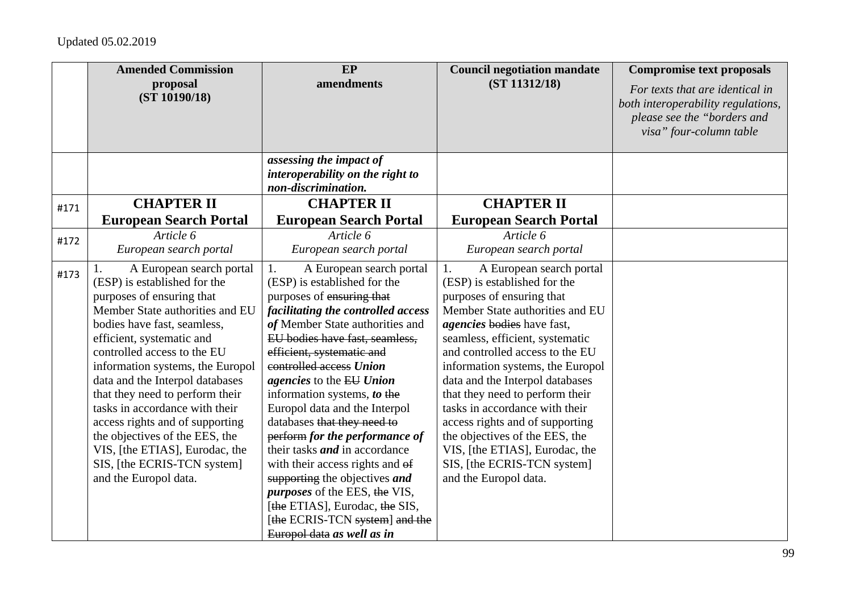|      | <b>Amended Commission</b><br>proposal                        | EP<br>amendments                                          | <b>Council negotiation mandate</b><br>(ST 11312/18)       | <b>Compromise text proposals</b>                                      |
|------|--------------------------------------------------------------|-----------------------------------------------------------|-----------------------------------------------------------|-----------------------------------------------------------------------|
|      | (ST 10190/18)                                                |                                                           |                                                           | For texts that are identical in<br>both interoperability regulations, |
|      |                                                              |                                                           |                                                           | please see the "borders and                                           |
|      |                                                              |                                                           |                                                           | visa" four-column table                                               |
|      |                                                              |                                                           |                                                           |                                                                       |
|      |                                                              | assessing the impact of                                   |                                                           |                                                                       |
|      |                                                              | interoperability on the right to<br>non-discrimination.   |                                                           |                                                                       |
|      | <b>CHAPTER II</b>                                            | <b>CHAPTER II</b>                                         | <b>CHAPTER II</b>                                         |                                                                       |
| #171 | <b>European Search Portal</b>                                | <b>European Search Portal</b>                             | <b>European Search Portal</b>                             |                                                                       |
|      | Article 6                                                    | Article 6                                                 | Article 6                                                 |                                                                       |
| #172 | European search portal                                       | European search portal                                    | European search portal                                    |                                                                       |
|      |                                                              |                                                           |                                                           |                                                                       |
| #173 | A European search portal<br>1.                               | 1.<br>A European search portal                            | 1.<br>A European search portal                            |                                                                       |
|      | (ESP) is established for the                                 | (ESP) is established for the<br>purposes of ensuring that | (ESP) is established for the<br>purposes of ensuring that |                                                                       |
|      | purposes of ensuring that<br>Member State authorities and EU | facilitating the controlled access                        | Member State authorities and EU                           |                                                                       |
|      | bodies have fast, seamless,                                  | of Member State authorities and                           | <i>agencies</i> bodies have fast,                         |                                                                       |
|      | efficient, systematic and                                    | EU bodies have fast, seamless,                            | seamless, efficient, systematic                           |                                                                       |
|      | controlled access to the EU                                  | efficient, systematic and                                 | and controlled access to the EU                           |                                                                       |
|      | information systems, the Europol                             | controlled access Union                                   | information systems, the Europol                          |                                                                       |
|      | data and the Interpol databases                              | agencies to the EU Union                                  | data and the Interpol databases                           |                                                                       |
|      | that they need to perform their                              | information systems, to the                               | that they need to perform their                           |                                                                       |
|      | tasks in accordance with their                               | Europol data and the Interpol                             | tasks in accordance with their                            |                                                                       |
|      | access rights and of supporting                              | databases that they need to                               | access rights and of supporting                           |                                                                       |
|      | the objectives of the EES, the                               | perform for the performance of                            | the objectives of the EES, the                            |                                                                       |
|      | VIS, [the ETIAS], Eurodac, the                               | their tasks <i>and</i> in accordance                      | VIS, [the ETIAS], Eurodac, the                            |                                                                       |
|      | SIS, [the ECRIS-TCN system]                                  | with their access rights and of                           | SIS, [the ECRIS-TCN system]                               |                                                                       |
|      | and the Europol data.                                        | supporting the objectives and                             | and the Europol data.                                     |                                                                       |
|      |                                                              | <i>purposes</i> of the EES, the VIS,                      |                                                           |                                                                       |
|      |                                                              | [the ETIAS], Eurodac, the SIS,                            |                                                           |                                                                       |
|      |                                                              | [the ECRIS-TCN system] and the                            |                                                           |                                                                       |
|      |                                                              | Europol data as well as in                                |                                                           |                                                                       |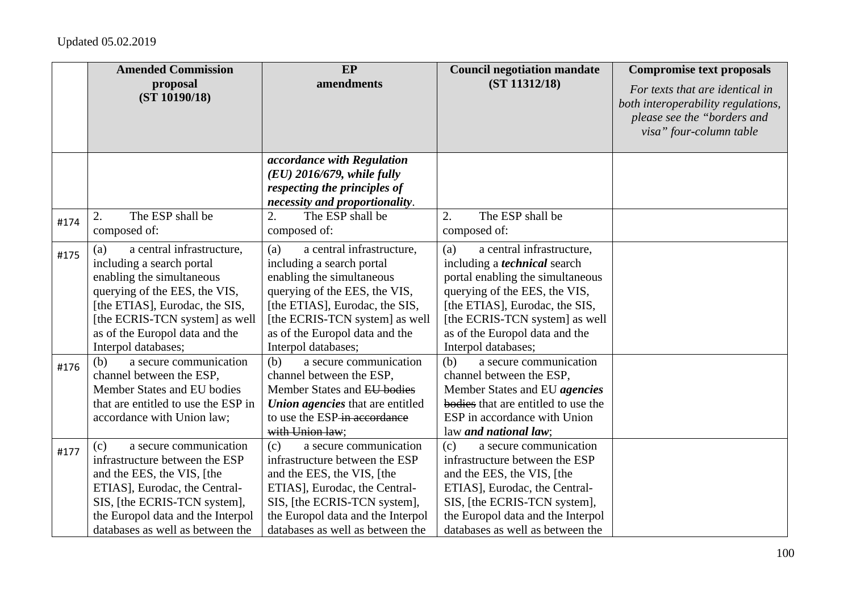|      | <b>Amended Commission</b><br>proposal                   | EP<br>amendments                                                        | <b>Council negotiation mandate</b><br>(ST 11312/18)                  | <b>Compromise text proposals</b>                                      |
|------|---------------------------------------------------------|-------------------------------------------------------------------------|----------------------------------------------------------------------|-----------------------------------------------------------------------|
|      | (ST 10190/18)                                           |                                                                         |                                                                      | For texts that are identical in<br>both interoperability regulations, |
|      |                                                         |                                                                         |                                                                      | please see the "borders and                                           |
|      |                                                         |                                                                         |                                                                      | visa" four-column table                                               |
|      |                                                         | accordance with Regulation                                              |                                                                      |                                                                       |
|      |                                                         | $(EU)$ 2016/679, while fully                                            |                                                                      |                                                                       |
|      |                                                         | respecting the principles of                                            |                                                                      |                                                                       |
|      |                                                         | necessity and proportionality.                                          |                                                                      |                                                                       |
| #174 | The ESP shall be<br>2.                                  | The ESP shall be<br>2.                                                  | The ESP shall be<br>2.                                               |                                                                       |
|      | composed of:                                            | composed of:                                                            | composed of:                                                         |                                                                       |
| #175 | a central infrastructure,<br>(a)                        | a central infrastructure,<br>(a)                                        | a central infrastructure,<br>(a)                                     |                                                                       |
|      | including a search portal                               | including a search portal                                               | including a <i>technical</i> search                                  |                                                                       |
|      | enabling the simultaneous                               | enabling the simultaneous                                               | portal enabling the simultaneous                                     |                                                                       |
|      | querying of the EES, the VIS,                           | querying of the EES, the VIS,                                           | querying of the EES, the VIS,                                        |                                                                       |
|      | [the ETIAS], Eurodac, the SIS,                          | [the ETIAS], Eurodac, the SIS,                                          | [the ETIAS], Eurodac, the SIS,                                       |                                                                       |
|      | [the ECRIS-TCN system] as well                          | [the ECRIS-TCN system] as well                                          | [the ECRIS-TCN system] as well                                       |                                                                       |
|      | as of the Europol data and the                          | as of the Europol data and the                                          | as of the Europol data and the                                       |                                                                       |
|      | Interpol databases;                                     | Interpol databases;                                                     | Interpol databases;                                                  |                                                                       |
| #176 | a secure communication<br>(b)                           | (b)<br>a secure communication                                           | (b)<br>a secure communication                                        |                                                                       |
|      | channel between the ESP,<br>Member States and EU bodies | channel between the ESP,<br>Member States and EU bodies                 | channel between the ESP,                                             |                                                                       |
|      | that are entitled to use the ESP in                     |                                                                         | Member States and EU agencies<br>bodies that are entitled to use the |                                                                       |
|      | accordance with Union law;                              | <b>Union agencies</b> that are entitled<br>to use the ESP-in accordance | ESP in accordance with Union                                         |                                                                       |
|      |                                                         | with Union law:                                                         | law and national law;                                                |                                                                       |
| #177 | a secure communication<br>(c)                           | a secure communication<br>(c)                                           | a secure communication<br>(c)                                        |                                                                       |
|      | infrastructure between the ESP                          | infrastructure between the ESP                                          | infrastructure between the ESP                                       |                                                                       |
|      | and the EES, the VIS, [the                              | and the EES, the VIS, [the                                              | and the EES, the VIS, [the                                           |                                                                       |
|      | ETIAS], Eurodac, the Central-                           | ETIAS], Eurodac, the Central-                                           | ETIAS], Eurodac, the Central-                                        |                                                                       |
|      | SIS, [the ECRIS-TCN system],                            | SIS, [the ECRIS-TCN system],                                            | SIS, [the ECRIS-TCN system],                                         |                                                                       |
|      | the Europol data and the Interpol                       | the Europol data and the Interpol                                       | the Europol data and the Interpol                                    |                                                                       |
|      | databases as well as between the                        | databases as well as between the                                        | databases as well as between the                                     |                                                                       |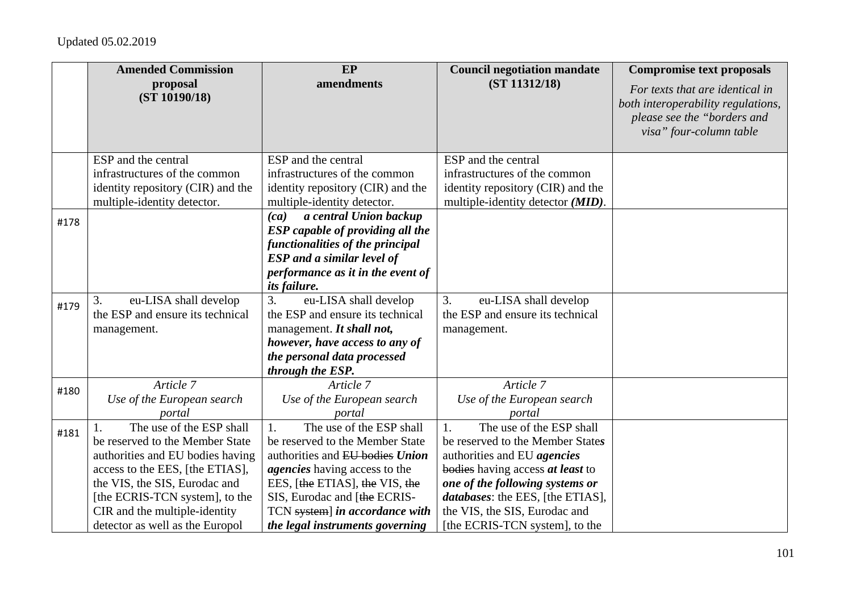|      | <b>Amended Commission</b>                                        | EP                                                                    | <b>Council negotiation mandate</b>                                       | <b>Compromise text proposals</b>                                                                                                |
|------|------------------------------------------------------------------|-----------------------------------------------------------------------|--------------------------------------------------------------------------|---------------------------------------------------------------------------------------------------------------------------------|
|      | proposal<br>(ST 10190/18)                                        | amendments                                                            | (ST 11312/18)                                                            | For texts that are identical in<br>both interoperability regulations,<br>please see the "borders and<br>visa" four-column table |
|      | ESP and the central                                              | ESP and the central                                                   | ESP and the central                                                      |                                                                                                                                 |
|      | infrastructures of the common                                    | infrastructures of the common                                         | infrastructures of the common                                            |                                                                                                                                 |
|      | identity repository (CIR) and the                                | identity repository (CIR) and the                                     | identity repository (CIR) and the                                        |                                                                                                                                 |
|      | multiple-identity detector.                                      | multiple-identity detector.                                           | multiple-identity detector ( <i>MID</i> ).                               |                                                                                                                                 |
| #178 |                                                                  | a central Union backup<br>(ca)                                        |                                                                          |                                                                                                                                 |
|      |                                                                  | <b>ESP</b> capable of providing all the                               |                                                                          |                                                                                                                                 |
|      |                                                                  | functionalities of the principal<br><b>ESP</b> and a similar level of |                                                                          |                                                                                                                                 |
|      |                                                                  | performance as it in the event of                                     |                                                                          |                                                                                                                                 |
|      |                                                                  | <i>its failure.</i>                                                   |                                                                          |                                                                                                                                 |
| #179 | eu-LISA shall develop<br>3.                                      | 3.<br>eu-LISA shall develop                                           | 3.<br>eu-LISA shall develop                                              |                                                                                                                                 |
|      | the ESP and ensure its technical                                 | the ESP and ensure its technical                                      | the ESP and ensure its technical                                         |                                                                                                                                 |
|      | management.                                                      | management. It shall not,                                             | management.                                                              |                                                                                                                                 |
|      |                                                                  | however, have access to any of                                        |                                                                          |                                                                                                                                 |
|      |                                                                  | the personal data processed                                           |                                                                          |                                                                                                                                 |
|      |                                                                  | through the ESP.                                                      |                                                                          |                                                                                                                                 |
| #180 | Article 7                                                        | Article 7                                                             | Article 7                                                                |                                                                                                                                 |
|      | Use of the European search                                       | Use of the European search                                            | Use of the European search                                               |                                                                                                                                 |
|      | portal                                                           | portal                                                                | portal                                                                   |                                                                                                                                 |
| #181 | The use of the ESP shall                                         | The use of the ESP shall<br>$\mathbf{1}$ .                            | The use of the ESP shall<br>$\mathbf{1}$ .                               |                                                                                                                                 |
|      | be reserved to the Member State                                  | be reserved to the Member State                                       | be reserved to the Member States                                         |                                                                                                                                 |
|      | authorities and EU bodies having                                 | authorities and EU bodies Union                                       | authorities and EU agencies                                              |                                                                                                                                 |
|      | access to the EES, [the ETIAS],                                  | <i>agencies</i> having access to the                                  | bodies having access at least to                                         |                                                                                                                                 |
|      | the VIS, the SIS, Eurodac and                                    | EES, [the ETIAS], the VIS, the                                        | one of the following systems or                                          |                                                                                                                                 |
|      | [the ECRIS-TCN system], to the                                   | SIS, Eurodac and [the ECRIS-                                          | <i>databases:</i> the EES, [the ETIAS],<br>the VIS, the SIS, Eurodac and |                                                                                                                                 |
|      | CIR and the multiple-identity<br>detector as well as the Europol | TCN system] in accordance with                                        | [the ECRIS-TCN system], to the                                           |                                                                                                                                 |
|      |                                                                  | the legal instruments governing                                       |                                                                          |                                                                                                                                 |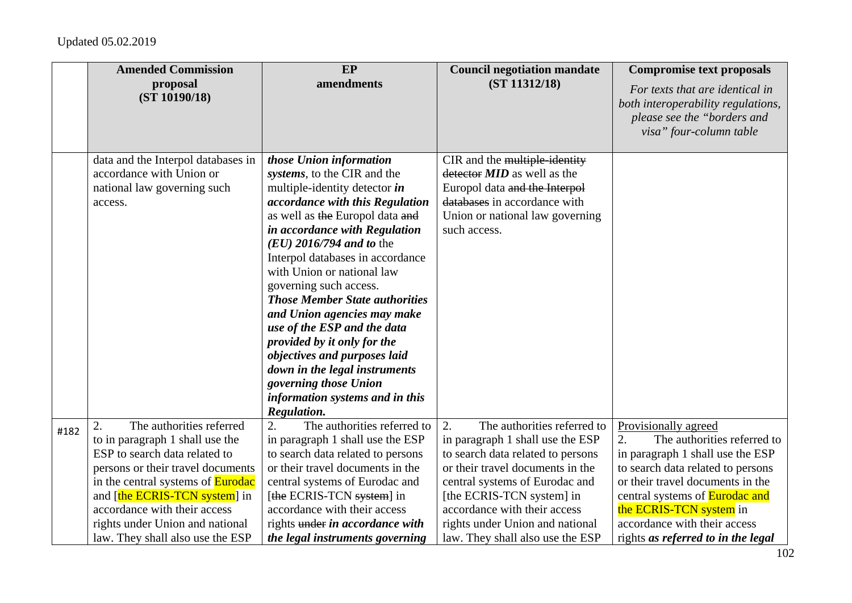|      | <b>Amended Commission</b>                                                                                                                                                                                                                                                               | EP                                                                                                                                                                                                                                                                                                                                                                                                                                                                                                                                                                                                         | <b>Council negotiation mandate</b>                                                                                                                                                                                                                                               | <b>Compromise text proposals</b>                                                                                                                                                                                                                                           |
|------|-----------------------------------------------------------------------------------------------------------------------------------------------------------------------------------------------------------------------------------------------------------------------------------------|------------------------------------------------------------------------------------------------------------------------------------------------------------------------------------------------------------------------------------------------------------------------------------------------------------------------------------------------------------------------------------------------------------------------------------------------------------------------------------------------------------------------------------------------------------------------------------------------------------|----------------------------------------------------------------------------------------------------------------------------------------------------------------------------------------------------------------------------------------------------------------------------------|----------------------------------------------------------------------------------------------------------------------------------------------------------------------------------------------------------------------------------------------------------------------------|
|      | proposal<br>(ST 10190/18)                                                                                                                                                                                                                                                               | amendments                                                                                                                                                                                                                                                                                                                                                                                                                                                                                                                                                                                                 | (ST 11312/18)                                                                                                                                                                                                                                                                    | For texts that are identical in<br>both interoperability regulations,<br>please see the "borders and<br>visa" four-column table                                                                                                                                            |
|      | data and the Interpol databases in<br>accordance with Union or<br>national law governing such<br>access.                                                                                                                                                                                | those Union information<br>systems, to the CIR and the<br>multiple-identity detector in<br>accordance with this Regulation<br>as well as the Europol data and<br>in accordance with Regulation<br>$(EU)$ 2016/794 and to the<br>Interpol databases in accordance<br>with Union or national law<br>governing such access.<br><b>Those Member State authorities</b><br>and Union agencies may make<br>use of the ESP and the data<br>provided by it only for the<br>objectives and purposes laid<br>down in the legal instruments<br>governing those Union<br>information systems and in this<br>Regulation. | CIR and the multiple-identity<br>detector <b>MID</b> as well as the<br>Europol data and the Interpol<br>databases in accordance with<br>Union or national law governing<br>such access.                                                                                          |                                                                                                                                                                                                                                                                            |
| #182 | The authorities referred<br>2.<br>to in paragraph 1 shall use the<br>ESP to search data related to<br>persons or their travel documents<br>in the central systems of <b>Eurodac</b><br>and [the ECRIS-TCN system] in<br>accordance with their access<br>rights under Union and national | The authorities referred to<br>$\overline{2}$ .<br>in paragraph 1 shall use the ESP<br>to search data related to persons<br>or their travel documents in the<br>central systems of Eurodac and<br>[the ECRIS-TCN system] in<br>accordance with their access<br>rights under in accordance with                                                                                                                                                                                                                                                                                                             | The authorities referred to<br>2.<br>in paragraph 1 shall use the ESP<br>to search data related to persons<br>or their travel documents in the<br>central systems of Eurodac and<br>[the ECRIS-TCN system] in<br>accordance with their access<br>rights under Union and national | Provisionally agreed<br>2.<br>The authorities referred to<br>in paragraph 1 shall use the ESP<br>to search data related to persons<br>or their travel documents in the<br>central systems of <b>Eurodac and</b><br>the ECRIS-TCN system in<br>accordance with their access |
|      | law. They shall also use the ESP                                                                                                                                                                                                                                                        | the legal instruments governing                                                                                                                                                                                                                                                                                                                                                                                                                                                                                                                                                                            | law. They shall also use the ESP                                                                                                                                                                                                                                                 | rights as referred to in the legal                                                                                                                                                                                                                                         |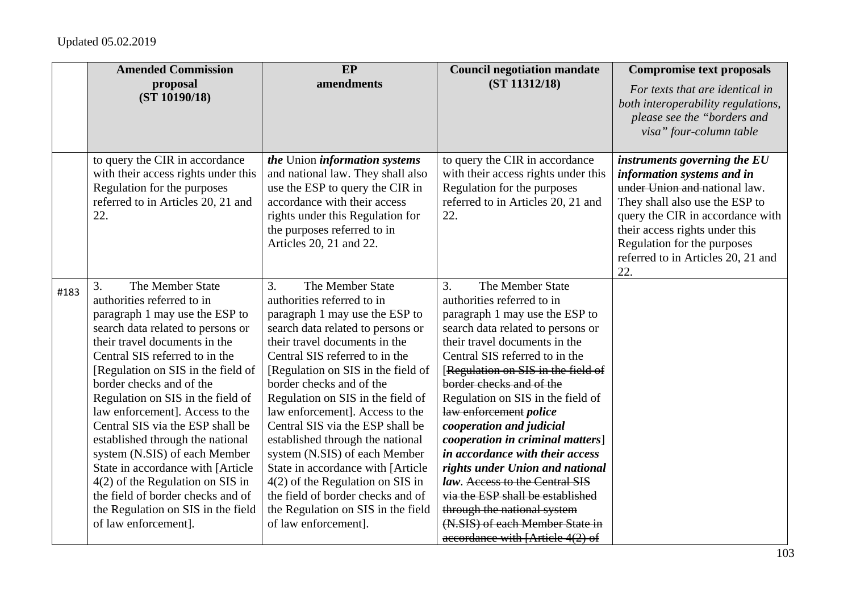|      | <b>Amended Commission</b>                                                                                                                                                                                                                                                                                                                                                                                                                                                                                                                                                                                                       | EP                                                                                                                                                                                                                                                                                                                                                                                                                                                                                                                                                                                                                                            | <b>Council negotiation mandate</b>                                                                                                                                                                                                                                                                                                                                                                                                                                                                                                                                                                                                                | <b>Compromise text proposals</b>                                                                                                                                                                                                                                                |
|------|---------------------------------------------------------------------------------------------------------------------------------------------------------------------------------------------------------------------------------------------------------------------------------------------------------------------------------------------------------------------------------------------------------------------------------------------------------------------------------------------------------------------------------------------------------------------------------------------------------------------------------|-----------------------------------------------------------------------------------------------------------------------------------------------------------------------------------------------------------------------------------------------------------------------------------------------------------------------------------------------------------------------------------------------------------------------------------------------------------------------------------------------------------------------------------------------------------------------------------------------------------------------------------------------|---------------------------------------------------------------------------------------------------------------------------------------------------------------------------------------------------------------------------------------------------------------------------------------------------------------------------------------------------------------------------------------------------------------------------------------------------------------------------------------------------------------------------------------------------------------------------------------------------------------------------------------------------|---------------------------------------------------------------------------------------------------------------------------------------------------------------------------------------------------------------------------------------------------------------------------------|
|      | proposal<br>(ST 10190/18)                                                                                                                                                                                                                                                                                                                                                                                                                                                                                                                                                                                                       | amendments                                                                                                                                                                                                                                                                                                                                                                                                                                                                                                                                                                                                                                    | (ST 11312/18)                                                                                                                                                                                                                                                                                                                                                                                                                                                                                                                                                                                                                                     | For texts that are identical in<br>both interoperability regulations,<br>please see the "borders and<br>visa" four-column table                                                                                                                                                 |
|      | to query the CIR in accordance<br>with their access rights under this<br>Regulation for the purposes<br>referred to in Articles 20, 21 and<br>22.                                                                                                                                                                                                                                                                                                                                                                                                                                                                               | the Union information systems<br>and national law. They shall also<br>use the ESP to query the CIR in<br>accordance with their access<br>rights under this Regulation for<br>the purposes referred to in<br>Articles 20, 21 and 22.                                                                                                                                                                                                                                                                                                                                                                                                           | to query the CIR in accordance<br>with their access rights under this<br>Regulation for the purposes<br>referred to in Articles 20, 21 and<br>22.                                                                                                                                                                                                                                                                                                                                                                                                                                                                                                 | instruments governing the EU<br>information systems and in<br>under Union and national law.<br>They shall also use the ESP to<br>query the CIR in accordance with<br>their access rights under this<br>Regulation for the purposes<br>referred to in Articles 20, 21 and<br>22. |
| #183 | The Member State<br>3.<br>authorities referred to in<br>paragraph 1 may use the ESP to<br>search data related to persons or<br>their travel documents in the<br>Central SIS referred to in the<br>[Regulation on SIS in the field of<br>border checks and of the<br>Regulation on SIS in the field of<br>law enforcement]. Access to the<br>Central SIS via the ESP shall be<br>established through the national<br>system (N.SIS) of each Member<br>State in accordance with [Article<br>$4(2)$ of the Regulation on SIS in<br>the field of border checks and of<br>the Regulation on SIS in the field<br>of law enforcement]. | $\overline{3}$ .<br>The Member State<br>authorities referred to in<br>paragraph 1 may use the ESP to<br>search data related to persons or<br>their travel documents in the<br>Central SIS referred to in the<br>[Regulation on SIS in the field of<br>border checks and of the<br>Regulation on SIS in the field of<br>law enforcement]. Access to the<br>Central SIS via the ESP shall be<br>established through the national<br>system (N.SIS) of each Member<br>State in accordance with [Article<br>$4(2)$ of the Regulation on SIS in<br>the field of border checks and of<br>the Regulation on SIS in the field<br>of law enforcement]. | 3.<br>The Member State<br>authorities referred to in<br>paragraph 1 may use the ESP to<br>search data related to persons or<br>their travel documents in the<br>Central SIS referred to in the<br>[Regulation on SIS in the field of<br>border checks and of the<br>Regulation on SIS in the field of<br>law enforcement police<br>cooperation and judicial<br>cooperation in criminal matters]<br>in accordance with their access<br>rights under Union and national<br>law. Access to the Central SIS<br>via the ESP shall be established<br>through the national system<br>(N.SIS) of each Member State in<br>accordance with [Article 4(2) of |                                                                                                                                                                                                                                                                                 |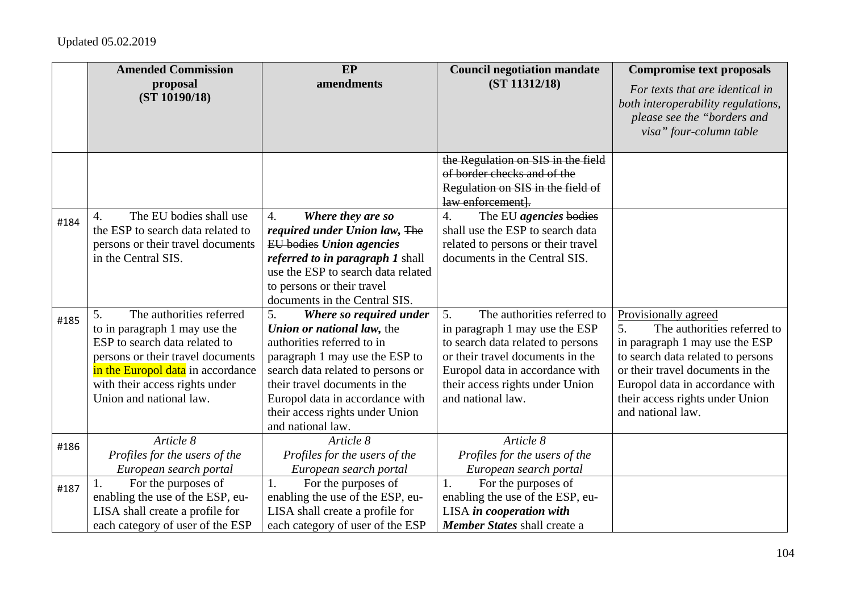|      | <b>Amended Commission</b>                                                                                                                                                                                                               | EP                                                                                                                                                                                                                                                                                           | <b>Council negotiation mandate</b>                                                                                                                                                                                                      | <b>Compromise text proposals</b>                                                                                                                                                                                                                                |
|------|-----------------------------------------------------------------------------------------------------------------------------------------------------------------------------------------------------------------------------------------|----------------------------------------------------------------------------------------------------------------------------------------------------------------------------------------------------------------------------------------------------------------------------------------------|-----------------------------------------------------------------------------------------------------------------------------------------------------------------------------------------------------------------------------------------|-----------------------------------------------------------------------------------------------------------------------------------------------------------------------------------------------------------------------------------------------------------------|
|      | proposal<br>(ST 10190/18)                                                                                                                                                                                                               | amendments                                                                                                                                                                                                                                                                                   | (ST 11312/18)                                                                                                                                                                                                                           | For texts that are identical in<br>both interoperability regulations,<br>please see the "borders and<br>visa" four-column table                                                                                                                                 |
|      |                                                                                                                                                                                                                                         |                                                                                                                                                                                                                                                                                              | the Regulation on SIS in the field<br>of border checks and of the                                                                                                                                                                       |                                                                                                                                                                                                                                                                 |
|      |                                                                                                                                                                                                                                         |                                                                                                                                                                                                                                                                                              | Regulation on SIS in the field of<br>law enforcement].                                                                                                                                                                                  |                                                                                                                                                                                                                                                                 |
| #184 | The EU bodies shall use<br>$\overline{4}$ .<br>the ESP to search data related to<br>persons or their travel documents<br>in the Central SIS.                                                                                            | 4.<br>Where they are so<br>required under Union law, The<br><b>EU</b> bodies Union agencies<br>referred to in paragraph 1 shall<br>use the ESP to search data related<br>to persons or their travel<br>documents in the Central SIS.                                                         | $\overline{4}$ .<br>The EU agencies bodies<br>shall use the ESP to search data<br>related to persons or their travel<br>documents in the Central SIS.                                                                                   |                                                                                                                                                                                                                                                                 |
| #185 | The authorities referred<br>5.<br>to in paragraph 1 may use the<br>ESP to search data related to<br>persons or their travel documents<br>in the Europol data in accordance<br>with their access rights under<br>Union and national law. | 5.<br>Where so required under<br>Union or national law, the<br>authorities referred to in<br>paragraph 1 may use the ESP to<br>search data related to persons or<br>their travel documents in the<br>Europol data in accordance with<br>their access rights under Union<br>and national law. | The authorities referred to<br>5.<br>in paragraph 1 may use the ESP<br>to search data related to persons<br>or their travel documents in the<br>Europol data in accordance with<br>their access rights under Union<br>and national law. | Provisionally agreed<br>The authorities referred to<br>5.<br>in paragraph 1 may use the ESP<br>to search data related to persons<br>or their travel documents in the<br>Europol data in accordance with<br>their access rights under Union<br>and national law. |
| #186 | Article 8<br>Profiles for the users of the<br>European search portal                                                                                                                                                                    | Article 8<br>Profiles for the users of the<br>European search portal                                                                                                                                                                                                                         | Article 8<br>Profiles for the users of the<br>European search portal                                                                                                                                                                    |                                                                                                                                                                                                                                                                 |
| #187 | For the purposes of<br>enabling the use of the ESP, eu-<br>LISA shall create a profile for<br>each category of user of the ESP                                                                                                          | For the purposes of<br>1.<br>enabling the use of the ESP, eu-<br>LISA shall create a profile for<br>each category of user of the ESP                                                                                                                                                         | For the purposes of<br>1.<br>enabling the use of the ESP, eu-<br>LISA in cooperation with<br>Member States shall create a                                                                                                               |                                                                                                                                                                                                                                                                 |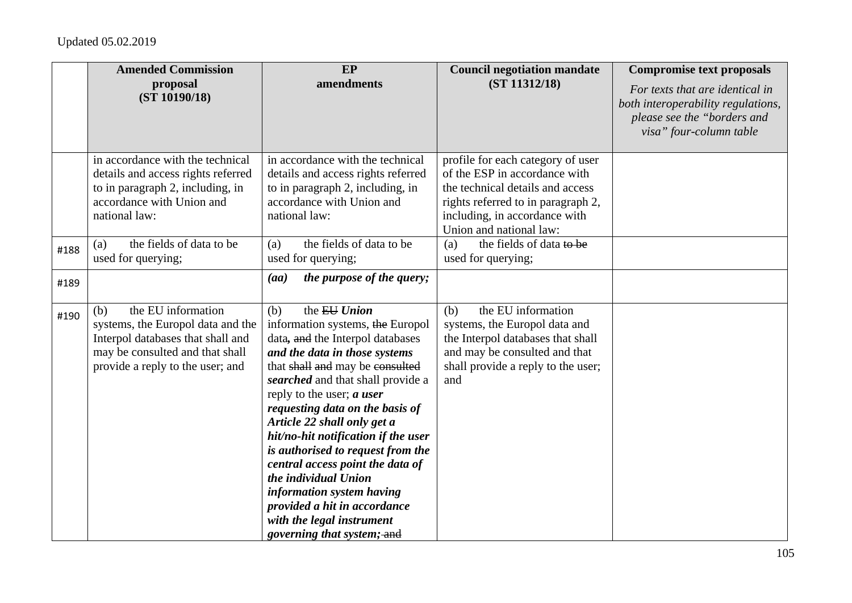|      | <b>Amended Commission</b>                                                                                                                                                  | EP                                                                                                                                                                                                                                                                                                                                                                                                                                                                                                                                                                    | <b>Council negotiation mandate</b>                                                                                                                                                                       | <b>Compromise text proposals</b>                                                                                                |
|------|----------------------------------------------------------------------------------------------------------------------------------------------------------------------------|-----------------------------------------------------------------------------------------------------------------------------------------------------------------------------------------------------------------------------------------------------------------------------------------------------------------------------------------------------------------------------------------------------------------------------------------------------------------------------------------------------------------------------------------------------------------------|----------------------------------------------------------------------------------------------------------------------------------------------------------------------------------------------------------|---------------------------------------------------------------------------------------------------------------------------------|
|      | proposal<br>(ST 10190/18)                                                                                                                                                  | amendments                                                                                                                                                                                                                                                                                                                                                                                                                                                                                                                                                            | (ST 11312/18)                                                                                                                                                                                            | For texts that are identical in<br>both interoperability regulations,<br>please see the "borders and<br>visa" four-column table |
|      | in accordance with the technical<br>details and access rights referred<br>to in paragraph 2, including, in<br>accordance with Union and<br>national law:                   | in accordance with the technical<br>details and access rights referred<br>to in paragraph 2, including, in<br>accordance with Union and<br>national law:                                                                                                                                                                                                                                                                                                                                                                                                              | profile for each category of user<br>of the ESP in accordance with<br>the technical details and access<br>rights referred to in paragraph 2,<br>including, in accordance with<br>Union and national law: |                                                                                                                                 |
| #188 | the fields of data to be<br>(a)<br>used for querying;                                                                                                                      | the fields of data to be<br>(a)<br>used for querying;                                                                                                                                                                                                                                                                                                                                                                                                                                                                                                                 | the fields of data to be<br>(a)<br>used for querying;                                                                                                                                                    |                                                                                                                                 |
| #189 |                                                                                                                                                                            | the purpose of the query;<br>(aa)                                                                                                                                                                                                                                                                                                                                                                                                                                                                                                                                     |                                                                                                                                                                                                          |                                                                                                                                 |
| #190 | the EU information<br>(b)<br>systems, the Europol data and the<br>Interpol databases that shall and<br>may be consulted and that shall<br>provide a reply to the user; and | the EU Union<br>(b)<br>information systems, the Europol<br>data, and the Interpol databases<br>and the data in those systems<br>that shall and may be consulted<br>searched and that shall provide a<br>reply to the user; $a$ user<br>requesting data on the basis of<br>Article 22 shall only get a<br>hit/no-hit notification if the user<br>is authorised to request from the<br>central access point the data of<br>the individual Union<br>information system having<br>provided a hit in accordance<br>with the legal instrument<br>governing that system; and | the EU information<br>(b)<br>systems, the Europol data and<br>the Interpol databases that shall<br>and may be consulted and that<br>shall provide a reply to the user;<br>and                            |                                                                                                                                 |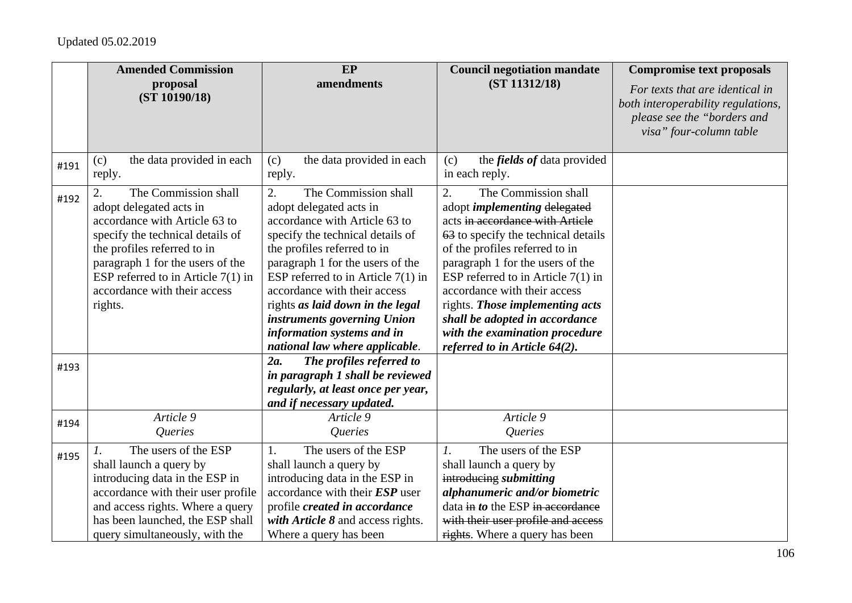|      | <b>Amended Commission</b>                                                                                                                                                                                                                                                                      | <b>EP</b>                                                                                                                                                                                                                                                                                                                                                                                                                                                 | <b>Council negotiation mandate</b>                                                                                                                                                                                                                                                                                                                                                                                                                 | <b>Compromise text proposals</b>                                                                                                |
|------|------------------------------------------------------------------------------------------------------------------------------------------------------------------------------------------------------------------------------------------------------------------------------------------------|-----------------------------------------------------------------------------------------------------------------------------------------------------------------------------------------------------------------------------------------------------------------------------------------------------------------------------------------------------------------------------------------------------------------------------------------------------------|----------------------------------------------------------------------------------------------------------------------------------------------------------------------------------------------------------------------------------------------------------------------------------------------------------------------------------------------------------------------------------------------------------------------------------------------------|---------------------------------------------------------------------------------------------------------------------------------|
|      | proposal<br>(ST 10190/18)                                                                                                                                                                                                                                                                      | amendments                                                                                                                                                                                                                                                                                                                                                                                                                                                | (ST 11312/18)                                                                                                                                                                                                                                                                                                                                                                                                                                      | For texts that are identical in<br>both interoperability regulations,<br>please see the "borders and<br>visa" four-column table |
| #191 | the data provided in each<br>(c)<br>reply.                                                                                                                                                                                                                                                     | the data provided in each<br>(c)<br>reply.                                                                                                                                                                                                                                                                                                                                                                                                                | the <i>fields of</i> data provided<br>(c)<br>in each reply.                                                                                                                                                                                                                                                                                                                                                                                        |                                                                                                                                 |
| #192 | The Commission shall<br>$\overline{2}$ .<br>adopt delegated acts in<br>accordance with Article 63 to<br>specify the technical details of<br>the profiles referred to in<br>paragraph 1 for the users of the<br>ESP referred to in Article $7(1)$ in<br>accordance with their access<br>rights. | $\overline{2}$ .<br>The Commission shall<br>adopt delegated acts in<br>accordance with Article 63 to<br>specify the technical details of<br>the profiles referred to in<br>paragraph 1 for the users of the<br>ESP referred to in Article $7(1)$ in<br>accordance with their access<br>rights as laid down in the legal<br>instruments governing Union<br>information systems and in<br>national law where applicable.<br>The profiles referred to<br>2a. | $\overline{2}$ .<br>The Commission shall<br>adopt <i>implementing</i> delegated<br>acts in accordance with Article<br>63 to specify the technical details<br>of the profiles referred to in<br>paragraph 1 for the users of the<br>ESP referred to in Article $7(1)$ in<br>accordance with their access<br>rights. Those implementing acts<br>shall be adopted in accordance<br>with the examination procedure<br>referred to in Article $64(2)$ . |                                                                                                                                 |
| #193 |                                                                                                                                                                                                                                                                                                | in paragraph 1 shall be reviewed<br>regularly, at least once per year,<br>and if necessary updated.                                                                                                                                                                                                                                                                                                                                                       |                                                                                                                                                                                                                                                                                                                                                                                                                                                    |                                                                                                                                 |
| #194 | Article 9<br>Queries                                                                                                                                                                                                                                                                           | Article 9<br>Queries                                                                                                                                                                                                                                                                                                                                                                                                                                      | Article 9<br>Queries                                                                                                                                                                                                                                                                                                                                                                                                                               |                                                                                                                                 |
| #195 | The users of the ESP<br>shall launch a query by<br>introducing data in the ESP in<br>accordance with their user profile<br>and access rights. Where a query<br>has been launched, the ESP shall<br>query simultaneously, with the                                                              | The users of the ESP<br>1.<br>shall launch a query by<br>introducing data in the ESP in<br>accordance with their $ESP$ user<br>profile created in accordance<br>with Article 8 and access rights.<br>Where a query has been                                                                                                                                                                                                                               | The users of the ESP<br>$\mathcal{I}$ .<br>shall launch a query by<br>introducing submitting<br>alphanumeric and/or biometric<br>data in to the ESP in accordance<br>with their user profile and access<br>rights. Where a query has been                                                                                                                                                                                                          |                                                                                                                                 |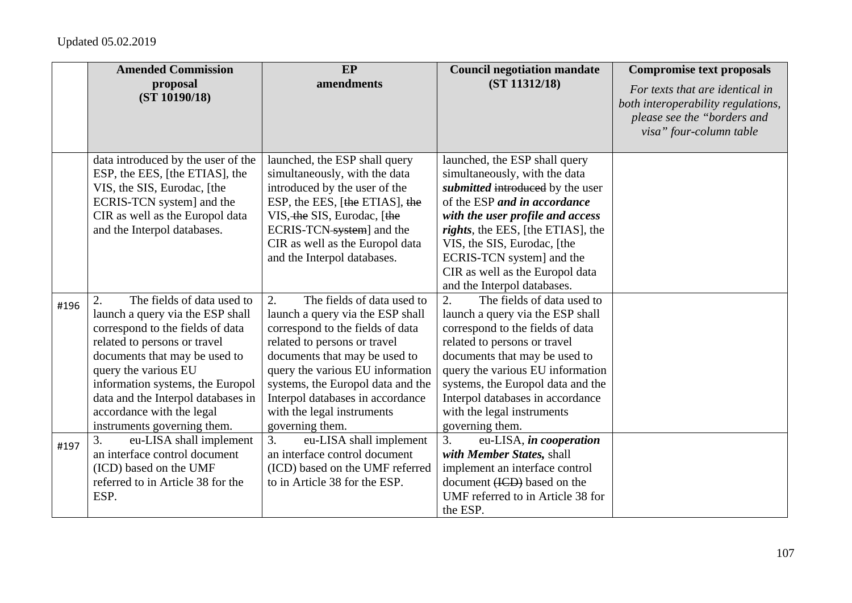|      | <b>Amended Commission</b>          | EP                                | <b>Council negotiation mandate</b> | <b>Compromise text proposals</b>   |
|------|------------------------------------|-----------------------------------|------------------------------------|------------------------------------|
|      | proposal<br>(ST 10190/18)          | amendments                        | (ST 11312/18)                      | For texts that are identical in    |
|      |                                    |                                   |                                    | both interoperability regulations, |
|      |                                    |                                   |                                    | please see the "borders and        |
|      |                                    |                                   |                                    | visa" four-column table            |
|      | data introduced by the user of the | launched, the ESP shall query     | launched, the ESP shall query      |                                    |
|      | ESP, the EES, [the ETIAS], the     | simultaneously, with the data     | simultaneously, with the data      |                                    |
|      | VIS, the SIS, Eurodac, [the        | introduced by the user of the     | submitted introduced by the user   |                                    |
|      | ECRIS-TCN system] and the          | ESP, the EES, [the ETIAS], the    | of the ESP and in accordance       |                                    |
|      | CIR as well as the Europol data    | VIS, the SIS, Eurodac, [the       | with the user profile and access   |                                    |
|      | and the Interpol databases.        | ECRIS-TCN-system] and the         | rights, the EES, [the ETIAS], the  |                                    |
|      |                                    | CIR as well as the Europol data   | VIS, the SIS, Eurodac, [the        |                                    |
|      |                                    | and the Interpol databases.       | ECRIS-TCN system] and the          |                                    |
|      |                                    |                                   | CIR as well as the Europol data    |                                    |
|      |                                    |                                   | and the Interpol databases.        |                                    |
| #196 | The fields of data used to<br>2.   | The fields of data used to<br>2.  | The fields of data used to<br>2.   |                                    |
|      | launch a query via the ESP shall   | launch a query via the ESP shall  | launch a query via the ESP shall   |                                    |
|      | correspond to the fields of data   | correspond to the fields of data  | correspond to the fields of data   |                                    |
|      | related to persons or travel       | related to persons or travel      | related to persons or travel       |                                    |
|      | documents that may be used to      | documents that may be used to     | documents that may be used to      |                                    |
|      | query the various EU               | query the various EU information  | query the various EU information   |                                    |
|      | information systems, the Europol   | systems, the Europol data and the | systems, the Europol data and the  |                                    |
|      | data and the Interpol databases in | Interpol databases in accordance  | Interpol databases in accordance   |                                    |
|      | accordance with the legal          | with the legal instruments        | with the legal instruments         |                                    |
|      | instruments governing them.        | governing them.                   | governing them.                    |                                    |
| #197 | 3.<br>eu-LISA shall implement      | 3.<br>eu-LISA shall implement     | 3.<br>eu-LISA, in cooperation      |                                    |
|      | an interface control document      | an interface control document     | with Member States, shall          |                                    |
|      | (ICD) based on the UMF             | (ICD) based on the UMF referred   | implement an interface control     |                                    |
|      | referred to in Article 38 for the  | to in Article 38 for the ESP.     | document (ICD) based on the        |                                    |
|      | ESP.                               |                                   | UMF referred to in Article 38 for  |                                    |
|      |                                    |                                   | the ESP.                           |                                    |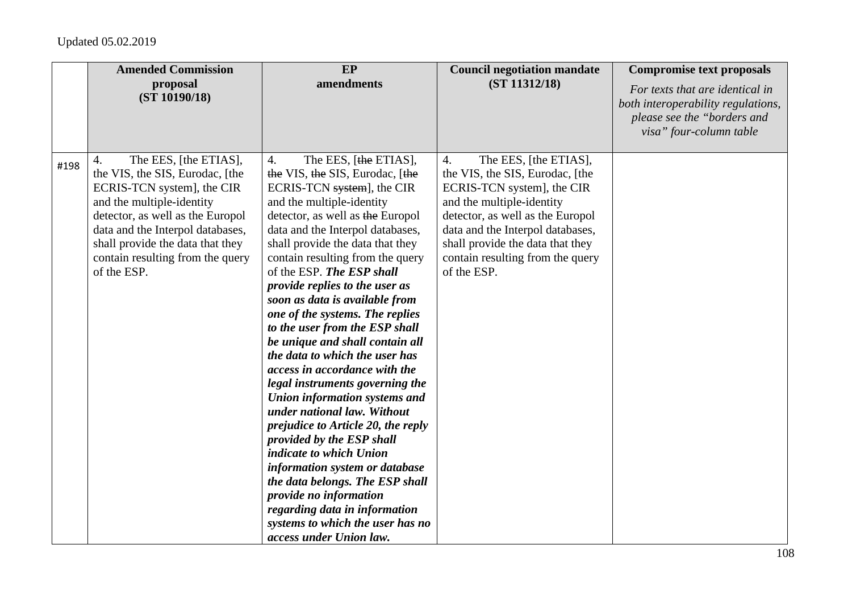|      | <b>Amended Commission</b>                                                                                                                                                                                                                                                                | EP                                                                                                                                                                                                                                                                                                                                                                                                                                                                                                                                                                                                                                                                                                                                                                                                                                                                                                                                                    | <b>Council negotiation mandate</b>                                                                                                                                                                                                                                                       | <b>Compromise text proposals</b>                                                                                                |
|------|------------------------------------------------------------------------------------------------------------------------------------------------------------------------------------------------------------------------------------------------------------------------------------------|-------------------------------------------------------------------------------------------------------------------------------------------------------------------------------------------------------------------------------------------------------------------------------------------------------------------------------------------------------------------------------------------------------------------------------------------------------------------------------------------------------------------------------------------------------------------------------------------------------------------------------------------------------------------------------------------------------------------------------------------------------------------------------------------------------------------------------------------------------------------------------------------------------------------------------------------------------|------------------------------------------------------------------------------------------------------------------------------------------------------------------------------------------------------------------------------------------------------------------------------------------|---------------------------------------------------------------------------------------------------------------------------------|
|      | proposal<br>(ST 10190/18)                                                                                                                                                                                                                                                                | amendments                                                                                                                                                                                                                                                                                                                                                                                                                                                                                                                                                                                                                                                                                                                                                                                                                                                                                                                                            | (ST 11312/18)                                                                                                                                                                                                                                                                            | For texts that are identical in<br>both interoperability regulations,<br>please see the "borders and<br>visa" four-column table |
| #198 | The EES, [the ETIAS],<br>4.<br>the VIS, the SIS, Eurodac, [the<br>ECRIS-TCN system], the CIR<br>and the multiple-identity<br>detector, as well as the Europol<br>data and the Interpol databases,<br>shall provide the data that they<br>contain resulting from the query<br>of the ESP. | The EES, [the ETIAS],<br>4.<br>the VIS, the SIS, Eurodac, [the<br>ECRIS-TCN system], the CIR<br>and the multiple-identity<br>detector, as well as the Europol<br>data and the Interpol databases,<br>shall provide the data that they<br>contain resulting from the query<br>of the ESP. The ESP shall<br>provide replies to the user as<br>soon as data is available from<br>one of the systems. The replies<br>to the user from the ESP shall<br>be unique and shall contain all<br>the data to which the user has<br>access in accordance with the<br>legal instruments governing the<br>Union information systems and<br>under national law. Without<br>prejudice to Article 20, the reply<br>provided by the ESP shall<br>indicate to which Union<br>information system or database<br>the data belongs. The ESP shall<br>provide no information<br>regarding data in information<br>systems to which the user has no<br>access under Union law. | The EES, [the ETIAS],<br>4.<br>the VIS, the SIS, Eurodac, [the<br>ECRIS-TCN system], the CIR<br>and the multiple-identity<br>detector, as well as the Europol<br>data and the Interpol databases,<br>shall provide the data that they<br>contain resulting from the query<br>of the ESP. |                                                                                                                                 |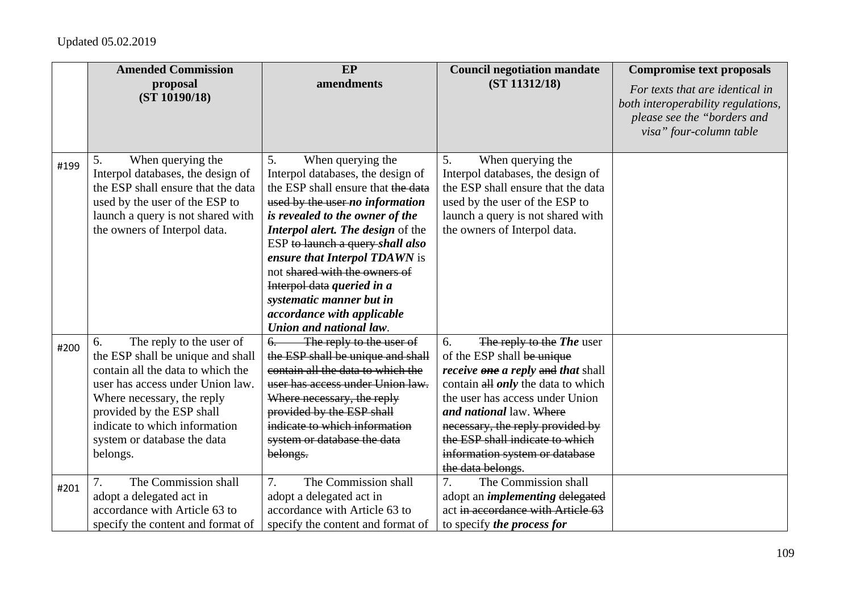|      | <b>Amended Commission</b>                                                                                                                                                                                                                                                           | EP                                                                                                                                                                                                                                                                                                                                                                                                                                            | <b>Council negotiation mandate</b>                                                                                                                                                                                                                                                                                                                  | <b>Compromise text proposals</b>                                                                                                |
|------|-------------------------------------------------------------------------------------------------------------------------------------------------------------------------------------------------------------------------------------------------------------------------------------|-----------------------------------------------------------------------------------------------------------------------------------------------------------------------------------------------------------------------------------------------------------------------------------------------------------------------------------------------------------------------------------------------------------------------------------------------|-----------------------------------------------------------------------------------------------------------------------------------------------------------------------------------------------------------------------------------------------------------------------------------------------------------------------------------------------------|---------------------------------------------------------------------------------------------------------------------------------|
|      | proposal<br>(ST 10190/18)                                                                                                                                                                                                                                                           | amendments                                                                                                                                                                                                                                                                                                                                                                                                                                    | (ST 11312/18)                                                                                                                                                                                                                                                                                                                                       | For texts that are identical in<br>both interoperability regulations,<br>please see the "borders and<br>visa" four-column table |
| #199 | When querying the<br>5.<br>Interpol databases, the design of<br>the ESP shall ensure that the data<br>used by the user of the ESP to<br>launch a query is not shared with<br>the owners of Interpol data.                                                                           | When querying the<br>5.<br>Interpol databases, the design of<br>the ESP shall ensure that the data<br>used by the user no information<br>is revealed to the owner of the<br><b>Interpol alert. The design of the</b><br>ESP to launch a query shall also<br>ensure that Interpol TDAWN is<br>not shared with the owners of<br>Interpol data queried in a<br>systematic manner but in<br>accordance with applicable<br>Union and national law. | When querying the<br>5.<br>Interpol databases, the design of<br>the ESP shall ensure that the data<br>used by the user of the ESP to<br>launch a query is not shared with<br>the owners of Interpol data.                                                                                                                                           |                                                                                                                                 |
| #200 | The reply to the user of<br>6.<br>the ESP shall be unique and shall<br>contain all the data to which the<br>user has access under Union law.<br>Where necessary, the reply<br>provided by the ESP shall<br>indicate to which information<br>system or database the data<br>belongs. | The reply to the user of<br>$6-$<br>the ESP shall be unique and shall<br>contain all the data to which the<br>user has access under Union law.<br>Where necessary, the reply<br>provided by the ESP shall<br>indicate to which information<br>system or database the data<br>belongs.                                                                                                                                                         | 6.<br>The reply to the The user<br>of the ESP shall be unique<br><i>receive one a reply and that shall</i><br>contain all <i>only</i> the data to which<br>the user has access under Union<br>and national law. Where<br>necessary, the reply provided by<br>the ESP shall indicate to which<br>information system or database<br>the data belongs. |                                                                                                                                 |
| #201 | The Commission shall<br>adopt a delegated act in<br>accordance with Article 63 to<br>specify the content and format of                                                                                                                                                              | The Commission shall<br>7.<br>adopt a delegated act in<br>accordance with Article 63 to<br>specify the content and format of                                                                                                                                                                                                                                                                                                                  | The Commission shall<br>7.<br>adopt an <i>implementing</i> delegated<br>act in accordance with Article 63<br>to specify the process for                                                                                                                                                                                                             |                                                                                                                                 |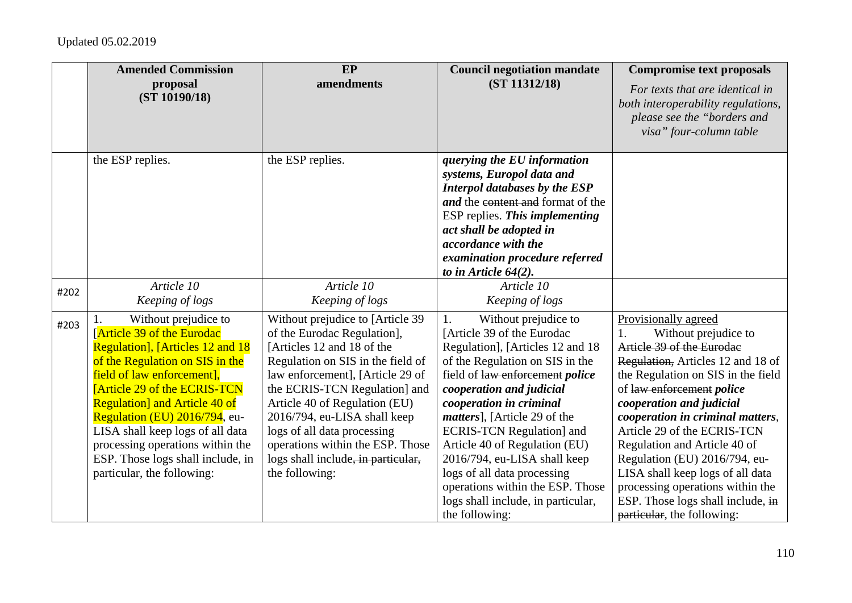|      | <b>Amended Commission</b><br>proposal                                | EP<br>amendments                                              | <b>Council negotiation mandate</b><br>(ST 11312/18)             | <b>Compromise text proposals</b>                                      |
|------|----------------------------------------------------------------------|---------------------------------------------------------------|-----------------------------------------------------------------|-----------------------------------------------------------------------|
|      | (ST 10190/18)                                                        |                                                               |                                                                 | For texts that are identical in<br>both interoperability regulations, |
|      |                                                                      |                                                               |                                                                 | please see the "borders and                                           |
|      |                                                                      |                                                               |                                                                 | visa" four-column table                                               |
|      | the ESP replies.                                                     | the ESP replies.                                              | querying the EU information                                     |                                                                       |
|      |                                                                      |                                                               | systems, Europol data and                                       |                                                                       |
|      |                                                                      |                                                               | Interpol databases by the ESP                                   |                                                                       |
|      |                                                                      |                                                               | and the content and format of the                               |                                                                       |
|      |                                                                      |                                                               | ESP replies. This implementing                                  |                                                                       |
|      |                                                                      |                                                               | act shall be adopted in<br>accordance with the                  |                                                                       |
|      |                                                                      |                                                               | examination procedure referred                                  |                                                                       |
|      |                                                                      |                                                               | to in Article $64(2)$ .                                         |                                                                       |
|      | Article 10                                                           | Article 10                                                    | Article 10                                                      |                                                                       |
| #202 | Keeping of logs                                                      | Keeping of logs                                               | Keeping of logs                                                 |                                                                       |
| #203 | Without prejudice to                                                 | Without prejudice to [Article 39                              | Without prejudice to<br>1.                                      | Provisionally agreed                                                  |
|      | <b>Article 39 of the Eurodac</b>                                     | of the Eurodac Regulation],                                   | [Article 39 of the Eurodac                                      | Without prejudice to<br>1.                                            |
|      | <b>Regulation</b> ], [Articles 12 and 18                             | [Articles 12 and 18 of the                                    | Regulation], [Articles 12 and 18                                | Article 39 of the Eurodae                                             |
|      | of the Regulation on SIS in the                                      | Regulation on SIS in the field of                             | of the Regulation on SIS in the                                 | Regulation, Articles 12 and 18 of                                     |
|      | field of law enforcement],                                           | law enforcement], [Article 29 of                              | field of law enforcement police                                 | the Regulation on SIS in the field                                    |
|      | <b>[Article 29 of the ECRIS-TCN]</b>                                 | the ECRIS-TCN Regulation] and                                 | cooperation and judicial                                        | of law enforcement police                                             |
|      | <b>Regulation</b> and Article 40 of<br>Regulation (EU) 2016/794, eu- | Article 40 of Regulation (EU)<br>2016/794, eu-LISA shall keep | cooperation in criminal<br><i>matters</i> ], [Article 29 of the | cooperation and judicial<br>cooperation in criminal matters,          |
|      | LISA shall keep logs of all data                                     | logs of all data processing                                   | <b>ECRIS-TCN Regulation</b> ] and                               | Article 29 of the ECRIS-TCN                                           |
|      | processing operations within the                                     | operations within the ESP. Those                              | Article 40 of Regulation (EU)                                   | Regulation and Article 40 of                                          |
|      | ESP. Those logs shall include, in                                    | logs shall include, in particular,                            | 2016/794, eu-LISA shall keep                                    | Regulation (EU) 2016/794, eu-                                         |
|      | particular, the following:                                           | the following:                                                | logs of all data processing                                     | LISA shall keep logs of all data                                      |
|      |                                                                      |                                                               | operations within the ESP. Those                                | processing operations within the                                      |
|      |                                                                      |                                                               | logs shall include, in particular,                              | ESP. Those logs shall include, in                                     |
|      |                                                                      |                                                               | the following:                                                  | particular, the following:                                            |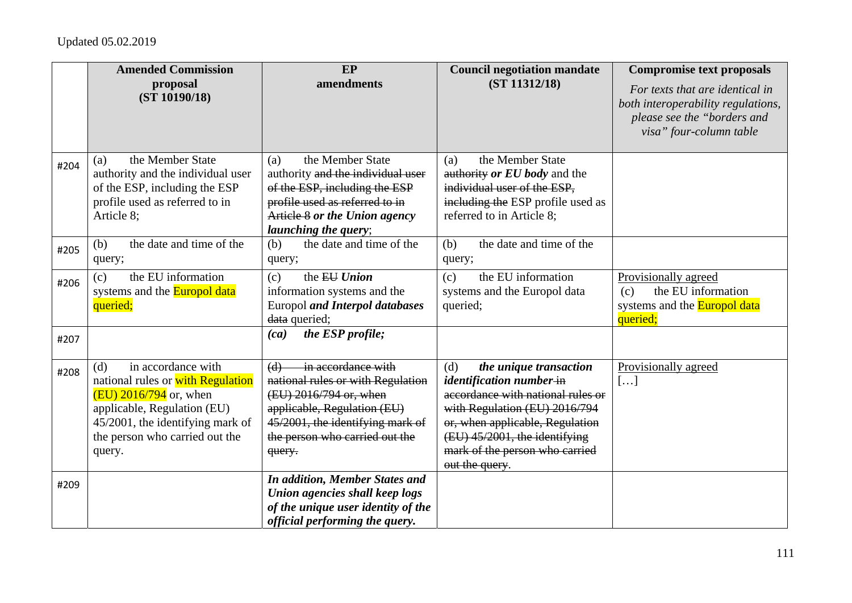|      | <b>Amended Commission</b>                                                                                                                                                                                 | EP                                                                                                                                                                                                      | <b>Council negotiation mandate</b>                                                                                                                                                                                                                      | <b>Compromise text proposals</b>                                                                                                |
|------|-----------------------------------------------------------------------------------------------------------------------------------------------------------------------------------------------------------|---------------------------------------------------------------------------------------------------------------------------------------------------------------------------------------------------------|---------------------------------------------------------------------------------------------------------------------------------------------------------------------------------------------------------------------------------------------------------|---------------------------------------------------------------------------------------------------------------------------------|
|      | proposal<br>(ST 10190/18)                                                                                                                                                                                 | amendments                                                                                                                                                                                              | (ST 11312/18)                                                                                                                                                                                                                                           | For texts that are identical in<br>both interoperability regulations,<br>please see the "borders and<br>visa" four-column table |
| #204 | the Member State<br>(a)<br>authority and the individual user<br>of the ESP, including the ESP<br>profile used as referred to in<br>Article 8;                                                             | the Member State<br>(a)<br>authority and the individual user<br>of the ESP, including the ESP<br>profile used as referred to in<br>Article 8 or the Union agency<br><i>launching the query;</i>         | the Member State<br>(a)<br>authority or EU body and the<br>individual user of the ESP,<br>including the ESP profile used as<br>referred to in Article 8;                                                                                                |                                                                                                                                 |
| #205 | the date and time of the<br>(b)<br>query;                                                                                                                                                                 | the date and time of the<br>(b)<br>query;                                                                                                                                                               | the date and time of the<br>(b)<br>query;                                                                                                                                                                                                               |                                                                                                                                 |
| #206 | the EU information<br>(c)<br>systems and the <b>Europol data</b><br>queried;                                                                                                                              | the EU Union<br>(c)<br>information systems and the<br><b>Europol and Interpol databases</b><br>data queried;                                                                                            | the EU information<br>(c)<br>systems and the Europol data<br>queried;                                                                                                                                                                                   | Provisionally agreed<br>the EU information<br>(c)<br>systems and the <b>Europol data</b><br>queried;                            |
| #207 |                                                                                                                                                                                                           | the ESP profile;<br>(ca)                                                                                                                                                                                |                                                                                                                                                                                                                                                         |                                                                                                                                 |
| #208 | in accordance with<br>(d)<br>national rules or with Regulation<br>$(EU)$ 2016/794 or, when<br>applicable, Regulation (EU)<br>45/2001, the identifying mark of<br>the person who carried out the<br>query. | in accordance with<br>(d)<br>national rules or with Regulation<br>(EU) 2016/794 or, when<br>applicable, Regulation (EU)<br>45/2001, the identifying mark of<br>the person who carried out the<br>query. | the unique transaction<br>(d)<br>identification number-in<br>accordance with national rules or<br>with Regulation (EU) 2016/794<br>or, when applicable, Regulation<br>(EU) 45/2001, the identifying<br>mark of the person who carried<br>out the query. | Provisionally agreed<br>[]                                                                                                      |
| #209 |                                                                                                                                                                                                           | <b>In addition, Member States and</b><br>Union agencies shall keep logs<br>of the unique user identity of the<br>official performing the query.                                                         |                                                                                                                                                                                                                                                         |                                                                                                                                 |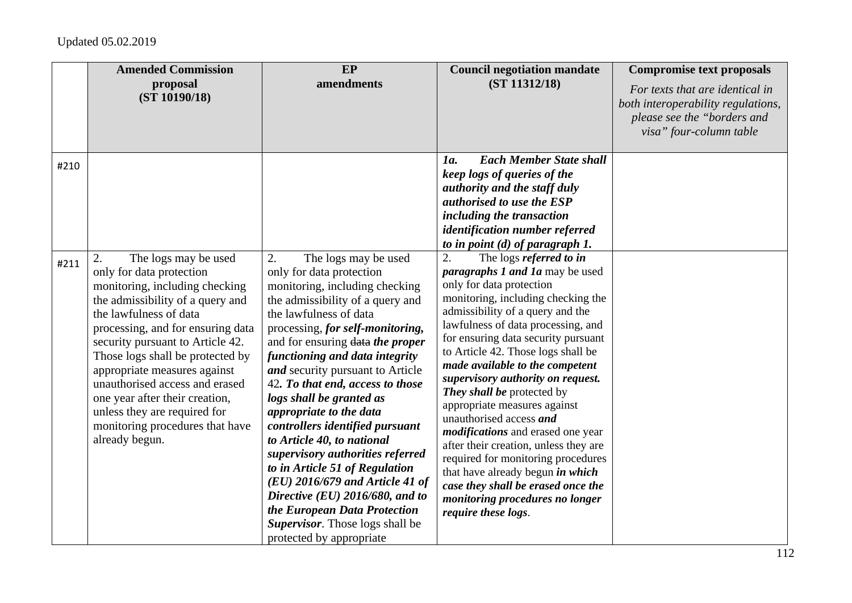|      | <b>Amended Commission</b><br>proposal<br>(ST 10190/18)                                                                                                                                                                                                                                                                                                                                                                                                       | EP<br>amendments                                                                                                                                                                                                                                                                                                                                                                                                                                                                                                                                                                                                                                                                                              | <b>Council negotiation mandate</b><br>(ST 11312/18)                                                                                                                                                                                                                                                                                                                                                                                                                                                                                                                                                                                                                                                                              | <b>Compromise text proposals</b><br>For texts that are identical in<br>both interoperability regulations,<br>please see the "borders and<br>visa" four-column table |
|------|--------------------------------------------------------------------------------------------------------------------------------------------------------------------------------------------------------------------------------------------------------------------------------------------------------------------------------------------------------------------------------------------------------------------------------------------------------------|---------------------------------------------------------------------------------------------------------------------------------------------------------------------------------------------------------------------------------------------------------------------------------------------------------------------------------------------------------------------------------------------------------------------------------------------------------------------------------------------------------------------------------------------------------------------------------------------------------------------------------------------------------------------------------------------------------------|----------------------------------------------------------------------------------------------------------------------------------------------------------------------------------------------------------------------------------------------------------------------------------------------------------------------------------------------------------------------------------------------------------------------------------------------------------------------------------------------------------------------------------------------------------------------------------------------------------------------------------------------------------------------------------------------------------------------------------|---------------------------------------------------------------------------------------------------------------------------------------------------------------------|
| #210 |                                                                                                                                                                                                                                                                                                                                                                                                                                                              |                                                                                                                                                                                                                                                                                                                                                                                                                                                                                                                                                                                                                                                                                                               | <b>Each Member State shall</b><br>1a.<br>keep logs of queries of the<br>authority and the staff duly<br>authorised to use the ESP<br>including the transaction<br>identification number referred<br>to in point $(d)$ of paragraph 1.                                                                                                                                                                                                                                                                                                                                                                                                                                                                                            |                                                                                                                                                                     |
| #211 | The logs may be used<br>2.<br>only for data protection<br>monitoring, including checking<br>the admissibility of a query and<br>the lawfulness of data<br>processing, and for ensuring data<br>security pursuant to Article 42.<br>Those logs shall be protected by<br>appropriate measures against<br>unauthorised access and erased<br>one year after their creation,<br>unless they are required for<br>monitoring procedures that have<br>already begun. | 2.<br>The logs may be used<br>only for data protection<br>monitoring, including checking<br>the admissibility of a query and<br>the lawfulness of data<br>processing, for self-monitoring,<br>and for ensuring data the proper<br>functioning and data integrity<br>and security pursuant to Article<br>42. To that end, access to those<br>logs shall be granted as<br>appropriate to the data<br>controllers identified pursuant<br>to Article 40, to national<br>supervisory authorities referred<br>to in Article 51 of Regulation<br>$(EU)$ 2016/679 and Article 41 of<br>Directive (EU) 2016/680, and to<br>the European Data Protection<br>Supervisor. Those logs shall be<br>protected by appropriate | The logs referred to in<br>2.<br><i>paragraphs 1 and 1a</i> may be used<br>only for data protection<br>monitoring, including checking the<br>admissibility of a query and the<br>lawfulness of data processing, and<br>for ensuring data security pursuant<br>to Article 42. Those logs shall be<br>made available to the competent<br>supervisory authority on request.<br>They shall be protected by<br>appropriate measures against<br>unauthorised access and<br><i>modifications</i> and erased one year<br>after their creation, unless they are<br>required for monitoring procedures<br>that have already begun in which<br>case they shall be erased once the<br>monitoring procedures no longer<br>require these logs. |                                                                                                                                                                     |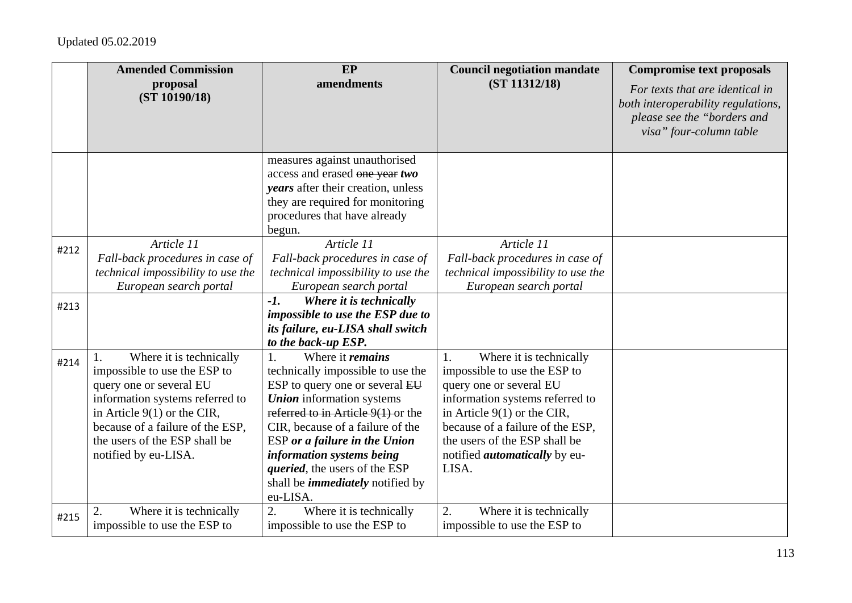|      | <b>Amended Commission</b>                                                                                                                                                                                                                                             | EP                                                                                                                                                                                                                                                                                                                                                                         | <b>Council negotiation mandate</b>                                                                                                                                                                                                                                                 | <b>Compromise text proposals</b>                                                                                                |
|------|-----------------------------------------------------------------------------------------------------------------------------------------------------------------------------------------------------------------------------------------------------------------------|----------------------------------------------------------------------------------------------------------------------------------------------------------------------------------------------------------------------------------------------------------------------------------------------------------------------------------------------------------------------------|------------------------------------------------------------------------------------------------------------------------------------------------------------------------------------------------------------------------------------------------------------------------------------|---------------------------------------------------------------------------------------------------------------------------------|
|      | proposal<br>(ST 10190/18)                                                                                                                                                                                                                                             | amendments                                                                                                                                                                                                                                                                                                                                                                 | (ST 11312/18)                                                                                                                                                                                                                                                                      | For texts that are identical in<br>both interoperability regulations,<br>please see the "borders and<br>visa" four-column table |
|      |                                                                                                                                                                                                                                                                       | measures against unauthorised<br>access and erased one year two<br><i>vears</i> after their creation, unless<br>they are required for monitoring<br>procedures that have already<br>begun.                                                                                                                                                                                 |                                                                                                                                                                                                                                                                                    |                                                                                                                                 |
| #212 | Article 11<br>Fall-back procedures in case of<br>technical impossibility to use the<br>European search portal                                                                                                                                                         | Article 11<br>Fall-back procedures in case of<br>technical impossibility to use the<br>European search portal                                                                                                                                                                                                                                                              | Article 11<br>Fall-back procedures in case of<br>technical impossibility to use the<br>European search portal                                                                                                                                                                      |                                                                                                                                 |
| #213 |                                                                                                                                                                                                                                                                       | $-I.$<br>Where it is technically<br>impossible to use the ESP due to<br>its failure, eu-LISA shall switch<br>to the back-up ESP.                                                                                                                                                                                                                                           |                                                                                                                                                                                                                                                                                    |                                                                                                                                 |
| #214 | Where it is technically<br>$\mathbf{1}$ .<br>impossible to use the ESP to<br>query one or several EU<br>information systems referred to<br>in Article $9(1)$ or the CIR,<br>because of a failure of the ESP,<br>the users of the ESP shall be<br>notified by eu-LISA. | Where it <i>remains</i><br>1.<br>technically impossible to use the<br>ESP to query one or several EU<br><b>Union</b> information systems<br>referred to in Article $9(1)$ or the<br>CIR, because of a failure of the<br>ESP or a failure in the Union<br>information systems being<br>queried, the users of the ESP<br>shall be <i>immediately</i> notified by<br>eu-LISA. | Where it is technically<br>1.<br>impossible to use the ESP to<br>query one or several EU<br>information systems referred to<br>in Article $9(1)$ or the CIR,<br>because of a failure of the ESP,<br>the users of the ESP shall be<br>notified <i>automatically</i> by eu-<br>LISA. |                                                                                                                                 |
| #215 | Where it is technically<br>2.<br>impossible to use the ESP to                                                                                                                                                                                                         | 2.<br>Where it is technically<br>impossible to use the ESP to                                                                                                                                                                                                                                                                                                              | 2.<br>Where it is technically<br>impossible to use the ESP to                                                                                                                                                                                                                      |                                                                                                                                 |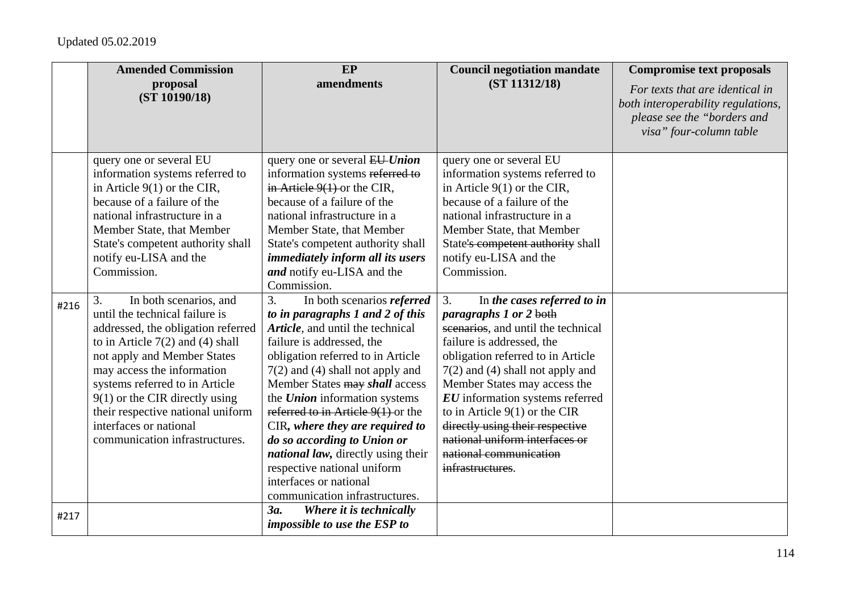|      | <b>Amended Commission</b>                                                                                                                                                                                                                                                                                                                                                      | $E$ P                                                                                                                                                                                                                                                                                                                                                                                                                                                                                                                                         | <b>Council negotiation mandate</b>                                                                                                                                                                                                                                                                                                                                                                                                        | <b>Compromise text proposals</b>                                                                                                |
|------|--------------------------------------------------------------------------------------------------------------------------------------------------------------------------------------------------------------------------------------------------------------------------------------------------------------------------------------------------------------------------------|-----------------------------------------------------------------------------------------------------------------------------------------------------------------------------------------------------------------------------------------------------------------------------------------------------------------------------------------------------------------------------------------------------------------------------------------------------------------------------------------------------------------------------------------------|-------------------------------------------------------------------------------------------------------------------------------------------------------------------------------------------------------------------------------------------------------------------------------------------------------------------------------------------------------------------------------------------------------------------------------------------|---------------------------------------------------------------------------------------------------------------------------------|
|      | proposal<br>(ST 10190/18)                                                                                                                                                                                                                                                                                                                                                      | amendments                                                                                                                                                                                                                                                                                                                                                                                                                                                                                                                                    | (ST 11312/18)                                                                                                                                                                                                                                                                                                                                                                                                                             | For texts that are identical in<br>both interoperability regulations,<br>please see the "borders and<br>visa" four-column table |
|      | query one or several EU<br>information systems referred to<br>in Article $9(1)$ or the CIR,<br>because of a failure of the<br>national infrastructure in a<br>Member State, that Member<br>State's competent authority shall<br>notify eu-LISA and the<br>Commission.                                                                                                          | query one or several EU-Union<br>information systems referred to<br>in Article $9(1)$ or the CIR,<br>because of a failure of the<br>national infrastructure in a<br>Member State, that Member<br>State's competent authority shall<br><i>immediately inform all its users</i><br>and notify eu-LISA and the<br>Commission.                                                                                                                                                                                                                    | query one or several EU<br>information systems referred to<br>in Article $9(1)$ or the CIR,<br>because of a failure of the<br>national infrastructure in a<br>Member State, that Member<br>State's competent authority shall<br>notify eu-LISA and the<br>Commission.                                                                                                                                                                     |                                                                                                                                 |
| #216 | In both scenarios, and<br>3.<br>until the technical failure is<br>addressed, the obligation referred<br>to in Article $7(2)$ and (4) shall<br>not apply and Member States<br>may access the information<br>systems referred to in Article<br>$9(1)$ or the CIR directly using<br>their respective national uniform<br>interfaces or national<br>communication infrastructures. | 3.<br>In both scenarios referred<br>to in paragraphs 1 and 2 of this<br>Article, and until the technical<br>failure is addressed, the<br>obligation referred to in Article<br>$7(2)$ and (4) shall not apply and<br>Member States may shall access<br>the <b>Union</b> information systems<br>referred to in Article $9(1)$ or the<br>CIR, where they are required to<br>do so according to Union or<br><i>national law</i> , directly using their<br>respective national uniform<br>interfaces or national<br>communication infrastructures. | 3.<br>In the cases referred to in<br><i>paragraphs 1 or 2 both</i><br>scenarios, and until the technical<br>failure is addressed, the<br>obligation referred to in Article<br>$7(2)$ and (4) shall not apply and<br>Member States may access the<br>EU information systems referred<br>to in Article $9(1)$ or the CIR<br>directly using their respective<br>national uniform interfaces or<br>national communication<br>infrastructures. |                                                                                                                                 |
| #217 |                                                                                                                                                                                                                                                                                                                                                                                | 3a.<br>Where it is technically<br>impossible to use the ESP to                                                                                                                                                                                                                                                                                                                                                                                                                                                                                |                                                                                                                                                                                                                                                                                                                                                                                                                                           |                                                                                                                                 |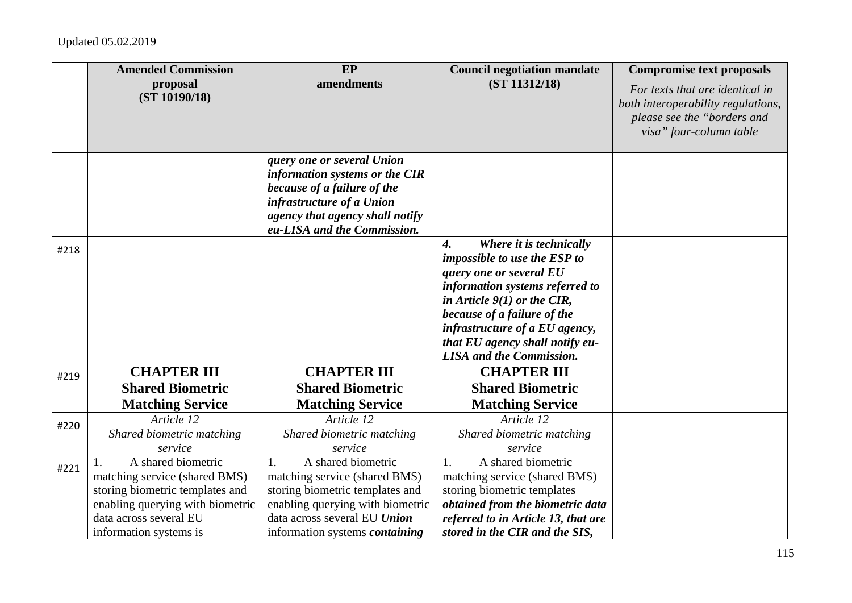|      | <b>Amended Commission</b>                           | EP                                                                                                                                                                                         | <b>Council negotiation mandate</b>                                                                                                                                                                                                                                                                                  | <b>Compromise text proposals</b>                                                                                                |
|------|-----------------------------------------------------|--------------------------------------------------------------------------------------------------------------------------------------------------------------------------------------------|---------------------------------------------------------------------------------------------------------------------------------------------------------------------------------------------------------------------------------------------------------------------------------------------------------------------|---------------------------------------------------------------------------------------------------------------------------------|
|      | proposal<br>(ST 10190/18)                           | amendments                                                                                                                                                                                 | (ST 11312/18)                                                                                                                                                                                                                                                                                                       | For texts that are identical in<br>both interoperability regulations,<br>please see the "borders and<br>visa" four-column table |
|      |                                                     | query one or several Union<br>information systems or the CIR<br>because of a failure of the<br>infrastructure of a Union<br>agency that agency shall notify<br>eu-LISA and the Commission. |                                                                                                                                                                                                                                                                                                                     |                                                                                                                                 |
| #218 |                                                     |                                                                                                                                                                                            | $\boldsymbol{4}$ .<br>Where it is technically<br>impossible to use the ESP to<br>query one or several EU<br>information systems referred to<br>in Article $9(1)$ or the CIR,<br>because of a failure of the<br>infrastructure of a EU agency,<br>that EU agency shall notify eu-<br><b>LISA</b> and the Commission. |                                                                                                                                 |
| #219 | <b>CHAPTER III</b>                                  | <b>CHAPTER III</b>                                                                                                                                                                         | <b>CHAPTER III</b>                                                                                                                                                                                                                                                                                                  |                                                                                                                                 |
|      | <b>Shared Biometric</b>                             | <b>Shared Biometric</b>                                                                                                                                                                    | <b>Shared Biometric</b>                                                                                                                                                                                                                                                                                             |                                                                                                                                 |
|      | <b>Matching Service</b>                             | <b>Matching Service</b>                                                                                                                                                                    | <b>Matching Service</b>                                                                                                                                                                                                                                                                                             |                                                                                                                                 |
| #220 | Article 12                                          | Article 12                                                                                                                                                                                 | Article 12                                                                                                                                                                                                                                                                                                          |                                                                                                                                 |
|      | Shared biometric matching                           | Shared biometric matching                                                                                                                                                                  | Shared biometric matching                                                                                                                                                                                                                                                                                           |                                                                                                                                 |
|      | service                                             | service                                                                                                                                                                                    | service                                                                                                                                                                                                                                                                                                             |                                                                                                                                 |
| #221 | A shared biometric<br>matching service (shared BMS) | A shared biometric<br>1.<br>matching service (shared BMS)                                                                                                                                  | A shared biometric<br>1.<br>matching service (shared BMS)                                                                                                                                                                                                                                                           |                                                                                                                                 |
|      | storing biometric templates and                     | storing biometric templates and                                                                                                                                                            | storing biometric templates                                                                                                                                                                                                                                                                                         |                                                                                                                                 |
|      | enabling querying with biometric                    | enabling querying with biometric                                                                                                                                                           | obtained from the biometric data                                                                                                                                                                                                                                                                                    |                                                                                                                                 |
|      | data across several EU                              | data across several EU Union                                                                                                                                                               | referred to in Article 13, that are                                                                                                                                                                                                                                                                                 |                                                                                                                                 |
|      | information systems is                              | information systems <i>containing</i>                                                                                                                                                      | stored in the CIR and the SIS,                                                                                                                                                                                                                                                                                      |                                                                                                                                 |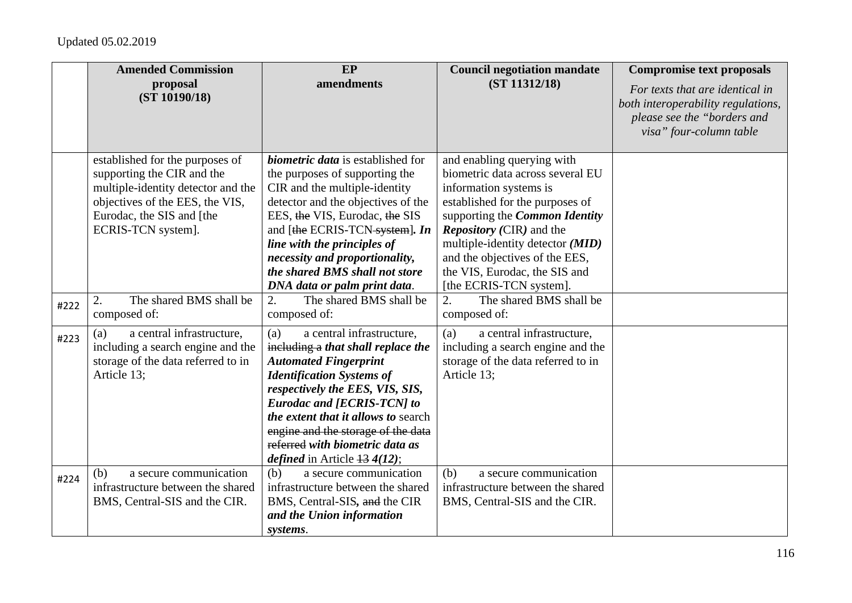|      | <b>Amended Commission</b>                                                                                                                                                                 | EP                                                                                                                                                                                                                                                                                                                                                                          | <b>Council negotiation mandate</b>                                                                                                                                                                                                                                                                                                        | <b>Compromise text proposals</b>                                                                                                |
|------|-------------------------------------------------------------------------------------------------------------------------------------------------------------------------------------------|-----------------------------------------------------------------------------------------------------------------------------------------------------------------------------------------------------------------------------------------------------------------------------------------------------------------------------------------------------------------------------|-------------------------------------------------------------------------------------------------------------------------------------------------------------------------------------------------------------------------------------------------------------------------------------------------------------------------------------------|---------------------------------------------------------------------------------------------------------------------------------|
|      | proposal<br>(ST 10190/18)                                                                                                                                                                 | amendments                                                                                                                                                                                                                                                                                                                                                                  | (ST 11312/18)                                                                                                                                                                                                                                                                                                                             | For texts that are identical in<br>both interoperability regulations,<br>please see the "borders and<br>visa" four-column table |
|      | established for the purposes of<br>supporting the CIR and the<br>multiple-identity detector and the<br>objectives of the EES, the VIS,<br>Eurodac, the SIS and [the<br>ECRIS-TCN system]. | <i>biometric data</i> is established for<br>the purposes of supporting the<br>CIR and the multiple-identity<br>detector and the objectives of the<br>EES, the VIS, Eurodac, the SIS<br>and [the ECRIS-TCN system]. In<br>line with the principles of<br>necessity and proportionality,<br>the shared BMS shall not store<br>DNA data or palm print data.                    | and enabling querying with<br>biometric data across several EU<br>information systems is<br>established for the purposes of<br>supporting the <i>Common Identity</i><br><i>Repository</i> (CIR) and the<br>multiple-identity detector (MID)<br>and the objectives of the EES,<br>the VIS, Eurodac, the SIS and<br>[the ECRIS-TCN system]. |                                                                                                                                 |
| #222 | The shared BMS shall be<br>2.<br>composed of:                                                                                                                                             | 2.<br>The shared BMS shall be<br>composed of:                                                                                                                                                                                                                                                                                                                               | The shared BMS shall be<br>2.<br>composed of:                                                                                                                                                                                                                                                                                             |                                                                                                                                 |
| #223 | a central infrastructure,<br>(a)<br>including a search engine and the<br>storage of the data referred to in<br>Article 13;                                                                | a central infrastructure,<br>(a)<br>including a that shall replace the<br><b>Automated Fingerprint</b><br><b>Identification Systems of</b><br>respectively the EES, VIS, SIS,<br><b>Eurodac and [ECRIS-TCN] to</b><br>the extent that it allows to search<br>engine and the storage of the data<br>referred with biometric data as<br><i>defined</i> in Article $134(12)$ ; | a central infrastructure,<br>(a)<br>including a search engine and the<br>storage of the data referred to in<br>Article 13;                                                                                                                                                                                                                |                                                                                                                                 |
| #224 | a secure communication<br>(b)<br>infrastructure between the shared<br>BMS, Central-SIS and the CIR.                                                                                       | (b)<br>a secure communication<br>infrastructure between the shared<br>BMS, Central-SIS, and the CIR<br>and the Union information<br>systems.                                                                                                                                                                                                                                | (b)<br>a secure communication<br>infrastructure between the shared<br>BMS, Central-SIS and the CIR.                                                                                                                                                                                                                                       |                                                                                                                                 |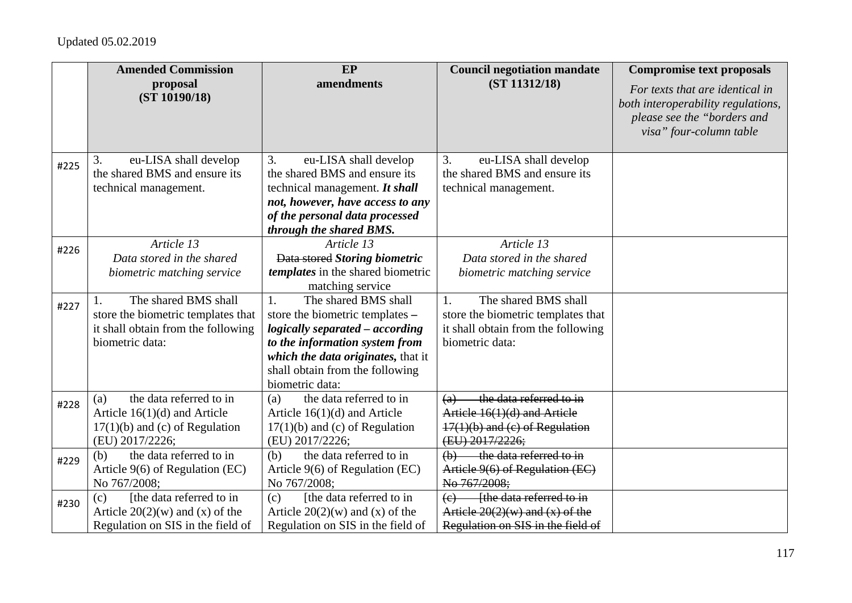|      | <b>Amended Commission</b><br>proposal                      | EP<br>amendments                                | <b>Council negotiation mandate</b><br>(ST 11312/18)              | <b>Compromise text proposals</b>                                      |
|------|------------------------------------------------------------|-------------------------------------------------|------------------------------------------------------------------|-----------------------------------------------------------------------|
|      | (ST 10190/18)                                              |                                                 |                                                                  | For texts that are identical in<br>both interoperability regulations, |
|      |                                                            |                                                 |                                                                  | please see the "borders and                                           |
|      |                                                            |                                                 |                                                                  | visa" four-column table                                               |
|      | eu-LISA shall develop<br>3.                                | 3.<br>eu-LISA shall develop                     | eu-LISA shall develop<br>3.                                      |                                                                       |
| #225 | the shared BMS and ensure its                              | the shared BMS and ensure its                   | the shared BMS and ensure its                                    |                                                                       |
|      | technical management.                                      | technical management. It shall                  | technical management.                                            |                                                                       |
|      |                                                            | not, however, have access to any                |                                                                  |                                                                       |
|      |                                                            | of the personal data processed                  |                                                                  |                                                                       |
|      |                                                            | through the shared BMS.                         |                                                                  |                                                                       |
| #226 | Article 13                                                 | Article 13                                      | Article 13                                                       |                                                                       |
|      | Data stored in the shared                                  | Data stored Storing biometric                   | Data stored in the shared                                        |                                                                       |
|      | biometric matching service                                 | templates in the shared biometric               | biometric matching service                                       |                                                                       |
|      |                                                            | matching service<br>The shared BMS shall        |                                                                  |                                                                       |
| #227 | The shared BMS shall<br>store the biometric templates that | 1.<br>store the biometric templates -           | The shared BMS shall<br>1.<br>store the biometric templates that |                                                                       |
|      | it shall obtain from the following                         | logically separated - according                 | it shall obtain from the following                               |                                                                       |
|      | biometric data:                                            | to the information system from                  | biometric data:                                                  |                                                                       |
|      |                                                            | which the data originates, that it              |                                                                  |                                                                       |
|      |                                                            | shall obtain from the following                 |                                                                  |                                                                       |
|      |                                                            | biometric data:                                 |                                                                  |                                                                       |
| #228 | the data referred to in<br>(a)                             | the data referred to in<br>(a)                  | the data referred to in<br>(a)                                   |                                                                       |
|      | Article $16(1)(d)$ and Article                             | Article $16(1)(d)$ and Article                  | Article 16(1)(d) and Article                                     |                                                                       |
|      | $17(1)(b)$ and (c) of Regulation                           | $17(1)(b)$ and (c) of Regulation                | $17(1)(b)$ and (c) of Regulation                                 |                                                                       |
|      | (EU) 2017/2226;                                            | (EU) 2017/2226;                                 | (EU) 2017/2226;                                                  |                                                                       |
| #229 | the data referred to in<br>(b)                             | the data referred to in<br>(b)                  | the data referred to in<br>(b)                                   |                                                                       |
|      | Article 9(6) of Regulation (EC)<br>No 767/2008;            | Article 9(6) of Regulation (EC)<br>No 767/2008; | Article 9(6) of Regulation (EC)<br>No 767/2008;                  |                                                                       |
|      | [the data referred to in<br>(c)                            | [the data referred to in<br>(c)                 | - the data referred to in<br>$\left(\mathrm{e}\right)$           |                                                                       |
| #230 | Article $20(2)(w)$ and (x) of the                          | Article $20(2)(w)$ and (x) of the               | Article $20(2)(w)$ and $(x)$ of the                              |                                                                       |
|      | Regulation on SIS in the field of                          | Regulation on SIS in the field of               | Regulation on SIS in the field of                                |                                                                       |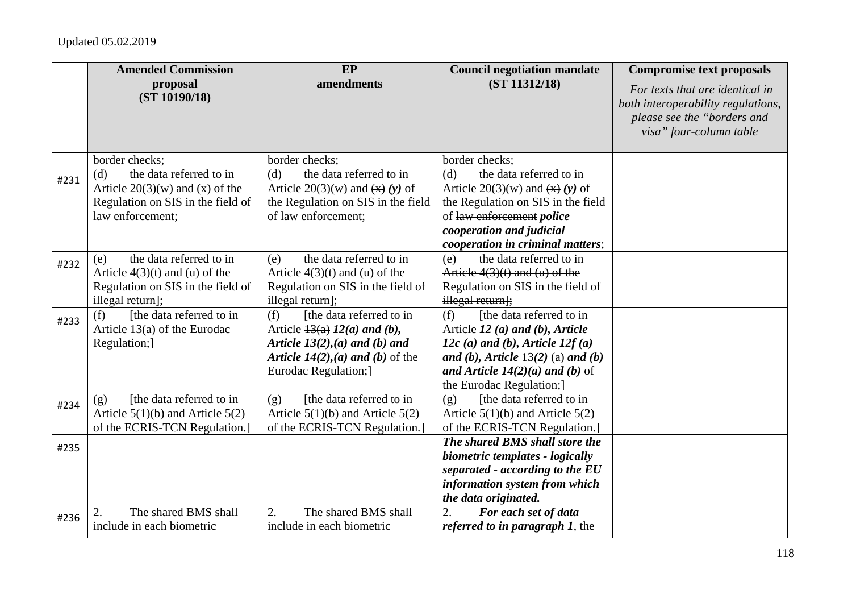|      | <b>Amended Commission</b>                                                                                                    | EP                                                                                                                                                                            | <b>Council negotiation mandate</b>                                                                                                                                                                                         | <b>Compromise text proposals</b>                                                                                                |
|------|------------------------------------------------------------------------------------------------------------------------------|-------------------------------------------------------------------------------------------------------------------------------------------------------------------------------|----------------------------------------------------------------------------------------------------------------------------------------------------------------------------------------------------------------------------|---------------------------------------------------------------------------------------------------------------------------------|
|      | proposal<br>(ST 10190/18)                                                                                                    | amendments                                                                                                                                                                    | (ST 11312/18)                                                                                                                                                                                                              | For texts that are identical in<br>both interoperability regulations,<br>please see the "borders and<br>visa" four-column table |
|      | border checks;                                                                                                               | border checks;                                                                                                                                                                | border checks;                                                                                                                                                                                                             |                                                                                                                                 |
| #231 | the data referred to in<br>(d)<br>Article $20(3)(w)$ and (x) of the<br>Regulation on SIS in the field of<br>law enforcement: | the data referred to in<br>(d)<br>Article 20(3)(w) and $\left(\frac{x}{x}\right)(y)$ of<br>the Regulation on SIS in the field<br>of law enforcement;                          | the data referred to in<br>(d)<br>Article 20(3)(w) and $\left(\frac{x}{x}\right)(y)$ of<br>the Regulation on SIS in the field<br>of law enforcement police<br>cooperation and judicial<br>cooperation in criminal matters; |                                                                                                                                 |
| #232 | the data referred to in<br>(e)<br>Article $4(3)(t)$ and (u) of the<br>Regulation on SIS in the field of<br>illegal return];  | the data referred to in<br>(e)<br>Article $4(3)(t)$ and (u) of the<br>Regulation on SIS in the field of<br>illegal return];                                                   | the data referred to in<br>Article $4(3)(t)$ and $(u)$ of the<br>Regulation on SIS in the field of<br>illegal return];                                                                                                     |                                                                                                                                 |
| #233 | [the data referred to in<br>(f)<br>Article $13(a)$ of the Eurodac<br>Regulation;]                                            | [the data referred to in<br>(f)<br>Article $\frac{13(a)}{2(a)}$ and (b),<br>Article $13(2)$ , (a) and (b) and<br>Article $14(2)$ , (a) and (b) of the<br>Eurodac Regulation;] | [the data referred to in<br>(f)<br>Article 12 (a) and (b), Article<br>12c (a) and (b), Article $12f(a)$<br>and (b), Article $13(2)$ (a) and (b)<br>and Article $14(2)(a)$ and (b) of<br>the Eurodac Regulation;]           |                                                                                                                                 |
| #234 | [the data referred to in]<br>(g)<br>Article $5(1)(b)$ and Article $5(2)$<br>of the ECRIS-TCN Regulation.]                    | [the data referred to in<br>(g)<br>Article $5(1)(b)$ and Article $5(2)$<br>of the ECRIS-TCN Regulation.]                                                                      | [the data referred to in<br>(g)<br>Article $5(1)(b)$ and Article $5(2)$<br>of the ECRIS-TCN Regulation.]                                                                                                                   |                                                                                                                                 |
| #235 |                                                                                                                              |                                                                                                                                                                               | The shared BMS shall store the<br>biometric templates - logically<br>separated - according to the $EU$<br>information system from which<br>the data originated.                                                            |                                                                                                                                 |
| #236 | The shared BMS shall<br>2.<br>include in each biometric                                                                      | The shared BMS shall<br>2.<br>include in each biometric                                                                                                                       | 2.<br>For each set of data<br><i>referred to in paragraph 1, the</i>                                                                                                                                                       |                                                                                                                                 |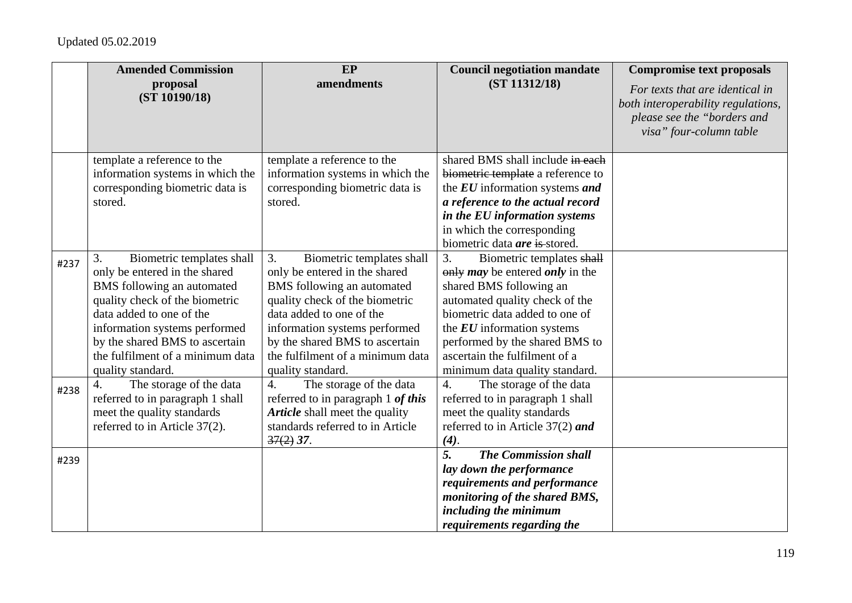|              | <b>Amended Commission</b>                                                                                                                                                                                                                                                                                                                                                                                 | EP                                                                                                                                                                                                                                                                                                                                                                                                                     | <b>Council negotiation mandate</b>                                                                                                                                                                                                                                                                                                                                                                                      | <b>Compromise text proposals</b>                                                                                                |
|--------------|-----------------------------------------------------------------------------------------------------------------------------------------------------------------------------------------------------------------------------------------------------------------------------------------------------------------------------------------------------------------------------------------------------------|------------------------------------------------------------------------------------------------------------------------------------------------------------------------------------------------------------------------------------------------------------------------------------------------------------------------------------------------------------------------------------------------------------------------|-------------------------------------------------------------------------------------------------------------------------------------------------------------------------------------------------------------------------------------------------------------------------------------------------------------------------------------------------------------------------------------------------------------------------|---------------------------------------------------------------------------------------------------------------------------------|
|              | proposal<br>(ST 10190/18)                                                                                                                                                                                                                                                                                                                                                                                 | amendments                                                                                                                                                                                                                                                                                                                                                                                                             | (ST 11312/18)                                                                                                                                                                                                                                                                                                                                                                                                           | For texts that are identical in<br>both interoperability regulations,<br>please see the "borders and<br>visa" four-column table |
|              | template a reference to the                                                                                                                                                                                                                                                                                                                                                                               | template a reference to the                                                                                                                                                                                                                                                                                                                                                                                            | shared BMS shall include in each                                                                                                                                                                                                                                                                                                                                                                                        |                                                                                                                                 |
|              | information systems in which the<br>corresponding biometric data is                                                                                                                                                                                                                                                                                                                                       | information systems in which the<br>corresponding biometric data is                                                                                                                                                                                                                                                                                                                                                    | biometric template a reference to<br>the EU information systems and                                                                                                                                                                                                                                                                                                                                                     |                                                                                                                                 |
|              | stored.                                                                                                                                                                                                                                                                                                                                                                                                   | stored.                                                                                                                                                                                                                                                                                                                                                                                                                | a reference to the actual record                                                                                                                                                                                                                                                                                                                                                                                        |                                                                                                                                 |
|              |                                                                                                                                                                                                                                                                                                                                                                                                           |                                                                                                                                                                                                                                                                                                                                                                                                                        | in the EU information systems                                                                                                                                                                                                                                                                                                                                                                                           |                                                                                                                                 |
|              |                                                                                                                                                                                                                                                                                                                                                                                                           |                                                                                                                                                                                                                                                                                                                                                                                                                        | in which the corresponding                                                                                                                                                                                                                                                                                                                                                                                              |                                                                                                                                 |
|              |                                                                                                                                                                                                                                                                                                                                                                                                           |                                                                                                                                                                                                                                                                                                                                                                                                                        | biometric data are is stored.                                                                                                                                                                                                                                                                                                                                                                                           |                                                                                                                                 |
| #237<br>#238 | Biometric templates shall<br>3.<br>only be entered in the shared<br>BMS following an automated<br>quality check of the biometric<br>data added to one of the<br>information systems performed<br>by the shared BMS to ascertain<br>the fulfilment of a minimum data<br>quality standard.<br>The storage of the data<br>$\overline{4}$ .<br>referred to in paragraph 1 shall<br>meet the quality standards | 3.<br>Biometric templates shall<br>only be entered in the shared<br>BMS following an automated<br>quality check of the biometric<br>data added to one of the<br>information systems performed<br>by the shared BMS to ascertain<br>the fulfilment of a minimum data<br>quality standard.<br>The storage of the data<br>$\overline{4}$ .<br>referred to in paragraph 1 of this<br><b>Article</b> shall meet the quality | Biometric templates shall<br>3.<br>only <i>may</i> be entered <i>only</i> in the<br>shared BMS following an<br>automated quality check of the<br>biometric data added to one of<br>the $EU$ information systems<br>performed by the shared BMS to<br>ascertain the fulfilment of a<br>minimum data quality standard.<br>The storage of the data<br>4.<br>referred to in paragraph 1 shall<br>meet the quality standards |                                                                                                                                 |
|              | referred to in Article 37(2).                                                                                                                                                                                                                                                                                                                                                                             | standards referred to in Article<br>$37(2)$ 37.                                                                                                                                                                                                                                                                                                                                                                        | referred to in Article $37(2)$ and<br>(4).                                                                                                                                                                                                                                                                                                                                                                              |                                                                                                                                 |
| #239         |                                                                                                                                                                                                                                                                                                                                                                                                           |                                                                                                                                                                                                                                                                                                                                                                                                                        | $\overline{5}$ .<br><b>The Commission shall</b><br>lay down the performance<br>requirements and performance<br>monitoring of the shared BMS,<br>including the minimum<br>requirements regarding the                                                                                                                                                                                                                     |                                                                                                                                 |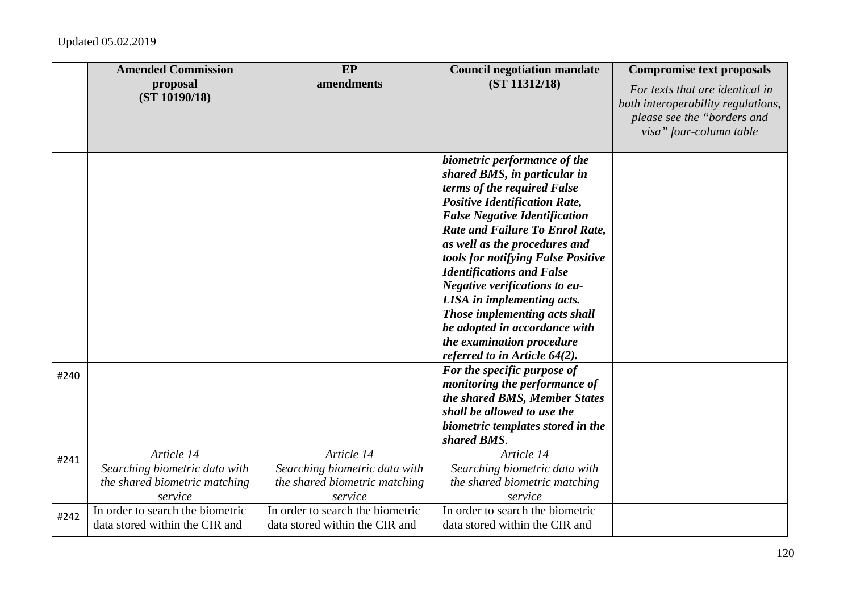|      | <b>Amended Commission</b><br>proposal | EP<br>amendments                 | <b>Council negotiation mandate</b><br>(ST 11312/18)                            | <b>Compromise text proposals</b>                                                                                                |
|------|---------------------------------------|----------------------------------|--------------------------------------------------------------------------------|---------------------------------------------------------------------------------------------------------------------------------|
|      | (ST 10190/18)                         |                                  |                                                                                | For texts that are identical in<br>both interoperability regulations,<br>please see the "borders and<br>visa" four-column table |
|      |                                       |                                  | biometric performance of the                                                   |                                                                                                                                 |
|      |                                       |                                  | shared BMS, in particular in                                                   |                                                                                                                                 |
|      |                                       |                                  | terms of the required False                                                    |                                                                                                                                 |
|      |                                       |                                  | <b>Positive Identification Rate,</b>                                           |                                                                                                                                 |
|      |                                       |                                  | <b>False Negative Identification</b><br><b>Rate and Failure To Enrol Rate,</b> |                                                                                                                                 |
|      |                                       |                                  | as well as the procedures and                                                  |                                                                                                                                 |
|      |                                       |                                  | tools for notifying False Positive                                             |                                                                                                                                 |
|      |                                       |                                  | <b>Identifications and False</b>                                               |                                                                                                                                 |
|      |                                       |                                  | Negative verifications to eu-                                                  |                                                                                                                                 |
|      |                                       |                                  | LISA in implementing acts.                                                     |                                                                                                                                 |
|      |                                       |                                  | Those implementing acts shall                                                  |                                                                                                                                 |
|      |                                       |                                  | be adopted in accordance with                                                  |                                                                                                                                 |
|      |                                       |                                  | the examination procedure                                                      |                                                                                                                                 |
|      |                                       |                                  | referred to in Article $64(2)$ .                                               |                                                                                                                                 |
| #240 |                                       |                                  | For the specific purpose of                                                    |                                                                                                                                 |
|      |                                       |                                  | monitoring the performance of                                                  |                                                                                                                                 |
|      |                                       |                                  | the shared BMS, Member States                                                  |                                                                                                                                 |
|      |                                       |                                  | shall be allowed to use the<br>biometric templates stored in the               |                                                                                                                                 |
|      |                                       |                                  | shared BMS.                                                                    |                                                                                                                                 |
|      | Article 14                            | Article 14                       | Article 14                                                                     |                                                                                                                                 |
| #241 | Searching biometric data with         | Searching biometric data with    | Searching biometric data with                                                  |                                                                                                                                 |
|      | the shared biometric matching         | the shared biometric matching    | the shared biometric matching                                                  |                                                                                                                                 |
|      | service                               | service                          | service                                                                        |                                                                                                                                 |
| #242 | In order to search the biometric      | In order to search the biometric | In order to search the biometric                                               |                                                                                                                                 |
|      | data stored within the CIR and        | data stored within the CIR and   | data stored within the CIR and                                                 |                                                                                                                                 |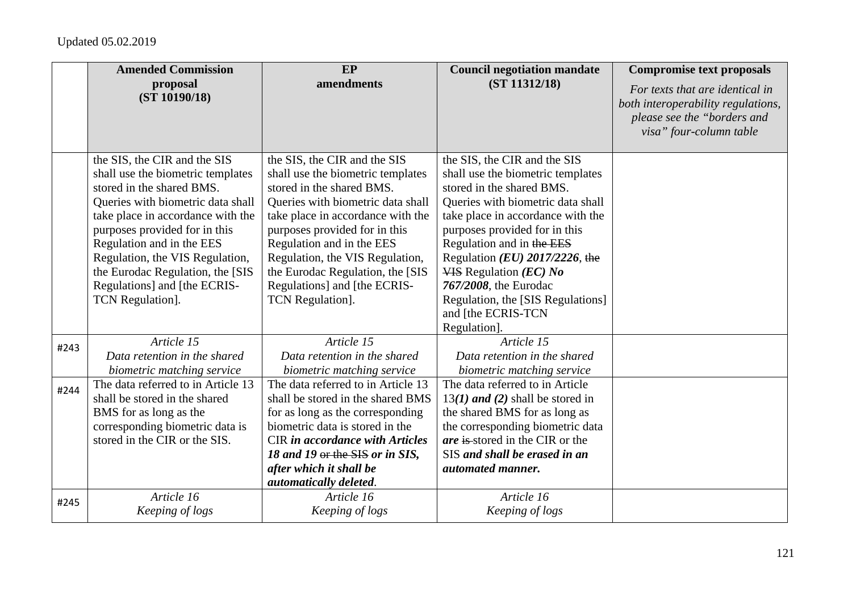|      | <b>Amended Commission</b>          | EP                                     | <b>Council negotiation mandate</b> | <b>Compromise text proposals</b>                       |
|------|------------------------------------|----------------------------------------|------------------------------------|--------------------------------------------------------|
|      | proposal<br>(ST 10190/18)          | amendments                             | (ST 11312/18)                      | For texts that are identical in                        |
|      |                                    |                                        |                                    | both interoperability regulations,                     |
|      |                                    |                                        |                                    | please see the "borders and<br>visa" four-column table |
|      |                                    |                                        |                                    |                                                        |
|      | the SIS, the CIR and the SIS       | the SIS, the CIR and the SIS           | the SIS, the CIR and the SIS       |                                                        |
|      | shall use the biometric templates  | shall use the biometric templates      | shall use the biometric templates  |                                                        |
|      | stored in the shared BMS.          | stored in the shared BMS.              | stored in the shared BMS.          |                                                        |
|      | Queries with biometric data shall  | Queries with biometric data shall      | Queries with biometric data shall  |                                                        |
|      | take place in accordance with the  | take place in accordance with the      | take place in accordance with the  |                                                        |
|      | purposes provided for in this      | purposes provided for in this          | purposes provided for in this      |                                                        |
|      | Regulation and in the EES          | Regulation and in the EES              | Regulation and in the EES          |                                                        |
|      | Regulation, the VIS Regulation,    | Regulation, the VIS Regulation,        | Regulation ( $EU$ ) 2017/2226, the |                                                        |
|      | the Eurodac Regulation, the [SIS   | the Eurodac Regulation, the [SIS       | $VIS$ Regulation ( <i>EC</i> ) No  |                                                        |
|      | Regulations] and [the ECRIS-       | Regulations] and [the ECRIS-           | 767/2008, the Eurodac              |                                                        |
|      | <b>TCN</b> Regulation].            | <b>TCN</b> Regulation].                | Regulation, the [SIS Regulations]  |                                                        |
|      |                                    |                                        | and [the ECRIS-TCN                 |                                                        |
|      | Article 15                         | Article 15                             | Regulation].<br>Article 15         |                                                        |
| #243 | Data retention in the shared       | Data retention in the shared           | Data retention in the shared       |                                                        |
|      | biometric matching service         | biometric matching service             | biometric matching service         |                                                        |
|      | The data referred to in Article 13 | The data referred to in Article 13     | The data referred to in Article    |                                                        |
| #244 | shall be stored in the shared      | shall be stored in the shared BMS      | $13(1)$ and (2) shall be stored in |                                                        |
|      | BMS for as long as the             | for as long as the corresponding       | the shared BMS for as long as      |                                                        |
|      | corresponding biometric data is    | biometric data is stored in the        | the corresponding biometric data   |                                                        |
|      | stored in the CIR or the SIS.      | <b>CIR</b> in accordance with Articles | are is stored in the CIR or the    |                                                        |
|      |                                    | 18 and 19 or the SIS or in SIS,        | SIS and shall be erased in an      |                                                        |
|      |                                    | after which it shall be                | automated manner.                  |                                                        |
|      |                                    | automatically deleted.                 |                                    |                                                        |
| #245 | Article 16                         | Article 16                             | Article 16                         |                                                        |
|      | Keeping of logs                    | Keeping of logs                        | Keeping of logs                    |                                                        |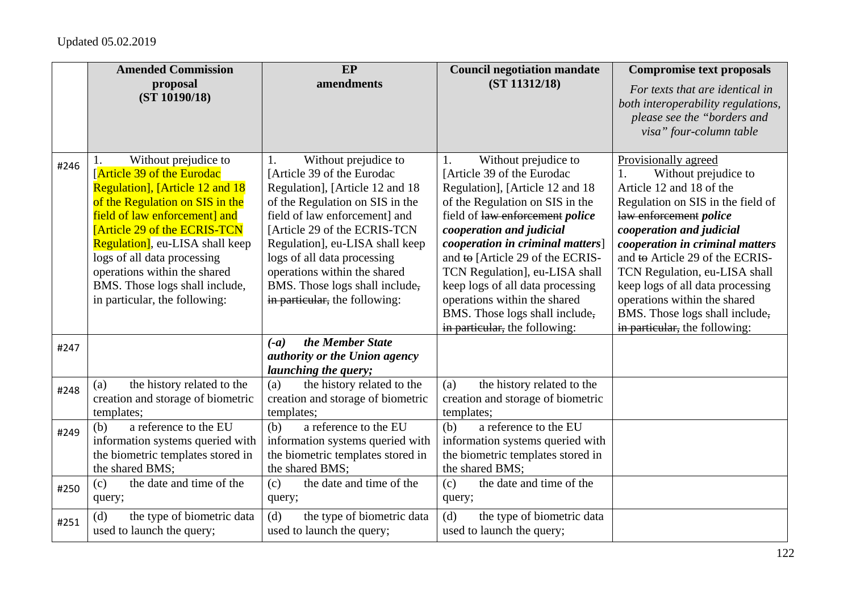|      | <b>Amended Commission</b>                                                                                                                                                                                                                                                                                                                                                          | EP                                                                                                                                                                                                                                                                                                                                                                    | <b>Council negotiation mandate</b>                                                                                                                                                                                                                                                                                                                                                                                                                    | <b>Compromise text proposals</b>                                                                                                                                                                                                                                                                                                                                                                                        |
|------|------------------------------------------------------------------------------------------------------------------------------------------------------------------------------------------------------------------------------------------------------------------------------------------------------------------------------------------------------------------------------------|-----------------------------------------------------------------------------------------------------------------------------------------------------------------------------------------------------------------------------------------------------------------------------------------------------------------------------------------------------------------------|-------------------------------------------------------------------------------------------------------------------------------------------------------------------------------------------------------------------------------------------------------------------------------------------------------------------------------------------------------------------------------------------------------------------------------------------------------|-------------------------------------------------------------------------------------------------------------------------------------------------------------------------------------------------------------------------------------------------------------------------------------------------------------------------------------------------------------------------------------------------------------------------|
|      | proposal<br>(ST 10190/18)                                                                                                                                                                                                                                                                                                                                                          | amendments                                                                                                                                                                                                                                                                                                                                                            | (ST 11312/18)                                                                                                                                                                                                                                                                                                                                                                                                                                         | For texts that are identical in<br>both interoperability regulations,<br>please see the "borders and<br>visa" four-column table                                                                                                                                                                                                                                                                                         |
| #246 | Without prejudice to<br><b>Article 39 of the Eurodac</b><br>Regulation], [Article 12 and 18<br>of the Regulation on SIS in the<br>field of law enforcement] and<br><b>[Article 29 of the ECRIS-TCN</b><br><b>Regulation</b> , eu-LISA shall keep<br>logs of all data processing<br>operations within the shared<br>BMS. Those logs shall include,<br>in particular, the following: | Without prejudice to<br>1.<br>[Article 39 of the Eurodac]<br>Regulation], [Article 12 and 18<br>of the Regulation on SIS in the<br>field of law enforcement] and<br>[Article 29 of the ECRIS-TCN<br>Regulation], eu-LISA shall keep<br>logs of all data processing<br>operations within the shared<br>BMS. Those logs shall include,<br>in particular, the following: | Without prejudice to<br>1.<br>[Article 39 of the Eurodac<br>Regulation], [Article 12 and 18<br>of the Regulation on SIS in the<br>field of law enforcement <i>police</i><br>cooperation and judicial<br>cooperation in criminal matters]<br>and to [Article 29 of the ECRIS-<br>TCN Regulation], eu-LISA shall<br>keep logs of all data processing<br>operations within the shared<br>BMS. Those logs shall include,<br>in particular, the following: | Provisionally agreed<br>Without prejudice to<br>1.<br>Article 12 and 18 of the<br>Regulation on SIS in the field of<br>law enforcement police<br>cooperation and judicial<br>cooperation in criminal matters<br>and to Article 29 of the ECRIS-<br>TCN Regulation, eu-LISA shall<br>keep logs of all data processing<br>operations within the shared<br>BMS. Those logs shall include,<br>in particular, the following: |
| #247 |                                                                                                                                                                                                                                                                                                                                                                                    | the Member State<br>$(-a)$<br>authority or the Union agency<br><i>launching the query;</i>                                                                                                                                                                                                                                                                            |                                                                                                                                                                                                                                                                                                                                                                                                                                                       |                                                                                                                                                                                                                                                                                                                                                                                                                         |
| #248 | the history related to the<br>(a)<br>creation and storage of biometric<br>templates;                                                                                                                                                                                                                                                                                               | the history related to the<br>(a)<br>creation and storage of biometric<br>templates;                                                                                                                                                                                                                                                                                  | the history related to the<br>(a)<br>creation and storage of biometric<br>templates;                                                                                                                                                                                                                                                                                                                                                                  |                                                                                                                                                                                                                                                                                                                                                                                                                         |
| #249 | a reference to the EU<br>(b)<br>information systems queried with<br>the biometric templates stored in<br>the shared BMS;                                                                                                                                                                                                                                                           | a reference to the EU<br>(b)<br>information systems queried with<br>the biometric templates stored in<br>the shared BMS;                                                                                                                                                                                                                                              | a reference to the EU<br>(b)<br>information systems queried with<br>the biometric templates stored in<br>the shared BMS;                                                                                                                                                                                                                                                                                                                              |                                                                                                                                                                                                                                                                                                                                                                                                                         |
| #250 | the date and time of the<br>(c)<br>query;                                                                                                                                                                                                                                                                                                                                          | the date and time of the<br>(c)<br>query;                                                                                                                                                                                                                                                                                                                             | the date and time of the<br>(c)<br>query;                                                                                                                                                                                                                                                                                                                                                                                                             |                                                                                                                                                                                                                                                                                                                                                                                                                         |
| #251 | the type of biometric data<br>(d)<br>used to launch the query;                                                                                                                                                                                                                                                                                                                     | (d)<br>the type of biometric data<br>used to launch the query;                                                                                                                                                                                                                                                                                                        | the type of biometric data<br>(d)<br>used to launch the query;                                                                                                                                                                                                                                                                                                                                                                                        |                                                                                                                                                                                                                                                                                                                                                                                                                         |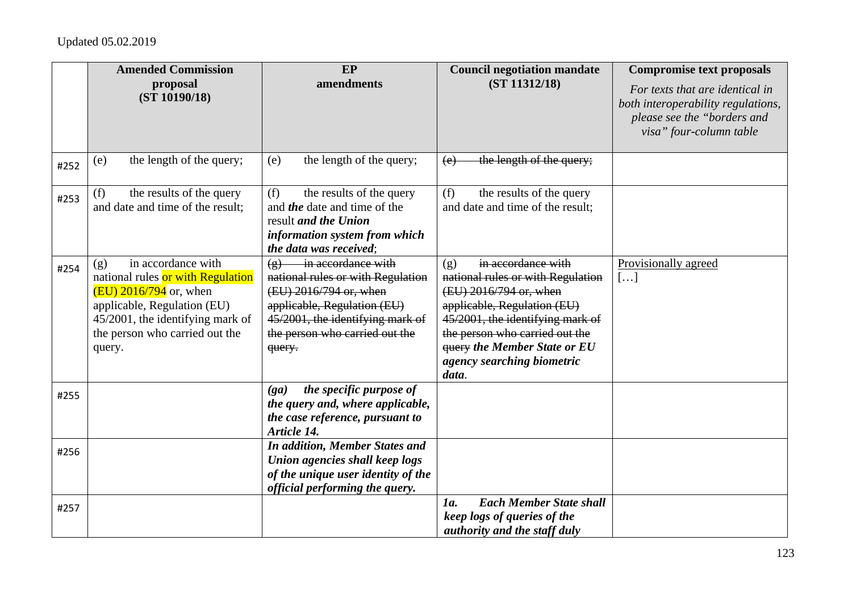|      | <b>Amended Commission</b><br>proposal<br>(ST 10190/18)                                                                                                                                                    | EP<br>amendments                                                                                                                                                                                                                | <b>Council negotiation mandate</b><br>(ST 11312/18)                                                                                                                                                                                                                         | <b>Compromise text proposals</b><br>For texts that are identical in<br>both interoperability regulations,<br>please see the "borders and<br>visa" four-column table |
|------|-----------------------------------------------------------------------------------------------------------------------------------------------------------------------------------------------------------|---------------------------------------------------------------------------------------------------------------------------------------------------------------------------------------------------------------------------------|-----------------------------------------------------------------------------------------------------------------------------------------------------------------------------------------------------------------------------------------------------------------------------|---------------------------------------------------------------------------------------------------------------------------------------------------------------------|
| #252 | the length of the query;<br>(e)                                                                                                                                                                           | the length of the query;<br>(e)                                                                                                                                                                                                 | the length of the query;<br>(e)                                                                                                                                                                                                                                             |                                                                                                                                                                     |
| #253 | (f)<br>the results of the query<br>and date and time of the result;                                                                                                                                       | (f)<br>the results of the query<br>and <i>the</i> date and time of the<br>result and the Union<br>information system from which<br>the data was received;                                                                       | (f)<br>the results of the query<br>and date and time of the result;                                                                                                                                                                                                         |                                                                                                                                                                     |
| #254 | in accordance with<br>(g)<br>national rules or with Regulation<br>$(EU)$ 2016/794 or, when<br>applicable, Regulation (EU)<br>45/2001, the identifying mark of<br>the person who carried out the<br>query. | in accordance with<br>$\left( \mathbf{g} \right)$<br>national rules or with Regulation<br>(EU) 2016/794 or, when<br>applicable, Regulation (EU)<br>45/2001, the identifying mark of<br>the person who carried out the<br>query. | in accordance with<br>(g)<br>national rules or with Regulation<br>(EU) 2016/794 or, when<br>applicable, Regulation (EU)<br>45/2001, the identifying mark of<br>the person who carried out the<br><b>query the Member State or EU</b><br>agency searching biometric<br>data. | Provisionally agreed<br>[]                                                                                                                                          |
| #255 |                                                                                                                                                                                                           | the specific purpose of<br>(ga)<br>the query and, where applicable,<br>the case reference, pursuant to<br>Article 14.                                                                                                           |                                                                                                                                                                                                                                                                             |                                                                                                                                                                     |
| #256 |                                                                                                                                                                                                           | <b>In addition, Member States and</b><br>Union agencies shall keep logs<br>of the unique user identity of the<br>official performing the query.                                                                                 |                                                                                                                                                                                                                                                                             |                                                                                                                                                                     |
| #257 |                                                                                                                                                                                                           |                                                                                                                                                                                                                                 | <b>Each Member State shall</b><br>1a.<br>keep logs of queries of the<br>authority and the staff duly                                                                                                                                                                        |                                                                                                                                                                     |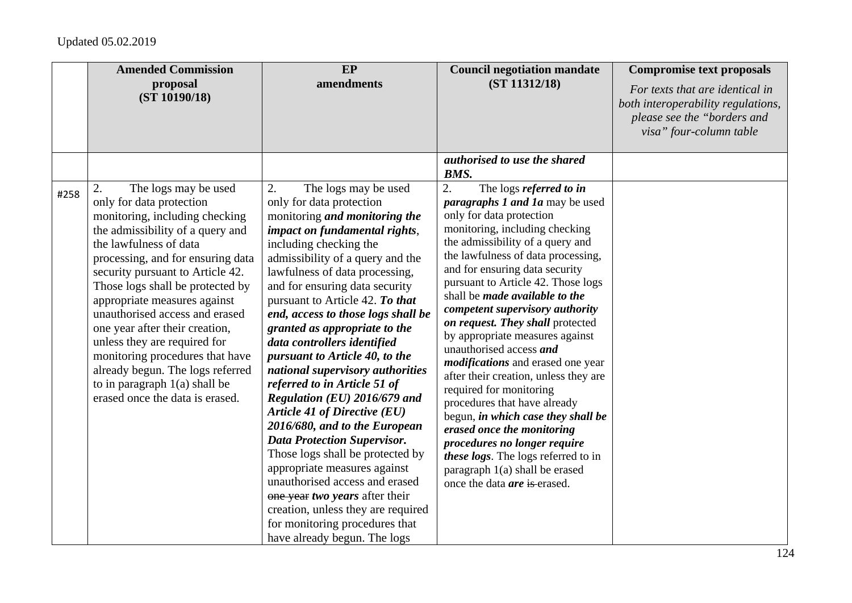|      | <b>Amended Commission</b><br>proposal<br>(ST 10190/18)                                                                                                                                                                                                                                                                                                                                                                                                                                                                                               | $E$ P<br>amendments                                                                                                                                                                                                                                                                                                                                                                                                                                                                                                                                                                                                                                                                                                                                                                                                                                                            | <b>Council negotiation mandate</b><br>(ST 11312/18)                                                                                                                                                                                                                                                                                                                                                                                                                                                                                                                                                                                                                                                                                                                                                                                                                               | <b>Compromise text proposals</b><br>For texts that are identical in<br>both interoperability regulations,<br>please see the "borders and<br>visa" four-column table |
|------|------------------------------------------------------------------------------------------------------------------------------------------------------------------------------------------------------------------------------------------------------------------------------------------------------------------------------------------------------------------------------------------------------------------------------------------------------------------------------------------------------------------------------------------------------|--------------------------------------------------------------------------------------------------------------------------------------------------------------------------------------------------------------------------------------------------------------------------------------------------------------------------------------------------------------------------------------------------------------------------------------------------------------------------------------------------------------------------------------------------------------------------------------------------------------------------------------------------------------------------------------------------------------------------------------------------------------------------------------------------------------------------------------------------------------------------------|-----------------------------------------------------------------------------------------------------------------------------------------------------------------------------------------------------------------------------------------------------------------------------------------------------------------------------------------------------------------------------------------------------------------------------------------------------------------------------------------------------------------------------------------------------------------------------------------------------------------------------------------------------------------------------------------------------------------------------------------------------------------------------------------------------------------------------------------------------------------------------------|---------------------------------------------------------------------------------------------------------------------------------------------------------------------|
| #258 | The logs may be used<br>2.<br>only for data protection<br>monitoring, including checking<br>the admissibility of a query and<br>the lawfulness of data<br>processing, and for ensuring data<br>security pursuant to Article 42.<br>Those logs shall be protected by<br>appropriate measures against<br>unauthorised access and erased<br>one year after their creation,<br>unless they are required for<br>monitoring procedures that have<br>already begun. The logs referred<br>to in paragraph $1(a)$ shall be<br>erased once the data is erased. | The logs may be used<br>2.<br>only for data protection<br>monitoring <i>and monitoring the</i><br>impact on fundamental rights,<br>including checking the<br>admissibility of a query and the<br>lawfulness of data processing,<br>and for ensuring data security<br>pursuant to Article 42. To that<br>end, access to those logs shall be<br>granted as appropriate to the<br>data controllers identified<br>pursuant to Article 40, to the<br>national supervisory authorities<br>referred to in Article 51 of<br>Regulation (EU) 2016/679 and<br><b>Article 41 of Directive (EU)</b><br>2016/680, and to the European<br><b>Data Protection Supervisor.</b><br>Those logs shall be protected by<br>appropriate measures against<br>unauthorised access and erased<br>one year two years after their<br>creation, unless they are required<br>for monitoring procedures that | authorised to use the shared<br>BMS.<br>2.<br>The logs referred to in<br><i>paragraphs 1 and 1a</i> may be used<br>only for data protection<br>monitoring, including checking<br>the admissibility of a query and<br>the lawfulness of data processing,<br>and for ensuring data security<br>pursuant to Article 42. Those logs<br>shall be <i>made</i> available to the<br>competent supervisory authority<br>on request. They shall protected<br>by appropriate measures against<br>unauthorised access and<br><i>modifications</i> and erased one year<br>after their creation, unless they are<br>required for monitoring<br>procedures that have already<br>begun, in which case they shall be<br>erased once the monitoring<br>procedures no longer require<br>these logs. The logs referred to in<br>paragraph 1(a) shall be erased<br>once the data <i>are</i> is erased. |                                                                                                                                                                     |
|      |                                                                                                                                                                                                                                                                                                                                                                                                                                                                                                                                                      | have already begun. The logs                                                                                                                                                                                                                                                                                                                                                                                                                                                                                                                                                                                                                                                                                                                                                                                                                                                   |                                                                                                                                                                                                                                                                                                                                                                                                                                                                                                                                                                                                                                                                                                                                                                                                                                                                                   |                                                                                                                                                                     |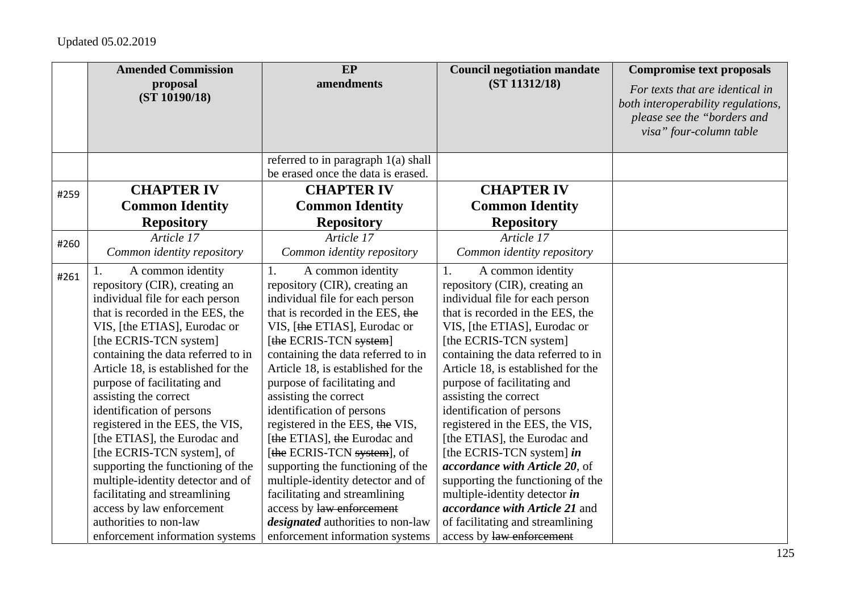|      | <b>Amended Commission</b>          | EP                                                                        | <b>Council negotiation mandate</b>    | <b>Compromise text proposals</b>                                                                                                |
|------|------------------------------------|---------------------------------------------------------------------------|---------------------------------------|---------------------------------------------------------------------------------------------------------------------------------|
|      | proposal<br>(ST 10190/18)          | amendments                                                                | (ST 11312/18)                         | For texts that are identical in<br>both interoperability regulations,<br>please see the "borders and<br>visa" four-column table |
|      |                                    | referred to in paragraph 1(a) shall<br>be erased once the data is erased. |                                       |                                                                                                                                 |
| #259 | <b>CHAPTER IV</b>                  | <b>CHAPTER IV</b>                                                         | <b>CHAPTER IV</b>                     |                                                                                                                                 |
|      | <b>Common Identity</b>             | <b>Common Identity</b>                                                    | <b>Common Identity</b>                |                                                                                                                                 |
|      | <b>Repository</b>                  | <b>Repository</b>                                                         | <b>Repository</b>                     |                                                                                                                                 |
| #260 | Article 17                         | Article 17                                                                | Article 17                            |                                                                                                                                 |
|      | Common identity repository         | Common identity repository                                                | Common identity repository            |                                                                                                                                 |
| #261 | A common identity                  | 1.<br>A common identity                                                   | 1.<br>A common identity               |                                                                                                                                 |
|      | repository (CIR), creating an      | repository (CIR), creating an                                             | repository (CIR), creating an         |                                                                                                                                 |
|      | individual file for each person    | individual file for each person                                           | individual file for each person       |                                                                                                                                 |
|      | that is recorded in the EES, the   | that is recorded in the EES, the                                          | that is recorded in the EES, the      |                                                                                                                                 |
|      | VIS, [the ETIAS], Eurodac or       | VIS, [the ETIAS], Eurodac or                                              | VIS, [the ETIAS], Eurodac or          |                                                                                                                                 |
|      | [the ECRIS-TCN system]             | [the ECRIS-TCN system]                                                    | [the ECRIS-TCN system]                |                                                                                                                                 |
|      | containing the data referred to in | containing the data referred to in                                        | containing the data referred to in    |                                                                                                                                 |
|      | Article 18, is established for the | Article 18, is established for the                                        | Article 18, is established for the    |                                                                                                                                 |
|      | purpose of facilitating and        | purpose of facilitating and                                               | purpose of facilitating and           |                                                                                                                                 |
|      | assisting the correct              | assisting the correct                                                     | assisting the correct                 |                                                                                                                                 |
|      | identification of persons          | identification of persons                                                 | identification of persons             |                                                                                                                                 |
|      | registered in the EES, the VIS,    | registered in the EES, the VIS,                                           | registered in the EES, the VIS,       |                                                                                                                                 |
|      | [the ETIAS], the Eurodac and       | [the ETIAS], the Eurodac and                                              | [the ETIAS], the Eurodac and          |                                                                                                                                 |
|      | [the ECRIS-TCN system], of         | [the ECRIS-TCN system], of                                                | [the ECRIS-TCN system] in             |                                                                                                                                 |
|      | supporting the functioning of the  | supporting the functioning of the                                         | accordance with Article 20, of        |                                                                                                                                 |
|      | multiple-identity detector and of  | multiple-identity detector and of                                         | supporting the functioning of the     |                                                                                                                                 |
|      | facilitating and streamlining      | facilitating and streamlining                                             | multiple-identity detector in         |                                                                                                                                 |
|      | access by law enforcement          | access by law enforcement                                                 | <i>accordance with Article 21</i> and |                                                                                                                                 |
|      | authorities to non-law             | <i>designated</i> authorities to non-law                                  | of facilitating and streamlining      |                                                                                                                                 |
|      | enforcement information systems    | enforcement information systems                                           | access by law enforcement             |                                                                                                                                 |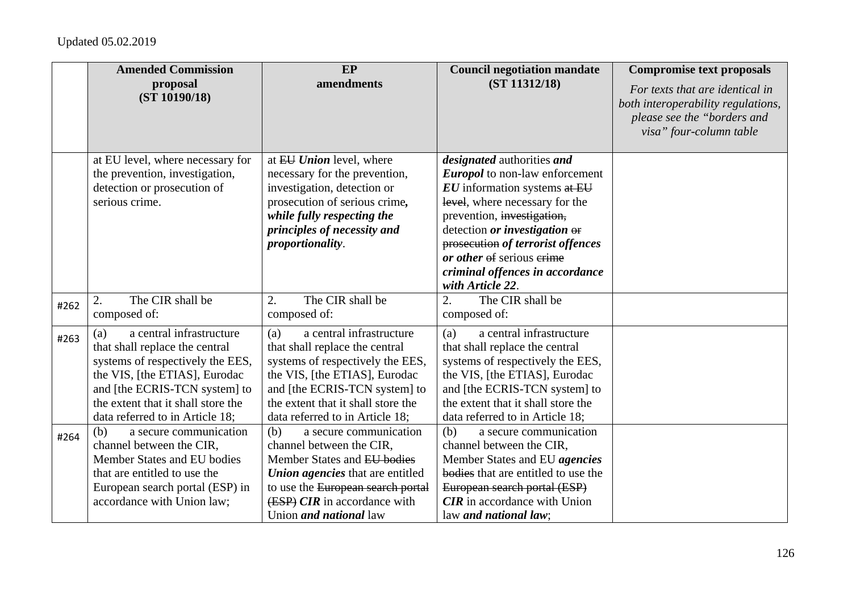|      | <b>Amended Commission</b><br>proposal                               | EP<br>amendments                                                    | <b>Council negotiation mandate</b><br>(ST 11312/18)                        | <b>Compromise text proposals</b>                                      |
|------|---------------------------------------------------------------------|---------------------------------------------------------------------|----------------------------------------------------------------------------|-----------------------------------------------------------------------|
|      | (ST 10190/18)                                                       |                                                                     |                                                                            | For texts that are identical in<br>both interoperability regulations, |
|      |                                                                     |                                                                     |                                                                            | please see the "borders and                                           |
|      |                                                                     |                                                                     |                                                                            | visa" four-column table                                               |
|      |                                                                     |                                                                     |                                                                            |                                                                       |
|      | at EU level, where necessary for<br>the prevention, investigation,  | at EU Union level, where<br>necessary for the prevention,           | <i>designated</i> authorities and<br><b>Europol</b> to non-law enforcement |                                                                       |
|      | detection or prosecution of                                         | investigation, detection or                                         | $EU$ information systems at $EU$                                           |                                                                       |
|      | serious crime.                                                      | prosecution of serious crime,                                       | level, where necessary for the                                             |                                                                       |
|      |                                                                     | while fully respecting the                                          | prevention, investigation,                                                 |                                                                       |
|      |                                                                     | principles of necessity and                                         | detection or investigation or                                              |                                                                       |
|      |                                                                     | proportionality.                                                    | prosecution of terrorist offences                                          |                                                                       |
|      |                                                                     |                                                                     | or other of serious erime                                                  |                                                                       |
|      |                                                                     |                                                                     | criminal offences in accordance<br>with Article 22.                        |                                                                       |
|      | The CIR shall be<br>2.                                              | The CIR shall be<br>2.                                              | The CIR shall be<br>$\overline{2}$ .                                       |                                                                       |
| #262 | composed of:                                                        | composed of:                                                        | composed of:                                                               |                                                                       |
| #263 | a central infrastructure<br>(a)                                     | a central infrastructure<br>(a)                                     | a central infrastructure<br>(a)                                            |                                                                       |
|      | that shall replace the central                                      | that shall replace the central                                      | that shall replace the central                                             |                                                                       |
|      | systems of respectively the EES,                                    | systems of respectively the EES,                                    | systems of respectively the EES,                                           |                                                                       |
|      | the VIS, [the ETIAS], Eurodac                                       | the VIS, [the ETIAS], Eurodac                                       | the VIS, [the ETIAS], Eurodac                                              |                                                                       |
|      | and [the ECRIS-TCN system] to<br>the extent that it shall store the | and [the ECRIS-TCN system] to<br>the extent that it shall store the | and [the ECRIS-TCN system] to<br>the extent that it shall store the        |                                                                       |
|      | data referred to in Article 18;                                     | data referred to in Article 18;                                     | data referred to in Article 18;                                            |                                                                       |
| #264 | a secure communication<br>(b)                                       | a secure communication<br>(b)                                       | (b)<br>a secure communication                                              |                                                                       |
|      | channel between the CIR,                                            | channel between the CIR,                                            | channel between the CIR,                                                   |                                                                       |
|      | Member States and EU bodies                                         | Member States and EU bodies                                         | Member States and EU agencies                                              |                                                                       |
|      | that are entitled to use the                                        | <b>Union agencies</b> that are entitled                             | bodies that are entitled to use the                                        |                                                                       |
|      | European search portal (ESP) in                                     | to use the European search portal                                   | European search portal (ESP)                                               |                                                                       |
|      | accordance with Union law;                                          | (ESP) CIR in accordance with                                        | $CIR$ in accordance with Union                                             |                                                                       |
|      |                                                                     | Union <i>and national</i> law                                       | law and national law;                                                      |                                                                       |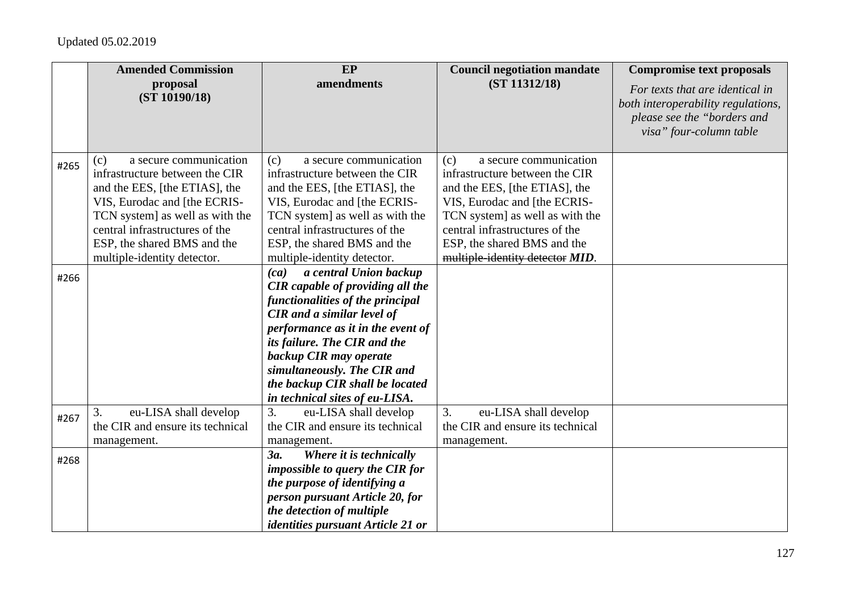|      | <b>Amended Commission</b>                                       | EP                                                                                                                                                                                                                                                                                                                  | <b>Council negotiation mandate</b>                            | <b>Compromise text proposals</b>                                                                                                |
|------|-----------------------------------------------------------------|---------------------------------------------------------------------------------------------------------------------------------------------------------------------------------------------------------------------------------------------------------------------------------------------------------------------|---------------------------------------------------------------|---------------------------------------------------------------------------------------------------------------------------------|
|      | proposal<br>(ST 10190/18)                                       | amendments                                                                                                                                                                                                                                                                                                          | (ST 11312/18)                                                 | For texts that are identical in<br>both interoperability regulations,<br>please see the "borders and<br>visa" four-column table |
| #265 | a secure communication<br>(c)<br>infrastructure between the CIR | (c)<br>a secure communication                                                                                                                                                                                                                                                                                       | a secure communication<br>(c)                                 |                                                                                                                                 |
|      |                                                                 | infrastructure between the CIR                                                                                                                                                                                                                                                                                      | infrastructure between the CIR                                |                                                                                                                                 |
|      | and the EES, [the ETIAS], the<br>VIS, Eurodac and [the ECRIS-   | and the EES, [the ETIAS], the<br>VIS, Eurodac and [the ECRIS-                                                                                                                                                                                                                                                       | and the EES, [the ETIAS], the<br>VIS, Eurodac and [the ECRIS- |                                                                                                                                 |
|      | TCN system] as well as with the                                 | TCN system] as well as with the                                                                                                                                                                                                                                                                                     | TCN system] as well as with the                               |                                                                                                                                 |
|      | central infrastructures of the                                  | central infrastructures of the                                                                                                                                                                                                                                                                                      | central infrastructures of the                                |                                                                                                                                 |
|      | ESP, the shared BMS and the                                     | ESP, the shared BMS and the                                                                                                                                                                                                                                                                                         | ESP, the shared BMS and the                                   |                                                                                                                                 |
|      | multiple-identity detector.                                     | multiple-identity detector.                                                                                                                                                                                                                                                                                         | multiple-identity detector MID.                               |                                                                                                                                 |
| #266 |                                                                 | a central Union backup<br>(ca)<br><b>CIR</b> capable of providing all the<br>functionalities of the principal<br><b>CIR</b> and a similar level of<br>performance as it in the event of<br>its failure. The CIR and the<br>backup CIR may operate<br>simultaneously. The CIR and<br>the backup CIR shall be located |                                                               |                                                                                                                                 |
|      |                                                                 | in technical sites of eu-LISA.                                                                                                                                                                                                                                                                                      |                                                               |                                                                                                                                 |
| #267 | eu-LISA shall develop<br>3.                                     | eu-LISA shall develop<br>3.                                                                                                                                                                                                                                                                                         | eu-LISA shall develop<br>3.                                   |                                                                                                                                 |
|      | the CIR and ensure its technical                                | the CIR and ensure its technical                                                                                                                                                                                                                                                                                    | the CIR and ensure its technical                              |                                                                                                                                 |
|      | management.                                                     | management.<br>Where it is technically                                                                                                                                                                                                                                                                              | management.                                                   |                                                                                                                                 |
| #268 |                                                                 | 3a.<br><i>impossible to query the CIR for</i>                                                                                                                                                                                                                                                                       |                                                               |                                                                                                                                 |
|      |                                                                 | the purpose of identifying a                                                                                                                                                                                                                                                                                        |                                                               |                                                                                                                                 |
|      |                                                                 | person pursuant Article 20, for                                                                                                                                                                                                                                                                                     |                                                               |                                                                                                                                 |
|      |                                                                 | the detection of multiple                                                                                                                                                                                                                                                                                           |                                                               |                                                                                                                                 |
|      |                                                                 | <i>identities pursuant Article 21 or</i>                                                                                                                                                                                                                                                                            |                                                               |                                                                                                                                 |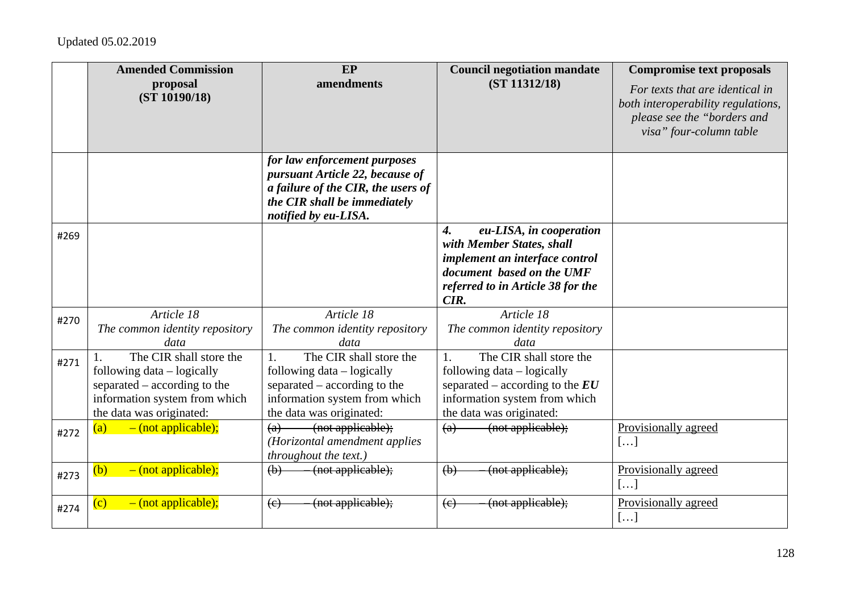|      | <b>Amended Commission</b>                                                                                                                          | EP                                                                                                                                                            | <b>Council negotiation mandate</b>                                                                                                                                                     | <b>Compromise text proposals</b>                                                                                                |
|------|----------------------------------------------------------------------------------------------------------------------------------------------------|---------------------------------------------------------------------------------------------------------------------------------------------------------------|----------------------------------------------------------------------------------------------------------------------------------------------------------------------------------------|---------------------------------------------------------------------------------------------------------------------------------|
|      | proposal<br>(ST 10190/18)                                                                                                                          | amendments                                                                                                                                                    | (ST 11312/18)                                                                                                                                                                          | For texts that are identical in<br>both interoperability regulations,<br>please see the "borders and<br>visa" four-column table |
|      |                                                                                                                                                    | for law enforcement purposes<br>pursuant Article 22, because of<br>a failure of the CIR, the users of<br>the CIR shall be immediately<br>notified by eu-LISA. |                                                                                                                                                                                        |                                                                                                                                 |
| #269 |                                                                                                                                                    |                                                                                                                                                               | eu-LISA, in cooperation<br>$\boldsymbol{4}$ .<br>with Member States, shall<br>implement an interface control<br>document based on the UMF<br>referred to in Article 38 for the<br>CIR. |                                                                                                                                 |
| #270 | Article 18<br>The common identity repository<br>data                                                                                               | Article 18<br>The common identity repository<br>data                                                                                                          | Article 18<br>The common identity repository<br>data                                                                                                                                   |                                                                                                                                 |
| #271 | The CIR shall store the<br>following data – logically<br>separated – according to the<br>information system from which<br>the data was originated: | The CIR shall store the<br>1.<br>following data – logically<br>separated – according to the<br>information system from which<br>the data was originated:      | The CIR shall store the<br>following data – logically<br>separated – according to the $EU$<br>information system from which<br>the data was originated:                                |                                                                                                                                 |
| #272 | $-$ (not applicable);<br>(a)                                                                                                                       | -(not applicable);<br>(a)<br>(Horizontal amendment applies<br>throughout the text.)                                                                           | (not applicable);<br>(a)                                                                                                                                                               | Provisionally agreed<br>[]                                                                                                      |
| #273 | $-$ (not applicable);<br>(b)                                                                                                                       | (not applicable);<br>$\left(\mathbf{b}\right)$                                                                                                                | (not applicable);<br>$\left(\mathbf{b}\right)$                                                                                                                                         | Provisionally agreed<br>$[\ldots]$                                                                                              |
| #274 | $-$ (not applicable);<br>(c)                                                                                                                       | (not applicable);<br>(e)                                                                                                                                      | (not applicable);<br>(e)                                                                                                                                                               | Provisionally agreed<br>[]                                                                                                      |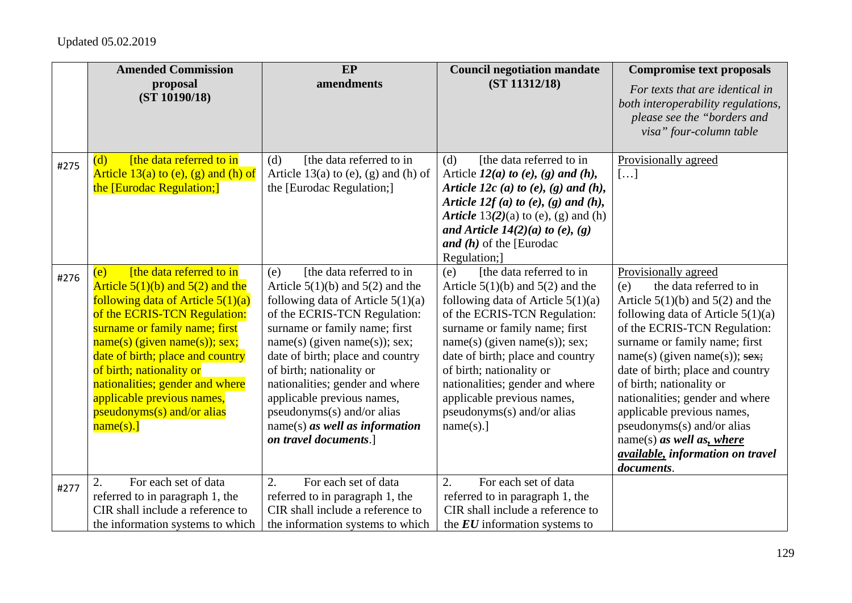|      | <b>Amended Commission</b>                                                   | EP                                                                          | <b>Council negotiation mandate</b>                                             | <b>Compromise text proposals</b>                                                                                                |
|------|-----------------------------------------------------------------------------|-----------------------------------------------------------------------------|--------------------------------------------------------------------------------|---------------------------------------------------------------------------------------------------------------------------------|
|      | proposal<br>(ST 10190/18)                                                   | amendments                                                                  | (ST 11312/18)                                                                  | For texts that are identical in<br>both interoperability regulations,<br>please see the "borders and<br>visa" four-column table |
| #275 | [the data referred to in<br>(d)                                             | [the data referred to in<br>(d)                                             | [the data referred to in<br>(d)                                                | Provisionally agreed                                                                                                            |
|      | Article $13(a)$ to (e), (g) and (h) of                                      | Article 13(a) to (e), (g) and (h) of                                        | Article $12(a)$ to $(e)$ , $(g)$ and $(h)$ ,                                   | []                                                                                                                              |
|      | the [Eurodac Regulation;]                                                   | the [Eurodac Regulation;]                                                   | Article 12c (a) to (e), (g) and (h),<br>Article 12 $f(a)$ to (e), (g) and (h), |                                                                                                                                 |
|      |                                                                             |                                                                             | Article $13(2)(a)$ to (e), (g) and (h)                                         |                                                                                                                                 |
|      |                                                                             |                                                                             | and Article $14(2)(a)$ to (e), (g)                                             |                                                                                                                                 |
|      |                                                                             |                                                                             | and $(h)$ of the [Eurodac                                                      |                                                                                                                                 |
|      |                                                                             |                                                                             | Regulation;]                                                                   |                                                                                                                                 |
| #276 | [the data referred to in<br>(e)                                             | [the data referred to in<br>(e)                                             | [the data referred to in<br>(e)                                                | Provisionally agreed                                                                                                            |
|      | Article $5(1)(b)$ and $5(2)$ and the<br>following data of Article $5(1)(a)$ | Article $5(1)(b)$ and $5(2)$ and the<br>following data of Article $5(1)(a)$ | Article $5(1)(b)$ and $5(2)$ and the<br>following data of Article $5(1)(a)$    | the data referred to in<br>(e)<br>Article $5(1)(b)$ and $5(2)$ and the                                                          |
|      | of the ECRIS-TCN Regulation:                                                | of the ECRIS-TCN Regulation:                                                | of the ECRIS-TCN Regulation:                                                   | following data of Article $5(1)(a)$                                                                                             |
|      | surname or family name; first                                               | surname or family name; first                                               | surname or family name; first                                                  | of the ECRIS-TCN Regulation:                                                                                                    |
|      | $name(s)$ (given name(s)); sex;                                             | $name(s)$ (given $name(s)$ ); sex;                                          | $name(s)$ (given $name(s)$ ); sex;                                             | surname or family name; first                                                                                                   |
|      | date of birth; place and country                                            | date of birth; place and country                                            | date of birth; place and country                                               | $name(s)$ (given name(s)); sex;                                                                                                 |
|      | of birth; nationality or                                                    | of birth; nationality or                                                    | of birth; nationality or                                                       | date of birth; place and country                                                                                                |
|      | nationalities; gender and where                                             | nationalities; gender and where                                             | nationalities; gender and where                                                | of birth; nationality or                                                                                                        |
|      | applicable previous names,                                                  | applicable previous names,                                                  | applicable previous names,                                                     | nationalities; gender and where                                                                                                 |
|      | pseudonyms(s) and/or alias<br>$name(s).$ ]                                  | pseudonyms(s) and/or alias<br>$name(s)$ as well as information              | pseudonyms(s) and/or alias<br>name(s).]                                        | applicable previous names,<br>pseudonyms(s) and/or alias                                                                        |
|      |                                                                             | on travel documents.]                                                       |                                                                                | name(s) as well as, where                                                                                                       |
|      |                                                                             |                                                                             |                                                                                | <i>available, information on travel</i>                                                                                         |
|      |                                                                             |                                                                             |                                                                                | documents.                                                                                                                      |
| #277 | 2.<br>For each set of data                                                  | 2.<br>For each set of data                                                  | 2.<br>For each set of data                                                     |                                                                                                                                 |
|      | referred to in paragraph 1, the                                             | referred to in paragraph 1, the                                             | referred to in paragraph 1, the                                                |                                                                                                                                 |
|      | CIR shall include a reference to                                            | CIR shall include a reference to                                            | CIR shall include a reference to                                               |                                                                                                                                 |
|      | the information systems to which                                            | the information systems to which                                            | the $EU$ information systems to                                                |                                                                                                                                 |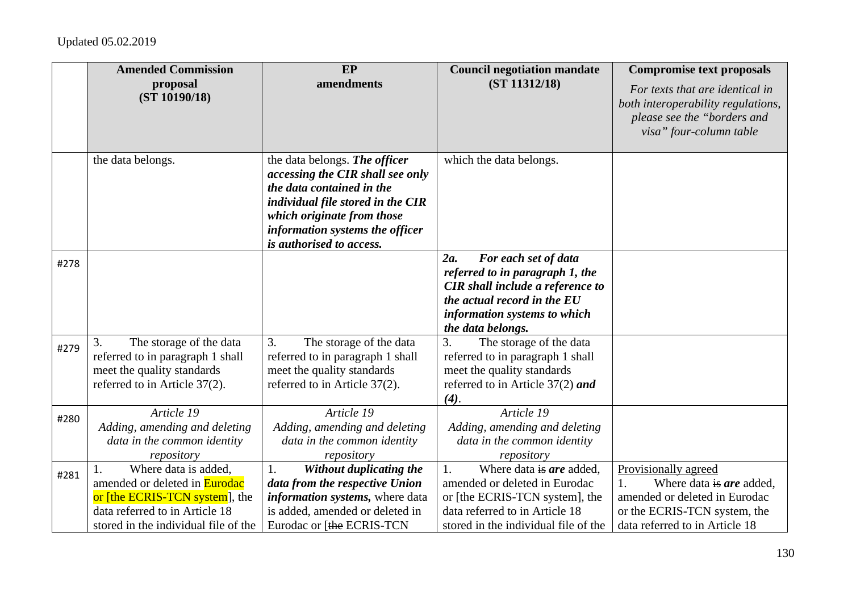|      | <b>Amended Commission</b>                                                                                                                                                | EP                                                                                                                                                                                                                               | <b>Council negotiation mandate</b>                                                                                                                                                            | <b>Compromise text proposals</b>                                                                                                                          |
|------|--------------------------------------------------------------------------------------------------------------------------------------------------------------------------|----------------------------------------------------------------------------------------------------------------------------------------------------------------------------------------------------------------------------------|-----------------------------------------------------------------------------------------------------------------------------------------------------------------------------------------------|-----------------------------------------------------------------------------------------------------------------------------------------------------------|
|      | proposal<br>(ST 10190/18)                                                                                                                                                | amendments                                                                                                                                                                                                                       | (ST 11312/18)                                                                                                                                                                                 | For texts that are identical in<br>both interoperability regulations,<br>please see the "borders and<br>visa" four-column table                           |
|      | the data belongs.                                                                                                                                                        | the data belongs. The officer<br>accessing the CIR shall see only<br>the data contained in the<br>individual file stored in the CIR<br>which originate from those<br>information systems the officer<br>is authorised to access. | which the data belongs.                                                                                                                                                                       |                                                                                                                                                           |
| #278 |                                                                                                                                                                          |                                                                                                                                                                                                                                  | For each set of data<br>2a.<br>referred to in paragraph 1, the<br><b>CIR</b> shall include a reference to<br>the actual record in the EU<br>information systems to which<br>the data belongs. |                                                                                                                                                           |
| #279 | 3.<br>The storage of the data<br>referred to in paragraph 1 shall<br>meet the quality standards<br>referred to in Article 37(2).                                         | 3.<br>The storage of the data<br>referred to in paragraph 1 shall<br>meet the quality standards<br>referred to in Article 37(2).                                                                                                 | 3.<br>The storage of the data<br>referred to in paragraph 1 shall<br>meet the quality standards<br>referred to in Article $37(2)$ and<br>(4).                                                 |                                                                                                                                                           |
| #280 | Article 19<br>Adding, amending and deleting<br>data in the common identity<br>repository                                                                                 | Article 19<br>Adding, amending and deleting<br>data in the common identity<br>repository                                                                                                                                         | Article 19<br>Adding, amending and deleting<br>data in the common identity<br>repository                                                                                                      |                                                                                                                                                           |
| #281 | Where data is added,<br>amended or deleted in <b>Eurodac</b><br>or [the ECRIS-TCN system], the<br>data referred to in Article 18<br>stored in the individual file of the | Without duplicating the<br>1.<br>data from the respective Union<br>information systems, where data<br>is added, amended or deleted in<br>Eurodac or [the ECRIS-TCN                                                               | Where data is are added,<br>1.<br>amended or deleted in Eurodac<br>or [the ECRIS-TCN system], the<br>data referred to in Article 18<br>stored in the individual file of the                   | Provisionally agreed<br>Where data is are added,<br>1.<br>amended or deleted in Eurodac<br>or the ECRIS-TCN system, the<br>data referred to in Article 18 |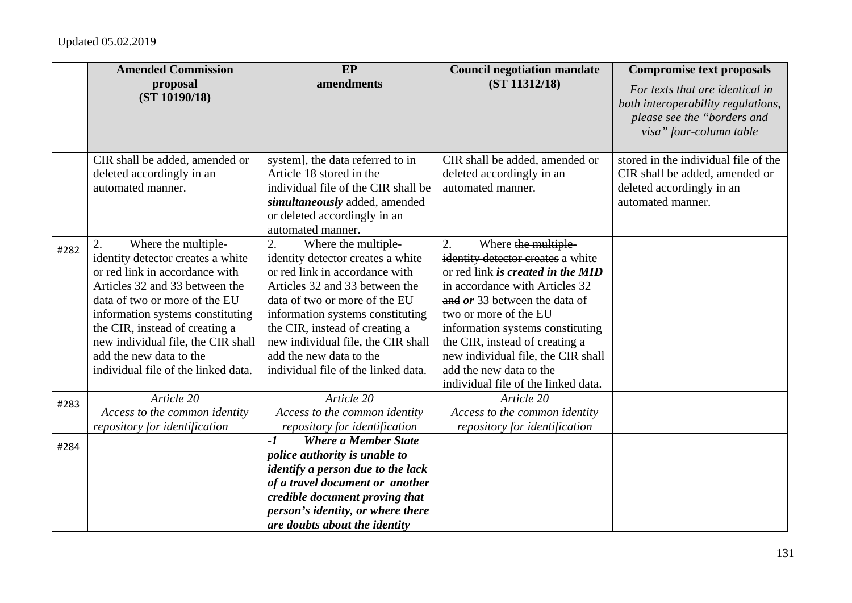|      | <b>Amended Commission</b><br>proposal<br>(ST 10190/18)                                                                                                                                                                                                                                                                                            | EP<br>amendments                                                                                                                                                                                                                                                                                                                                  | <b>Council negotiation mandate</b><br>(ST 11312/18)                                                                                                                                                                                                                                                                                                                             | <b>Compromise text proposals</b><br>For texts that are identical in<br>both interoperability regulations,<br>please see the "borders and<br>visa" four-column table |
|------|---------------------------------------------------------------------------------------------------------------------------------------------------------------------------------------------------------------------------------------------------------------------------------------------------------------------------------------------------|---------------------------------------------------------------------------------------------------------------------------------------------------------------------------------------------------------------------------------------------------------------------------------------------------------------------------------------------------|---------------------------------------------------------------------------------------------------------------------------------------------------------------------------------------------------------------------------------------------------------------------------------------------------------------------------------------------------------------------------------|---------------------------------------------------------------------------------------------------------------------------------------------------------------------|
|      | CIR shall be added, amended or<br>deleted accordingly in an<br>automated manner.                                                                                                                                                                                                                                                                  | system], the data referred to in<br>Article 18 stored in the<br>individual file of the CIR shall be<br>simultaneously added, amended<br>or deleted accordingly in an<br>automated manner.                                                                                                                                                         | CIR shall be added, amended or<br>deleted accordingly in an<br>automated manner.                                                                                                                                                                                                                                                                                                | stored in the individual file of the<br>CIR shall be added, amended or<br>deleted accordingly in an<br>automated manner.                                            |
| #282 | Where the multiple-<br>2.<br>identity detector creates a white<br>or red link in accordance with<br>Articles 32 and 33 between the<br>data of two or more of the EU<br>information systems constituting<br>the CIR, instead of creating a<br>new individual file, the CIR shall<br>add the new data to the<br>individual file of the linked data. | Where the multiple-<br>2.<br>identity detector creates a white<br>or red link in accordance with<br>Articles 32 and 33 between the<br>data of two or more of the EU<br>information systems constituting<br>the CIR, instead of creating a<br>new individual file, the CIR shall<br>add the new data to the<br>individual file of the linked data. | 2.<br>Where the multiple-<br>identity detector creates a white<br>or red link is created in the MID<br>in accordance with Articles 32<br>and $or$ 33 between the data of<br>two or more of the EU<br>information systems constituting<br>the CIR, instead of creating a<br>new individual file, the CIR shall<br>add the new data to the<br>individual file of the linked data. |                                                                                                                                                                     |
| #283 | Article 20<br>Access to the common identity<br>repository for identification                                                                                                                                                                                                                                                                      | Article 20<br>Access to the common identity<br>repository for identification                                                                                                                                                                                                                                                                      | Article 20<br>Access to the common identity<br>repository for identification                                                                                                                                                                                                                                                                                                    |                                                                                                                                                                     |
| #284 |                                                                                                                                                                                                                                                                                                                                                   | <b>Where a Member State</b><br>$-I$<br>police authority is unable to<br><i>identify a person due to the lack</i><br>of a travel document or another<br>credible document proving that<br>person's identity, or where there<br>are doubts about the identity                                                                                       |                                                                                                                                                                                                                                                                                                                                                                                 |                                                                                                                                                                     |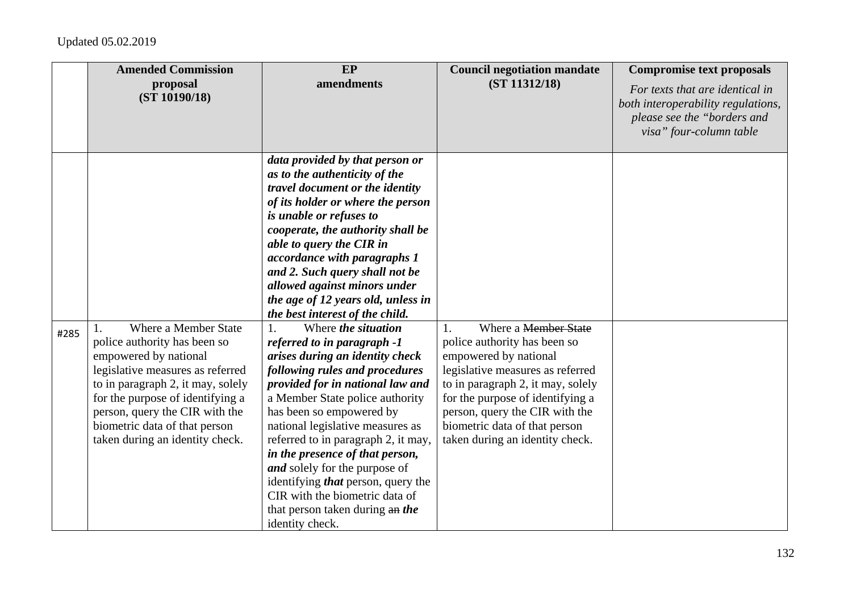|      | <b>Amended Commission</b>                                                                                                                                                                                                                                                                        | EP                                                                                                                                                                                                                                                                                                                                                                                                                                                                                                                                                                                                                                                                                                                                                                                                                                                                                                                                             | <b>Council negotiation mandate</b>                                                                                                                                                                                                                                                                     | <b>Compromise text proposals</b>                                                                                                |
|------|--------------------------------------------------------------------------------------------------------------------------------------------------------------------------------------------------------------------------------------------------------------------------------------------------|------------------------------------------------------------------------------------------------------------------------------------------------------------------------------------------------------------------------------------------------------------------------------------------------------------------------------------------------------------------------------------------------------------------------------------------------------------------------------------------------------------------------------------------------------------------------------------------------------------------------------------------------------------------------------------------------------------------------------------------------------------------------------------------------------------------------------------------------------------------------------------------------------------------------------------------------|--------------------------------------------------------------------------------------------------------------------------------------------------------------------------------------------------------------------------------------------------------------------------------------------------------|---------------------------------------------------------------------------------------------------------------------------------|
|      | proposal<br>(ST 10190/18)                                                                                                                                                                                                                                                                        | amendments                                                                                                                                                                                                                                                                                                                                                                                                                                                                                                                                                                                                                                                                                                                                                                                                                                                                                                                                     | (ST 11312/18)                                                                                                                                                                                                                                                                                          | For texts that are identical in<br>both interoperability regulations,<br>please see the "borders and<br>visa" four-column table |
| #285 | Where a Member State<br>police authority has been so<br>empowered by national<br>legislative measures as referred<br>to in paragraph 2, it may, solely<br>for the purpose of identifying a<br>person, query the CIR with the<br>biometric data of that person<br>taken during an identity check. | data provided by that person or<br>as to the authenticity of the<br>travel document or the identity<br>of its holder or where the person<br>is unable or refuses to<br>cooperate, the authority shall be<br>able to query the CIR in<br>accordance with paragraphs 1<br>and 2. Such query shall not be<br>allowed against minors under<br>the age of 12 years old, unless in<br>the best interest of the child.<br>Where <i>the situation</i><br>1.<br>referred to in paragraph -1<br>arises during an identity check<br>following rules and procedures<br>provided for in national law and<br>a Member State police authority<br>has been so empowered by<br>national legislative measures as<br>referred to in paragraph 2, it may,<br>in the presence of that person,<br>and solely for the purpose of<br>identifying <i>that</i> person, query the<br>CIR with the biometric data of<br>that person taken during an the<br>identity check. | Where a Member State<br>1.<br>police authority has been so<br>empowered by national<br>legislative measures as referred<br>to in paragraph 2, it may, solely<br>for the purpose of identifying a<br>person, query the CIR with the<br>biometric data of that person<br>taken during an identity check. |                                                                                                                                 |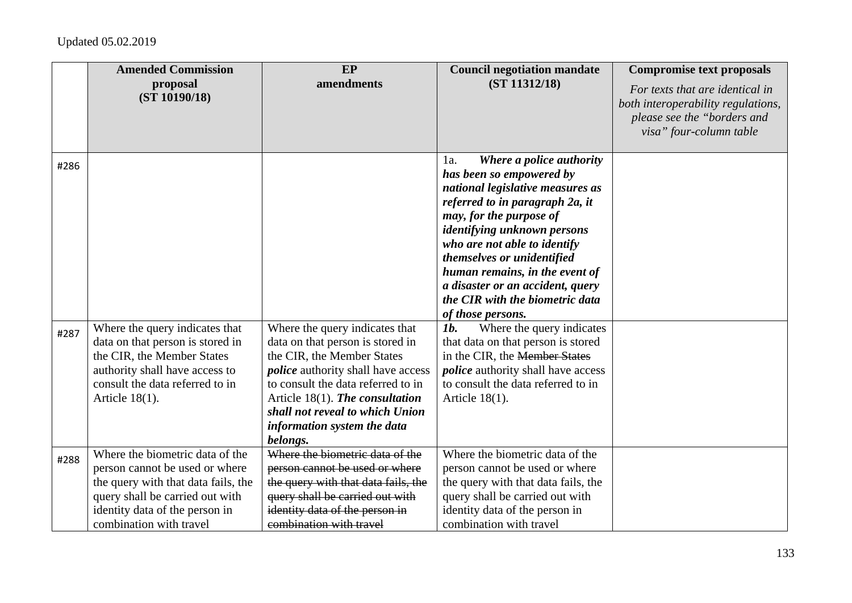|              | <b>Amended Commission</b><br>proposal                                                                                                                                                                    | EP<br>amendments                                                                                                                                                                                                                                             | <b>Council negotiation mandate</b><br>(ST 11312/18)                                                                                                                                                                                                                                                                                                                                                                                                                                                                                                                                                                              | <b>Compromise text proposals</b>                                                                                                |
|--------------|----------------------------------------------------------------------------------------------------------------------------------------------------------------------------------------------------------|--------------------------------------------------------------------------------------------------------------------------------------------------------------------------------------------------------------------------------------------------------------|----------------------------------------------------------------------------------------------------------------------------------------------------------------------------------------------------------------------------------------------------------------------------------------------------------------------------------------------------------------------------------------------------------------------------------------------------------------------------------------------------------------------------------------------------------------------------------------------------------------------------------|---------------------------------------------------------------------------------------------------------------------------------|
|              | (ST 10190/18)                                                                                                                                                                                            |                                                                                                                                                                                                                                                              |                                                                                                                                                                                                                                                                                                                                                                                                                                                                                                                                                                                                                                  | For texts that are identical in<br>both interoperability regulations,<br>please see the "borders and<br>visa" four-column table |
| #286<br>#287 | Where the query indicates that<br>data on that person is stored in<br>the CIR, the Member States<br>authority shall have access to<br>consult the data referred to in<br>Article $18(1)$ .               | Where the query indicates that<br>data on that person is stored in<br>the CIR, the Member States<br><i>police</i> authority shall have access<br>to consult the data referred to in<br>Article $18(1)$ . The consultation<br>shall not reveal to which Union | Where a police authority<br>1a.<br>has been so empowered by<br>national legislative measures as<br>referred to in paragraph 2a, it<br>may, for the purpose of<br><i>identifying unknown persons</i><br>who are not able to identify<br>themselves or unidentified<br>human remains, in the event of<br>a disaster or an accident, query<br>the CIR with the biometric data<br>of those persons.<br>Where the query indicates<br>$1b$ .<br>that data on that person is stored<br>in the CIR, the <del>Member States</del><br><i>police</i> authority shall have access<br>to consult the data referred to in<br>Article $18(1)$ . |                                                                                                                                 |
|              |                                                                                                                                                                                                          | information system the data<br>belongs.                                                                                                                                                                                                                      |                                                                                                                                                                                                                                                                                                                                                                                                                                                                                                                                                                                                                                  |                                                                                                                                 |
| #288         | Where the biometric data of the<br>person cannot be used or where<br>the query with that data fails, the<br>query shall be carried out with<br>identity data of the person in<br>combination with travel | Where the biometric data of the<br>person cannot be used or where<br>the query with that data fails, the<br>query shall be carried out with<br>identity data of the person in<br>combination with travel                                                     | Where the biometric data of the<br>person cannot be used or where<br>the query with that data fails, the<br>query shall be carried out with<br>identity data of the person in<br>combination with travel                                                                                                                                                                                                                                                                                                                                                                                                                         |                                                                                                                                 |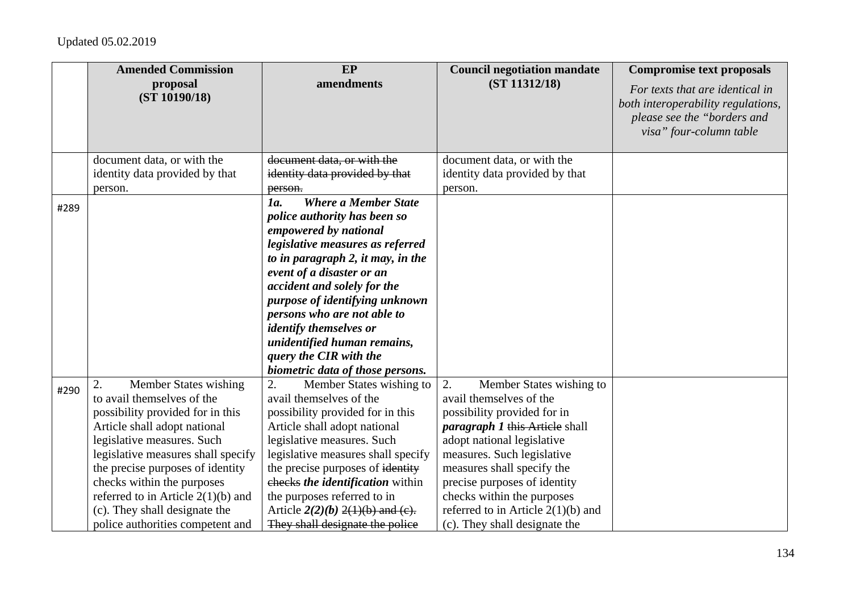|      | <b>Amended Commission</b>            | EP                                   | <b>Council negotiation mandate</b>    | <b>Compromise text proposals</b>                                                                                                |
|------|--------------------------------------|--------------------------------------|---------------------------------------|---------------------------------------------------------------------------------------------------------------------------------|
|      | proposal<br>(ST 10190/18)            | amendments                           | (ST 11312/18)                         | For texts that are identical in<br>both interoperability regulations,<br>please see the "borders and<br>visa" four-column table |
|      | document data, or with the           | document data, or with the           | document data, or with the            |                                                                                                                                 |
|      | identity data provided by that       | identity data provided by that       | identity data provided by that        |                                                                                                                                 |
|      | person.                              | person.                              | person.                               |                                                                                                                                 |
| #289 |                                      | <b>Where a Member State</b><br>1a.   |                                       |                                                                                                                                 |
|      |                                      | police authority has been so         |                                       |                                                                                                                                 |
|      |                                      | empowered by national                |                                       |                                                                                                                                 |
|      |                                      | legislative measures as referred     |                                       |                                                                                                                                 |
|      |                                      | to in paragraph 2, it may, in the    |                                       |                                                                                                                                 |
|      |                                      | event of a disaster or an            |                                       |                                                                                                                                 |
|      |                                      | accident and solely for the          |                                       |                                                                                                                                 |
|      |                                      | purpose of identifying unknown       |                                       |                                                                                                                                 |
|      |                                      | persons who are not able to          |                                       |                                                                                                                                 |
|      |                                      | <i>identify themselves or</i>        |                                       |                                                                                                                                 |
|      |                                      | unidentified human remains,          |                                       |                                                                                                                                 |
|      |                                      | query the CIR with the               |                                       |                                                                                                                                 |
|      |                                      | biometric data of those persons.     |                                       |                                                                                                                                 |
| #290 | <b>Member States wishing</b><br>2.   | 2.<br>Member States wishing to       | 2.<br>Member States wishing to        |                                                                                                                                 |
|      | to avail themselves of the           | avail themselves of the              | avail themselves of the               |                                                                                                                                 |
|      | possibility provided for in this     | possibility provided for in this     | possibility provided for in           |                                                                                                                                 |
|      | Article shall adopt national         | Article shall adopt national         | <i>paragraph 1</i> this Article shall |                                                                                                                                 |
|      | legislative measures. Such           | legislative measures. Such           | adopt national legislative            |                                                                                                                                 |
|      | legislative measures shall specify   | legislative measures shall specify   | measures. Such legislative            |                                                                                                                                 |
|      | the precise purposes of identity     | the precise purposes of identity     | measures shall specify the            |                                                                                                                                 |
|      | checks within the purposes           | checks the identification within     | precise purposes of identity          |                                                                                                                                 |
|      | referred to in Article $2(1)(b)$ and | the purposes referred to in          | checks within the purposes            |                                                                                                                                 |
|      | (c). They shall designate the        | Article $2(2)(b)$ $2(1)(b)$ and (e). | referred to in Article $2(1)(b)$ and  |                                                                                                                                 |
|      | police authorities competent and     | They shall designate the police      | (c). They shall designate the         |                                                                                                                                 |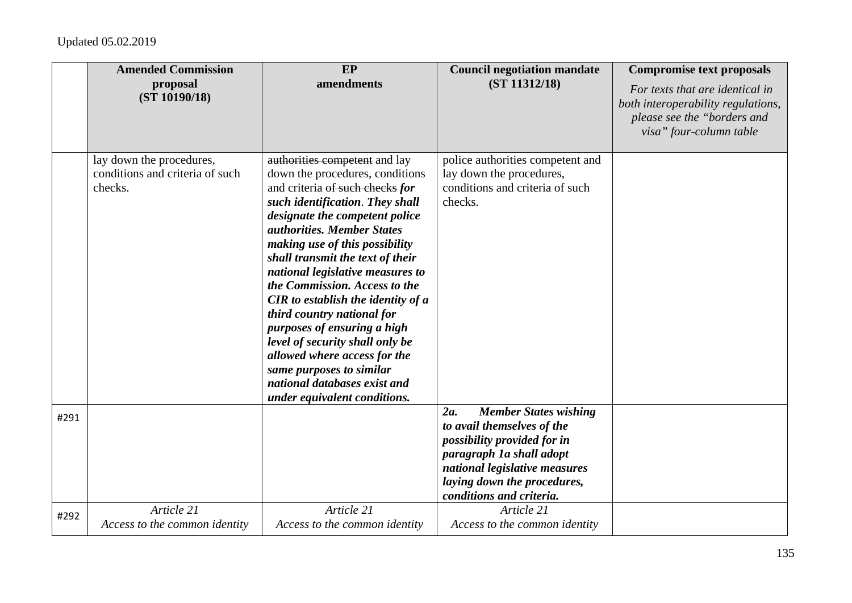|      | <b>Amended Commission</b>                                              | EP                                                                                                                                                                                                                                                                                                                                                                                                                                                                                                    | <b>Council negotiation mandate</b>                                                                                                                                                                                          | <b>Compromise text proposals</b>                                                                                                |
|------|------------------------------------------------------------------------|-------------------------------------------------------------------------------------------------------------------------------------------------------------------------------------------------------------------------------------------------------------------------------------------------------------------------------------------------------------------------------------------------------------------------------------------------------------------------------------------------------|-----------------------------------------------------------------------------------------------------------------------------------------------------------------------------------------------------------------------------|---------------------------------------------------------------------------------------------------------------------------------|
|      | proposal<br>(ST 10190/18)                                              | amendments                                                                                                                                                                                                                                                                                                                                                                                                                                                                                            | (ST 11312/18)                                                                                                                                                                                                               | For texts that are identical in<br>both interoperability regulations,<br>please see the "borders and<br>visa" four-column table |
|      | lay down the procedures,<br>conditions and criteria of such<br>checks. | authorities competent and lay<br>down the procedures, conditions<br>and criteria of such checks for<br>such identification. They shall<br>designate the competent police<br><i>authorities. Member States</i><br>making use of this possibility<br>shall transmit the text of their<br>national legislative measures to<br>the Commission. Access to the<br><b>CIR</b> to establish the identity of a<br>third country national for<br>purposes of ensuring a high<br>level of security shall only be | police authorities competent and<br>lay down the procedures,<br>conditions and criteria of such<br>checks.                                                                                                                  |                                                                                                                                 |
|      |                                                                        | allowed where access for the<br>same purposes to similar<br>national databases exist and<br>under equivalent conditions.                                                                                                                                                                                                                                                                                                                                                                              |                                                                                                                                                                                                                             |                                                                                                                                 |
| #291 |                                                                        |                                                                                                                                                                                                                                                                                                                                                                                                                                                                                                       | <b>Member States wishing</b><br>$2a$ .<br>to avail themselves of the<br>possibility provided for in<br>paragraph 1a shall adopt<br>national legislative measures<br>laying down the procedures,<br>conditions and criteria. |                                                                                                                                 |
| #292 | Article 21<br>Access to the common identity                            | Article 21<br>Access to the common identity                                                                                                                                                                                                                                                                                                                                                                                                                                                           | Article 21<br>Access to the common identity                                                                                                                                                                                 |                                                                                                                                 |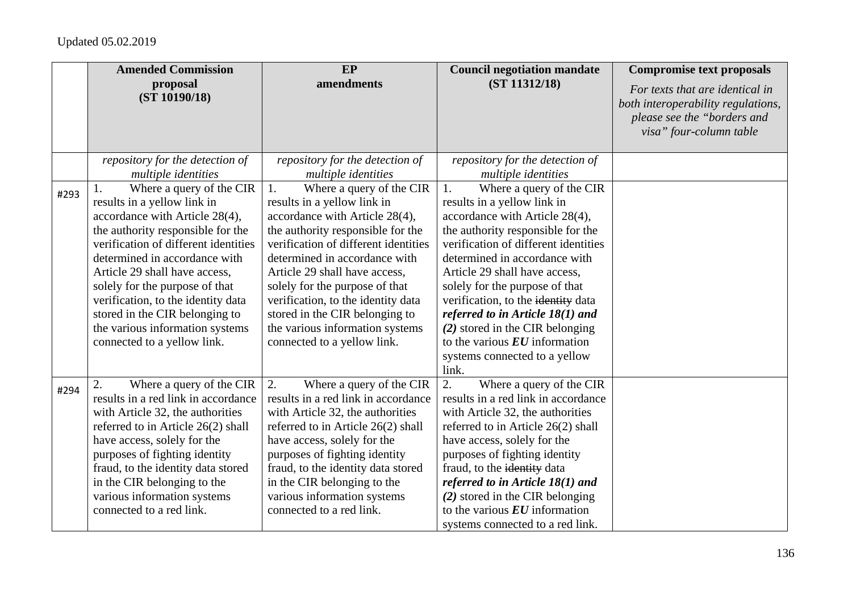|      | <b>Amended Commission</b>            | EP                                   | <b>Council negotiation mandate</b>           | <b>Compromise text proposals</b>                                                                                                |
|------|--------------------------------------|--------------------------------------|----------------------------------------------|---------------------------------------------------------------------------------------------------------------------------------|
|      | proposal<br>(ST 10190/18)            | amendments                           | (ST 11312/18)                                | For texts that are identical in<br>both interoperability regulations,<br>please see the "borders and<br>visa" four-column table |
|      | repository for the detection of      | repository for the detection of      | repository for the detection of              |                                                                                                                                 |
|      | multiple identities                  | multiple identities                  | multiple identities                          |                                                                                                                                 |
| #293 | Where a query of the CIR<br>Ι.       | 1.<br>Where a query of the CIR       | 1.<br>Where a query of the CIR               |                                                                                                                                 |
|      | results in a yellow link in          | results in a yellow link in          | results in a yellow link in                  |                                                                                                                                 |
|      | accordance with Article 28(4),       | accordance with Article 28(4),       | accordance with Article 28(4),               |                                                                                                                                 |
|      | the authority responsible for the    | the authority responsible for the    | the authority responsible for the            |                                                                                                                                 |
|      | verification of different identities | verification of different identities | verification of different identities         |                                                                                                                                 |
|      | determined in accordance with        | determined in accordance with        | determined in accordance with                |                                                                                                                                 |
|      | Article 29 shall have access,        | Article 29 shall have access,        | Article 29 shall have access,                |                                                                                                                                 |
|      | solely for the purpose of that       | solely for the purpose of that       | solely for the purpose of that               |                                                                                                                                 |
|      | verification, to the identity data   | verification, to the identity data   | verification, to the identity data           |                                                                                                                                 |
|      | stored in the CIR belonging to       | stored in the CIR belonging to       | referred to in Article $18(1)$ and           |                                                                                                                                 |
|      | the various information systems      | the various information systems      | (2) stored in the CIR belonging              |                                                                                                                                 |
|      | connected to a yellow link.          | connected to a yellow link.          | to the various $EU$ information              |                                                                                                                                 |
|      |                                      |                                      | systems connected to a yellow                |                                                                                                                                 |
|      |                                      |                                      | link.                                        |                                                                                                                                 |
| #294 | Where a query of the CIR<br>2.       | 2.<br>Where a query of the CIR       | 2.<br>Where a query of the CIR               |                                                                                                                                 |
|      | results in a red link in accordance  | results in a red link in accordance  | results in a red link in accordance          |                                                                                                                                 |
|      | with Article 32, the authorities     | with Article 32, the authorities     | with Article 32, the authorities             |                                                                                                                                 |
|      | referred to in Article 26(2) shall   | referred to in Article 26(2) shall   | referred to in Article 26(2) shall           |                                                                                                                                 |
|      | have access, solely for the          | have access, solely for the          | have access, solely for the                  |                                                                                                                                 |
|      | purposes of fighting identity        | purposes of fighting identity        | purposes of fighting identity                |                                                                                                                                 |
|      | fraud, to the identity data stored   | fraud, to the identity data stored   | fraud, to the identity data                  |                                                                                                                                 |
|      | in the CIR belonging to the          | in the CIR belonging to the          | referred to in Article $18(1)$ and           |                                                                                                                                 |
|      | various information systems          | various information systems          | (2) stored in the CIR belonging              |                                                                                                                                 |
|      | connected to a red link.             | connected to a red link.             | to the various $\boldsymbol{EU}$ information |                                                                                                                                 |
|      |                                      |                                      | systems connected to a red link.             |                                                                                                                                 |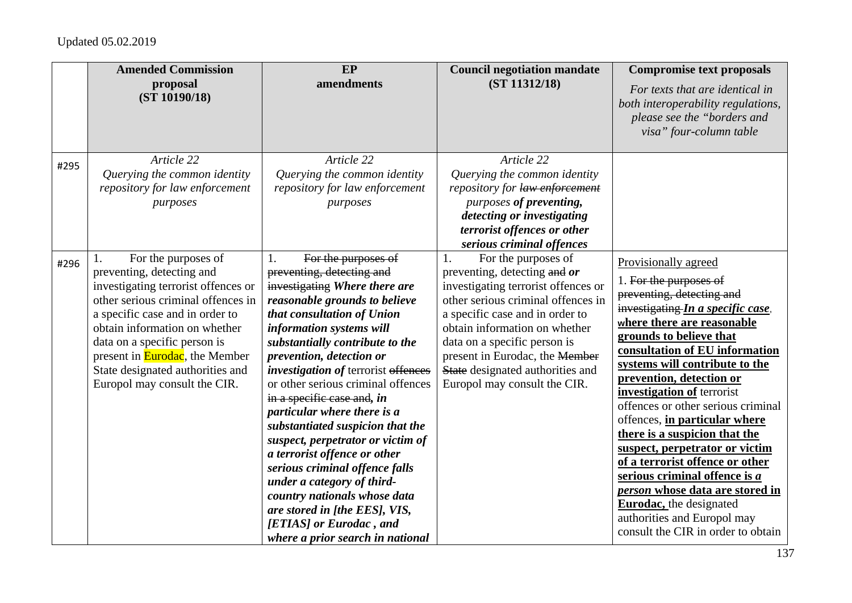|      | <b>Amended Commission</b><br>proposal<br>(ST 10190/18)                                                                                                                                                                                                                                                                                                | EP<br>amendments                                                                                                                                                                                                                                                                                                                                                                                                                                                                                                                                                                                                                                                                                            | <b>Council negotiation mandate</b><br>(ST 11312/18)                                                                                                                                                                                                                                                                                              | <b>Compromise text proposals</b><br>For texts that are identical in<br>both interoperability regulations,<br>please see the "borders and<br>visa" four-column table                                                                                                                                                                                                                                                                                                                                                                                                                                                                                              |
|------|-------------------------------------------------------------------------------------------------------------------------------------------------------------------------------------------------------------------------------------------------------------------------------------------------------------------------------------------------------|-------------------------------------------------------------------------------------------------------------------------------------------------------------------------------------------------------------------------------------------------------------------------------------------------------------------------------------------------------------------------------------------------------------------------------------------------------------------------------------------------------------------------------------------------------------------------------------------------------------------------------------------------------------------------------------------------------------|--------------------------------------------------------------------------------------------------------------------------------------------------------------------------------------------------------------------------------------------------------------------------------------------------------------------------------------------------|------------------------------------------------------------------------------------------------------------------------------------------------------------------------------------------------------------------------------------------------------------------------------------------------------------------------------------------------------------------------------------------------------------------------------------------------------------------------------------------------------------------------------------------------------------------------------------------------------------------------------------------------------------------|
| #295 | Article 22<br>Querying the common identity<br>repository for law enforcement<br>purposes                                                                                                                                                                                                                                                              | Article 22<br>Querying the common identity<br>repository for law enforcement<br>purposes                                                                                                                                                                                                                                                                                                                                                                                                                                                                                                                                                                                                                    | Article 22<br>Querying the common identity<br>repository for law enforcement<br>purposes of preventing,<br>detecting or investigating<br>terrorist offences or other<br>serious criminal offences                                                                                                                                                |                                                                                                                                                                                                                                                                                                                                                                                                                                                                                                                                                                                                                                                                  |
| #296 | For the purposes of<br>1.<br>preventing, detecting and<br>investigating terrorist offences or<br>other serious criminal offences in<br>a specific case and in order to<br>obtain information on whether<br>data on a specific person is<br>present in <b>Eurodac</b> , the Member<br>State designated authorities and<br>Europol may consult the CIR. | For the purposes of<br>1.<br>preventing, detecting and<br>investigating Where there are<br>reasonable grounds to believe<br>that consultation of Union<br>information systems will<br>substantially contribute to the<br>prevention, detection or<br><i>investigation of terrorist offences</i><br>or other serious criminal offences<br>in a specific case and, in<br>particular where there is a<br>substantiated suspicion that the<br>suspect, perpetrator or victim of<br>a terrorist offence or other<br>serious criminal offence falls<br>under a category of third-<br>country nationals whose data<br>are stored in [the EES], VIS,<br>[ETIAS] or Eurodac, and<br>where a prior search in national | For the purposes of<br>1.<br>preventing, detecting and or<br>investigating terrorist offences or<br>other serious criminal offences in<br>a specific case and in order to<br>obtain information on whether<br>data on a specific person is<br>present in Eurodac, the Member<br>State designated authorities and<br>Europol may consult the CIR. | Provisionally agreed<br>1. For the purposes of<br>preventing, detecting and<br>investigating In a specific case,<br>where there are reasonable<br>grounds to believe that<br>consultation of EU information<br>systems will contribute to the<br>prevention, detection or<br>investigation of terrorist<br>offences or other serious criminal<br>offences, in particular where<br>there is a suspicion that the<br>suspect, perpetrator or victim<br>of a terrorist offence or other<br>serious criminal offence is a<br>person whose data are stored in<br><b>Eurodac</b> , the designated<br>authorities and Europol may<br>consult the CIR in order to obtain |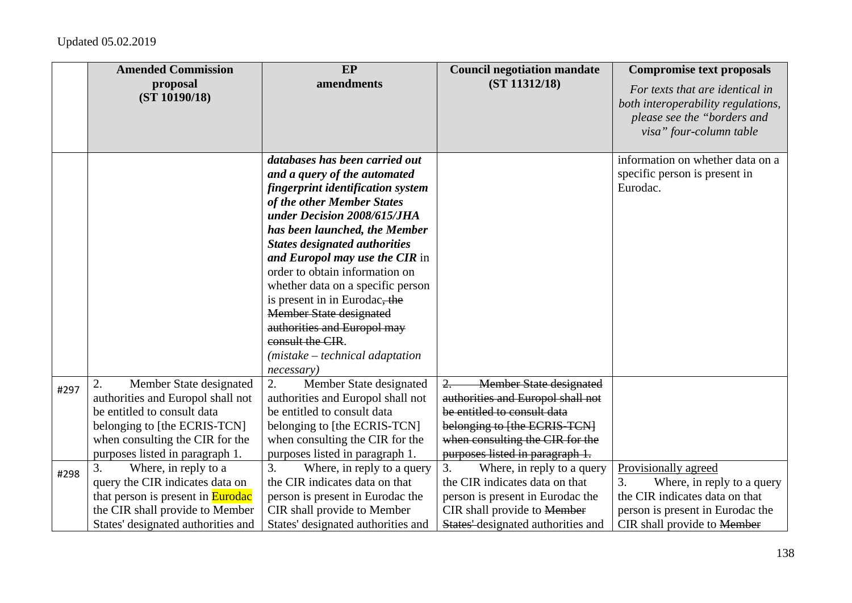|      | <b>Amended Commission</b>                                                                                                                                                                               | EP                                                                                                                                                                                                                                                                                                                                                                                                                                                                                                                           | <b>Council negotiation mandate</b>                                                                                                                                                                                | <b>Compromise text proposals</b>                                                                                                                              |
|------|---------------------------------------------------------------------------------------------------------------------------------------------------------------------------------------------------------|------------------------------------------------------------------------------------------------------------------------------------------------------------------------------------------------------------------------------------------------------------------------------------------------------------------------------------------------------------------------------------------------------------------------------------------------------------------------------------------------------------------------------|-------------------------------------------------------------------------------------------------------------------------------------------------------------------------------------------------------------------|---------------------------------------------------------------------------------------------------------------------------------------------------------------|
|      | proposal<br>(ST 10190/18)                                                                                                                                                                               | amendments                                                                                                                                                                                                                                                                                                                                                                                                                                                                                                                   | (ST 11312/18)                                                                                                                                                                                                     | For texts that are identical in<br>both interoperability regulations,<br>please see the "borders and<br>visa" four-column table                               |
|      |                                                                                                                                                                                                         | databases has been carried out<br>and a query of the automated<br>fingerprint identification system<br>of the other Member States<br>under Decision 2008/615/JHA<br>has been launched, the Member<br><b>States designated authorities</b><br>and Europol may use the CIR in<br>order to obtain information on<br>whether data on a specific person<br>is present in in Eurodac, the<br><b>Member State designated</b><br>authorities and Europol may<br>consult the CIR.<br>$(mistake - technical adaptation)$<br>necessary) |                                                                                                                                                                                                                   | information on whether data on a<br>specific person is present in<br>Eurodac.                                                                                 |
| #297 | Member State designated<br>2.<br>authorities and Europol shall not<br>be entitled to consult data<br>belonging to [the ECRIS-TCN]<br>when consulting the CIR for the<br>purposes listed in paragraph 1. | 2.<br>Member State designated<br>authorities and Europol shall not<br>be entitled to consult data<br>belonging to [the ECRIS-TCN]<br>when consulting the CIR for the<br>purposes listed in paragraph 1.                                                                                                                                                                                                                                                                                                                      | <b>Member State designated</b><br>$2 -$<br>authorities and Europol shall not<br>be entitled to consult data<br>belonging to [the ECRIS-TCN]<br>when consulting the CIR for the<br>purposes listed in paragraph 1. |                                                                                                                                                               |
| #298 | 3.<br>Where, in reply to a<br>query the CIR indicates data on<br>that person is present in <b>Eurodac</b><br>the CIR shall provide to Member<br>States' designated authorities and                      | 3.<br>Where, in reply to a query<br>the CIR indicates data on that<br>person is present in Eurodac the<br>CIR shall provide to Member<br>States' designated authorities and                                                                                                                                                                                                                                                                                                                                                  | 3.<br>Where, in reply to a query<br>the CIR indicates data on that<br>person is present in Eurodac the<br>CIR shall provide to Member<br>States' designated authorities and                                       | Provisionally agreed<br>Where, in reply to a query<br>3.<br>the CIR indicates data on that<br>person is present in Eurodac the<br>CIR shall provide to Member |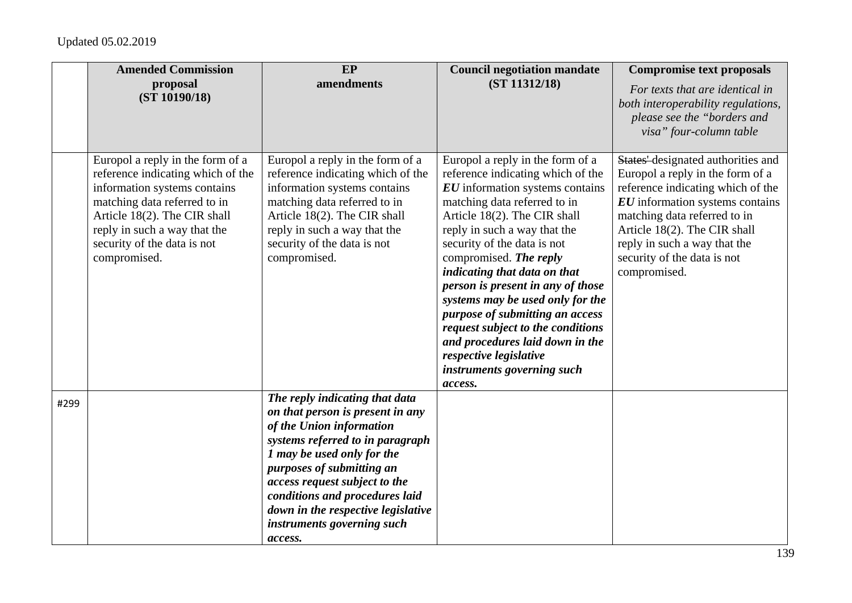|      | <b>Amended Commission</b>                                                                                                                                                                                                                            | EP                                                                                                                                                                                                                                                                                                                                              | <b>Council negotiation mandate</b>                                                                                                                                                                                                                                                                                                                                                                                                                                                                                                                                      | <b>Compromise text proposals</b>                                                                                                                                                                                                                                                                             |
|------|------------------------------------------------------------------------------------------------------------------------------------------------------------------------------------------------------------------------------------------------------|-------------------------------------------------------------------------------------------------------------------------------------------------------------------------------------------------------------------------------------------------------------------------------------------------------------------------------------------------|-------------------------------------------------------------------------------------------------------------------------------------------------------------------------------------------------------------------------------------------------------------------------------------------------------------------------------------------------------------------------------------------------------------------------------------------------------------------------------------------------------------------------------------------------------------------------|--------------------------------------------------------------------------------------------------------------------------------------------------------------------------------------------------------------------------------------------------------------------------------------------------------------|
|      | proposal<br>(ST 10190/18)                                                                                                                                                                                                                            | amendments                                                                                                                                                                                                                                                                                                                                      | (ST 11312/18)                                                                                                                                                                                                                                                                                                                                                                                                                                                                                                                                                           | For texts that are identical in<br>both interoperability regulations,<br>please see the "borders and<br>visa" four-column table                                                                                                                                                                              |
|      | Europol a reply in the form of a<br>reference indicating which of the<br>information systems contains<br>matching data referred to in<br>Article 18(2). The CIR shall<br>reply in such a way that the<br>security of the data is not<br>compromised. | Europol a reply in the form of a<br>reference indicating which of the<br>information systems contains<br>matching data referred to in<br>Article 18(2). The CIR shall<br>reply in such a way that the<br>security of the data is not<br>compromised.                                                                                            | Europol a reply in the form of a<br>reference indicating which of the<br>$\boldsymbol{EU}$ information systems contains<br>matching data referred to in<br>Article 18(2). The CIR shall<br>reply in such a way that the<br>security of the data is not<br>compromised. The reply<br>indicating that data on that<br>person is present in any of those<br>systems may be used only for the<br>purpose of submitting an access<br>request subject to the conditions<br>and procedures laid down in the<br>respective legislative<br>instruments governing such<br>access. | States' designated authorities and<br>Europol a reply in the form of a<br>reference indicating which of the<br>$\boldsymbol{EU}$ information systems contains<br>matching data referred to in<br>Article 18(2). The CIR shall<br>reply in such a way that the<br>security of the data is not<br>compromised. |
| #299 |                                                                                                                                                                                                                                                      | The reply indicating that data<br>on that person is present in any<br>of the Union information<br>systems referred to in paragraph<br>1 may be used only for the<br>purposes of submitting an<br>access request subject to the<br>conditions and procedures laid<br>down in the respective legislative<br>instruments governing such<br>access. |                                                                                                                                                                                                                                                                                                                                                                                                                                                                                                                                                                         |                                                                                                                                                                                                                                                                                                              |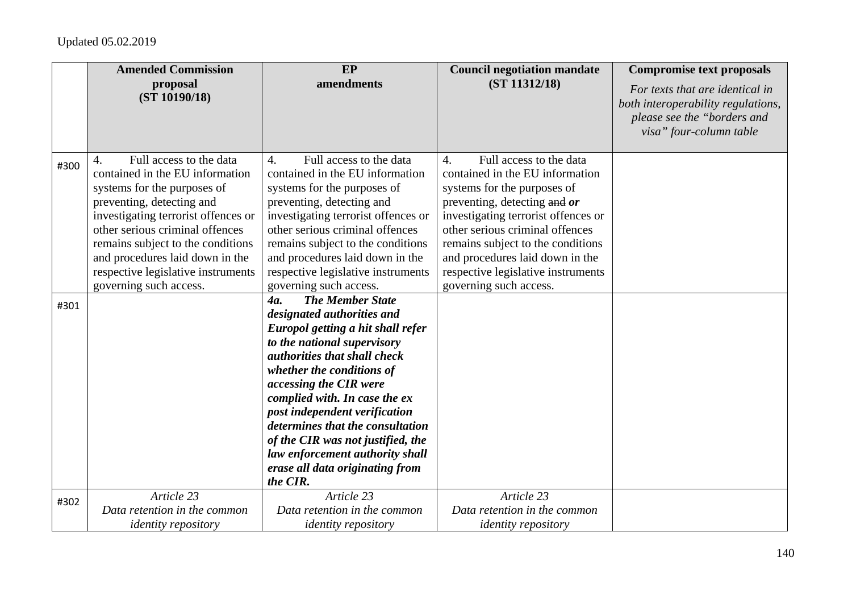|      | <b>Amended Commission</b>                                                                                                                                                                                                                                                                                                                      | EP                                                                                                                                                                                                                                                                                                                                                                                                                                                          | <b>Council negotiation mandate</b>                                                                                                                                                                                                                                                                                                                | <b>Compromise text proposals</b>                                                                                                |
|------|------------------------------------------------------------------------------------------------------------------------------------------------------------------------------------------------------------------------------------------------------------------------------------------------------------------------------------------------|-------------------------------------------------------------------------------------------------------------------------------------------------------------------------------------------------------------------------------------------------------------------------------------------------------------------------------------------------------------------------------------------------------------------------------------------------------------|---------------------------------------------------------------------------------------------------------------------------------------------------------------------------------------------------------------------------------------------------------------------------------------------------------------------------------------------------|---------------------------------------------------------------------------------------------------------------------------------|
|      | proposal<br>(ST 10190/18)                                                                                                                                                                                                                                                                                                                      | amendments                                                                                                                                                                                                                                                                                                                                                                                                                                                  | (ST 11312/18)                                                                                                                                                                                                                                                                                                                                     | For texts that are identical in<br>both interoperability regulations,<br>please see the "borders and<br>visa" four-column table |
| #300 | Full access to the data<br>4.<br>contained in the EU information<br>systems for the purposes of<br>preventing, detecting and<br>investigating terrorist offences or<br>other serious criminal offences<br>remains subject to the conditions<br>and procedures laid down in the<br>respective legislative instruments<br>governing such access. | Full access to the data<br>$\overline{4}$ .<br>contained in the EU information<br>systems for the purposes of<br>preventing, detecting and<br>investigating terrorist offences or<br>other serious criminal offences<br>remains subject to the conditions<br>and procedures laid down in the<br>respective legislative instruments<br>governing such access.                                                                                                | Full access to the data<br>4.<br>contained in the EU information<br>systems for the purposes of<br>preventing, detecting and or<br>investigating terrorist offences or<br>other serious criminal offences<br>remains subject to the conditions<br>and procedures laid down in the<br>respective legislative instruments<br>governing such access. |                                                                                                                                 |
| #301 |                                                                                                                                                                                                                                                                                                                                                | <b>The Member State</b><br><b>4a.</b><br>designated authorities and<br>Europol getting a hit shall refer<br>to the national supervisory<br>authorities that shall check<br>whether the conditions of<br>accessing the CIR were<br>complied with. In case the ex<br>post independent verification<br>determines that the consultation<br>of the CIR was not justified, the<br>law enforcement authority shall<br>erase all data originating from<br>the CIR. |                                                                                                                                                                                                                                                                                                                                                   |                                                                                                                                 |
| #302 | Article 23<br>Data retention in the common<br><i>identity repository</i>                                                                                                                                                                                                                                                                       | Article 23<br>Data retention in the common<br><i>identity repository</i>                                                                                                                                                                                                                                                                                                                                                                                    | Article 23<br>Data retention in the common<br><i>identity repository</i>                                                                                                                                                                                                                                                                          |                                                                                                                                 |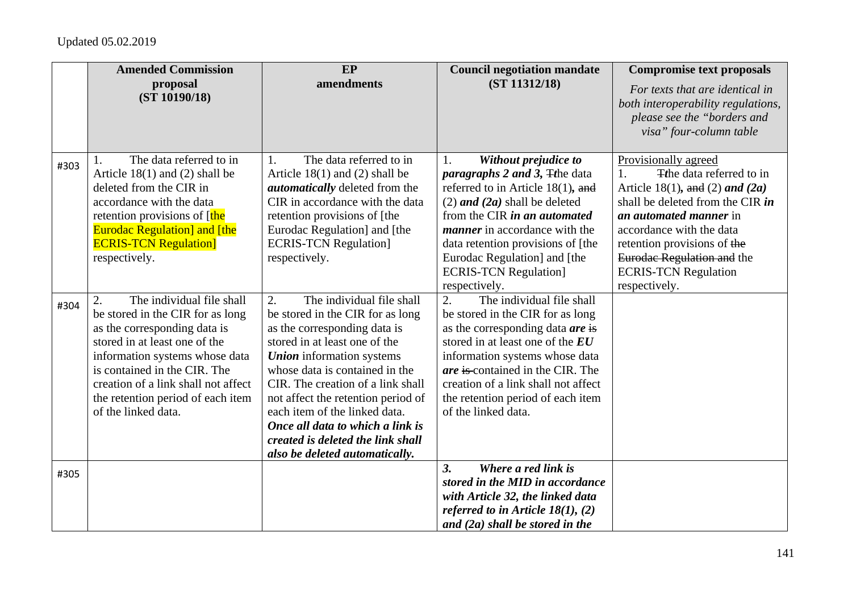|      | <b>Amended Commission</b>           | EP<br>amendments                      | <b>Council negotiation mandate</b>               | <b>Compromise text proposals</b>                                  |
|------|-------------------------------------|---------------------------------------|--------------------------------------------------|-------------------------------------------------------------------|
|      | proposal<br>(ST 10190/18)           |                                       | (ST 11312/18)                                    | For texts that are identical in                                   |
|      |                                     |                                       |                                                  | both interoperability regulations,<br>please see the "borders and |
|      |                                     |                                       |                                                  | visa" four-column table                                           |
|      |                                     |                                       |                                                  |                                                                   |
| #303 | The data referred to in             | The data referred to in<br>1.         | Without prejudice to<br>1.                       | Provisionally agreed                                              |
|      | Article $18(1)$ and $(2)$ shall be  | Article $18(1)$ and $(2)$ shall be    | <i>paragraphs 2 and 3, The data</i>              | <b>T</b> the data referred to in<br>$\mathbf{1}$ .                |
|      | deleted from the CIR in             | <i>automatically</i> deleted from the | referred to in Article 18(1), and                | Article 18(1), and (2) and (2a)                                   |
|      | accordance with the data            | CIR in accordance with the data       | $(2)$ and $(2a)$ shall be deleted                | shall be deleted from the CIR in                                  |
|      | retention provisions of [the        | retention provisions of [the          | from the CIR in an automated                     | an automated manner in                                            |
|      | <b>Eurodac Regulation] and [the</b> | Eurodac Regulation] and [the          | <i>manner</i> in accordance with the             | accordance with the data                                          |
|      | <b>ECRIS-TCN Regulation</b>         | <b>ECRIS-TCN Regulation]</b>          | data retention provisions of [the                | retention provisions of the                                       |
|      | respectively.                       | respectively.                         | Eurodac Regulation] and [the                     | Eurodae Regulation and the                                        |
|      |                                     |                                       | <b>ECRIS-TCN Regulation]</b>                     | <b>ECRIS-TCN Regulation</b><br>respectively.                      |
|      | The individual file shall<br>2.     | 2.<br>The individual file shall       | respectively.<br>The individual file shall<br>2. |                                                                   |
| #304 | be stored in the CIR for as long    | be stored in the CIR for as long      | be stored in the CIR for as long                 |                                                                   |
|      | as the corresponding data is        | as the corresponding data is          | as the corresponding data are is                 |                                                                   |
|      | stored in at least one of the       | stored in at least one of the         | stored in at least one of the EU                 |                                                                   |
|      | information systems whose data      | <b>Union</b> information systems      | information systems whose data                   |                                                                   |
|      | is contained in the CIR. The        | whose data is contained in the        | are is contained in the CIR. The                 |                                                                   |
|      | creation of a link shall not affect | CIR. The creation of a link shall     | creation of a link shall not affect              |                                                                   |
|      | the retention period of each item   | not affect the retention period of    | the retention period of each item                |                                                                   |
|      | of the linked data.                 | each item of the linked data.         | of the linked data.                              |                                                                   |
|      |                                     | Once all data to which a link is      |                                                  |                                                                   |
|      |                                     | created is deleted the link shall     |                                                  |                                                                   |
|      |                                     | also be deleted automatically.        |                                                  |                                                                   |
| #305 |                                     |                                       | Where a red link is<br>3.                        |                                                                   |
|      |                                     |                                       | stored in the MID in accordance                  |                                                                   |
|      |                                     |                                       | with Article 32, the linked data                 |                                                                   |
|      |                                     |                                       | referred to in Article $18(1)$ , (2)             |                                                                   |
|      |                                     |                                       | and $(2a)$ shall be stored in the                |                                                                   |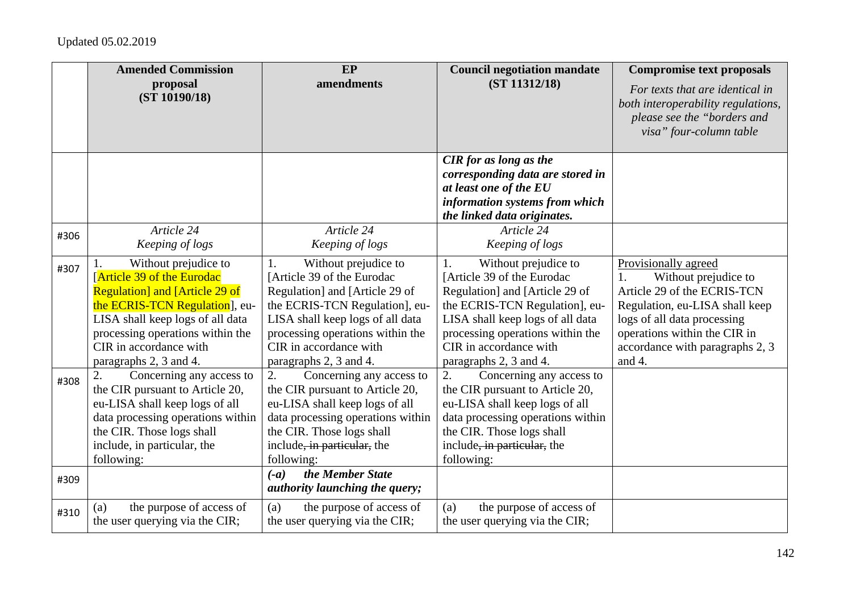|      | <b>Amended Commission</b>                                                                                                                                                                                                                                      | EP                                                                                                                                                                                                                                                       | <b>Council negotiation mandate</b>                                                                                                                                                                                                                       | <b>Compromise text proposals</b>                                                                                                                                                                                          |
|------|----------------------------------------------------------------------------------------------------------------------------------------------------------------------------------------------------------------------------------------------------------------|----------------------------------------------------------------------------------------------------------------------------------------------------------------------------------------------------------------------------------------------------------|----------------------------------------------------------------------------------------------------------------------------------------------------------------------------------------------------------------------------------------------------------|---------------------------------------------------------------------------------------------------------------------------------------------------------------------------------------------------------------------------|
|      | proposal<br>(ST 10190/18)                                                                                                                                                                                                                                      | amendments                                                                                                                                                                                                                                               | (ST 11312/18)                                                                                                                                                                                                                                            | For texts that are identical in<br>both interoperability regulations,<br>please see the "borders and<br>visa" four-column table                                                                                           |
|      |                                                                                                                                                                                                                                                                |                                                                                                                                                                                                                                                          | <b>CIR</b> for as long as the<br>corresponding data are stored in<br>at least one of the EU<br>information systems from which<br>the linked data originates.                                                                                             |                                                                                                                                                                                                                           |
| #306 | Article 24<br>Keeping of logs                                                                                                                                                                                                                                  | Article 24<br>Keeping of logs                                                                                                                                                                                                                            | Article 24<br>Keeping of logs                                                                                                                                                                                                                            |                                                                                                                                                                                                                           |
| #307 | Without prejudice to<br>Ι.<br>[Article 39 of the Eurodac<br><b>Regulation</b> and [Article 29 of<br>the ECRIS-TCN Regulation], eu-<br>LISA shall keep logs of all data<br>processing operations within the<br>CIR in accordance with<br>paragraphs 2, 3 and 4. | Without prejudice to<br>1.<br>[Article 39 of the Eurodac<br>Regulation] and [Article 29 of<br>the ECRIS-TCN Regulation], eu-<br>LISA shall keep logs of all data<br>processing operations within the<br>CIR in accordance with<br>paragraphs 2, 3 and 4. | Without prejudice to<br>1.<br>[Article 39 of the Eurodac<br>Regulation] and [Article 29 of<br>the ECRIS-TCN Regulation], eu-<br>LISA shall keep logs of all data<br>processing operations within the<br>CIR in accordance with<br>paragraphs 2, 3 and 4. | Provisionally agreed<br>Without prejudice to<br>Article 29 of the ECRIS-TCN<br>Regulation, eu-LISA shall keep<br>logs of all data processing<br>operations within the CIR in<br>accordance with paragraphs 2, 3<br>and 4. |
| #308 | 2.<br>Concerning any access to<br>the CIR pursuant to Article 20,<br>eu-LISA shall keep logs of all<br>data processing operations within<br>the CIR. Those logs shall<br>include, in particular, the<br>following:                                             | 2.<br>Concerning any access to<br>the CIR pursuant to Article 20,<br>eu-LISA shall keep logs of all<br>data processing operations within<br>the CIR. Those logs shall<br>include, in particular, the<br>following:<br>the Member State<br>$(-a)$         | 2.<br>Concerning any access to<br>the CIR pursuant to Article 20,<br>eu-LISA shall keep logs of all<br>data processing operations within<br>the CIR. Those logs shall<br>include, in particular, the<br>following:                                       |                                                                                                                                                                                                                           |
| #309 |                                                                                                                                                                                                                                                                | <i>authority launching the query;</i>                                                                                                                                                                                                                    |                                                                                                                                                                                                                                                          |                                                                                                                                                                                                                           |
| #310 | the purpose of access of<br>(a)<br>the user querying via the CIR;                                                                                                                                                                                              | the purpose of access of<br>(a)<br>the user querying via the CIR;                                                                                                                                                                                        | the purpose of access of<br>(a)<br>the user querying via the CIR;                                                                                                                                                                                        |                                                                                                                                                                                                                           |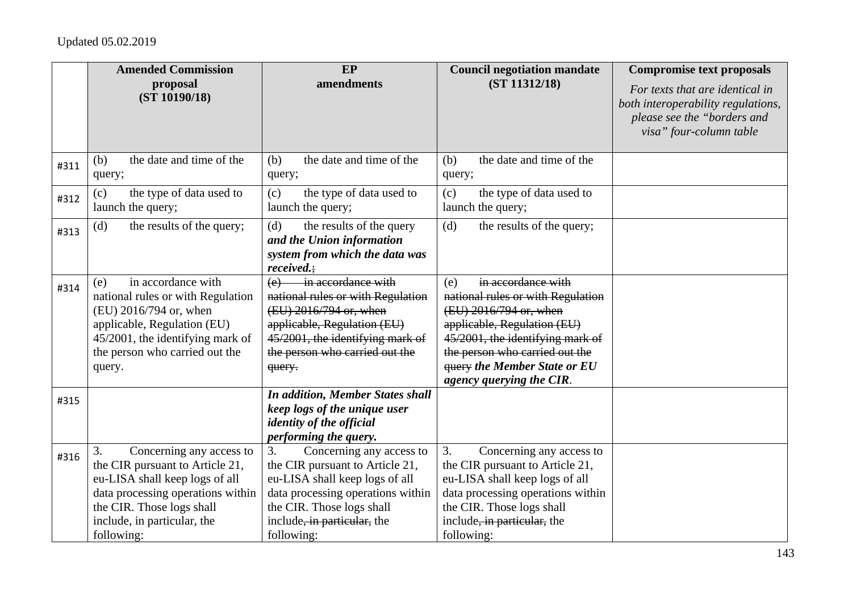|      | <b>Amended Commission</b><br>proposal<br>(ST 10190/18)                                                                                                                                                             | <b>EP</b><br>amendments                                                                                                                                                                                            | <b>Council negotiation mandate</b><br>(ST 11312/18)                                                                                                                                                                                                              | <b>Compromise text proposals</b><br>For texts that are identical in<br>both interoperability regulations,<br>please see the "borders and<br>visa" four-column table |
|------|--------------------------------------------------------------------------------------------------------------------------------------------------------------------------------------------------------------------|--------------------------------------------------------------------------------------------------------------------------------------------------------------------------------------------------------------------|------------------------------------------------------------------------------------------------------------------------------------------------------------------------------------------------------------------------------------------------------------------|---------------------------------------------------------------------------------------------------------------------------------------------------------------------|
| #311 | the date and time of the<br>(b)<br>query;                                                                                                                                                                          | the date and time of the<br>(b)<br>query;                                                                                                                                                                          | the date and time of the<br>(b)<br>query;                                                                                                                                                                                                                        |                                                                                                                                                                     |
| #312 | the type of data used to<br>(c)<br>launch the query;                                                                                                                                                               | the type of data used to<br>(c)<br>launch the query;                                                                                                                                                               | the type of data used to<br>(c)<br>launch the query;                                                                                                                                                                                                             |                                                                                                                                                                     |
| #313 | the results of the query;<br>(d)                                                                                                                                                                                   | the results of the query<br>(d)<br>and the Union information<br>system from which the data was<br>received.                                                                                                        | the results of the query;<br>(d)                                                                                                                                                                                                                                 |                                                                                                                                                                     |
| #314 | in accordance with<br>(e)<br>national rules or with Regulation<br>(EU) 2016/794 or, when<br>applicable, Regulation (EU)<br>45/2001, the identifying mark of<br>the person who carried out the<br>query.            | in accordance with<br>(e)<br>national rules or with Regulation<br>(EU) 2016/794 or, when<br>applicable, Regulation (EU)<br>45/2001, the identifying mark of<br>the person who carried out the<br>query.            | in accordance with<br>(e)<br>national rules or with Regulation<br>(EU) 2016/794 or, when<br>applicable, Regulation (EU)<br>45/2001, the identifying mark of<br>the person who carried out the<br><b>query the Member State or EU</b><br>agency querying the CIR. |                                                                                                                                                                     |
| #315 |                                                                                                                                                                                                                    | <b>In addition, Member States shall</b><br>keep logs of the unique user<br>identity of the official<br>performing the query.                                                                                       |                                                                                                                                                                                                                                                                  |                                                                                                                                                                     |
| #316 | 3.<br>Concerning any access to<br>the CIR pursuant to Article 21,<br>eu-LISA shall keep logs of all<br>data processing operations within<br>the CIR. Those logs shall<br>include, in particular, the<br>following: | 3.<br>Concerning any access to<br>the CIR pursuant to Article 21,<br>eu-LISA shall keep logs of all<br>data processing operations within<br>the CIR. Those logs shall<br>include, in particular, the<br>following: | 3.<br>Concerning any access to<br>the CIR pursuant to Article 21,<br>eu-LISA shall keep logs of all<br>data processing operations within<br>the CIR. Those logs shall<br>include, in particular, the<br>following:                                               |                                                                                                                                                                     |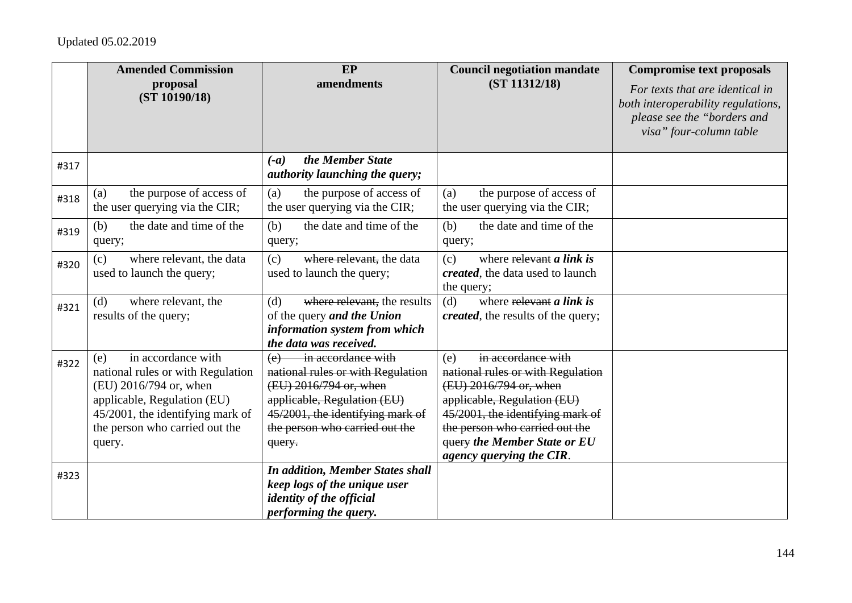|      | <b>Amended Commission</b>                                                                                                                                                                               | EP                                                                                                                                                                                                      | <b>Council negotiation mandate</b>                                                                                                                                                                                                                               | <b>Compromise text proposals</b>                                                                                                |
|------|---------------------------------------------------------------------------------------------------------------------------------------------------------------------------------------------------------|---------------------------------------------------------------------------------------------------------------------------------------------------------------------------------------------------------|------------------------------------------------------------------------------------------------------------------------------------------------------------------------------------------------------------------------------------------------------------------|---------------------------------------------------------------------------------------------------------------------------------|
|      | proposal<br>(ST 10190/18)                                                                                                                                                                               | amendments                                                                                                                                                                                              | (ST 11312/18)                                                                                                                                                                                                                                                    | For texts that are identical in<br>both interoperability regulations,<br>please see the "borders and<br>visa" four-column table |
| #317 |                                                                                                                                                                                                         | the Member State<br>$(-a)$<br><i>authority launching the query;</i>                                                                                                                                     |                                                                                                                                                                                                                                                                  |                                                                                                                                 |
| #318 | the purpose of access of<br>(a)<br>the user querying via the CIR;                                                                                                                                       | the purpose of access of<br>(a)<br>the user querying via the CIR;                                                                                                                                       | the purpose of access of<br>(a)<br>the user querying via the CIR;                                                                                                                                                                                                |                                                                                                                                 |
| #319 | the date and time of the<br>(b)<br>query;                                                                                                                                                               | the date and time of the<br>(b)<br>query;                                                                                                                                                               | the date and time of the<br>(b)<br>query;                                                                                                                                                                                                                        |                                                                                                                                 |
| #320 | where relevant, the data<br>(c)<br>used to launch the query;                                                                                                                                            | where relevant, the data<br>(c)<br>used to launch the query;                                                                                                                                            | where relevant a link is<br>(c)<br><i>created</i> , the data used to launch<br>the query;                                                                                                                                                                        |                                                                                                                                 |
| #321 | where relevant, the<br>(d)<br>results of the query;                                                                                                                                                     | where relevant, the results<br>(d)<br>of the query and the Union<br>information system from which<br>the data was received.                                                                             | where $\frac{1}{2}$ relevant <i>a</i> link is<br>(d)<br><i>created</i> , the results of the query;                                                                                                                                                               |                                                                                                                                 |
| #322 | in accordance with<br>(e)<br>national rules or with Regulation<br>(EU) 2016/794 or, when<br>applicable, Regulation (EU)<br>45/2001, the identifying mark of<br>the person who carried out the<br>query. | in accordance with<br>(e)<br>national rules or with Regulation<br>(EU) 2016/794 or, when<br>applicable, Regulation (EU)<br>45/2001, the identifying mark of<br>the person who carried out the<br>query. | in accordance with<br>(e)<br>national rules or with Regulation<br>(EU) 2016/794 or, when<br>applicable, Regulation (EU)<br>45/2001, the identifying mark of<br>the person who carried out the<br><b>query the Member State or EU</b><br>agency querying the CIR. |                                                                                                                                 |
| #323 |                                                                                                                                                                                                         | <b>In addition, Member States shall</b><br>keep logs of the unique user<br><i>identity of the official</i><br>performing the query.                                                                     |                                                                                                                                                                                                                                                                  |                                                                                                                                 |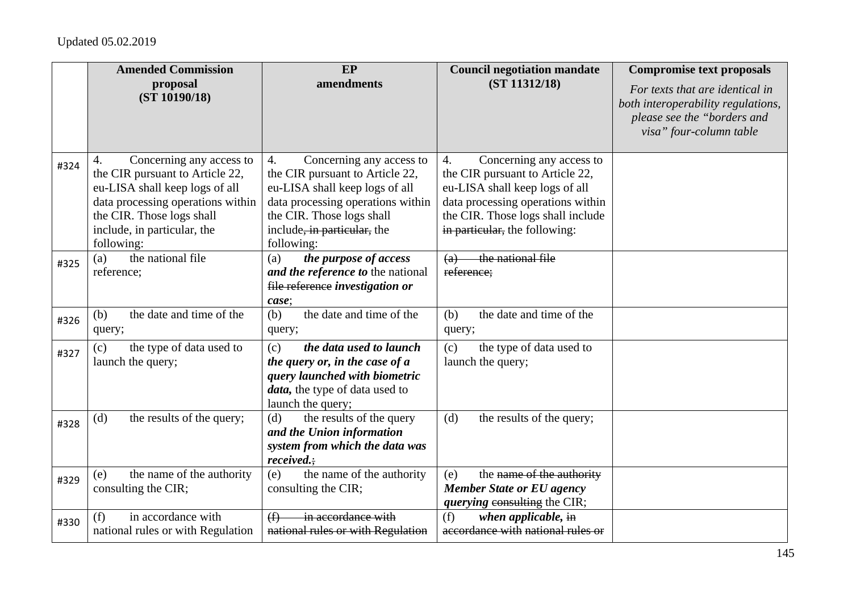|      | <b>Amended Commission</b>                                                                                                                                                                                          | EP                                                                                                                                                                                                                 | <b>Council negotiation mandate</b>                                                                                                                                                                             | <b>Compromise text proposals</b>                                                                                                |
|------|--------------------------------------------------------------------------------------------------------------------------------------------------------------------------------------------------------------------|--------------------------------------------------------------------------------------------------------------------------------------------------------------------------------------------------------------------|----------------------------------------------------------------------------------------------------------------------------------------------------------------------------------------------------------------|---------------------------------------------------------------------------------------------------------------------------------|
|      | proposal<br>(ST 10190/18)                                                                                                                                                                                          | amendments                                                                                                                                                                                                         | (ST 11312/18)                                                                                                                                                                                                  | For texts that are identical in<br>both interoperability regulations,<br>please see the "borders and<br>visa" four-column table |
| #324 | Concerning any access to<br>4.<br>the CIR pursuant to Article 22,<br>eu-LISA shall keep logs of all<br>data processing operations within<br>the CIR. Those logs shall<br>include, in particular, the<br>following: | Concerning any access to<br>4.<br>the CIR pursuant to Article 22,<br>eu-LISA shall keep logs of all<br>data processing operations within<br>the CIR. Those logs shall<br>include, in particular, the<br>following: | Concerning any access to<br>4.<br>the CIR pursuant to Article 22,<br>eu-LISA shall keep logs of all<br>data processing operations within<br>the CIR. Those logs shall include<br>in particular, the following: |                                                                                                                                 |
| #325 | the national file<br>(a)<br>reference;                                                                                                                                                                             | the purpose of access<br>(a)<br>and the reference to the national<br>file reference investigation or<br>case;                                                                                                      | the national file<br>(a)<br>reference;                                                                                                                                                                         |                                                                                                                                 |
| #326 | the date and time of the<br>(b)<br>query;                                                                                                                                                                          | the date and time of the<br>(b)<br>query;                                                                                                                                                                          | the date and time of the<br>(b)<br>query;                                                                                                                                                                      |                                                                                                                                 |
| #327 | the type of data used to<br>(c)<br>launch the query;                                                                                                                                                               | the data used to launch<br>(c)<br>the query or, in the case of a<br>query launched with biometric<br>data, the type of data used to<br>launch the query;                                                           | the type of data used to<br>(c)<br>launch the query;                                                                                                                                                           |                                                                                                                                 |
| #328 | the results of the query;<br>(d)                                                                                                                                                                                   | the results of the query<br>(d)<br>and the Union information<br>system from which the data was<br>received.;                                                                                                       | the results of the query;<br>(d)                                                                                                                                                                               |                                                                                                                                 |
| #329 | the name of the authority<br>(e)<br>consulting the CIR;                                                                                                                                                            | the name of the authority<br>(e)<br>consulting the CIR;                                                                                                                                                            | the name of the authority<br>(e)<br><b>Member State or EU agency</b><br><i>querying</i> consulting the CIR;                                                                                                    |                                                                                                                                 |
| #330 | in accordance with<br>(f)<br>national rules or with Regulation                                                                                                                                                     | in accordance with<br>(f)<br>national rules or with Regulation                                                                                                                                                     | when applicable, in<br>(f)<br>accordance with national rules or                                                                                                                                                |                                                                                                                                 |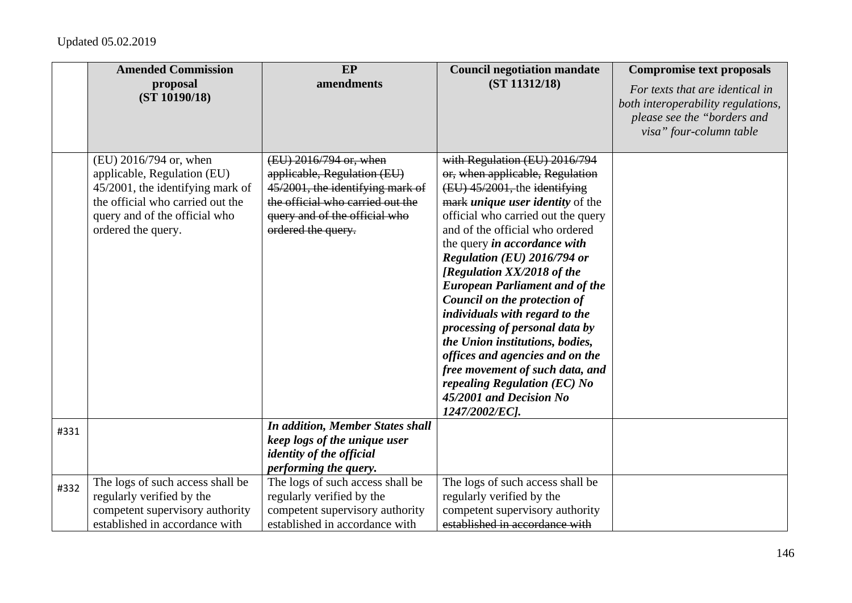|      | <b>Amended Commission</b><br>proposal                                | <b>EP</b><br>amendments                                              | <b>Council negotiation mandate</b><br>(ST 11312/18)                             | <b>Compromise text proposals</b>                                      |
|------|----------------------------------------------------------------------|----------------------------------------------------------------------|---------------------------------------------------------------------------------|-----------------------------------------------------------------------|
|      | (ST 10190/18)                                                        |                                                                      |                                                                                 | For texts that are identical in<br>both interoperability regulations, |
|      |                                                                      |                                                                      |                                                                                 | please see the "borders and                                           |
|      |                                                                      |                                                                      |                                                                                 | visa" four-column table                                               |
|      | (EU) 2016/794 or, when                                               | (EU) 2016/794 or, when                                               | with Regulation (EU) 2016/794                                                   |                                                                       |
|      | applicable, Regulation (EU)                                          | applicable, Regulation (EU)                                          | or, when applicable, Regulation                                                 |                                                                       |
|      | 45/2001, the identifying mark of<br>the official who carried out the | 45/2001, the identifying mark of<br>the official who carried out the | (EU) 45/2001, the identifying<br>mark <i>unique</i> user <i>identity</i> of the |                                                                       |
|      | query and of the official who                                        | query and of the official who                                        | official who carried out the query                                              |                                                                       |
|      | ordered the query.                                                   | ordered the query.                                                   | and of the official who ordered                                                 |                                                                       |
|      |                                                                      |                                                                      | the query <i>in accordance with</i>                                             |                                                                       |
|      |                                                                      |                                                                      | Regulation (EU) 2016/794 or                                                     |                                                                       |
|      |                                                                      |                                                                      | [Regulation XX/2018 of the                                                      |                                                                       |
|      |                                                                      |                                                                      | <b>European Parliament and of the</b><br>Council on the protection of           |                                                                       |
|      |                                                                      |                                                                      | individuals with regard to the                                                  |                                                                       |
|      |                                                                      |                                                                      | processing of personal data by                                                  |                                                                       |
|      |                                                                      |                                                                      | the Union institutions, bodies,                                                 |                                                                       |
|      |                                                                      |                                                                      | offices and agencies and on the                                                 |                                                                       |
|      |                                                                      |                                                                      | free movement of such data, and                                                 |                                                                       |
|      |                                                                      |                                                                      | repealing Regulation (EC) No<br>45/2001 and Decision No                         |                                                                       |
|      |                                                                      |                                                                      | 1247/2002/EC].                                                                  |                                                                       |
| #331 |                                                                      | <b>In addition, Member States shall</b>                              |                                                                                 |                                                                       |
|      |                                                                      | keep logs of the unique user                                         |                                                                                 |                                                                       |
|      |                                                                      | <i>identity of the official</i>                                      |                                                                                 |                                                                       |
|      |                                                                      | performing the query.                                                |                                                                                 |                                                                       |
| #332 | The logs of such access shall be<br>regularly verified by the        | The logs of such access shall be<br>regularly verified by the        | The logs of such access shall be<br>regularly verified by the                   |                                                                       |
|      | competent supervisory authority                                      | competent supervisory authority                                      | competent supervisory authority                                                 |                                                                       |
|      | established in accordance with                                       | established in accordance with                                       | established in accordance with                                                  |                                                                       |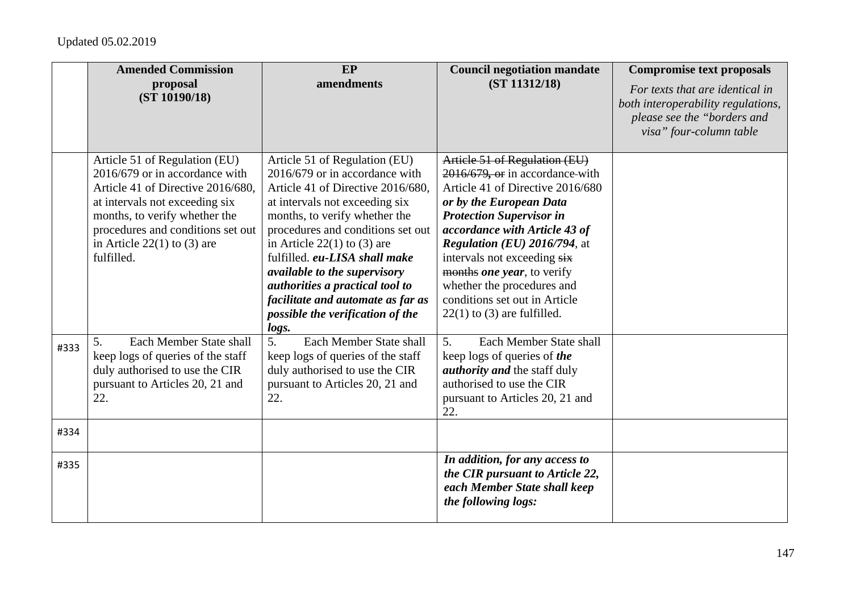|      | <b>Amended Commission</b><br>proposal | EP<br>amendments                                              | <b>Council negotiation mandate</b><br>(ST 11312/18)       | <b>Compromise text proposals</b>                                      |
|------|---------------------------------------|---------------------------------------------------------------|-----------------------------------------------------------|-----------------------------------------------------------------------|
|      | (ST 10190/18)                         |                                                               |                                                           | For texts that are identical in<br>both interoperability regulations, |
|      |                                       |                                                               |                                                           | please see the "borders and                                           |
|      |                                       |                                                               |                                                           | visa" four-column table                                               |
|      | Article 51 of Regulation (EU)         | Article 51 of Regulation (EU)                                 | Article 51 of Regulation (EU)                             |                                                                       |
|      | 2016/679 or in accordance with        | 2016/679 or in accordance with                                | 2016/679, or in accordance-with                           |                                                                       |
|      | Article 41 of Directive 2016/680,     | Article 41 of Directive 2016/680,                             | Article 41 of Directive 2016/680                          |                                                                       |
|      | at intervals not exceeding six        | at intervals not exceeding six                                | or by the European Data                                   |                                                                       |
|      | months, to verify whether the         | months, to verify whether the                                 | <b>Protection Supervisor in</b>                           |                                                                       |
|      | procedures and conditions set out     | procedures and conditions set out                             | accordance with Article 43 of                             |                                                                       |
|      | in Article $22(1)$ to (3) are         | in Article $22(1)$ to (3) are                                 | Regulation (EU) 2016/794, at                              |                                                                       |
|      | fulfilled.                            | fulfilled. eu-LISA shall make<br>available to the supervisory | intervals not exceeding six<br>months one year, to verify |                                                                       |
|      |                                       | authorities a practical tool to                               | whether the procedures and                                |                                                                       |
|      |                                       | facilitate and automate as far as                             | conditions set out in Article                             |                                                                       |
|      |                                       | possible the verification of the                              | $22(1)$ to (3) are fulfilled.                             |                                                                       |
|      |                                       | logs.                                                         |                                                           |                                                                       |
| #333 | Each Member State shall<br>5.         | 5 <sub>1</sub><br>Each Member State shall                     | 5.<br>Each Member State shall                             |                                                                       |
|      | keep logs of queries of the staff     | keep logs of queries of the staff                             | keep logs of queries of the                               |                                                                       |
|      | duly authorised to use the CIR        | duly authorised to use the CIR                                | <i>authority and the staff duly</i>                       |                                                                       |
|      | pursuant to Articles 20, 21 and       | pursuant to Articles 20, 21 and                               | authorised to use the CIR                                 |                                                                       |
|      | 22.                                   | 22.                                                           | pursuant to Articles 20, 21 and<br>22.                    |                                                                       |
| #334 |                                       |                                                               |                                                           |                                                                       |
|      |                                       |                                                               |                                                           |                                                                       |
| #335 |                                       |                                                               | In addition, for any access to                            |                                                                       |
|      |                                       |                                                               | the CIR pursuant to Article 22,                           |                                                                       |
|      |                                       |                                                               | each Member State shall keep<br>the following logs:       |                                                                       |
|      |                                       |                                                               |                                                           |                                                                       |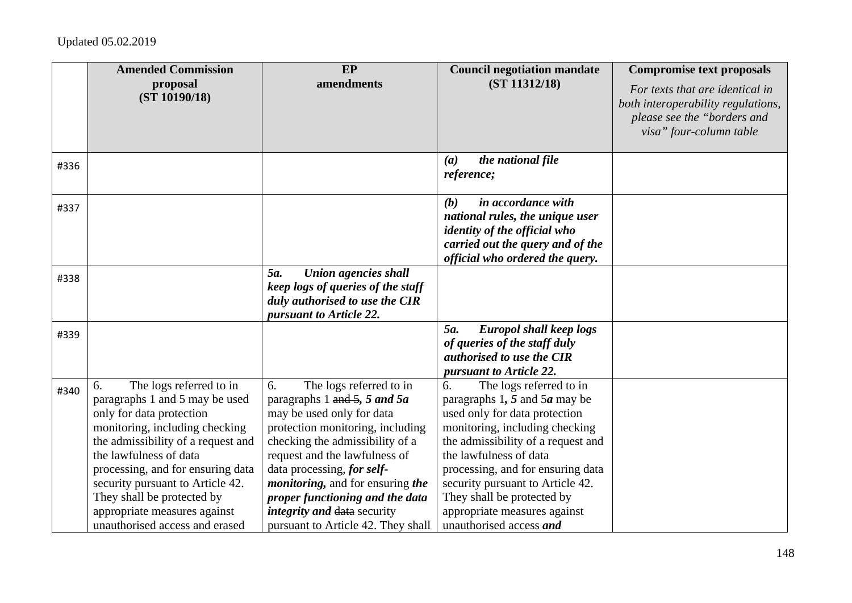|      | <b>Amended Commission</b>                                                                                                                                                                                                                                                                                                                                              | EP                                                                                                                                                                                                                                                                                                                                                                                          | <b>Council negotiation mandate</b>                                                                                                                                                                                                                                                                                                                                          | <b>Compromise text proposals</b>                                                                                                |
|------|------------------------------------------------------------------------------------------------------------------------------------------------------------------------------------------------------------------------------------------------------------------------------------------------------------------------------------------------------------------------|---------------------------------------------------------------------------------------------------------------------------------------------------------------------------------------------------------------------------------------------------------------------------------------------------------------------------------------------------------------------------------------------|-----------------------------------------------------------------------------------------------------------------------------------------------------------------------------------------------------------------------------------------------------------------------------------------------------------------------------------------------------------------------------|---------------------------------------------------------------------------------------------------------------------------------|
|      | proposal<br>(ST 10190/18)                                                                                                                                                                                                                                                                                                                                              | amendments                                                                                                                                                                                                                                                                                                                                                                                  | (ST 11312/18)                                                                                                                                                                                                                                                                                                                                                               | For texts that are identical in<br>both interoperability regulations,<br>please see the "borders and<br>visa" four-column table |
| #336 |                                                                                                                                                                                                                                                                                                                                                                        |                                                                                                                                                                                                                                                                                                                                                                                             | the national file<br>(a)<br>reference;                                                                                                                                                                                                                                                                                                                                      |                                                                                                                                 |
| #337 |                                                                                                                                                                                                                                                                                                                                                                        |                                                                                                                                                                                                                                                                                                                                                                                             | in accordance with<br>(b)<br>national rules, the unique user<br><i>identity of the official who</i><br>carried out the query and of the<br>official who ordered the query.                                                                                                                                                                                                  |                                                                                                                                 |
| #338 |                                                                                                                                                                                                                                                                                                                                                                        | <b>Union agencies shall</b><br>5a.<br>keep logs of queries of the staff<br>duly authorised to use the CIR<br>pursuant to Article 22.                                                                                                                                                                                                                                                        |                                                                                                                                                                                                                                                                                                                                                                             |                                                                                                                                 |
| #339 |                                                                                                                                                                                                                                                                                                                                                                        |                                                                                                                                                                                                                                                                                                                                                                                             | 5a.<br><b>Europol shall keep logs</b><br>of queries of the staff duly<br>authorised to use the CIR<br>pursuant to Article 22.                                                                                                                                                                                                                                               |                                                                                                                                 |
| #340 | The logs referred to in<br>6.<br>paragraphs 1 and 5 may be used<br>only for data protection<br>monitoring, including checking<br>the admissibility of a request and<br>the lawfulness of data<br>processing, and for ensuring data<br>security pursuant to Article 42.<br>They shall be protected by<br>appropriate measures against<br>unauthorised access and erased | The logs referred to in<br>6.<br>paragraphs 1 and 5, 5 and 5a<br>may be used only for data<br>protection monitoring, including<br>checking the admissibility of a<br>request and the lawfulness of<br>data processing, for self-<br><i>monitoring</i> , and for ensuring the<br>proper functioning and the data<br><i>integrity and data security</i><br>pursuant to Article 42. They shall | The logs referred to in<br>6.<br>paragraphs 1, 5 and 5 $\alpha$ may be<br>used only for data protection<br>monitoring, including checking<br>the admissibility of a request and<br>the lawfulness of data<br>processing, and for ensuring data<br>security pursuant to Article 42.<br>They shall be protected by<br>appropriate measures against<br>unauthorised access and |                                                                                                                                 |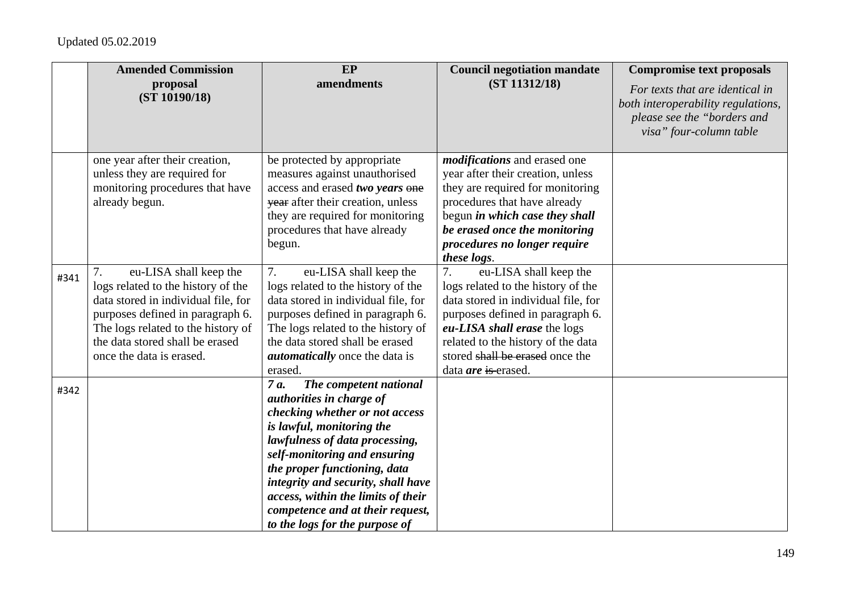|      | <b>Amended Commission</b>                                                                                                                                                                                                                          | EP                                                                                                                                                                                                                                                                                                                                                                                   | <b>Council negotiation mandate</b>                                                                                                                                                                                                                                                   | <b>Compromise text proposals</b>                                                                                                |
|------|----------------------------------------------------------------------------------------------------------------------------------------------------------------------------------------------------------------------------------------------------|--------------------------------------------------------------------------------------------------------------------------------------------------------------------------------------------------------------------------------------------------------------------------------------------------------------------------------------------------------------------------------------|--------------------------------------------------------------------------------------------------------------------------------------------------------------------------------------------------------------------------------------------------------------------------------------|---------------------------------------------------------------------------------------------------------------------------------|
|      | proposal<br>(ST 10190/18)                                                                                                                                                                                                                          | amendments                                                                                                                                                                                                                                                                                                                                                                           | (ST 11312/18)                                                                                                                                                                                                                                                                        | For texts that are identical in<br>both interoperability regulations,<br>please see the "borders and<br>visa" four-column table |
|      | one year after their creation,<br>unless they are required for<br>monitoring procedures that have<br>already begun.                                                                                                                                | be protected by appropriate<br>measures against unauthorised<br>access and erased two years one<br>year after their creation, unless<br>they are required for monitoring<br>procedures that have already<br>begun.                                                                                                                                                                   | <i>modifications</i> and erased one<br>year after their creation, unless<br>they are required for monitoring<br>procedures that have already<br>begun in which case they shall<br>be erased once the monitoring<br>procedures no longer require<br>these logs.                       |                                                                                                                                 |
| #341 | 7.<br>eu-LISA shall keep the<br>logs related to the history of the<br>data stored in individual file, for<br>purposes defined in paragraph 6.<br>The logs related to the history of<br>the data stored shall be erased<br>once the data is erased. | 7.<br>eu-LISA shall keep the<br>logs related to the history of the<br>data stored in individual file, for<br>purposes defined in paragraph 6.<br>The logs related to the history of<br>the data stored shall be erased<br><i>automatically</i> once the data is<br>erased.                                                                                                           | eu-LISA shall keep the<br>7.<br>logs related to the history of the<br>data stored in individual file, for<br>purposes defined in paragraph 6.<br>eu-LISA shall erase the logs<br>related to the history of the data<br>stored shall be erased once the<br>data <i>are</i> is erased. |                                                                                                                                 |
| #342 |                                                                                                                                                                                                                                                    | 7 a.<br>The competent national<br><i>authorities in charge of</i><br>checking whether or not access<br>is lawful, monitoring the<br>lawfulness of data processing,<br>self-monitoring and ensuring<br>the proper functioning, data<br>integrity and security, shall have<br>access, within the limits of their<br>competence and at their request,<br>to the logs for the purpose of |                                                                                                                                                                                                                                                                                      |                                                                                                                                 |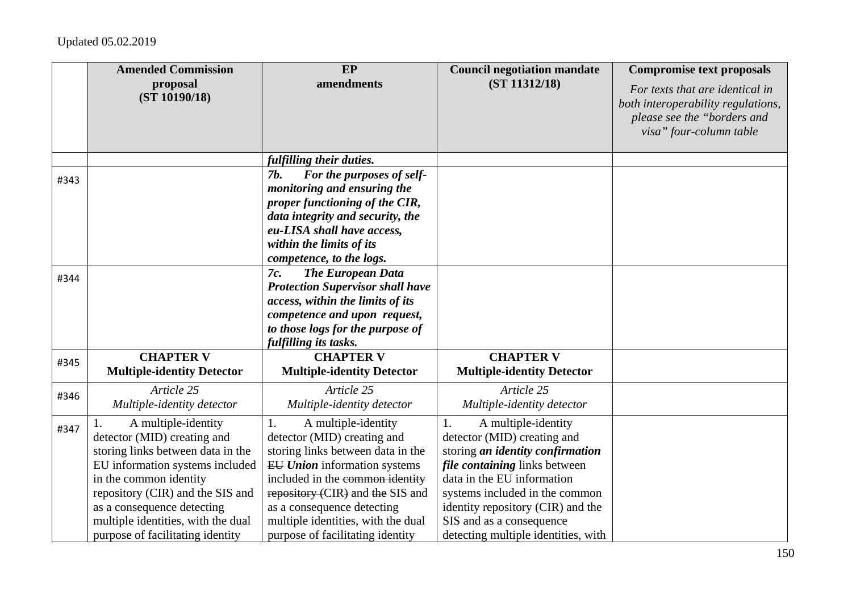|      | <b>Amended Commission</b><br>proposal<br>(ST 10190/18)                                                                                                                                                                                                                                           | EP<br>amendments                                                                                                                                                                                                                                                                                                    | <b>Council negotiation mandate</b><br>(ST 11312/18)                                                                                                                                                                                                                                                          | <b>Compromise text proposals</b><br>For texts that are identical in<br>both interoperability regulations,<br>please see the "borders and<br>visa" four-column table |
|------|--------------------------------------------------------------------------------------------------------------------------------------------------------------------------------------------------------------------------------------------------------------------------------------------------|---------------------------------------------------------------------------------------------------------------------------------------------------------------------------------------------------------------------------------------------------------------------------------------------------------------------|--------------------------------------------------------------------------------------------------------------------------------------------------------------------------------------------------------------------------------------------------------------------------------------------------------------|---------------------------------------------------------------------------------------------------------------------------------------------------------------------|
|      |                                                                                                                                                                                                                                                                                                  | fulfilling their duties.                                                                                                                                                                                                                                                                                            |                                                                                                                                                                                                                                                                                                              |                                                                                                                                                                     |
| #343 |                                                                                                                                                                                                                                                                                                  | For the purposes of self-<br>7 <i>b</i> .<br>monitoring and ensuring the<br>proper functioning of the CIR,<br>data integrity and security, the<br>eu-LISA shall have access,<br>within the limits of its<br>competence, to the logs.                                                                                |                                                                                                                                                                                                                                                                                                              |                                                                                                                                                                     |
| #344 |                                                                                                                                                                                                                                                                                                  | <b>The European Data</b><br>7c.<br><b>Protection Supervisor shall have</b><br>access, within the limits of its<br>competence and upon request,<br>to those logs for the purpose of<br>fulfilling its tasks.                                                                                                         |                                                                                                                                                                                                                                                                                                              |                                                                                                                                                                     |
| #345 | <b>CHAPTER V</b><br><b>Multiple-identity Detector</b>                                                                                                                                                                                                                                            | <b>CHAPTER V</b><br><b>Multiple-identity Detector</b>                                                                                                                                                                                                                                                               | <b>CHAPTER V</b><br><b>Multiple-identity Detector</b>                                                                                                                                                                                                                                                        |                                                                                                                                                                     |
| #346 | Article 25<br>Multiple-identity detector                                                                                                                                                                                                                                                         | Article 25<br>Multiple-identity detector                                                                                                                                                                                                                                                                            | Article 25<br>Multiple-identity detector                                                                                                                                                                                                                                                                     |                                                                                                                                                                     |
| #347 | A multiple-identity<br>detector (MID) creating and<br>storing links between data in the<br>EU information systems included<br>in the common identity<br>repository (CIR) and the SIS and<br>as a consequence detecting<br>multiple identities, with the dual<br>purpose of facilitating identity | A multiple-identity<br>1.<br>detector (MID) creating and<br>storing links between data in the<br><b>EU Union</b> information systems<br>included in the common identity<br>repository (CIR) and the SIS and<br>as a consequence detecting<br>multiple identities, with the dual<br>purpose of facilitating identity | A multiple-identity<br>1.<br>detector (MID) creating and<br>storing an identity confirmation<br><i>file containing</i> links between<br>data in the EU information<br>systems included in the common<br>identity repository (CIR) and the<br>SIS and as a consequence<br>detecting multiple identities, with |                                                                                                                                                                     |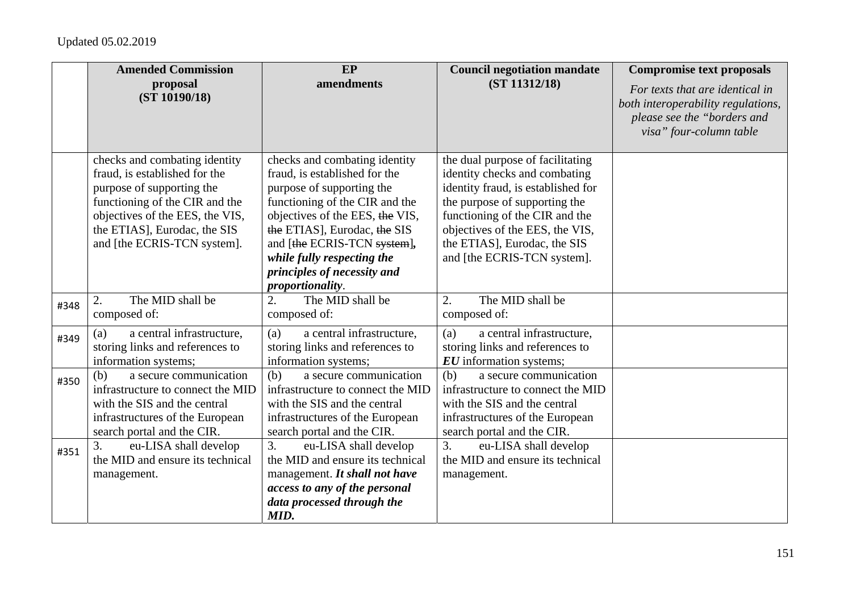|      | <b>Amended Commission</b>                                                                                                                                                                                                       | EP                                                                                                                                                                                                                                                                                                               | <b>Council negotiation mandate</b>                                                                                                                                                                                                                                           | <b>Compromise text proposals</b>                                                                                                |
|------|---------------------------------------------------------------------------------------------------------------------------------------------------------------------------------------------------------------------------------|------------------------------------------------------------------------------------------------------------------------------------------------------------------------------------------------------------------------------------------------------------------------------------------------------------------|------------------------------------------------------------------------------------------------------------------------------------------------------------------------------------------------------------------------------------------------------------------------------|---------------------------------------------------------------------------------------------------------------------------------|
|      | proposal<br>(ST 10190/18)                                                                                                                                                                                                       | amendments                                                                                                                                                                                                                                                                                                       | (ST 11312/18)                                                                                                                                                                                                                                                                | For texts that are identical in<br>both interoperability regulations,<br>please see the "borders and<br>visa" four-column table |
|      | checks and combating identity<br>fraud, is established for the<br>purpose of supporting the<br>functioning of the CIR and the<br>objectives of the EES, the VIS,<br>the ETIAS], Eurodac, the SIS<br>and [the ECRIS-TCN system]. | checks and combating identity<br>fraud, is established for the<br>purpose of supporting the<br>functioning of the CIR and the<br>objectives of the EES, the VIS,<br>the ETIAS], Eurodac, the SIS<br>and [the ECRIS-TCN system],<br>while fully respecting the<br>principles of necessity and<br>proportionality. | the dual purpose of facilitating<br>identity checks and combating<br>identity fraud, is established for<br>the purpose of supporting the<br>functioning of the CIR and the<br>objectives of the EES, the VIS,<br>the ETIAS], Eurodac, the SIS<br>and [the ECRIS-TCN system]. |                                                                                                                                 |
| #348 | The MID shall be<br>2.<br>composed of:                                                                                                                                                                                          | The MID shall be<br>2.<br>composed of:                                                                                                                                                                                                                                                                           | The MID shall be<br>2.<br>composed of:                                                                                                                                                                                                                                       |                                                                                                                                 |
| #349 | a central infrastructure,<br>(a)<br>storing links and references to<br>information systems;                                                                                                                                     | a central infrastructure,<br>(a)<br>storing links and references to<br>information systems;                                                                                                                                                                                                                      | a central infrastructure,<br>(a)<br>storing links and references to<br><b>EU</b> information systems;                                                                                                                                                                        |                                                                                                                                 |
| #350 | a secure communication<br>(b)<br>infrastructure to connect the MID<br>with the SIS and the central<br>infrastructures of the European<br>search portal and the CIR.                                                             | a secure communication<br>(b)<br>infrastructure to connect the MID<br>with the SIS and the central<br>infrastructures of the European<br>search portal and the CIR.                                                                                                                                              | a secure communication<br>(b)<br>infrastructure to connect the MID<br>with the SIS and the central<br>infrastructures of the European<br>search portal and the CIR.                                                                                                          |                                                                                                                                 |
| #351 | 3.<br>eu-LISA shall develop<br>the MID and ensure its technical<br>management.                                                                                                                                                  | 3.<br>eu-LISA shall develop<br>the MID and ensure its technical<br>management. It shall not have<br>access to any of the personal<br>data processed through the<br>MID.                                                                                                                                          | 3.<br>eu-LISA shall develop<br>the MID and ensure its technical<br>management.                                                                                                                                                                                               |                                                                                                                                 |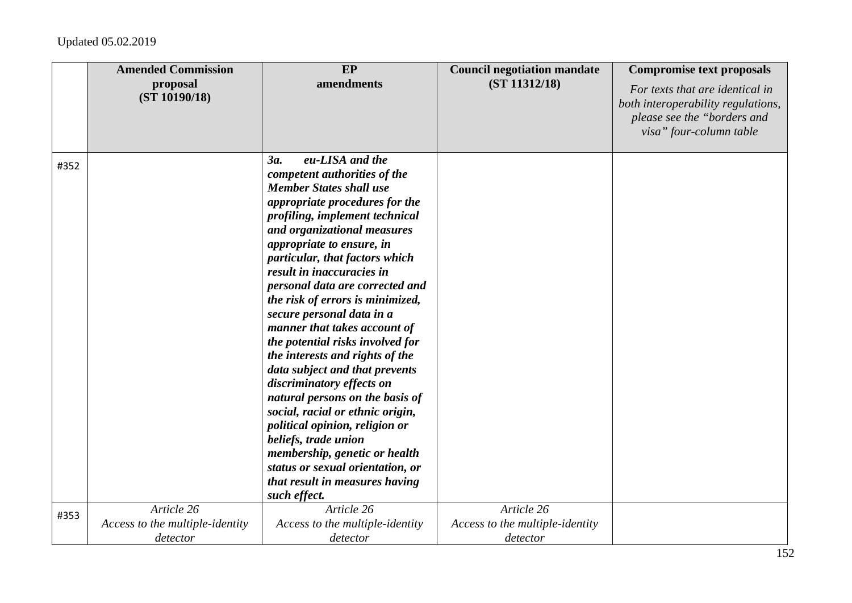|      | <b>Amended Commission</b><br>proposal | EP<br>amendments                                                    | <b>Council negotiation mandate</b><br>(ST 11312/18) | <b>Compromise text proposals</b><br>For texts that are identical in                          |
|------|---------------------------------------|---------------------------------------------------------------------|-----------------------------------------------------|----------------------------------------------------------------------------------------------|
|      | (ST 10190/18)                         |                                                                     |                                                     | both interoperability regulations,<br>please see the "borders and<br>visa" four-column table |
|      |                                       |                                                                     |                                                     |                                                                                              |
| #352 |                                       | eu-LISA and the<br>3a.                                              |                                                     |                                                                                              |
|      |                                       | competent authorities of the<br><b>Member States shall use</b>      |                                                     |                                                                                              |
|      |                                       | appropriate procedures for the                                      |                                                     |                                                                                              |
|      |                                       | profiling, implement technical                                      |                                                     |                                                                                              |
|      |                                       | and organizational measures                                         |                                                     |                                                                                              |
|      |                                       | appropriate to ensure, in                                           |                                                     |                                                                                              |
|      |                                       | particular, that factors which                                      |                                                     |                                                                                              |
|      |                                       | result in inaccuracies in                                           |                                                     |                                                                                              |
|      |                                       | personal data are corrected and                                     |                                                     |                                                                                              |
|      |                                       | the risk of errors is minimized,                                    |                                                     |                                                                                              |
|      |                                       | secure personal data in a                                           |                                                     |                                                                                              |
|      |                                       | manner that takes account of                                        |                                                     |                                                                                              |
|      |                                       | the potential risks involved for                                    |                                                     |                                                                                              |
|      |                                       | the interests and rights of the                                     |                                                     |                                                                                              |
|      |                                       | data subject and that prevents                                      |                                                     |                                                                                              |
|      |                                       | discriminatory effects on                                           |                                                     |                                                                                              |
|      |                                       | natural persons on the basis of<br>social, racial or ethnic origin, |                                                     |                                                                                              |
|      |                                       | political opinion, religion or                                      |                                                     |                                                                                              |
|      |                                       | beliefs, trade union                                                |                                                     |                                                                                              |
|      |                                       | membership, genetic or health                                       |                                                     |                                                                                              |
|      |                                       | status or sexual orientation, or                                    |                                                     |                                                                                              |
|      |                                       | that result in measures having                                      |                                                     |                                                                                              |
|      |                                       | such effect.                                                        |                                                     |                                                                                              |
| #353 | Article 26                            | Article 26                                                          | Article 26                                          |                                                                                              |
|      | Access to the multiple-identity       | Access to the multiple-identity                                     | Access to the multiple-identity                     |                                                                                              |
|      | detector                              | detector                                                            | detector                                            |                                                                                              |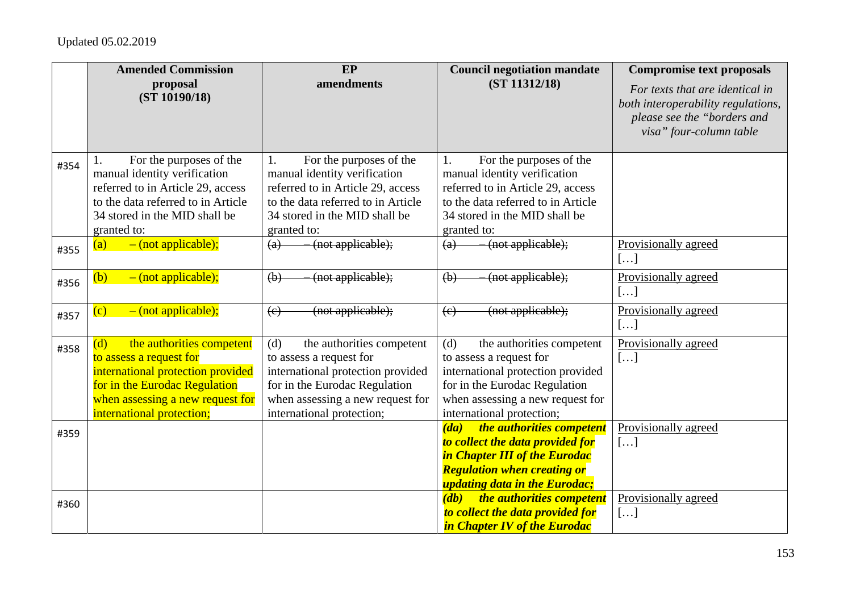|      | <b>Amended Commission</b>          | EP                                             | <b>Council negotiation mandate</b>             | <b>Compromise text proposals</b>                                  |
|------|------------------------------------|------------------------------------------------|------------------------------------------------|-------------------------------------------------------------------|
|      | proposal<br>(ST 10190/18)          | amendments                                     | (ST 11312/18)                                  | For texts that are identical in                                   |
|      |                                    |                                                |                                                | both interoperability regulations,<br>please see the "borders and |
|      |                                    |                                                |                                                | visa" four-column table                                           |
|      |                                    |                                                |                                                |                                                                   |
| #354 | For the purposes of the            | For the purposes of the<br>1.                  | For the purposes of the<br>1.                  |                                                                   |
|      | manual identity verification       | manual identity verification                   | manual identity verification                   |                                                                   |
|      | referred to in Article 29, access  | referred to in Article 29, access              | referred to in Article 29, access              |                                                                   |
|      | to the data referred to in Article | to the data referred to in Article             | to the data referred to in Article             |                                                                   |
|      | 34 stored in the MID shall be      | 34 stored in the MID shall be                  | 34 stored in the MID shall be                  |                                                                   |
|      | granted to:                        | granted to:                                    | granted to:                                    |                                                                   |
| #355 | $-$ (not applicable);<br>(a)       | (not applicable);<br>$\left(\mathrm{a}\right)$ | (not applicable);<br>$\left(\mathrm{a}\right)$ | Provisionally agreed                                              |
|      |                                    |                                                |                                                | []                                                                |
| #356 | $-$ (not applicable);<br>(b)       | (not applicable);<br>(b)                       | (not applicable);<br>$\left(\mathbf{b}\right)$ | Provisionally agreed                                              |
|      |                                    |                                                |                                                | []                                                                |
| #357 | $-$ (not applicable);<br>(c)       | (not applicable);<br>(e)                       | (not applicable);<br>$\left(e\right)$          | Provisionally agreed                                              |
|      |                                    |                                                |                                                | []                                                                |
| #358 | (d)<br>the authorities competent   | (d)<br>the authorities competent               | (d)<br>the authorities competent               | Provisionally agreed                                              |
|      | to assess a request for            | to assess a request for                        | to assess a request for                        | []                                                                |
|      | international protection provided  | international protection provided              | international protection provided              |                                                                   |
|      | for in the Eurodac Regulation      | for in the Eurodac Regulation                  | for in the Eurodac Regulation                  |                                                                   |
|      | when assessing a new request for   | when assessing a new request for               | when assessing a new request for               |                                                                   |
|      | international protection;          | international protection;                      | international protection;                      |                                                                   |
| #359 |                                    |                                                | the authorities competent<br>$\overline{(da)}$ | Provisionally agreed                                              |
|      |                                    |                                                | to collect the data provided for               | []                                                                |
|      |                                    |                                                | in Chapter III of the Eurodac                  |                                                                   |
|      |                                    |                                                | <b>Regulation when creating or</b>             |                                                                   |
|      |                                    |                                                | <i>updating data in the Eurodac;</i>           |                                                                   |
| #360 |                                    |                                                | the authorities competent<br>$\overline{db}$   | Provisionally agreed                                              |
|      |                                    |                                                | to collect the data provided for               | []                                                                |
|      |                                    |                                                | in Chapter IV of the Eurodac                   |                                                                   |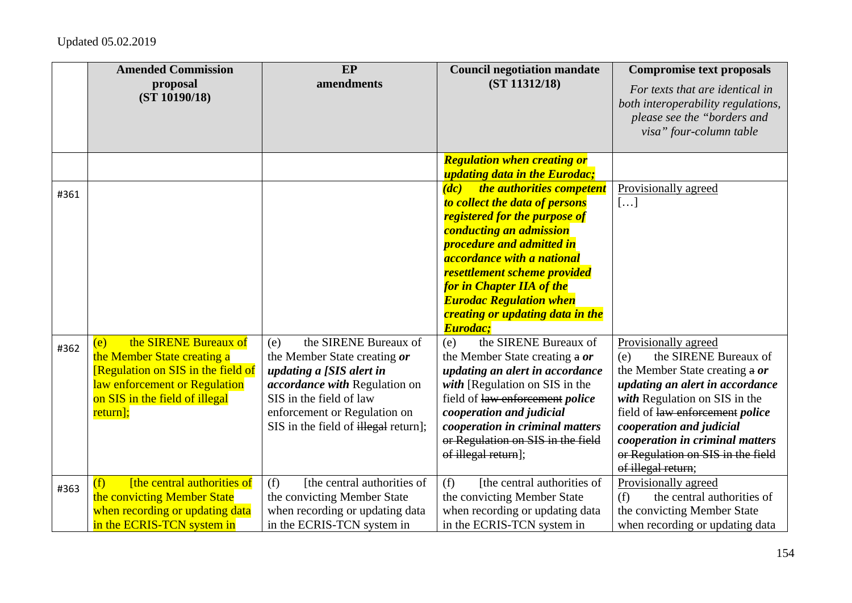|      | <b>Amended Commission</b><br>proposal<br>(ST 10190/18)                                                                                                                           | EP<br>amendments                                                                                                                                                                                                                    | <b>Council negotiation mandate</b><br>(ST 11312/18)                                                                                                                                                                                                                                                                                                                  | <b>Compromise text proposals</b><br>For texts that are identical in<br>both interoperability regulations,<br>please see the "borders and<br>visa" four-column table                                                                                                                                                            |
|------|----------------------------------------------------------------------------------------------------------------------------------------------------------------------------------|-------------------------------------------------------------------------------------------------------------------------------------------------------------------------------------------------------------------------------------|----------------------------------------------------------------------------------------------------------------------------------------------------------------------------------------------------------------------------------------------------------------------------------------------------------------------------------------------------------------------|--------------------------------------------------------------------------------------------------------------------------------------------------------------------------------------------------------------------------------------------------------------------------------------------------------------------------------|
|      |                                                                                                                                                                                  |                                                                                                                                                                                                                                     | <b>Regulation when creating or</b><br><i>updating data in the Eurodac;</i>                                                                                                                                                                                                                                                                                           |                                                                                                                                                                                                                                                                                                                                |
| #361 |                                                                                                                                                                                  |                                                                                                                                                                                                                                     | the authorities competent<br>$\overline{(dc)}$<br>to collect the data of persons<br>registered for the purpose of<br>conducting an admission<br>procedure and admitted in<br><i>accordance with a national</i><br>resettlement scheme provided<br><b>for in Chapter IIA of the</b><br><b>Eurodac Regulation when</b><br>creating or updating data in the<br>Eurodac: | Provisionally agreed<br>[]                                                                                                                                                                                                                                                                                                     |
| #362 | the SIRENE Bureaux of<br>(e)<br>the Member State creating a<br>[Regulation on SIS in the field of<br>law enforcement or Regulation<br>on SIS in the field of illegal<br>return]; | the SIRENE Bureaux of<br>(e)<br>the Member State creating or<br>updating a [SIS alert in<br><i>accordance with</i> Regulation on<br>SIS in the field of law<br>enforcement or Regulation on<br>SIS in the field of illegal return]; | the SIRENE Bureaux of<br>(e)<br>the Member State creating a or<br>updating an alert in accordance<br>with [Regulation on SIS in the<br>field of law enforcement police<br>cooperation and judicial<br>cooperation in criminal matters<br>or Regulation on SIS in the field<br>of illegal return];                                                                    | Provisionally agreed<br>the SIRENE Bureaux of<br>(e)<br>the Member State creating a or<br>updating an alert in accordance<br>with Regulation on SIS in the<br>field of law enforcement <i>police</i><br>cooperation and judicial<br>cooperation in criminal matters<br>or Regulation on SIS in the field<br>of illegal return; |
| #363 | [the central authorities of<br>(f)<br>the convicting Member State<br>when recording or updating data<br>in the ECRIS-TCN system in                                               | [the central authorities of<br>(f)<br>the convicting Member State<br>when recording or updating data<br>in the ECRIS-TCN system in                                                                                                  | [the central authorities of<br>(f)<br>the convicting Member State<br>when recording or updating data<br>in the ECRIS-TCN system in                                                                                                                                                                                                                                   | Provisionally agreed<br>the central authorities of<br>(f)<br>the convicting Member State<br>when recording or updating data                                                                                                                                                                                                    |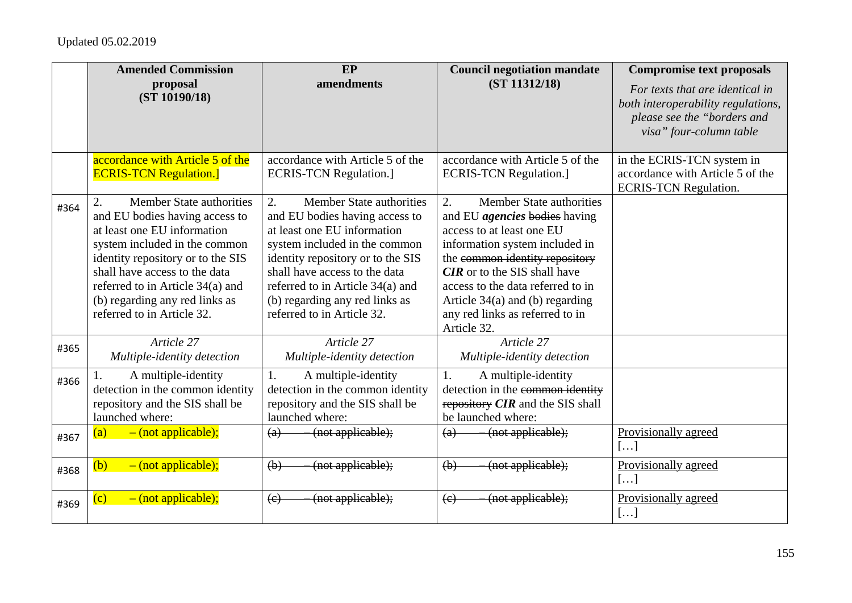|      | <b>Amended Commission</b>                                                                                                                                                                                                                                                                                   | EP                                                                                                                                                                                                                                                                                                         | <b>Council negotiation mandate</b>                                                                                                                                                                                                                                                                                                         | <b>Compromise text proposals</b>                                                                                                |
|------|-------------------------------------------------------------------------------------------------------------------------------------------------------------------------------------------------------------------------------------------------------------------------------------------------------------|------------------------------------------------------------------------------------------------------------------------------------------------------------------------------------------------------------------------------------------------------------------------------------------------------------|--------------------------------------------------------------------------------------------------------------------------------------------------------------------------------------------------------------------------------------------------------------------------------------------------------------------------------------------|---------------------------------------------------------------------------------------------------------------------------------|
|      | proposal<br>(ST 10190/18)                                                                                                                                                                                                                                                                                   | amendments                                                                                                                                                                                                                                                                                                 | (ST 11312/18)                                                                                                                                                                                                                                                                                                                              | For texts that are identical in<br>both interoperability regulations,<br>please see the "borders and<br>visa" four-column table |
|      | accordance with Article 5 of the<br><b>ECRIS-TCN Regulation.</b> ]                                                                                                                                                                                                                                          | accordance with Article 5 of the<br><b>ECRIS-TCN Regulation.]</b>                                                                                                                                                                                                                                          | accordance with Article 5 of the<br><b>ECRIS-TCN Regulation.]</b>                                                                                                                                                                                                                                                                          | in the ECRIS-TCN system in<br>accordance with Article 5 of the<br><b>ECRIS-TCN Regulation.</b>                                  |
| #364 | <b>Member State authorities</b><br>and EU bodies having access to<br>at least one EU information<br>system included in the common<br>identity repository or to the SIS<br>shall have access to the data<br>referred to in Article 34(a) and<br>(b) regarding any red links as<br>referred to in Article 32. | 2.<br>Member State authorities<br>and EU bodies having access to<br>at least one EU information<br>system included in the common<br>identity repository or to the SIS<br>shall have access to the data<br>referred to in Article 34(a) and<br>(b) regarding any red links as<br>referred to in Article 32. | 2.<br>Member State authorities<br>and EU <i>agencies</i> bodies having<br>access to at least one EU<br>information system included in<br>the common identity repository<br><b>CIR</b> or to the SIS shall have<br>access to the data referred to in<br>Article $34(a)$ and (b) regarding<br>any red links as referred to in<br>Article 32. |                                                                                                                                 |
| #365 | Article 27<br>Multiple-identity detection                                                                                                                                                                                                                                                                   | Article 27<br>Multiple-identity detection                                                                                                                                                                                                                                                                  | Article 27<br>Multiple-identity detection                                                                                                                                                                                                                                                                                                  |                                                                                                                                 |
| #366 | A multiple-identity<br>detection in the common identity<br>repository and the SIS shall be<br>launched where:                                                                                                                                                                                               | 1.<br>A multiple-identity<br>detection in the common identity<br>repository and the SIS shall be<br>launched where:                                                                                                                                                                                        | 1.<br>A multiple-identity<br>detection in the common identity<br>repository CIR and the SIS shall<br>be launched where:                                                                                                                                                                                                                    |                                                                                                                                 |
| #367 | $-$ (not applicable);<br>(a)                                                                                                                                                                                                                                                                                | (not applicable);<br>(a)                                                                                                                                                                                                                                                                                   | (not applicable);<br>(a)                                                                                                                                                                                                                                                                                                                   | Provisionally agreed<br>[]                                                                                                      |
| #368 | $-$ (not applicable);<br>(b)                                                                                                                                                                                                                                                                                | (not applicable);<br>(b)                                                                                                                                                                                                                                                                                   | (not applicable);<br>$\left(\mathbf{b}\right)$                                                                                                                                                                                                                                                                                             | Provisionally agreed<br>[]                                                                                                      |
| #369 | $-$ (not applicable);<br>$\overline{c}$                                                                                                                                                                                                                                                                     | (not applicable);<br>$\left(\mathrm{e}\right)$                                                                                                                                                                                                                                                             | (not applicable);<br>$\left(\epsilon\right)$                                                                                                                                                                                                                                                                                               | Provisionally agreed<br>[]                                                                                                      |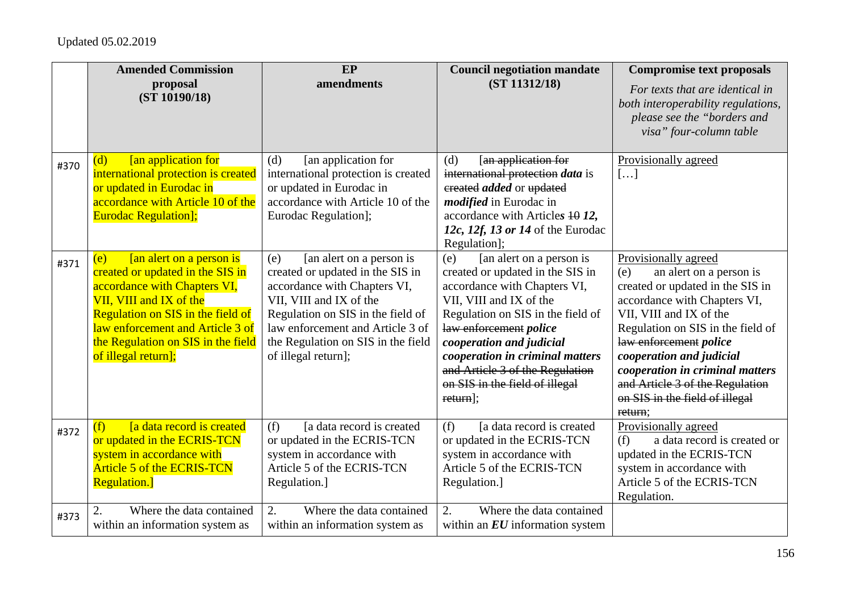|      | <b>Amended Commission</b>                                                                                                                                                                                                                                            | EP                                                                                                                                                                                                                                                                   | <b>Council negotiation mandate</b>                                                                                                                                                                                                                                                                                                            | <b>Compromise text proposals</b>                                                                                                                                                                                                                                                                                                                                    |
|------|----------------------------------------------------------------------------------------------------------------------------------------------------------------------------------------------------------------------------------------------------------------------|----------------------------------------------------------------------------------------------------------------------------------------------------------------------------------------------------------------------------------------------------------------------|-----------------------------------------------------------------------------------------------------------------------------------------------------------------------------------------------------------------------------------------------------------------------------------------------------------------------------------------------|---------------------------------------------------------------------------------------------------------------------------------------------------------------------------------------------------------------------------------------------------------------------------------------------------------------------------------------------------------------------|
|      | proposal<br>(ST 10190/18)                                                                                                                                                                                                                                            | amendments                                                                                                                                                                                                                                                           | (ST 11312/18)                                                                                                                                                                                                                                                                                                                                 | For texts that are identical in<br>both interoperability regulations,<br>please see the "borders and<br>visa" four-column table                                                                                                                                                                                                                                     |
| #370 | <b>[an application for</b><br>(d)<br>international protection is created<br>or updated in Eurodac in<br>accordance with Article 10 of the<br><b>Eurodac Regulation];</b>                                                                                             | [an application for<br>(d)<br>international protection is created<br>or updated in Eurodac in<br>accordance with Article 10 of the<br>Eurodac Regulation];                                                                                                           | [an application for<br>(d)<br>international protection data is<br>ereated <i>added</i> or updated<br><i>modified</i> in Eurodac in<br>accordance with Articles 10 12,<br>12c, 12f, 13 or 14 of the Eurodac<br>Regulation];                                                                                                                    | Provisionally agreed<br>[]                                                                                                                                                                                                                                                                                                                                          |
| #371 | [an alert on a person is<br>(e)<br>created or updated in the SIS in<br>accordance with Chapters VI,<br>VII, VIII and IX of the<br>Regulation on SIS in the field of<br>law enforcement and Article 3 of<br>the Regulation on SIS in the field<br>of illegal return]; | [an alert on a person is<br>(e)<br>created or updated in the SIS in<br>accordance with Chapters VI,<br>VII, VIII and IX of the<br>Regulation on SIS in the field of<br>law enforcement and Article 3 of<br>the Regulation on SIS in the field<br>of illegal return]; | [an alert on a person is<br>(e)<br>created or updated in the SIS in<br>accordance with Chapters VI,<br>VII, VIII and IX of the<br>Regulation on SIS in the field of<br>law enforcement police<br>cooperation and judicial<br>cooperation in criminal matters<br>and Article 3 of the Regulation<br>on SIS in the field of illegal<br>return]; | Provisionally agreed<br>an alert on a person is<br>(e)<br>created or updated in the SIS in<br>accordance with Chapters VI,<br>VII, VIII and IX of the<br>Regulation on SIS in the field of<br>law enforcement police<br>cooperation and judicial<br>cooperation in criminal matters<br>and Article 3 of the Regulation<br>on SIS in the field of illegal<br>return: |
| #372 | [a data record is created]<br>(f)<br>or updated in the ECRIS-TCN<br>system in accordance with<br><b>Article 5 of the ECRIS-TCN</b><br><b>Regulation.</b> ]                                                                                                           | [a data record is created<br>(f)<br>or updated in the ECRIS-TCN<br>system in accordance with<br>Article 5 of the ECRIS-TCN<br>Regulation.]                                                                                                                           | [a data record is created<br>(f)<br>or updated in the ECRIS-TCN<br>system in accordance with<br>Article 5 of the ECRIS-TCN<br>Regulation.]                                                                                                                                                                                                    | Provisionally agreed<br>a data record is created or<br>(f)<br>updated in the ECRIS-TCN<br>system in accordance with<br>Article 5 of the ECRIS-TCN<br>Regulation.                                                                                                                                                                                                    |
| #373 | 2.<br>Where the data contained<br>within an information system as                                                                                                                                                                                                    | 2.<br>Where the data contained<br>within an information system as                                                                                                                                                                                                    | $\overline{2}$ .<br>Where the data contained<br>within an $EU$ information system                                                                                                                                                                                                                                                             |                                                                                                                                                                                                                                                                                                                                                                     |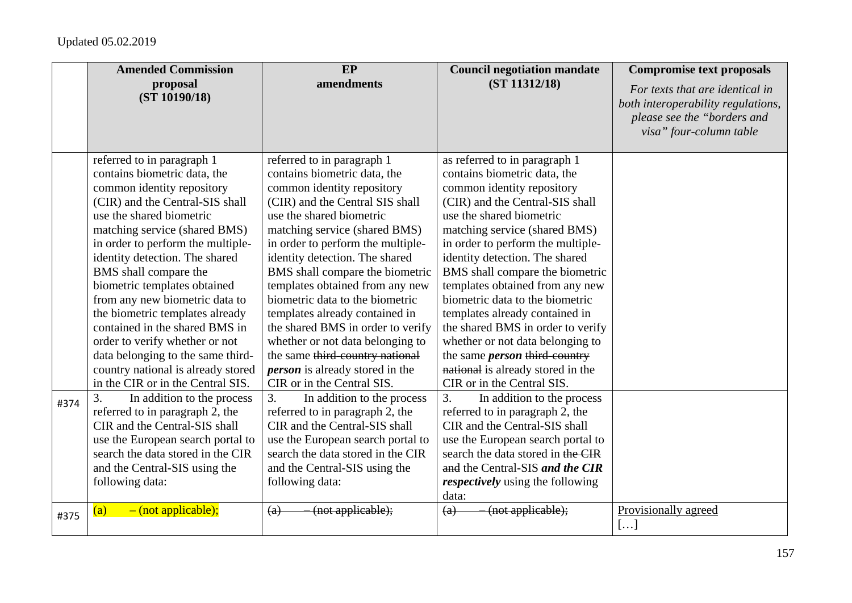|      | <b>Amended Commission</b>                                                                                                                                                                                                                                                                                                                                                                                                                                                                                                                                                         | <b>EP</b>                                                                                                                                                                                                                                                                                                                                                                                                                                                                                                                                                                                      | <b>Council negotiation mandate</b>                                                                                                                                                                                                                                                                                                                                                                                                                                                                                                                                                                | <b>Compromise text proposals</b>                                                                                                |
|------|-----------------------------------------------------------------------------------------------------------------------------------------------------------------------------------------------------------------------------------------------------------------------------------------------------------------------------------------------------------------------------------------------------------------------------------------------------------------------------------------------------------------------------------------------------------------------------------|------------------------------------------------------------------------------------------------------------------------------------------------------------------------------------------------------------------------------------------------------------------------------------------------------------------------------------------------------------------------------------------------------------------------------------------------------------------------------------------------------------------------------------------------------------------------------------------------|---------------------------------------------------------------------------------------------------------------------------------------------------------------------------------------------------------------------------------------------------------------------------------------------------------------------------------------------------------------------------------------------------------------------------------------------------------------------------------------------------------------------------------------------------------------------------------------------------|---------------------------------------------------------------------------------------------------------------------------------|
|      | proposal<br>(ST 10190/18)                                                                                                                                                                                                                                                                                                                                                                                                                                                                                                                                                         | amendments                                                                                                                                                                                                                                                                                                                                                                                                                                                                                                                                                                                     | (ST 11312/18)                                                                                                                                                                                                                                                                                                                                                                                                                                                                                                                                                                                     | For texts that are identical in<br>both interoperability regulations,<br>please see the "borders and<br>visa" four-column table |
|      | referred to in paragraph 1<br>contains biometric data, the<br>common identity repository<br>(CIR) and the Central-SIS shall<br>use the shared biometric<br>matching service (shared BMS)<br>in order to perform the multiple-<br>identity detection. The shared<br>BMS shall compare the<br>biometric templates obtained<br>from any new biometric data to<br>the biometric templates already<br>contained in the shared BMS in<br>order to verify whether or not<br>data belonging to the same third-<br>country national is already stored<br>in the CIR or in the Central SIS. | referred to in paragraph 1<br>contains biometric data, the<br>common identity repository<br>(CIR) and the Central SIS shall<br>use the shared biometric<br>matching service (shared BMS)<br>in order to perform the multiple-<br>identity detection. The shared<br>BMS shall compare the biometric<br>templates obtained from any new<br>biometric data to the biometric<br>templates already contained in<br>the shared BMS in order to verify<br>whether or not data belonging to<br>the same third-country national<br><i>person</i> is already stored in the<br>CIR or in the Central SIS. | as referred to in paragraph 1<br>contains biometric data, the<br>common identity repository<br>(CIR) and the Central-SIS shall<br>use the shared biometric<br>matching service (shared BMS)<br>in order to perform the multiple-<br>identity detection. The shared<br>BMS shall compare the biometric<br>templates obtained from any new<br>biometric data to the biometric<br>templates already contained in<br>the shared BMS in order to verify<br>whether or not data belonging to<br>the same <i>person</i> third country<br>national is already stored in the<br>CIR or in the Central SIS. |                                                                                                                                 |
| #374 | In addition to the process<br>3.<br>referred to in paragraph 2, the<br>CIR and the Central-SIS shall<br>use the European search portal to<br>search the data stored in the CIR<br>and the Central-SIS using the<br>following data:                                                                                                                                                                                                                                                                                                                                                | 3.<br>In addition to the process<br>referred to in paragraph 2, the<br>CIR and the Central-SIS shall<br>use the European search portal to<br>search the data stored in the CIR<br>and the Central-SIS using the<br>following data:                                                                                                                                                                                                                                                                                                                                                             | In addition to the process<br>3.<br>referred to in paragraph 2, the<br>CIR and the Central-SIS shall<br>use the European search portal to<br>search the data stored in the CIR<br>and the Central-SIS and the CIR<br><i>respectively</i> using the following<br>data:                                                                                                                                                                                                                                                                                                                             |                                                                                                                                 |
| #375 | $-$ (not applicable);<br>(a)                                                                                                                                                                                                                                                                                                                                                                                                                                                                                                                                                      | (not applicable);<br>(a)                                                                                                                                                                                                                                                                                                                                                                                                                                                                                                                                                                       | (not applicable);<br>(a)                                                                                                                                                                                                                                                                                                                                                                                                                                                                                                                                                                          | Provisionally agreed<br>[]                                                                                                      |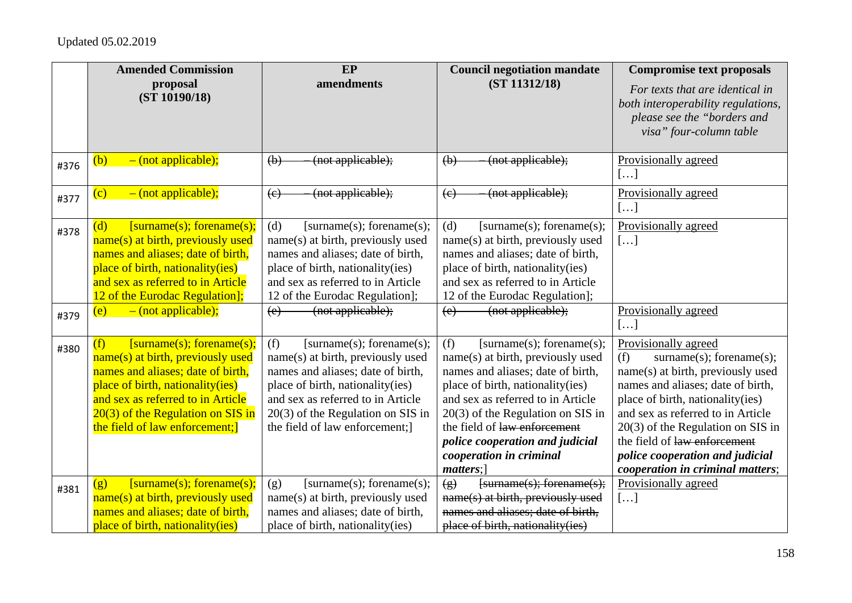|      | <b>Amended Commission</b>                                                                                                                                                                                                                                   | $E$ P                                                                                                                                                                                                                                                        | <b>Council negotiation mandate</b>                                                                                                                                                                                                                                                                                                   | <b>Compromise text proposals</b>                                                                                                                                                                                                                                                                                                                                 |
|------|-------------------------------------------------------------------------------------------------------------------------------------------------------------------------------------------------------------------------------------------------------------|--------------------------------------------------------------------------------------------------------------------------------------------------------------------------------------------------------------------------------------------------------------|--------------------------------------------------------------------------------------------------------------------------------------------------------------------------------------------------------------------------------------------------------------------------------------------------------------------------------------|------------------------------------------------------------------------------------------------------------------------------------------------------------------------------------------------------------------------------------------------------------------------------------------------------------------------------------------------------------------|
|      | proposal<br>(ST 10190/18)                                                                                                                                                                                                                                   | amendments                                                                                                                                                                                                                                                   | (ST 11312/18)                                                                                                                                                                                                                                                                                                                        | For texts that are identical in<br>both interoperability regulations,<br>please see the "borders and<br>visa" four-column table                                                                                                                                                                                                                                  |
| #376 | $-$ (not applicable);<br>(b)                                                                                                                                                                                                                                | (not applicable);<br>$\Theta$                                                                                                                                                                                                                                | (not applicable);<br>$\left(\mathbf{b}\right)$                                                                                                                                                                                                                                                                                       | Provisionally agreed<br>[]                                                                                                                                                                                                                                                                                                                                       |
| #377 | $\overline{\text{(c)}}$<br>$-$ (not applicable);                                                                                                                                                                                                            | (not applicable);<br>(e)                                                                                                                                                                                                                                     | (not applicable);<br>(e)                                                                                                                                                                                                                                                                                                             | Provisionally agreed<br>[]                                                                                                                                                                                                                                                                                                                                       |
| #378 | [surname(s); forename(s);<br>(d)<br>name(s) at birth, previously used<br>names and aliases; date of birth,<br>place of birth, nationality(ies)<br>and sex as referred to in Article<br>12 of the Eurodac Regulation];                                       | (d)<br>[surname(s); forename(s);<br>name(s) at birth, previously used<br>names and aliases; date of birth,<br>place of birth, nationality (ies)<br>and sex as referred to in Article<br>12 of the Eurodac Regulation];                                       | (d)<br>[surname(s); forename(s);<br>name(s) at birth, previously used<br>names and aliases; date of birth,<br>place of birth, nationality(ies)<br>and sex as referred to in Article<br>12 of the Eurodac Regulation];                                                                                                                | Provisionally agreed<br>[]                                                                                                                                                                                                                                                                                                                                       |
| #379 | $-$ (not applicable);<br>(e)                                                                                                                                                                                                                                | (not applicable);<br>(e)                                                                                                                                                                                                                                     | (not applicable);<br>(e)                                                                                                                                                                                                                                                                                                             | Provisionally agreed<br>[]                                                                                                                                                                                                                                                                                                                                       |
| #380 | (f)<br>[surname(s); forename(s);<br>name(s) at birth, previously used<br>names and aliases; date of birth,<br>place of birth, nationality(ies)<br>and sex as referred to in Article<br>$20(3)$ of the Regulation on SIS in<br>the field of law enforcement; | (f)<br>[surname(s); forename(s);<br>name(s) at birth, previously used<br>names and aliases; date of birth,<br>place of birth, nationality(ies)<br>and sex as referred to in Article<br>$20(3)$ of the Regulation on SIS in<br>the field of law enforcement;] | (f)<br>[surname(s); forename(s);<br>name(s) at birth, previously used<br>names and aliases; date of birth,<br>place of birth, nationality(ies)<br>and sex as referred to in Article<br>$20(3)$ of the Regulation on SIS in<br>the field of law enforcement<br>police cooperation and judicial<br>cooperation in criminal<br>matters; | Provisionally agreed<br>(f)<br>surname $(s)$ ; forename $(s)$ ;<br>name(s) at birth, previously used<br>names and aliases; date of birth,<br>place of birth, nationality(ies)<br>and sex as referred to in Article<br>$20(3)$ of the Regulation on SIS in<br>the field of law enforcement<br>police cooperation and judicial<br>cooperation in criminal matters; |
| #381 | [surname(s); forename(s);<br>(g)<br>name(s) at birth, previously used<br>names and aliases; date of birth,<br>place of birth, nationality(ies)                                                                                                              | [surname(s); forename(s);<br>(g)<br>name(s) at birth, previously used<br>names and aliases; date of birth,<br>place of birth, nationality(ies)                                                                                                               | $\left( g\right)$<br>$fsurname(s); for example(s);$<br>name(s) at birth, previously used<br>names and aliases; date of birth,<br>place of birth, nationality(ies)                                                                                                                                                                    | Provisionally agreed<br>[]                                                                                                                                                                                                                                                                                                                                       |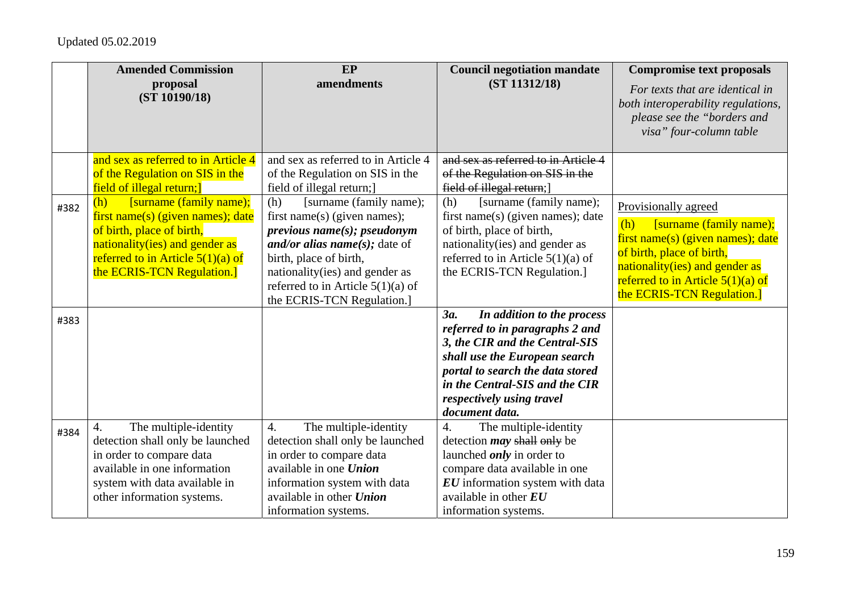|      | <b>Amended Commission</b>                                                                                                                                                                                | EP                                                                                                                                                                                                                                                              | <b>Council negotiation mandate</b>                                                                                                                                                                                                                           | <b>Compromise text proposals</b>                                                                                                                                                                                                |
|------|----------------------------------------------------------------------------------------------------------------------------------------------------------------------------------------------------------|-----------------------------------------------------------------------------------------------------------------------------------------------------------------------------------------------------------------------------------------------------------------|--------------------------------------------------------------------------------------------------------------------------------------------------------------------------------------------------------------------------------------------------------------|---------------------------------------------------------------------------------------------------------------------------------------------------------------------------------------------------------------------------------|
|      | proposal<br>(ST 10190/18)                                                                                                                                                                                | amendments                                                                                                                                                                                                                                                      | (ST 11312/18)                                                                                                                                                                                                                                                | For texts that are identical in<br>both interoperability regulations,<br>please see the "borders and<br>visa" four-column table                                                                                                 |
|      | and sex as referred to in Article 4<br>of the Regulation on SIS in the<br>field of illegal return;                                                                                                       | and sex as referred to in Article 4<br>of the Regulation on SIS in the<br>field of illegal return;]                                                                                                                                                             | and sex as referred to in Article 4<br>of the Regulation on SIS in the<br>field of illegal return;                                                                                                                                                           |                                                                                                                                                                                                                                 |
| #382 | [surname (family name);<br>(h)<br>first name(s) (given names); date<br>of birth, place of birth,<br>nationality(ies) and gender as<br>referred to in Article $5(1)(a)$ of<br>the ECRIS-TCN Regulation.]  | [surname (family name);<br>(h)<br>first name(s) (given names);<br>previous name(s); pseudonym<br>and/or alias name(s); date of<br>birth, place of birth,<br>nationality(ies) and gender as<br>referred to in Article $5(1)(a)$ of<br>the ECRIS-TCN Regulation.] | [surname (family name);<br>(h)<br>first name(s) (given names); date<br>of birth, place of birth,<br>nationality(ies) and gender as<br>referred to in Article $5(1)(a)$ of<br>the ECRIS-TCN Regulation.]                                                      | Provisionally agreed<br>(h)<br>[surname (family name);<br>first name(s) (given names); date<br>of birth, place of birth,<br>nationality(ies) and gender as<br>referred to in Article $5(1)(a)$ of<br>the ECRIS-TCN Regulation.] |
| #383 |                                                                                                                                                                                                          |                                                                                                                                                                                                                                                                 | 3a.<br>In addition to the process<br>referred to in paragraphs 2 and<br>3, the CIR and the Central-SIS<br>shall use the European search<br>portal to search the data stored<br>in the Central-SIS and the CIR<br>respectively using travel<br>document data. |                                                                                                                                                                                                                                 |
| #384 | The multiple-identity<br>$\overline{4}$ .<br>detection shall only be launched<br>in order to compare data<br>available in one information<br>system with data available in<br>other information systems. | The multiple-identity<br>4.<br>detection shall only be launched<br>in order to compare data<br>available in one Union<br>information system with data<br>available in other Union<br>information systems.                                                       | $\overline{4}$ .<br>The multiple-identity<br>detection <i>may</i> shall only be<br>launched <i>only</i> in order to<br>compare data available in one<br>EU information system with data<br>available in other $EU$<br>information systems.                   |                                                                                                                                                                                                                                 |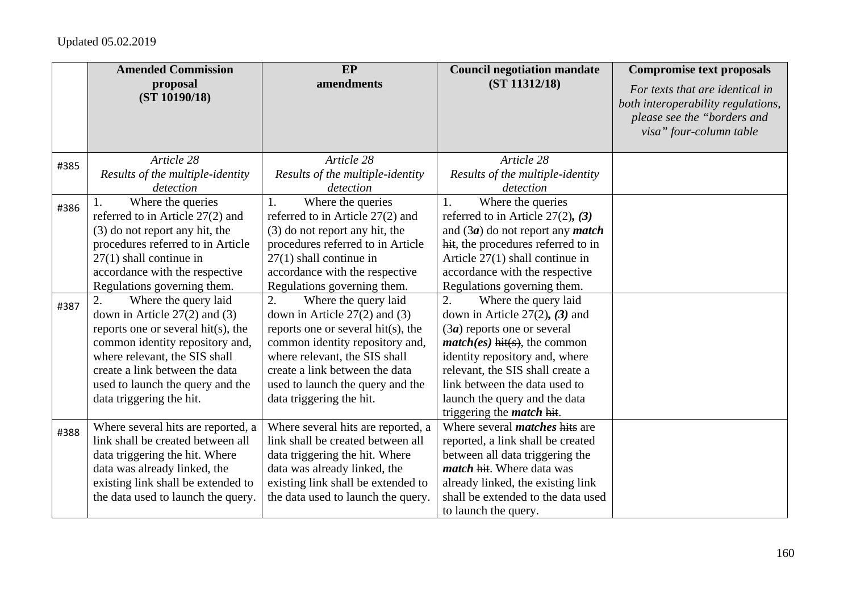|      | <b>Amended Commission</b>          | EP                                 | <b>Council negotiation mandate</b>        | <b>Compromise text proposals</b>                                                                                                |
|------|------------------------------------|------------------------------------|-------------------------------------------|---------------------------------------------------------------------------------------------------------------------------------|
|      | proposal<br>(ST 10190/18)          | amendments                         | (ST 11312/18)                             | For texts that are identical in<br>both interoperability regulations,<br>please see the "borders and<br>visa" four-column table |
| #385 | Article 28                         | Article 28                         | Article 28                                |                                                                                                                                 |
|      | Results of the multiple-identity   | Results of the multiple-identity   | Results of the multiple-identity          |                                                                                                                                 |
|      | detection                          | detection                          | detection                                 |                                                                                                                                 |
| #386 | Where the queries                  | Where the queries<br>1.            | Where the queries<br>1.                   |                                                                                                                                 |
|      | referred to in Article 27(2) and   | referred to in Article 27(2) and   | referred to in Article $27(2)$ , (3)      |                                                                                                                                 |
|      | (3) do not report any hit, the     | (3) do not report any hit, the     | and $(3a)$ do not report any <i>match</i> |                                                                                                                                 |
|      | procedures referred to in Article  | procedures referred to in Article  | hit, the procedures referred to in        |                                                                                                                                 |
|      | $27(1)$ shall continue in          | $27(1)$ shall continue in          | Article $27(1)$ shall continue in         |                                                                                                                                 |
|      | accordance with the respective     | accordance with the respective     | accordance with the respective            |                                                                                                                                 |
|      | Regulations governing them.        | Regulations governing them.        | Regulations governing them.               |                                                                                                                                 |
| #387 | Where the query laid<br>2.         | Where the query laid<br>2.         | Where the query laid                      |                                                                                                                                 |
|      | down in Article $27(2)$ and (3)    | down in Article $27(2)$ and (3)    | down in Article $27(2)$ , (3) and         |                                                                                                                                 |
|      | reports one or several hit(s), the | reports one or several hit(s), the | $(3a)$ reports one or several             |                                                                                                                                 |
|      | common identity repository and,    | common identity repository and,    | $match(es)$ hit(s), the common            |                                                                                                                                 |
|      | where relevant, the SIS shall      | where relevant, the SIS shall      | identity repository and, where            |                                                                                                                                 |
|      | create a link between the data     | create a link between the data     | relevant, the SIS shall create a          |                                                                                                                                 |
|      | used to launch the query and the   | used to launch the query and the   | link between the data used to             |                                                                                                                                 |
|      | data triggering the hit.           | data triggering the hit.           | launch the query and the data             |                                                                                                                                 |
|      |                                    |                                    | triggering the <i>match</i> hit.          |                                                                                                                                 |
| #388 | Where several hits are reported, a | Where several hits are reported, a | Where several <i>matches</i> hits are     |                                                                                                                                 |
|      | link shall be created between all  | link shall be created between all  | reported, a link shall be created         |                                                                                                                                 |
|      | data triggering the hit. Where     | data triggering the hit. Where     | between all data triggering the           |                                                                                                                                 |
|      | data was already linked, the       | data was already linked, the       | <i>match</i> hit. Where data was          |                                                                                                                                 |
|      | existing link shall be extended to | existing link shall be extended to | already linked, the existing link         |                                                                                                                                 |
|      | the data used to launch the query. | the data used to launch the query. | shall be extended to the data used        |                                                                                                                                 |
|      |                                    |                                    | to launch the query.                      |                                                                                                                                 |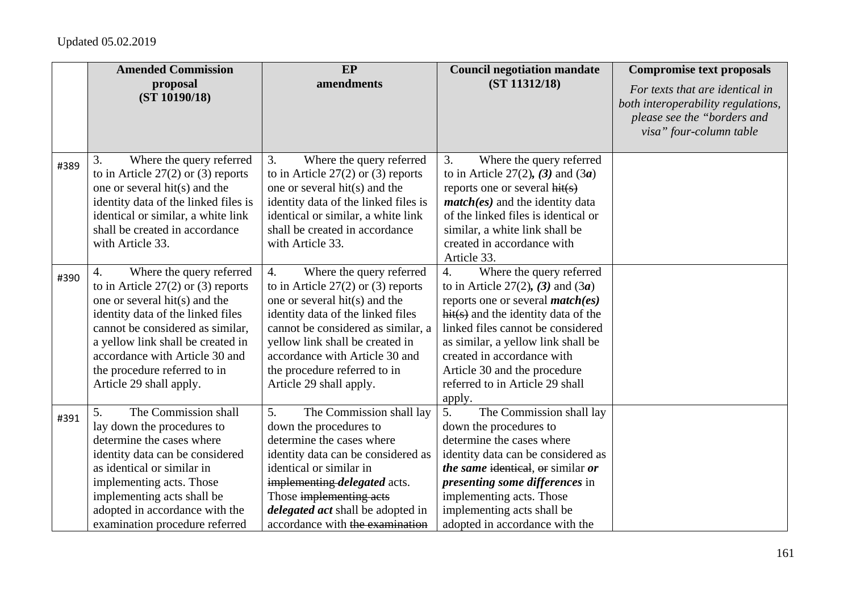|      | <b>Amended Commission</b>                                                                                                                                                                                                                                                                                                        | <b>EP</b>                                                                                                                                                                                                                                                                                                                        | <b>Council negotiation mandate</b>                                                                                                                                                                                                                                                                                                         | <b>Compromise text proposals</b>                                                                                                |
|------|----------------------------------------------------------------------------------------------------------------------------------------------------------------------------------------------------------------------------------------------------------------------------------------------------------------------------------|----------------------------------------------------------------------------------------------------------------------------------------------------------------------------------------------------------------------------------------------------------------------------------------------------------------------------------|--------------------------------------------------------------------------------------------------------------------------------------------------------------------------------------------------------------------------------------------------------------------------------------------------------------------------------------------|---------------------------------------------------------------------------------------------------------------------------------|
|      | proposal<br>(ST 10190/18)                                                                                                                                                                                                                                                                                                        | amendments                                                                                                                                                                                                                                                                                                                       | (ST 11312/18)                                                                                                                                                                                                                                                                                                                              | For texts that are identical in<br>both interoperability regulations,<br>please see the "borders and<br>visa" four-column table |
| #389 | Where the query referred<br>3.<br>to in Article $27(2)$ or (3) reports<br>one or several hit(s) and the<br>identity data of the linked files is<br>identical or similar, a white link<br>shall be created in accordance<br>with Article 33.                                                                                      | Where the query referred<br>3.<br>to in Article $27(2)$ or (3) reports<br>one or several hit(s) and the<br>identity data of the linked files is<br>identical or similar, a white link<br>shall be created in accordance<br>with Article 33.                                                                                      | 3.<br>Where the query referred<br>to in Article 27(2), (3) and $(3a)$<br>reports one or several $hit(s)$<br>$match(es)$ and the identity data<br>of the linked files is identical or<br>similar, a white link shall be<br>created in accordance with<br>Article 33.                                                                        |                                                                                                                                 |
| #390 | Where the query referred<br>$\overline{4}$ .<br>to in Article $27(2)$ or (3) reports<br>one or several hit(s) and the<br>identity data of the linked files<br>cannot be considered as similar,<br>a yellow link shall be created in<br>accordance with Article 30 and<br>the procedure referred to in<br>Article 29 shall apply. | $\overline{4}$ .<br>Where the query referred<br>to in Article $27(2)$ or (3) reports<br>one or several hit(s) and the<br>identity data of the linked files<br>cannot be considered as similar, a<br>yellow link shall be created in<br>accordance with Article 30 and<br>the procedure referred to in<br>Article 29 shall apply. | 4.<br>Where the query referred<br>to in Article 27(2), (3) and $(3a)$<br>reports one or several $match(es)$<br>$hit(s)$ and the identity data of the<br>linked files cannot be considered<br>as similar, a yellow link shall be<br>created in accordance with<br>Article 30 and the procedure<br>referred to in Article 29 shall<br>apply. |                                                                                                                                 |
| #391 | The Commission shall<br>5.<br>lay down the procedures to<br>determine the cases where<br>identity data can be considered<br>as identical or similar in<br>implementing acts. Those<br>implementing acts shall be<br>adopted in accordance with the<br>examination procedure referred                                             | 5.<br>The Commission shall lay<br>down the procedures to<br>determine the cases where<br>identity data can be considered as<br>identical or similar in<br>implementing <i>delegated</i> acts.<br>Those implementing acts<br><i>delegated act</i> shall be adopted in<br>accordance with the examination                          | 5.<br>The Commission shall lay<br>down the procedures to<br>determine the cases where<br>identity data can be considered as<br><i>the same identical, or similar or</i><br>presenting some differences in<br>implementing acts. Those<br>implementing acts shall be<br>adopted in accordance with the                                      |                                                                                                                                 |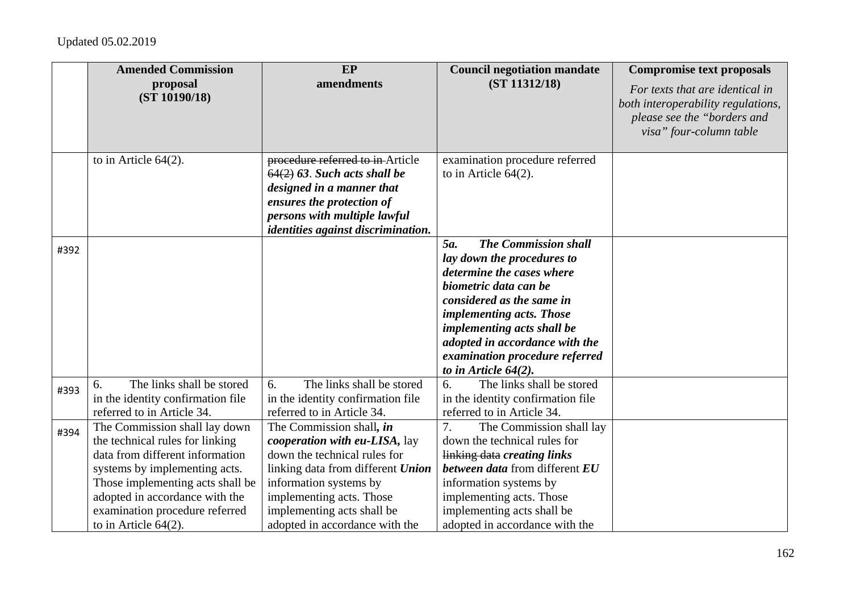|      | <b>Amended Commission</b><br>proposal<br>(ST 10190/18)                                                                                                                                                                                                                  | EP<br>amendments                                                                                                                                                                                                                                     | <b>Council negotiation mandate</b><br>(ST 11312/18)                                                                                                                                                                                                                                                          | <b>Compromise text proposals</b><br>For texts that are identical in<br>both interoperability regulations,<br>please see the "borders and |
|------|-------------------------------------------------------------------------------------------------------------------------------------------------------------------------------------------------------------------------------------------------------------------------|------------------------------------------------------------------------------------------------------------------------------------------------------------------------------------------------------------------------------------------------------|--------------------------------------------------------------------------------------------------------------------------------------------------------------------------------------------------------------------------------------------------------------------------------------------------------------|------------------------------------------------------------------------------------------------------------------------------------------|
|      | to in Article $64(2)$ .                                                                                                                                                                                                                                                 | procedure referred to in Article<br>$64(2)$ 63. Such acts shall be<br>designed in a manner that<br>ensures the protection of<br>persons with multiple lawful<br>identities against discrimination.                                                   | examination procedure referred<br>to in Article $64(2)$ .                                                                                                                                                                                                                                                    | visa" four-column table                                                                                                                  |
| #392 |                                                                                                                                                                                                                                                                         |                                                                                                                                                                                                                                                      | <b>The Commission shall</b><br>5a.<br>lay down the procedures to<br>determine the cases where<br>biometric data can be<br>considered as the same in<br>implementing acts. Those<br>implementing acts shall be<br>adopted in accordance with the<br>examination procedure referred<br>to in Article $64(2)$ . |                                                                                                                                          |
| #393 | The links shall be stored<br>6.<br>in the identity confirmation file<br>referred to in Article 34.                                                                                                                                                                      | The links shall be stored<br>6.<br>in the identity confirmation file<br>referred to in Article 34.                                                                                                                                                   | The links shall be stored<br>6.<br>in the identity confirmation file<br>referred to in Article 34.                                                                                                                                                                                                           |                                                                                                                                          |
| #394 | The Commission shall lay down<br>the technical rules for linking<br>data from different information<br>systems by implementing acts.<br>Those implementing acts shall be<br>adopted in accordance with the<br>examination procedure referred<br>to in Article $64(2)$ . | The Commission shall, in<br>cooperation with eu-LISA, lay<br>down the technical rules for<br>linking data from different Union<br>information systems by<br>implementing acts. Those<br>implementing acts shall be<br>adopted in accordance with the | 7.<br>The Commission shall lay<br>down the technical rules for<br>linking data creating links<br><b>between data from different EU</b><br>information systems by<br>implementing acts. Those<br>implementing acts shall be<br>adopted in accordance with the                                                 |                                                                                                                                          |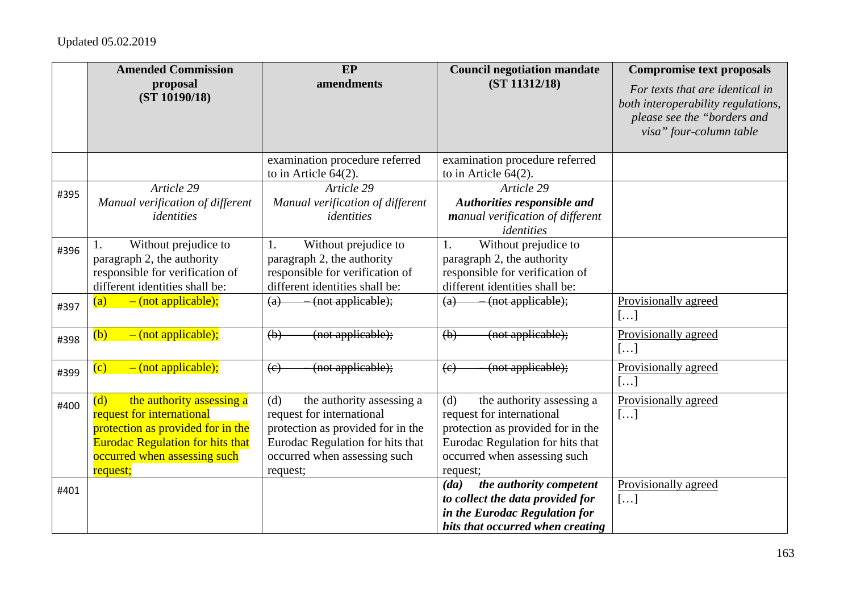|      | <b>Amended Commission</b>                                                                                                                                                                 | EP                                                                                                                                                                                 | <b>Council negotiation mandate</b>                                                                                                                                                 | <b>Compromise text proposals</b>                                                                                                |
|------|-------------------------------------------------------------------------------------------------------------------------------------------------------------------------------------------|------------------------------------------------------------------------------------------------------------------------------------------------------------------------------------|------------------------------------------------------------------------------------------------------------------------------------------------------------------------------------|---------------------------------------------------------------------------------------------------------------------------------|
|      | proposal<br>(ST 10190/18)                                                                                                                                                                 | amendments                                                                                                                                                                         | (ST 11312/18)                                                                                                                                                                      | For texts that are identical in<br>both interoperability regulations,<br>please see the "borders and<br>visa" four-column table |
|      |                                                                                                                                                                                           | examination procedure referred<br>to in Article $64(2)$ .                                                                                                                          | examination procedure referred<br>to in Article $64(2)$ .                                                                                                                          |                                                                                                                                 |
| #395 | Article 29<br>Manual verification of different<br>identities                                                                                                                              | Article 29<br>Manual verification of different<br>identities                                                                                                                       | Article 29<br>Authorities responsible and<br>manual verification of different<br>identities                                                                                        |                                                                                                                                 |
| #396 | Without prejudice to<br>paragraph 2, the authority<br>responsible for verification of<br>different identities shall be:                                                                   | Without prejudice to<br>1.<br>paragraph 2, the authority<br>responsible for verification of<br>different identities shall be:                                                      | Without prejudice to<br>1.<br>paragraph 2, the authority<br>responsible for verification of<br>different identities shall be:                                                      |                                                                                                                                 |
| #397 | $-$ (not applicable);<br>$\left( a\right)$                                                                                                                                                | (not applicable);<br>$\left( a\right)$                                                                                                                                             | (not applicable);<br>$\left(\mathrm{a}\right)$                                                                                                                                     | Provisionally agreed<br>$\left[\ldots\right]$                                                                                   |
| #398 | $-$ (not applicable);<br>(b)                                                                                                                                                              | (not applicable);<br>(b)                                                                                                                                                           | (not applicable);<br>(b)                                                                                                                                                           | Provisionally agreed<br>[]                                                                                                      |
| #399 | $-$ (not applicable);<br>$\overline{\text{(c)}}$                                                                                                                                          | (not applicable);<br>$\left(\mathrm{e}\right)$                                                                                                                                     | (not applicable);<br>(e)                                                                                                                                                           | Provisionally agreed<br>$\left[\ldots\right]$                                                                                   |
| #400 | the authority assessing a<br>(d)<br>request for international<br>protection as provided for in the<br><b>Eurodac Regulation for hits that</b><br>occurred when assessing such<br>request; | the authority assessing a<br>(d)<br>request for international<br>protection as provided for in the<br>Eurodac Regulation for hits that<br>occurred when assessing such<br>request; | the authority assessing a<br>(d)<br>request for international<br>protection as provided for in the<br>Eurodac Regulation for hits that<br>occurred when assessing such<br>request; | Provisionally agreed<br>[]                                                                                                      |
| #401 |                                                                                                                                                                                           |                                                                                                                                                                                    | the authority competent<br>(da)<br>to collect the data provided for<br>in the Eurodac Regulation for<br>hits that occurred when creating                                           | Provisionally agreed<br>[]                                                                                                      |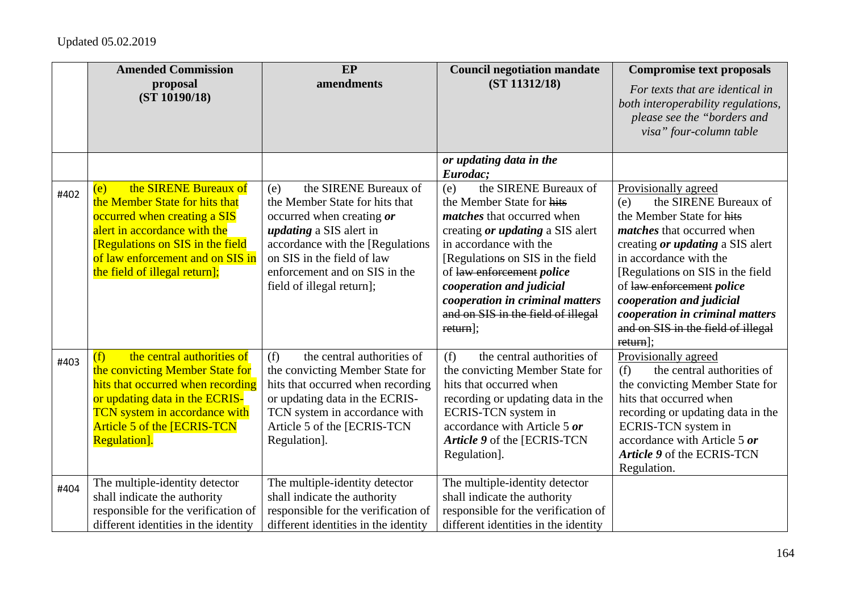|      | <b>Amended Commission</b><br>proposal                                                                                                                                                                                                   | EP<br>amendments                                                                                                                                                                                                                                               | <b>Council negotiation mandate</b><br>(ST 11312/18)                                                                                                                                                                                                                                                                                                      | <b>Compromise text proposals</b>                                                                                                                                                                                                                                                                                                                                                |
|------|-----------------------------------------------------------------------------------------------------------------------------------------------------------------------------------------------------------------------------------------|----------------------------------------------------------------------------------------------------------------------------------------------------------------------------------------------------------------------------------------------------------------|----------------------------------------------------------------------------------------------------------------------------------------------------------------------------------------------------------------------------------------------------------------------------------------------------------------------------------------------------------|---------------------------------------------------------------------------------------------------------------------------------------------------------------------------------------------------------------------------------------------------------------------------------------------------------------------------------------------------------------------------------|
|      | (ST 10190/18)                                                                                                                                                                                                                           |                                                                                                                                                                                                                                                                |                                                                                                                                                                                                                                                                                                                                                          | For texts that are identical in<br>both interoperability regulations,<br>please see the "borders and<br>visa" four-column table                                                                                                                                                                                                                                                 |
|      |                                                                                                                                                                                                                                         |                                                                                                                                                                                                                                                                | or updating data in the<br>Eurodac:                                                                                                                                                                                                                                                                                                                      |                                                                                                                                                                                                                                                                                                                                                                                 |
| #402 | the SIRENE Bureaux of<br>(e)<br>the Member State for hits that<br>occurred when creating a SIS<br>alert in accordance with the<br>[Regulations on SIS in the field<br>of law enforcement and on SIS in<br>the field of illegal return]; | the SIRENE Bureaux of<br>(e)<br>the Member State for hits that<br>occurred when creating or<br><i>updating</i> a SIS alert in<br>accordance with the [Regulations]<br>on SIS in the field of law<br>enforcement and on SIS in the<br>field of illegal return]; | the SIRENE Bureaux of<br>(e)<br>the Member State for hits<br><i>matches</i> that occurred when<br>creating <i>or updating</i> a SIS alert<br>in accordance with the<br>[Regulations on SIS in the field]<br>of law enforcement police<br>cooperation and judicial<br>cooperation in criminal matters<br>and on SIS in the field of illegal<br>$return$ : | Provisionally agreed<br>the SIRENE Bureaux of<br>(e)<br>the Member State for hits<br><i>matches</i> that occurred when<br>creating <i>or updating</i> a SIS alert<br>in accordance with the<br>[Regulations on SIS in the field<br>of law enforcement police<br>cooperation and judicial<br>cooperation in criminal matters<br>and on SIS in the field of illegal<br>$return$ : |
| #403 | the central authorities of<br>(f)<br>the convicting Member State for<br>hits that occurred when recording<br>or updating data in the ECRIS-<br>TCN system in accordance with<br>Article 5 of the [ECRIS-TCN<br><b>Regulation</b> ].     | the central authorities of<br>(f)<br>the convicting Member State for<br>hits that occurred when recording<br>or updating data in the ECRIS-<br>TCN system in accordance with<br>Article 5 of the [ECRIS-TCN<br>Regulation].                                    | the central authorities of<br>(f)<br>the convicting Member State for<br>hits that occurred when<br>recording or updating data in the<br>ECRIS-TCN system in<br>accordance with Article 5 or<br>Article 9 of the [ECRIS-TCN]<br>Regulation].                                                                                                              | Provisionally agreed<br>the central authorities of<br>(f)<br>the convicting Member State for<br>hits that occurred when<br>recording or updating data in the<br>ECRIS-TCN system in<br>accordance with Article 5 or<br>Article 9 of the ECRIS-TCN<br>Regulation.                                                                                                                |
| #404 | The multiple-identity detector<br>shall indicate the authority<br>responsible for the verification of<br>different identities in the identity                                                                                           | The multiple-identity detector<br>shall indicate the authority<br>responsible for the verification of<br>different identities in the identity                                                                                                                  | The multiple-identity detector<br>shall indicate the authority<br>responsible for the verification of<br>different identities in the identity                                                                                                                                                                                                            |                                                                                                                                                                                                                                                                                                                                                                                 |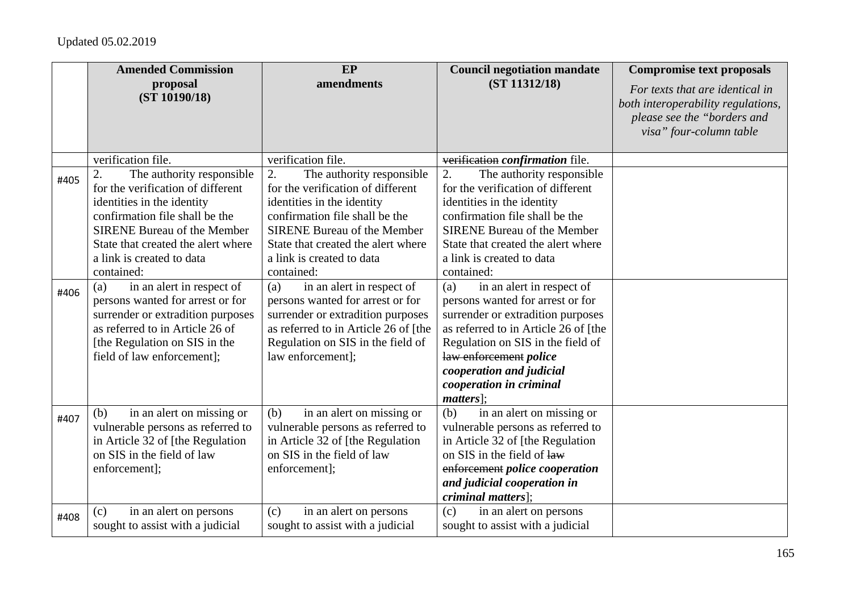|              | <b>Amended Commission</b>                                                                                                                                                                                                                                                                                                                                                                                                                                                  | EP                                                                                                                                                                                                                                                                                                                                                                                                                                                                         | <b>Council negotiation mandate</b>                                                                                                                                                                                                                                                                                                                                                                                                                                                                                                     | <b>Compromise text proposals</b>                                                                                                |
|--------------|----------------------------------------------------------------------------------------------------------------------------------------------------------------------------------------------------------------------------------------------------------------------------------------------------------------------------------------------------------------------------------------------------------------------------------------------------------------------------|----------------------------------------------------------------------------------------------------------------------------------------------------------------------------------------------------------------------------------------------------------------------------------------------------------------------------------------------------------------------------------------------------------------------------------------------------------------------------|----------------------------------------------------------------------------------------------------------------------------------------------------------------------------------------------------------------------------------------------------------------------------------------------------------------------------------------------------------------------------------------------------------------------------------------------------------------------------------------------------------------------------------------|---------------------------------------------------------------------------------------------------------------------------------|
|              | proposal<br>(ST 10190/18)                                                                                                                                                                                                                                                                                                                                                                                                                                                  | amendments                                                                                                                                                                                                                                                                                                                                                                                                                                                                 | (ST 11312/18)                                                                                                                                                                                                                                                                                                                                                                                                                                                                                                                          | For texts that are identical in<br>both interoperability regulations,<br>please see the "borders and<br>visa" four-column table |
|              | verification file.                                                                                                                                                                                                                                                                                                                                                                                                                                                         | verification file.                                                                                                                                                                                                                                                                                                                                                                                                                                                         | verification confirmation file.                                                                                                                                                                                                                                                                                                                                                                                                                                                                                                        |                                                                                                                                 |
| #405<br>#406 | 2.<br>The authority responsible<br>for the verification of different<br>identities in the identity<br>confirmation file shall be the<br><b>SIRENE Bureau of the Member</b><br>State that created the alert where<br>a link is created to data<br>contained:<br>in an alert in respect of<br>(a)<br>persons wanted for arrest or for<br>surrender or extradition purposes<br>as referred to in Article 26 of<br>[the Regulation on SIS in the<br>field of law enforcement]; | 2.<br>The authority responsible<br>for the verification of different<br>identities in the identity<br>confirmation file shall be the<br><b>SIRENE Bureau of the Member</b><br>State that created the alert where<br>a link is created to data<br>contained:<br>in an alert in respect of<br>(a)<br>persons wanted for arrest or for<br>surrender or extradition purposes<br>as referred to in Article 26 of [the<br>Regulation on SIS in the field of<br>law enforcement]; | The authority responsible<br>2.<br>for the verification of different<br>identities in the identity<br>confirmation file shall be the<br><b>SIRENE Bureau of the Member</b><br>State that created the alert where<br>a link is created to data<br>contained:<br>in an alert in respect of<br>(a)<br>persons wanted for arrest or for<br>surrender or extradition purposes<br>as referred to in Article 26 of [the<br>Regulation on SIS in the field of<br>law enforcement police<br>cooperation and judicial<br>cooperation in criminal |                                                                                                                                 |
| #407         | in an alert on missing or<br>(b)<br>vulnerable persons as referred to<br>in Article 32 of [the Regulation]<br>on SIS in the field of law<br>enforcement];                                                                                                                                                                                                                                                                                                                  | in an alert on missing or<br>(b)<br>vulnerable persons as referred to<br>in Article 32 of [the Regulation]<br>on SIS in the field of law<br>enforcement];                                                                                                                                                                                                                                                                                                                  | $matters$ :<br>in an alert on missing or<br>(b)<br>vulnerable persons as referred to<br>in Article 32 of [the Regulation<br>on SIS in the field of law<br>enforcement police cooperation<br>and judicial cooperation in<br>criminal matters];                                                                                                                                                                                                                                                                                          |                                                                                                                                 |
| #408         | in an alert on persons<br>(c)<br>sought to assist with a judicial                                                                                                                                                                                                                                                                                                                                                                                                          | in an alert on persons<br>(c)<br>sought to assist with a judicial                                                                                                                                                                                                                                                                                                                                                                                                          | in an alert on persons<br>(c)<br>sought to assist with a judicial                                                                                                                                                                                                                                                                                                                                                                                                                                                                      |                                                                                                                                 |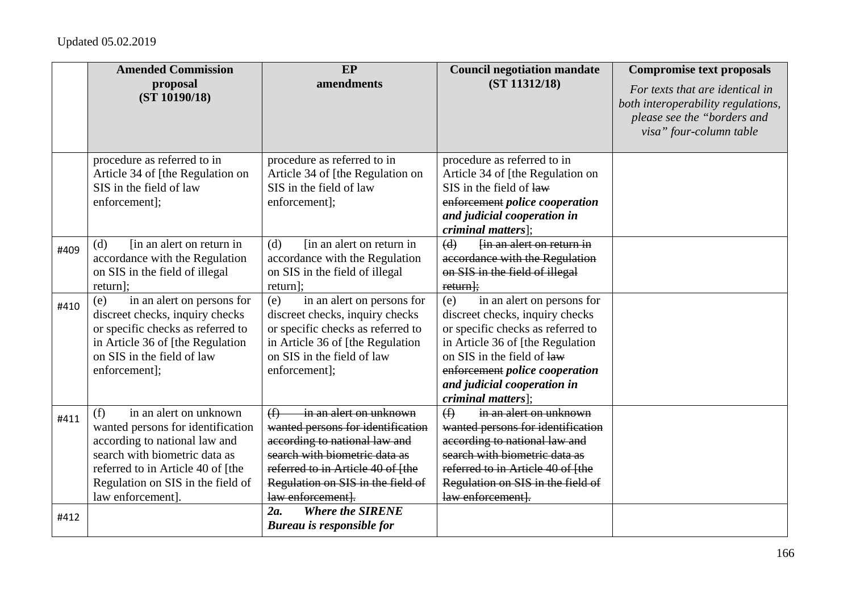|      | <b>Amended Commission</b><br>proposal                                                                                                                                                                                               | EP<br>amendments                                                                                                                                                                                                                    | <b>Council negotiation mandate</b><br>(ST 11312/18)                                                                                                                                                                                                                | <b>Compromise text proposals</b><br>For texts that are identical in                          |
|------|-------------------------------------------------------------------------------------------------------------------------------------------------------------------------------------------------------------------------------------|-------------------------------------------------------------------------------------------------------------------------------------------------------------------------------------------------------------------------------------|--------------------------------------------------------------------------------------------------------------------------------------------------------------------------------------------------------------------------------------------------------------------|----------------------------------------------------------------------------------------------|
|      | (ST 10190/18)                                                                                                                                                                                                                       |                                                                                                                                                                                                                                     |                                                                                                                                                                                                                                                                    | both interoperability regulations,<br>please see the "borders and<br>visa" four-column table |
|      | procedure as referred to in<br>Article 34 of [the Regulation on<br>SIS in the field of law<br>enforcement];                                                                                                                         | procedure as referred to in<br>Article 34 of [the Regulation on<br>SIS in the field of law<br>enforcement];                                                                                                                         | procedure as referred to in<br>Article 34 of [the Regulation on<br>SIS in the field of law<br>enforcement police cooperation<br>and judicial cooperation in<br><i>criminal matters]</i> ;                                                                          |                                                                                              |
| #409 | [in an alert on return in]<br>(d)<br>accordance with the Regulation<br>on SIS in the field of illegal<br>return];                                                                                                                   | (d)<br>[in an alert on return in]<br>accordance with the Regulation<br>on SIS in the field of illegal<br>return];                                                                                                                   | (d)<br>fin an alert on return in<br>accordance with the Regulation<br>on SIS in the field of illegal<br>$return$ ;                                                                                                                                                 |                                                                                              |
| #410 | (e)<br>in an alert on persons for<br>discreet checks, inquiry checks<br>or specific checks as referred to<br>in Article 36 of [the Regulation]<br>on SIS in the field of law<br>enforcement];                                       | in an alert on persons for<br>(e)<br>discreet checks, inquiry checks<br>or specific checks as referred to<br>in Article 36 of [the Regulation]<br>on SIS in the field of law<br>enforcement];                                       | in an alert on persons for<br>(e)<br>discreet checks, inquiry checks<br>or specific checks as referred to<br>in Article 36 of [the Regulation<br>on SIS in the field of law<br>enforcement police cooperation<br>and judicial cooperation in<br>criminal matters]; |                                                                                              |
| #411 | in an alert on unknown<br>(f)<br>wanted persons for identification<br>according to national law and<br>search with biometric data as<br>referred to in Article 40 of [the<br>Regulation on SIS in the field of<br>law enforcement]. | in an alert on unknown<br>(f)<br>wanted persons for identification<br>according to national law and<br>search with biometric data as<br>referred to in Article 40 of [the<br>Regulation on SIS in the field of<br>law enforcement]. | in an alert on unknown<br>$\bigoplus$<br>wanted persons for identification<br>according to national law and<br>search with biometric data as<br>referred to in Article 40 of [the<br>Regulation on SIS in the field of<br>law enforcement].                        |                                                                                              |
| #412 |                                                                                                                                                                                                                                     | <b>Where the SIRENE</b><br>$2a$ .<br><b>Bureau is responsible for</b>                                                                                                                                                               |                                                                                                                                                                                                                                                                    |                                                                                              |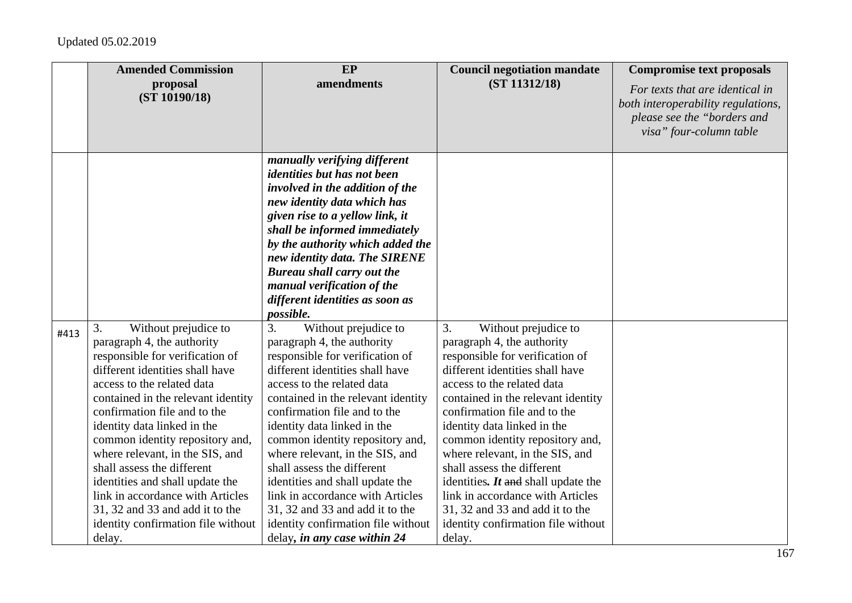|      | <b>Amended Commission</b>                                                                                                                                                                                                                                                                                                                                                                                                                                                                                                       | EP                                                                                                                                                                                                                                                                                                                                                                                                                                                                                                                                                    | <b>Council negotiation mandate</b>                                                                                                                                                                                                                                                                                                                                                                                                                                                                                                    | <b>Compromise text proposals</b>                                                                                                |
|------|---------------------------------------------------------------------------------------------------------------------------------------------------------------------------------------------------------------------------------------------------------------------------------------------------------------------------------------------------------------------------------------------------------------------------------------------------------------------------------------------------------------------------------|-------------------------------------------------------------------------------------------------------------------------------------------------------------------------------------------------------------------------------------------------------------------------------------------------------------------------------------------------------------------------------------------------------------------------------------------------------------------------------------------------------------------------------------------------------|---------------------------------------------------------------------------------------------------------------------------------------------------------------------------------------------------------------------------------------------------------------------------------------------------------------------------------------------------------------------------------------------------------------------------------------------------------------------------------------------------------------------------------------|---------------------------------------------------------------------------------------------------------------------------------|
|      | proposal<br>(ST 10190/18)                                                                                                                                                                                                                                                                                                                                                                                                                                                                                                       | amendments                                                                                                                                                                                                                                                                                                                                                                                                                                                                                                                                            | (ST 11312/18)                                                                                                                                                                                                                                                                                                                                                                                                                                                                                                                         | For texts that are identical in<br>both interoperability regulations,<br>please see the "borders and<br>visa" four-column table |
|      |                                                                                                                                                                                                                                                                                                                                                                                                                                                                                                                                 | manually verifying different<br><i>identities but has not been</i><br>involved in the addition of the<br>new identity data which has<br>given rise to a yellow link, it<br>shall be informed immediately<br>by the authority which added the<br>new identity data. The SIRENE<br><b>Bureau shall carry out the</b><br>manual verification of the<br>different identities as soon as<br>possible.                                                                                                                                                      |                                                                                                                                                                                                                                                                                                                                                                                                                                                                                                                                       |                                                                                                                                 |
| #413 | 3.<br>Without prejudice to<br>paragraph 4, the authority<br>responsible for verification of<br>different identities shall have<br>access to the related data<br>contained in the relevant identity<br>confirmation file and to the<br>identity data linked in the<br>common identity repository and,<br>where relevant, in the SIS, and<br>shall assess the different<br>identities and shall update the<br>link in accordance with Articles<br>31, 32 and 33 and add it to the<br>identity confirmation file without<br>delay. | 3.<br>Without prejudice to<br>paragraph 4, the authority<br>responsible for verification of<br>different identities shall have<br>access to the related data<br>contained in the relevant identity<br>confirmation file and to the<br>identity data linked in the<br>common identity repository and,<br>where relevant, in the SIS, and<br>shall assess the different<br>identities and shall update the<br>link in accordance with Articles<br>31, 32 and 33 and add it to the<br>identity confirmation file without<br>delay, in any case within 24 | 3.<br>Without prejudice to<br>paragraph 4, the authority<br>responsible for verification of<br>different identities shall have<br>access to the related data<br>contained in the relevant identity<br>confirmation file and to the<br>identity data linked in the<br>common identity repository and,<br>where relevant, in the SIS, and<br>shall assess the different<br>identities. $It$ and shall update the<br>link in accordance with Articles<br>31, 32 and 33 and add it to the<br>identity confirmation file without<br>delay. |                                                                                                                                 |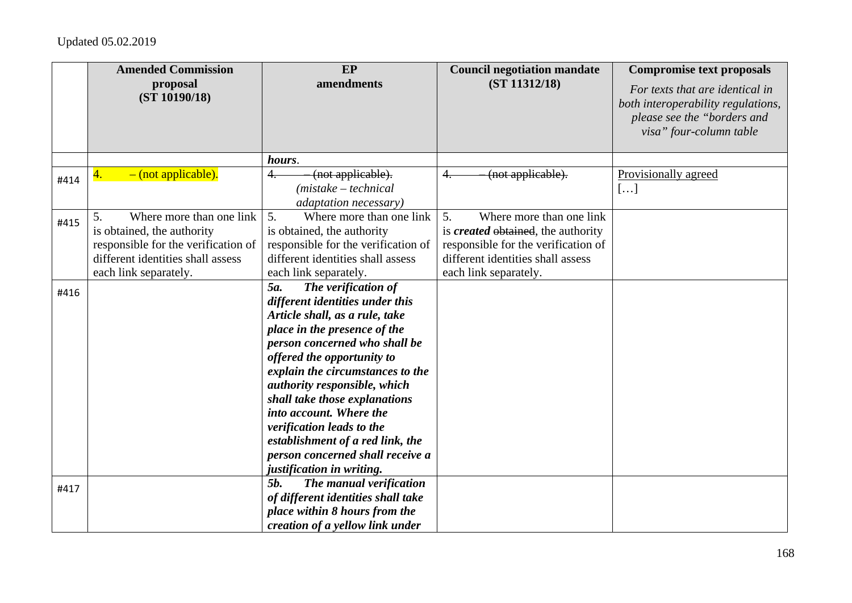|      | <b>Amended Commission</b>                                                                                                                                         | EP                                                                                                                                                                                                                                                                                                                                                                                                                                                               | <b>Council negotiation mandate</b>                                                                                                                                               | <b>Compromise text proposals</b>                                                                                                |
|------|-------------------------------------------------------------------------------------------------------------------------------------------------------------------|------------------------------------------------------------------------------------------------------------------------------------------------------------------------------------------------------------------------------------------------------------------------------------------------------------------------------------------------------------------------------------------------------------------------------------------------------------------|----------------------------------------------------------------------------------------------------------------------------------------------------------------------------------|---------------------------------------------------------------------------------------------------------------------------------|
|      | proposal<br>(ST 10190/18)                                                                                                                                         | amendments                                                                                                                                                                                                                                                                                                                                                                                                                                                       | (ST 11312/18)                                                                                                                                                                    | For texts that are identical in<br>both interoperability regulations,<br>please see the "borders and<br>visa" four-column table |
|      |                                                                                                                                                                   | hours.                                                                                                                                                                                                                                                                                                                                                                                                                                                           |                                                                                                                                                                                  |                                                                                                                                 |
| #414 | $-$ (not applicable).<br>4.                                                                                                                                       | (not applicable).<br>4.<br>$(mistake - technical)$<br>adaptation necessary)                                                                                                                                                                                                                                                                                                                                                                                      | (not applicable).                                                                                                                                                                | Provisionally agreed<br>[]                                                                                                      |
| #415 | Where more than one link<br>5.<br>is obtained, the authority<br>responsible for the verification of<br>different identities shall assess<br>each link separately. | 5 <sub>1</sub><br>Where more than one link<br>is obtained, the authority<br>responsible for the verification of<br>different identities shall assess<br>each link separately.                                                                                                                                                                                                                                                                                    | 5.<br>Where more than one link<br>is <i>created</i> obtained, the authority<br>responsible for the verification of<br>different identities shall assess<br>each link separately. |                                                                                                                                 |
| #416 |                                                                                                                                                                   | 5a.<br>The verification of<br>different identities under this<br>Article shall, as a rule, take<br>place in the presence of the<br>person concerned who shall be<br>offered the opportunity to<br>explain the circumstances to the<br>authority responsible, which<br>shall take those explanations<br>into account. Where the<br>verification leads to the<br>establishment of a red link, the<br>person concerned shall receive a<br>justification in writing. |                                                                                                                                                                                  |                                                                                                                                 |
| #417 |                                                                                                                                                                   | 5 <i>b</i> .<br>The manual verification<br>of different identities shall take<br>place within 8 hours from the<br>creation of a yellow link under                                                                                                                                                                                                                                                                                                                |                                                                                                                                                                                  |                                                                                                                                 |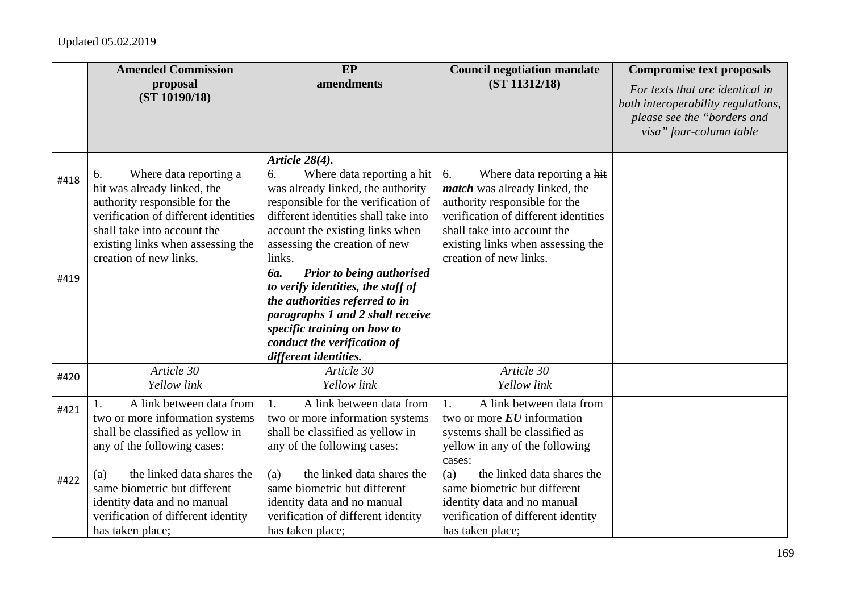|      | <b>Amended Commission</b>                                                                                                                                                                                                          | EP                                                                                                                                                                                                                                                | <b>Council negotiation mandate</b>                                                                                                                                                                                                              | <b>Compromise text proposals</b>                                                                                                |
|------|------------------------------------------------------------------------------------------------------------------------------------------------------------------------------------------------------------------------------------|---------------------------------------------------------------------------------------------------------------------------------------------------------------------------------------------------------------------------------------------------|-------------------------------------------------------------------------------------------------------------------------------------------------------------------------------------------------------------------------------------------------|---------------------------------------------------------------------------------------------------------------------------------|
|      | proposal<br>(ST 10190/18)                                                                                                                                                                                                          | amendments                                                                                                                                                                                                                                        | (ST 11312/18)                                                                                                                                                                                                                                   | For texts that are identical in<br>both interoperability regulations,<br>please see the "borders and<br>visa" four-column table |
|      |                                                                                                                                                                                                                                    | Article 28(4).                                                                                                                                                                                                                                    |                                                                                                                                                                                                                                                 |                                                                                                                                 |
| #418 | Where data reporting a<br>6.<br>hit was already linked, the<br>authority responsible for the<br>verification of different identities<br>shall take into account the<br>existing links when assessing the<br>creation of new links. | 6.<br>Where data reporting a hit<br>was already linked, the authority<br>responsible for the verification of<br>different identities shall take into<br>account the existing links when<br>assessing the creation of new<br>links.                | Where data reporting a hit<br>6.<br><i>match</i> was already linked, the<br>authority responsible for the<br>verification of different identities<br>shall take into account the<br>existing links when assessing the<br>creation of new links. |                                                                                                                                 |
| #419 |                                                                                                                                                                                                                                    | <b>Prior to being authorised</b><br><b>ба.</b><br>to verify identities, the staff of<br>the authorities referred to in<br>paragraphs 1 and 2 shall receive<br>specific training on how to<br>conduct the verification of<br>different identities. |                                                                                                                                                                                                                                                 |                                                                                                                                 |
| #420 | Article 30<br>Yellow link                                                                                                                                                                                                          | Article 30<br>Yellow link                                                                                                                                                                                                                         | Article 30<br>Yellow link                                                                                                                                                                                                                       |                                                                                                                                 |
| #421 | A link between data from<br>two or more information systems<br>shall be classified as yellow in<br>any of the following cases:                                                                                                     | A link between data from<br>1.<br>two or more information systems<br>shall be classified as yellow in<br>any of the following cases:                                                                                                              | A link between data from<br>1.<br>two or more $EU$ information<br>systems shall be classified as<br>yellow in any of the following<br>cases:                                                                                                    |                                                                                                                                 |
| #422 | the linked data shares the<br>(a)<br>same biometric but different<br>identity data and no manual<br>verification of different identity<br>has taken place;                                                                         | the linked data shares the<br>(a)<br>same biometric but different<br>identity data and no manual<br>verification of different identity<br>has taken place;                                                                                        | the linked data shares the<br>(a)<br>same biometric but different<br>identity data and no manual<br>verification of different identity<br>has taken place;                                                                                      |                                                                                                                                 |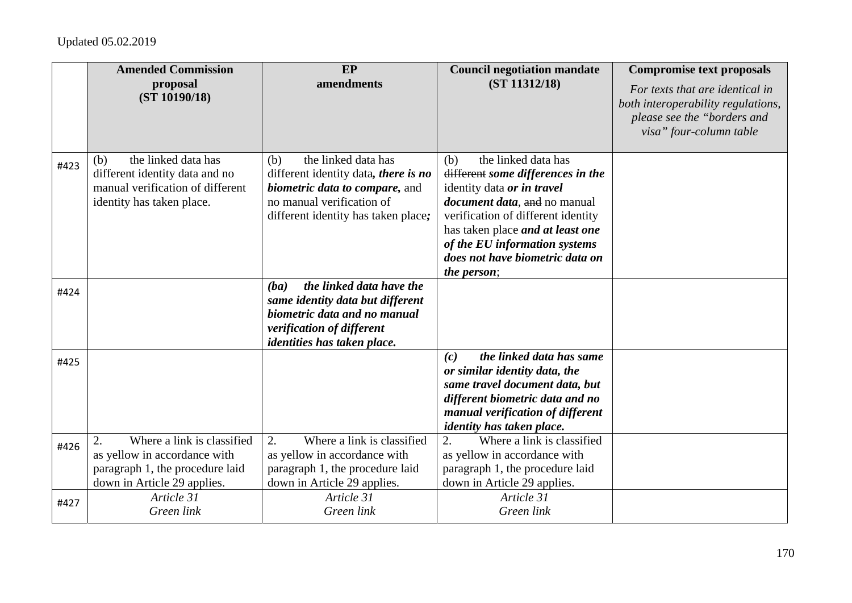|      | <b>Amended Commission</b>                                                                                                          | EP                                                                                                                                                                              | <b>Council negotiation mandate</b>                                                                                                                                                                                                                                                                                | <b>Compromise text proposals</b>                                                                                                |
|------|------------------------------------------------------------------------------------------------------------------------------------|---------------------------------------------------------------------------------------------------------------------------------------------------------------------------------|-------------------------------------------------------------------------------------------------------------------------------------------------------------------------------------------------------------------------------------------------------------------------------------------------------------------|---------------------------------------------------------------------------------------------------------------------------------|
|      | proposal<br>(ST 10190/18)                                                                                                          | amendments                                                                                                                                                                      | (ST 11312/18)                                                                                                                                                                                                                                                                                                     | For texts that are identical in<br>both interoperability regulations,<br>please see the "borders and<br>visa" four-column table |
| #423 | the linked data has<br>(b)<br>different identity data and no<br>manual verification of different<br>identity has taken place.      | the linked data has<br>(b)<br>different identity data, there is no<br><i>biometric data to compare, and</i><br>no manual verification of<br>different identity has taken place; | the linked data has<br>(b)<br>different some differences in the<br>identity data or in travel<br><i>document data</i> , and no manual<br>verification of different identity<br>has taken place <i>and at least one</i><br>of the EU information systems<br>does not have biometric data on<br><i>the person</i> ; |                                                                                                                                 |
| #424 |                                                                                                                                    | the linked data have the<br>(ba)<br>same identity data but different<br>biometric data and no manual<br>verification of different<br>identities has taken place.                |                                                                                                                                                                                                                                                                                                                   |                                                                                                                                 |
| #425 |                                                                                                                                    |                                                                                                                                                                                 | the linked data has same<br>(c)<br>or similar identity data, the<br>same travel document data, but<br>different biometric data and no<br>manual verification of different<br><i>identity has taken place.</i>                                                                                                     |                                                                                                                                 |
| #426 | Where a link is classified<br>2.<br>as yellow in accordance with<br>paragraph 1, the procedure laid<br>down in Article 29 applies. | Where a link is classified<br>2.<br>as yellow in accordance with<br>paragraph 1, the procedure laid<br>down in Article 29 applies.                                              | 2.<br>Where a link is classified<br>as yellow in accordance with<br>paragraph 1, the procedure laid<br>down in Article 29 applies.                                                                                                                                                                                |                                                                                                                                 |
| #427 | Article 31<br>Green link                                                                                                           | Article 31<br>Green link                                                                                                                                                        | Article 31<br>Green link                                                                                                                                                                                                                                                                                          |                                                                                                                                 |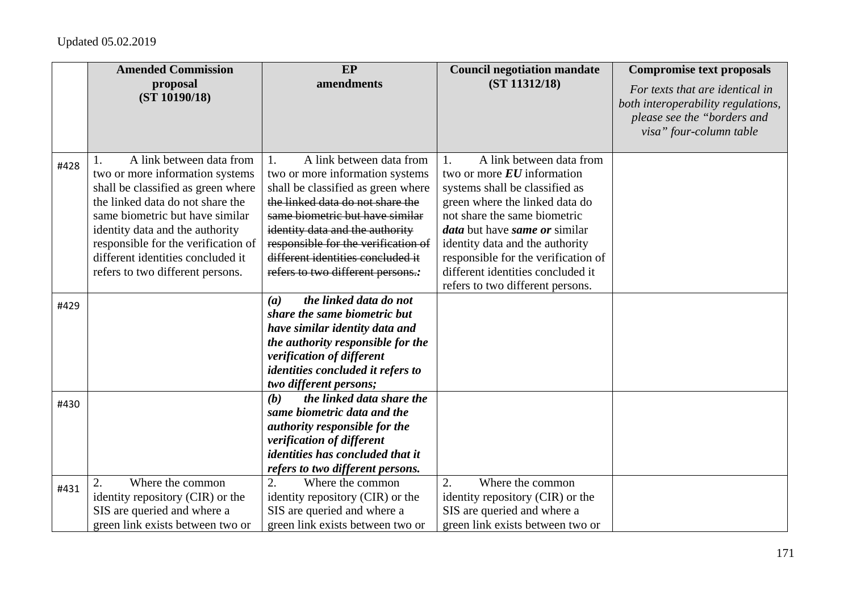|      | <b>Amended Commission</b>           | <b>EP</b>                               | <b>Council negotiation mandate</b>          | <b>Compromise text proposals</b>                                                                                                |
|------|-------------------------------------|-----------------------------------------|---------------------------------------------|---------------------------------------------------------------------------------------------------------------------------------|
|      | proposal<br>(ST 10190/18)           | amendments                              | (ST 11312/18)                               | For texts that are identical in<br>both interoperability regulations,<br>please see the "borders and<br>visa" four-column table |
| #428 | A link between data from            | A link between data from<br>1.          | A link between data from<br>1.              |                                                                                                                                 |
|      | two or more information systems     | two or more information systems         | two or more $EU$ information                |                                                                                                                                 |
|      | shall be classified as green where  | shall be classified as green where      | systems shall be classified as              |                                                                                                                                 |
|      | the linked data do not share the    | the linked data do not share the        | green where the linked data do              |                                                                                                                                 |
|      | same biometric but have similar     | same biometric but have similar         | not share the same biometric                |                                                                                                                                 |
|      | identity data and the authority     | identity data and the authority         | <i>data</i> but have <i>same</i> or similar |                                                                                                                                 |
|      | responsible for the verification of | responsible for the verification of     | identity data and the authority             |                                                                                                                                 |
|      | different identities concluded it   | different identities concluded it       | responsible for the verification of         |                                                                                                                                 |
|      | refers to two different persons.    | refers to two different persons.:       | different identities concluded it           |                                                                                                                                 |
|      |                                     |                                         | refers to two different persons.            |                                                                                                                                 |
| #429 |                                     | the linked data do not<br>(a)           |                                             |                                                                                                                                 |
|      |                                     | share the same biometric but            |                                             |                                                                                                                                 |
|      |                                     | have similar identity data and          |                                             |                                                                                                                                 |
|      |                                     | the authority responsible for the       |                                             |                                                                                                                                 |
|      |                                     | verification of different               |                                             |                                                                                                                                 |
|      |                                     | identities concluded it refers to       |                                             |                                                                                                                                 |
|      |                                     | two different persons;                  |                                             |                                                                                                                                 |
| #430 |                                     | the linked data share the<br>(b)        |                                             |                                                                                                                                 |
|      |                                     | same biometric data and the             |                                             |                                                                                                                                 |
|      |                                     | <i>authority responsible for the</i>    |                                             |                                                                                                                                 |
|      |                                     | verification of different               |                                             |                                                                                                                                 |
|      |                                     | <i>identities has concluded that it</i> |                                             |                                                                                                                                 |
|      |                                     | refers to two different persons.        |                                             |                                                                                                                                 |
| #431 | Where the common                    | 2.<br>Where the common                  | 2.<br>Where the common                      |                                                                                                                                 |
|      | identity repository (CIR) or the    | identity repository (CIR) or the        | identity repository (CIR) or the            |                                                                                                                                 |
|      | SIS are queried and where a         | SIS are queried and where a             | SIS are queried and where a                 |                                                                                                                                 |
|      | green link exists between two or    | green link exists between two or        | green link exists between two or            |                                                                                                                                 |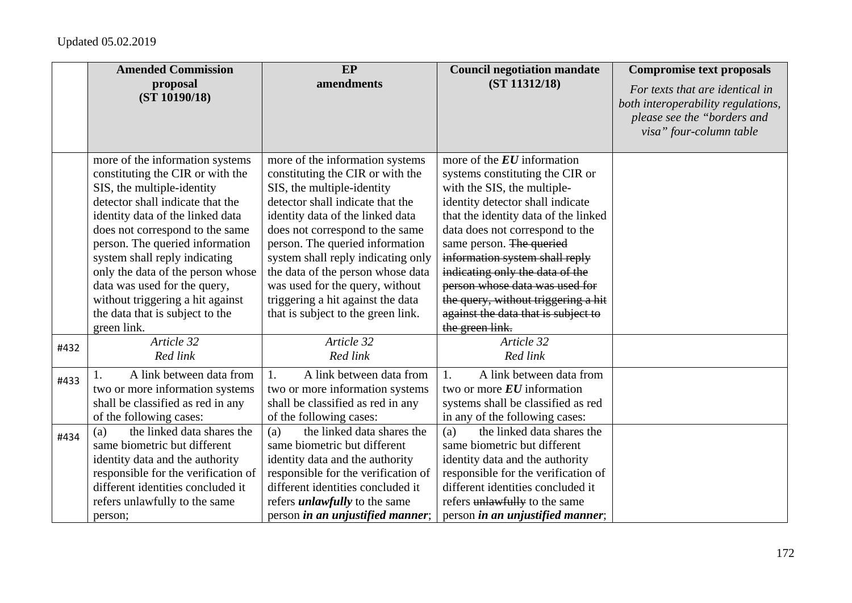|      | <b>Amended Commission</b>                                                                                                                                                                                                                                                                                                                                                                                                                   | <b>EP</b>                                                                                                                                                                                                                                                                                                                                                                                                                                | <b>Council negotiation mandate</b>                                                                                                                                                                                                                                                                                                                                                                                                                | <b>Compromise text proposals</b>                                                                                                |
|------|---------------------------------------------------------------------------------------------------------------------------------------------------------------------------------------------------------------------------------------------------------------------------------------------------------------------------------------------------------------------------------------------------------------------------------------------|------------------------------------------------------------------------------------------------------------------------------------------------------------------------------------------------------------------------------------------------------------------------------------------------------------------------------------------------------------------------------------------------------------------------------------------|---------------------------------------------------------------------------------------------------------------------------------------------------------------------------------------------------------------------------------------------------------------------------------------------------------------------------------------------------------------------------------------------------------------------------------------------------|---------------------------------------------------------------------------------------------------------------------------------|
|      | proposal<br>(ST 10190/18)                                                                                                                                                                                                                                                                                                                                                                                                                   | amendments                                                                                                                                                                                                                                                                                                                                                                                                                               | (ST 11312/18)                                                                                                                                                                                                                                                                                                                                                                                                                                     | For texts that are identical in<br>both interoperability regulations,<br>please see the "borders and<br>visa" four-column table |
|      | more of the information systems<br>constituting the CIR or with the<br>SIS, the multiple-identity<br>detector shall indicate that the<br>identity data of the linked data<br>does not correspond to the same<br>person. The queried information<br>system shall reply indicating<br>only the data of the person whose<br>data was used for the query,<br>without triggering a hit against<br>the data that is subject to the<br>green link. | more of the information systems<br>constituting the CIR or with the<br>SIS, the multiple-identity<br>detector shall indicate that the<br>identity data of the linked data<br>does not correspond to the same<br>person. The queried information<br>system shall reply indicating only<br>the data of the person whose data<br>was used for the query, without<br>triggering a hit against the data<br>that is subject to the green link. | more of the $EU$ information<br>systems constituting the CIR or<br>with the SIS, the multiple-<br>identity detector shall indicate<br>that the identity data of the linked<br>data does not correspond to the<br>same person. The queried<br>information system shall reply<br>indicating only the data of the<br>person whose data was used for<br>the query, without triggering a hit<br>against the data that is subject to<br>the green link. |                                                                                                                                 |
| #432 | Article 32<br>Red link                                                                                                                                                                                                                                                                                                                                                                                                                      | Article 32<br>Red link                                                                                                                                                                                                                                                                                                                                                                                                                   | Article 32<br>Red link                                                                                                                                                                                                                                                                                                                                                                                                                            |                                                                                                                                 |
| #433 | A link between data from<br>two or more information systems<br>shall be classified as red in any<br>of the following cases:                                                                                                                                                                                                                                                                                                                 | A link between data from<br>1.<br>two or more information systems<br>shall be classified as red in any<br>of the following cases:                                                                                                                                                                                                                                                                                                        | A link between data from<br>1.<br>two or more $EU$ information<br>systems shall be classified as red<br>in any of the following cases:                                                                                                                                                                                                                                                                                                            |                                                                                                                                 |
| #434 | the linked data shares the<br>(a)<br>same biometric but different<br>identity data and the authority<br>responsible for the verification of<br>different identities concluded it<br>refers unlawfully to the same<br>person;                                                                                                                                                                                                                | the linked data shares the<br>(a)<br>same biometric but different<br>identity data and the authority<br>responsible for the verification of<br>different identities concluded it<br>refers <i>unlawfully</i> to the same<br>person in an unjustified manner;                                                                                                                                                                             | the linked data shares the<br>(a)<br>same biometric but different<br>identity data and the authority<br>responsible for the verification of<br>different identities concluded it<br>refers unlawfully to the same<br>person in an unjustified manner;                                                                                                                                                                                             |                                                                                                                                 |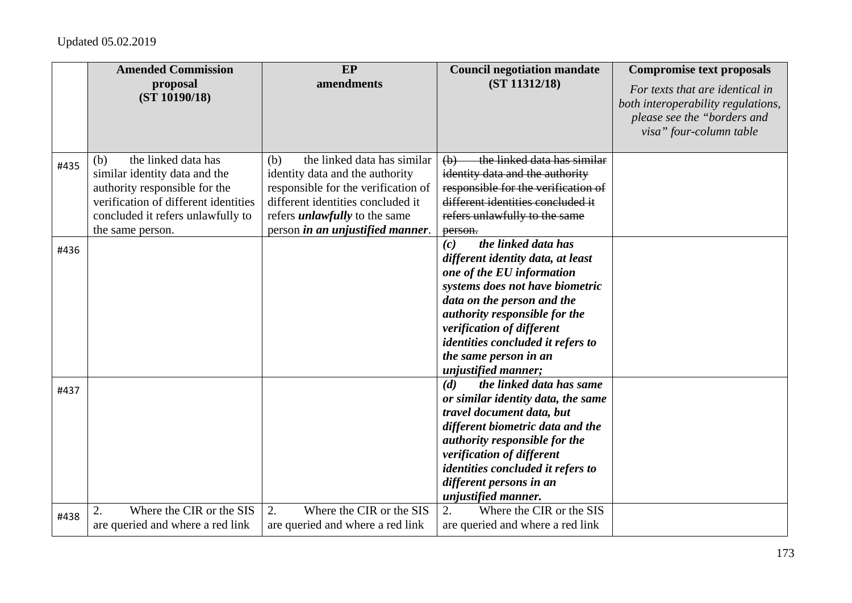|      | <b>Amended Commission</b>            | EP                                   | <b>Council negotiation mandate</b>                        | <b>Compromise text proposals</b>                                                                                                |
|------|--------------------------------------|--------------------------------------|-----------------------------------------------------------|---------------------------------------------------------------------------------------------------------------------------------|
|      | proposal<br>(ST 10190/18)            | amendments                           | (ST 11312/18)                                             | For texts that are identical in<br>both interoperability regulations,<br>please see the "borders and<br>visa" four-column table |
| #435 | the linked data has<br>(b)           | the linked data has similar<br>(b)   | the linked data has similar<br>$\left(\frac{1}{2}\right)$ |                                                                                                                                 |
|      | similar identity data and the        | identity data and the authority      | identity data and the authority                           |                                                                                                                                 |
|      | authority responsible for the        | responsible for the verification of  | responsible for the verification of                       |                                                                                                                                 |
|      | verification of different identities | different identities concluded it    | different identities concluded it                         |                                                                                                                                 |
|      | concluded it refers unlawfully to    | refers <i>unlawfully</i> to the same | refers unlawfully to the same                             |                                                                                                                                 |
|      | the same person.                     | person in an unjustified manner.     | person.<br>the linked data has<br>(c)                     |                                                                                                                                 |
| #436 |                                      |                                      | different identity data, at least                         |                                                                                                                                 |
|      |                                      |                                      | one of the EU information                                 |                                                                                                                                 |
|      |                                      |                                      | systems does not have biometric                           |                                                                                                                                 |
|      |                                      |                                      | data on the person and the                                |                                                                                                                                 |
|      |                                      |                                      | authority responsible for the                             |                                                                                                                                 |
|      |                                      |                                      | verification of different                                 |                                                                                                                                 |
|      |                                      |                                      | identities concluded it refers to                         |                                                                                                                                 |
|      |                                      |                                      | the same person in an                                     |                                                                                                                                 |
|      |                                      |                                      | <i>unjustified manner;</i>                                |                                                                                                                                 |
|      |                                      |                                      | the linked data has same<br>(d)                           |                                                                                                                                 |
| #437 |                                      |                                      | or similar identity data, the same                        |                                                                                                                                 |
|      |                                      |                                      | travel document data, but                                 |                                                                                                                                 |
|      |                                      |                                      | different biometric data and the                          |                                                                                                                                 |
|      |                                      |                                      | authority responsible for the                             |                                                                                                                                 |
|      |                                      |                                      | verification of different                                 |                                                                                                                                 |
|      |                                      |                                      | identities concluded it refers to                         |                                                                                                                                 |
|      |                                      |                                      | different persons in an                                   |                                                                                                                                 |
|      |                                      |                                      | unjustified manner.                                       |                                                                                                                                 |
| #438 | Where the CIR or the SIS<br>2.       | Where the CIR or the SIS<br>2.       | 2.<br>Where the CIR or the SIS                            |                                                                                                                                 |
|      | are queried and where a red link     | are queried and where a red link     | are queried and where a red link                          |                                                                                                                                 |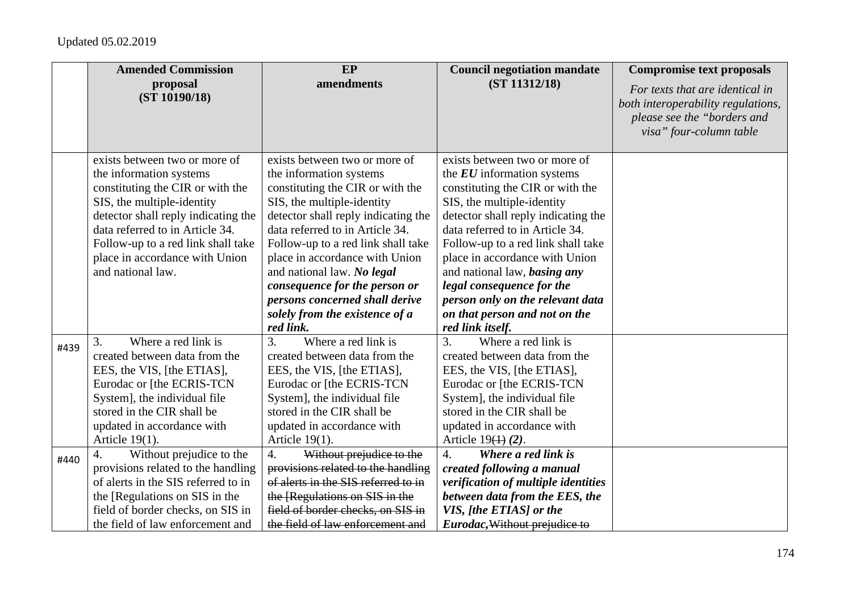|      | <b>Amended Commission</b>                                                                                                                                                                                                            | <b>EP</b>                                                                                                                                                                                                                                         | <b>Council negotiation mandate</b>                                                                                                                                                                                                        | <b>Compromise text proposals</b>                                                                                                |
|------|--------------------------------------------------------------------------------------------------------------------------------------------------------------------------------------------------------------------------------------|---------------------------------------------------------------------------------------------------------------------------------------------------------------------------------------------------------------------------------------------------|-------------------------------------------------------------------------------------------------------------------------------------------------------------------------------------------------------------------------------------------|---------------------------------------------------------------------------------------------------------------------------------|
|      | proposal<br>(ST 10190/18)                                                                                                                                                                                                            | amendments                                                                                                                                                                                                                                        | (ST 11312/18)                                                                                                                                                                                                                             | For texts that are identical in<br>both interoperability regulations,<br>please see the "borders and<br>visa" four-column table |
|      | exists between two or more of<br>the information systems<br>constituting the CIR or with the<br>SIS, the multiple-identity                                                                                                           | exists between two or more of<br>the information systems<br>constituting the CIR or with the<br>SIS, the multiple-identity                                                                                                                        | exists between two or more of<br>the $EU$ information systems<br>constituting the CIR or with the<br>SIS, the multiple-identity                                                                                                           |                                                                                                                                 |
|      | detector shall reply indicating the<br>data referred to in Article 34.<br>Follow-up to a red link shall take<br>place in accordance with Union<br>and national law.                                                                  | detector shall reply indicating the<br>data referred to in Article 34.<br>Follow-up to a red link shall take<br>place in accordance with Union<br>and national law. No legal                                                                      | detector shall reply indicating the<br>data referred to in Article 34.<br>Follow-up to a red link shall take<br>place in accordance with Union<br>and national law, <i>basing any</i>                                                     |                                                                                                                                 |
|      |                                                                                                                                                                                                                                      | consequence for the person or<br>persons concerned shall derive<br>solely from the existence of a<br>red link.                                                                                                                                    | legal consequence for the<br>person only on the relevant data<br>on that person and not on the<br>red link itself.                                                                                                                        |                                                                                                                                 |
| #439 | Where a red link is<br>3.<br>created between data from the<br>EES, the VIS, [the ETIAS],<br>Eurodac or [the ECRIS-TCN<br>System], the individual file<br>stored in the CIR shall be<br>updated in accordance with<br>Article 19(1).  | $\overline{3}$ .<br>Where a red link is<br>created between data from the<br>EES, the VIS, [the ETIAS],<br>Eurodac or [the ECRIS-TCN<br>System], the individual file<br>stored in the CIR shall be<br>updated in accordance with<br>Article 19(1). | Where a red link is<br>3.<br>created between data from the<br>EES, the VIS, [the ETIAS],<br>Eurodac or [the ECRIS-TCN<br>System], the individual file<br>stored in the CIR shall be<br>updated in accordance with<br>Article $19(4)$ (2). |                                                                                                                                 |
| #440 | $\overline{4}$ .<br>Without prejudice to the<br>provisions related to the handling<br>of alerts in the SIS referred to in<br>the [Regulations on SIS in the<br>field of border checks, on SIS in<br>the field of law enforcement and | $\overline{4}$ .<br>Without prejudice to the<br>provisions related to the handling<br>of alerts in the SIS referred to in<br>the [Regulations on SIS in the<br>field of border checks, on SIS in<br>the field of law enforcement and              | $\overline{4}$ .<br>Where a red link is<br>created following a manual<br>verification of multiple identities<br>between data from the EES, the<br>VIS, [the ETIAS] or the<br>Eurodac, Without prejudice to                                |                                                                                                                                 |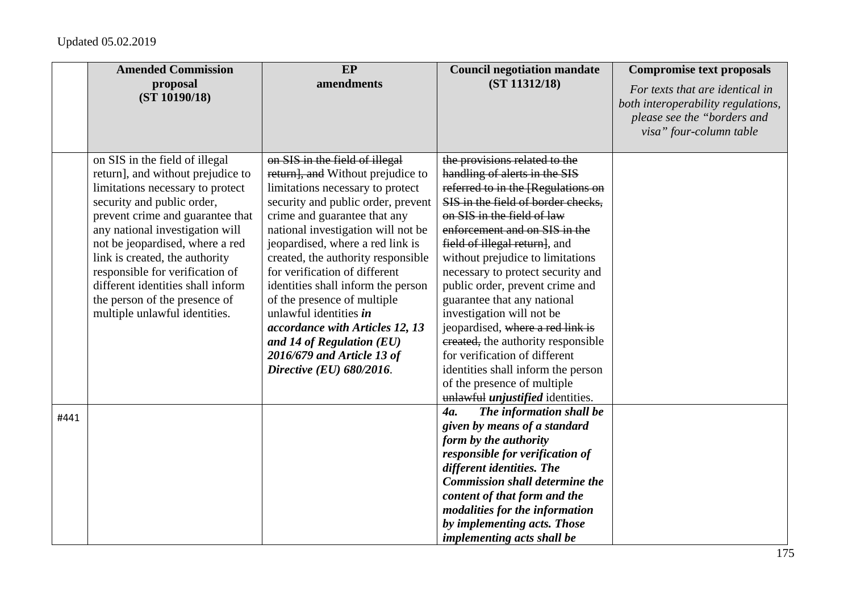|      | <b>Amended Commission</b>                                                                                                                                                                                                                                                                                                                                                                                                   | EP                                                                                                                                                                                                                                                                                                                                                                                                                                                                                                                                                        | <b>Council negotiation mandate</b>                                                                                                                                                                                                                                                                                                                                                                                                                                                                                                                                                                                                            | <b>Compromise text proposals</b>                                                                                                |
|------|-----------------------------------------------------------------------------------------------------------------------------------------------------------------------------------------------------------------------------------------------------------------------------------------------------------------------------------------------------------------------------------------------------------------------------|-----------------------------------------------------------------------------------------------------------------------------------------------------------------------------------------------------------------------------------------------------------------------------------------------------------------------------------------------------------------------------------------------------------------------------------------------------------------------------------------------------------------------------------------------------------|-----------------------------------------------------------------------------------------------------------------------------------------------------------------------------------------------------------------------------------------------------------------------------------------------------------------------------------------------------------------------------------------------------------------------------------------------------------------------------------------------------------------------------------------------------------------------------------------------------------------------------------------------|---------------------------------------------------------------------------------------------------------------------------------|
|      | proposal<br>(ST 10190/18)                                                                                                                                                                                                                                                                                                                                                                                                   | amendments                                                                                                                                                                                                                                                                                                                                                                                                                                                                                                                                                | (ST 11312/18)                                                                                                                                                                                                                                                                                                                                                                                                                                                                                                                                                                                                                                 | For texts that are identical in<br>both interoperability regulations,<br>please see the "borders and<br>visa" four-column table |
|      | on SIS in the field of illegal<br>return], and without prejudice to<br>limitations necessary to protect<br>security and public order,<br>prevent crime and guarantee that<br>any national investigation will<br>not be jeopardised, where a red<br>link is created, the authority<br>responsible for verification of<br>different identities shall inform<br>the person of the presence of<br>multiple unlawful identities. | on SIS in the field of illegal<br>return], and Without prejudice to<br>limitations necessary to protect<br>security and public order, prevent<br>crime and guarantee that any<br>national investigation will not be<br>jeopardised, where a red link is<br>created, the authority responsible<br>for verification of different<br>identities shall inform the person<br>of the presence of multiple<br>unlawful identities in<br>accordance with Articles 12, 13<br>and 14 of Regulation $(EU)$<br>2016/679 and Article 13 of<br>Directive (EU) 680/2016. | the provisions related to the<br>handling of alerts in the SIS<br>referred to in the [Regulations on<br>SIS in the field of border checks,<br>on SIS in the field of law<br>enforcement and on SIS in the<br>field of illegal return], and<br>without prejudice to limitations<br>necessary to protect security and<br>public order, prevent crime and<br>guarantee that any national<br>investigation will not be<br>jeopardised, where a red link is<br>ereated, the authority responsible<br>for verification of different<br>identities shall inform the person<br>of the presence of multiple<br>unlawful <i>unjustified</i> identities. |                                                                                                                                 |
| #441 |                                                                                                                                                                                                                                                                                                                                                                                                                             |                                                                                                                                                                                                                                                                                                                                                                                                                                                                                                                                                           | The information shall be<br>4a.<br>given by means of a standard<br>form by the authority<br>responsible for verification of<br>different identities. The<br><b>Commission shall determine the</b><br>content of that form and the<br>modalities for the information<br>by implementing acts. Those<br><i>implementing acts shall be</i>                                                                                                                                                                                                                                                                                                       |                                                                                                                                 |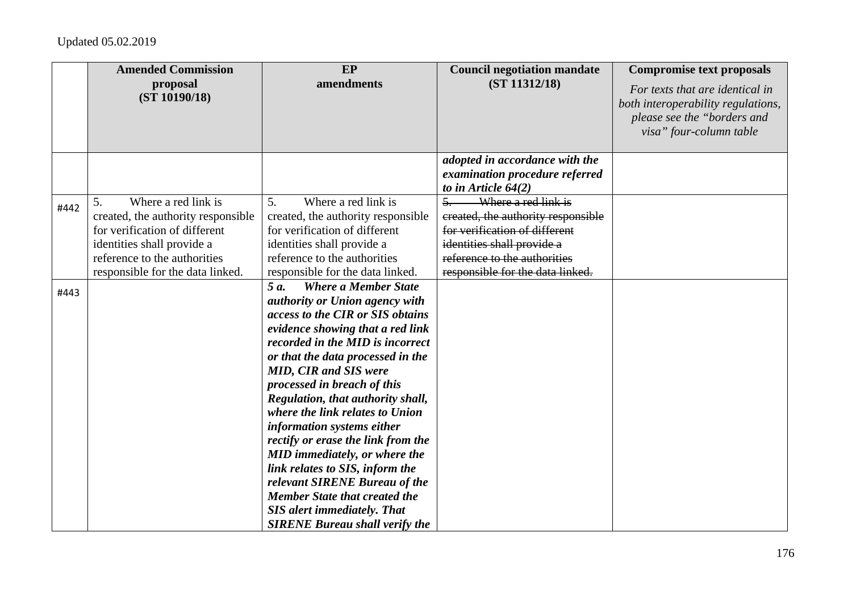|      | <b>Amended Commission</b><br>proposal<br>(ST 10190/18)                                                                                                                                             | EP<br>amendments                                                                                                                                                                                                                                                                                                                                                                                                                                                                                                                                                                                                                                              | <b>Council negotiation mandate</b><br>(ST 11312/18)                                                                                                                                                              | <b>Compromise text proposals</b><br>For texts that are identical in<br>both interoperability regulations,<br>please see the "borders and<br>visa" four-column table |
|------|----------------------------------------------------------------------------------------------------------------------------------------------------------------------------------------------------|---------------------------------------------------------------------------------------------------------------------------------------------------------------------------------------------------------------------------------------------------------------------------------------------------------------------------------------------------------------------------------------------------------------------------------------------------------------------------------------------------------------------------------------------------------------------------------------------------------------------------------------------------------------|------------------------------------------------------------------------------------------------------------------------------------------------------------------------------------------------------------------|---------------------------------------------------------------------------------------------------------------------------------------------------------------------|
|      |                                                                                                                                                                                                    |                                                                                                                                                                                                                                                                                                                                                                                                                                                                                                                                                                                                                                                               | adopted in accordance with the<br>examination procedure referred<br>to in Article $64(2)$                                                                                                                        |                                                                                                                                                                     |
| #442 | Where a red link is<br>5.<br>created, the authority responsible<br>for verification of different<br>identities shall provide a<br>reference to the authorities<br>responsible for the data linked. | Where a red link is<br>5 <sub>1</sub><br>created, the authority responsible<br>for verification of different<br>identities shall provide a<br>reference to the authorities<br>responsible for the data linked.                                                                                                                                                                                                                                                                                                                                                                                                                                                | Where a red link is<br>$\overline{5}$ .<br>created, the authority responsible<br>for verification of different<br>identities shall provide a<br>reference to the authorities<br>responsible for the data linked. |                                                                                                                                                                     |
| #443 |                                                                                                                                                                                                    | 5 a.<br><b>Where a Member State</b><br>authority or Union agency with<br>access to the CIR or SIS obtains<br>evidence showing that a red link<br>recorded in the MID is incorrect<br>or that the data processed in the<br><b>MID, CIR and SIS were</b><br>processed in breach of this<br>Regulation, that authority shall,<br>where the link relates to Union<br>information systems either<br>rectify or erase the link from the<br>MID immediately, or where the<br>link relates to SIS, inform the<br>relevant SIRENE Bureau of the<br><b>Member State that created the</b><br><b>SIS</b> alert immediately. That<br><b>SIRENE Bureau shall verify the</b> |                                                                                                                                                                                                                  |                                                                                                                                                                     |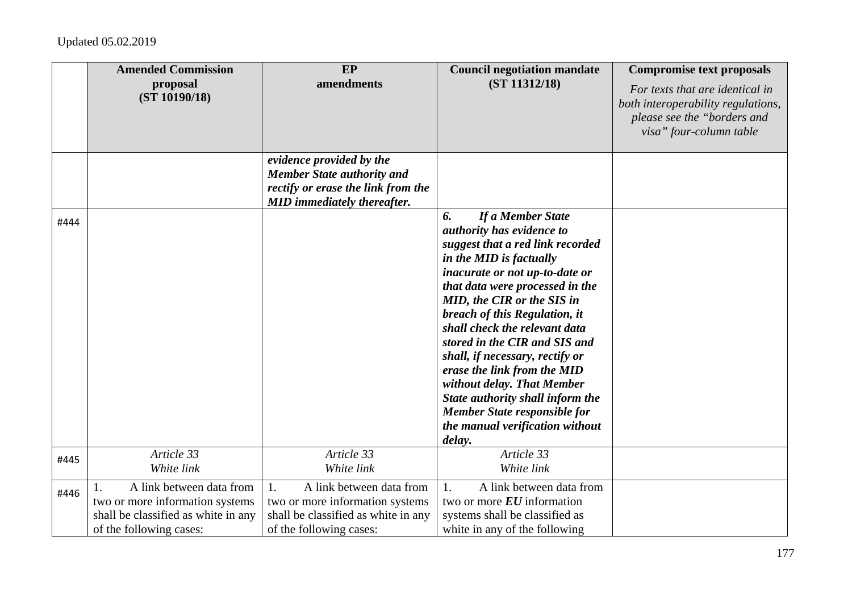|      | <b>Amended Commission</b>                                                                                                     | EP                                                                                                                                        | <b>Council negotiation mandate</b>                                                                                                                                                                                                                                                                                                                                                                                                                                                                                                                | <b>Compromise text proposals</b>                                                                                                |
|------|-------------------------------------------------------------------------------------------------------------------------------|-------------------------------------------------------------------------------------------------------------------------------------------|---------------------------------------------------------------------------------------------------------------------------------------------------------------------------------------------------------------------------------------------------------------------------------------------------------------------------------------------------------------------------------------------------------------------------------------------------------------------------------------------------------------------------------------------------|---------------------------------------------------------------------------------------------------------------------------------|
|      | proposal<br>(ST 10190/18)                                                                                                     | amendments                                                                                                                                | (ST 11312/18)                                                                                                                                                                                                                                                                                                                                                                                                                                                                                                                                     | For texts that are identical in<br>both interoperability regulations,<br>please see the "borders and<br>visa" four-column table |
|      |                                                                                                                               | evidence provided by the<br><b>Member State authority and</b><br>rectify or erase the link from the<br><b>MID</b> immediately thereafter. |                                                                                                                                                                                                                                                                                                                                                                                                                                                                                                                                                   |                                                                                                                                 |
| #444 |                                                                                                                               |                                                                                                                                           | If a Member State<br>6.<br>authority has evidence to<br>suggest that a red link recorded<br>in the MID is factually<br>inacurate or not up-to-date or<br>that data were processed in the<br>MID, the CIR or the SIS in<br>breach of this Regulation, it<br>shall check the relevant data<br>stored in the CIR and SIS and<br>shall, if necessary, rectify or<br>erase the link from the MID<br>without delay. That Member<br>State authority shall inform the<br><b>Member State responsible for</b><br>the manual verification without<br>delay. |                                                                                                                                 |
| #445 | Article 33<br>White link                                                                                                      | Article 33<br>White link                                                                                                                  | Article 33<br>White link                                                                                                                                                                                                                                                                                                                                                                                                                                                                                                                          |                                                                                                                                 |
| #446 | A link between data from<br>two or more information systems<br>shall be classified as white in any<br>of the following cases: | 1.<br>A link between data from<br>two or more information systems<br>shall be classified as white in any<br>of the following cases:       | A link between data from<br>1.<br>two or more $EU$ information<br>systems shall be classified as<br>white in any of the following                                                                                                                                                                                                                                                                                                                                                                                                                 |                                                                                                                                 |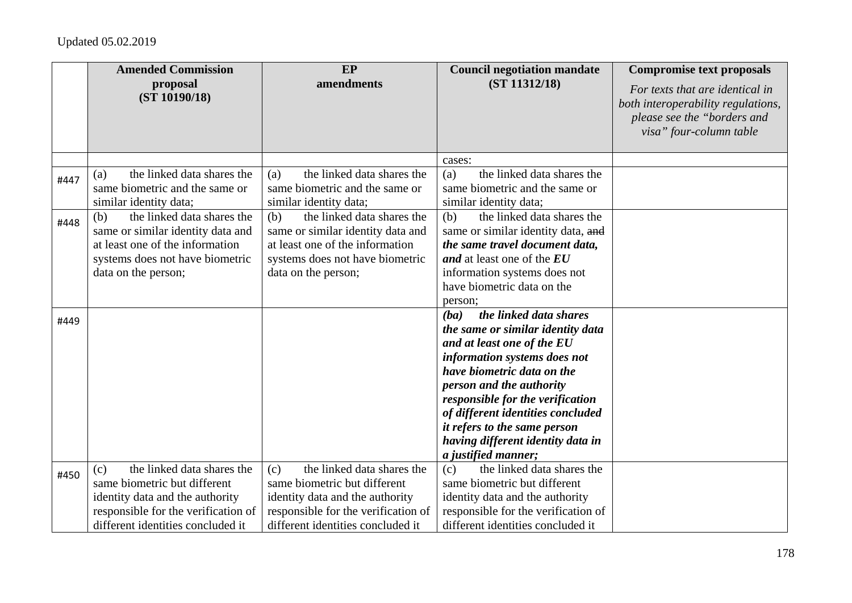|      | <b>Amended Commission</b>                                                                                                                                                        | EP                                                                                                                                                                               | <b>Council negotiation mandate</b>                                                                                                                                                                                                                                                                                                                                             | <b>Compromise text proposals</b>                                                                                                |
|------|----------------------------------------------------------------------------------------------------------------------------------------------------------------------------------|----------------------------------------------------------------------------------------------------------------------------------------------------------------------------------|--------------------------------------------------------------------------------------------------------------------------------------------------------------------------------------------------------------------------------------------------------------------------------------------------------------------------------------------------------------------------------|---------------------------------------------------------------------------------------------------------------------------------|
|      | proposal<br>(ST 10190/18)                                                                                                                                                        | amendments                                                                                                                                                                       | (ST 11312/18)                                                                                                                                                                                                                                                                                                                                                                  | For texts that are identical in<br>both interoperability regulations,<br>please see the "borders and<br>visa" four-column table |
|      |                                                                                                                                                                                  |                                                                                                                                                                                  | cases:                                                                                                                                                                                                                                                                                                                                                                         |                                                                                                                                 |
| #447 | the linked data shares the<br>(a)<br>same biometric and the same or<br>similar identity data;                                                                                    | the linked data shares the<br>(a)<br>same biometric and the same or<br>similar identity data;                                                                                    | the linked data shares the<br>(a)<br>same biometric and the same or<br>similar identity data;                                                                                                                                                                                                                                                                                  |                                                                                                                                 |
| #448 | the linked data shares the<br>(b)<br>same or similar identity data and<br>at least one of the information<br>systems does not have biometric<br>data on the person;              | the linked data shares the<br>(b)<br>same or similar identity data and<br>at least one of the information<br>systems does not have biometric<br>data on the person;              | the linked data shares the<br>(b)<br>same or similar identity data, and<br>the same travel document data,<br>and at least one of the EU<br>information systems does not<br>have biometric data on the<br>person:                                                                                                                                                               |                                                                                                                                 |
| #449 |                                                                                                                                                                                  |                                                                                                                                                                                  | the linked data shares<br>(ba)<br>the same or similar identity data<br>and at least one of the EU<br>information systems does not<br>have biometric data on the<br>person and the authority<br>responsible for the verification<br>of different identities concluded<br><i>it refers to the same person</i><br>having different identity data in<br><i>a justified manner;</i> |                                                                                                                                 |
| #450 | the linked data shares the<br>(c)<br>same biometric but different<br>identity data and the authority<br>responsible for the verification of<br>different identities concluded it | the linked data shares the<br>(c)<br>same biometric but different<br>identity data and the authority<br>responsible for the verification of<br>different identities concluded it | the linked data shares the<br>(c)<br>same biometric but different<br>identity data and the authority<br>responsible for the verification of<br>different identities concluded it                                                                                                                                                                                               |                                                                                                                                 |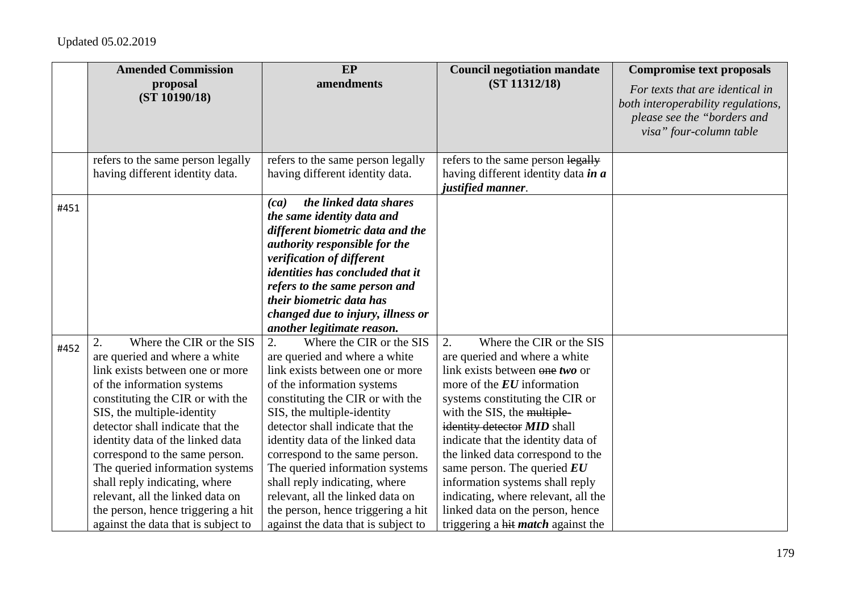|      | <b>Amended Commission</b>                                                                                                                                                                                                                                                                                                                                                                                                                                                                         | <b>EP</b>                                                                                                                                                                                                                                                                                                                                                                                                                                                                                         | <b>Council negotiation mandate</b>                                                                                                                                                                                                                                                                                                                                                                                                                                                                        | <b>Compromise text proposals</b>                                                                                                |
|------|---------------------------------------------------------------------------------------------------------------------------------------------------------------------------------------------------------------------------------------------------------------------------------------------------------------------------------------------------------------------------------------------------------------------------------------------------------------------------------------------------|---------------------------------------------------------------------------------------------------------------------------------------------------------------------------------------------------------------------------------------------------------------------------------------------------------------------------------------------------------------------------------------------------------------------------------------------------------------------------------------------------|-----------------------------------------------------------------------------------------------------------------------------------------------------------------------------------------------------------------------------------------------------------------------------------------------------------------------------------------------------------------------------------------------------------------------------------------------------------------------------------------------------------|---------------------------------------------------------------------------------------------------------------------------------|
|      | proposal<br>(ST 10190/18)                                                                                                                                                                                                                                                                                                                                                                                                                                                                         | amendments                                                                                                                                                                                                                                                                                                                                                                                                                                                                                        | (ST 11312/18)                                                                                                                                                                                                                                                                                                                                                                                                                                                                                             | For texts that are identical in<br>both interoperability regulations,<br>please see the "borders and<br>visa" four-column table |
|      | refers to the same person legally<br>having different identity data.                                                                                                                                                                                                                                                                                                                                                                                                                              | refers to the same person legally<br>having different identity data.                                                                                                                                                                                                                                                                                                                                                                                                                              | refers to the same person legally<br>having different identity data in a<br>justified manner.                                                                                                                                                                                                                                                                                                                                                                                                             |                                                                                                                                 |
| #451 |                                                                                                                                                                                                                                                                                                                                                                                                                                                                                                   | the linked data shares<br>(ca)<br>the same identity data and<br>different biometric data and the<br>authority responsible for the<br>verification of different<br><i>identities has concluded that it</i><br>refers to the same person and<br>their biometric data has<br>changed due to injury, illness or<br>another legitimate reason.                                                                                                                                                         |                                                                                                                                                                                                                                                                                                                                                                                                                                                                                                           |                                                                                                                                 |
| #452 | Where the CIR or the SIS<br>2.<br>are queried and where a white<br>link exists between one or more<br>of the information systems<br>constituting the CIR or with the<br>SIS, the multiple-identity<br>detector shall indicate that the<br>identity data of the linked data<br>correspond to the same person.<br>The queried information systems<br>shall reply indicating, where<br>relevant, all the linked data on<br>the person, hence triggering a hit<br>against the data that is subject to | 2.<br>Where the CIR or the SIS<br>are queried and where a white<br>link exists between one or more<br>of the information systems<br>constituting the CIR or with the<br>SIS, the multiple-identity<br>detector shall indicate that the<br>identity data of the linked data<br>correspond to the same person.<br>The queried information systems<br>shall reply indicating, where<br>relevant, all the linked data on<br>the person, hence triggering a hit<br>against the data that is subject to | 2.<br>Where the CIR or the SIS<br>are queried and where a white<br>link exists between one two or<br>more of the $EU$ information<br>systems constituting the CIR or<br>with the SIS, the multiple-<br>identity detector MID shall<br>indicate that the identity data of<br>the linked data correspond to the<br>same person. The queried $EU$<br>information systems shall reply<br>indicating, where relevant, all the<br>linked data on the person, hence<br>triggering a hit <i>match</i> against the |                                                                                                                                 |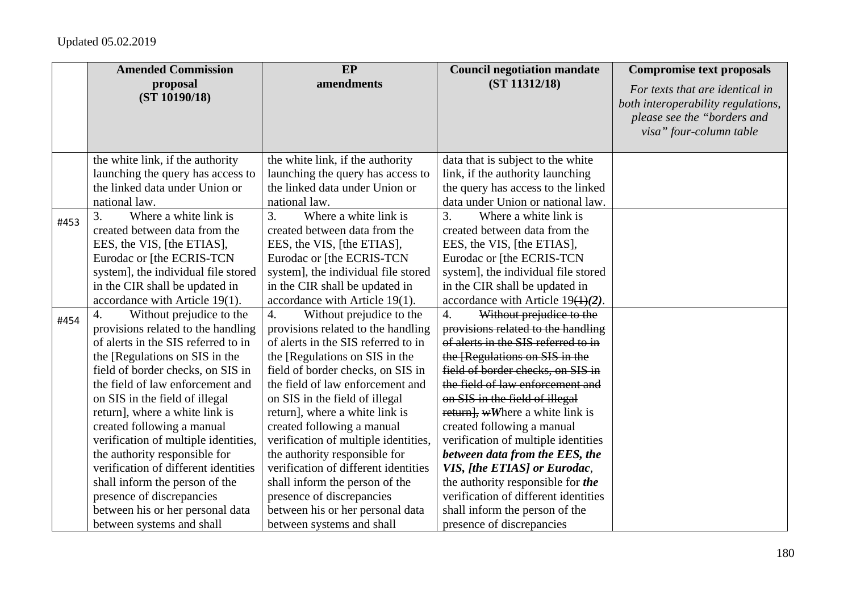|      | <b>Amended Commission</b>                    | EP                                           | <b>Council negotiation mandate</b>           | <b>Compromise text proposals</b>                                                                                                |
|------|----------------------------------------------|----------------------------------------------|----------------------------------------------|---------------------------------------------------------------------------------------------------------------------------------|
|      | proposal<br>(ST 10190/18)                    | amendments                                   | (ST 11312/18)                                | For texts that are identical in<br>both interoperability regulations,<br>please see the "borders and<br>visa" four-column table |
|      | the white link, if the authority             | the white link, if the authority             | data that is subject to the white            |                                                                                                                                 |
|      | launching the query has access to            | launching the query has access to            | link, if the authority launching             |                                                                                                                                 |
|      | the linked data under Union or               | the linked data under Union or               | the query has access to the linked           |                                                                                                                                 |
|      | national law.                                | national law.                                | data under Union or national law.            |                                                                                                                                 |
| #453 | Where a white link is<br>3.                  | Where a white link is<br>3.                  | 3.<br>Where a white link is                  |                                                                                                                                 |
|      | created between data from the                | created between data from the                | created between data from the                |                                                                                                                                 |
|      | EES, the VIS, [the ETIAS],                   | EES, the VIS, [the ETIAS],                   | EES, the VIS, [the ETIAS],                   |                                                                                                                                 |
|      | Eurodac or [the ECRIS-TCN                    | Eurodac or [the ECRIS-TCN                    | Eurodac or [the ECRIS-TCN                    |                                                                                                                                 |
|      | system], the individual file stored          | system], the individual file stored          | system], the individual file stored          |                                                                                                                                 |
|      | in the CIR shall be updated in               | in the CIR shall be updated in               | in the CIR shall be updated in               |                                                                                                                                 |
|      | accordance with Article 19(1).               | accordance with Article 19(1).               | accordance with Article $19(1)(2)$ .         |                                                                                                                                 |
| #454 | Without prejudice to the<br>$\overline{4}$ . | Without prejudice to the<br>$\overline{4}$ . | $\overline{4}$ .<br>Without prejudice to the |                                                                                                                                 |
|      | provisions related to the handling           | provisions related to the handling           | provisions related to the handling           |                                                                                                                                 |
|      | of alerts in the SIS referred to in          | of alerts in the SIS referred to in          | of alerts in the SIS referred to in          |                                                                                                                                 |
|      | the [Regulations on SIS in the               | the [Regulations on SIS in the               | the [Regulations on SIS in the               |                                                                                                                                 |
|      | field of border checks, on SIS in            | field of border checks, on SIS in            | field of border checks, on SIS in            |                                                                                                                                 |
|      | the field of law enforcement and             | the field of law enforcement and             | the field of law enforcement and             |                                                                                                                                 |
|      | on SIS in the field of illegal               | on SIS in the field of illegal               | on SIS in the field of illegal               |                                                                                                                                 |
|      | return], where a white link is               | return], where a white link is               | return, wWhere a white link is               |                                                                                                                                 |
|      | created following a manual                   | created following a manual                   | created following a manual                   |                                                                                                                                 |
|      | verification of multiple identities,         | verification of multiple identities,         | verification of multiple identities          |                                                                                                                                 |
|      | the authority responsible for                | the authority responsible for                | between data from the EES, the               |                                                                                                                                 |
|      | verification of different identities         | verification of different identities         | VIS, [the ETIAS] or Eurodac,                 |                                                                                                                                 |
|      | shall inform the person of the               | shall inform the person of the               | the authority responsible for the            |                                                                                                                                 |
|      | presence of discrepancies                    | presence of discrepancies                    | verification of different identities         |                                                                                                                                 |
|      | between his or her personal data             | between his or her personal data             | shall inform the person of the               |                                                                                                                                 |
|      | between systems and shall                    | between systems and shall                    | presence of discrepancies                    |                                                                                                                                 |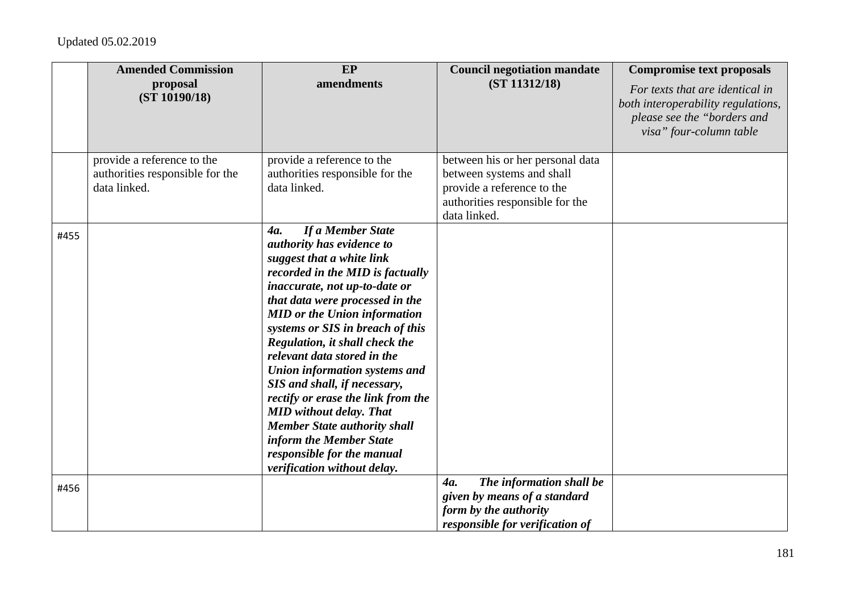|      | <b>Amended Commission</b><br>proposal<br>(ST 10190/18)                        | <b>EP</b><br>amendments                                                                                                                                                                                                                                                                                                                                                                                                                                                                                                                                                                                        | <b>Council negotiation mandate</b><br>(ST 11312/18)                                                                                            | <b>Compromise text proposals</b><br>For texts that are identical in<br>both interoperability regulations,<br>please see the "borders and<br>visa" four-column table |
|------|-------------------------------------------------------------------------------|----------------------------------------------------------------------------------------------------------------------------------------------------------------------------------------------------------------------------------------------------------------------------------------------------------------------------------------------------------------------------------------------------------------------------------------------------------------------------------------------------------------------------------------------------------------------------------------------------------------|------------------------------------------------------------------------------------------------------------------------------------------------|---------------------------------------------------------------------------------------------------------------------------------------------------------------------|
|      | provide a reference to the<br>authorities responsible for the<br>data linked. | provide a reference to the<br>authorities responsible for the<br>data linked.                                                                                                                                                                                                                                                                                                                                                                                                                                                                                                                                  | between his or her personal data<br>between systems and shall<br>provide a reference to the<br>authorities responsible for the<br>data linked. |                                                                                                                                                                     |
| #455 |                                                                               | If a Member State<br>4a.<br>authority has evidence to<br>suggest that a white link<br>recorded in the MID is factually<br>inaccurate, not up-to-date or<br>that data were processed in the<br><b>MID</b> or the Union information<br>systems or SIS in breach of this<br>Regulation, it shall check the<br>relevant data stored in the<br>Union information systems and<br>SIS and shall, if necessary,<br>rectify or erase the link from the<br><b>MID</b> without delay. That<br><b>Member State authority shall</b><br>inform the Member State<br>responsible for the manual<br>verification without delay. |                                                                                                                                                |                                                                                                                                                                     |
| #456 |                                                                               |                                                                                                                                                                                                                                                                                                                                                                                                                                                                                                                                                                                                                | The information shall be<br>4a.<br>given by means of a standard<br>form by the authority<br>responsible for verification of                    |                                                                                                                                                                     |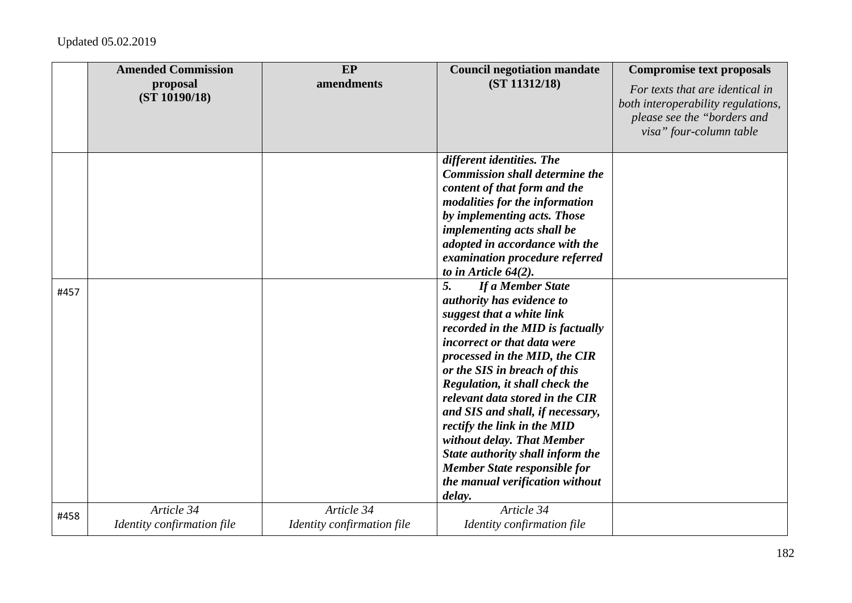|      | <b>Amended Commission</b><br>proposal<br>(ST 10190/18) | EP<br>amendments                         | <b>Council negotiation mandate</b><br>(ST 11312/18)                                                                                                                                                                                                                                                                                                                                                                                                                                                                 | <b>Compromise text proposals</b><br>For texts that are identical in<br>both interoperability regulations,<br>please see the "borders and<br>visa" four-column table |
|------|--------------------------------------------------------|------------------------------------------|---------------------------------------------------------------------------------------------------------------------------------------------------------------------------------------------------------------------------------------------------------------------------------------------------------------------------------------------------------------------------------------------------------------------------------------------------------------------------------------------------------------------|---------------------------------------------------------------------------------------------------------------------------------------------------------------------|
|      |                                                        |                                          | different identities. The<br><b>Commission shall determine the</b><br>content of that form and the<br>modalities for the information<br>by implementing acts. Those<br>implementing acts shall be<br>adopted in accordance with the<br>examination procedure referred<br>to in Article $64(2)$ .                                                                                                                                                                                                                    |                                                                                                                                                                     |
| #457 |                                                        |                                          | 5.<br>If a Member State<br>authority has evidence to<br>suggest that a white link<br>recorded in the MID is factually<br>incorrect or that data were<br>processed in the MID, the CIR<br>or the SIS in breach of this<br>Regulation, it shall check the<br>relevant data stored in the CIR<br>and SIS and shall, if necessary,<br>rectify the link in the MID<br>without delay. That Member<br>State authority shall inform the<br><b>Member State responsible for</b><br>the manual verification without<br>delay. |                                                                                                                                                                     |
| #458 | Article 34<br>Identity confirmation file               | Article 34<br>Identity confirmation file | Article 34<br>Identity confirmation file                                                                                                                                                                                                                                                                                                                                                                                                                                                                            |                                                                                                                                                                     |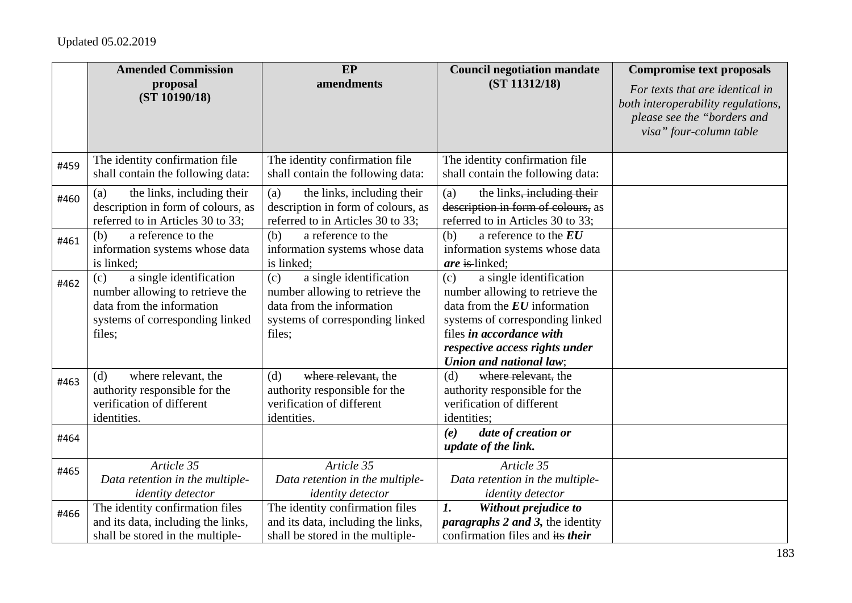|      | <b>Amended Commission</b><br>proposal<br>(ST 10190/18)                                                                                      | EP<br>amendments                                                                                                                            | <b>Council negotiation mandate</b><br>(ST 11312/18)                                                                                                                                                                             | <b>Compromise text proposals</b><br>For texts that are identical in<br>both interoperability regulations,<br>please see the "borders and<br>visa" four-column table |
|------|---------------------------------------------------------------------------------------------------------------------------------------------|---------------------------------------------------------------------------------------------------------------------------------------------|---------------------------------------------------------------------------------------------------------------------------------------------------------------------------------------------------------------------------------|---------------------------------------------------------------------------------------------------------------------------------------------------------------------|
| #459 | The identity confirmation file<br>shall contain the following data:                                                                         | The identity confirmation file<br>shall contain the following data:                                                                         | The identity confirmation file<br>shall contain the following data:                                                                                                                                                             |                                                                                                                                                                     |
| #460 | the links, including their<br>(a)<br>description in form of colours, as<br>referred to in Articles 30 to 33;                                | (a)<br>the links, including their<br>description in form of colours, as<br>referred to in Articles 30 to 33;                                | the links <del>, including their</del><br>(a)<br>description in form of colours, as<br>referred to in Articles 30 to 33;                                                                                                        |                                                                                                                                                                     |
| #461 | a reference to the<br>(b)<br>information systems whose data<br>is linked;                                                                   | a reference to the<br>(b)<br>information systems whose data<br>is linked;                                                                   | a reference to the $EU$<br>(b)<br>information systems whose data<br>are is linked;                                                                                                                                              |                                                                                                                                                                     |
| #462 | a single identification<br>(c)<br>number allowing to retrieve the<br>data from the information<br>systems of corresponding linked<br>files; | a single identification<br>(c)<br>number allowing to retrieve the<br>data from the information<br>systems of corresponding linked<br>files; | a single identification<br>(c)<br>number allowing to retrieve the<br>data from the $EU$ information<br>systems of corresponding linked<br>files in accordance with<br>respective access rights under<br>Union and national law; |                                                                                                                                                                     |
| #463 | where relevant, the<br>(d)<br>authority responsible for the<br>verification of different<br>identities.                                     | where relevant, the<br>(d)<br>authority responsible for the<br>verification of different<br>identities.                                     | where relevant, the<br>(d)<br>authority responsible for the<br>verification of different<br>identities;                                                                                                                         |                                                                                                                                                                     |
| #464 |                                                                                                                                             |                                                                                                                                             | date of creation or<br>(e)<br>update of the link.                                                                                                                                                                               |                                                                                                                                                                     |
| #465 | Article 35<br>Data retention in the multiple-<br><i>identity detector</i>                                                                   | Article 35<br>Data retention in the multiple-<br><i>identity detector</i>                                                                   | Article 35<br>Data retention in the multiple-<br><i>identity detector</i>                                                                                                                                                       |                                                                                                                                                                     |
| #466 | The identity confirmation files<br>and its data, including the links,<br>shall be stored in the multiple-                                   | The identity confirmation files<br>and its data, including the links,<br>shall be stored in the multiple-                                   | Without prejudice to<br>$\boldsymbol{l}$ .<br><i>paragraphs 2 and 3, the identity</i><br>confirmation files and its their                                                                                                       |                                                                                                                                                                     |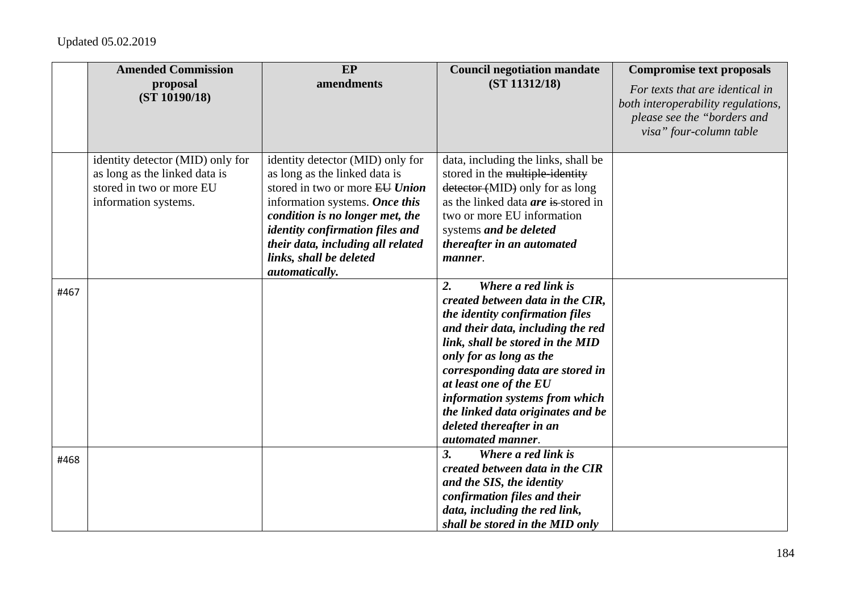|      | <b>Amended Commission</b>                                                                                             | EP                                                                                                                                                                                                                                                                                                   | <b>Council negotiation mandate</b>                                                                                                                                                                                                                                                                                                                                                         | <b>Compromise text proposals</b>                                                                                                |
|------|-----------------------------------------------------------------------------------------------------------------------|------------------------------------------------------------------------------------------------------------------------------------------------------------------------------------------------------------------------------------------------------------------------------------------------------|--------------------------------------------------------------------------------------------------------------------------------------------------------------------------------------------------------------------------------------------------------------------------------------------------------------------------------------------------------------------------------------------|---------------------------------------------------------------------------------------------------------------------------------|
|      | proposal<br>(ST 10190/18)                                                                                             | amendments                                                                                                                                                                                                                                                                                           | (ST 11312/18)                                                                                                                                                                                                                                                                                                                                                                              | For texts that are identical in<br>both interoperability regulations,<br>please see the "borders and<br>visa" four-column table |
|      | identity detector (MID) only for<br>as long as the linked data is<br>stored in two or more EU<br>information systems. | identity detector (MID) only for<br>as long as the linked data is<br>stored in two or more EU Union<br>information systems. Once this<br>condition is no longer met, the<br><i>identity confirmation files and</i><br>their data, including all related<br>links, shall be deleted<br>automatically. | data, including the links, shall be<br>stored in the multiple-identity<br>detector (MID) only for as long<br>as the linked data <i>are</i> is stored in<br>two or more EU information<br>systems and be deleted<br>thereafter in an automated<br>manner.                                                                                                                                   |                                                                                                                                 |
| #467 |                                                                                                                       |                                                                                                                                                                                                                                                                                                      | 2.<br>Where a red link is<br>created between data in the CIR,<br>the identity confirmation files<br>and their data, including the red<br>link, shall be stored in the MID<br>only for as long as the<br>corresponding data are stored in<br>at least one of the EU<br>information systems from which<br>the linked data originates and be<br>deleted thereafter in an<br>automated manner. |                                                                                                                                 |
| #468 |                                                                                                                       |                                                                                                                                                                                                                                                                                                      | Where a red link is<br>$\mathbf{3}$ .<br>created between data in the CIR<br>and the SIS, the identity<br>confirmation files and their<br>data, including the red link,<br>shall be stored in the MID only                                                                                                                                                                                  |                                                                                                                                 |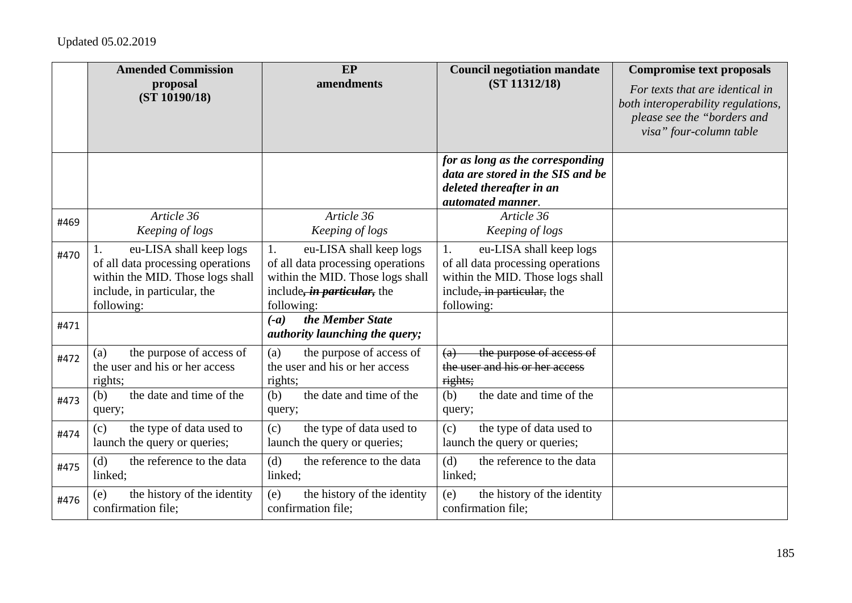|      | <b>Amended Commission</b><br>proposal<br>(ST 10190/18)                                                                                        | <b>EP</b><br>amendments                                                                                                                                     | <b>Council negotiation mandate</b><br>(ST 11312/18)                                                                                                 | <b>Compromise text proposals</b><br>For texts that are identical in<br>both interoperability regulations,<br>please see the "borders and<br>visa" four-column table |
|------|-----------------------------------------------------------------------------------------------------------------------------------------------|-------------------------------------------------------------------------------------------------------------------------------------------------------------|-----------------------------------------------------------------------------------------------------------------------------------------------------|---------------------------------------------------------------------------------------------------------------------------------------------------------------------|
|      |                                                                                                                                               |                                                                                                                                                             | for as long as the corresponding<br>data are stored in the SIS and be<br>deleted thereafter in an<br>automated manner.                              |                                                                                                                                                                     |
| #469 | Article 36<br>Keeping of logs                                                                                                                 | Article 36<br>Keeping of logs                                                                                                                               | Article 36<br>Keeping of logs                                                                                                                       |                                                                                                                                                                     |
| #470 | eu-LISA shall keep logs<br>of all data processing operations<br>within the MID. Those logs shall<br>include, in particular, the<br>following: | eu-LISA shall keep logs<br>1.<br>of all data processing operations<br>within the MID. Those logs shall<br>include, <i>in particular</i> , the<br>following: | eu-LISA shall keep logs<br>1.<br>of all data processing operations<br>within the MID. Those logs shall<br>include, in particular, the<br>following: |                                                                                                                                                                     |
| #471 |                                                                                                                                               | the Member State<br>$(-a)$<br><i>authority launching the query;</i>                                                                                         |                                                                                                                                                     |                                                                                                                                                                     |
| #472 | the purpose of access of<br>(a)<br>the user and his or her access<br>rights;                                                                  | the purpose of access of<br>(a)<br>the user and his or her access<br>rights;                                                                                | the purpose of access of<br>(a)<br>the user and his or her access<br>rights;                                                                        |                                                                                                                                                                     |
| #473 | the date and time of the<br>(b)<br>query;                                                                                                     | the date and time of the<br>(b)<br>query;                                                                                                                   | the date and time of the<br>(b)<br>query;                                                                                                           |                                                                                                                                                                     |
| #474 | the type of data used to<br>(c)<br>launch the query or queries;                                                                               | the type of data used to<br>(c)<br>launch the query or queries;                                                                                             | the type of data used to<br>(c)<br>launch the query or queries;                                                                                     |                                                                                                                                                                     |
| #475 | the reference to the data<br>(d)<br>linked;                                                                                                   | the reference to the data<br>(d)<br>linked;                                                                                                                 | the reference to the data<br>(d)<br>linked;                                                                                                         |                                                                                                                                                                     |
| #476 | the history of the identity<br>(e)<br>confirmation file;                                                                                      | the history of the identity<br>(e)<br>confirmation file;                                                                                                    | the history of the identity<br>(e)<br>confirmation file;                                                                                            |                                                                                                                                                                     |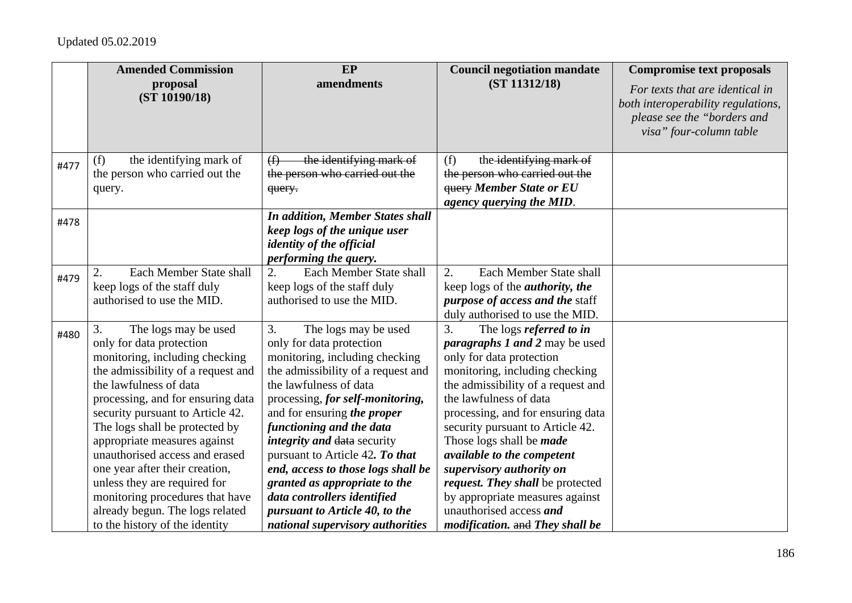|      | <b>Amended Commission</b>          | EP                                                | <b>Council negotiation mandate</b>          | <b>Compromise text proposals</b>                                                                                                |
|------|------------------------------------|---------------------------------------------------|---------------------------------------------|---------------------------------------------------------------------------------------------------------------------------------|
|      | proposal<br>(ST 10190/18)          | amendments                                        | (ST 11312/18)                               | For texts that are identical in<br>both interoperability regulations,<br>please see the "borders and<br>visa" four-column table |
| #477 | the identifying mark of<br>(f)     | the identifying mark of<br>$\bigoplus$            | the identifying mark of<br>(f)              |                                                                                                                                 |
|      | the person who carried out the     | the person who carried out the                    | the person who carried out the              |                                                                                                                                 |
|      | query.                             | query.                                            | <b>GUEFY Member State or EU</b>             |                                                                                                                                 |
|      |                                    |                                                   | agency querying the MID.                    |                                                                                                                                 |
| #478 |                                    | <b>In addition, Member States shall</b>           |                                             |                                                                                                                                 |
|      |                                    | keep logs of the unique user                      |                                             |                                                                                                                                 |
|      |                                    | identity of the official<br>performing the query. |                                             |                                                                                                                                 |
|      | Each Member State shall            | Each Member State shall<br>2.                     | Each Member State shall<br>$\overline{2}$ . |                                                                                                                                 |
| #479 | keep logs of the staff duly        | keep logs of the staff duly                       | keep logs of the <i>authority</i> , the     |                                                                                                                                 |
|      | authorised to use the MID.         | authorised to use the MID.                        | <i>purpose of access and the staff</i>      |                                                                                                                                 |
|      |                                    |                                                   | duly authorised to use the MID.             |                                                                                                                                 |
| #480 | 3.<br>The logs may be used         | 3.<br>The logs may be used                        | $\overline{3}$ .<br>The logs referred to in |                                                                                                                                 |
|      | only for data protection           | only for data protection                          | <i>paragraphs 1 and 2 may be used</i>       |                                                                                                                                 |
|      | monitoring, including checking     | monitoring, including checking                    | only for data protection                    |                                                                                                                                 |
|      | the admissibility of a request and | the admissibility of a request and                | monitoring, including checking              |                                                                                                                                 |
|      | the lawfulness of data             | the lawfulness of data                            | the admissibility of a request and          |                                                                                                                                 |
|      | processing, and for ensuring data  | processing, for self-monitoring,                  | the lawfulness of data                      |                                                                                                                                 |
|      | security pursuant to Article 42.   | and for ensuring the proper                       | processing, and for ensuring data           |                                                                                                                                 |
|      | The logs shall be protected by     | functioning and the data                          | security pursuant to Article 42.            |                                                                                                                                 |
|      | appropriate measures against       | <i>integrity and data security</i>                | Those logs shall be <i>made</i>             |                                                                                                                                 |
|      | unauthorised access and erased     | pursuant to Article 42. To that                   | available to the competent                  |                                                                                                                                 |
|      | one year after their creation,     | end, access to those logs shall be                | supervisory authority on                    |                                                                                                                                 |
|      | unless they are required for       | granted as appropriate to the                     | request. They shall be protected            |                                                                                                                                 |
|      | monitoring procedures that have    | data controllers identified                       | by appropriate measures against             |                                                                                                                                 |
|      | already begun. The logs related    | pursuant to Article 40, to the                    | unauthorised access and                     |                                                                                                                                 |
|      | to the history of the identity     | national supervisory authorities                  | modification. and They shall be             |                                                                                                                                 |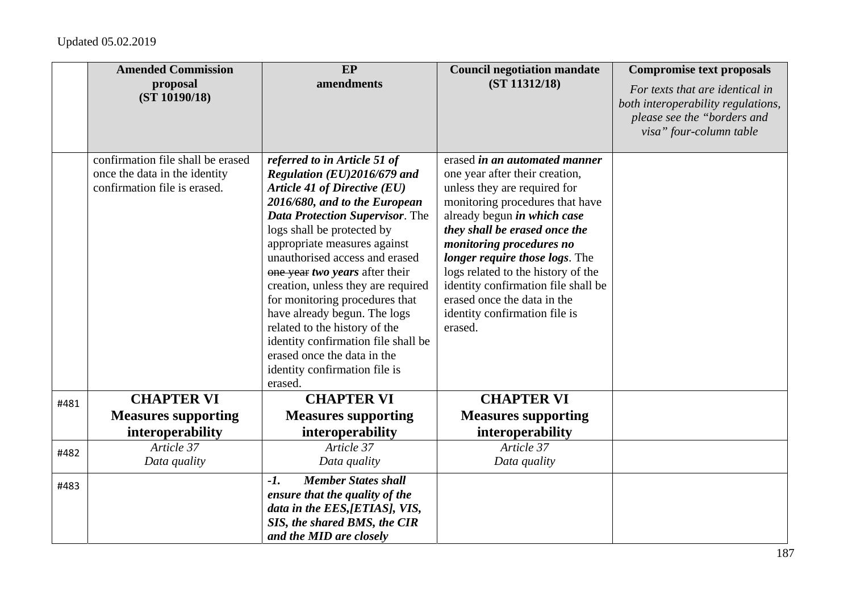|      | <b>Amended Commission</b>                                          | EP                                                                 | <b>Council negotiation mandate</b>                              | <b>Compromise text proposals</b>                                                                                                |
|------|--------------------------------------------------------------------|--------------------------------------------------------------------|-----------------------------------------------------------------|---------------------------------------------------------------------------------------------------------------------------------|
|      | proposal<br>(ST 10190/18)                                          | amendments                                                         | (ST 11312/18)                                                   | For texts that are identical in<br>both interoperability regulations,<br>please see the "borders and<br>visa" four-column table |
|      | confirmation file shall be erased<br>once the data in the identity | referred to in Article 51 of<br>Regulation (EU)2016/679 and        | erased in an automated manner<br>one year after their creation, |                                                                                                                                 |
|      | confirmation file is erased.                                       | Article 41 of Directive (EU)                                       | unless they are required for                                    |                                                                                                                                 |
|      |                                                                    | 2016/680, and to the European                                      | monitoring procedures that have                                 |                                                                                                                                 |
|      |                                                                    | <b>Data Protection Supervisor.</b> The                             | already begun in which case                                     |                                                                                                                                 |
|      |                                                                    | logs shall be protected by                                         | they shall be erased once the                                   |                                                                                                                                 |
|      |                                                                    | appropriate measures against<br>unauthorised access and erased     | monitoring procedures no<br>longer require those logs. The      |                                                                                                                                 |
|      |                                                                    | one year two years after their                                     | logs related to the history of the                              |                                                                                                                                 |
|      |                                                                    | creation, unless they are required                                 | identity confirmation file shall be                             |                                                                                                                                 |
|      |                                                                    | for monitoring procedures that                                     | erased once the data in the                                     |                                                                                                                                 |
|      |                                                                    | have already begun. The logs                                       | identity confirmation file is                                   |                                                                                                                                 |
|      |                                                                    | related to the history of the                                      | erased.                                                         |                                                                                                                                 |
|      |                                                                    | identity confirmation file shall be<br>erased once the data in the |                                                                 |                                                                                                                                 |
|      |                                                                    | identity confirmation file is                                      |                                                                 |                                                                                                                                 |
|      |                                                                    | erased.                                                            |                                                                 |                                                                                                                                 |
| #481 | <b>CHAPTER VI</b>                                                  | <b>CHAPTER VI</b>                                                  | <b>CHAPTER VI</b>                                               |                                                                                                                                 |
|      | <b>Measures supporting</b>                                         | <b>Measures supporting</b>                                         | <b>Measures supporting</b>                                      |                                                                                                                                 |
|      | interoperability                                                   | interoperability                                                   | interoperability                                                |                                                                                                                                 |
| #482 | Article 37                                                         | Article 37                                                         | Article 37                                                      |                                                                                                                                 |
|      | Data quality                                                       | Data quality                                                       | Data quality                                                    |                                                                                                                                 |
| #483 |                                                                    | <b>Member States shall</b><br>$-1.$                                |                                                                 |                                                                                                                                 |
|      |                                                                    | ensure that the quality of the                                     |                                                                 |                                                                                                                                 |
|      |                                                                    | data in the EES, [ETIAS], VIS,                                     |                                                                 |                                                                                                                                 |
|      |                                                                    | SIS, the shared BMS, the CIR                                       |                                                                 |                                                                                                                                 |
|      |                                                                    | and the MID are closely                                            |                                                                 |                                                                                                                                 |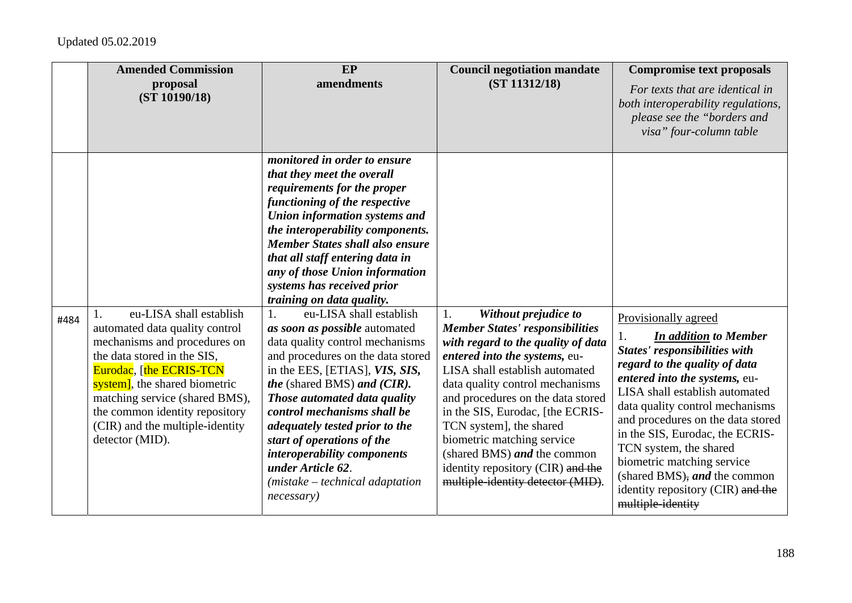|      | <b>Amended Commission</b><br>proposal<br>(ST 10190/18)                                                                                                                                                                                                                                                         | EP<br>amendments                                                                                                                                                                                                                                                                                                                                                                                                                                                                                                                                                                                                                                                                                                                                                                                                                                   | <b>Council negotiation mandate</b><br>(ST 11312/18)                                                                                                                                                                                                                                                                                                                                                                                                         | <b>Compromise text proposals</b><br>For texts that are identical in<br>both interoperability regulations,<br>please see the "borders and<br>visa" four-column table                                                                                                                                                                                                                                                                                                 |
|------|----------------------------------------------------------------------------------------------------------------------------------------------------------------------------------------------------------------------------------------------------------------------------------------------------------------|----------------------------------------------------------------------------------------------------------------------------------------------------------------------------------------------------------------------------------------------------------------------------------------------------------------------------------------------------------------------------------------------------------------------------------------------------------------------------------------------------------------------------------------------------------------------------------------------------------------------------------------------------------------------------------------------------------------------------------------------------------------------------------------------------------------------------------------------------|-------------------------------------------------------------------------------------------------------------------------------------------------------------------------------------------------------------------------------------------------------------------------------------------------------------------------------------------------------------------------------------------------------------------------------------------------------------|---------------------------------------------------------------------------------------------------------------------------------------------------------------------------------------------------------------------------------------------------------------------------------------------------------------------------------------------------------------------------------------------------------------------------------------------------------------------|
| #484 | eu-LISA shall establish<br>automated data quality control<br>mechanisms and procedures on<br>the data stored in the SIS,<br>Eurodac, [the ECRIS-TCN<br>system], the shared biometric<br>matching service (shared BMS),<br>the common identity repository<br>(CIR) and the multiple-identity<br>detector (MID). | monitored in order to ensure<br>that they meet the overall<br>requirements for the proper<br>functioning of the respective<br>Union information systems and<br>the interoperability components.<br><b>Member States shall also ensure</b><br>that all staff entering data in<br>any of those Union information<br>systems has received prior<br>training on data quality.<br>eu-LISA shall establish<br>1.<br>as soon as possible automated<br>data quality control mechanisms<br>and procedures on the data stored<br>in the EES, [ETIAS], VIS, SIS,<br><i>the</i> (shared BMS) <i>and</i> ( <i>CIR</i> ).<br>Those automated data quality<br>control mechanisms shall be<br>adequately tested prior to the<br>start of operations of the<br>interoperability components<br>under Article 62.<br>$(mistake - technical adaptation)$<br>necessary) | Without prejudice to<br>1.<br><b>Member States' responsibilities</b><br>with regard to the quality of data<br>entered into the systems, eu-<br>LISA shall establish automated<br>data quality control mechanisms<br>and procedures on the data stored<br>in the SIS, Eurodac, [the ECRIS-<br>TCN system], the shared<br>biometric matching service<br>(shared BMS) and the common<br>identity repository (CIR) and the<br>multiple-identity detector (MID). | Provisionally agreed<br><b>In addition to Member</b><br>1.<br><b>States' responsibilities with</b><br>regard to the quality of data<br>entered into the systems, eu-<br>LISA shall establish automated<br>data quality control mechanisms<br>and procedures on the data stored<br>in the SIS, Eurodac, the ECRIS-<br>TCN system, the shared<br>biometric matching service<br>(shared BMS), and the common<br>identity repository (CIR) and the<br>multiple-identity |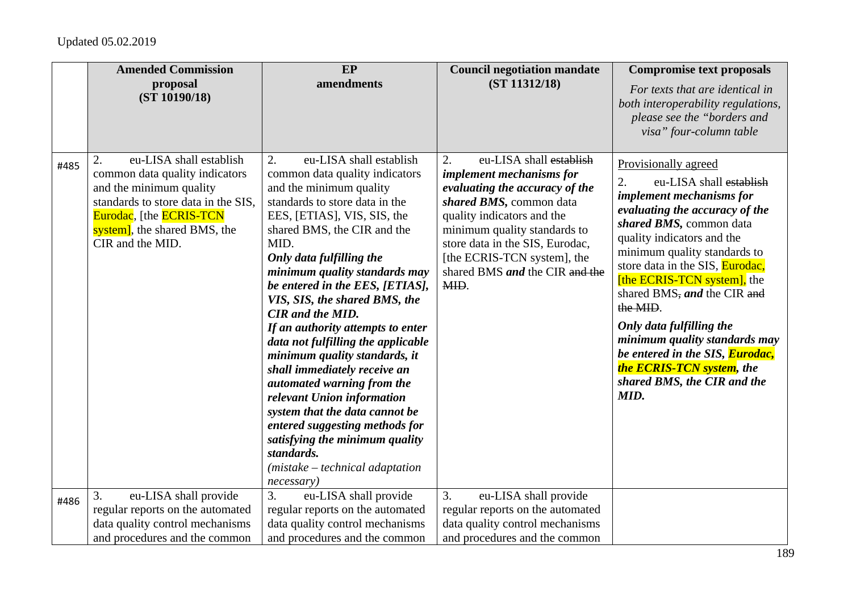|      | <b>Amended Commission</b>                                                                                                                                                                                        | EP                                                                                                                                                                                                                                                                                                                                                                                                                                                                                                                                                                                                                                                                                                                                          | <b>Council negotiation mandate</b>                                                                                                                                                                                                                                                                      | <b>Compromise text proposals</b>                                                                                                                                                                                                                                                                                                                                                                                                                                                                                     |
|------|------------------------------------------------------------------------------------------------------------------------------------------------------------------------------------------------------------------|---------------------------------------------------------------------------------------------------------------------------------------------------------------------------------------------------------------------------------------------------------------------------------------------------------------------------------------------------------------------------------------------------------------------------------------------------------------------------------------------------------------------------------------------------------------------------------------------------------------------------------------------------------------------------------------------------------------------------------------------|---------------------------------------------------------------------------------------------------------------------------------------------------------------------------------------------------------------------------------------------------------------------------------------------------------|----------------------------------------------------------------------------------------------------------------------------------------------------------------------------------------------------------------------------------------------------------------------------------------------------------------------------------------------------------------------------------------------------------------------------------------------------------------------------------------------------------------------|
|      | proposal<br>(ST 10190/18)                                                                                                                                                                                        | amendments                                                                                                                                                                                                                                                                                                                                                                                                                                                                                                                                                                                                                                                                                                                                  | (ST 11312/18)                                                                                                                                                                                                                                                                                           | For texts that are identical in<br>both interoperability regulations,<br>please see the "borders and<br>visa" four-column table                                                                                                                                                                                                                                                                                                                                                                                      |
| #485 | 2.<br>eu-LISA shall establish<br>common data quality indicators<br>and the minimum quality<br>standards to store data in the SIS,<br>Eurodac, [the ECRIS-TCN<br>system], the shared BMS, the<br>CIR and the MID. | eu-LISA shall establish<br>2.<br>common data quality indicators<br>and the minimum quality<br>standards to store data in the<br>EES, [ETIAS], VIS, SIS, the<br>shared BMS, the CIR and the<br>MID.<br>Only data fulfilling the<br>minimum quality standards may<br>be entered in the EES, [ETIAS],<br>VIS, SIS, the shared BMS, the<br><b>CIR</b> and the MID.<br>If an authority attempts to enter<br>data not fulfilling the applicable<br>minimum quality standards, it<br>shall immediately receive an<br>automated warning from the<br>relevant Union information<br>system that the data cannot be<br>entered suggesting methods for<br>satisfying the minimum quality<br>standards.<br>(mistake - technical adaptation<br>necessary) | eu-LISA shall establish<br>2.<br><i>implement mechanisms for</i><br>evaluating the accuracy of the<br>shared BMS, common data<br>quality indicators and the<br>minimum quality standards to<br>store data in the SIS, Eurodac,<br>[the ECRIS-TCN system], the<br>shared BMS and the CIR and the<br>MID. | Provisionally agreed<br>2.<br>eu-LISA shall establish<br><i>implement mechanisms for</i><br>evaluating the accuracy of the<br>shared BMS, common data<br>quality indicators and the<br>minimum quality standards to<br>store data in the SIS, Eurodac,<br>[the ECRIS-TCN system], the<br>shared BMS, and the CIR and<br>the MID.<br>Only data fulfilling the<br>minimum quality standards may<br>be entered in the SIS, <b>Eurodac</b> ,<br><b>the ECRIS-TCN system</b> , the<br>shared BMS, the CIR and the<br>MID. |
| #486 | eu-LISA shall provide<br>3.<br>regular reports on the automated<br>data quality control mechanisms<br>and procedures and the common                                                                              | 3.<br>eu-LISA shall provide<br>regular reports on the automated<br>data quality control mechanisms<br>and procedures and the common                                                                                                                                                                                                                                                                                                                                                                                                                                                                                                                                                                                                         | 3.<br>eu-LISA shall provide<br>regular reports on the automated<br>data quality control mechanisms<br>and procedures and the common                                                                                                                                                                     |                                                                                                                                                                                                                                                                                                                                                                                                                                                                                                                      |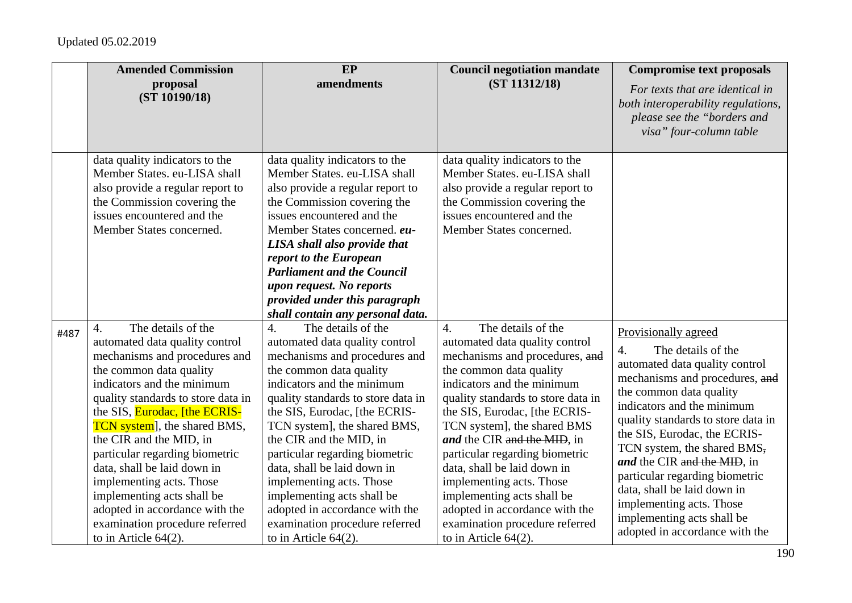|      | <b>Amended Commission</b>                                                                                                                                                                                                                                                                                                                                                                                                                                                                                                      | EP                                                                                                                                                                                                                                                                                                                                                                                                                                                                                                                             | <b>Council negotiation mandate</b>                                                                                                                                                                                                                                                                                                                                                                                                                                                                                                 | <b>Compromise text proposals</b>                                                                                                                                                                                                                                                                                                                                                                                                                                               |
|------|--------------------------------------------------------------------------------------------------------------------------------------------------------------------------------------------------------------------------------------------------------------------------------------------------------------------------------------------------------------------------------------------------------------------------------------------------------------------------------------------------------------------------------|--------------------------------------------------------------------------------------------------------------------------------------------------------------------------------------------------------------------------------------------------------------------------------------------------------------------------------------------------------------------------------------------------------------------------------------------------------------------------------------------------------------------------------|------------------------------------------------------------------------------------------------------------------------------------------------------------------------------------------------------------------------------------------------------------------------------------------------------------------------------------------------------------------------------------------------------------------------------------------------------------------------------------------------------------------------------------|--------------------------------------------------------------------------------------------------------------------------------------------------------------------------------------------------------------------------------------------------------------------------------------------------------------------------------------------------------------------------------------------------------------------------------------------------------------------------------|
|      | proposal<br>(ST 10190/18)                                                                                                                                                                                                                                                                                                                                                                                                                                                                                                      | amendments                                                                                                                                                                                                                                                                                                                                                                                                                                                                                                                     | (ST 11312/18)                                                                                                                                                                                                                                                                                                                                                                                                                                                                                                                      | For texts that are identical in<br>both interoperability regulations,<br>please see the "borders and<br>visa" four-column table                                                                                                                                                                                                                                                                                                                                                |
|      | data quality indicators to the<br>Member States. eu-LISA shall<br>also provide a regular report to<br>the Commission covering the<br>issues encountered and the<br>Member States concerned.                                                                                                                                                                                                                                                                                                                                    | data quality indicators to the<br>Member States. eu-LISA shall<br>also provide a regular report to<br>the Commission covering the<br>issues encountered and the<br>Member States concerned. eu-<br>LISA shall also provide that<br>report to the European<br><b>Parliament and the Council</b><br>upon request. No reports<br>provided under this paragraph<br>shall contain any personal data.                                                                                                                                | data quality indicators to the<br>Member States. eu-LISA shall<br>also provide a regular report to<br>the Commission covering the<br>issues encountered and the<br>Member States concerned.                                                                                                                                                                                                                                                                                                                                        |                                                                                                                                                                                                                                                                                                                                                                                                                                                                                |
| #487 | The details of the<br>4.<br>automated data quality control<br>mechanisms and procedures and<br>the common data quality<br>indicators and the minimum<br>quality standards to store data in<br>the SIS, <b>Eurodac</b> , [the ECRIS-<br><b>TCN</b> system, the shared BMS,<br>the CIR and the MID, in<br>particular regarding biometric<br>data, shall be laid down in<br>implementing acts. Those<br>implementing acts shall be<br>adopted in accordance with the<br>examination procedure referred<br>to in Article $64(2)$ . | The details of the<br>$\overline{4}$ .<br>automated data quality control<br>mechanisms and procedures and<br>the common data quality<br>indicators and the minimum<br>quality standards to store data in<br>the SIS, Eurodac, [the ECRIS-<br>TCN system], the shared BMS,<br>the CIR and the MID, in<br>particular regarding biometric<br>data, shall be laid down in<br>implementing acts. Those<br>implementing acts shall be<br>adopted in accordance with the<br>examination procedure referred<br>to in Article $64(2)$ . | The details of the<br>$\overline{4}$ .<br>automated data quality control<br>mechanisms and procedures, and<br>the common data quality<br>indicators and the minimum<br>quality standards to store data in<br>the SIS, Eurodac, [the ECRIS-<br>TCN system], the shared BMS<br>and the CIR and the MID, in<br>particular regarding biometric<br>data, shall be laid down in<br>implementing acts. Those<br>implementing acts shall be<br>adopted in accordance with the<br>examination procedure referred<br>to in Article $64(2)$ . | Provisionally agreed<br>The details of the<br>4.<br>automated data quality control<br>mechanisms and procedures, and<br>the common data quality<br>indicators and the minimum<br>quality standards to store data in<br>the SIS, Eurodac, the ECRIS-<br>TCN system, the shared BMS,<br>and the CIR and the MID, in<br>particular regarding biometric<br>data, shall be laid down in<br>implementing acts. Those<br>implementing acts shall be<br>adopted in accordance with the |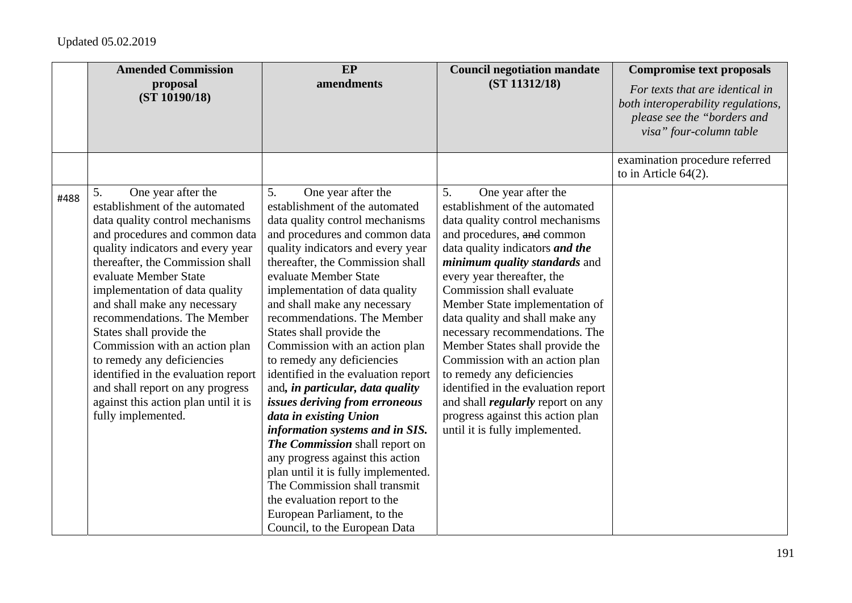|      | <b>Amended Commission</b><br>proposal<br>(ST 10190/18)                                                                                                                                                                                                                                                                                                                                                                                                                                                                                                                  | EP<br>amendments                                                                                                                                                                                                                                                                                                                                                                                                                                                                                                                                                                                                                                                                                                                                                                                                                                       | <b>Council negotiation mandate</b><br>(ST 11312/18)                                                                                                                                                                                                                                                                                                                                                                                                                                                                                                                                                                                   | <b>Compromise text proposals</b><br>For texts that are identical in<br>both interoperability regulations,<br>please see the "borders and<br>visa" four-column table |
|------|-------------------------------------------------------------------------------------------------------------------------------------------------------------------------------------------------------------------------------------------------------------------------------------------------------------------------------------------------------------------------------------------------------------------------------------------------------------------------------------------------------------------------------------------------------------------------|--------------------------------------------------------------------------------------------------------------------------------------------------------------------------------------------------------------------------------------------------------------------------------------------------------------------------------------------------------------------------------------------------------------------------------------------------------------------------------------------------------------------------------------------------------------------------------------------------------------------------------------------------------------------------------------------------------------------------------------------------------------------------------------------------------------------------------------------------------|---------------------------------------------------------------------------------------------------------------------------------------------------------------------------------------------------------------------------------------------------------------------------------------------------------------------------------------------------------------------------------------------------------------------------------------------------------------------------------------------------------------------------------------------------------------------------------------------------------------------------------------|---------------------------------------------------------------------------------------------------------------------------------------------------------------------|
|      |                                                                                                                                                                                                                                                                                                                                                                                                                                                                                                                                                                         |                                                                                                                                                                                                                                                                                                                                                                                                                                                                                                                                                                                                                                                                                                                                                                                                                                                        |                                                                                                                                                                                                                                                                                                                                                                                                                                                                                                                                                                                                                                       | examination procedure referred<br>to in Article $64(2)$ .                                                                                                           |
| #488 | 5.<br>One year after the<br>establishment of the automated<br>data quality control mechanisms<br>and procedures and common data<br>quality indicators and every year<br>thereafter, the Commission shall<br>evaluate Member State<br>implementation of data quality<br>and shall make any necessary<br>recommendations. The Member<br>States shall provide the<br>Commission with an action plan<br>to remedy any deficiencies<br>identified in the evaluation report<br>and shall report on any progress<br>against this action plan until it is<br>fully implemented. | 5.<br>One year after the<br>establishment of the automated<br>data quality control mechanisms<br>and procedures and common data<br>quality indicators and every year<br>thereafter, the Commission shall<br>evaluate Member State<br>implementation of data quality<br>and shall make any necessary<br>recommendations. The Member<br>States shall provide the<br>Commission with an action plan<br>to remedy any deficiencies<br>identified in the evaluation report<br>and, in particular, data quality<br>issues deriving from erroneous<br>data in existing Union<br>information systems and in SIS.<br>The Commission shall report on<br>any progress against this action<br>plan until it is fully implemented.<br>The Commission shall transmit<br>the evaluation report to the<br>European Parliament, to the<br>Council, to the European Data | 5.<br>One year after the<br>establishment of the automated<br>data quality control mechanisms<br>and procedures, and common<br>data quality indicators and the<br><i>minimum quality standards and</i><br>every year thereafter, the<br>Commission shall evaluate<br>Member State implementation of<br>data quality and shall make any<br>necessary recommendations. The<br>Member States shall provide the<br>Commission with an action plan<br>to remedy any deficiencies<br>identified in the evaluation report<br>and shall <i>regularly</i> report on any<br>progress against this action plan<br>until it is fully implemented. |                                                                                                                                                                     |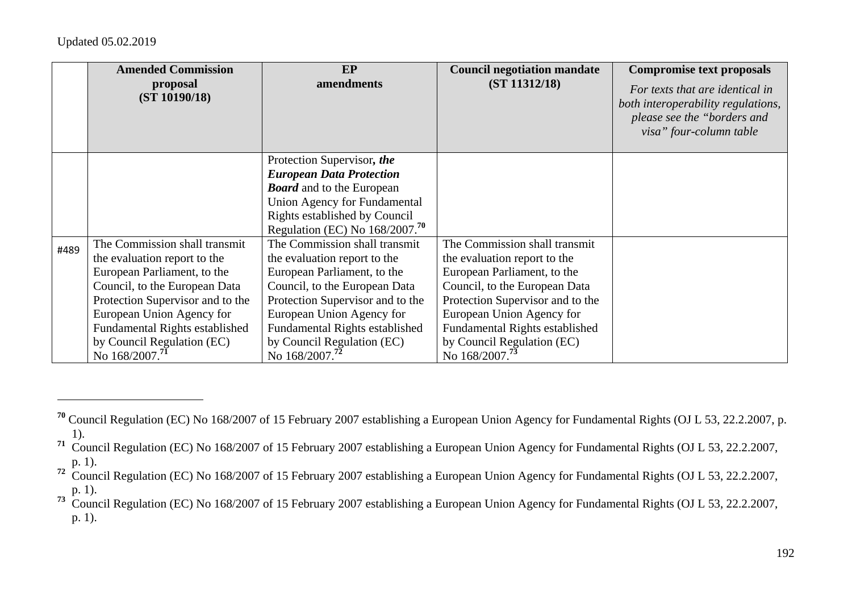|      | <b>Amended Commission</b><br>proposal<br>(ST 10190/18)                                                                                                                                                                                                                                       | <b>EP</b><br>amendments                                                                                                                                                                                                                                                                      | <b>Council negotiation mandate</b><br>(ST 11312/18)                                                                                                                                                                                                                                          | <b>Compromise text proposals</b><br>For texts that are identical in<br>both interoperability regulations,<br>please see the "borders and<br>visa" four-column table |
|------|----------------------------------------------------------------------------------------------------------------------------------------------------------------------------------------------------------------------------------------------------------------------------------------------|----------------------------------------------------------------------------------------------------------------------------------------------------------------------------------------------------------------------------------------------------------------------------------------------|----------------------------------------------------------------------------------------------------------------------------------------------------------------------------------------------------------------------------------------------------------------------------------------------|---------------------------------------------------------------------------------------------------------------------------------------------------------------------|
|      |                                                                                                                                                                                                                                                                                              | Protection Supervisor, the<br><b>European Data Protection</b><br><b>Board</b> and to the European<br><b>Union Agency for Fundamental</b><br>Rights established by Council<br>Regulation (EC) No $168/2007$ . <sup>70</sup>                                                                   |                                                                                                                                                                                                                                                                                              |                                                                                                                                                                     |
| #489 | The Commission shall transmit<br>the evaluation report to the<br>European Parliament, to the<br>Council, to the European Data<br>Protection Supervisor and to the<br>European Union Agency for<br>Fundamental Rights established<br>by Council Regulation (EC)<br>No 168/2007. <sup>71</sup> | The Commission shall transmit<br>the evaluation report to the<br>European Parliament, to the<br>Council, to the European Data<br>Protection Supervisor and to the<br>European Union Agency for<br>Fundamental Rights established<br>by Council Regulation (EC)<br>No 168/2007. <sup>72</sup> | The Commission shall transmit<br>the evaluation report to the<br>European Parliament, to the<br>Council, to the European Data<br>Protection Supervisor and to the<br>European Union Agency for<br>Fundamental Rights established<br>by Council Regulation (EC)<br>No 168/2007. <sup>73</sup> |                                                                                                                                                                     |

**<sup>70</sup>** Council Regulation (EC) No 168/2007 of 15 February 2007 establishing a European Union Agency for Fundamental Rights (OJ L 53, 22.2.2007, p. 1).

**<sup>71</sup>** Council Regulation (EC) No 168/2007 of 15 February 2007 establishing a European Union Agency for Fundamental Rights (OJ L 53, 22.2.2007, p. 1).

<sup>&</sup>lt;sup>72</sup> Council Regulation (EC) No 168/2007 of 15 February 2007 establishing a European Union Agency for Fundamental Rights (OJ L 53, 22.2.2007, p. 1).

<sup>&</sup>lt;sup>73</sup> Council Regulation (EC) No 168/2007 of 15 February 2007 establishing a European Union Agency for Fundamental Rights (OJ L 53, 22.2.2007, p. 1).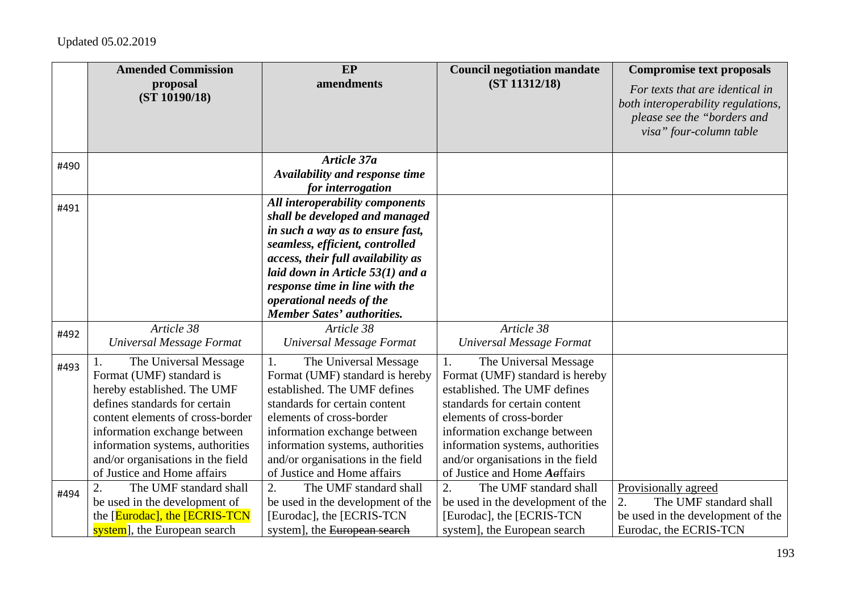|      | <b>Amended Commission</b>                                                                                                                                                                                                                                                                     | <b>EP</b>                                                                                                                                                                                                                                                                                                               | <b>Council negotiation mandate</b>                                                                                                                                                                                                                                                                   | <b>Compromise text proposals</b>                                                                                                |
|------|-----------------------------------------------------------------------------------------------------------------------------------------------------------------------------------------------------------------------------------------------------------------------------------------------|-------------------------------------------------------------------------------------------------------------------------------------------------------------------------------------------------------------------------------------------------------------------------------------------------------------------------|------------------------------------------------------------------------------------------------------------------------------------------------------------------------------------------------------------------------------------------------------------------------------------------------------|---------------------------------------------------------------------------------------------------------------------------------|
|      | proposal<br>(ST 10190/18)                                                                                                                                                                                                                                                                     | amendments                                                                                                                                                                                                                                                                                                              | (ST 11312/18)                                                                                                                                                                                                                                                                                        | For texts that are identical in<br>both interoperability regulations,<br>please see the "borders and<br>visa" four-column table |
| #490 |                                                                                                                                                                                                                                                                                               | Article 37a<br>Availability and response time<br>for interrogation                                                                                                                                                                                                                                                      |                                                                                                                                                                                                                                                                                                      |                                                                                                                                 |
| #491 |                                                                                                                                                                                                                                                                                               | All interoperability components<br>shall be developed and managed<br>in such a way as to ensure fast,<br>seamless, efficient, controlled<br>access, their full availability as<br>laid down in Article $53(1)$ and a<br>response time in line with the<br>operational needs of the<br><b>Member Sates' authorities.</b> |                                                                                                                                                                                                                                                                                                      |                                                                                                                                 |
| #492 | Article 38<br>Universal Message Format                                                                                                                                                                                                                                                        | Article 38<br>Universal Message Format                                                                                                                                                                                                                                                                                  | Article 38<br>Universal Message Format                                                                                                                                                                                                                                                               |                                                                                                                                 |
| #493 | The Universal Message<br>Format (UMF) standard is<br>hereby established. The UMF<br>defines standards for certain<br>content elements of cross-border<br>information exchange between<br>information systems, authorities<br>and/or organisations in the field<br>of Justice and Home affairs | The Universal Message<br>1.<br>Format (UMF) standard is hereby<br>established. The UMF defines<br>standards for certain content<br>elements of cross-border<br>information exchange between<br>information systems, authorities<br>and/or organisations in the field<br>of Justice and Home affairs                     | The Universal Message<br>1.<br>Format (UMF) standard is hereby<br>established. The UMF defines<br>standards for certain content<br>elements of cross-border<br>information exchange between<br>information systems, authorities<br>and/or organisations in the field<br>of Justice and Home Aaffairs |                                                                                                                                 |
| #494 | The UMF standard shall<br>2.<br>be used in the development of<br>the [Eurodac], the [ECRIS-TCN<br>system], the European search                                                                                                                                                                | 2.<br>The UMF standard shall<br>be used in the development of the<br>[Eurodac], the [ECRIS-TCN]<br>system], the European search                                                                                                                                                                                         | 2.<br>The UMF standard shall<br>be used in the development of the<br>[Eurodac], the [ECRIS-TCN]<br>system], the European search                                                                                                                                                                      | Provisionally agreed<br>The UMF standard shall<br>2.<br>be used in the development of the<br>Eurodac, the ECRIS-TCN             |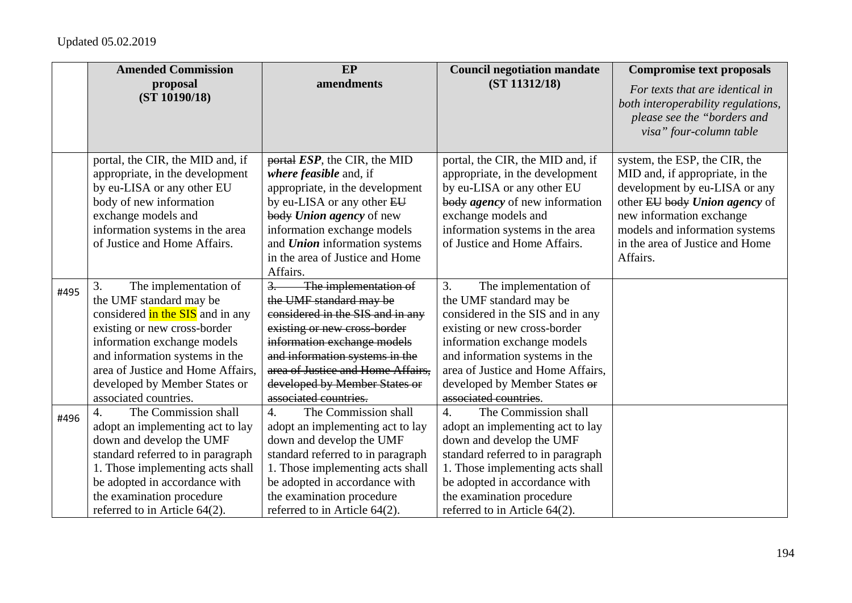|      | <b>Amended Commission</b>                                                                                                                                                                                                                                                                  | EP                                                                                                                                                                                                                                                                                                       | <b>Council negotiation mandate</b>                                                                                                                                                                                                                                                         | <b>Compromise text proposals</b>                                                                                                                                                                                                                |
|------|--------------------------------------------------------------------------------------------------------------------------------------------------------------------------------------------------------------------------------------------------------------------------------------------|----------------------------------------------------------------------------------------------------------------------------------------------------------------------------------------------------------------------------------------------------------------------------------------------------------|--------------------------------------------------------------------------------------------------------------------------------------------------------------------------------------------------------------------------------------------------------------------------------------------|-------------------------------------------------------------------------------------------------------------------------------------------------------------------------------------------------------------------------------------------------|
|      | proposal<br>(ST 10190/18)                                                                                                                                                                                                                                                                  | amendments                                                                                                                                                                                                                                                                                               | (ST 11312/18)                                                                                                                                                                                                                                                                              | For texts that are identical in<br>both interoperability regulations,<br>please see the "borders and<br>visa" four-column table                                                                                                                 |
|      | portal, the CIR, the MID and, if<br>appropriate, in the development<br>by eu-LISA or any other EU<br>body of new information<br>exchange models and<br>information systems in the area<br>of Justice and Home Affairs.                                                                     | $\frac{1}{2}$ portal <i>ESP</i> , the CIR, the MID<br>where feasible and, if<br>appropriate, in the development<br>by eu-LISA or any other EU<br>body Union agency of new<br>information exchange models<br>and <b>Union</b> information systems<br>in the area of Justice and Home<br>Affairs.          | portal, the CIR, the MID and, if<br>appropriate, in the development<br>by eu-LISA or any other EU<br>body <i>agency</i> of new information<br>exchange models and<br>information systems in the area<br>of Justice and Home Affairs.                                                       | system, the ESP, the CIR, the<br>MID and, if appropriate, in the<br>development by eu-LISA or any<br>other EU body Union agency of<br>new information exchange<br>models and information systems<br>in the area of Justice and Home<br>Affairs. |
| #495 | 3.<br>The implementation of<br>the UMF standard may be<br>considered in the SIS and in any<br>existing or new cross-border<br>information exchange models<br>and information systems in the<br>area of Justice and Home Affairs,<br>developed by Member States or<br>associated countries. | $\overline{3}$ .<br>The implementation of<br>the UMF standard may be<br>considered in the SIS and in any<br>existing or new cross-border<br>information exchange models<br>and information systems in the<br>area of Justice and Home Affairs.<br>developed by Member States or<br>associated countries. | 3.<br>The implementation of<br>the UMF standard may be<br>considered in the SIS and in any<br>existing or new cross-border<br>information exchange models<br>and information systems in the<br>area of Justice and Home Affairs,<br>developed by Member States or<br>associated countries. |                                                                                                                                                                                                                                                 |
| #496 | The Commission shall<br>$\overline{4}$ .<br>adopt an implementing act to lay<br>down and develop the UMF<br>standard referred to in paragraph<br>1. Those implementing acts shall<br>be adopted in accordance with<br>the examination procedure<br>referred to in Article 64(2).           | The Commission shall<br>$\overline{4}$ .<br>adopt an implementing act to lay<br>down and develop the UMF<br>standard referred to in paragraph<br>1. Those implementing acts shall<br>be adopted in accordance with<br>the examination procedure<br>referred to in Article 64(2).                         | 4.<br>The Commission shall<br>adopt an implementing act to lay<br>down and develop the UMF<br>standard referred to in paragraph<br>1. Those implementing acts shall<br>be adopted in accordance with<br>the examination procedure<br>referred to in Article 64(2).                         |                                                                                                                                                                                                                                                 |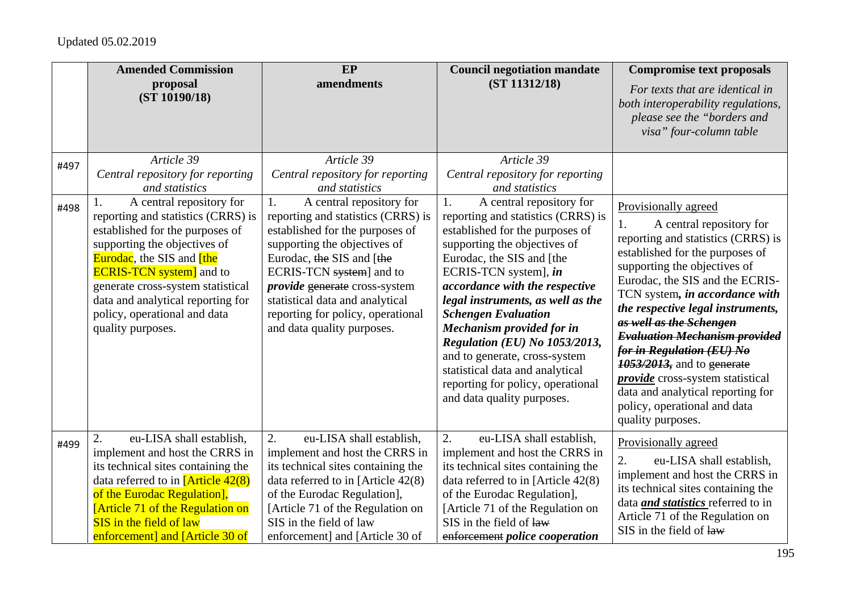|      | <b>Amended Commission</b><br>proposal<br>(ST 10190/18)                                                                                                                                                                                                                                                                                         | EP<br>amendments                                                                                                                                                                                                                                                                                                                               | <b>Council negotiation mandate</b><br>(ST 11312/18)                                                                                                                                                                                                                                                                                                                                                                                                                                                            | <b>Compromise text proposals</b><br>For texts that are identical in<br>both interoperability regulations,<br>please see the "borders and<br>visa" four-column table                                                                                                                                                                                                                                                                                                                                                                                  |
|------|------------------------------------------------------------------------------------------------------------------------------------------------------------------------------------------------------------------------------------------------------------------------------------------------------------------------------------------------|------------------------------------------------------------------------------------------------------------------------------------------------------------------------------------------------------------------------------------------------------------------------------------------------------------------------------------------------|----------------------------------------------------------------------------------------------------------------------------------------------------------------------------------------------------------------------------------------------------------------------------------------------------------------------------------------------------------------------------------------------------------------------------------------------------------------------------------------------------------------|------------------------------------------------------------------------------------------------------------------------------------------------------------------------------------------------------------------------------------------------------------------------------------------------------------------------------------------------------------------------------------------------------------------------------------------------------------------------------------------------------------------------------------------------------|
| #497 | Article 39<br>Central repository for reporting<br>and statistics                                                                                                                                                                                                                                                                               | Article 39<br>Central repository for reporting<br>and statistics                                                                                                                                                                                                                                                                               | Article 39<br>Central repository for reporting<br>and statistics                                                                                                                                                                                                                                                                                                                                                                                                                                               |                                                                                                                                                                                                                                                                                                                                                                                                                                                                                                                                                      |
| #498 | A central repository for<br>reporting and statistics (CRRS) is<br>established for the purposes of<br>supporting the objectives of<br><b>Eurodac</b> , the SIS and <b>[the</b><br><b>ECRIS-TCN</b> system and to<br>generate cross-system statistical<br>data and analytical reporting for<br>policy, operational and data<br>quality purposes. | A central repository for<br>1.<br>reporting and statistics (CRRS) is<br>established for the purposes of<br>supporting the objectives of<br>Eurodac, the SIS and [the<br>ECRIS-TCN system] and to<br><i>provide</i> generate cross-system<br>statistical data and analytical<br>reporting for policy, operational<br>and data quality purposes. | A central repository for<br>1.<br>reporting and statistics (CRRS) is<br>established for the purposes of<br>supporting the objectives of<br>Eurodac, the SIS and [the<br>ECRIS-TCN system], in<br>accordance with the respective<br>legal instruments, as well as the<br><b>Schengen Evaluation</b><br><b>Mechanism provided for in</b><br>Regulation (EU) No 1053/2013,<br>and to generate, cross-system<br>statistical data and analytical<br>reporting for policy, operational<br>and data quality purposes. | Provisionally agreed<br>A central repository for<br>1.<br>reporting and statistics (CRRS) is<br>established for the purposes of<br>supporting the objectives of<br>Eurodac, the SIS and the ECRIS-<br>TCN system, in accordance with<br>the respective legal instruments,<br>as well as the Schengen<br><b>Evaluation Mechanism provided</b><br>for in Regulation (EU) No<br><b>1053/2013</b> , and to generate<br><i>provide</i> cross-system statistical<br>data and analytical reporting for<br>policy, operational and data<br>quality purposes. |
| #499 | eu-LISA shall establish,<br>2.<br>implement and host the CRRS in<br>its technical sites containing the<br>data referred to in $[Article 42(8)]$<br>of the Eurodac Regulation],<br><b>[Article 71 of the Regulation on</b><br>SIS in the field of law<br>enforcement] and [Article 30 of                                                        | 2.<br>eu-LISA shall establish,<br>implement and host the CRRS in<br>its technical sites containing the<br>data referred to in [Article $42(8)$ ]<br>of the Eurodac Regulation],<br>[Article 71 of the Regulation on<br>SIS in the field of law<br>enforcement] and [Article 30 of                                                              | 2.<br>eu-LISA shall establish,<br>implement and host the CRRS in<br>its technical sites containing the<br>data referred to in [Article 42(8)<br>of the Eurodac Regulation],<br>[Article 71 of the Regulation on<br>SIS in the field of law<br>enforcement police cooperation                                                                                                                                                                                                                                   | Provisionally agreed<br>2.<br>eu-LISA shall establish,<br>implement and host the CRRS in<br>its technical sites containing the<br>data <i>and statistics</i> referred to in<br>Article 71 of the Regulation on<br>SIS in the field of law                                                                                                                                                                                                                                                                                                            |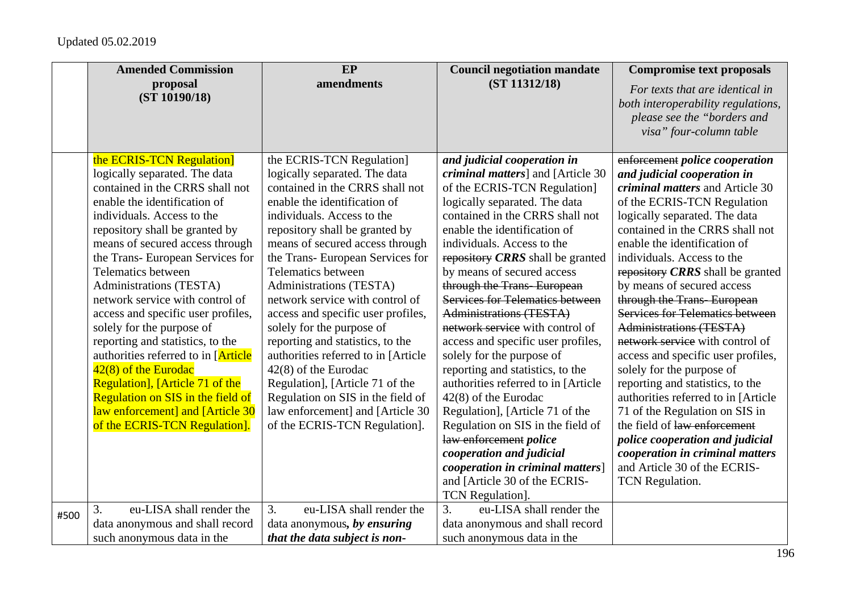|      | <b>Amended Commission</b>           | EP                                  | <b>Council negotiation mandate</b>        | <b>Compromise text proposals</b>       |
|------|-------------------------------------|-------------------------------------|-------------------------------------------|----------------------------------------|
|      | proposal<br>(ST 10190/18)           | amendments                          | (ST 11312/18)                             | For texts that are identical in        |
|      |                                     |                                     |                                           | both interoperability regulations,     |
|      |                                     |                                     |                                           | please see the "borders and            |
|      |                                     |                                     |                                           | visa" four-column table                |
|      | the ECRIS-TCN Regulation]           | the ECRIS-TCN Regulation]           | and judicial cooperation in               | enforcement police cooperation         |
|      | logically separated. The data       | logically separated. The data       | <i>criminal matters</i> ] and [Article 30 | and judicial cooperation in            |
|      | contained in the CRRS shall not     | contained in the CRRS shall not     | of the ECRIS-TCN Regulation]              | criminal matters and Article 30        |
|      | enable the identification of        | enable the identification of        | logically separated. The data             | of the ECRIS-TCN Regulation            |
|      | individuals. Access to the          | individuals. Access to the          | contained in the CRRS shall not           | logically separated. The data          |
|      | repository shall be granted by      | repository shall be granted by      | enable the identification of              | contained in the CRRS shall not        |
|      | means of secured access through     | means of secured access through     | individuals. Access to the                | enable the identification of           |
|      | the Trans- European Services for    | the Trans- European Services for    | repository CRRS shall be granted          | individuals. Access to the             |
|      | <b>Telematics between</b>           | Telematics between                  | by means of secured access                | repository CRRS shall be granted       |
|      | Administrations (TESTA)             | Administrations (TESTA)             | through the Trans-European                | by means of secured access             |
|      | network service with control of     | network service with control of     | <b>Services for Telematics between</b>    | through the Trans European             |
|      | access and specific user profiles,  | access and specific user profiles,  | <b>Administrations (TESTA)</b>            | <b>Services for Telematics between</b> |
|      | solely for the purpose of           | solely for the purpose of           | network service with control of           | <b>Administrations (TESTA)</b>         |
|      | reporting and statistics, to the    | reporting and statistics, to the    | access and specific user profiles,        | network service with control of        |
|      | authorities referred to in [Article | authorities referred to in [Article | solely for the purpose of                 | access and specific user profiles,     |
|      | $42(8)$ of the Eurodac              | $42(8)$ of the Eurodac              | reporting and statistics, to the          | solely for the purpose of              |
|      | Regulation], [Article 71 of the     | Regulation], [Article 71 of the     | authorities referred to in [Article]      | reporting and statistics, to the       |
|      | Regulation on SIS in the field of   | Regulation on SIS in the field of   | $42(8)$ of the Eurodac                    | authorities referred to in [Article    |
|      | law enforcement] and [Article 30    | law enforcement] and [Article 30    | Regulation], [Article 71 of the           | 71 of the Regulation on SIS in         |
|      | of the ECRIS-TCN Regulation].       | of the ECRIS-TCN Regulation].       | Regulation on SIS in the field of         | the field of law enforcement           |
|      |                                     |                                     | law enforcement police                    | police cooperation and judicial        |
|      |                                     |                                     | cooperation and judicial                  | cooperation in criminal matters        |
|      |                                     |                                     | cooperation in criminal matters]          | and Article 30 of the ECRIS-           |
|      |                                     |                                     | and [Article 30 of the ECRIS-             | TCN Regulation.                        |
|      |                                     |                                     | TCN Regulation].                          |                                        |
| #500 | eu-LISA shall render the<br>3.      | eu-LISA shall render the<br>3.      | 3.<br>eu-LISA shall render the            |                                        |
|      | data anonymous and shall record     | data anonymous, by ensuring         | data anonymous and shall record           |                                        |
|      | such anonymous data in the          | that the data subject is non-       | such anonymous data in the                |                                        |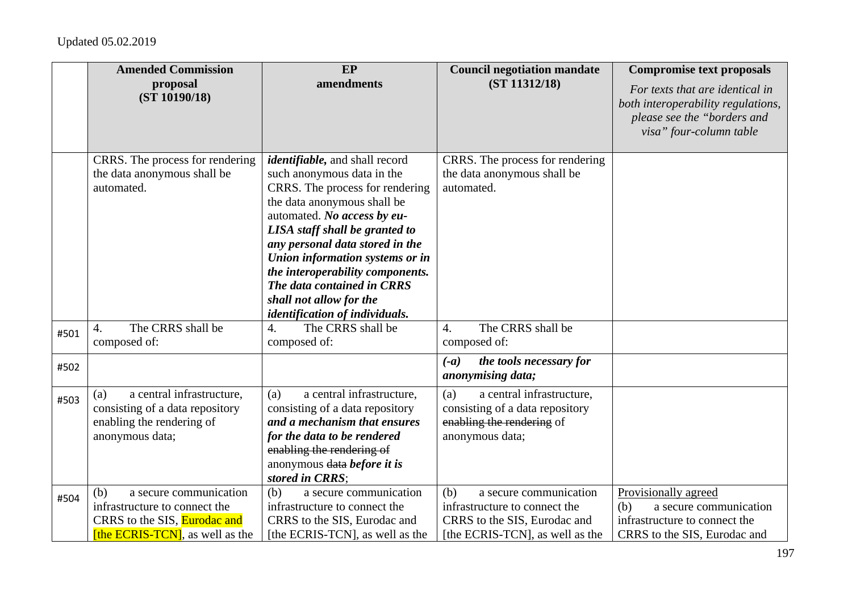|      | <b>Amended Commission</b>                                                                                                         | EP                                                                                                                                                                                                                                                                                                                                                                                                           | <b>Council negotiation mandate</b>                                                                                                | <b>Compromise text proposals</b>                                                                                                |
|------|-----------------------------------------------------------------------------------------------------------------------------------|--------------------------------------------------------------------------------------------------------------------------------------------------------------------------------------------------------------------------------------------------------------------------------------------------------------------------------------------------------------------------------------------------------------|-----------------------------------------------------------------------------------------------------------------------------------|---------------------------------------------------------------------------------------------------------------------------------|
|      | proposal<br>(ST 10190/18)                                                                                                         | amendments                                                                                                                                                                                                                                                                                                                                                                                                   | (ST 11312/18)                                                                                                                     | For texts that are identical in<br>both interoperability regulations,<br>please see the "borders and<br>visa" four-column table |
|      | CRRS. The process for rendering<br>the data anonymous shall be<br>automated.                                                      | <i>identifiable</i> , and shall record<br>such anonymous data in the<br>CRRS. The process for rendering<br>the data anonymous shall be<br>automated. No access by eu-<br>LISA staff shall be granted to<br>any personal data stored in the<br>Union information systems or in<br>the interoperability components.<br>The data contained in CRRS<br>shall not allow for the<br>identification of individuals. | CRRS. The process for rendering<br>the data anonymous shall be<br>automated.                                                      |                                                                                                                                 |
| #501 | The CRRS shall be<br>$\overline{4}$ .<br>composed of:                                                                             | The CRRS shall be<br>$\overline{4}$ .<br>composed of:                                                                                                                                                                                                                                                                                                                                                        | The CRRS shall be<br>$\overline{4}$ .<br>composed of:                                                                             |                                                                                                                                 |
| #502 |                                                                                                                                   |                                                                                                                                                                                                                                                                                                                                                                                                              | the tools necessary for<br>$(-a)$<br>anonymising data;                                                                            |                                                                                                                                 |
| #503 | a central infrastructure,<br>(a)<br>consisting of a data repository<br>enabling the rendering of<br>anonymous data;               | a central infrastructure,<br>(a)<br>consisting of a data repository<br>and a mechanism that ensures<br>for the data to be rendered<br>enabling the rendering of<br>anonymous data before it is<br>stored in CRRS;                                                                                                                                                                                            | (a)<br>a central infrastructure,<br>consisting of a data repository<br>enabling the rendering of<br>anonymous data;               |                                                                                                                                 |
| #504 | (b)<br>a secure communication<br>infrastructure to connect the<br>CRRS to the SIS, Eurodac and<br>[the ECRIS-TCN], as well as the | (b)<br>a secure communication<br>infrastructure to connect the<br>CRRS to the SIS, Eurodac and<br>[the ECRIS-TCN], as well as the                                                                                                                                                                                                                                                                            | (b)<br>a secure communication<br>infrastructure to connect the<br>CRRS to the SIS, Eurodac and<br>[the ECRIS-TCN], as well as the | Provisionally agreed<br>a secure communication<br>(b)<br>infrastructure to connect the<br>CRRS to the SIS, Eurodac and          |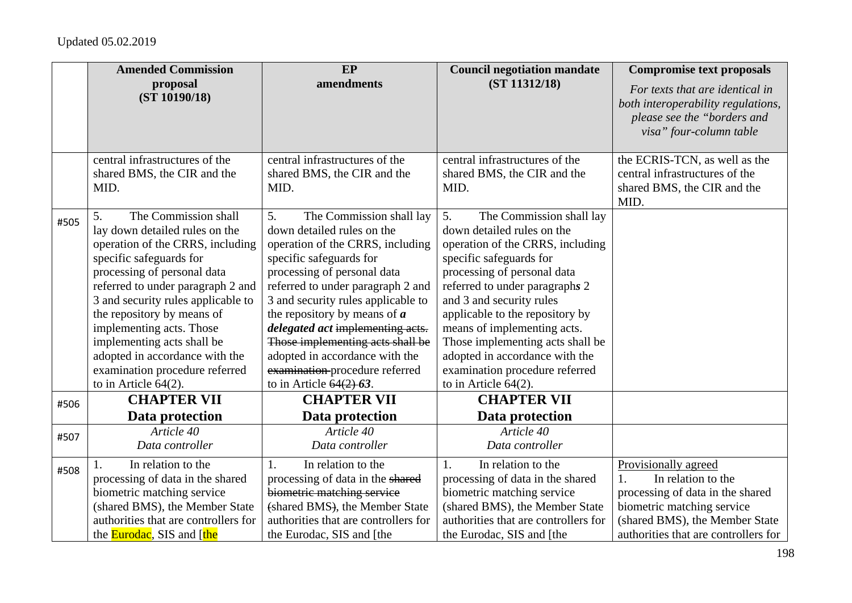|      | <b>Amended Commission</b>                                                                                                                                                                                                                                                                                                                                                                                                    | EP                                                                                                                                                                                                                                                                                                                                                                                                                                                             | <b>Council negotiation mandate</b>                                                                                                                                                                                                                                                                                                                                                                                            | <b>Compromise text proposals</b>                                                                                                                                                       |
|------|------------------------------------------------------------------------------------------------------------------------------------------------------------------------------------------------------------------------------------------------------------------------------------------------------------------------------------------------------------------------------------------------------------------------------|----------------------------------------------------------------------------------------------------------------------------------------------------------------------------------------------------------------------------------------------------------------------------------------------------------------------------------------------------------------------------------------------------------------------------------------------------------------|-------------------------------------------------------------------------------------------------------------------------------------------------------------------------------------------------------------------------------------------------------------------------------------------------------------------------------------------------------------------------------------------------------------------------------|----------------------------------------------------------------------------------------------------------------------------------------------------------------------------------------|
|      | proposal<br>(ST 10190/18)                                                                                                                                                                                                                                                                                                                                                                                                    | amendments                                                                                                                                                                                                                                                                                                                                                                                                                                                     | (ST 11312/18)                                                                                                                                                                                                                                                                                                                                                                                                                 | For texts that are identical in<br>both interoperability regulations,<br>please see the "borders and<br>visa" four-column table                                                        |
|      | central infrastructures of the<br>shared BMS, the CIR and the<br>MID.                                                                                                                                                                                                                                                                                                                                                        | central infrastructures of the<br>shared BMS, the CIR and the<br>MID.                                                                                                                                                                                                                                                                                                                                                                                          | central infrastructures of the<br>shared BMS, the CIR and the<br>MID.                                                                                                                                                                                                                                                                                                                                                         | the ECRIS-TCN, as well as the<br>central infrastructures of the<br>shared BMS, the CIR and the<br>MID.                                                                                 |
| #505 | The Commission shall<br>5.<br>lay down detailed rules on the<br>operation of the CRRS, including<br>specific safeguards for<br>processing of personal data<br>referred to under paragraph 2 and<br>3 and security rules applicable to<br>the repository by means of<br>implementing acts. Those<br>implementing acts shall be<br>adopted in accordance with the<br>examination procedure referred<br>to in Article $64(2)$ . | 5.<br>The Commission shall lay<br>down detailed rules on the<br>operation of the CRRS, including<br>specific safeguards for<br>processing of personal data<br>referred to under paragraph 2 and<br>3 and security rules applicable to<br>the repository by means of $\boldsymbol{a}$<br>delegated act implementing acts.<br>Those implementing acts shall be<br>adopted in accordance with the<br>examination-procedure referred<br>to in Article $64(2)$ -63. | 5.<br>The Commission shall lay<br>down detailed rules on the<br>operation of the CRRS, including<br>specific safeguards for<br>processing of personal data<br>referred to under paragraphs 2<br>and 3 and security rules<br>applicable to the repository by<br>means of implementing acts.<br>Those implementing acts shall be<br>adopted in accordance with the<br>examination procedure referred<br>to in Article $64(2)$ . |                                                                                                                                                                                        |
| #506 | <b>CHAPTER VII</b><br>Data protection                                                                                                                                                                                                                                                                                                                                                                                        | <b>CHAPTER VII</b><br>Data protection                                                                                                                                                                                                                                                                                                                                                                                                                          | <b>CHAPTER VII</b><br>Data protection                                                                                                                                                                                                                                                                                                                                                                                         |                                                                                                                                                                                        |
| #507 | Article 40<br>Data controller                                                                                                                                                                                                                                                                                                                                                                                                | Article 40<br>Data controller                                                                                                                                                                                                                                                                                                                                                                                                                                  | Article 40<br>Data controller                                                                                                                                                                                                                                                                                                                                                                                                 |                                                                                                                                                                                        |
| #508 | In relation to the<br>processing of data in the shared<br>biometric matching service<br>(shared BMS), the Member State<br>authorities that are controllers for<br>the <b>Eurodac</b> , SIS and [the                                                                                                                                                                                                                          | In relation to the<br>1.<br>processing of data in the shared<br>biometric matching service<br>(shared BMS), the Member State<br>authorities that are controllers for<br>the Eurodac, SIS and [the                                                                                                                                                                                                                                                              | In relation to the<br>$\mathbf{1}$ .<br>processing of data in the shared<br>biometric matching service<br>(shared BMS), the Member State<br>authorities that are controllers for<br>the Eurodac, SIS and [the                                                                                                                                                                                                                 | Provisionally agreed<br>In relation to the<br>processing of data in the shared<br>biometric matching service<br>(shared BMS), the Member State<br>authorities that are controllers for |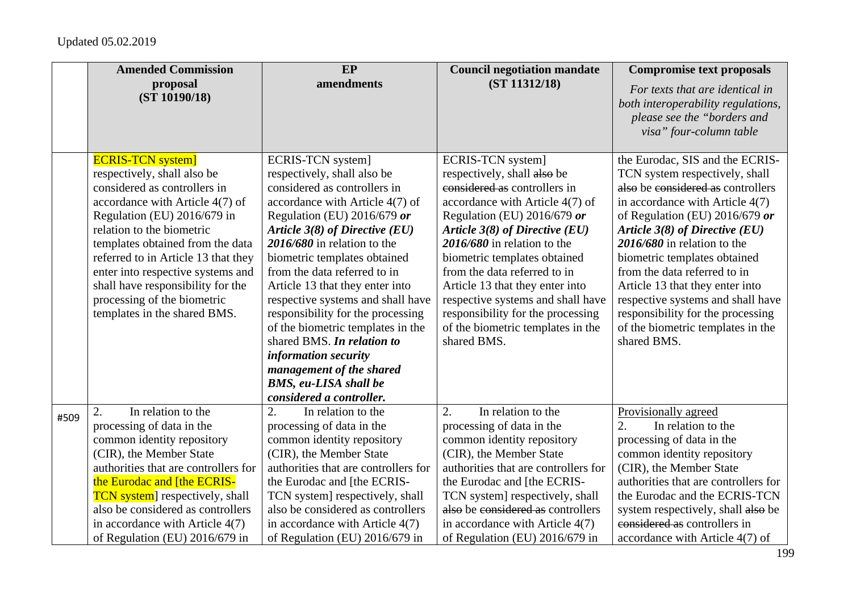|      | <b>Amended Commission</b>                                                                                                                                                                                                                                                                                                                                                                                  | EP                                                                                                                                                                                                                                                                                                                                                                                                                                                                                                                                                                                    | <b>Council negotiation mandate</b>                                                                                                                                                                                                                                                                                                                                                                                                                     | <b>Compromise text proposals</b>                                                                                                                                                                                                                                                                                                                                                                                                                                                  |
|------|------------------------------------------------------------------------------------------------------------------------------------------------------------------------------------------------------------------------------------------------------------------------------------------------------------------------------------------------------------------------------------------------------------|---------------------------------------------------------------------------------------------------------------------------------------------------------------------------------------------------------------------------------------------------------------------------------------------------------------------------------------------------------------------------------------------------------------------------------------------------------------------------------------------------------------------------------------------------------------------------------------|--------------------------------------------------------------------------------------------------------------------------------------------------------------------------------------------------------------------------------------------------------------------------------------------------------------------------------------------------------------------------------------------------------------------------------------------------------|-----------------------------------------------------------------------------------------------------------------------------------------------------------------------------------------------------------------------------------------------------------------------------------------------------------------------------------------------------------------------------------------------------------------------------------------------------------------------------------|
|      | proposal<br>(ST 10190/18)                                                                                                                                                                                                                                                                                                                                                                                  | amendments                                                                                                                                                                                                                                                                                                                                                                                                                                                                                                                                                                            | (ST 11312/18)                                                                                                                                                                                                                                                                                                                                                                                                                                          | For texts that are identical in<br>both interoperability regulations,<br>please see the "borders and<br>visa" four-column table                                                                                                                                                                                                                                                                                                                                                   |
|      | <b>ECRIS-TCN system]</b><br>respectively, shall also be<br>considered as controllers in<br>accordance with Article 4(7) of<br>Regulation (EU) 2016/679 in<br>relation to the biometric<br>templates obtained from the data<br>referred to in Article 13 that they<br>enter into respective systems and<br>shall have responsibility for the<br>processing of the biometric<br>templates in the shared BMS. | ECRIS-TCN system]<br>respectively, shall also be<br>considered as controllers in<br>accordance with Article 4(7) of<br>Regulation (EU) 2016/679 or<br>Article 3(8) of Directive (EU)<br>$2016/680$ in relation to the<br>biometric templates obtained<br>from the data referred to in<br>Article 13 that they enter into<br>respective systems and shall have<br>responsibility for the processing<br>of the biometric templates in the<br>shared BMS. In relation to<br>information security<br>management of the shared<br><b>BMS, eu-LISA shall be</b><br>considered a controller. | ECRIS-TCN system]<br>respectively, shall also be<br>considered as controllers in<br>accordance with Article 4(7) of<br>Regulation (EU) 2016/679 or<br>Article $3(8)$ of Directive (EU)<br>2016/680 in relation to the<br>biometric templates obtained<br>from the data referred to in<br>Article 13 that they enter into<br>respective systems and shall have<br>responsibility for the processing<br>of the biometric templates in the<br>shared BMS. | the Eurodac, SIS and the ECRIS-<br>TCN system respectively, shall<br>also be considered as controllers<br>in accordance with Article 4(7)<br>of Regulation (EU) 2016/679 or<br>Article $3(8)$ of Directive (EU)<br>$2016/680$ in relation to the<br>biometric templates obtained<br>from the data referred to in<br>Article 13 that they enter into<br>respective systems and shall have<br>responsibility for the processing<br>of the biometric templates in the<br>shared BMS. |
| #509 | In relation to the<br>2.<br>processing of data in the<br>common identity repository<br>(CIR), the Member State<br>authorities that are controllers for<br>the Eurodac and [the ECRIS-<br><b>TCN</b> system respectively, shall<br>also be considered as controllers<br>in accordance with Article 4(7)<br>of Regulation (EU) 2016/679 in                                                                   | 2.<br>In relation to the<br>processing of data in the<br>common identity repository<br>(CIR), the Member State<br>authorities that are controllers for<br>the Eurodac and [the ECRIS-<br>TCN system] respectively, shall<br>also be considered as controllers<br>in accordance with Article 4(7)<br>of Regulation (EU) 2016/679 in                                                                                                                                                                                                                                                    | In relation to the<br>2.<br>processing of data in the<br>common identity repository<br>(CIR), the Member State<br>authorities that are controllers for<br>the Eurodac and [the ECRIS-<br>TCN system] respectively, shall<br>also be considered as controllers<br>in accordance with Article $4(7)$<br>of Regulation (EU) 2016/679 in                                                                                                                   | Provisionally agreed<br>2.<br>In relation to the<br>processing of data in the<br>common identity repository<br>(CIR), the Member State<br>authorities that are controllers for<br>the Eurodac and the ECRIS-TCN<br>system respectively, shall also be<br>considered as controllers in<br>accordance with Article 4(7) of                                                                                                                                                          |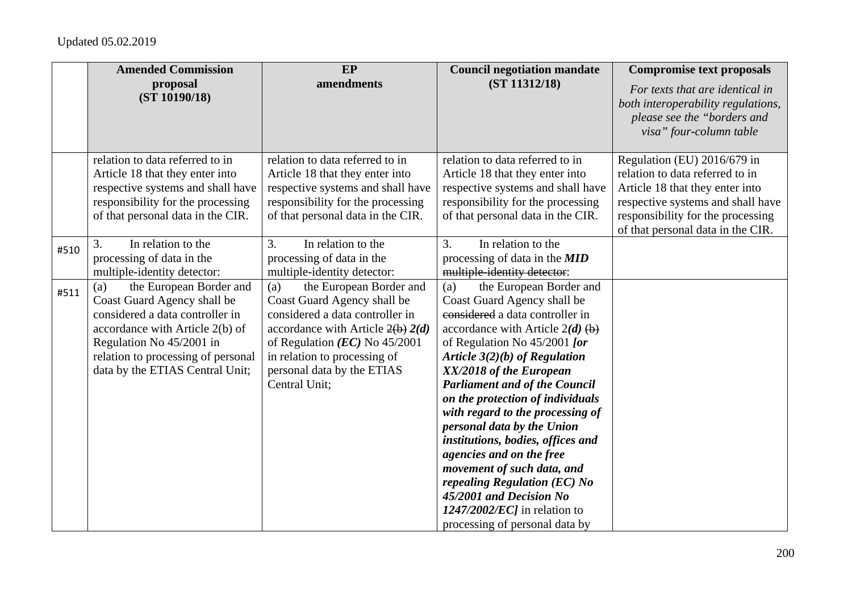|      | <b>Amended Commission</b>                                                                                                                                                                                                                | EP                                                                                                                                                                                                                                                        | <b>Council negotiation mandate</b>                                                                                                                                                                                                                                                                                                                                                                                                                                                                                                                                                                                  | <b>Compromise text proposals</b>                                                                                                                                                                                 |
|------|------------------------------------------------------------------------------------------------------------------------------------------------------------------------------------------------------------------------------------------|-----------------------------------------------------------------------------------------------------------------------------------------------------------------------------------------------------------------------------------------------------------|---------------------------------------------------------------------------------------------------------------------------------------------------------------------------------------------------------------------------------------------------------------------------------------------------------------------------------------------------------------------------------------------------------------------------------------------------------------------------------------------------------------------------------------------------------------------------------------------------------------------|------------------------------------------------------------------------------------------------------------------------------------------------------------------------------------------------------------------|
|      | proposal<br>(ST 10190/18)                                                                                                                                                                                                                | amendments                                                                                                                                                                                                                                                | (ST 11312/18)                                                                                                                                                                                                                                                                                                                                                                                                                                                                                                                                                                                                       | For texts that are identical in<br>both interoperability regulations,<br>please see the "borders and<br>visa" four-column table                                                                                  |
|      | relation to data referred to in<br>Article 18 that they enter into<br>respective systems and shall have<br>responsibility for the processing<br>of that personal data in the CIR.                                                        | relation to data referred to in<br>Article 18 that they enter into<br>respective systems and shall have<br>responsibility for the processing<br>of that personal data in the CIR.                                                                         | relation to data referred to in<br>Article 18 that they enter into<br>respective systems and shall have<br>responsibility for the processing<br>of that personal data in the CIR.                                                                                                                                                                                                                                                                                                                                                                                                                                   | Regulation (EU) 2016/679 in<br>relation to data referred to in<br>Article 18 that they enter into<br>respective systems and shall have<br>responsibility for the processing<br>of that personal data in the CIR. |
| #510 | 3.<br>In relation to the<br>processing of data in the<br>multiple-identity detector:                                                                                                                                                     | 3.<br>In relation to the<br>processing of data in the<br>multiple-identity detector:                                                                                                                                                                      | 3.<br>In relation to the<br>processing of data in the <b>MID</b><br>multiple-identity detector:                                                                                                                                                                                                                                                                                                                                                                                                                                                                                                                     |                                                                                                                                                                                                                  |
| #511 | the European Border and<br>(a)<br>Coast Guard Agency shall be<br>considered a data controller in<br>accordance with Article 2(b) of<br>Regulation No 45/2001 in<br>relation to processing of personal<br>data by the ETIAS Central Unit; | the European Border and<br>(a)<br>Coast Guard Agency shall be<br>considered a data controller in<br>accordance with Article $2(b) 2(d)$<br>of Regulation $(EC)$ No 45/2001<br>in relation to processing of<br>personal data by the ETIAS<br>Central Unit; | the European Border and<br>(a)<br>Coast Guard Agency shall be<br>considered a data controller in<br>accordance with Article $2(d)$ (b)<br>of Regulation No $45/2001$ [or<br>Article $3(2)(b)$ of Regulation<br>XX/2018 of the European<br><b>Parliament and of the Council</b><br>on the protection of individuals<br>with regard to the processing of<br>personal data by the Union<br>institutions, bodies, offices and<br>agencies and on the free<br>movement of such data, and<br>repealing Regulation (EC) No<br>45/2001 and Decision No<br>$1247/2002/EC$ ] in relation to<br>processing of personal data by |                                                                                                                                                                                                                  |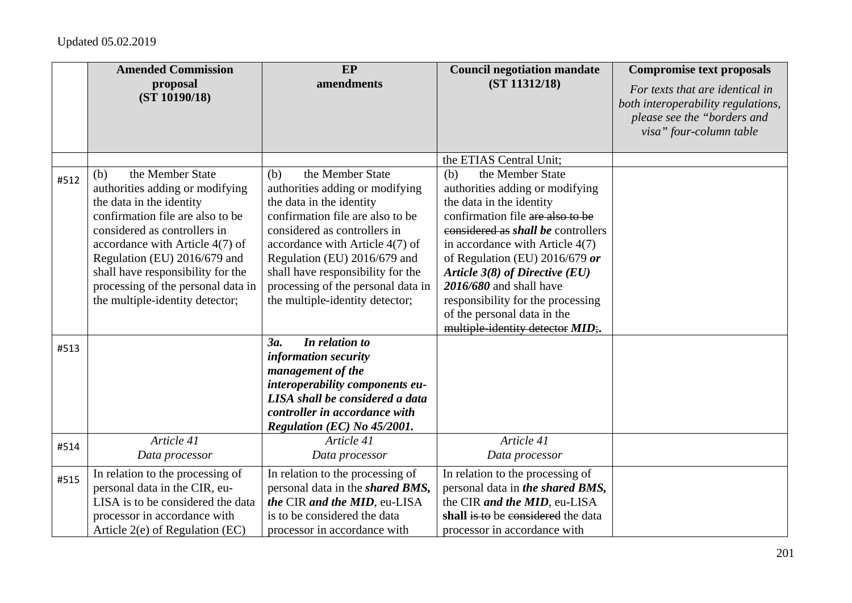|      | <b>Amended Commission</b>                                                                                                                                                                                                                                                                                                                   | <b>EP</b>                                                                                                                                                                                                                                                                                                                                   | <b>Council negotiation mandate</b>                                                                                                                                                                                                                                                                                                                                                                                    | <b>Compromise text proposals</b>                                                                                                |
|------|---------------------------------------------------------------------------------------------------------------------------------------------------------------------------------------------------------------------------------------------------------------------------------------------------------------------------------------------|---------------------------------------------------------------------------------------------------------------------------------------------------------------------------------------------------------------------------------------------------------------------------------------------------------------------------------------------|-----------------------------------------------------------------------------------------------------------------------------------------------------------------------------------------------------------------------------------------------------------------------------------------------------------------------------------------------------------------------------------------------------------------------|---------------------------------------------------------------------------------------------------------------------------------|
|      | proposal<br>(ST 10190/18)                                                                                                                                                                                                                                                                                                                   | amendments                                                                                                                                                                                                                                                                                                                                  | (ST 11312/18)                                                                                                                                                                                                                                                                                                                                                                                                         | For texts that are identical in<br>both interoperability regulations,<br>please see the "borders and<br>visa" four-column table |
|      |                                                                                                                                                                                                                                                                                                                                             |                                                                                                                                                                                                                                                                                                                                             | the ETIAS Central Unit;                                                                                                                                                                                                                                                                                                                                                                                               |                                                                                                                                 |
| #512 | the Member State<br>(b)<br>authorities adding or modifying<br>the data in the identity<br>confirmation file are also to be<br>considered as controllers in<br>accordance with Article 4(7) of<br>Regulation (EU) 2016/679 and<br>shall have responsibility for the<br>processing of the personal data in<br>the multiple-identity detector; | the Member State<br>(b)<br>authorities adding or modifying<br>the data in the identity<br>confirmation file are also to be<br>considered as controllers in<br>accordance with Article 4(7) of<br>Regulation (EU) 2016/679 and<br>shall have responsibility for the<br>processing of the personal data in<br>the multiple-identity detector; | the Member State<br>(b)<br>authorities adding or modifying<br>the data in the identity<br>confirmation file are also to be<br>considered as <i>shall be</i> controllers<br>in accordance with Article $4(7)$<br>of Regulation (EU) 2016/679 or<br>Article $3(8)$ of Directive (EU)<br>2016/680 and shall have<br>responsibility for the processing<br>of the personal data in the<br>multiple-identity detector MID;. |                                                                                                                                 |
| #513 |                                                                                                                                                                                                                                                                                                                                             | In relation to<br>3a.<br>information security<br>management of the<br>interoperability components eu-<br>LISA shall be considered a data<br>controller in accordance with<br>Regulation (EC) No 45/2001.                                                                                                                                    |                                                                                                                                                                                                                                                                                                                                                                                                                       |                                                                                                                                 |
| #514 | Article 41<br>Data processor                                                                                                                                                                                                                                                                                                                | Article 41<br>Data processor                                                                                                                                                                                                                                                                                                                | Article 41<br>Data processor                                                                                                                                                                                                                                                                                                                                                                                          |                                                                                                                                 |
| #515 | In relation to the processing of<br>personal data in the CIR, eu-<br>LISA is to be considered the data<br>processor in accordance with<br>Article 2(e) of Regulation (EC)                                                                                                                                                                   | In relation to the processing of<br>personal data in the <i>shared BMS</i> ,<br>the CIR and the MID, eu-LISA<br>is to be considered the data<br>processor in accordance with                                                                                                                                                                | In relation to the processing of<br>personal data in the shared BMS,<br>the CIR and the MID, eu-LISA<br>shall is to be considered the data<br>processor in accordance with                                                                                                                                                                                                                                            |                                                                                                                                 |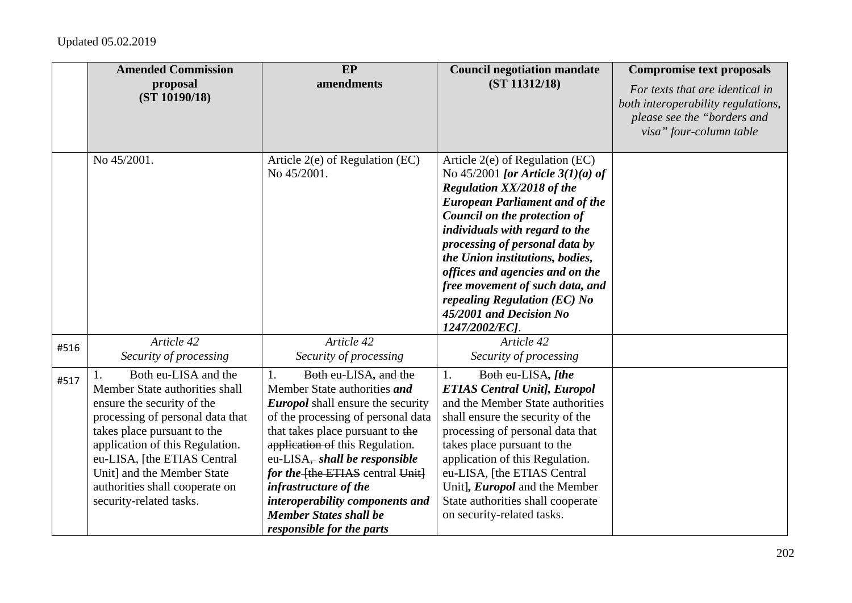|      | <b>Amended Commission</b>                                                                                                                                                                                                                                                                                            | EP                                                                                                                                                                                                                                                                                                                                                                                                                | <b>Council negotiation mandate</b>                                                                                                                                                                                                                                                                                                                                                                                                            | <b>Compromise text proposals</b>                                                                                                |
|------|----------------------------------------------------------------------------------------------------------------------------------------------------------------------------------------------------------------------------------------------------------------------------------------------------------------------|-------------------------------------------------------------------------------------------------------------------------------------------------------------------------------------------------------------------------------------------------------------------------------------------------------------------------------------------------------------------------------------------------------------------|-----------------------------------------------------------------------------------------------------------------------------------------------------------------------------------------------------------------------------------------------------------------------------------------------------------------------------------------------------------------------------------------------------------------------------------------------|---------------------------------------------------------------------------------------------------------------------------------|
|      | proposal<br>(ST 10190/18)                                                                                                                                                                                                                                                                                            | amendments                                                                                                                                                                                                                                                                                                                                                                                                        | (ST 11312/18)                                                                                                                                                                                                                                                                                                                                                                                                                                 | For texts that are identical in<br>both interoperability regulations,<br>please see the "borders and<br>visa" four-column table |
|      | No 45/2001.                                                                                                                                                                                                                                                                                                          | Article $2(e)$ of Regulation (EC)<br>No 45/2001.                                                                                                                                                                                                                                                                                                                                                                  | Article 2(e) of Regulation (EC)<br>No 45/2001 [or Article $3(1)(a)$ of<br><b>Regulation XX/2018 of the</b><br><b>European Parliament and of the</b><br>Council on the protection of<br>individuals with regard to the<br>processing of personal data by<br>the Union institutions, bodies,<br>offices and agencies and on the<br>free movement of such data, and<br>repealing Regulation (EC) No<br>45/2001 and Decision No<br>1247/2002/EC]. |                                                                                                                                 |
| #516 | Article 42<br>Security of processing                                                                                                                                                                                                                                                                                 | Article 42<br>Security of processing                                                                                                                                                                                                                                                                                                                                                                              | Article 42<br>Security of processing                                                                                                                                                                                                                                                                                                                                                                                                          |                                                                                                                                 |
| #517 | Both eu-LISA and the<br>Member State authorities shall<br>ensure the security of the<br>processing of personal data that<br>takes place pursuant to the<br>application of this Regulation.<br>eu-LISA, [the ETIAS Central<br>Unit] and the Member State<br>authorities shall cooperate on<br>security-related tasks. | Both eu-LISA, and the<br>1.<br>Member State authorities and<br><b>Europol</b> shall ensure the security<br>of the processing of personal data<br>that takes place pursuant to the<br>application of this Regulation.<br>eu-LISA, shall be responsible<br>for the the ETIAS central Unit<br>infrastructure of the<br>interoperability components and<br><b>Member States shall be</b><br>responsible for the parts | 1.<br>Both eu-LISA, [the<br><b>ETIAS Central Unit], Europol</b><br>and the Member State authorities<br>shall ensure the security of the<br>processing of personal data that<br>takes place pursuant to the<br>application of this Regulation.<br>eu-LISA, [the ETIAS Central<br>Unit], <i>Europol</i> and the Member<br>State authorities shall cooperate<br>on security-related tasks.                                                       |                                                                                                                                 |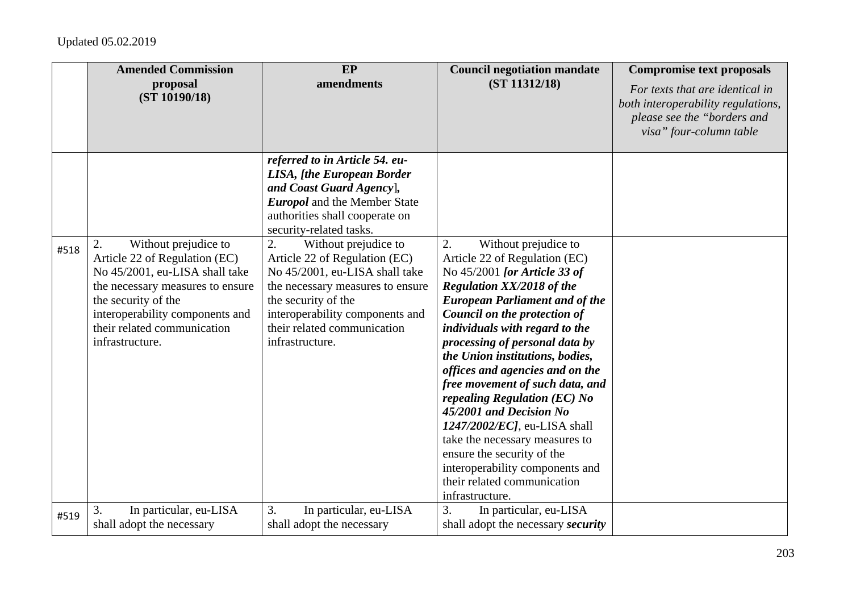|      | <b>Amended Commission</b>                                                                                                                                                                                                                     | EP                                                                                                                                                                                                                                            | <b>Council negotiation mandate</b>                                                                                                                                                                                                                                                                                                                                                                                                                                                                                                                                                                                                    | <b>Compromise text proposals</b>                                                                                                |
|------|-----------------------------------------------------------------------------------------------------------------------------------------------------------------------------------------------------------------------------------------------|-----------------------------------------------------------------------------------------------------------------------------------------------------------------------------------------------------------------------------------------------|---------------------------------------------------------------------------------------------------------------------------------------------------------------------------------------------------------------------------------------------------------------------------------------------------------------------------------------------------------------------------------------------------------------------------------------------------------------------------------------------------------------------------------------------------------------------------------------------------------------------------------------|---------------------------------------------------------------------------------------------------------------------------------|
|      | proposal<br>(ST 10190/18)                                                                                                                                                                                                                     | amendments                                                                                                                                                                                                                                    | (ST 11312/18)                                                                                                                                                                                                                                                                                                                                                                                                                                                                                                                                                                                                                         | For texts that are identical in<br>both interoperability regulations,<br>please see the "borders and<br>visa" four-column table |
|      |                                                                                                                                                                                                                                               | referred to in Article 54. eu-<br><b>LISA, [the European Border</b><br>and Coast Guard Agency],<br><b>Europol</b> and the Member State<br>authorities shall cooperate on<br>security-related tasks.                                           |                                                                                                                                                                                                                                                                                                                                                                                                                                                                                                                                                                                                                                       |                                                                                                                                 |
| #518 | Without prejudice to<br>2.<br>Article 22 of Regulation (EC)<br>No 45/2001, eu-LISA shall take<br>the necessary measures to ensure<br>the security of the<br>interoperability components and<br>their related communication<br>infrastructure. | 2.<br>Without prejudice to<br>Article 22 of Regulation (EC)<br>No 45/2001, eu-LISA shall take<br>the necessary measures to ensure<br>the security of the<br>interoperability components and<br>their related communication<br>infrastructure. | 2.<br>Without prejudice to<br>Article 22 of Regulation (EC)<br>No 45/2001 [or Article 33 of<br><b>Regulation XX/2018 of the</b><br><b>European Parliament and of the</b><br>Council on the protection of<br>individuals with regard to the<br>processing of personal data by<br>the Union institutions, bodies,<br>offices and agencies and on the<br>free movement of such data, and<br>repealing Regulation (EC) No<br>45/2001 and Decision No<br>1247/2002/ECJ, eu-LISA shall<br>take the necessary measures to<br>ensure the security of the<br>interoperability components and<br>their related communication<br>infrastructure. |                                                                                                                                 |
| #519 | In particular, eu-LISA<br>3.<br>shall adopt the necessary                                                                                                                                                                                     | 3.<br>In particular, eu-LISA<br>shall adopt the necessary                                                                                                                                                                                     | In particular, eu-LISA<br>3.<br>shall adopt the necessary <i>security</i>                                                                                                                                                                                                                                                                                                                                                                                                                                                                                                                                                             |                                                                                                                                 |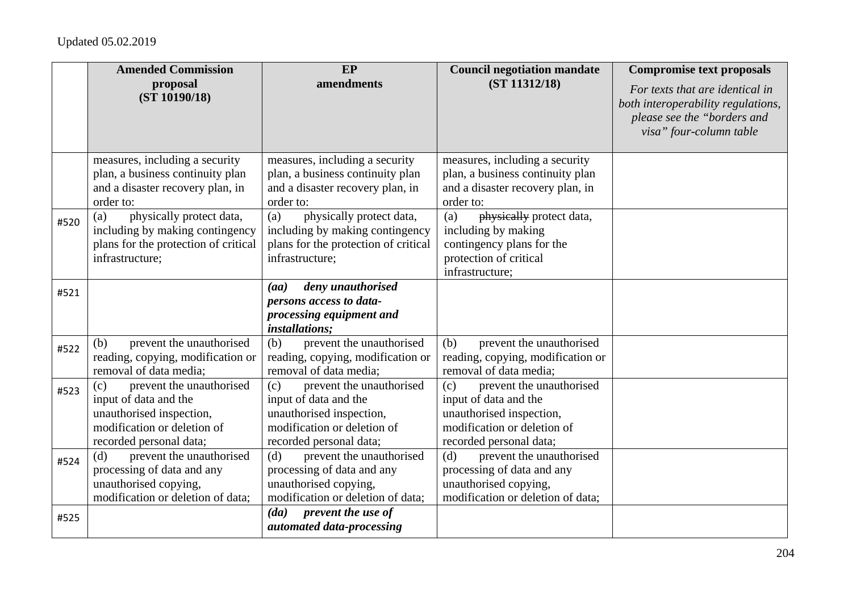|      | <b>Amended Commission</b>                                                                                                                      | EP                                                                                                                                             | <b>Council negotiation mandate</b>                                                                                                             | <b>Compromise text proposals</b>                                                                                                |
|------|------------------------------------------------------------------------------------------------------------------------------------------------|------------------------------------------------------------------------------------------------------------------------------------------------|------------------------------------------------------------------------------------------------------------------------------------------------|---------------------------------------------------------------------------------------------------------------------------------|
|      | proposal<br>(ST 10190/18)                                                                                                                      | amendments                                                                                                                                     | (ST 11312/18)                                                                                                                                  | For texts that are identical in<br>both interoperability regulations,<br>please see the "borders and<br>visa" four-column table |
|      | measures, including a security<br>plan, a business continuity plan                                                                             | measures, including a security<br>plan, a business continuity plan                                                                             | measures, including a security<br>plan, a business continuity plan                                                                             |                                                                                                                                 |
|      | and a disaster recovery plan, in<br>order to:                                                                                                  | and a disaster recovery plan, in<br>order to:                                                                                                  | and a disaster recovery plan, in<br>order to:                                                                                                  |                                                                                                                                 |
| #520 | physically protect data,<br>(a)<br>including by making contingency<br>plans for the protection of critical<br>infrastructure;                  | physically protect data,<br>(a)<br>including by making contingency<br>plans for the protection of critical<br>infrastructure;                  | physically protect data,<br>(a)<br>including by making<br>contingency plans for the<br>protection of critical<br>infrastructure;               |                                                                                                                                 |
| #521 |                                                                                                                                                | deny unauthorised<br>(aa)<br>persons access to data-<br>processing equipment and<br><i>installations;</i>                                      |                                                                                                                                                |                                                                                                                                 |
| #522 | prevent the unauthorised<br>(b)<br>reading, copying, modification or<br>removal of data media;                                                 | prevent the unauthorised<br>(b)<br>reading, copying, modification or<br>removal of data media;                                                 | prevent the unauthorised<br>(b)<br>reading, copying, modification or<br>removal of data media;                                                 |                                                                                                                                 |
| #523 | prevent the unauthorised<br>(c)<br>input of data and the<br>unauthorised inspection,<br>modification or deletion of<br>recorded personal data; | prevent the unauthorised<br>(c)<br>input of data and the<br>unauthorised inspection,<br>modification or deletion of<br>recorded personal data; | prevent the unauthorised<br>(c)<br>input of data and the<br>unauthorised inspection,<br>modification or deletion of<br>recorded personal data; |                                                                                                                                 |
| #524 | prevent the unauthorised<br>(d)<br>processing of data and any<br>unauthorised copying,<br>modification or deletion of data;                    | (d)<br>prevent the unauthorised<br>processing of data and any<br>unauthorised copying,<br>modification or deletion of data;                    | (d)<br>prevent the unauthorised<br>processing of data and any<br>unauthorised copying,<br>modification or deletion of data;                    |                                                                                                                                 |
| #525 |                                                                                                                                                | prevent the use of<br>(da)<br>automated data-processing                                                                                        |                                                                                                                                                |                                                                                                                                 |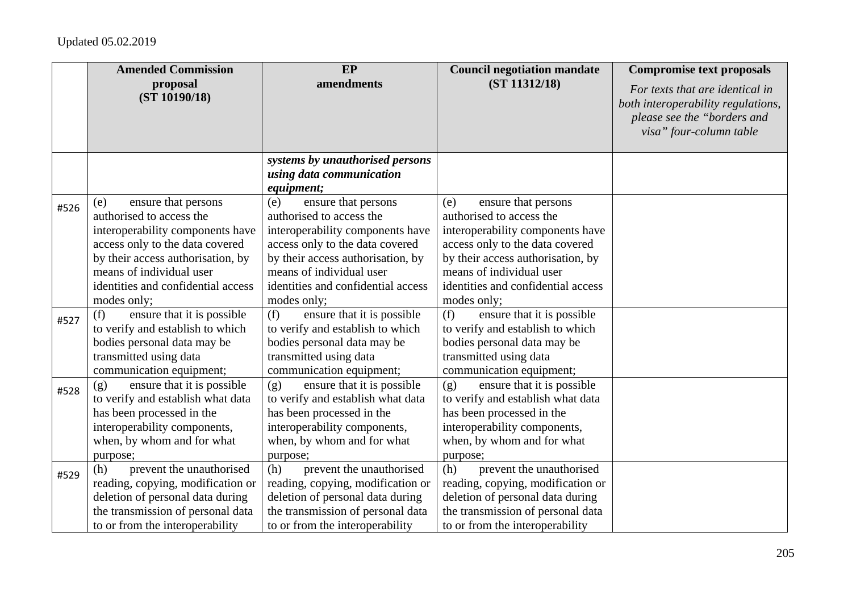|      | <b>Amended Commission</b>                                                                                                                                                                                                                           | EP                                                                                                                                                                                                                                                  | <b>Council negotiation mandate</b>                                                                                                                                                                                                                  | <b>Compromise text proposals</b>                                                                                                |
|------|-----------------------------------------------------------------------------------------------------------------------------------------------------------------------------------------------------------------------------------------------------|-----------------------------------------------------------------------------------------------------------------------------------------------------------------------------------------------------------------------------------------------------|-----------------------------------------------------------------------------------------------------------------------------------------------------------------------------------------------------------------------------------------------------|---------------------------------------------------------------------------------------------------------------------------------|
|      | proposal<br>(ST 10190/18)                                                                                                                                                                                                                           | amendments                                                                                                                                                                                                                                          | (ST 11312/18)                                                                                                                                                                                                                                       | For texts that are identical in<br>both interoperability regulations,<br>please see the "borders and<br>visa" four-column table |
|      |                                                                                                                                                                                                                                                     | systems by unauthorised persons<br>using data communication<br><i>equipment;</i>                                                                                                                                                                    |                                                                                                                                                                                                                                                     |                                                                                                                                 |
| #526 | ensure that persons<br>(e)<br>authorised to access the<br>interoperability components have<br>access only to the data covered<br>by their access authorisation, by<br>means of individual user<br>identities and confidential access<br>modes only; | ensure that persons<br>(e)<br>authorised to access the<br>interoperability components have<br>access only to the data covered<br>by their access authorisation, by<br>means of individual user<br>identities and confidential access<br>modes only; | ensure that persons<br>(e)<br>authorised to access the<br>interoperability components have<br>access only to the data covered<br>by their access authorisation, by<br>means of individual user<br>identities and confidential access<br>modes only; |                                                                                                                                 |
| #527 | (f)<br>ensure that it is possible<br>to verify and establish to which<br>bodies personal data may be<br>transmitted using data<br>communication equipment;                                                                                          | ensure that it is possible<br>(f)<br>to verify and establish to which<br>bodies personal data may be<br>transmitted using data<br>communication equipment;                                                                                          | ensure that it is possible<br>(f)<br>to verify and establish to which<br>bodies personal data may be<br>transmitted using data<br>communication equipment;                                                                                          |                                                                                                                                 |
| #528 | ensure that it is possible<br>(g)<br>to verify and establish what data<br>has been processed in the<br>interoperability components,<br>when, by whom and for what<br>purpose;                                                                       | ensure that it is possible<br>(g)<br>to verify and establish what data<br>has been processed in the<br>interoperability components,<br>when, by whom and for what<br>purpose;                                                                       | ensure that it is possible<br>(g)<br>to verify and establish what data<br>has been processed in the<br>interoperability components,<br>when, by whom and for what<br>purpose;                                                                       |                                                                                                                                 |
| #529 | prevent the unauthorised<br>(h)<br>reading, copying, modification or<br>deletion of personal data during<br>the transmission of personal data<br>to or from the interoperability                                                                    | prevent the unauthorised<br>(h)<br>reading, copying, modification or<br>deletion of personal data during<br>the transmission of personal data<br>to or from the interoperability                                                                    | prevent the unauthorised<br>(h)<br>reading, copying, modification or<br>deletion of personal data during<br>the transmission of personal data<br>to or from the interoperability                                                                    |                                                                                                                                 |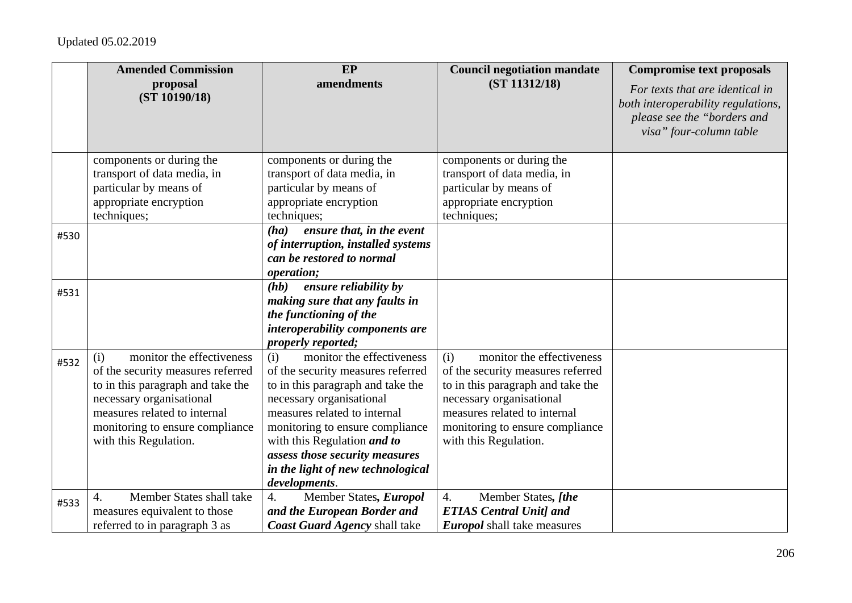|      | <b>Amended Commission</b>                    | EP                                   | <b>Council negotiation mandate</b> | <b>Compromise text proposals</b>                                                                                                |
|------|----------------------------------------------|--------------------------------------|------------------------------------|---------------------------------------------------------------------------------------------------------------------------------|
|      | proposal<br>(ST 10190/18)                    | amendments                           | (ST 11312/18)                      | For texts that are identical in<br>both interoperability regulations,<br>please see the "borders and<br>visa" four-column table |
|      | components or during the                     | components or during the             | components or during the           |                                                                                                                                 |
|      | transport of data media, in                  | transport of data media, in          | transport of data media, in        |                                                                                                                                 |
|      | particular by means of                       | particular by means of               | particular by means of             |                                                                                                                                 |
|      | appropriate encryption                       | appropriate encryption               | appropriate encryption             |                                                                                                                                 |
|      | techniques;                                  | techniques;                          | techniques;                        |                                                                                                                                 |
| #530 |                                              | ensure that, in the event<br>(ha)    |                                    |                                                                                                                                 |
|      |                                              | of interruption, installed systems   |                                    |                                                                                                                                 |
|      |                                              | can be restored to normal            |                                    |                                                                                                                                 |
|      |                                              | operation;                           |                                    |                                                                                                                                 |
| #531 |                                              | ensure reliability by<br>(hb)        |                                    |                                                                                                                                 |
|      |                                              | making sure that any faults in       |                                    |                                                                                                                                 |
|      |                                              | the functioning of the               |                                    |                                                                                                                                 |
|      |                                              | interoperability components are      |                                    |                                                                                                                                 |
|      |                                              | properly reported;                   |                                    |                                                                                                                                 |
| #532 | monitor the effectiveness<br>(i)             | monitor the effectiveness<br>(i)     | monitor the effectiveness<br>(i)   |                                                                                                                                 |
|      | of the security measures referred            | of the security measures referred    | of the security measures referred  |                                                                                                                                 |
|      | to in this paragraph and take the            | to in this paragraph and take the    | to in this paragraph and take the  |                                                                                                                                 |
|      | necessary organisational                     | necessary organisational             | necessary organisational           |                                                                                                                                 |
|      | measures related to internal                 | measures related to internal         | measures related to internal       |                                                                                                                                 |
|      | monitoring to ensure compliance              | monitoring to ensure compliance      | monitoring to ensure compliance    |                                                                                                                                 |
|      | with this Regulation.                        | with this Regulation and to          | with this Regulation.              |                                                                                                                                 |
|      |                                              | assess those security measures       |                                    |                                                                                                                                 |
|      |                                              | in the light of new technological    |                                    |                                                                                                                                 |
|      |                                              | developments.                        |                                    |                                                                                                                                 |
| #533 | Member States shall take<br>$\overline{4}$ . | Member States, Europol<br>4.         | Member States, [the<br>4.          |                                                                                                                                 |
|      | measures equivalent to those                 | and the European Border and          | <b>ETIAS Central Unit] and</b>     |                                                                                                                                 |
|      | referred to in paragraph 3 as                | <b>Coast Guard Agency shall take</b> | <b>Europol</b> shall take measures |                                                                                                                                 |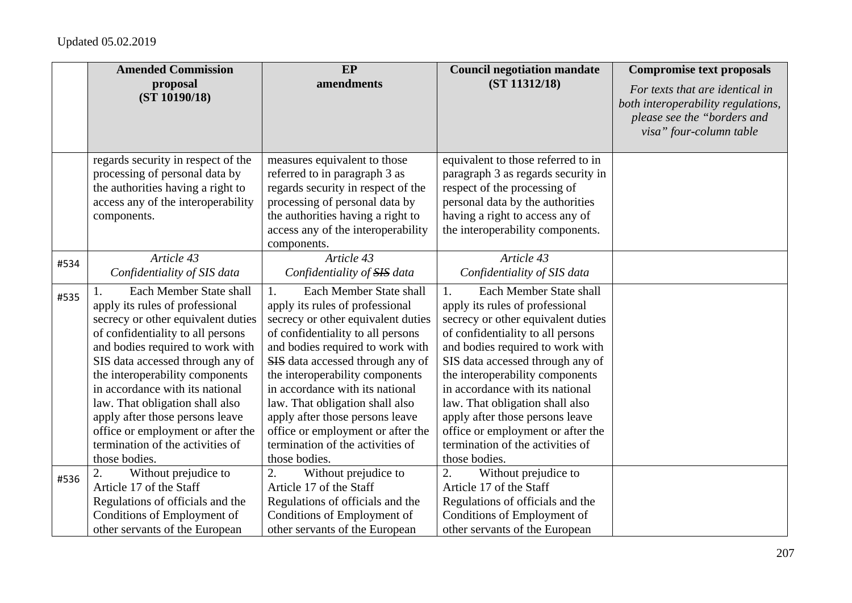|      | <b>Amended Commission</b>                                                                                                                                                                                                                                                                                                                                                                                                                           | EP                                                                                                                                                                                                                                                                                                                                                                                                                                                        | <b>Council negotiation mandate</b>                                                                                                                                                                                                                                                                                                                                                                                                                        | <b>Compromise text proposals</b>                                                                                                |
|------|-----------------------------------------------------------------------------------------------------------------------------------------------------------------------------------------------------------------------------------------------------------------------------------------------------------------------------------------------------------------------------------------------------------------------------------------------------|-----------------------------------------------------------------------------------------------------------------------------------------------------------------------------------------------------------------------------------------------------------------------------------------------------------------------------------------------------------------------------------------------------------------------------------------------------------|-----------------------------------------------------------------------------------------------------------------------------------------------------------------------------------------------------------------------------------------------------------------------------------------------------------------------------------------------------------------------------------------------------------------------------------------------------------|---------------------------------------------------------------------------------------------------------------------------------|
|      | proposal<br>(ST 10190/18)                                                                                                                                                                                                                                                                                                                                                                                                                           | amendments                                                                                                                                                                                                                                                                                                                                                                                                                                                | (ST 11312/18)                                                                                                                                                                                                                                                                                                                                                                                                                                             | For texts that are identical in<br>both interoperability regulations,<br>please see the "borders and<br>visa" four-column table |
|      | regards security in respect of the<br>processing of personal data by<br>the authorities having a right to<br>access any of the interoperability<br>components.                                                                                                                                                                                                                                                                                      | measures equivalent to those<br>referred to in paragraph 3 as<br>regards security in respect of the<br>processing of personal data by<br>the authorities having a right to<br>access any of the interoperability<br>components.                                                                                                                                                                                                                           | equivalent to those referred to in<br>paragraph 3 as regards security in<br>respect of the processing of<br>personal data by the authorities<br>having a right to access any of<br>the interoperability components.                                                                                                                                                                                                                                       |                                                                                                                                 |
| #534 | Article 43<br>Confidentiality of SIS data                                                                                                                                                                                                                                                                                                                                                                                                           | Article 43<br>Confidentiality of SIS data                                                                                                                                                                                                                                                                                                                                                                                                                 | Article 43<br>Confidentiality of SIS data                                                                                                                                                                                                                                                                                                                                                                                                                 |                                                                                                                                 |
| #535 | Each Member State shall<br>apply its rules of professional<br>secrecy or other equivalent duties<br>of confidentiality to all persons<br>and bodies required to work with<br>SIS data accessed through any of<br>the interoperability components<br>in accordance with its national<br>law. That obligation shall also<br>apply after those persons leave<br>office or employment or after the<br>termination of the activities of<br>those bodies. | Each Member State shall<br>1.<br>apply its rules of professional<br>secrecy or other equivalent duties<br>of confidentiality to all persons<br>and bodies required to work with<br>SIS data accessed through any of<br>the interoperability components<br>in accordance with its national<br>law. That obligation shall also<br>apply after those persons leave<br>office or employment or after the<br>termination of the activities of<br>those bodies. | Each Member State shall<br>1.<br>apply its rules of professional<br>secrecy or other equivalent duties<br>of confidentiality to all persons<br>and bodies required to work with<br>SIS data accessed through any of<br>the interoperability components<br>in accordance with its national<br>law. That obligation shall also<br>apply after those persons leave<br>office or employment or after the<br>termination of the activities of<br>those bodies. |                                                                                                                                 |
| #536 | 2.<br>Without prejudice to<br>Article 17 of the Staff<br>Regulations of officials and the<br>Conditions of Employment of<br>other servants of the European                                                                                                                                                                                                                                                                                          | Without prejudice to<br>2.<br>Article 17 of the Staff<br>Regulations of officials and the<br>Conditions of Employment of<br>other servants of the European                                                                                                                                                                                                                                                                                                | Without prejudice to<br>2.<br>Article 17 of the Staff<br>Regulations of officials and the<br>Conditions of Employment of<br>other servants of the European                                                                                                                                                                                                                                                                                                |                                                                                                                                 |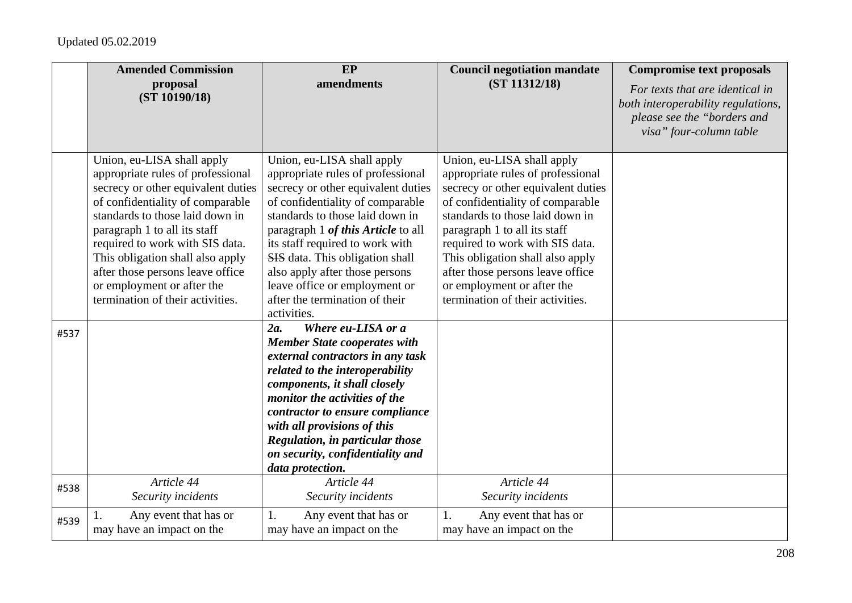|      | <b>Amended Commission</b>                                                                                                                                                                                                                                                                                                                                                                 | EP                                                                                                                                                                                                                                                                                                                                                                                                           | <b>Council negotiation mandate</b>                                                                                                                                                                                                                                                                                                                                                        | <b>Compromise text proposals</b>                                                                                                |
|------|-------------------------------------------------------------------------------------------------------------------------------------------------------------------------------------------------------------------------------------------------------------------------------------------------------------------------------------------------------------------------------------------|--------------------------------------------------------------------------------------------------------------------------------------------------------------------------------------------------------------------------------------------------------------------------------------------------------------------------------------------------------------------------------------------------------------|-------------------------------------------------------------------------------------------------------------------------------------------------------------------------------------------------------------------------------------------------------------------------------------------------------------------------------------------------------------------------------------------|---------------------------------------------------------------------------------------------------------------------------------|
|      | proposal<br>(ST 10190/18)                                                                                                                                                                                                                                                                                                                                                                 | amendments                                                                                                                                                                                                                                                                                                                                                                                                   | (ST 11312/18)                                                                                                                                                                                                                                                                                                                                                                             | For texts that are identical in<br>both interoperability regulations,<br>please see the "borders and<br>visa" four-column table |
|      | Union, eu-LISA shall apply<br>appropriate rules of professional<br>secrecy or other equivalent duties<br>of confidentiality of comparable<br>standards to those laid down in<br>paragraph 1 to all its staff<br>required to work with SIS data.<br>This obligation shall also apply<br>after those persons leave office<br>or employment or after the<br>termination of their activities. | Union, eu-LISA shall apply<br>appropriate rules of professional<br>secrecy or other equivalent duties<br>of confidentiality of comparable<br>standards to those laid down in<br>paragraph 1 of this Article to all<br>its staff required to work with<br>SIS data. This obligation shall<br>also apply after those persons<br>leave office or employment or<br>after the termination of their<br>activities. | Union, eu-LISA shall apply<br>appropriate rules of professional<br>secrecy or other equivalent duties<br>of confidentiality of comparable<br>standards to those laid down in<br>paragraph 1 to all its staff<br>required to work with SIS data.<br>This obligation shall also apply<br>after those persons leave office<br>or employment or after the<br>termination of their activities. |                                                                                                                                 |
| #537 |                                                                                                                                                                                                                                                                                                                                                                                           | Where eu-LISA or a<br>2a.<br><b>Member State cooperates with</b><br>external contractors in any task<br>related to the interoperability<br>components, it shall closely<br>monitor the activities of the<br>contractor to ensure compliance<br>with all provisions of this<br>Regulation, in particular those<br>on security, confidentiality and<br>data protection.                                        |                                                                                                                                                                                                                                                                                                                                                                                           |                                                                                                                                 |
| #538 | Article 44<br>Security incidents                                                                                                                                                                                                                                                                                                                                                          | Article 44<br>Security incidents                                                                                                                                                                                                                                                                                                                                                                             | Article 44<br>Security incidents                                                                                                                                                                                                                                                                                                                                                          |                                                                                                                                 |
| #539 | Any event that has or<br>may have an impact on the                                                                                                                                                                                                                                                                                                                                        | Any event that has or<br>1.<br>may have an impact on the                                                                                                                                                                                                                                                                                                                                                     | 1.<br>Any event that has or<br>may have an impact on the                                                                                                                                                                                                                                                                                                                                  |                                                                                                                                 |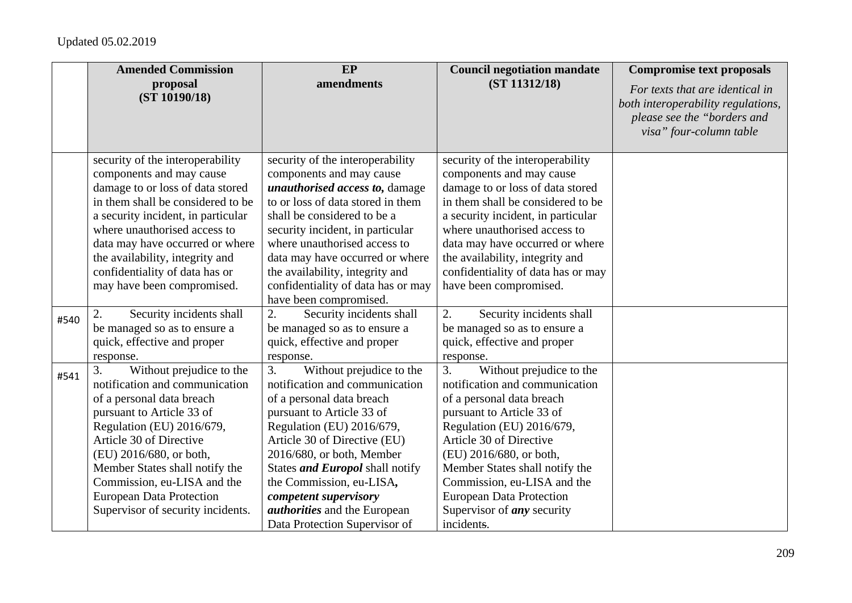|      | <b>Amended Commission</b>                                                                                                                                                                                                                                                                                                                              | EP                                                                                                                                                                                                                                                                                                                                                                                   | <b>Council negotiation mandate</b>                                                                                                                                                                                                                                                                                                                                   | <b>Compromise text proposals</b>                                                                                                |
|------|--------------------------------------------------------------------------------------------------------------------------------------------------------------------------------------------------------------------------------------------------------------------------------------------------------------------------------------------------------|--------------------------------------------------------------------------------------------------------------------------------------------------------------------------------------------------------------------------------------------------------------------------------------------------------------------------------------------------------------------------------------|----------------------------------------------------------------------------------------------------------------------------------------------------------------------------------------------------------------------------------------------------------------------------------------------------------------------------------------------------------------------|---------------------------------------------------------------------------------------------------------------------------------|
|      | proposal<br>(ST 10190/18)                                                                                                                                                                                                                                                                                                                              | amendments                                                                                                                                                                                                                                                                                                                                                                           | (ST 11312/18)                                                                                                                                                                                                                                                                                                                                                        | For texts that are identical in<br>both interoperability regulations,<br>please see the "borders and<br>visa" four-column table |
|      | security of the interoperability<br>components and may cause<br>damage to or loss of data stored<br>in them shall be considered to be<br>a security incident, in particular<br>where unauthorised access to<br>data may have occurred or where<br>the availability, integrity and<br>confidentiality of data has or<br>may have been compromised.      | security of the interoperability<br>components and may cause<br>unauthorised access to, damage<br>to or loss of data stored in them<br>shall be considered to be a<br>security incident, in particular<br>where unauthorised access to<br>data may have occurred or where<br>the availability, integrity and<br>confidentiality of data has or may<br>have been compromised.         | security of the interoperability<br>components and may cause<br>damage to or loss of data stored<br>in them shall be considered to be<br>a security incident, in particular<br>where unauthorised access to<br>data may have occurred or where<br>the availability, integrity and<br>confidentiality of data has or may<br>have been compromised.                    |                                                                                                                                 |
| #540 | 2.<br>Security incidents shall<br>be managed so as to ensure a<br>quick, effective and proper<br>response.                                                                                                                                                                                                                                             | 2.<br>Security incidents shall<br>be managed so as to ensure a<br>quick, effective and proper<br>response.                                                                                                                                                                                                                                                                           | 2.<br>Security incidents shall<br>be managed so as to ensure a<br>quick, effective and proper<br>response.                                                                                                                                                                                                                                                           |                                                                                                                                 |
| #541 | 3.<br>Without prejudice to the<br>notification and communication<br>of a personal data breach<br>pursuant to Article 33 of<br>Regulation (EU) 2016/679,<br>Article 30 of Directive<br>(EU) 2016/680, or both,<br>Member States shall notify the<br>Commission, eu-LISA and the<br><b>European Data Protection</b><br>Supervisor of security incidents. | Without prejudice to the<br>3.<br>notification and communication<br>of a personal data breach<br>pursuant to Article 33 of<br>Regulation (EU) 2016/679,<br>Article 30 of Directive (EU)<br>2016/680, or both, Member<br>States and Europol shall notify<br>the Commission, eu-LISA,<br>competent supervisory<br><i>authorities</i> and the European<br>Data Protection Supervisor of | 3.<br>Without prejudice to the<br>notification and communication<br>of a personal data breach<br>pursuant to Article 33 of<br>Regulation (EU) 2016/679,<br>Article 30 of Directive<br>(EU) 2016/680, or both,<br>Member States shall notify the<br>Commission, eu-LISA and the<br><b>European Data Protection</b><br>Supervisor of <i>any</i> security<br>incidents. |                                                                                                                                 |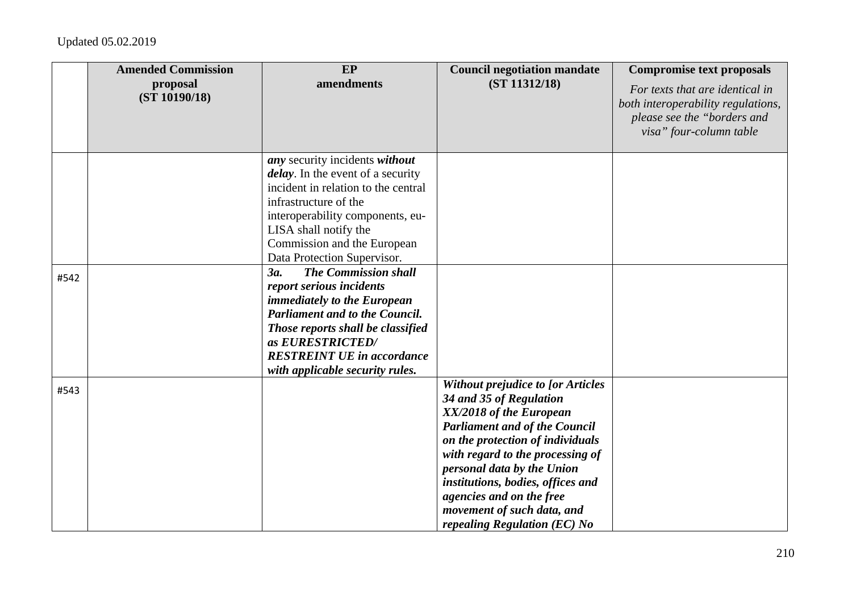|      | <b>Amended Commission</b><br>proposal | EP<br>amendments                                                                                                                                                                                                                                                               | <b>Council negotiation mandate</b><br>(ST 11312/18)                                                                                                                                                                                                                                                                                                                         | <b>Compromise text proposals</b><br>For texts that are identical in                          |
|------|---------------------------------------|--------------------------------------------------------------------------------------------------------------------------------------------------------------------------------------------------------------------------------------------------------------------------------|-----------------------------------------------------------------------------------------------------------------------------------------------------------------------------------------------------------------------------------------------------------------------------------------------------------------------------------------------------------------------------|----------------------------------------------------------------------------------------------|
|      | (ST 10190/18)                         |                                                                                                                                                                                                                                                                                |                                                                                                                                                                                                                                                                                                                                                                             | both interoperability regulations,<br>please see the "borders and<br>visa" four-column table |
|      |                                       | any security incidents without<br><i>delay</i> . In the event of a security<br>incident in relation to the central<br>infrastructure of the<br>interoperability components, eu-<br>LISA shall notify the<br>Commission and the European<br>Data Protection Supervisor.         |                                                                                                                                                                                                                                                                                                                                                                             |                                                                                              |
| #542 |                                       | <b>The Commission shall</b><br>3a.<br>report serious incidents<br><i>immediately to the European</i><br><b>Parliament and to the Council.</b><br>Those reports shall be classified<br>as EURESTRICTED/<br><b>RESTREINT UE in accordance</b><br>with applicable security rules. |                                                                                                                                                                                                                                                                                                                                                                             |                                                                                              |
| #543 |                                       |                                                                                                                                                                                                                                                                                | <b>Without prejudice to [or Articles</b><br>34 and 35 of Regulation<br>XX/2018 of the European<br><b>Parliament and of the Council</b><br>on the protection of individuals<br>with regard to the processing of<br>personal data by the Union<br>institutions, bodies, offices and<br>agencies and on the free<br>movement of such data, and<br>repealing Regulation (EC) No |                                                                                              |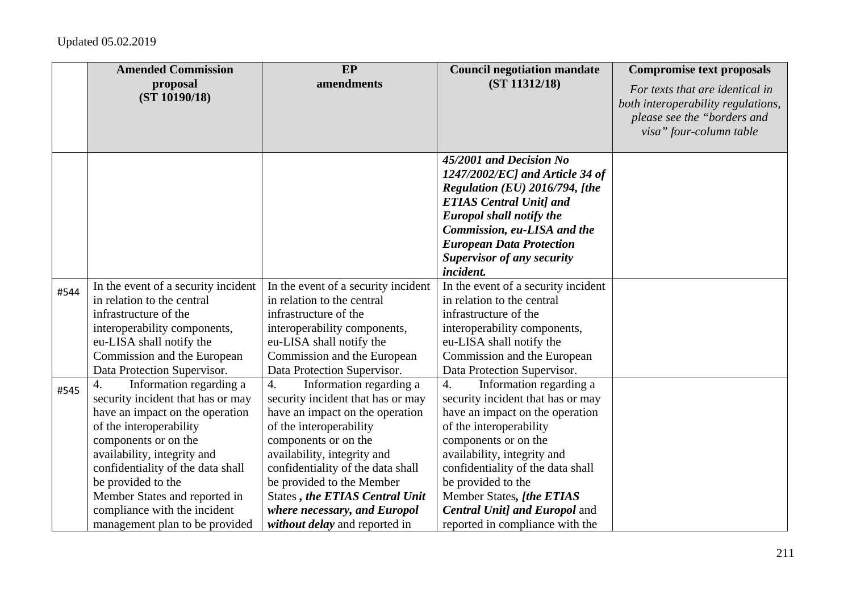|              | <b>Amended Commission</b>                                                                                                                                                                                                                                                                                                                                | EP                                                                                                                                                                                                                                                                                                                                                                     | <b>Council negotiation mandate</b>                                                                                                                                                                                                                                                                                                                                     | <b>Compromise text proposals</b>                                                                                                |
|--------------|----------------------------------------------------------------------------------------------------------------------------------------------------------------------------------------------------------------------------------------------------------------------------------------------------------------------------------------------------------|------------------------------------------------------------------------------------------------------------------------------------------------------------------------------------------------------------------------------------------------------------------------------------------------------------------------------------------------------------------------|------------------------------------------------------------------------------------------------------------------------------------------------------------------------------------------------------------------------------------------------------------------------------------------------------------------------------------------------------------------------|---------------------------------------------------------------------------------------------------------------------------------|
|              | proposal<br>(ST 10190/18)                                                                                                                                                                                                                                                                                                                                | amendments                                                                                                                                                                                                                                                                                                                                                             | (ST 11312/18)                                                                                                                                                                                                                                                                                                                                                          | For texts that are identical in<br>both interoperability regulations,<br>please see the "borders and<br>visa" four-column table |
|              |                                                                                                                                                                                                                                                                                                                                                          |                                                                                                                                                                                                                                                                                                                                                                        | 45/2001 and Decision $\overline{No}$<br>$1247/2002/EC$ ] and Article 34 of<br>Regulation (EU) 2016/794, [the<br><b>ETIAS Central Unit] and</b><br><b>Europol shall notify the</b><br>Commission, eu-LISA and the<br><b>European Data Protection</b><br><b>Supervisor of any security</b><br>incident.                                                                  |                                                                                                                                 |
| #544<br>#545 | In the event of a security incident<br>in relation to the central<br>infrastructure of the<br>interoperability components,<br>eu-LISA shall notify the<br>Commission and the European<br>Data Protection Supervisor.<br>Information regarding a<br>4.<br>security incident that has or may<br>have an impact on the operation<br>of the interoperability | In the event of a security incident<br>in relation to the central<br>infrastructure of the<br>interoperability components,<br>eu-LISA shall notify the<br>Commission and the European<br>Data Protection Supervisor.<br>Information regarding a<br>$\overline{4}$ .<br>security incident that has or may<br>have an impact on the operation<br>of the interoperability | In the event of a security incident<br>in relation to the central<br>infrastructure of the<br>interoperability components,<br>eu-LISA shall notify the<br>Commission and the European<br>Data Protection Supervisor.<br>$\overline{4}$ .<br>Information regarding a<br>security incident that has or may<br>have an impact on the operation<br>of the interoperability |                                                                                                                                 |
|              | components or on the<br>availability, integrity and<br>confidentiality of the data shall<br>be provided to the<br>Member States and reported in<br>compliance with the incident<br>management plan to be provided                                                                                                                                        | components or on the<br>availability, integrity and<br>confidentiality of the data shall<br>be provided to the Member<br><b>States, the ETIAS Central Unit</b><br>where necessary, and Europol<br>without delay and reported in                                                                                                                                        | components or on the<br>availability, integrity and<br>confidentiality of the data shall<br>be provided to the<br>Member States, [the ETIAS<br><b>Central Unit] and Europol and</b><br>reported in compliance with the                                                                                                                                                 |                                                                                                                                 |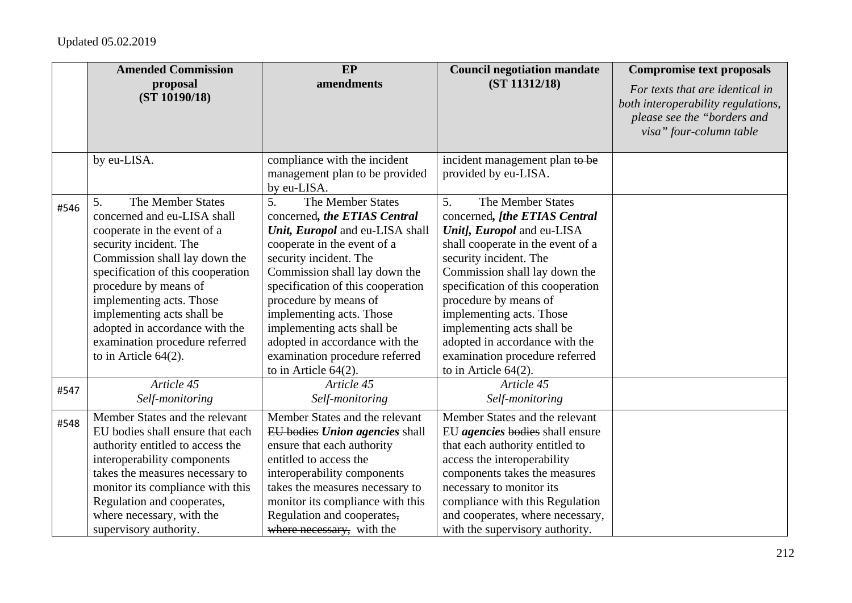|      | <b>Amended Commission</b><br>proposal<br>(ST 10190/18)                                                                                                                                                                                                                                                                                                                  | EP<br>amendments                                                                                                                                                                                                                                                                                                                                                                                            | <b>Council negotiation mandate</b><br>(ST 11312/18)                                                                                                                                                                                                                                                                                                                                                           | <b>Compromise text proposals</b><br>For texts that are identical in<br>both interoperability regulations,<br>please see the "borders and<br>visa" four-column table |
|------|-------------------------------------------------------------------------------------------------------------------------------------------------------------------------------------------------------------------------------------------------------------------------------------------------------------------------------------------------------------------------|-------------------------------------------------------------------------------------------------------------------------------------------------------------------------------------------------------------------------------------------------------------------------------------------------------------------------------------------------------------------------------------------------------------|---------------------------------------------------------------------------------------------------------------------------------------------------------------------------------------------------------------------------------------------------------------------------------------------------------------------------------------------------------------------------------------------------------------|---------------------------------------------------------------------------------------------------------------------------------------------------------------------|
|      | by eu-LISA.                                                                                                                                                                                                                                                                                                                                                             | compliance with the incident<br>management plan to be provided<br>by eu-LISA.                                                                                                                                                                                                                                                                                                                               | incident management plan to be<br>provided by eu-LISA.                                                                                                                                                                                                                                                                                                                                                        |                                                                                                                                                                     |
| #546 | The Member States<br>5.<br>concerned and eu-LISA shall<br>cooperate in the event of a<br>security incident. The<br>Commission shall lay down the<br>specification of this cooperation<br>procedure by means of<br>implementing acts. Those<br>implementing acts shall be<br>adopted in accordance with the<br>examination procedure referred<br>to in Article $64(2)$ . | The Member States<br>5.<br>concerned, the ETIAS Central<br>Unit, Europol and eu-LISA shall<br>cooperate in the event of a<br>security incident. The<br>Commission shall lay down the<br>specification of this cooperation<br>procedure by means of<br>implementing acts. Those<br>implementing acts shall be<br>adopted in accordance with the<br>examination procedure referred<br>to in Article $64(2)$ . | The Member States<br>5.<br>concerned, [the ETIAS Central<br>Unit], Europol and eu-LISA<br>shall cooperate in the event of a<br>security incident. The<br>Commission shall lay down the<br>specification of this cooperation<br>procedure by means of<br>implementing acts. Those<br>implementing acts shall be<br>adopted in accordance with the<br>examination procedure referred<br>to in Article $64(2)$ . |                                                                                                                                                                     |
| #547 | Article 45<br>Self-monitoring                                                                                                                                                                                                                                                                                                                                           | Article 45<br>Self-monitoring                                                                                                                                                                                                                                                                                                                                                                               | Article 45<br>Self-monitoring                                                                                                                                                                                                                                                                                                                                                                                 |                                                                                                                                                                     |
| #548 | Member States and the relevant<br>EU bodies shall ensure that each<br>authority entitled to access the<br>interoperability components<br>takes the measures necessary to<br>monitor its compliance with this<br>Regulation and cooperates,<br>where necessary, with the<br>supervisory authority.                                                                       | Member States and the relevant<br>EU bodies Union agencies shall<br>ensure that each authority<br>entitled to access the<br>interoperability components<br>takes the measures necessary to<br>monitor its compliance with this<br>Regulation and cooperates,<br>where necessary, with the                                                                                                                   | Member States and the relevant<br>EU agencies bodies shall ensure<br>that each authority entitled to<br>access the interoperability<br>components takes the measures<br>necessary to monitor its<br>compliance with this Regulation<br>and cooperates, where necessary,<br>with the supervisory authority.                                                                                                    |                                                                                                                                                                     |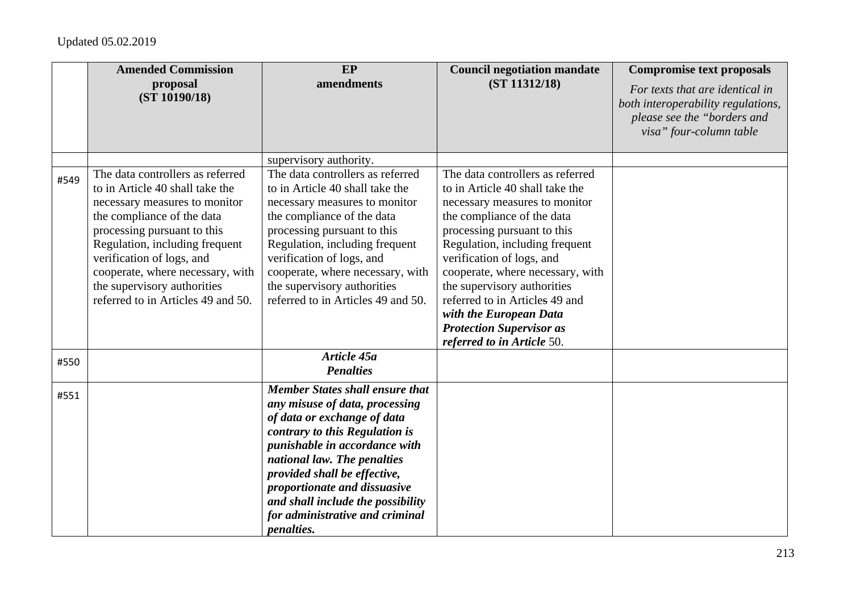|      | <b>Amended Commission</b><br>proposal                           | EP<br>amendments                                                | <b>Council negotiation mandate</b><br>(ST 11312/18)             | <b>Compromise text proposals</b>                                      |
|------|-----------------------------------------------------------------|-----------------------------------------------------------------|-----------------------------------------------------------------|-----------------------------------------------------------------------|
|      | (ST 10190/18)                                                   |                                                                 |                                                                 | For texts that are identical in<br>both interoperability regulations, |
|      |                                                                 |                                                                 |                                                                 | please see the "borders and                                           |
|      |                                                                 |                                                                 |                                                                 | visa" four-column table                                               |
|      |                                                                 | supervisory authority.                                          |                                                                 |                                                                       |
|      | The data controllers as referred                                | The data controllers as referred                                | The data controllers as referred                                |                                                                       |
| #549 | to in Article 40 shall take the                                 | to in Article 40 shall take the                                 | to in Article 40 shall take the                                 |                                                                       |
|      | necessary measures to monitor                                   | necessary measures to monitor                                   | necessary measures to monitor                                   |                                                                       |
|      | the compliance of the data                                      | the compliance of the data                                      | the compliance of the data                                      |                                                                       |
|      | processing pursuant to this                                     | processing pursuant to this                                     | processing pursuant to this                                     |                                                                       |
|      | Regulation, including frequent                                  | Regulation, including frequent                                  | Regulation, including frequent                                  |                                                                       |
|      | verification of logs, and                                       | verification of logs, and                                       | verification of logs, and                                       |                                                                       |
|      | cooperate, where necessary, with<br>the supervisory authorities | cooperate, where necessary, with<br>the supervisory authorities | cooperate, where necessary, with<br>the supervisory authorities |                                                                       |
|      | referred to in Articles 49 and 50.                              | referred to in Articles 49 and 50.                              | referred to in Articles 49 and                                  |                                                                       |
|      |                                                                 |                                                                 | with the European Data                                          |                                                                       |
|      |                                                                 |                                                                 | <b>Protection Supervisor as</b>                                 |                                                                       |
|      |                                                                 |                                                                 | referred to in Article 50.                                      |                                                                       |
| #550 |                                                                 | Article 45a                                                     |                                                                 |                                                                       |
|      |                                                                 | <b>Penalties</b>                                                |                                                                 |                                                                       |
| #551 |                                                                 | <b>Member States shall ensure that</b>                          |                                                                 |                                                                       |
|      |                                                                 | any misuse of data, processing                                  |                                                                 |                                                                       |
|      |                                                                 | of data or exchange of data                                     |                                                                 |                                                                       |
|      |                                                                 | contrary to this Regulation is                                  |                                                                 |                                                                       |
|      |                                                                 | punishable in accordance with<br>national law. The penalties    |                                                                 |                                                                       |
|      |                                                                 | provided shall be effective,                                    |                                                                 |                                                                       |
|      |                                                                 | proportionate and dissuasive                                    |                                                                 |                                                                       |
|      |                                                                 | and shall include the possibility                               |                                                                 |                                                                       |
|      |                                                                 | for administrative and criminal                                 |                                                                 |                                                                       |
|      |                                                                 | <i>penalties.</i>                                               |                                                                 |                                                                       |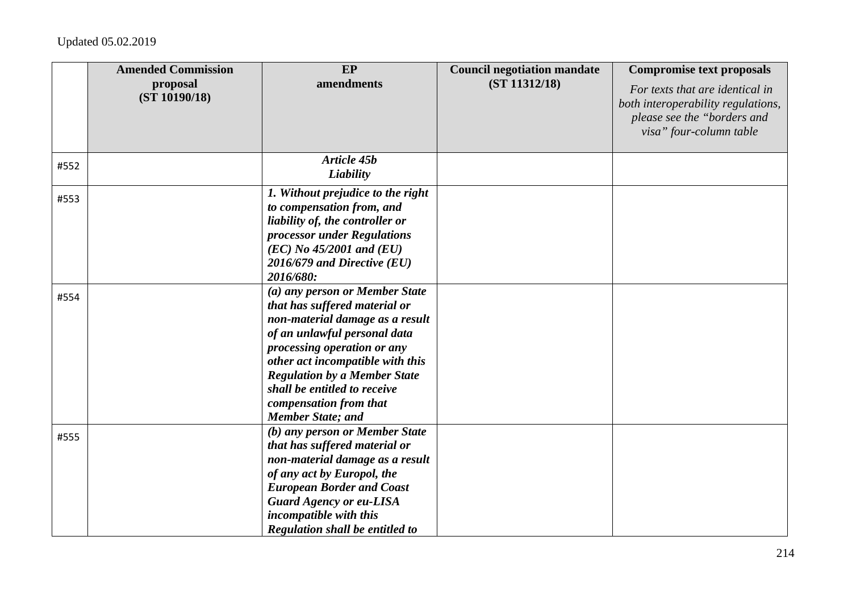|      | <b>Amended Commission</b><br>proposal<br>(ST 10190/18) | EP<br>amendments                                                                                                                                                                                                                                                                                                                   | <b>Council negotiation mandate</b><br>(ST 11312/18) | <b>Compromise text proposals</b><br>For texts that are identical in<br>both interoperability regulations,<br>please see the "borders and<br>visa" four-column table |
|------|--------------------------------------------------------|------------------------------------------------------------------------------------------------------------------------------------------------------------------------------------------------------------------------------------------------------------------------------------------------------------------------------------|-----------------------------------------------------|---------------------------------------------------------------------------------------------------------------------------------------------------------------------|
| #552 |                                                        | Article 45b<br>Liability                                                                                                                                                                                                                                                                                                           |                                                     |                                                                                                                                                                     |
| #553 |                                                        | 1. Without prejudice to the right<br>to compensation from, and<br>liability of, the controller or<br>processor under Regulations<br>$(EC)$ No 45/2001 and $(EU)$<br>$2016/679$ and Directive (EU)<br>2016/680:                                                                                                                     |                                                     |                                                                                                                                                                     |
| #554 |                                                        | (a) any person or Member State<br>that has suffered material or<br>non-material damage as a result<br>of an unlawful personal data<br>processing operation or any<br>other act incompatible with this<br><b>Regulation by a Member State</b><br>shall be entitled to receive<br>compensation from that<br><b>Member State; and</b> |                                                     |                                                                                                                                                                     |
| #555 |                                                        | (b) any person or Member State<br>that has suffered material or<br>non-material damage as a result<br>of any act by Europol, the<br><b>European Border and Coast</b><br><b>Guard Agency or eu-LISA</b><br>incompatible with this<br>Regulation shall be entitled to                                                                |                                                     |                                                                                                                                                                     |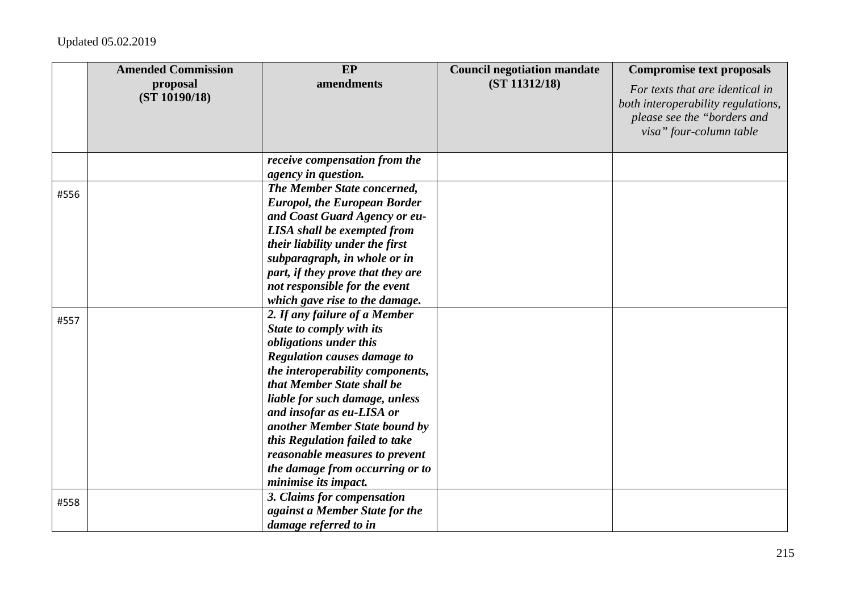|      | <b>Amended Commission</b> | EP                                                                                                                                                                                                                                                                                                                                                                                                                         | <b>Council negotiation mandate</b> | <b>Compromise text proposals</b>                                                                                                |
|------|---------------------------|----------------------------------------------------------------------------------------------------------------------------------------------------------------------------------------------------------------------------------------------------------------------------------------------------------------------------------------------------------------------------------------------------------------------------|------------------------------------|---------------------------------------------------------------------------------------------------------------------------------|
|      | proposal<br>(ST 10190/18) | amendments                                                                                                                                                                                                                                                                                                                                                                                                                 | (ST 11312/18)                      | For texts that are identical in<br>both interoperability regulations,<br>please see the "borders and<br>visa" four-column table |
|      |                           | receive compensation from the<br>agency in question.                                                                                                                                                                                                                                                                                                                                                                       |                                    |                                                                                                                                 |
| #556 |                           | The Member State concerned,<br><b>Europol, the European Border</b><br>and Coast Guard Agency or eu-<br><b>LISA</b> shall be exempted from<br>their liability under the first<br>subparagraph, in whole or in<br>part, if they prove that they are<br>not responsible for the event<br>which gave rise to the damage.                                                                                                       |                                    |                                                                                                                                 |
| #557 |                           | 2. If any failure of a Member<br>State to comply with its<br>obligations under this<br><b>Regulation causes damage to</b><br>the interoperability components,<br>that Member State shall be<br>liable for such damage, unless<br>and insofar as eu-LISA or<br>another Member State bound by<br>this Regulation failed to take<br>reasonable measures to prevent<br>the damage from occurring or to<br>minimise its impact. |                                    |                                                                                                                                 |
| #558 |                           | 3. Claims for compensation<br>against a Member State for the<br>damage referred to in                                                                                                                                                                                                                                                                                                                                      |                                    |                                                                                                                                 |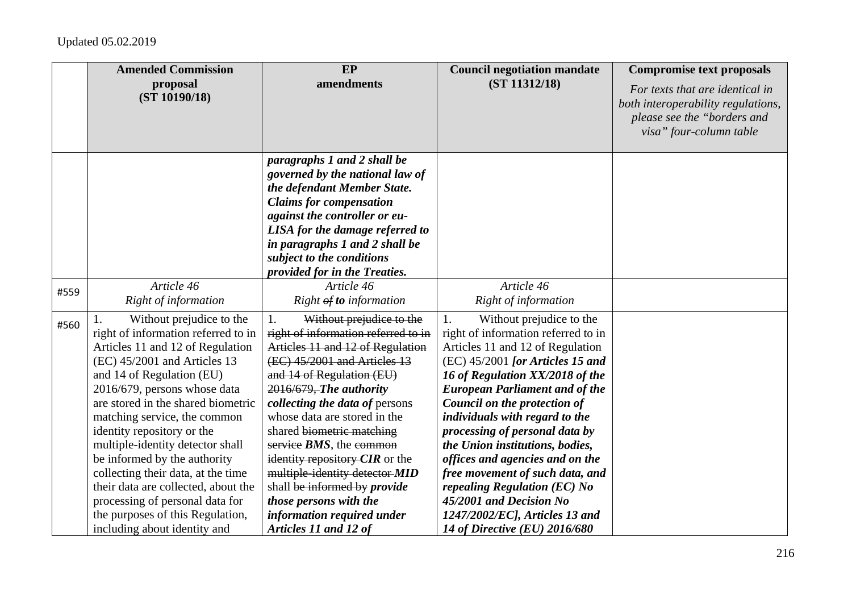|      | <b>Amended Commission</b>                                                                                                                                                                                                                                                                                                                                                                                                                                                                                                                                    | EP                                                                                                                                                                                                                                                                                                                                                                                                                                                                                                                    | <b>Council negotiation mandate</b>                                                                                                                                                                                                                                                                                                                                                                                                                                                                                                                                     | <b>Compromise text proposals</b>                                                                                                |
|------|--------------------------------------------------------------------------------------------------------------------------------------------------------------------------------------------------------------------------------------------------------------------------------------------------------------------------------------------------------------------------------------------------------------------------------------------------------------------------------------------------------------------------------------------------------------|-----------------------------------------------------------------------------------------------------------------------------------------------------------------------------------------------------------------------------------------------------------------------------------------------------------------------------------------------------------------------------------------------------------------------------------------------------------------------------------------------------------------------|------------------------------------------------------------------------------------------------------------------------------------------------------------------------------------------------------------------------------------------------------------------------------------------------------------------------------------------------------------------------------------------------------------------------------------------------------------------------------------------------------------------------------------------------------------------------|---------------------------------------------------------------------------------------------------------------------------------|
|      | proposal<br>(ST 10190/18)                                                                                                                                                                                                                                                                                                                                                                                                                                                                                                                                    | amendments                                                                                                                                                                                                                                                                                                                                                                                                                                                                                                            | (ST 11312/18)                                                                                                                                                                                                                                                                                                                                                                                                                                                                                                                                                          | For texts that are identical in<br>both interoperability regulations,<br>please see the "borders and<br>visa" four-column table |
|      |                                                                                                                                                                                                                                                                                                                                                                                                                                                                                                                                                              | paragraphs 1 and 2 shall be<br>governed by the national law of<br>the defendant Member State.<br><b>Claims for compensation</b><br>against the controller or eu-<br>LISA for the damage referred to<br>in paragraphs 1 and 2 shall be<br>subject to the conditions<br>provided for in the Treaties.                                                                                                                                                                                                                   |                                                                                                                                                                                                                                                                                                                                                                                                                                                                                                                                                                        |                                                                                                                                 |
| #559 | Article 46<br>Right of information                                                                                                                                                                                                                                                                                                                                                                                                                                                                                                                           | Article 46<br>Right $\theta f$ to information                                                                                                                                                                                                                                                                                                                                                                                                                                                                         | Article 46<br>Right of information                                                                                                                                                                                                                                                                                                                                                                                                                                                                                                                                     |                                                                                                                                 |
| #560 | Without prejudice to the<br>right of information referred to in<br>Articles 11 and 12 of Regulation<br>(EC) 45/2001 and Articles 13<br>and 14 of Regulation (EU)<br>2016/679, persons whose data<br>are stored in the shared biometric<br>matching service, the common<br>identity repository or the<br>multiple-identity detector shall<br>be informed by the authority<br>collecting their data, at the time<br>their data are collected, about the<br>processing of personal data for<br>the purposes of this Regulation,<br>including about identity and | 1.<br>Without prejudice to the<br>right of information referred to in<br>Articles 11 and 12 of Regulation<br>(EC) 45/2001 and Articles 13<br>and 14 of Regulation (EU)<br>2016/679, The authority<br>collecting the data of persons<br>whose data are stored in the<br>shared biometric matching<br>service $BMS$ , the common<br>identity repository $CIR$ or the<br>multiple-identity detector-MID<br>shall be informed by provide<br>those persons with the<br>information required under<br>Articles 11 and 12 of | Without prejudice to the<br>1.<br>right of information referred to in<br>Articles 11 and 12 of Regulation<br>$(EC)$ 45/2001 [or Articles 15 and<br>16 of Regulation XX/2018 of the<br><b>European Parliament and of the</b><br>Council on the protection of<br>individuals with regard to the<br>processing of personal data by<br>the Union institutions, bodies,<br>offices and agencies and on the<br>free movement of such data, and<br>repealing Regulation (EC) No<br>45/2001 and Decision No<br>1247/2002/ECJ, Articles 13 and<br>14 of Directive (EU) 2016/680 |                                                                                                                                 |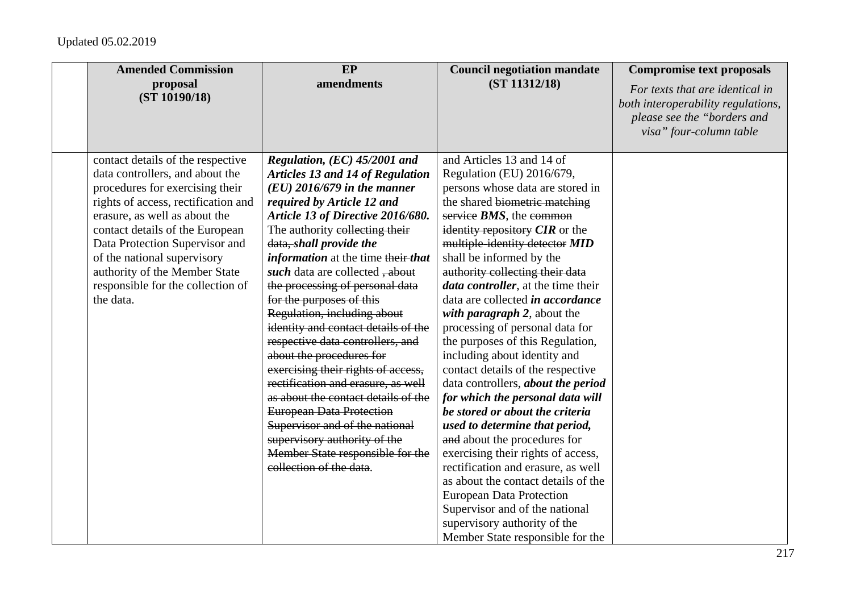| <b>Amended Commission</b>                                                                                                                                                                                                                                                                                                                                              | EP                                                                                                                                                                                                                                                                                                                                                                                                                                                                                                                                                                                                                                                                                                                                                                                                                  | <b>Council negotiation mandate</b>                                                                                                                                                                                                                                                                                                                                                                                                                                                                                                                                                                                                                                                                                                                                                                                                                                                                                                                                                                            | <b>Compromise text proposals</b>                                                                                                |
|------------------------------------------------------------------------------------------------------------------------------------------------------------------------------------------------------------------------------------------------------------------------------------------------------------------------------------------------------------------------|---------------------------------------------------------------------------------------------------------------------------------------------------------------------------------------------------------------------------------------------------------------------------------------------------------------------------------------------------------------------------------------------------------------------------------------------------------------------------------------------------------------------------------------------------------------------------------------------------------------------------------------------------------------------------------------------------------------------------------------------------------------------------------------------------------------------|---------------------------------------------------------------------------------------------------------------------------------------------------------------------------------------------------------------------------------------------------------------------------------------------------------------------------------------------------------------------------------------------------------------------------------------------------------------------------------------------------------------------------------------------------------------------------------------------------------------------------------------------------------------------------------------------------------------------------------------------------------------------------------------------------------------------------------------------------------------------------------------------------------------------------------------------------------------------------------------------------------------|---------------------------------------------------------------------------------------------------------------------------------|
| proposal<br>(ST 10190/18)                                                                                                                                                                                                                                                                                                                                              | amendments                                                                                                                                                                                                                                                                                                                                                                                                                                                                                                                                                                                                                                                                                                                                                                                                          | (ST 11312/18)                                                                                                                                                                                                                                                                                                                                                                                                                                                                                                                                                                                                                                                                                                                                                                                                                                                                                                                                                                                                 | For texts that are identical in<br>both interoperability regulations,<br>please see the "borders and<br>visa" four-column table |
| contact details of the respective<br>data controllers, and about the<br>procedures for exercising their<br>rights of access, rectification and<br>erasure, as well as about the<br>contact details of the European<br>Data Protection Supervisor and<br>of the national supervisory<br>authority of the Member State<br>responsible for the collection of<br>the data. | Regulation, (EC) 45/2001 and<br><b>Articles 13 and 14 of Regulation</b><br>$(EU)$ 2016/679 in the manner<br>required by Article 12 and<br>Article 13 of Directive 2016/680.<br>The authority eollecting their<br>data, shall provide the<br><i>information</i> at the time their that<br>such data are collected, about<br>the processing of personal data<br>for the purposes of this<br>Regulation, including about<br>identity and contact details of the<br>respective data controllers, and<br>about the procedures for<br>exercising their rights of access,<br>rectification and erasure, as well<br>as about the contact details of the<br><b>European Data Protection</b><br>Supervisor and of the national<br>supervisory authority of the<br>Member State responsible for the<br>collection of the data. | and Articles 13 and 14 of<br>Regulation (EU) 2016/679,<br>persons whose data are stored in<br>the shared biometric matching<br>service $BMS$ , the common<br>identity repository $CIR$ or the<br>multiple-identity detector MID<br>shall be informed by the<br>authority collecting their data<br><i>data controller</i> , at the time their<br>data are collected <i>in accordance</i><br>with paragraph 2, about the<br>processing of personal data for<br>the purposes of this Regulation,<br>including about identity and<br>contact details of the respective<br>data controllers, about the period<br>for which the personal data will<br>be stored or about the criteria<br>used to determine that period,<br>and about the procedures for<br>exercising their rights of access,<br>rectification and erasure, as well<br>as about the contact details of the<br><b>European Data Protection</b><br>Supervisor and of the national<br>supervisory authority of the<br>Member State responsible for the |                                                                                                                                 |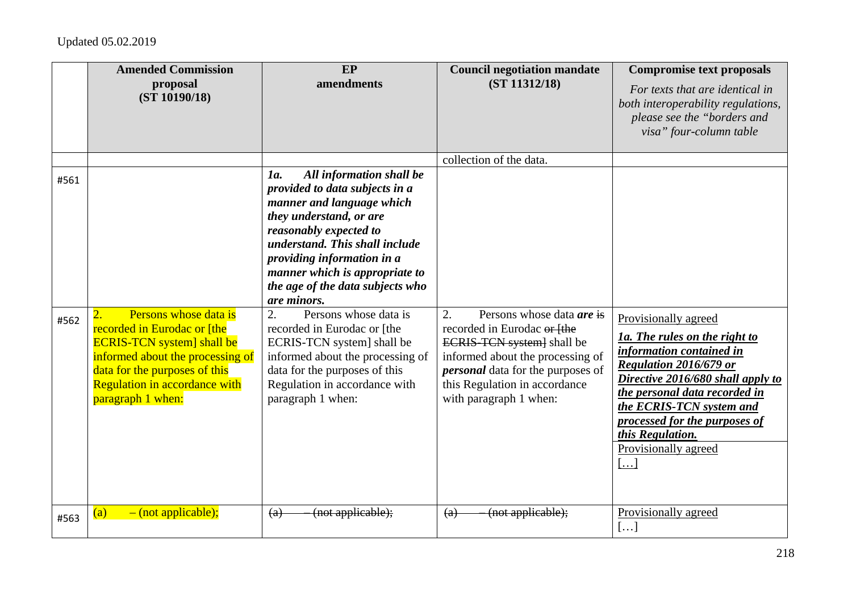|              | <b>Amended Commission</b><br>proposal<br>(ST 10190/18)                                                                                                                                                                                          | EP<br>amendments                                                                                                                                                                                                                                                                                                                                                                                                                                                                                                                | <b>Council negotiation mandate</b><br>(ST 11312/18)                                                                                                                                                                                                                                     | <b>Compromise text proposals</b><br>For texts that are identical in<br>both interoperability regulations,<br>please see the "borders and<br>visa" four-column table                                                                                                                        |
|--------------|-------------------------------------------------------------------------------------------------------------------------------------------------------------------------------------------------------------------------------------------------|---------------------------------------------------------------------------------------------------------------------------------------------------------------------------------------------------------------------------------------------------------------------------------------------------------------------------------------------------------------------------------------------------------------------------------------------------------------------------------------------------------------------------------|-----------------------------------------------------------------------------------------------------------------------------------------------------------------------------------------------------------------------------------------------------------------------------------------|--------------------------------------------------------------------------------------------------------------------------------------------------------------------------------------------------------------------------------------------------------------------------------------------|
| #561<br>#562 | Persons whose data is<br>$\overline{2}$ .<br>recorded in Eurodac or [the<br><b>ECRIS-TCN</b> system] shall be<br>informed about the processing of<br>data for the purposes of this<br><b>Regulation in accordance with</b><br>paragraph 1 when: | All information shall be<br>1a.<br>provided to data subjects in a<br>manner and language which<br>they understand, or are<br>reasonably expected to<br>understand. This shall include<br>providing information in a<br>manner which is appropriate to<br>the age of the data subjects who<br>are minors.<br>2.<br>Persons whose data is<br>recorded in Eurodac or [the<br>ECRIS-TCN system] shall be<br>informed about the processing of<br>data for the purposes of this<br>Regulation in accordance with<br>paragraph 1 when: | collection of the data.<br>$\overline{2}$ .<br>Persons whose data <i>are</i> is<br>recorded in Eurodac or [the<br>ECRIS-TCN system] shall be<br>informed about the processing of<br><i>personal</i> data for the purposes of<br>this Regulation in accordance<br>with paragraph 1 when: | Provisionally agreed<br>1a. The rules on the right to<br>information contained in<br>Regulation 2016/679 or<br>Directive 2016/680 shall apply to<br>the personal data recorded in<br>the ECRIS-TCN system and<br>processed for the purposes of<br>this Regulation.<br>Provisionally agreed |
| #563         | $-$ (not applicable);<br>(a)                                                                                                                                                                                                                    | (not applicable);<br>(a)                                                                                                                                                                                                                                                                                                                                                                                                                                                                                                        | (not applicable);<br>(a)                                                                                                                                                                                                                                                                | $\left[\ldots\right]$<br>Provisionally agreed<br>[]                                                                                                                                                                                                                                        |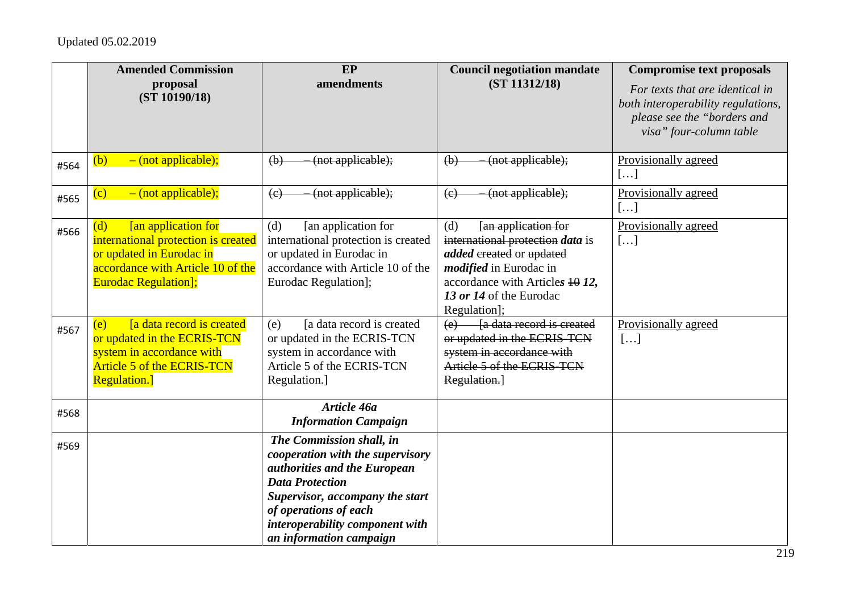|      | <b>Amended Commission</b>                                                                                                                                                | EP                                                                                                                                                                                                                                               | <b>Council negotiation mandate</b>                                                                                                                                                                       | <b>Compromise text proposals</b>                                                                                                |
|------|--------------------------------------------------------------------------------------------------------------------------------------------------------------------------|--------------------------------------------------------------------------------------------------------------------------------------------------------------------------------------------------------------------------------------------------|----------------------------------------------------------------------------------------------------------------------------------------------------------------------------------------------------------|---------------------------------------------------------------------------------------------------------------------------------|
|      | proposal<br>(ST 10190/18)                                                                                                                                                | amendments                                                                                                                                                                                                                                       | (ST 11312/18)                                                                                                                                                                                            | For texts that are identical in<br>both interoperability regulations,<br>please see the "borders and<br>visa" four-column table |
| #564 | $-$ (not applicable);<br>(b)                                                                                                                                             | (not applicable);<br>(b)                                                                                                                                                                                                                         | (not applicable);<br>(b)                                                                                                                                                                                 | Provisionally agreed<br>[]                                                                                                      |
| #565 | $-$ (not applicable);<br>(c)                                                                                                                                             | (not applicable);<br>(e)                                                                                                                                                                                                                         | (not applicable);<br>(e)                                                                                                                                                                                 | Provisionally agreed<br>[]                                                                                                      |
| #566 | <b>[an application for</b><br>(d)<br>international protection is created<br>or updated in Eurodac in<br>accordance with Article 10 of the<br><b>Eurodac Regulation];</b> | [an application for<br>(d)<br>international protection is created<br>or updated in Eurodac in<br>accordance with Article 10 of the<br>Eurodac Regulation];                                                                                       | [an application for<br>(d)<br>international protection data is<br>added ereated or updated<br><i>modified</i> in Eurodac in<br>accordance with Articles 4012,<br>13 or 14 of the Eurodac<br>Regulation]; | Provisionally agreed<br>[]                                                                                                      |
| #567 | <b>a</b> data record is created<br>(e)<br>or updated in the ECRIS-TCN<br>system in accordance with<br><b>Article 5 of the ECRIS-TCN</b><br><b>Regulation.</b> ]          | [a data record is created<br>(e)<br>or updated in the ECRIS-TCN<br>system in accordance with<br>Article 5 of the ECRIS-TCN<br>Regulation.]                                                                                                       | (e) [a data record is created<br>or updated in the ECRIS-TCN<br>system in accordance with<br>Article 5 of the ECRIS-TCN<br>Regulation.]                                                                  | Provisionally agreed<br>[]                                                                                                      |
| #568 |                                                                                                                                                                          | Article 46a<br><b>Information Campaign</b>                                                                                                                                                                                                       |                                                                                                                                                                                                          |                                                                                                                                 |
| #569 |                                                                                                                                                                          | The Commission shall, in<br>cooperation with the supervisory<br>authorities and the European<br><b>Data Protection</b><br>Supervisor, accompany the start<br>of operations of each<br>interoperability component with<br>an information campaign |                                                                                                                                                                                                          |                                                                                                                                 |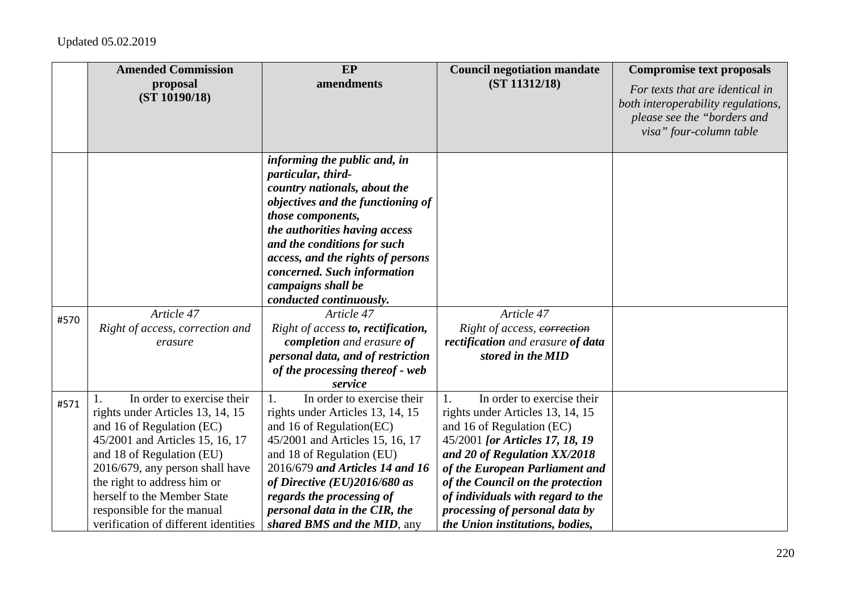|      | <b>Amended Commission</b><br>proposal                                                                                                                                                                                                                                                                                                    | EP<br>amendments                                                                                                                                                                                                                                                                                                                 | <b>Council negotiation mandate</b><br>(ST 11312/18)                                                                                                                                                                                                                                                                                                  | <b>Compromise text proposals</b><br>For texts that are identical in                          |
|------|------------------------------------------------------------------------------------------------------------------------------------------------------------------------------------------------------------------------------------------------------------------------------------------------------------------------------------------|----------------------------------------------------------------------------------------------------------------------------------------------------------------------------------------------------------------------------------------------------------------------------------------------------------------------------------|------------------------------------------------------------------------------------------------------------------------------------------------------------------------------------------------------------------------------------------------------------------------------------------------------------------------------------------------------|----------------------------------------------------------------------------------------------|
|      | (ST 10190/18)                                                                                                                                                                                                                                                                                                                            |                                                                                                                                                                                                                                                                                                                                  |                                                                                                                                                                                                                                                                                                                                                      | both interoperability regulations,<br>please see the "borders and<br>visa" four-column table |
|      |                                                                                                                                                                                                                                                                                                                                          | informing the public and, in<br>particular, third-<br>country nationals, about the<br>objectives and the functioning of                                                                                                                                                                                                          |                                                                                                                                                                                                                                                                                                                                                      |                                                                                              |
|      |                                                                                                                                                                                                                                                                                                                                          | those components,<br>the authorities having access<br>and the conditions for such<br>access, and the rights of persons                                                                                                                                                                                                           |                                                                                                                                                                                                                                                                                                                                                      |                                                                                              |
|      |                                                                                                                                                                                                                                                                                                                                          | concerned. Such information<br>campaigns shall be<br>conducted continuously.                                                                                                                                                                                                                                                     |                                                                                                                                                                                                                                                                                                                                                      |                                                                                              |
| #570 | Article 47<br>Right of access, correction and<br>erasure                                                                                                                                                                                                                                                                                 | Article 47<br>Right of access to, rectification,<br>completion and erasure of<br>personal data, and of restriction<br>of the processing thereof - web<br>service                                                                                                                                                                 | Article 47<br>Right of access, correction<br>rectification and erasure of data<br>stored in the MID                                                                                                                                                                                                                                                  |                                                                                              |
| #571 | In order to exercise their<br>1.<br>rights under Articles 13, 14, 15<br>and 16 of Regulation (EC)<br>45/2001 and Articles 15, 16, 17<br>and 18 of Regulation (EU)<br>2016/679, any person shall have<br>the right to address him or<br>herself to the Member State<br>responsible for the manual<br>verification of different identities | In order to exercise their<br>1.<br>rights under Articles 13, 14, 15<br>and 16 of Regulation(EC)<br>45/2001 and Articles 15, 16, 17<br>and 18 of Regulation (EU)<br>2016/679 and Articles 14 and 16<br>of Directive (EU)2016/680 as<br>regards the processing of<br>personal data in the CIR, the<br>shared BMS and the MID, any | In order to exercise their<br>1.<br>rights under Articles 13, 14, 15<br>and 16 of Regulation (EC)<br>45/2001 [or Articles 17, 18, 19<br>and 20 of Regulation XX/2018<br>of the European Parliament and<br>of the Council on the protection<br>of individuals with regard to the<br>processing of personal data by<br>the Union institutions, bodies, |                                                                                              |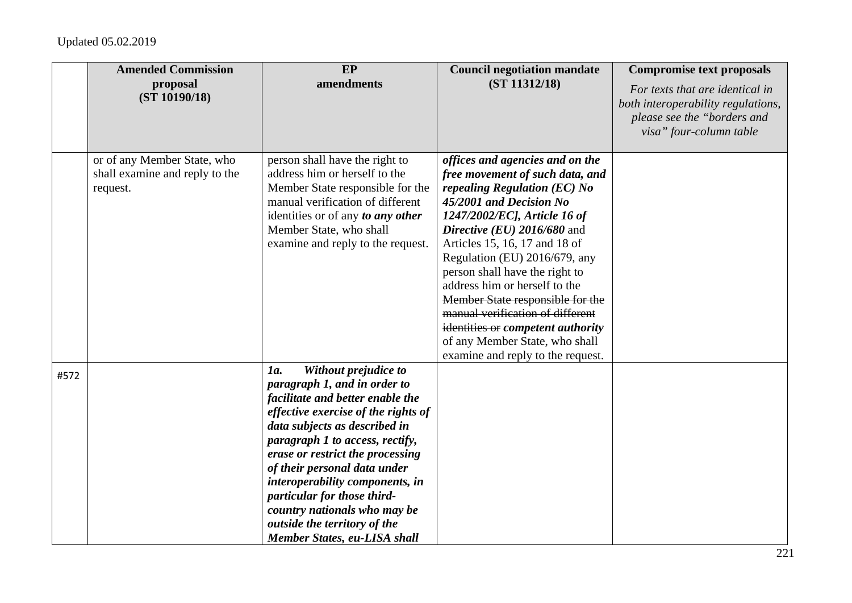|      | <b>Amended Commission</b>                                                 | EP                                                                                                                                                                                                                                                                                                                                                                                                                                               | <b>Council negotiation mandate</b>                                                                                                                                                                                                                                                                                                                                                                                                                                                                                    | <b>Compromise text proposals</b>                                                                                                |
|------|---------------------------------------------------------------------------|--------------------------------------------------------------------------------------------------------------------------------------------------------------------------------------------------------------------------------------------------------------------------------------------------------------------------------------------------------------------------------------------------------------------------------------------------|-----------------------------------------------------------------------------------------------------------------------------------------------------------------------------------------------------------------------------------------------------------------------------------------------------------------------------------------------------------------------------------------------------------------------------------------------------------------------------------------------------------------------|---------------------------------------------------------------------------------------------------------------------------------|
|      | proposal<br>(ST 10190/18)                                                 | amendments                                                                                                                                                                                                                                                                                                                                                                                                                                       | (ST 11312/18)                                                                                                                                                                                                                                                                                                                                                                                                                                                                                                         | For texts that are identical in<br>both interoperability regulations,<br>please see the "borders and<br>visa" four-column table |
|      | or of any Member State, who<br>shall examine and reply to the<br>request. | person shall have the right to<br>address him or herself to the<br>Member State responsible for the<br>manual verification of different<br>identities or of any to any other<br>Member State, who shall<br>examine and reply to the request.                                                                                                                                                                                                     | offices and agencies and on the<br>free movement of such data, and<br>repealing Regulation (EC) No<br>45/2001 and Decision No<br>1247/2002/EC], Article 16 of<br>Directive (EU) 2016/680 and<br>Articles 15, 16, 17 and 18 of<br>Regulation (EU) 2016/679, any<br>person shall have the right to<br>address him or herself to the<br>Member State responsible for the<br>manual verification of different<br>identities or competent authority<br>of any Member State, who shall<br>examine and reply to the request. |                                                                                                                                 |
| #572 |                                                                           | Without prejudice to<br>1a.<br>paragraph 1, and in order to<br>facilitate and better enable the<br>effective exercise of the rights of<br>data subjects as described in<br>paragraph 1 to access, rectify,<br>erase or restrict the processing<br>of their personal data under<br>interoperability components, in<br>particular for those third-<br>country nationals who may be<br>outside the territory of the<br>Member States, eu-LISA shall |                                                                                                                                                                                                                                                                                                                                                                                                                                                                                                                       |                                                                                                                                 |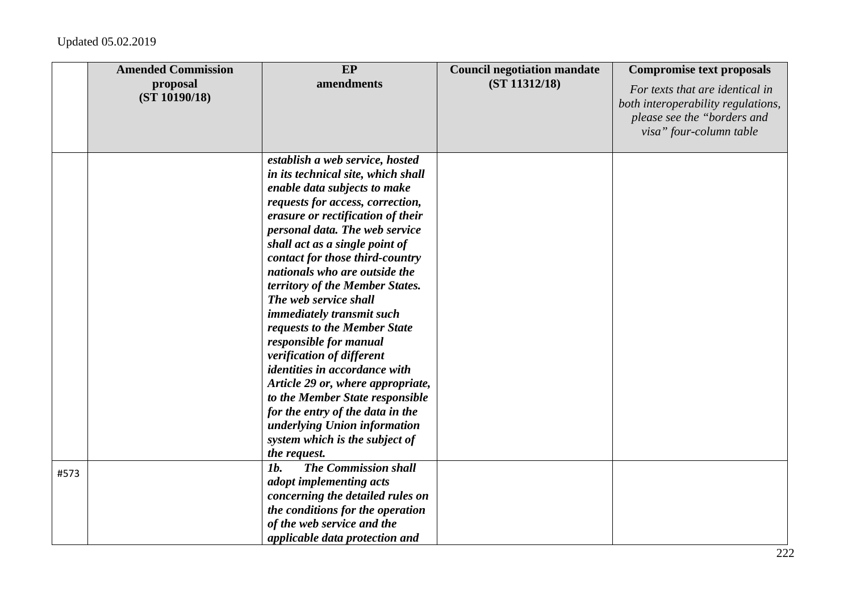|      | <b>Amended Commission</b><br>proposal<br>(ST 10190/18) | EP<br>amendments                                                                                                                                                                                                                                                                                                                                                                                                                                                                                                                                                                                                                                                                                                                             | <b>Council negotiation mandate</b><br>(ST 11312/18) | <b>Compromise text proposals</b><br>For texts that are identical in<br>both interoperability regulations,<br>please see the "borders and<br>visa" four-column table |
|------|--------------------------------------------------------|----------------------------------------------------------------------------------------------------------------------------------------------------------------------------------------------------------------------------------------------------------------------------------------------------------------------------------------------------------------------------------------------------------------------------------------------------------------------------------------------------------------------------------------------------------------------------------------------------------------------------------------------------------------------------------------------------------------------------------------------|-----------------------------------------------------|---------------------------------------------------------------------------------------------------------------------------------------------------------------------|
|      |                                                        | establish a web service, hosted<br>in its technical site, which shall<br>enable data subjects to make<br>requests for access, correction,<br>erasure or rectification of their<br>personal data. The web service<br>shall act as a single point of<br>contact for those third-country<br>nationals who are outside the<br>territory of the Member States.<br>The web service shall<br>immediately transmit such<br>requests to the Member State<br>responsible for manual<br>verification of different<br><i>identities in accordance with</i><br>Article 29 or, where appropriate,<br>to the Member State responsible<br>for the entry of the data in the<br>underlying Union information<br>system which is the subject of<br>the request. |                                                     |                                                                                                                                                                     |
| #573 |                                                        | <b>The Commission shall</b><br><i>1b.</i><br>adopt implementing acts<br>concerning the detailed rules on<br>the conditions for the operation<br>of the web service and the<br>applicable data protection and                                                                                                                                                                                                                                                                                                                                                                                                                                                                                                                                 |                                                     |                                                                                                                                                                     |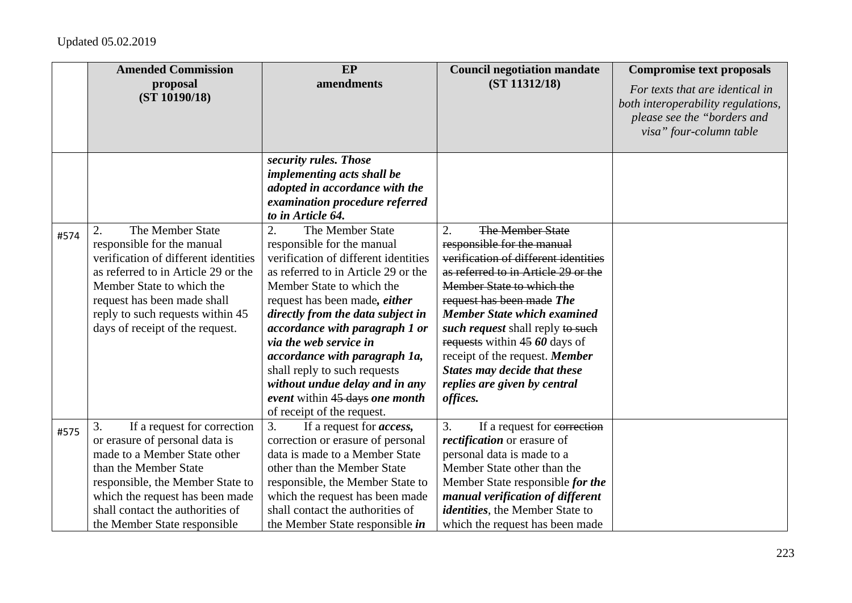|      | <b>Amended Commission</b><br>proposal<br>(ST 10190/18)                                                                                                                                                                                                                  | EP<br>amendments                                                                                                                                                                                                                                                                                                                                                                                                                                                             | <b>Council negotiation mandate</b><br>(ST 11312/18)                                                                                                                                                                                                                                                                                                                                                                           | <b>Compromise text proposals</b><br>For texts that are identical in<br>both interoperability regulations,<br>please see the "borders and<br>visa" four-column table |
|------|-------------------------------------------------------------------------------------------------------------------------------------------------------------------------------------------------------------------------------------------------------------------------|------------------------------------------------------------------------------------------------------------------------------------------------------------------------------------------------------------------------------------------------------------------------------------------------------------------------------------------------------------------------------------------------------------------------------------------------------------------------------|-------------------------------------------------------------------------------------------------------------------------------------------------------------------------------------------------------------------------------------------------------------------------------------------------------------------------------------------------------------------------------------------------------------------------------|---------------------------------------------------------------------------------------------------------------------------------------------------------------------|
|      |                                                                                                                                                                                                                                                                         | security rules. Those<br>implementing acts shall be<br>adopted in accordance with the<br>examination procedure referred<br>to in Article 64.                                                                                                                                                                                                                                                                                                                                 |                                                                                                                                                                                                                                                                                                                                                                                                                               |                                                                                                                                                                     |
| #574 | The Member State<br>2.<br>responsible for the manual<br>verification of different identities<br>as referred to in Article 29 or the<br>Member State to which the<br>request has been made shall<br>reply to such requests within 45<br>days of receipt of the request.  | 2.<br>The Member State<br>responsible for the manual<br>verification of different identities<br>as referred to in Article 29 or the<br>Member State to which the<br>request has been made, <i>either</i><br>directly from the data subject in<br>accordance with paragraph 1 or<br>via the web service in<br>accordance with paragraph 1a,<br>shall reply to such requests<br>without undue delay and in any<br>event within 45 days one month<br>of receipt of the request. | 2.<br>The Member State<br>responsible for the manual<br>verification of different identities<br>as referred to in Article 29 or the<br>Member State to which the<br>request has been made The<br><b>Member State which examined</b><br>such request shall reply to such<br>requests within 45 60 days of<br>receipt of the request. Member<br><b>States may decide that these</b><br>replies are given by central<br>offices. |                                                                                                                                                                     |
| #575 | 3.<br>If a request for correction<br>or erasure of personal data is<br>made to a Member State other<br>than the Member State<br>responsible, the Member State to<br>which the request has been made<br>shall contact the authorities of<br>the Member State responsible | 3.<br>If a request for <i>access</i> ,<br>correction or erasure of personal<br>data is made to a Member State<br>other than the Member State<br>responsible, the Member State to<br>which the request has been made<br>shall contact the authorities of<br>the Member State responsible <i>in</i>                                                                                                                                                                            | 3.<br>If a request for correction<br>rectification or erasure of<br>personal data is made to a<br>Member State other than the<br>Member State responsible for the<br>manual verification of different<br>identities, the Member State to<br>which the request has been made                                                                                                                                                   |                                                                                                                                                                     |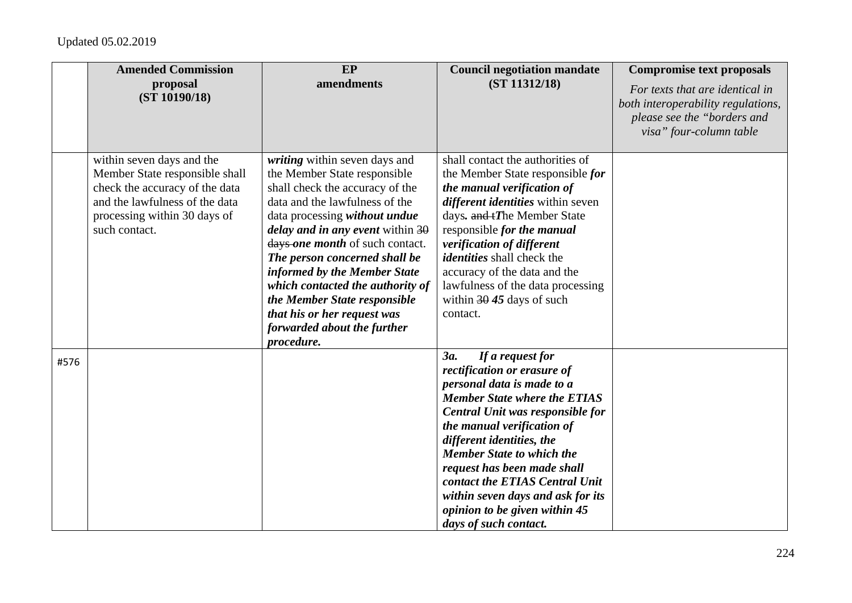|      | <b>Amended Commission</b>                                                                                                                                                        | <b>EP</b>                                                                                                                                                                                                                                                                                                                                                                                                                                                            | <b>Council negotiation mandate</b>                                                                                                                                                                                                                                                                                                                                                                                             | <b>Compromise text proposals</b>                                                                                                |
|------|----------------------------------------------------------------------------------------------------------------------------------------------------------------------------------|----------------------------------------------------------------------------------------------------------------------------------------------------------------------------------------------------------------------------------------------------------------------------------------------------------------------------------------------------------------------------------------------------------------------------------------------------------------------|--------------------------------------------------------------------------------------------------------------------------------------------------------------------------------------------------------------------------------------------------------------------------------------------------------------------------------------------------------------------------------------------------------------------------------|---------------------------------------------------------------------------------------------------------------------------------|
|      | proposal<br>(ST 10190/18)                                                                                                                                                        | amendments                                                                                                                                                                                                                                                                                                                                                                                                                                                           | (ST 11312/18)                                                                                                                                                                                                                                                                                                                                                                                                                  | For texts that are identical in<br>both interoperability regulations,<br>please see the "borders and<br>visa" four-column table |
|      | within seven days and the<br>Member State responsible shall<br>check the accuracy of the data<br>and the lawfulness of the data<br>processing within 30 days of<br>such contact. | writing within seven days and<br>the Member State responsible<br>shall check the accuracy of the<br>data and the lawfulness of the<br>data processing without undue<br><i>delay and in any event within</i> $30$<br>days one month of such contact.<br>The person concerned shall be<br>informed by the Member State<br>which contacted the authority of<br>the Member State responsible<br>that his or her request was<br>forwarded about the further<br>procedure. | shall contact the authorities of<br>the Member State responsible for<br>the manual verification of<br>different identities within seven<br>days. and tThe Member State<br>responsible for the manual<br>verification of different<br><i>identities</i> shall check the<br>accuracy of the data and the<br>lawfulness of the data processing<br>within $3045$ days of such<br>contact.                                          |                                                                                                                                 |
| #576 |                                                                                                                                                                                  |                                                                                                                                                                                                                                                                                                                                                                                                                                                                      | 3a.<br>If a request for<br>rectification or erasure of<br>personal data is made to a<br><b>Member State where the ETIAS</b><br>Central Unit was responsible for<br>the manual verification of<br>different identities, the<br><b>Member State to which the</b><br>request has been made shall<br>contact the ETIAS Central Unit<br>within seven days and ask for its<br>opinion to be given within 45<br>days of such contact. |                                                                                                                                 |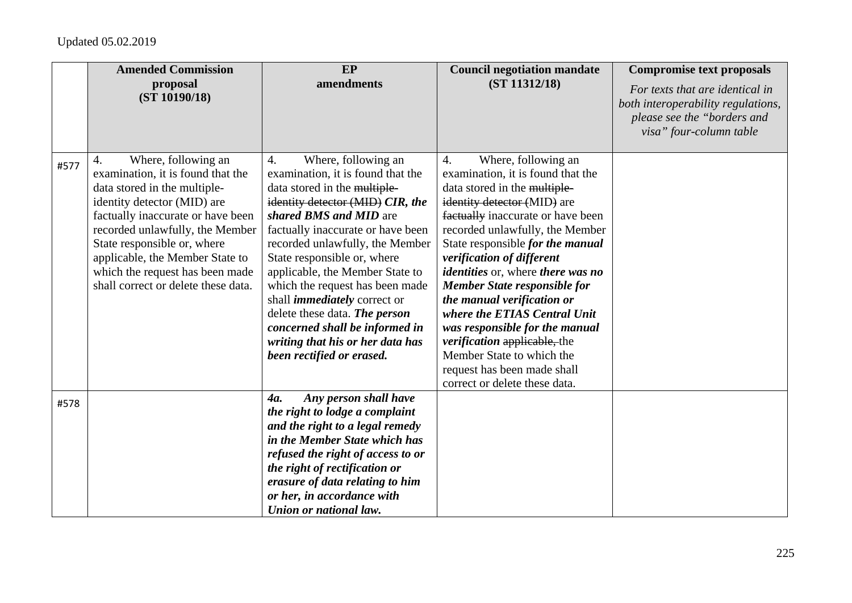|      | <b>Amended Commission</b>                                                                                                                                                                                                                                                                                                                         | EP                                                                                                                                                                                                                                                                                                                                                                                                                                                                                                                                 | <b>Council negotiation mandate</b>                                                                                                                                                                                                                                                                                                                                                                                                                                                                                                                                                                   | <b>Compromise text proposals</b>                                                                                                |
|------|---------------------------------------------------------------------------------------------------------------------------------------------------------------------------------------------------------------------------------------------------------------------------------------------------------------------------------------------------|------------------------------------------------------------------------------------------------------------------------------------------------------------------------------------------------------------------------------------------------------------------------------------------------------------------------------------------------------------------------------------------------------------------------------------------------------------------------------------------------------------------------------------|------------------------------------------------------------------------------------------------------------------------------------------------------------------------------------------------------------------------------------------------------------------------------------------------------------------------------------------------------------------------------------------------------------------------------------------------------------------------------------------------------------------------------------------------------------------------------------------------------|---------------------------------------------------------------------------------------------------------------------------------|
|      | proposal<br>(ST 10190/18)                                                                                                                                                                                                                                                                                                                         | amendments                                                                                                                                                                                                                                                                                                                                                                                                                                                                                                                         | (ST 11312/18)                                                                                                                                                                                                                                                                                                                                                                                                                                                                                                                                                                                        | For texts that are identical in<br>both interoperability regulations,<br>please see the "borders and<br>visa" four-column table |
| #577 | Where, following an<br>4.<br>examination, it is found that the<br>data stored in the multiple-<br>identity detector (MID) are<br>factually inaccurate or have been<br>recorded unlawfully, the Member<br>State responsible or, where<br>applicable, the Member State to<br>which the request has been made<br>shall correct or delete these data. | $\overline{4}$ .<br>Where, following an<br>examination, it is found that the<br>data stored in the multiple-<br>identity detector (MID) CIR, the<br>shared BMS and MID are<br>factually inaccurate or have been<br>recorded unlawfully, the Member<br>State responsible or, where<br>applicable, the Member State to<br>which the request has been made<br>shall <i>immediately</i> correct or<br>delete these data. The person<br>concerned shall be informed in<br>writing that his or her data has<br>been rectified or erased. | Where, following an<br>4.<br>examination, it is found that the<br>data stored in the multiple-<br>identity detector (MID) are<br>factually inaccurate or have been<br>recorded unlawfully, the Member<br>State responsible for the manual<br>verification of different<br><i>identities</i> or, where <i>there</i> was no<br><b>Member State responsible for</b><br>the manual verification or<br>where the ETIAS Central Unit<br>was responsible for the manual<br><i>verification</i> applicable, the<br>Member State to which the<br>request has been made shall<br>correct or delete these data. |                                                                                                                                 |
| #578 |                                                                                                                                                                                                                                                                                                                                                   | Any person shall have<br>4a.<br>the right to lodge a complaint<br>and the right to a legal remedy<br>in the Member State which has<br>refused the right of access to or<br>the right of rectification or<br>erasure of data relating to him<br>or her, in accordance with<br>Union or national law.                                                                                                                                                                                                                                |                                                                                                                                                                                                                                                                                                                                                                                                                                                                                                                                                                                                      |                                                                                                                                 |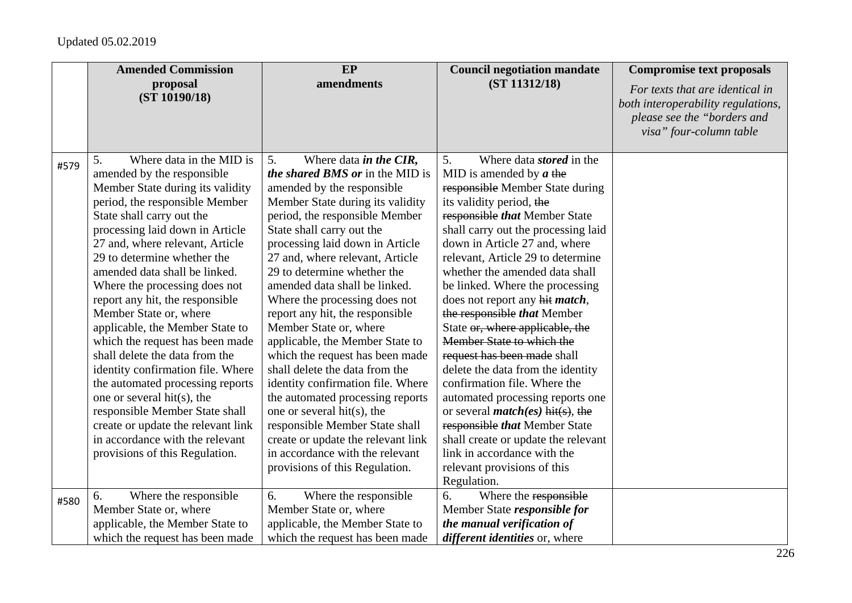|      | <b>Amended Commission</b>                                                                                                                                                                                                                                                           | <b>EP</b>                                                                                                                                                                                                                                                               | <b>Council negotiation mandate</b>                                                                                                                                                                                                                                               | <b>Compromise text proposals</b>                                                                                                |
|------|-------------------------------------------------------------------------------------------------------------------------------------------------------------------------------------------------------------------------------------------------------------------------------------|-------------------------------------------------------------------------------------------------------------------------------------------------------------------------------------------------------------------------------------------------------------------------|----------------------------------------------------------------------------------------------------------------------------------------------------------------------------------------------------------------------------------------------------------------------------------|---------------------------------------------------------------------------------------------------------------------------------|
|      | proposal<br>(ST 10190/18)                                                                                                                                                                                                                                                           | amendments                                                                                                                                                                                                                                                              | (ST 11312/18)                                                                                                                                                                                                                                                                    | For texts that are identical in<br>both interoperability regulations,<br>please see the "borders and<br>visa" four-column table |
| #579 | Where data in the MID is<br>5.<br>amended by the responsible<br>Member State during its validity<br>period, the responsible Member<br>State shall carry out the                                                                                                                     | Where data <i>in the CIR</i> ,<br>5 <sub>1</sub><br>the shared BMS or in the MID is<br>amended by the responsible<br>Member State during its validity<br>period, the responsible Member                                                                                 | 5.<br>Where data <i>stored</i> in the<br>MID is amended by $a$ the<br>responsible Member State during<br>its validity period, the<br>responsible that Member State                                                                                                               |                                                                                                                                 |
|      | processing laid down in Article<br>27 and, where relevant, Article<br>29 to determine whether the<br>amended data shall be linked.<br>Where the processing does not<br>report any hit, the responsible<br>Member State or, where                                                    | State shall carry out the<br>processing laid down in Article<br>27 and, where relevant, Article<br>29 to determine whether the<br>amended data shall be linked.<br>Where the processing does not<br>report any hit, the responsible                                     | shall carry out the processing laid<br>down in Article 27 and, where<br>relevant, Article 29 to determine<br>whether the amended data shall<br>be linked. Where the processing<br>does not report any hit <i>match</i> ,<br>the responsible that Member                          |                                                                                                                                 |
|      | applicable, the Member State to<br>which the request has been made<br>shall delete the data from the<br>identity confirmation file. Where<br>the automated processing reports<br>one or several hit(s), the<br>responsible Member State shall<br>create or update the relevant link | Member State or, where<br>applicable, the Member State to<br>which the request has been made<br>shall delete the data from the<br>identity confirmation file. Where<br>the automated processing reports<br>one or several hit(s), the<br>responsible Member State shall | State or, where applicable, the<br>Member State to which the<br>request has been made shall<br>delete the data from the identity<br>confirmation file. Where the<br>automated processing reports one<br>or several <i>match(es)</i> hit(s), the<br>responsible that Member State |                                                                                                                                 |
|      | in accordance with the relevant<br>provisions of this Regulation.                                                                                                                                                                                                                   | create or update the relevant link<br>in accordance with the relevant<br>provisions of this Regulation.                                                                                                                                                                 | shall create or update the relevant<br>link in accordance with the<br>relevant provisions of this<br>Regulation.                                                                                                                                                                 |                                                                                                                                 |
| #580 | Where the responsible<br>6.<br>Member State or, where<br>applicable, the Member State to<br>which the request has been made                                                                                                                                                         | Where the responsible<br>6.<br>Member State or, where<br>applicable, the Member State to<br>which the request has been made                                                                                                                                             | Where the responsible<br>6.<br>Member State responsible for<br>the manual verification of<br><i>different identities</i> or, where                                                                                                                                               |                                                                                                                                 |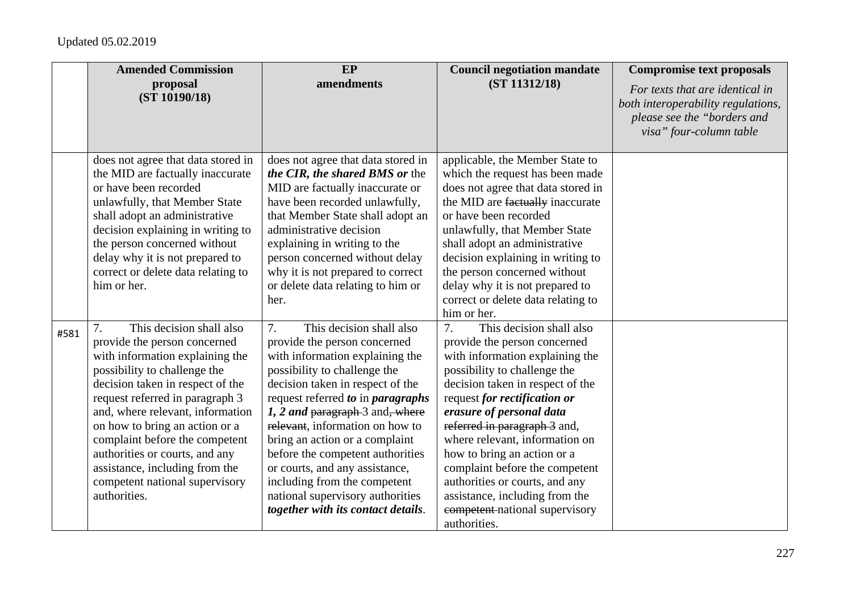|      | <b>Amended Commission</b>                                                                                                                                                                                                                                                                                                                                                                                                              | EP                                                                                                                                                                                                                                                                                                                                                                                                                                                                                                 | <b>Council negotiation mandate</b>                                                                                                                                                                                                                                                                                                                                                                                                                                                         | <b>Compromise text proposals</b>                                                                                                |
|------|----------------------------------------------------------------------------------------------------------------------------------------------------------------------------------------------------------------------------------------------------------------------------------------------------------------------------------------------------------------------------------------------------------------------------------------|----------------------------------------------------------------------------------------------------------------------------------------------------------------------------------------------------------------------------------------------------------------------------------------------------------------------------------------------------------------------------------------------------------------------------------------------------------------------------------------------------|--------------------------------------------------------------------------------------------------------------------------------------------------------------------------------------------------------------------------------------------------------------------------------------------------------------------------------------------------------------------------------------------------------------------------------------------------------------------------------------------|---------------------------------------------------------------------------------------------------------------------------------|
|      | proposal<br>(ST 10190/18)                                                                                                                                                                                                                                                                                                                                                                                                              | amendments                                                                                                                                                                                                                                                                                                                                                                                                                                                                                         | (ST 11312/18)                                                                                                                                                                                                                                                                                                                                                                                                                                                                              | For texts that are identical in<br>both interoperability regulations,<br>please see the "borders and<br>visa" four-column table |
|      | does not agree that data stored in<br>the MID are factually inaccurate<br>or have been recorded<br>unlawfully, that Member State<br>shall adopt an administrative<br>decision explaining in writing to<br>the person concerned without<br>delay why it is not prepared to<br>correct or delete data relating to<br>him or her.                                                                                                         | does not agree that data stored in<br>the CIR, the shared BMS or the<br>MID are factually inaccurate or<br>have been recorded unlawfully,<br>that Member State shall adopt an<br>administrative decision<br>explaining in writing to the<br>person concerned without delay<br>why it is not prepared to correct<br>or delete data relating to him or<br>her.                                                                                                                                       | applicable, the Member State to<br>which the request has been made<br>does not agree that data stored in<br>the MID are factually inaccurate<br>or have been recorded<br>unlawfully, that Member State<br>shall adopt an administrative<br>decision explaining in writing to<br>the person concerned without<br>delay why it is not prepared to<br>correct or delete data relating to<br>him or her.                                                                                       |                                                                                                                                 |
| #581 | This decision shall also<br>7.<br>provide the person concerned<br>with information explaining the<br>possibility to challenge the<br>decision taken in respect of the<br>request referred in paragraph 3<br>and, where relevant, information<br>on how to bring an action or a<br>complaint before the competent<br>authorities or courts, and any<br>assistance, including from the<br>competent national supervisory<br>authorities. | This decision shall also<br>7.<br>provide the person concerned<br>with information explaining the<br>possibility to challenge the<br>decision taken in respect of the<br>request referred to in paragraphs<br>1, 2 and paragraph-3 and, where<br>relevant, information on how to<br>bring an action or a complaint<br>before the competent authorities<br>or courts, and any assistance,<br>including from the competent<br>national supervisory authorities<br>together with its contact details. | This decision shall also<br>7.<br>provide the person concerned<br>with information explaining the<br>possibility to challenge the<br>decision taken in respect of the<br>request for rectification or<br>erasure of personal data<br>referred in paragraph 3 and,<br>where relevant, information on<br>how to bring an action or a<br>complaint before the competent<br>authorities or courts, and any<br>assistance, including from the<br>competent national supervisory<br>authorities. |                                                                                                                                 |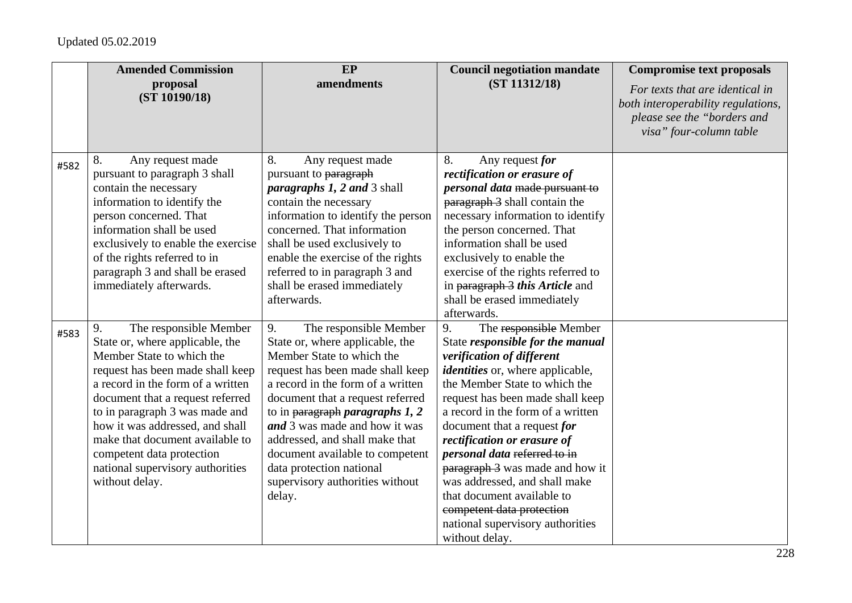|      | <b>Amended Commission</b>                                                                                                                                                                                                                                                                                                                                                                            | EP                                                                                                                                                                                                                                                                                                                                                                                                                                                                      | <b>Council negotiation mandate</b>                                                                                                                                                                                                                                                                                                                                                                                                                                                                                                    | <b>Compromise text proposals</b>                                                                                                |
|------|------------------------------------------------------------------------------------------------------------------------------------------------------------------------------------------------------------------------------------------------------------------------------------------------------------------------------------------------------------------------------------------------------|-------------------------------------------------------------------------------------------------------------------------------------------------------------------------------------------------------------------------------------------------------------------------------------------------------------------------------------------------------------------------------------------------------------------------------------------------------------------------|---------------------------------------------------------------------------------------------------------------------------------------------------------------------------------------------------------------------------------------------------------------------------------------------------------------------------------------------------------------------------------------------------------------------------------------------------------------------------------------------------------------------------------------|---------------------------------------------------------------------------------------------------------------------------------|
|      | proposal<br>(ST 10190/18)                                                                                                                                                                                                                                                                                                                                                                            | amendments                                                                                                                                                                                                                                                                                                                                                                                                                                                              | (ST 11312/18)                                                                                                                                                                                                                                                                                                                                                                                                                                                                                                                         | For texts that are identical in<br>both interoperability regulations,<br>please see the "borders and<br>visa" four-column table |
| #582 | 8.<br>Any request made<br>pursuant to paragraph 3 shall<br>contain the necessary<br>information to identify the<br>person concerned. That<br>information shall be used<br>exclusively to enable the exercise<br>of the rights referred to in<br>paragraph 3 and shall be erased<br>immediately afterwards.                                                                                           | 8.<br>Any request made<br>pursuant to paragraph<br><i>paragraphs 1, 2 and 3 shall</i><br>contain the necessary<br>information to identify the person<br>concerned. That information<br>shall be used exclusively to<br>enable the exercise of the rights<br>referred to in paragraph 3 and<br>shall be erased immediately<br>afterwards.                                                                                                                                | Any request for<br>8.<br>rectification or erasure of<br>personal data made pursuant to<br>paragraph 3 shall contain the<br>necessary information to identify<br>the person concerned. That<br>information shall be used<br>exclusively to enable the<br>exercise of the rights referred to<br>in paragraph 3 this Article and<br>shall be erased immediately<br>afterwards.                                                                                                                                                           |                                                                                                                                 |
| #583 | 9.<br>The responsible Member<br>State or, where applicable, the<br>Member State to which the<br>request has been made shall keep<br>a record in the form of a written<br>document that a request referred<br>to in paragraph 3 was made and<br>how it was addressed, and shall<br>make that document available to<br>competent data protection<br>national supervisory authorities<br>without delay. | The responsible Member<br>9.<br>State or, where applicable, the<br>Member State to which the<br>request has been made shall keep<br>a record in the form of a written<br>document that a request referred<br>to in $\frac{1}{2}$ to in $\frac{1}{2}$ are $\frac{1}{2}$ are $\frac{1}{2}$<br>and 3 was made and how it was<br>addressed, and shall make that<br>document available to competent<br>data protection national<br>supervisory authorities without<br>delay. | The responsible Member<br>9.<br>State responsible for the manual<br>verification of different<br><i>identities</i> or, where applicable,<br>the Member State to which the<br>request has been made shall keep<br>a record in the form of a written<br>document that a request for<br>rectification or erasure of<br>personal data referred to in<br>paragraph 3 was made and how it<br>was addressed, and shall make<br>that document available to<br>competent data protection<br>national supervisory authorities<br>without delay. |                                                                                                                                 |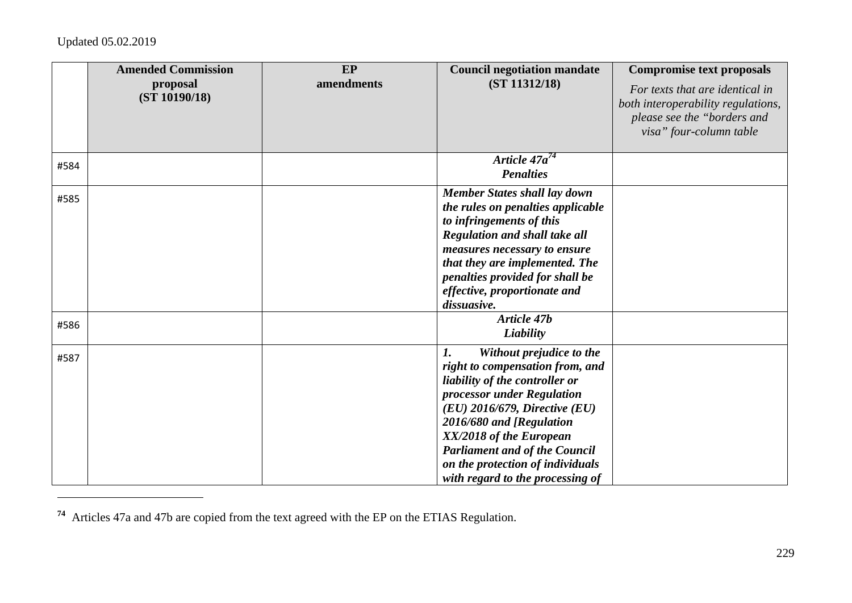|      | <b>Amended Commission</b><br>proposal<br>(ST 10190/18) | <b>EP</b><br>amendments | <b>Council negotiation mandate</b><br>(ST 11312/18)                                                                                                                                                                                                                                                                                           | <b>Compromise text proposals</b><br>For texts that are identical in<br>both interoperability regulations,<br>please see the "borders and<br>visa" four-column table |
|------|--------------------------------------------------------|-------------------------|-----------------------------------------------------------------------------------------------------------------------------------------------------------------------------------------------------------------------------------------------------------------------------------------------------------------------------------------------|---------------------------------------------------------------------------------------------------------------------------------------------------------------------|
| #584 |                                                        |                         | Article $47a^{74}$<br><b>Penalties</b>                                                                                                                                                                                                                                                                                                        |                                                                                                                                                                     |
| #585 |                                                        |                         | <b>Member States shall lay down</b><br>the rules on penalties applicable<br>to infringements of this<br><b>Regulation and shall take all</b><br>measures necessary to ensure<br>that they are implemented. The<br>penalties provided for shall be<br>effective, proportionate and<br>dissuasive.                                              |                                                                                                                                                                     |
| #586 |                                                        |                         | Article 47b<br>Liability                                                                                                                                                                                                                                                                                                                      |                                                                                                                                                                     |
| #587 |                                                        |                         | 1.<br>Without prejudice to the<br>right to compensation from, and<br>liability of the controller or<br>processor under Regulation<br>$(EU)$ 2016/679, Directive $(EU)$<br>2016/680 and [Regulation<br>XX/2018 of the European<br><b>Parliament and of the Council</b><br>on the protection of individuals<br>with regard to the processing of |                                                                                                                                                                     |

**<sup>74</sup>** Articles 47a and 47b are copied from the text agreed with the EP on the ETIAS Regulation.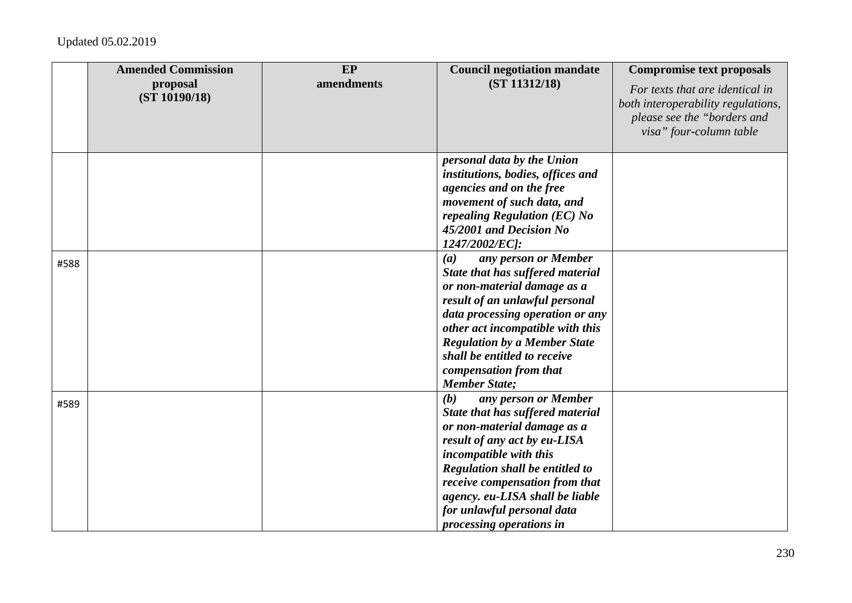|      | <b>Amended Commission</b><br>proposal<br>(ST 10190/18) | EP<br>amendments | <b>Council negotiation mandate</b><br>(ST 11312/18)                                                                                                                                                                                                                                                                                | <b>Compromise text proposals</b><br>For texts that are identical in<br>both interoperability regulations,<br>please see the "borders and |
|------|--------------------------------------------------------|------------------|------------------------------------------------------------------------------------------------------------------------------------------------------------------------------------------------------------------------------------------------------------------------------------------------------------------------------------|------------------------------------------------------------------------------------------------------------------------------------------|
|      |                                                        |                  |                                                                                                                                                                                                                                                                                                                                    | visa" four-column table                                                                                                                  |
|      |                                                        |                  | personal data by the Union<br>institutions, bodies, offices and<br>agencies and on the free<br>movement of such data, and<br>repealing Regulation (EC) No<br>45/2001 and Decision No<br>1247/2002/EC]:                                                                                                                             |                                                                                                                                          |
| #588 |                                                        |                  | any person or Member<br>(a)<br>State that has suffered material<br>or non-material damage as a<br>result of an unlawful personal<br>data processing operation or any<br>other act incompatible with this<br><b>Regulation by a Member State</b><br>shall be entitled to receive<br>compensation from that<br><b>Member State</b> ; |                                                                                                                                          |
| #589 |                                                        |                  | any person or Member<br>(b)<br>State that has suffered material<br>or non-material damage as a<br>result of any act by eu-LISA<br>incompatible with this<br>Regulation shall be entitled to<br>receive compensation from that<br>agency. eu-LISA shall be liable<br>for unlawful personal data<br>processing operations in         |                                                                                                                                          |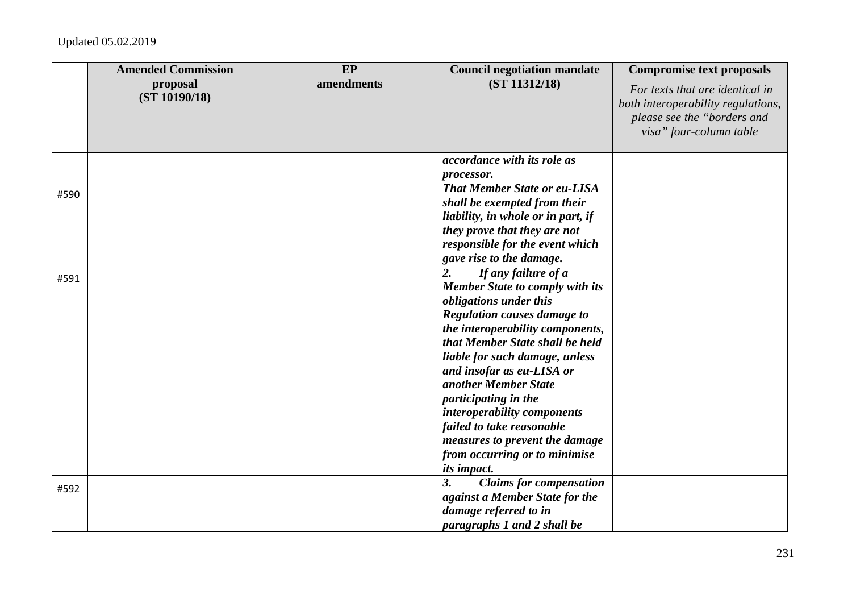|      | <b>Amended Commission</b><br>proposal<br>(ST 10190/18) | EP<br>amendments | <b>Council negotiation mandate</b><br>(ST 11312/18)                                                                                                                                                                                                                                                                                                                                                                                                                            | <b>Compromise text proposals</b><br>For texts that are identical in<br>both interoperability regulations,<br>please see the "borders and<br>visa" four-column table |
|------|--------------------------------------------------------|------------------|--------------------------------------------------------------------------------------------------------------------------------------------------------------------------------------------------------------------------------------------------------------------------------------------------------------------------------------------------------------------------------------------------------------------------------------------------------------------------------|---------------------------------------------------------------------------------------------------------------------------------------------------------------------|
|      |                                                        |                  | accordance with its role as<br>processor.                                                                                                                                                                                                                                                                                                                                                                                                                                      |                                                                                                                                                                     |
| #590 |                                                        |                  | <b>That Member State or eu-LISA</b><br>shall be exempted from their<br>liability, in whole or in part, if<br>they prove that they are not<br>responsible for the event which<br>gave rise to the damage.                                                                                                                                                                                                                                                                       |                                                                                                                                                                     |
| #591 |                                                        |                  | $\overline{2}$ .<br>If any failure of a<br><b>Member State to comply with its</b><br>obligations under this<br>Regulation causes damage to<br>the interoperability components,<br>that Member State shall be held<br>liable for such damage, unless<br>and insofar as eu-LISA or<br>another Member State<br>participating in the<br>interoperability components<br>failed to take reasonable<br>measures to prevent the damage<br>from occurring or to minimise<br>its impact. |                                                                                                                                                                     |
| #592 |                                                        |                  | <b>Claims for compensation</b><br>3.<br>against a Member State for the<br>damage referred to in<br>paragraphs 1 and 2 shall be                                                                                                                                                                                                                                                                                                                                                 |                                                                                                                                                                     |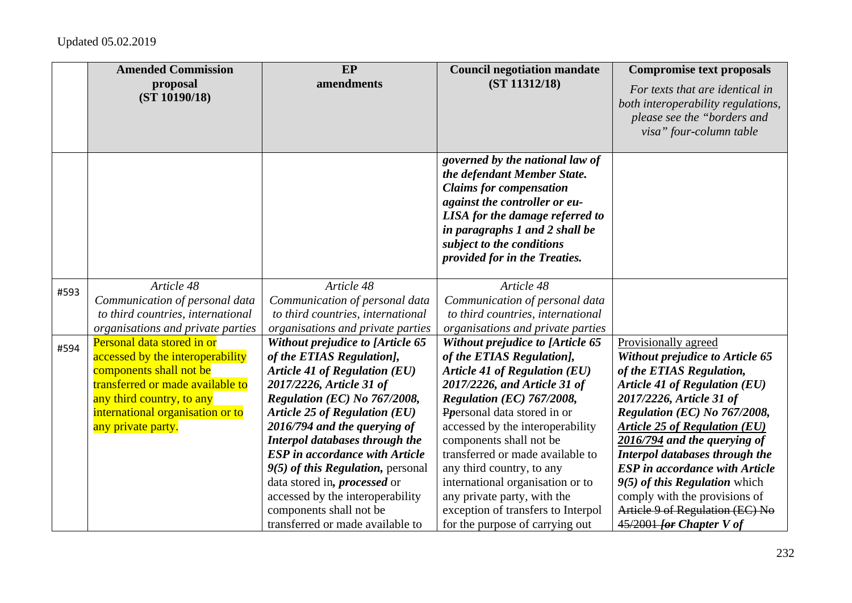|      | <b>Amended Commission</b>                                                                                                                                                                                            | EP                                                                                                                                                                                                                                                                                                                                                                                                                                                                                                    | <b>Council negotiation mandate</b>                                                                                                                                                                                                                                                                                                                                                                                                                                             | <b>Compromise text proposals</b>                                                                                                                                                                                                                                                                                                                                                                                                                                                |
|------|----------------------------------------------------------------------------------------------------------------------------------------------------------------------------------------------------------------------|-------------------------------------------------------------------------------------------------------------------------------------------------------------------------------------------------------------------------------------------------------------------------------------------------------------------------------------------------------------------------------------------------------------------------------------------------------------------------------------------------------|--------------------------------------------------------------------------------------------------------------------------------------------------------------------------------------------------------------------------------------------------------------------------------------------------------------------------------------------------------------------------------------------------------------------------------------------------------------------------------|---------------------------------------------------------------------------------------------------------------------------------------------------------------------------------------------------------------------------------------------------------------------------------------------------------------------------------------------------------------------------------------------------------------------------------------------------------------------------------|
|      | proposal<br>(ST 10190/18)                                                                                                                                                                                            | amendments                                                                                                                                                                                                                                                                                                                                                                                                                                                                                            | (ST 11312/18)                                                                                                                                                                                                                                                                                                                                                                                                                                                                  | For texts that are identical in<br>both interoperability regulations,<br>please see the "borders and<br>visa" four-column table                                                                                                                                                                                                                                                                                                                                                 |
|      |                                                                                                                                                                                                                      |                                                                                                                                                                                                                                                                                                                                                                                                                                                                                                       | governed by the national law of<br>the defendant Member State.<br><b>Claims for compensation</b><br>against the controller or eu-<br>LISA for the damage referred to<br>in paragraphs 1 and 2 shall be<br>subject to the conditions<br>provided for in the Treaties.                                                                                                                                                                                                           |                                                                                                                                                                                                                                                                                                                                                                                                                                                                                 |
| #593 | Article 48<br>Communication of personal data<br>to third countries, international<br>organisations and private parties                                                                                               | Article 48<br>Communication of personal data<br>to third countries, international<br>organisations and private parties                                                                                                                                                                                                                                                                                                                                                                                | Article 48<br>Communication of personal data<br>to third countries, international<br>organisations and private parties                                                                                                                                                                                                                                                                                                                                                         |                                                                                                                                                                                                                                                                                                                                                                                                                                                                                 |
| #594 | Personal data stored in or<br>accessed by the interoperability<br>components shall not be<br>transferred or made available to<br>any third country, to any<br>international organisation or to<br>any private party. | Without prejudice to [Article 65<br>of the ETIAS Regulation],<br><b>Article 41 of Regulation (EU)</b><br>2017/2226, Article 31 of<br>Regulation (EC) No 767/2008,<br><b>Article 25 of Regulation (EU)</b><br>2016/794 and the querying of<br>Interpol databases through the<br><b>ESP</b> in accordance with Article<br>$9(5)$ of this Regulation, personal<br>data stored in, <i>processed</i> or<br>accessed by the interoperability<br>components shall not be<br>transferred or made available to | Without prejudice to [Article 65<br>of the ETIAS Regulation],<br><b>Article 41 of Regulation (EU)</b><br>2017/2226, and Article 31 of<br>Regulation (EC) 767/2008,<br>Popersonal data stored in or<br>accessed by the interoperability<br>components shall not be<br>transferred or made available to<br>any third country, to any<br>international organisation or to<br>any private party, with the<br>exception of transfers to Interpol<br>for the purpose of carrying out | Provisionally agreed<br>Without prejudice to Article 65<br>of the ETIAS Regulation,<br><b>Article 41 of Regulation (EU)</b><br>2017/2226, Article 31 of<br>Regulation (EC) No 767/2008,<br><b>Article 25 of Regulation (EU)</b><br>2016/794 and the querying of<br>Interpol databases through the<br><b>ESP</b> in accordance with Article<br>$9(5)$ of this Regulation which<br>comply with the provisions of<br>Article 9 of Regulation (EC) No<br>$45/2001$ for Chapter V of |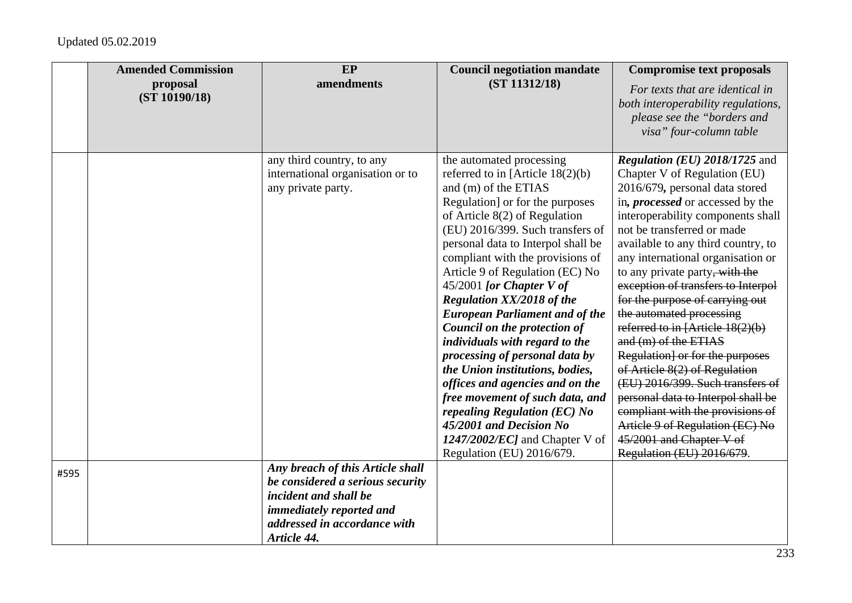|      | <b>Amended Commission</b><br>proposal<br>(ST 10190/18) | <b>EP</b><br>amendments                                                                                                                                                  | <b>Council negotiation mandate</b><br>(ST 11312/18)                                                                                                                                                                                                                                                                                                                                                                                                                                                                                                                                                                                                                                                                                                       | <b>Compromise text proposals</b><br>For texts that are identical in<br>both interoperability regulations,<br>please see the "borders and<br>visa" four-column table                                                                                                                                                                                                                                                                                                                                                                                                                                                                                                                                                                                                                |
|------|--------------------------------------------------------|--------------------------------------------------------------------------------------------------------------------------------------------------------------------------|-----------------------------------------------------------------------------------------------------------------------------------------------------------------------------------------------------------------------------------------------------------------------------------------------------------------------------------------------------------------------------------------------------------------------------------------------------------------------------------------------------------------------------------------------------------------------------------------------------------------------------------------------------------------------------------------------------------------------------------------------------------|------------------------------------------------------------------------------------------------------------------------------------------------------------------------------------------------------------------------------------------------------------------------------------------------------------------------------------------------------------------------------------------------------------------------------------------------------------------------------------------------------------------------------------------------------------------------------------------------------------------------------------------------------------------------------------------------------------------------------------------------------------------------------------|
|      |                                                        | any third country, to any<br>international organisation or to<br>any private party.                                                                                      | the automated processing<br>referred to in [Article $18(2)(b)$<br>and (m) of the ETIAS<br>Regulation] or for the purposes<br>of Article $8(2)$ of Regulation<br>(EU) 2016/399. Such transfers of<br>personal data to Interpol shall be<br>compliant with the provisions of<br>Article 9 of Regulation (EC) No<br>$45/2001$ [or Chapter V of<br>Regulation XX/2018 of the<br><b>European Parliament and of the</b><br>Council on the protection of<br>individuals with regard to the<br>processing of personal data by<br>the Union institutions, bodies,<br>offices and agencies and on the<br>free movement of such data, and<br>repealing Regulation (EC) No<br>45/2001 and Decision No<br>$1247/2002/EC$ and Chapter V of<br>Regulation (EU) 2016/679. | <i>Regulation (EU)</i> $2018/1725$ and<br>Chapter V of Regulation (EU)<br>2016/679, personal data stored<br>in, <i>processed</i> or accessed by the<br>interoperability components shall<br>not be transferred or made<br>available to any third country, to<br>any international organisation or<br>to any private party, with the<br>exception of transfers to Interpol<br>for the purpose of carrying out<br>the automated processing<br>referred to in [Article 18(2)(b)<br>and (m) of the ETIAS<br>Regulation] or for the purposes<br>of Article 8(2) of Regulation<br>(EU) 2016/399. Such transfers of<br>personal data to Interpol shall be<br>compliant with the provisions of<br>Article 9 of Regulation (EC) No<br>45/2001 and Chapter V of<br>Regulation (EU) 2016/679. |
| #595 |                                                        | Any breach of this Article shall<br>be considered a serious security<br>incident and shall be<br>immediately reported and<br>addressed in accordance with<br>Article 44. |                                                                                                                                                                                                                                                                                                                                                                                                                                                                                                                                                                                                                                                                                                                                                           |                                                                                                                                                                                                                                                                                                                                                                                                                                                                                                                                                                                                                                                                                                                                                                                    |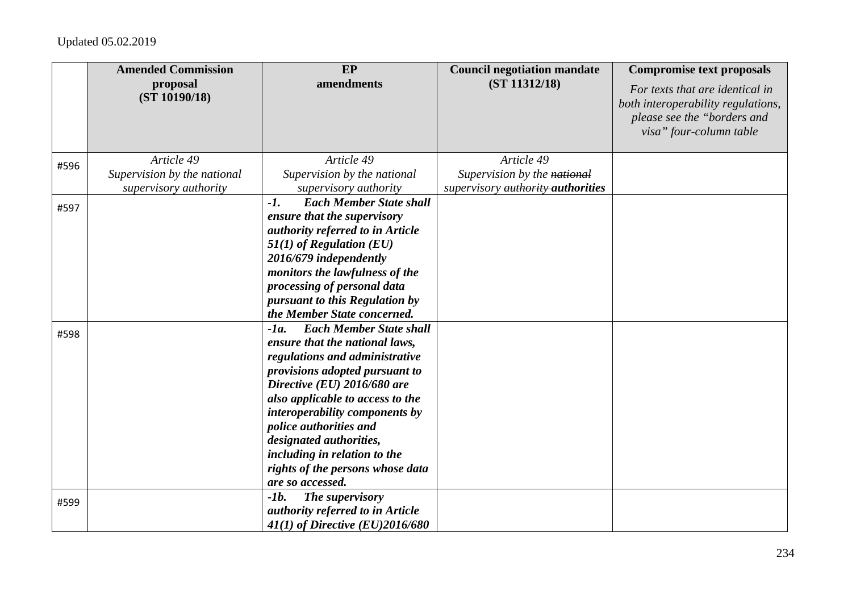|      | <b>Amended Commission</b>   | EP                                       | <b>Council negotiation mandate</b> | <b>Compromise text proposals</b>                                                                                                |
|------|-----------------------------|------------------------------------------|------------------------------------|---------------------------------------------------------------------------------------------------------------------------------|
|      | proposal<br>(ST 10190/18)   | amendments                               | (ST 11312/18)                      | For texts that are identical in<br>both interoperability regulations,<br>please see the "borders and<br>visa" four-column table |
| #596 | Article 49                  | Article 49                               | Article 49                         |                                                                                                                                 |
|      | Supervision by the national | Supervision by the national              | Supervision by the national        |                                                                                                                                 |
|      | supervisory authority       | supervisory authority                    | supervisory authority authorities  |                                                                                                                                 |
| #597 |                             | $-I.$<br><b>Each Member State shall</b>  |                                    |                                                                                                                                 |
|      |                             | ensure that the supervisory              |                                    |                                                                                                                                 |
|      |                             | authority referred to in Article         |                                    |                                                                                                                                 |
|      |                             | $51(1)$ of Regulation (EU)               |                                    |                                                                                                                                 |
|      |                             | 2016/679 independently                   |                                    |                                                                                                                                 |
|      |                             | monitors the lawfulness of the           |                                    |                                                                                                                                 |
|      |                             | processing of personal data              |                                    |                                                                                                                                 |
|      |                             | pursuant to this Regulation by           |                                    |                                                                                                                                 |
|      |                             | the Member State concerned.              |                                    |                                                                                                                                 |
| #598 |                             | <b>Each Member State shall</b><br>$-Ia.$ |                                    |                                                                                                                                 |
|      |                             | ensure that the national laws,           |                                    |                                                                                                                                 |
|      |                             | regulations and administrative           |                                    |                                                                                                                                 |
|      |                             | provisions adopted pursuant to           |                                    |                                                                                                                                 |
|      |                             | Directive (EU) 2016/680 are              |                                    |                                                                                                                                 |
|      |                             | also applicable to access to the         |                                    |                                                                                                                                 |
|      |                             | interoperability components by           |                                    |                                                                                                                                 |
|      |                             | police authorities and                   |                                    |                                                                                                                                 |
|      |                             | designated authorities,                  |                                    |                                                                                                                                 |
|      |                             | including in relation to the             |                                    |                                                                                                                                 |
|      |                             | rights of the persons whose data         |                                    |                                                                                                                                 |
|      |                             | are so accessed.                         |                                    |                                                                                                                                 |
| #599 |                             | $-lb.$<br>The supervisory                |                                    |                                                                                                                                 |
|      |                             | authority referred to in Article         |                                    |                                                                                                                                 |
|      |                             | 41(1) of Directive (EU)2016/680          |                                    |                                                                                                                                 |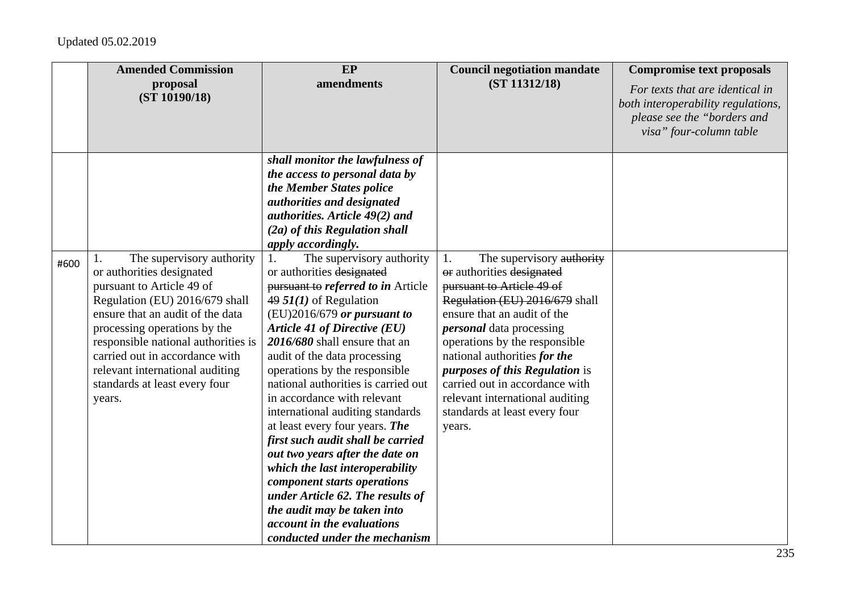|      | <b>Amended Commission</b><br>proposal<br>(ST 10190/18)                                                                                                                                                                                                                                                                                                 | EP<br>amendments                                                                                                                                                                                                                                                                                                                                                                                                                                                                                                                                                                                                                                                                                                          | <b>Council negotiation mandate</b><br>(ST 11312/18)                                                                                                                                                                                                                                                                                                                                                                     | <b>Compromise text proposals</b><br>For texts that are identical in<br>both interoperability regulations,<br>please see the "borders and<br>visa" four-column table |
|------|--------------------------------------------------------------------------------------------------------------------------------------------------------------------------------------------------------------------------------------------------------------------------------------------------------------------------------------------------------|---------------------------------------------------------------------------------------------------------------------------------------------------------------------------------------------------------------------------------------------------------------------------------------------------------------------------------------------------------------------------------------------------------------------------------------------------------------------------------------------------------------------------------------------------------------------------------------------------------------------------------------------------------------------------------------------------------------------------|-------------------------------------------------------------------------------------------------------------------------------------------------------------------------------------------------------------------------------------------------------------------------------------------------------------------------------------------------------------------------------------------------------------------------|---------------------------------------------------------------------------------------------------------------------------------------------------------------------|
|      |                                                                                                                                                                                                                                                                                                                                                        | shall monitor the lawfulness of<br>the access to personal data by<br>the Member States police<br>authorities and designated<br>authorities. Article 49(2) and<br>$(2a)$ of this Regulation shall<br>apply accordingly.                                                                                                                                                                                                                                                                                                                                                                                                                                                                                                    |                                                                                                                                                                                                                                                                                                                                                                                                                         |                                                                                                                                                                     |
| #600 | The supervisory authority<br>1.<br>or authorities designated<br>pursuant to Article 49 of<br>Regulation (EU) 2016/679 shall<br>ensure that an audit of the data<br>processing operations by the<br>responsible national authorities is<br>carried out in accordance with<br>relevant international auditing<br>standards at least every four<br>years. | The supervisory authority<br>1.<br>or authorities designated<br>pursuant to referred to in Article<br>$49.51(1)$ of Regulation<br>$(EU)2016/679$ or pursuant to<br>Article 41 of Directive (EU)<br>2016/680 shall ensure that an<br>audit of the data processing<br>operations by the responsible<br>national authorities is carried out<br>in accordance with relevant<br>international auditing standards<br>at least every four years. The<br>first such audit shall be carried<br>out two years after the date on<br>which the last interoperability<br>component starts operations<br>under Article 62. The results of<br>the audit may be taken into<br>account in the evaluations<br>conducted under the mechanism | The supervisory authority<br>1.<br>or authorities designated<br>pursuant to Article 49 of<br>Regulation (EU) 2016/679 shall<br>ensure that an audit of the<br><i>personal</i> data processing<br>operations by the responsible<br>national authorities for the<br><i>purposes of this Regulation is</i><br>carried out in accordance with<br>relevant international auditing<br>standards at least every four<br>years. |                                                                                                                                                                     |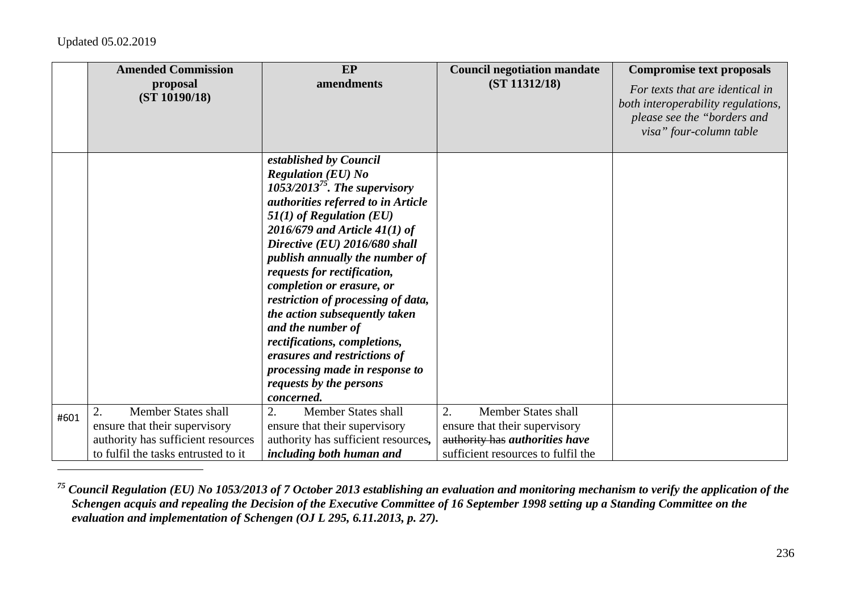|      | <b>Amended Commission</b>           | EP                                                              | <b>Council negotiation mandate</b> | <b>Compromise text proposals</b>                                      |
|------|-------------------------------------|-----------------------------------------------------------------|------------------------------------|-----------------------------------------------------------------------|
|      | proposal<br>(ST 10190/18)           | amendments                                                      | (ST 11312/18)                      | For texts that are identical in<br>both interoperability regulations, |
|      |                                     |                                                                 |                                    | please see the "borders and                                           |
|      |                                     |                                                                 |                                    | visa" four-column table                                               |
|      |                                     | established by Council                                          |                                    |                                                                       |
|      |                                     | <b>Regulation (EU) No</b>                                       |                                    |                                                                       |
|      |                                     | 1053/2013 <sup>75</sup> . The supervisory                       |                                    |                                                                       |
|      |                                     | authorities referred to in Article                              |                                    |                                                                       |
|      |                                     | $51(1)$ of Regulation (EU)                                      |                                    |                                                                       |
|      |                                     | $2016/679$ and Article 41(1) of                                 |                                    |                                                                       |
|      |                                     | Directive (EU) 2016/680 shall                                   |                                    |                                                                       |
|      |                                     | publish annually the number of                                  |                                    |                                                                       |
|      |                                     | requests for rectification,                                     |                                    |                                                                       |
|      |                                     | completion or erasure, or<br>restriction of processing of data, |                                    |                                                                       |
|      |                                     | the action subsequently taken                                   |                                    |                                                                       |
|      |                                     | and the number of                                               |                                    |                                                                       |
|      |                                     | rectifications, completions,                                    |                                    |                                                                       |
|      |                                     | erasures and restrictions of                                    |                                    |                                                                       |
|      |                                     | processing made in response to                                  |                                    |                                                                       |
|      |                                     | requests by the persons                                         |                                    |                                                                       |
|      |                                     | concerned.                                                      |                                    |                                                                       |
| #601 | Member States shall<br>2.           | 2.<br>Member States shall                                       | 2.<br><b>Member States shall</b>   |                                                                       |
|      | ensure that their supervisory       | ensure that their supervisory                                   | ensure that their supervisory      |                                                                       |
|      | authority has sufficient resources  | authority has sufficient resources,                             | authority has authorities have     |                                                                       |
|      | to fulfil the tasks entrusted to it | <i>including both human and</i>                                 | sufficient resources to fulfil the |                                                                       |

*75 Council Regulation (EU) No 1053/2013 of 7 October 2013 establishing an evaluation and monitoring mechanism to verify the application of the Schengen acquis and repealing the Decision of the Executive Committee of 16 September 1998 setting up a Standing Committee on the evaluation and implementation of Schengen (OJ L 295, 6.11.2013, p. 27).*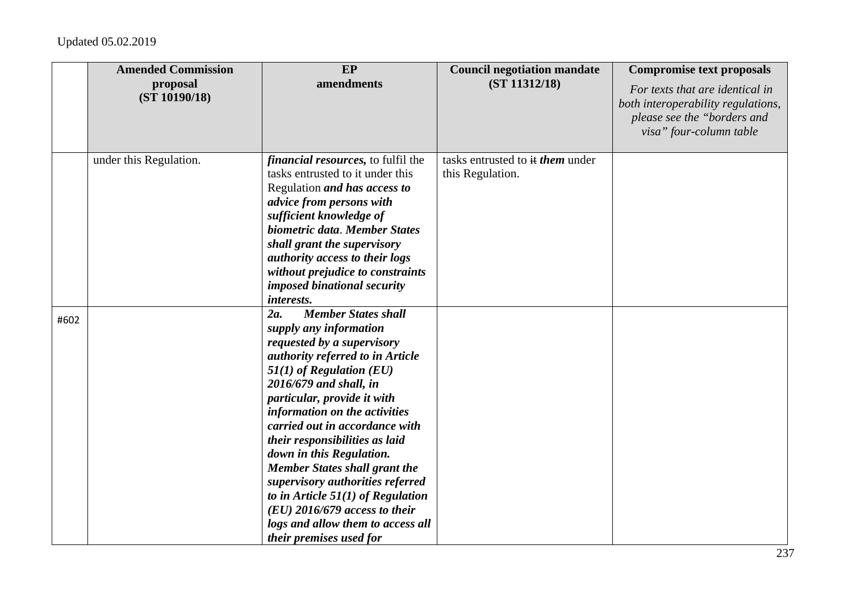|      | <b>Amended Commission</b> | EP                                                                                                                                                                                                                                                                                                                                                                                                                                                                                                                                                                          | <b>Council negotiation mandate</b>                          | <b>Compromise text proposals</b>                                                                                                |
|------|---------------------------|-----------------------------------------------------------------------------------------------------------------------------------------------------------------------------------------------------------------------------------------------------------------------------------------------------------------------------------------------------------------------------------------------------------------------------------------------------------------------------------------------------------------------------------------------------------------------------|-------------------------------------------------------------|---------------------------------------------------------------------------------------------------------------------------------|
|      | proposal<br>(ST 10190/18) | amendments                                                                                                                                                                                                                                                                                                                                                                                                                                                                                                                                                                  | (ST 11312/18)                                               | For texts that are identical in<br>both interoperability regulations,<br>please see the "borders and<br>visa" four-column table |
|      | under this Regulation.    | <i>financial resources</i> , to fulfil the<br>tasks entrusted to it under this<br>Regulation and has access to<br>advice from persons with<br>sufficient knowledge of<br>biometric data. Member States<br>shall grant the supervisory<br>authority access to their logs<br>without prejudice to constraints<br>imposed binational security<br>interests.                                                                                                                                                                                                                    | tasks entrusted to it <i>them</i> under<br>this Regulation. |                                                                                                                                 |
| #602 |                           | <b>Member States shall</b><br>2a.<br>supply any information<br>requested by a supervisory<br>authority referred to in Article<br>$51(1)$ of Regulation (EU)<br>2016/679 and shall, in<br>particular, provide it with<br>information on the activities<br>carried out in accordance with<br>their responsibilities as laid<br>down in this Regulation.<br><b>Member States shall grant the</b><br>supervisory authorities referred<br>to in Article $51(1)$ of Regulation<br>$(EU)$ 2016/679 access to their<br>logs and allow them to access all<br>their premises used for |                                                             |                                                                                                                                 |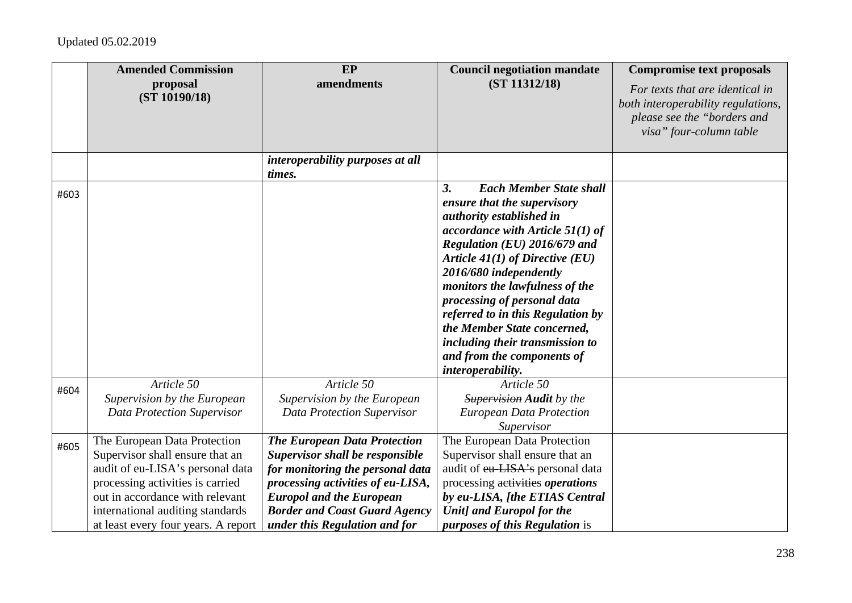|      | <b>Amended Commission</b>                                                                                                                                                                                                                             | EP                                                                                                                                                                                                                                                                 | <b>Council negotiation mandate</b>                                                                                                                                                                                                                                                                                                                                                                                                                              | <b>Compromise text proposals</b>                                                                                                |
|------|-------------------------------------------------------------------------------------------------------------------------------------------------------------------------------------------------------------------------------------------------------|--------------------------------------------------------------------------------------------------------------------------------------------------------------------------------------------------------------------------------------------------------------------|-----------------------------------------------------------------------------------------------------------------------------------------------------------------------------------------------------------------------------------------------------------------------------------------------------------------------------------------------------------------------------------------------------------------------------------------------------------------|---------------------------------------------------------------------------------------------------------------------------------|
|      | proposal<br>(ST 10190/18)                                                                                                                                                                                                                             | amendments                                                                                                                                                                                                                                                         | (ST 11312/18)                                                                                                                                                                                                                                                                                                                                                                                                                                                   | For texts that are identical in<br>both interoperability regulations,<br>please see the "borders and<br>visa" four-column table |
|      |                                                                                                                                                                                                                                                       | interoperability purposes at all<br>times.                                                                                                                                                                                                                         |                                                                                                                                                                                                                                                                                                                                                                                                                                                                 |                                                                                                                                 |
| #603 |                                                                                                                                                                                                                                                       |                                                                                                                                                                                                                                                                    | 3.<br><b>Each Member State shall</b><br>ensure that the supervisory<br>authority established in<br>accordance with Article $51(1)$ of<br>Regulation (EU) 2016/679 and<br>Article $41(1)$ of Directive (EU)<br>2016/680 independently<br>monitors the lawfulness of the<br>processing of personal data<br>referred to in this Regulation by<br>the Member State concerned,<br>including their transmission to<br>and from the components of<br>interoperability. |                                                                                                                                 |
| #604 | Article 50<br>Supervision by the European<br><b>Data Protection Supervisor</b>                                                                                                                                                                        | Article 50<br>Supervision by the European<br><b>Data Protection Supervisor</b>                                                                                                                                                                                     | Article 50<br><b>Supervision Audit</b> by the<br><b>European Data Protection</b><br>Supervisor                                                                                                                                                                                                                                                                                                                                                                  |                                                                                                                                 |
| #605 | The European Data Protection<br>Supervisor shall ensure that an<br>audit of eu-LISA's personal data<br>processing activities is carried<br>out in accordance with relevant<br>international auditing standards<br>at least every four years. A report | <b>The European Data Protection</b><br><b>Supervisor shall be responsible</b><br>for monitoring the personal data<br>processing activities of eu-LISA,<br><b>Europol and the European</b><br><b>Border and Coast Guard Agency</b><br>under this Regulation and for | The European Data Protection<br>Supervisor shall ensure that an<br>audit of eu-LISA's personal data<br>processing activities operations<br>by eu-LISA, [the ETIAS Central<br>Unit] and Europol for the<br><i>purposes of this Regulation is</i>                                                                                                                                                                                                                 |                                                                                                                                 |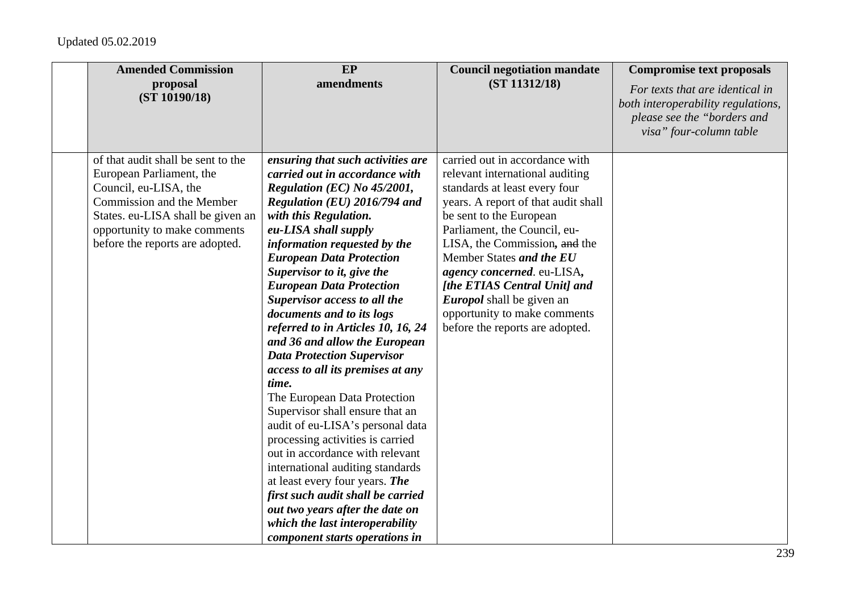| <b>Amended Commission</b>          | EP                                                                  | <b>Council negotiation mandate</b>  | <b>Compromise text proposals</b>                                                                                                |
|------------------------------------|---------------------------------------------------------------------|-------------------------------------|---------------------------------------------------------------------------------------------------------------------------------|
| proposal<br>(ST 10190/18)          | amendments                                                          | (ST 11312/18)                       | For texts that are identical in<br>both interoperability regulations,<br>please see the "borders and<br>visa" four-column table |
| of that audit shall be sent to the | ensuring that such activities are                                   | carried out in accordance with      |                                                                                                                                 |
| European Parliament, the           | carried out in accordance with                                      | relevant international auditing     |                                                                                                                                 |
| Council, eu-LISA, the              | Regulation (EC) No 45/2001,                                         | standards at least every four       |                                                                                                                                 |
| Commission and the Member          | Regulation (EU) 2016/794 and                                        | years. A report of that audit shall |                                                                                                                                 |
| States. eu-LISA shall be given an  | with this Regulation.                                               | be sent to the European             |                                                                                                                                 |
| opportunity to make comments       | eu-LISA shall supply                                                | Parliament, the Council, eu-        |                                                                                                                                 |
| before the reports are adopted.    | information requested by the                                        | LISA, the Commission, and the       |                                                                                                                                 |
|                                    | <b>European Data Protection</b>                                     | Member States and the EU            |                                                                                                                                 |
|                                    | Supervisor to it, give the                                          | agency concerned. eu-LISA,          |                                                                                                                                 |
|                                    | <b>European Data Protection</b>                                     | [the ETIAS Central Unit] and        |                                                                                                                                 |
|                                    | Supervisor access to all the                                        | <i>Europol</i> shall be given an    |                                                                                                                                 |
|                                    | documents and to its logs                                           | opportunity to make comments        |                                                                                                                                 |
|                                    | referred to in Articles 10, 16, 24                                  | before the reports are adopted.     |                                                                                                                                 |
|                                    | and 36 and allow the European                                       |                                     |                                                                                                                                 |
|                                    | <b>Data Protection Supervisor</b>                                   |                                     |                                                                                                                                 |
|                                    | access to all its premises at any                                   |                                     |                                                                                                                                 |
|                                    | time.                                                               |                                     |                                                                                                                                 |
|                                    | The European Data Protection                                        |                                     |                                                                                                                                 |
|                                    | Supervisor shall ensure that an<br>audit of eu-LISA's personal data |                                     |                                                                                                                                 |
|                                    | processing activities is carried                                    |                                     |                                                                                                                                 |
|                                    | out in accordance with relevant                                     |                                     |                                                                                                                                 |
|                                    | international auditing standards                                    |                                     |                                                                                                                                 |
|                                    | at least every four years. The                                      |                                     |                                                                                                                                 |
|                                    | first such audit shall be carried                                   |                                     |                                                                                                                                 |
|                                    | out two years after the date on                                     |                                     |                                                                                                                                 |
|                                    | which the last interoperability                                     |                                     |                                                                                                                                 |
|                                    | component starts operations in                                      |                                     |                                                                                                                                 |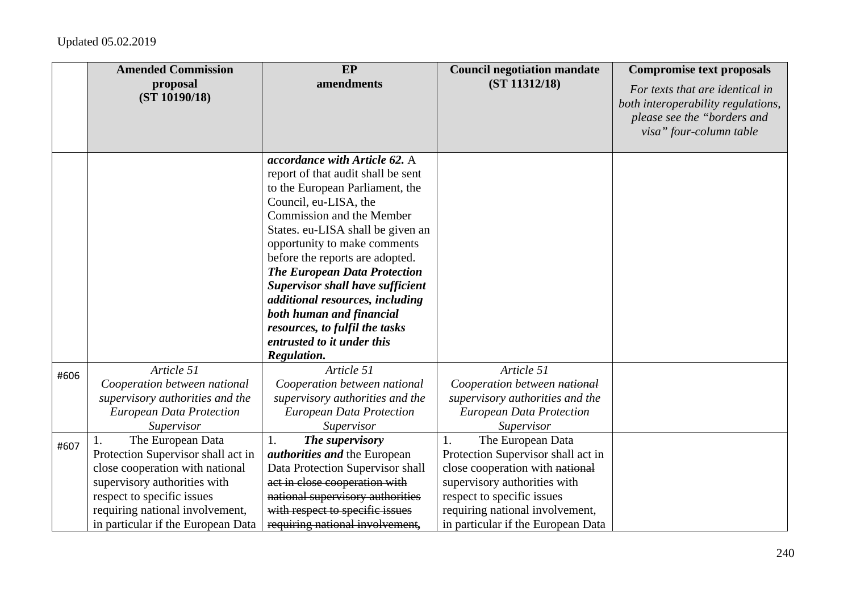|      | <b>Amended Commission</b>                                                                                                                                                                                                               | EP                                                                                                                                                                                                                                                                                                                                                                                                                                                                                                   | <b>Council negotiation mandate</b>                                                                                                                                                                                                      | <b>Compromise text proposals</b>                                                                                                |
|------|-----------------------------------------------------------------------------------------------------------------------------------------------------------------------------------------------------------------------------------------|------------------------------------------------------------------------------------------------------------------------------------------------------------------------------------------------------------------------------------------------------------------------------------------------------------------------------------------------------------------------------------------------------------------------------------------------------------------------------------------------------|-----------------------------------------------------------------------------------------------------------------------------------------------------------------------------------------------------------------------------------------|---------------------------------------------------------------------------------------------------------------------------------|
|      | proposal<br>(ST 10190/18)                                                                                                                                                                                                               | amendments                                                                                                                                                                                                                                                                                                                                                                                                                                                                                           | (ST 11312/18)                                                                                                                                                                                                                           | For texts that are identical in<br>both interoperability regulations,<br>please see the "borders and<br>visa" four-column table |
|      |                                                                                                                                                                                                                                         | accordance with Article 62. A<br>report of that audit shall be sent<br>to the European Parliament, the<br>Council, eu-LISA, the<br>Commission and the Member<br>States. eu-LISA shall be given an<br>opportunity to make comments<br>before the reports are adopted.<br><b>The European Data Protection</b><br><b>Supervisor shall have sufficient</b><br>additional resources, including<br>both human and financial<br>resources, to fulfil the tasks<br>entrusted to it under this<br>Regulation. |                                                                                                                                                                                                                                         |                                                                                                                                 |
| #606 | Article 51<br>Cooperation between national<br>supervisory authorities and the<br><b>European Data Protection</b><br>Supervisor                                                                                                          | Article 51<br>Cooperation between national<br>supervisory authorities and the<br><b>European Data Protection</b><br>Supervisor                                                                                                                                                                                                                                                                                                                                                                       | Article 51<br>Cooperation between national<br>supervisory authorities and the<br><b>European Data Protection</b><br>Supervisor                                                                                                          |                                                                                                                                 |
| #607 | The European Data<br>1.<br>Protection Supervisor shall act in<br>close cooperation with national<br>supervisory authorities with<br>respect to specific issues<br>requiring national involvement,<br>in particular if the European Data | The supervisory<br>1.<br><i>authorities and the European</i><br>Data Protection Supervisor shall<br>act in close cooperation with<br>national supervisory authorities<br>with respect to specific issues<br>requiring national involvement,                                                                                                                                                                                                                                                          | The European Data<br>1.<br>Protection Supervisor shall act in<br>close cooperation with national<br>supervisory authorities with<br>respect to specific issues<br>requiring national involvement,<br>in particular if the European Data |                                                                                                                                 |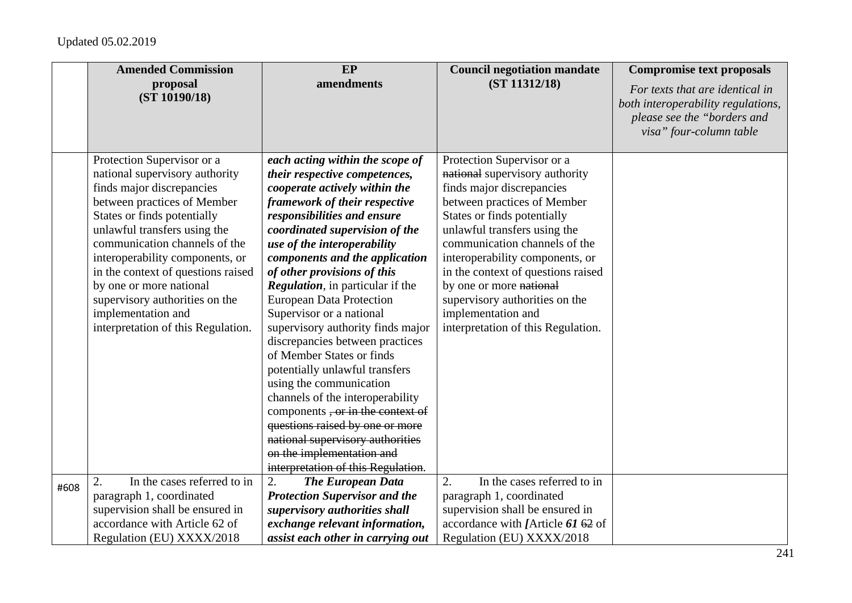|      | <b>Amended Commission</b>          | EP                                       | <b>Council negotiation mandate</b> | <b>Compromise text proposals</b>                                                                                                |
|------|------------------------------------|------------------------------------------|------------------------------------|---------------------------------------------------------------------------------------------------------------------------------|
|      | proposal<br>(ST 10190/18)          | amendments                               | (ST 11312/18)                      | For texts that are identical in<br>both interoperability regulations,<br>please see the "borders and<br>visa" four-column table |
|      | Protection Supervisor or a         | each acting within the scope of          | Protection Supervisor or a         |                                                                                                                                 |
|      | national supervisory authority     | their respective competences,            | national supervisory authority     |                                                                                                                                 |
|      | finds major discrepancies          | cooperate actively within the            | finds major discrepancies          |                                                                                                                                 |
|      | between practices of Member        | framework of their respective            | between practices of Member        |                                                                                                                                 |
|      | States or finds potentially        | responsibilities and ensure              | States or finds potentially        |                                                                                                                                 |
|      | unlawful transfers using the       | coordinated supervision of the           | unlawful transfers using the       |                                                                                                                                 |
|      | communication channels of the      | use of the interoperability              | communication channels of the      |                                                                                                                                 |
|      | interoperability components, or    | components and the application           | interoperability components, or    |                                                                                                                                 |
|      | in the context of questions raised | of other provisions of this              | in the context of questions raised |                                                                                                                                 |
|      | by one or more national            | <b>Regulation</b> , in particular if the | by one or more national            |                                                                                                                                 |
|      | supervisory authorities on the     | <b>European Data Protection</b>          | supervisory authorities on the     |                                                                                                                                 |
|      | implementation and                 | Supervisor or a national                 | implementation and                 |                                                                                                                                 |
|      | interpretation of this Regulation. | supervisory authority finds major        | interpretation of this Regulation. |                                                                                                                                 |
|      |                                    | discrepancies between practices          |                                    |                                                                                                                                 |
|      |                                    | of Member States or finds                |                                    |                                                                                                                                 |
|      |                                    | potentially unlawful transfers           |                                    |                                                                                                                                 |
|      |                                    | using the communication                  |                                    |                                                                                                                                 |
|      |                                    | channels of the interoperability         |                                    |                                                                                                                                 |
|      |                                    | components, or in the context of         |                                    |                                                                                                                                 |
|      |                                    | questions raised by one or more          |                                    |                                                                                                                                 |
|      |                                    | national supervisory authorities         |                                    |                                                                                                                                 |
|      |                                    | on the implementation and                |                                    |                                                                                                                                 |
|      |                                    | interpretation of this Regulation.       |                                    |                                                                                                                                 |
| #608 | In the cases referred to in<br>2.  | <b>The European Data</b><br>2.           | In the cases referred to in<br>2.  |                                                                                                                                 |
|      | paragraph 1, coordinated           | <b>Protection Supervisor and the</b>     | paragraph 1, coordinated           |                                                                                                                                 |
|      | supervision shall be ensured in    | supervisory authorities shall            | supervision shall be ensured in    |                                                                                                                                 |
|      | accordance with Article 62 of      | exchange relevant information,           | accordance with [Article 61 62 of  |                                                                                                                                 |
|      | Regulation (EU) XXXX/2018          | assist each other in carrying out        | Regulation (EU) XXXX/2018          |                                                                                                                                 |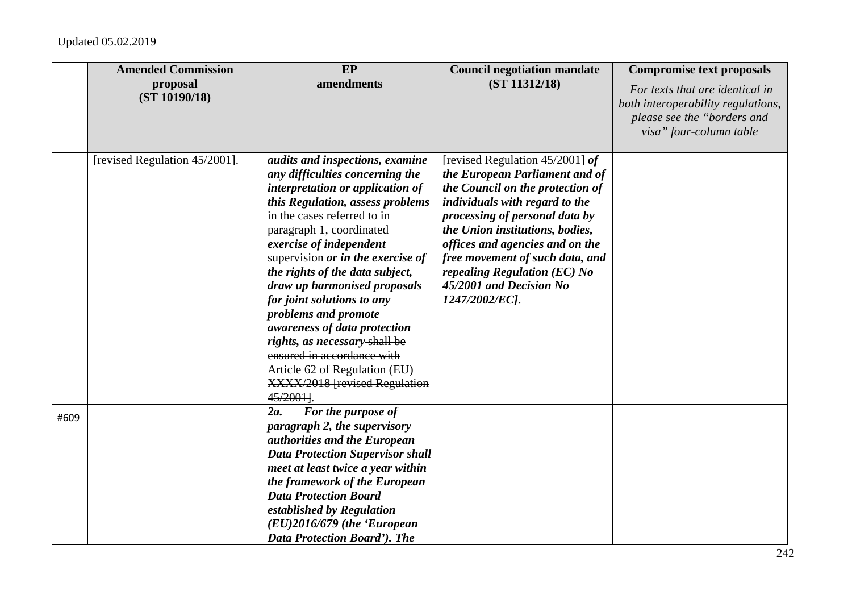|      | <b>Amended Commission</b><br>proposal<br>(ST 10190/18) | EP<br>amendments                                              | <b>Council negotiation mandate</b><br>(ST 11312/18) | <b>Compromise text proposals</b><br>For texts that are identical in<br>both interoperability regulations, |
|------|--------------------------------------------------------|---------------------------------------------------------------|-----------------------------------------------------|-----------------------------------------------------------------------------------------------------------|
|      |                                                        |                                                               |                                                     | please see the "borders and<br>visa" four-column table                                                    |
|      | [revised Regulation 45/2001].                          | audits and inspections, examine                               | [revised Regulation 45/2001] of                     |                                                                                                           |
|      |                                                        | any difficulties concerning the                               | the European Parliament and of                      |                                                                                                           |
|      |                                                        | interpretation or application of                              | the Council on the protection of                    |                                                                                                           |
|      |                                                        | this Regulation, assess problems                              | individuals with regard to the                      |                                                                                                           |
|      |                                                        | in the cases referred to in                                   | processing of personal data by                      |                                                                                                           |
|      |                                                        | paragraph 1, coordinated                                      | the Union institutions, bodies,                     |                                                                                                           |
|      |                                                        | exercise of independent                                       | offices and agencies and on the                     |                                                                                                           |
|      |                                                        | supervision or in the exercise of                             | free movement of such data, and                     |                                                                                                           |
|      |                                                        | the rights of the data subject,                               | repealing Regulation $(EC)$ No                      |                                                                                                           |
|      |                                                        | draw up harmonised proposals                                  | 45/2001 and Decision No                             |                                                                                                           |
|      |                                                        | for joint solutions to any                                    | 1247/2002/EC].                                      |                                                                                                           |
|      |                                                        | problems and promote                                          |                                                     |                                                                                                           |
|      |                                                        | awareness of data protection                                  |                                                     |                                                                                                           |
|      |                                                        | rights, as necessary-shall be                                 |                                                     |                                                                                                           |
|      |                                                        | ensured in accordance with                                    |                                                     |                                                                                                           |
|      |                                                        | Article 62 of Regulation (EU)                                 |                                                     |                                                                                                           |
|      |                                                        | <b>XXXX/2018 [revised Regulation</b>                          |                                                     |                                                                                                           |
|      |                                                        | 45/2001].                                                     |                                                     |                                                                                                           |
| #609 |                                                        | 2a.<br>For the purpose of                                     |                                                     |                                                                                                           |
|      |                                                        | paragraph 2, the supervisory                                  |                                                     |                                                                                                           |
|      |                                                        | authorities and the European                                  |                                                     |                                                                                                           |
|      |                                                        | <b>Data Protection Supervisor shall</b>                       |                                                     |                                                                                                           |
|      |                                                        | meet at least twice a year within                             |                                                     |                                                                                                           |
|      |                                                        | the framework of the European<br><b>Data Protection Board</b> |                                                     |                                                                                                           |
|      |                                                        |                                                               |                                                     |                                                                                                           |
|      |                                                        | established by Regulation                                     |                                                     |                                                                                                           |
|      |                                                        | $(EU)$ 2016/679 (the 'European                                |                                                     |                                                                                                           |
|      |                                                        | Data Protection Board'). The                                  |                                                     |                                                                                                           |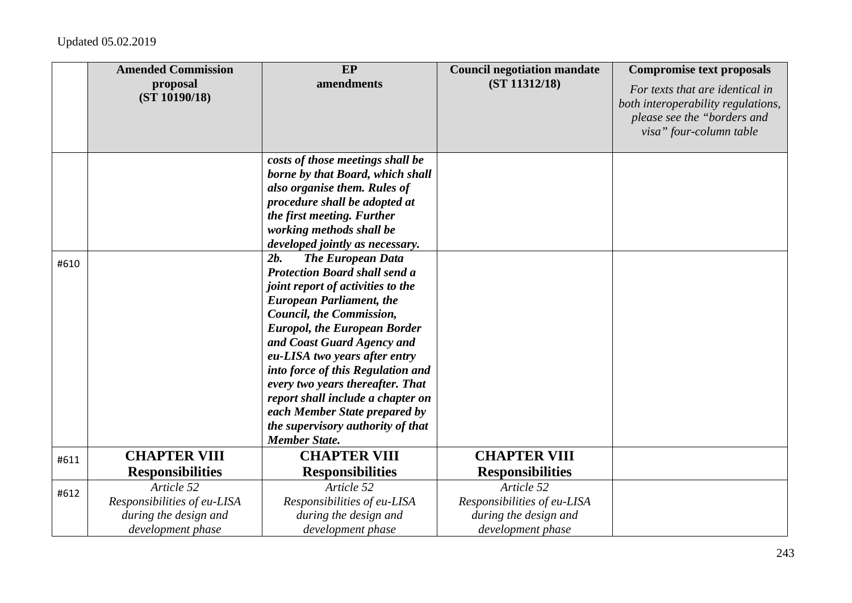|      | <b>Amended Commission</b>                                                 | EP                                                                                                                                                                                                                                                                                                                                                                                                                                                                                            | <b>Council negotiation mandate</b>                                        | <b>Compromise text proposals</b>                                                                                                |
|------|---------------------------------------------------------------------------|-----------------------------------------------------------------------------------------------------------------------------------------------------------------------------------------------------------------------------------------------------------------------------------------------------------------------------------------------------------------------------------------------------------------------------------------------------------------------------------------------|---------------------------------------------------------------------------|---------------------------------------------------------------------------------------------------------------------------------|
|      | proposal<br>(ST 10190/18)                                                 | amendments                                                                                                                                                                                                                                                                                                                                                                                                                                                                                    | (ST 11312/18)                                                             | For texts that are identical in<br>both interoperability regulations,<br>please see the "borders and<br>visa" four-column table |
|      |                                                                           | costs of those meetings shall be<br>borne by that Board, which shall<br>also organise them. Rules of<br>procedure shall be adopted at<br>the first meeting. Further<br>working methods shall be<br>developed jointly as necessary.                                                                                                                                                                                                                                                            |                                                                           |                                                                                                                                 |
| #610 |                                                                           | <b>The European Data</b><br>2b.<br><b>Protection Board shall send a</b><br>joint report of activities to the<br><b>European Parliament, the</b><br>Council, the Commission,<br><b>Europol, the European Border</b><br>and Coast Guard Agency and<br>eu-LISA two years after entry<br>into force of this Regulation and<br>every two years thereafter. That<br>report shall include a chapter on<br>each Member State prepared by<br>the supervisory authority of that<br><b>Member State.</b> |                                                                           |                                                                                                                                 |
| #611 | <b>CHAPTER VIII</b>                                                       | <b>CHAPTER VIII</b>                                                                                                                                                                                                                                                                                                                                                                                                                                                                           | <b>CHAPTER VIII</b>                                                       |                                                                                                                                 |
|      | <b>Responsibilities</b><br>Article 52                                     | <b>Responsibilities</b><br>Article 52                                                                                                                                                                                                                                                                                                                                                                                                                                                         | <b>Responsibilities</b><br>Article 52                                     |                                                                                                                                 |
| #612 | Responsibilities of eu-LISA<br>during the design and<br>development phase | Responsibilities of eu-LISA<br>during the design and<br>development phase                                                                                                                                                                                                                                                                                                                                                                                                                     | Responsibilities of eu-LISA<br>during the design and<br>development phase |                                                                                                                                 |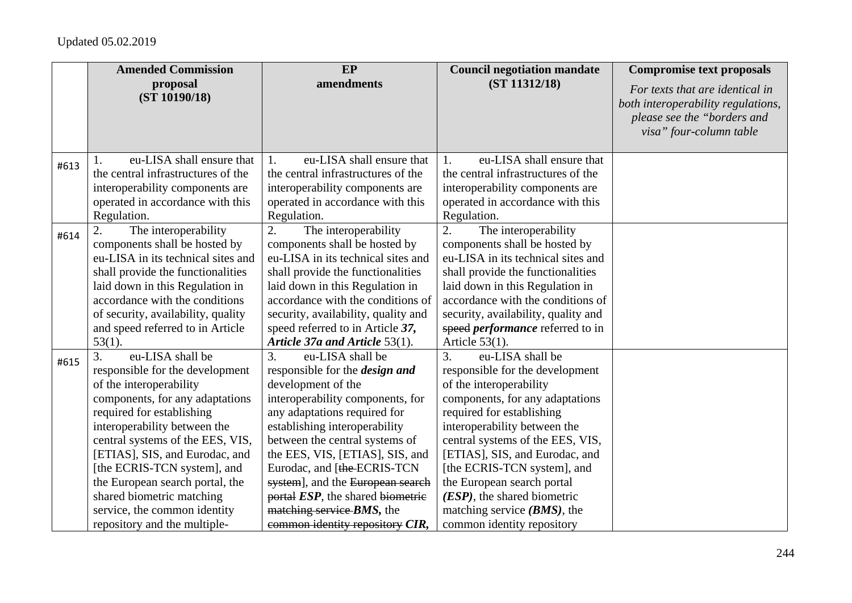|      | <b>Amended Commission</b>            | <b>EP</b>                             | <b>Council negotiation mandate</b>      | <b>Compromise text proposals</b>                                                                                                |
|------|--------------------------------------|---------------------------------------|-----------------------------------------|---------------------------------------------------------------------------------------------------------------------------------|
|      | proposal<br>(ST 10190/18)            | amendments                            | (ST 11312/18)                           | For texts that are identical in<br>both interoperability regulations,<br>please see the "borders and<br>visa" four-column table |
| #613 | eu-LISA shall ensure that            | eu-LISA shall ensure that<br>1.       | eu-LISA shall ensure that<br>1.         |                                                                                                                                 |
|      | the central infrastructures of the   | the central infrastructures of the    | the central infrastructures of the      |                                                                                                                                 |
|      | interoperability components are      | interoperability components are       | interoperability components are         |                                                                                                                                 |
|      | operated in accordance with this     | operated in accordance with this      | operated in accordance with this        |                                                                                                                                 |
|      | Regulation.                          | Regulation.                           | Regulation.                             |                                                                                                                                 |
| #614 | 2.<br>The interoperability           | 2.<br>The interoperability            | The interoperability<br>2.              |                                                                                                                                 |
|      | components shall be hosted by        | components shall be hosted by         | components shall be hosted by           |                                                                                                                                 |
|      | eu-LISA in its technical sites and   | eu-LISA in its technical sites and    | eu-LISA in its technical sites and      |                                                                                                                                 |
|      | shall provide the functionalities    | shall provide the functionalities     | shall provide the functionalities       |                                                                                                                                 |
|      | laid down in this Regulation in      | laid down in this Regulation in       | laid down in this Regulation in         |                                                                                                                                 |
|      | accordance with the conditions       | accordance with the conditions of     | accordance with the conditions of       |                                                                                                                                 |
|      | of security, availability, quality   | security, availability, quality and   | security, availability, quality and     |                                                                                                                                 |
|      | and speed referred to in Article     | speed referred to in Article 37,      | speed <i>performance</i> referred to in |                                                                                                                                 |
|      | $53(1)$ .                            | Article 37a and Article 53(1).        | Article $53(1)$ .                       |                                                                                                                                 |
| #615 | $\overline{3}$ .<br>eu-LISA shall be | eu-LISA shall be<br>3.                | eu-LISA shall be<br>3.                  |                                                                                                                                 |
|      | responsible for the development      | responsible for the <i>design</i> and | responsible for the development         |                                                                                                                                 |
|      | of the interoperability              | development of the                    | of the interoperability                 |                                                                                                                                 |
|      | components, for any adaptations      | interoperability components, for      | components, for any adaptations         |                                                                                                                                 |
|      | required for establishing            | any adaptations required for          | required for establishing               |                                                                                                                                 |
|      | interoperability between the         | establishing interoperability         | interoperability between the            |                                                                                                                                 |
|      | central systems of the EES, VIS,     | between the central systems of        | central systems of the EES, VIS,        |                                                                                                                                 |
|      | [ETIAS], SIS, and Eurodac, and       | the EES, VIS, [ETIAS], SIS, and       | [ETIAS], SIS, and Eurodac, and          |                                                                                                                                 |
|      | [the ECRIS-TCN system], and          | Eurodac, and [the-ECRIS-TCN           | [the ECRIS-TCN system], and             |                                                                                                                                 |
|      | the European search portal, the      | system], and the European search      | the European search portal              |                                                                                                                                 |
|      | shared biometric matching            | portal ESP, the shared biometric      | (ESP), the shared biometric             |                                                                                                                                 |
|      | service, the common identity         | matching service <i>BMS</i> , the     | matching service $(BMS)$ , the          |                                                                                                                                 |
|      | repository and the multiple-         | common identity repository CIR,       | common identity repository              |                                                                                                                                 |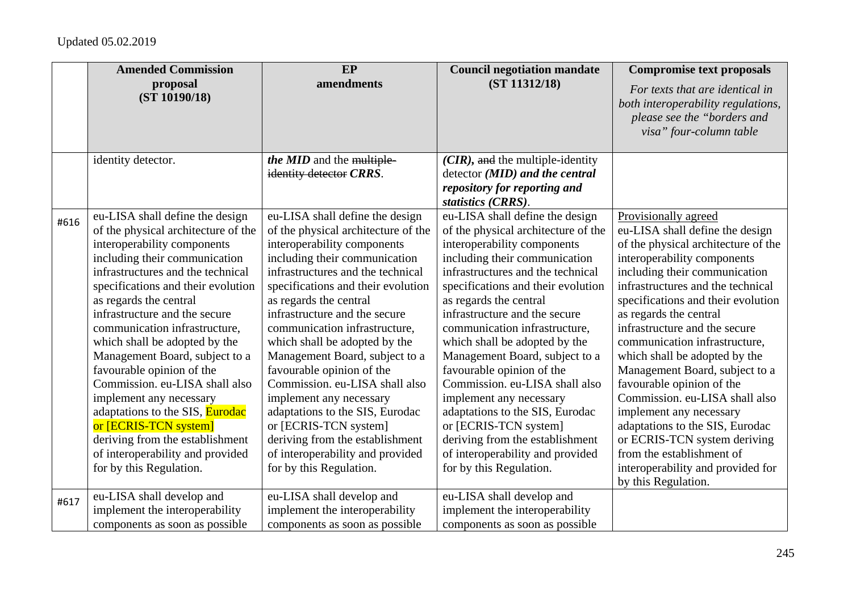|      | <b>Amended Commission</b>                                | EP                                                       | <b>Council negotiation mandate</b>                       | <b>Compromise text proposals</b>                                                                                                |
|------|----------------------------------------------------------|----------------------------------------------------------|----------------------------------------------------------|---------------------------------------------------------------------------------------------------------------------------------|
|      | proposal<br>(ST 10190/18)                                | amendments                                               | (ST 11312/18)                                            | For texts that are identical in<br>both interoperability regulations,<br>please see the "borders and<br>visa" four-column table |
|      | identity detector.                                       | the MID and the multiple-                                | $(CIR)$ , and the multiple-identity                      |                                                                                                                                 |
|      |                                                          | identity detector CRRS.                                  | $\text{detector } (\text{MID})$ and the central          |                                                                                                                                 |
|      |                                                          |                                                          | repository for reporting and<br>statistics (CRRS).       |                                                                                                                                 |
| #616 | eu-LISA shall define the design                          | eu-LISA shall define the design                          | eu-LISA shall define the design                          | Provisionally agreed                                                                                                            |
|      | of the physical architecture of the                      | of the physical architecture of the                      | of the physical architecture of the                      | eu-LISA shall define the design                                                                                                 |
|      | interoperability components                              | interoperability components                              | interoperability components                              | of the physical architecture of the                                                                                             |
|      | including their communication                            | including their communication                            | including their communication                            | interoperability components                                                                                                     |
|      | infrastructures and the technical                        | infrastructures and the technical                        | infrastructures and the technical                        | including their communication                                                                                                   |
|      | specifications and their evolution                       | specifications and their evolution                       | specifications and their evolution                       | infrastructures and the technical                                                                                               |
|      | as regards the central                                   | as regards the central                                   | as regards the central                                   | specifications and their evolution                                                                                              |
|      | infrastructure and the secure                            | infrastructure and the secure                            | infrastructure and the secure                            | as regards the central                                                                                                          |
|      | communication infrastructure,                            | communication infrastructure,                            | communication infrastructure,                            | infrastructure and the secure                                                                                                   |
|      | which shall be adopted by the                            | which shall be adopted by the                            | which shall be adopted by the                            | communication infrastructure,                                                                                                   |
|      | Management Board, subject to a                           | Management Board, subject to a                           | Management Board, subject to a                           | which shall be adopted by the                                                                                                   |
|      | favourable opinion of the                                | favourable opinion of the                                | favourable opinion of the                                | Management Board, subject to a                                                                                                  |
|      | Commission. eu-LISA shall also                           | Commission. eu-LISA shall also                           | Commission. eu-LISA shall also                           | favourable opinion of the<br>Commission. eu-LISA shall also                                                                     |
|      | implement any necessary                                  | implement any necessary                                  | implement any necessary                                  |                                                                                                                                 |
|      | adaptations to the SIS, Eurodac<br>or [ECRIS-TCN system] | adaptations to the SIS, Eurodac<br>or [ECRIS-TCN system] | adaptations to the SIS, Eurodac<br>or [ECRIS-TCN system] | implement any necessary<br>adaptations to the SIS, Eurodac                                                                      |
|      | deriving from the establishment                          | deriving from the establishment                          | deriving from the establishment                          | or ECRIS-TCN system deriving                                                                                                    |
|      | of interoperability and provided                         | of interoperability and provided                         | of interoperability and provided                         | from the establishment of                                                                                                       |
|      | for by this Regulation.                                  | for by this Regulation.                                  | for by this Regulation.                                  | interoperability and provided for                                                                                               |
|      |                                                          |                                                          |                                                          | by this Regulation.                                                                                                             |
| #617 | eu-LISA shall develop and                                | eu-LISA shall develop and                                | eu-LISA shall develop and                                |                                                                                                                                 |
|      | implement the interoperability                           | implement the interoperability                           | implement the interoperability                           |                                                                                                                                 |
|      | components as soon as possible                           | components as soon as possible                           | components as soon as possible                           |                                                                                                                                 |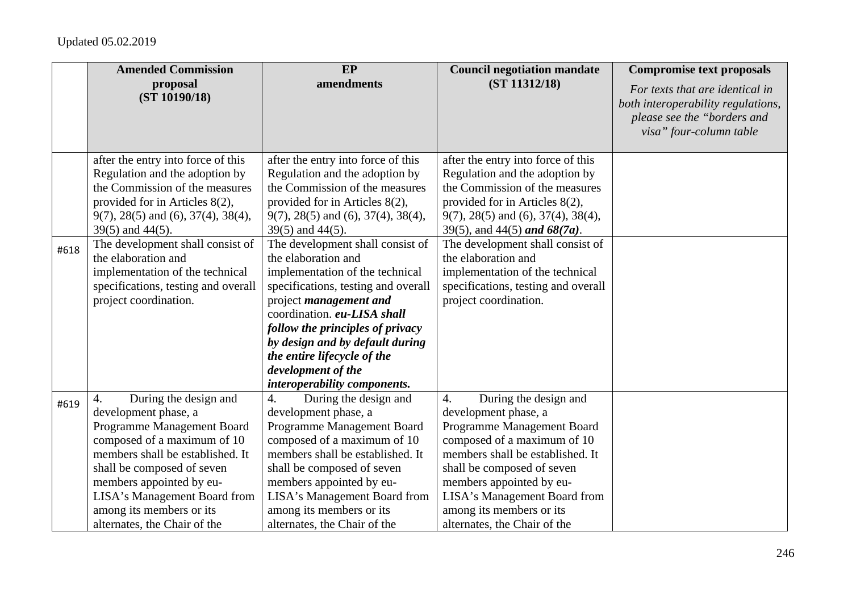|      | <b>Amended Commission</b>                                                                                                                                                                                                                                                                                                                                           | <b>EP</b>                                                                                                                                                                                                                                                                                                                                                                                                                                                                                                                            | <b>Council negotiation mandate</b>                                                                                                                                                                                                                                                                                                                                              | <b>Compromise text proposals</b>                                                                                                |
|------|---------------------------------------------------------------------------------------------------------------------------------------------------------------------------------------------------------------------------------------------------------------------------------------------------------------------------------------------------------------------|--------------------------------------------------------------------------------------------------------------------------------------------------------------------------------------------------------------------------------------------------------------------------------------------------------------------------------------------------------------------------------------------------------------------------------------------------------------------------------------------------------------------------------------|---------------------------------------------------------------------------------------------------------------------------------------------------------------------------------------------------------------------------------------------------------------------------------------------------------------------------------------------------------------------------------|---------------------------------------------------------------------------------------------------------------------------------|
|      | proposal<br>(ST 10190/18)                                                                                                                                                                                                                                                                                                                                           | amendments                                                                                                                                                                                                                                                                                                                                                                                                                                                                                                                           | (ST 11312/18)                                                                                                                                                                                                                                                                                                                                                                   | For texts that are identical in<br>both interoperability regulations,<br>please see the "borders and<br>visa" four-column table |
| #618 | after the entry into force of this<br>Regulation and the adoption by<br>the Commission of the measures<br>provided for in Articles 8(2),<br>$9(7)$ , 28(5) and (6), 37(4), 38(4),<br>39(5) and 44(5).<br>The development shall consist of<br>the elaboration and<br>implementation of the technical<br>specifications, testing and overall<br>project coordination. | after the entry into force of this<br>Regulation and the adoption by<br>the Commission of the measures<br>provided for in Articles 8(2),<br>$9(7)$ , 28(5) and (6), 37(4), 38(4),<br>$39(5)$ and $44(5)$ .<br>The development shall consist of<br>the elaboration and<br>implementation of the technical<br>specifications, testing and overall<br>project management and<br>coordination. eu-LISA shall<br>follow the principles of privacy<br>by design and by default during<br>the entire lifecycle of the<br>development of the | after the entry into force of this<br>Regulation and the adoption by<br>the Commission of the measures<br>provided for in Articles 8(2),<br>$9(7)$ , 28(5) and (6), 37(4), 38(4),<br>39(5), and 44(5) and 68(7a).<br>The development shall consist of<br>the elaboration and<br>implementation of the technical<br>specifications, testing and overall<br>project coordination. |                                                                                                                                 |
| #619 | During the design and<br>4.<br>development phase, a<br>Programme Management Board<br>composed of a maximum of 10<br>members shall be established. It<br>shall be composed of seven<br>members appointed by eu-<br>LISA's Management Board from<br>among its members or its<br>alternates, the Chair of the                                                          | interoperability components.<br>4.<br>During the design and<br>development phase, a<br>Programme Management Board<br>composed of a maximum of 10<br>members shall be established. It<br>shall be composed of seven<br>members appointed by eu-<br>LISA's Management Board from<br>among its members or its<br>alternates, the Chair of the                                                                                                                                                                                           | During the design and<br>4.<br>development phase, a<br>Programme Management Board<br>composed of a maximum of 10<br>members shall be established. It<br>shall be composed of seven<br>members appointed by eu-<br>LISA's Management Board from<br>among its members or its<br>alternates, the Chair of the                                                                      |                                                                                                                                 |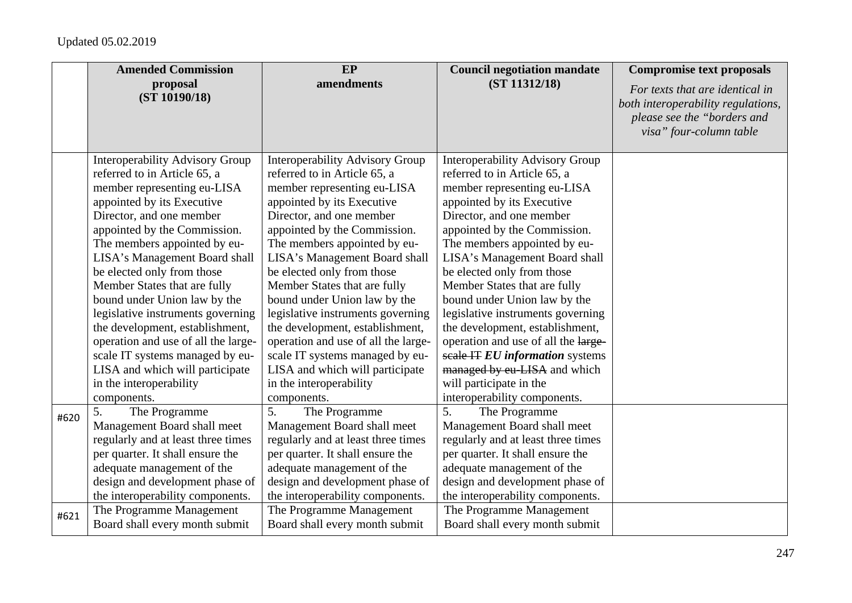|      | <b>Amended Commission</b>              | EP                                     | <b>Council negotiation mandate</b>     | <b>Compromise text proposals</b>                                                                                                |
|------|----------------------------------------|----------------------------------------|----------------------------------------|---------------------------------------------------------------------------------------------------------------------------------|
|      | proposal<br>(ST 10190/18)              | amendments                             | (ST 11312/18)                          | For texts that are identical in<br>both interoperability regulations,<br>please see the "borders and<br>visa" four-column table |
|      | <b>Interoperability Advisory Group</b> | <b>Interoperability Advisory Group</b> | <b>Interoperability Advisory Group</b> |                                                                                                                                 |
|      | referred to in Article 65, a           | referred to in Article 65, a           | referred to in Article 65, a           |                                                                                                                                 |
|      | member representing eu-LISA            | member representing eu-LISA            | member representing eu-LISA            |                                                                                                                                 |
|      | appointed by its Executive             | appointed by its Executive             | appointed by its Executive             |                                                                                                                                 |
|      | Director, and one member               | Director, and one member               | Director, and one member               |                                                                                                                                 |
|      | appointed by the Commission.           | appointed by the Commission.           | appointed by the Commission.           |                                                                                                                                 |
|      | The members appointed by eu-           | The members appointed by eu-           | The members appointed by eu-           |                                                                                                                                 |
|      | LISA's Management Board shall          | LISA's Management Board shall          | LISA's Management Board shall          |                                                                                                                                 |
|      | be elected only from those             | be elected only from those             | be elected only from those             |                                                                                                                                 |
|      | Member States that are fully           | Member States that are fully           | Member States that are fully           |                                                                                                                                 |
|      | bound under Union law by the           | bound under Union law by the           | bound under Union law by the           |                                                                                                                                 |
|      | legislative instruments governing      | legislative instruments governing      | legislative instruments governing      |                                                                                                                                 |
|      | the development, establishment,        | the development, establishment,        | the development, establishment,        |                                                                                                                                 |
|      | operation and use of all the large-    | operation and use of all the large-    | operation and use of all the large-    |                                                                                                                                 |
|      | scale IT systems managed by eu-        | scale IT systems managed by eu-        | scale IT EU information systems        |                                                                                                                                 |
|      | LISA and which will participate        | LISA and which will participate        | managed by eu-LISA and which           |                                                                                                                                 |
|      | in the interoperability                | in the interoperability                | will participate in the                |                                                                                                                                 |
|      | components.                            | components.                            | interoperability components.           |                                                                                                                                 |
| #620 | 5.<br>The Programme                    | 5.<br>The Programme                    | 5.<br>The Programme                    |                                                                                                                                 |
|      | Management Board shall meet            | Management Board shall meet            | Management Board shall meet            |                                                                                                                                 |
|      | regularly and at least three times     | regularly and at least three times     | regularly and at least three times     |                                                                                                                                 |
|      | per quarter. It shall ensure the       | per quarter. It shall ensure the       | per quarter. It shall ensure the       |                                                                                                                                 |
|      | adequate management of the             | adequate management of the             | adequate management of the             |                                                                                                                                 |
|      | design and development phase of        | design and development phase of        | design and development phase of        |                                                                                                                                 |
|      | the interoperability components.       | the interoperability components.       | the interoperability components.       |                                                                                                                                 |
| #621 | The Programme Management               | The Programme Management               | The Programme Management               |                                                                                                                                 |
|      | Board shall every month submit         | Board shall every month submit         | Board shall every month submit         |                                                                                                                                 |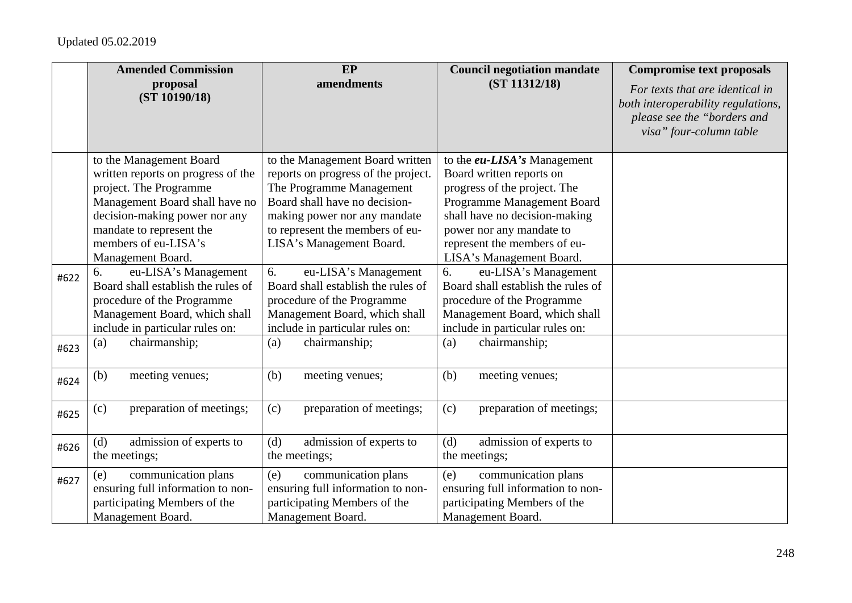|      | <b>Amended Commission</b>                                                                                                                                                                                                           | <b>EP</b>                                                                                                                                                                                                                          | <b>Council negotiation mandate</b>                                                                                                                                                                                                             | <b>Compromise text proposals</b>                                                                                                |
|------|-------------------------------------------------------------------------------------------------------------------------------------------------------------------------------------------------------------------------------------|------------------------------------------------------------------------------------------------------------------------------------------------------------------------------------------------------------------------------------|------------------------------------------------------------------------------------------------------------------------------------------------------------------------------------------------------------------------------------------------|---------------------------------------------------------------------------------------------------------------------------------|
|      | proposal<br>(ST 10190/18)                                                                                                                                                                                                           | amendments                                                                                                                                                                                                                         | (ST 11312/18)                                                                                                                                                                                                                                  | For texts that are identical in<br>both interoperability regulations,<br>please see the "borders and<br>visa" four-column table |
|      | to the Management Board<br>written reports on progress of the<br>project. The Programme<br>Management Board shall have no<br>decision-making power nor any<br>mandate to represent the<br>members of eu-LISA's<br>Management Board. | to the Management Board written<br>reports on progress of the project.<br>The Programme Management<br>Board shall have no decision-<br>making power nor any mandate<br>to represent the members of eu-<br>LISA's Management Board. | to the eu-LISA's Management<br>Board written reports on<br>progress of the project. The<br>Programme Management Board<br>shall have no decision-making<br>power nor any mandate to<br>represent the members of eu-<br>LISA's Management Board. |                                                                                                                                 |
| #622 | 6.<br>eu-LISA's Management<br>Board shall establish the rules of<br>procedure of the Programme<br>Management Board, which shall<br>include in particular rules on:                                                                  | 6.<br>eu-LISA's Management<br>Board shall establish the rules of<br>procedure of the Programme<br>Management Board, which shall<br>include in particular rules on:                                                                 | eu-LISA's Management<br>6.<br>Board shall establish the rules of<br>procedure of the Programme<br>Management Board, which shall<br>include in particular rules on:                                                                             |                                                                                                                                 |
| #623 | chairmanship;<br>(a)                                                                                                                                                                                                                | chairmanship;<br>(a)                                                                                                                                                                                                               | chairmanship;<br>(a)                                                                                                                                                                                                                           |                                                                                                                                 |
| #624 | (b)<br>meeting venues;                                                                                                                                                                                                              | (b)<br>meeting venues;                                                                                                                                                                                                             | (b)<br>meeting venues;                                                                                                                                                                                                                         |                                                                                                                                 |
| #625 | (c)<br>preparation of meetings;                                                                                                                                                                                                     | preparation of meetings;<br>(c)                                                                                                                                                                                                    | (c)<br>preparation of meetings;                                                                                                                                                                                                                |                                                                                                                                 |
| #626 | admission of experts to<br>(d)<br>the meetings;                                                                                                                                                                                     | admission of experts to<br>(d)<br>the meetings;                                                                                                                                                                                    | admission of experts to<br>(d)<br>the meetings;                                                                                                                                                                                                |                                                                                                                                 |
| #627 | communication plans<br>(e)<br>ensuring full information to non-<br>participating Members of the<br>Management Board.                                                                                                                | communication plans<br>(e)<br>ensuring full information to non-<br>participating Members of the<br>Management Board.                                                                                                               | communication plans<br>(e)<br>ensuring full information to non-<br>participating Members of the<br>Management Board.                                                                                                                           |                                                                                                                                 |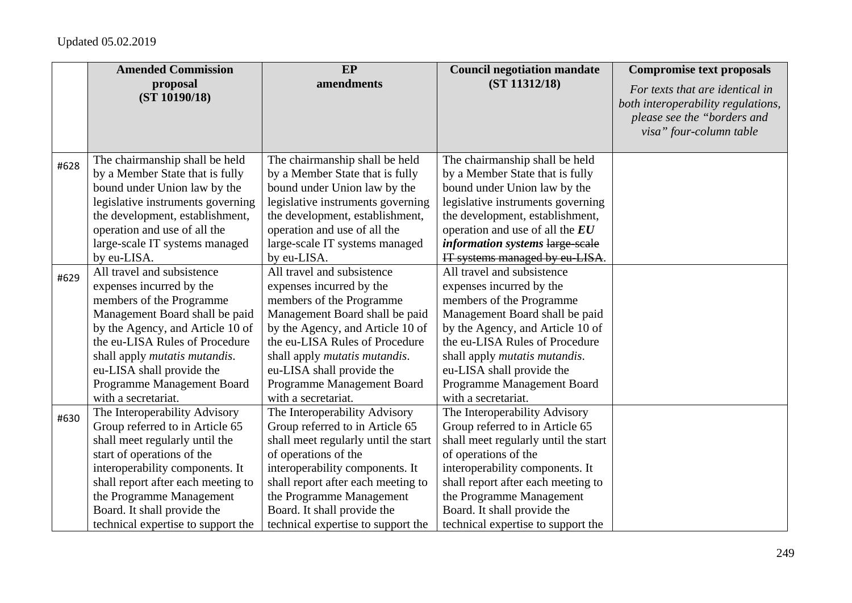|      | <b>Amended Commission</b>          | <b>EP</b>                             | <b>Council negotiation mandate</b>    | <b>Compromise text proposals</b>                                                                                                |
|------|------------------------------------|---------------------------------------|---------------------------------------|---------------------------------------------------------------------------------------------------------------------------------|
|      | proposal<br>(ST 10190/18)          | amendments                            | (ST 11312/18)                         | For texts that are identical in<br>both interoperability regulations,<br>please see the "borders and<br>visa" four-column table |
| #628 | The chairmanship shall be held     | The chairmanship shall be held        | The chairmanship shall be held        |                                                                                                                                 |
|      | by a Member State that is fully    | by a Member State that is fully       | by a Member State that is fully       |                                                                                                                                 |
|      | bound under Union law by the       | bound under Union law by the          | bound under Union law by the          |                                                                                                                                 |
|      | legislative instruments governing  | legislative instruments governing     | legislative instruments governing     |                                                                                                                                 |
|      | the development, establishment,    | the development, establishment,       | the development, establishment,       |                                                                                                                                 |
|      | operation and use of all the       | operation and use of all the          | operation and use of all the EU       |                                                                                                                                 |
|      | large-scale IT systems managed     | large-scale IT systems managed        | information systems large-scale       |                                                                                                                                 |
|      | by eu-LISA.                        | by eu-LISA.                           | IT systems managed by eu-LISA.        |                                                                                                                                 |
| #629 | All travel and subsistence         | All travel and subsistence            | All travel and subsistence            |                                                                                                                                 |
|      | expenses incurred by the           | expenses incurred by the              | expenses incurred by the              |                                                                                                                                 |
|      | members of the Programme           | members of the Programme              | members of the Programme              |                                                                                                                                 |
|      | Management Board shall be paid     | Management Board shall be paid        | Management Board shall be paid        |                                                                                                                                 |
|      | by the Agency, and Article 10 of   | by the Agency, and Article 10 of      | by the Agency, and Article 10 of      |                                                                                                                                 |
|      | the eu-LISA Rules of Procedure     | the eu-LISA Rules of Procedure        | the eu-LISA Rules of Procedure        |                                                                                                                                 |
|      | shall apply mutatis mutandis.      | shall apply <i>mutatis mutandis</i> . | shall apply <i>mutatis mutandis</i> . |                                                                                                                                 |
|      | eu-LISA shall provide the          | eu-LISA shall provide the             | eu-LISA shall provide the             |                                                                                                                                 |
|      | Programme Management Board         | Programme Management Board            | Programme Management Board            |                                                                                                                                 |
|      | with a secretariat.                | with a secretariat.                   | with a secretariat.                   |                                                                                                                                 |
| #630 | The Interoperability Advisory      | The Interoperability Advisory         | The Interoperability Advisory         |                                                                                                                                 |
|      | Group referred to in Article 65    | Group referred to in Article 65       | Group referred to in Article 65       |                                                                                                                                 |
|      | shall meet regularly until the     | shall meet regularly until the start  | shall meet regularly until the start  |                                                                                                                                 |
|      | start of operations of the         | of operations of the                  | of operations of the                  |                                                                                                                                 |
|      | interoperability components. It    | interoperability components. It       | interoperability components. It       |                                                                                                                                 |
|      | shall report after each meeting to | shall report after each meeting to    | shall report after each meeting to    |                                                                                                                                 |
|      | the Programme Management           | the Programme Management              | the Programme Management              |                                                                                                                                 |
|      | Board. It shall provide the        | Board. It shall provide the           | Board. It shall provide the           |                                                                                                                                 |
|      | technical expertise to support the | technical expertise to support the    | technical expertise to support the    |                                                                                                                                 |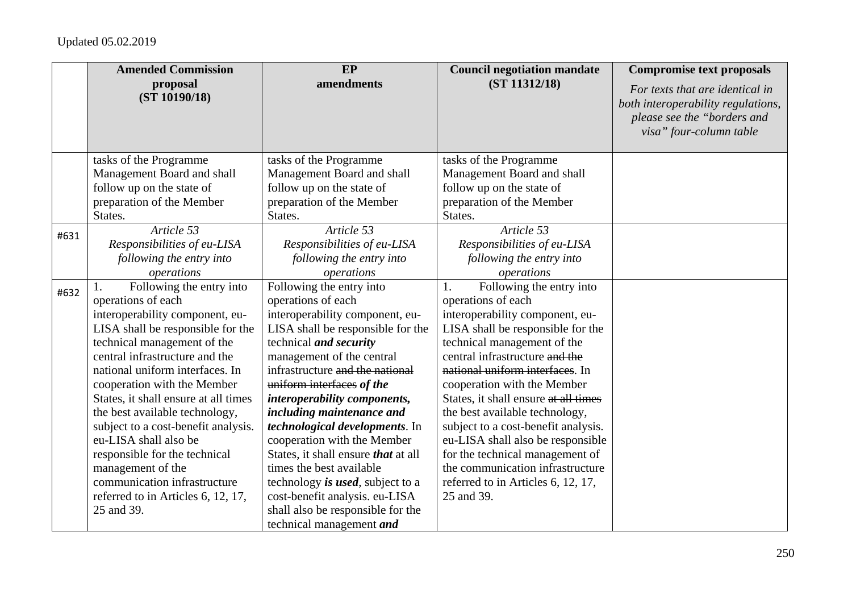|      | <b>Amended Commission</b>            | EP                                         | <b>Council negotiation mandate</b>   | <b>Compromise text proposals</b>                                                                                                |
|------|--------------------------------------|--------------------------------------------|--------------------------------------|---------------------------------------------------------------------------------------------------------------------------------|
|      | proposal<br>(ST 10190/18)            | amendments                                 | (ST 11312/18)                        | For texts that are identical in<br>both interoperability regulations,<br>please see the "borders and<br>visa" four-column table |
|      | tasks of the Programme               | tasks of the Programme                     | tasks of the Programme               |                                                                                                                                 |
|      | Management Board and shall           | Management Board and shall                 | Management Board and shall           |                                                                                                                                 |
|      | follow up on the state of            | follow up on the state of                  | follow up on the state of            |                                                                                                                                 |
|      | preparation of the Member            | preparation of the Member                  | preparation of the Member            |                                                                                                                                 |
|      | States.                              | States.                                    | States.                              |                                                                                                                                 |
| #631 | Article 53                           | Article 53                                 | Article 53                           |                                                                                                                                 |
|      | Responsibilities of eu-LISA          | Responsibilities of eu-LISA                | Responsibilities of eu-LISA          |                                                                                                                                 |
|      | following the entry into             | following the entry into                   | following the entry into             |                                                                                                                                 |
|      | operations                           | operations                                 | operations                           |                                                                                                                                 |
| #632 | Following the entry into             | Following the entry into                   | Following the entry into<br>1.       |                                                                                                                                 |
|      | operations of each                   | operations of each                         | operations of each                   |                                                                                                                                 |
|      | interoperability component, eu-      | interoperability component, eu-            | interoperability component, eu-      |                                                                                                                                 |
|      | LISA shall be responsible for the    | LISA shall be responsible for the          | LISA shall be responsible for the    |                                                                                                                                 |
|      | technical management of the          | technical and security                     | technical management of the          |                                                                                                                                 |
|      | central infrastructure and the       | management of the central                  | central infrastructure and the       |                                                                                                                                 |
|      | national uniform interfaces. In      | infrastructure and the national            | national uniform interfaces. In      |                                                                                                                                 |
|      | cooperation with the Member          | uniform interfaces of the                  | cooperation with the Member          |                                                                                                                                 |
|      | States, it shall ensure at all times | interoperability components,               | States, it shall ensure at all times |                                                                                                                                 |
|      | the best available technology,       | including maintenance and                  | the best available technology,       |                                                                                                                                 |
|      | subject to a cost-benefit analysis.  | technological developments. In             | subject to a cost-benefit analysis.  |                                                                                                                                 |
|      | eu-LISA shall also be                | cooperation with the Member                | eu-LISA shall also be responsible    |                                                                                                                                 |
|      | responsible for the technical        | States, it shall ensure <i>that</i> at all | for the technical management of      |                                                                                                                                 |
|      | management of the                    | times the best available                   | the communication infrastructure     |                                                                                                                                 |
|      | communication infrastructure         | technology is used, subject to a           | referred to in Articles 6, 12, 17,   |                                                                                                                                 |
|      | referred to in Articles 6, 12, 17,   | cost-benefit analysis. eu-LISA             | 25 and 39.                           |                                                                                                                                 |
|      | 25 and 39.                           | shall also be responsible for the          |                                      |                                                                                                                                 |
|      |                                      | technical management <i>and</i>            |                                      |                                                                                                                                 |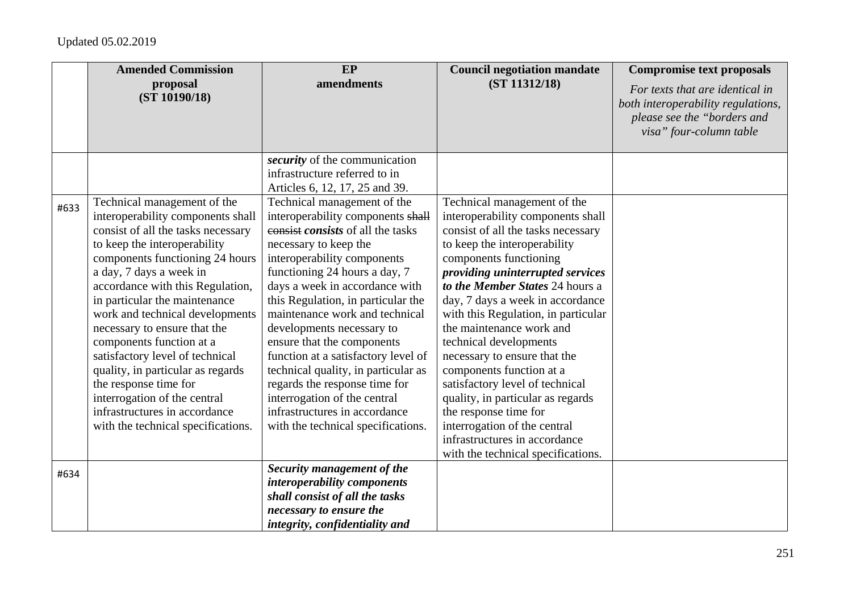|      | <b>Amended Commission</b>                                                                                                                                                                                                                                                                                                                                                                                                                                                                                                                                                        | EP                                                                                                                                                                                                                                                                                                                                                                                                                                                                                                                                                                                        | <b>Council negotiation mandate</b>                                                                                                                                                                                                                                                                                                                                                                                                                                                                                                                                                                                                           | <b>Compromise text proposals</b>                                                                                                |
|------|----------------------------------------------------------------------------------------------------------------------------------------------------------------------------------------------------------------------------------------------------------------------------------------------------------------------------------------------------------------------------------------------------------------------------------------------------------------------------------------------------------------------------------------------------------------------------------|-------------------------------------------------------------------------------------------------------------------------------------------------------------------------------------------------------------------------------------------------------------------------------------------------------------------------------------------------------------------------------------------------------------------------------------------------------------------------------------------------------------------------------------------------------------------------------------------|----------------------------------------------------------------------------------------------------------------------------------------------------------------------------------------------------------------------------------------------------------------------------------------------------------------------------------------------------------------------------------------------------------------------------------------------------------------------------------------------------------------------------------------------------------------------------------------------------------------------------------------------|---------------------------------------------------------------------------------------------------------------------------------|
|      | proposal<br>(ST 10190/18)                                                                                                                                                                                                                                                                                                                                                                                                                                                                                                                                                        | amendments                                                                                                                                                                                                                                                                                                                                                                                                                                                                                                                                                                                | (ST 11312/18)                                                                                                                                                                                                                                                                                                                                                                                                                                                                                                                                                                                                                                | For texts that are identical in<br>both interoperability regulations,<br>please see the "borders and<br>visa" four-column table |
|      |                                                                                                                                                                                                                                                                                                                                                                                                                                                                                                                                                                                  | security of the communication<br>infrastructure referred to in<br>Articles 6, 12, 17, 25 and 39.                                                                                                                                                                                                                                                                                                                                                                                                                                                                                          |                                                                                                                                                                                                                                                                                                                                                                                                                                                                                                                                                                                                                                              |                                                                                                                                 |
| #633 | Technical management of the<br>interoperability components shall<br>consist of all the tasks necessary<br>to keep the interoperability<br>components functioning 24 hours<br>a day, 7 days a week in<br>accordance with this Regulation,<br>in particular the maintenance<br>work and technical developments<br>necessary to ensure that the<br>components function at a<br>satisfactory level of technical<br>quality, in particular as regards<br>the response time for<br>interrogation of the central<br>infrastructures in accordance<br>with the technical specifications. | Technical management of the<br>interoperability components shall<br>consist consists of all the tasks<br>necessary to keep the<br>interoperability components<br>functioning 24 hours a day, 7<br>days a week in accordance with<br>this Regulation, in particular the<br>maintenance work and technical<br>developments necessary to<br>ensure that the components<br>function at a satisfactory level of<br>technical quality, in particular as<br>regards the response time for<br>interrogation of the central<br>infrastructures in accordance<br>with the technical specifications. | Technical management of the<br>interoperability components shall<br>consist of all the tasks necessary<br>to keep the interoperability<br>components functioning<br>providing uninterrupted services<br>to the Member States 24 hours a<br>day, 7 days a week in accordance<br>with this Regulation, in particular<br>the maintenance work and<br>technical developments<br>necessary to ensure that the<br>components function at a<br>satisfactory level of technical<br>quality, in particular as regards<br>the response time for<br>interrogation of the central<br>infrastructures in accordance<br>with the technical specifications. |                                                                                                                                 |
| #634 |                                                                                                                                                                                                                                                                                                                                                                                                                                                                                                                                                                                  | Security management of the<br>interoperability components<br>shall consist of all the tasks<br>necessary to ensure the<br>integrity, confidentiality and                                                                                                                                                                                                                                                                                                                                                                                                                                  |                                                                                                                                                                                                                                                                                                                                                                                                                                                                                                                                                                                                                                              |                                                                                                                                 |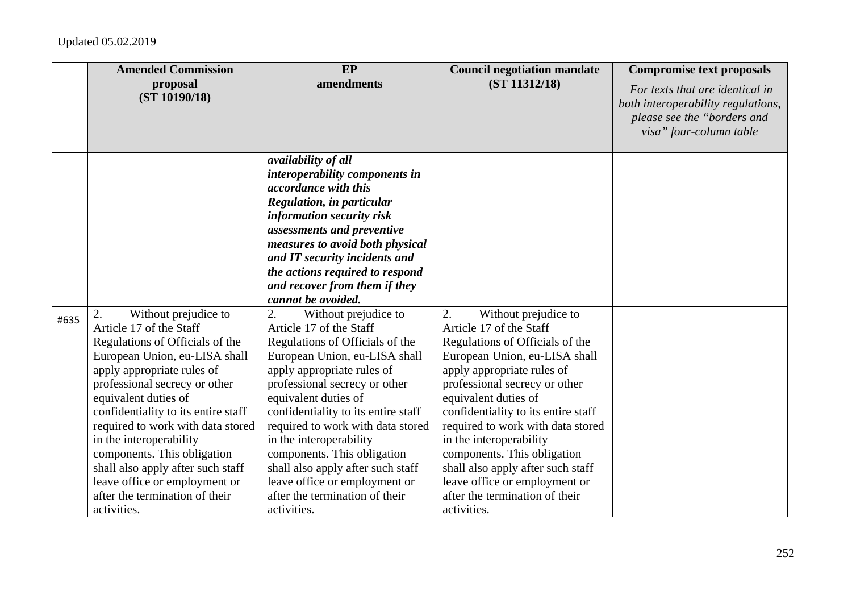|      | <b>Amended Commission</b>                                                                                                                                                                                                                                                                                                                                                                                                                                      | EP                                                                                                                                                                                                                                                                                                                                                                                                                                                                                                                                                                                                                                                                                                                                                                                                           | <b>Council negotiation mandate</b>                                                                                                                                                                                                                                                                                                                                                                                                                             | <b>Compromise text proposals</b>                                                                                                |
|------|----------------------------------------------------------------------------------------------------------------------------------------------------------------------------------------------------------------------------------------------------------------------------------------------------------------------------------------------------------------------------------------------------------------------------------------------------------------|--------------------------------------------------------------------------------------------------------------------------------------------------------------------------------------------------------------------------------------------------------------------------------------------------------------------------------------------------------------------------------------------------------------------------------------------------------------------------------------------------------------------------------------------------------------------------------------------------------------------------------------------------------------------------------------------------------------------------------------------------------------------------------------------------------------|----------------------------------------------------------------------------------------------------------------------------------------------------------------------------------------------------------------------------------------------------------------------------------------------------------------------------------------------------------------------------------------------------------------------------------------------------------------|---------------------------------------------------------------------------------------------------------------------------------|
|      | proposal<br>(ST 10190/18)                                                                                                                                                                                                                                                                                                                                                                                                                                      | amendments                                                                                                                                                                                                                                                                                                                                                                                                                                                                                                                                                                                                                                                                                                                                                                                                   | (ST 11312/18)                                                                                                                                                                                                                                                                                                                                                                                                                                                  | For texts that are identical in<br>both interoperability regulations,<br>please see the "borders and<br>visa" four-column table |
| #635 | Without prejudice to<br>2.<br>Article 17 of the Staff<br>Regulations of Officials of the<br>European Union, eu-LISA shall<br>apply appropriate rules of<br>professional secrecy or other<br>equivalent duties of<br>confidentiality to its entire staff<br>required to work with data stored<br>in the interoperability<br>components. This obligation<br>shall also apply after such staff<br>leave office or employment or<br>after the termination of their | availability of all<br>interoperability components in<br>accordance with this<br><b>Regulation, in particular</b><br>information security risk<br>assessments and preventive<br>measures to avoid both physical<br>and IT security incidents and<br>the actions required to respond<br>and recover from them if they<br>cannot be avoided.<br>Without prejudice to<br>2.<br>Article 17 of the Staff<br>Regulations of Officials of the<br>European Union, eu-LISA shall<br>apply appropriate rules of<br>professional secrecy or other<br>equivalent duties of<br>confidentiality to its entire staff<br>required to work with data stored<br>in the interoperability<br>components. This obligation<br>shall also apply after such staff<br>leave office or employment or<br>after the termination of their | Without prejudice to<br>2.<br>Article 17 of the Staff<br>Regulations of Officials of the<br>European Union, eu-LISA shall<br>apply appropriate rules of<br>professional secrecy or other<br>equivalent duties of<br>confidentiality to its entire staff<br>required to work with data stored<br>in the interoperability<br>components. This obligation<br>shall also apply after such staff<br>leave office or employment or<br>after the termination of their |                                                                                                                                 |
|      | activities.                                                                                                                                                                                                                                                                                                                                                                                                                                                    | activities.                                                                                                                                                                                                                                                                                                                                                                                                                                                                                                                                                                                                                                                                                                                                                                                                  | activities.                                                                                                                                                                                                                                                                                                                                                                                                                                                    |                                                                                                                                 |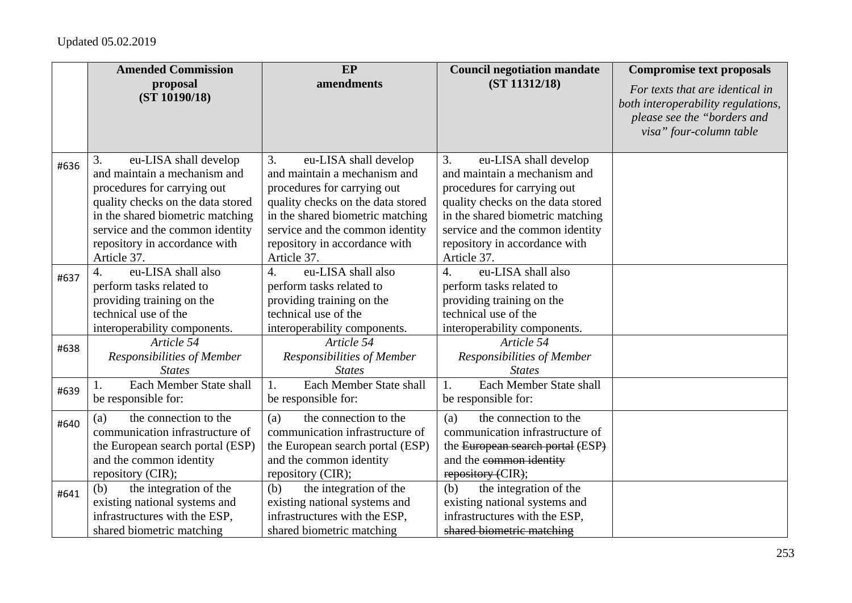|      | <b>Amended Commission</b>                                                                                                                                                                                                                              | EP                                                                                                                                                                                                                                                     | <b>Council negotiation mandate</b>                                                                                                                                                                                                                     | <b>Compromise text proposals</b>                                                                                                |
|------|--------------------------------------------------------------------------------------------------------------------------------------------------------------------------------------------------------------------------------------------------------|--------------------------------------------------------------------------------------------------------------------------------------------------------------------------------------------------------------------------------------------------------|--------------------------------------------------------------------------------------------------------------------------------------------------------------------------------------------------------------------------------------------------------|---------------------------------------------------------------------------------------------------------------------------------|
|      | proposal<br>(ST 10190/18)                                                                                                                                                                                                                              | amendments                                                                                                                                                                                                                                             | (ST 11312/18)                                                                                                                                                                                                                                          | For texts that are identical in<br>both interoperability regulations,<br>please see the "borders and<br>visa" four-column table |
| #636 | eu-LISA shall develop<br>3.<br>and maintain a mechanism and<br>procedures for carrying out<br>quality checks on the data stored<br>in the shared biometric matching<br>service and the common identity<br>repository in accordance with<br>Article 37. | eu-LISA shall develop<br>3.<br>and maintain a mechanism and<br>procedures for carrying out<br>quality checks on the data stored<br>in the shared biometric matching<br>service and the common identity<br>repository in accordance with<br>Article 37. | eu-LISA shall develop<br>3.<br>and maintain a mechanism and<br>procedures for carrying out<br>quality checks on the data stored<br>in the shared biometric matching<br>service and the common identity<br>repository in accordance with<br>Article 37. |                                                                                                                                 |
| #637 | eu-LISA shall also<br>$\mathcal{A}_{\cdot}$<br>perform tasks related to<br>providing training on the<br>technical use of the<br>interoperability components.                                                                                           | eu-LISA shall also<br>$\overline{4}$ .<br>perform tasks related to<br>providing training on the<br>technical use of the<br>interoperability components.                                                                                                | eu-LISA shall also<br>4.<br>perform tasks related to<br>providing training on the<br>technical use of the<br>interoperability components.                                                                                                              |                                                                                                                                 |
| #638 | Article 54<br>Responsibilities of Member<br><b>States</b>                                                                                                                                                                                              | Article 54<br>Responsibilities of Member<br><b>States</b>                                                                                                                                                                                              | Article 54<br>Responsibilities of Member<br><b>States</b>                                                                                                                                                                                              |                                                                                                                                 |
| #639 | Each Member State shall<br>be responsible for:                                                                                                                                                                                                         | Each Member State shall<br>1.<br>be responsible for:                                                                                                                                                                                                   | Each Member State shall<br>1.<br>be responsible for:                                                                                                                                                                                                   |                                                                                                                                 |
| #640 | the connection to the<br>(a)<br>communication infrastructure of<br>the European search portal (ESP)<br>and the common identity<br>repository (CIR);                                                                                                    | the connection to the<br>(a)<br>communication infrastructure of<br>the European search portal (ESP)<br>and the common identity<br>repository (CIR);                                                                                                    | the connection to the<br>(a)<br>communication infrastructure of<br>the European search portal (ESP)<br>and the common identity<br>repository (CIR);                                                                                                    |                                                                                                                                 |
| #641 | the integration of the<br>(b)<br>existing national systems and<br>infrastructures with the ESP,<br>shared biometric matching                                                                                                                           | the integration of the<br>(b)<br>existing national systems and<br>infrastructures with the ESP,<br>shared biometric matching                                                                                                                           | the integration of the<br>(b)<br>existing national systems and<br>infrastructures with the ESP,<br>shared biometric matching                                                                                                                           |                                                                                                                                 |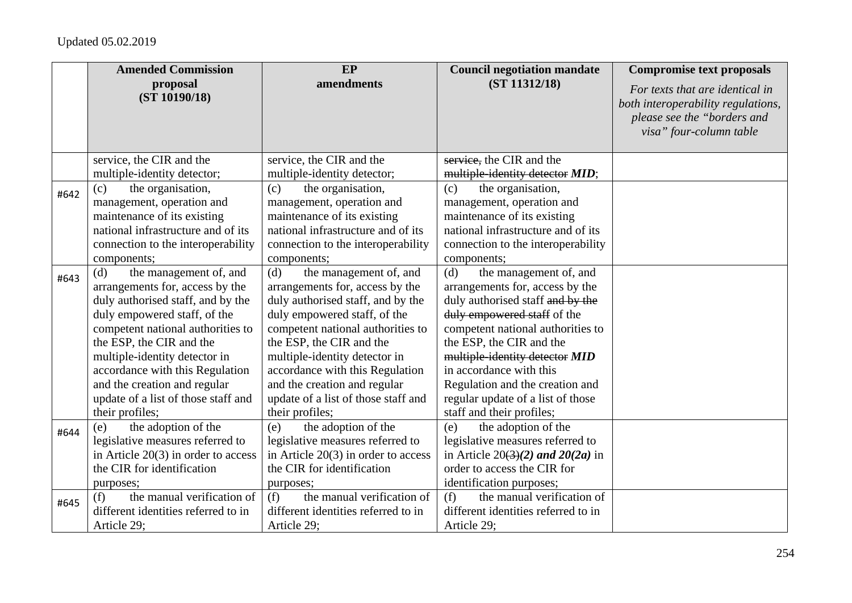## Updated 05.02.2019

|      | <b>Amended Commission</b>                                                                                                                                                                                                                                                                                                                                            | <b>EP</b>                                                                                                                                                                                                                                                                                                                                                            | <b>Council negotiation mandate</b>                                                                                                                                                                                                                                                                                                                                     | <b>Compromise text proposals</b>                                                                                                |
|------|----------------------------------------------------------------------------------------------------------------------------------------------------------------------------------------------------------------------------------------------------------------------------------------------------------------------------------------------------------------------|----------------------------------------------------------------------------------------------------------------------------------------------------------------------------------------------------------------------------------------------------------------------------------------------------------------------------------------------------------------------|------------------------------------------------------------------------------------------------------------------------------------------------------------------------------------------------------------------------------------------------------------------------------------------------------------------------------------------------------------------------|---------------------------------------------------------------------------------------------------------------------------------|
|      | proposal<br>(ST 10190/18)                                                                                                                                                                                                                                                                                                                                            | amendments                                                                                                                                                                                                                                                                                                                                                           | (ST 11312/18)                                                                                                                                                                                                                                                                                                                                                          | For texts that are identical in<br>both interoperability regulations,<br>please see the "borders and<br>visa" four-column table |
|      | service, the CIR and the                                                                                                                                                                                                                                                                                                                                             | service, the CIR and the                                                                                                                                                                                                                                                                                                                                             | service, the CIR and the                                                                                                                                                                                                                                                                                                                                               |                                                                                                                                 |
|      | multiple-identity detector;                                                                                                                                                                                                                                                                                                                                          | multiple-identity detector;                                                                                                                                                                                                                                                                                                                                          | multiple-identity detector MID;                                                                                                                                                                                                                                                                                                                                        |                                                                                                                                 |
| #642 | the organisation,<br>(c)<br>management, operation and<br>maintenance of its existing<br>national infrastructure and of its<br>connection to the interoperability<br>components;                                                                                                                                                                                      | the organisation,<br>(c)<br>management, operation and<br>maintenance of its existing<br>national infrastructure and of its<br>connection to the interoperability<br>components;                                                                                                                                                                                      | the organisation,<br>(c)<br>management, operation and<br>maintenance of its existing<br>national infrastructure and of its<br>connection to the interoperability<br>components;                                                                                                                                                                                        |                                                                                                                                 |
| #643 | the management of, and<br>(d)<br>arrangements for, access by the<br>duly authorised staff, and by the<br>duly empowered staff, of the<br>competent national authorities to<br>the ESP, the CIR and the<br>multiple-identity detector in<br>accordance with this Regulation<br>and the creation and regular<br>update of a list of those staff and<br>their profiles; | the management of, and<br>(d)<br>arrangements for, access by the<br>duly authorised staff, and by the<br>duly empowered staff, of the<br>competent national authorities to<br>the ESP, the CIR and the<br>multiple-identity detector in<br>accordance with this Regulation<br>and the creation and regular<br>update of a list of those staff and<br>their profiles; | the management of, and<br>(d)<br>arrangements for, access by the<br>duly authorised staff and by the<br>duly empowered staff of the<br>competent national authorities to<br>the ESP, the CIR and the<br>multiple-identity detector MID<br>in accordance with this<br>Regulation and the creation and<br>regular update of a list of those<br>staff and their profiles; |                                                                                                                                 |
| #644 | the adoption of the<br>(e)<br>legislative measures referred to<br>in Article $20(3)$ in order to access<br>the CIR for identification<br>purposes;                                                                                                                                                                                                                   | the adoption of the<br>(e)<br>legislative measures referred to<br>in Article $20(3)$ in order to access<br>the CIR for identification<br>purposes;                                                                                                                                                                                                                   | the adoption of the<br>(e)<br>legislative measures referred to<br>in Article $20(3)(2)$ and $20(2a)$ in<br>order to access the CIR for<br>identification purposes;                                                                                                                                                                                                     |                                                                                                                                 |
| #645 | the manual verification of<br>(f)<br>different identities referred to in<br>Article 29;                                                                                                                                                                                                                                                                              | the manual verification of<br>(f)<br>different identities referred to in<br>Article 29;                                                                                                                                                                                                                                                                              | the manual verification of<br>(f)<br>different identities referred to in<br>Article 29;                                                                                                                                                                                                                                                                                |                                                                                                                                 |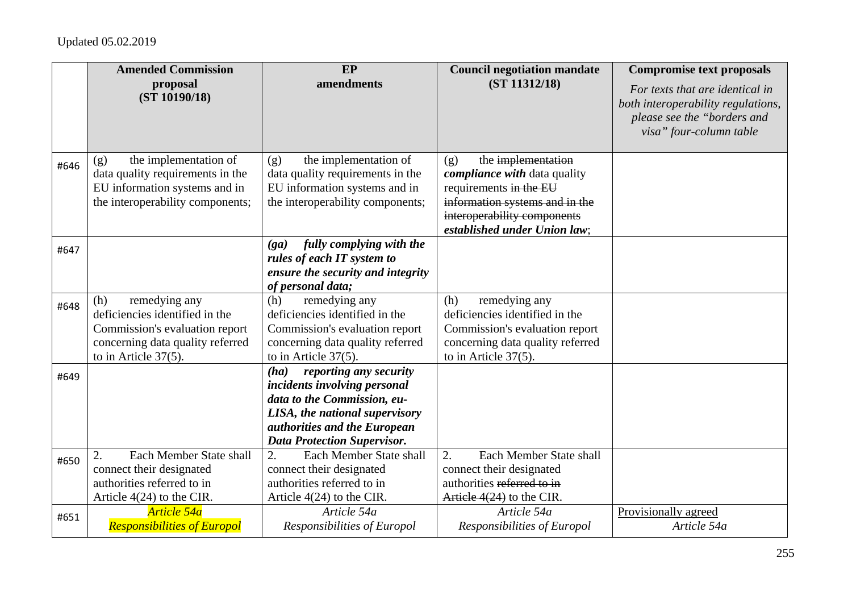|      | <b>Amended Commission</b>                                                                                                                               | EP                                                                                                                                                                                                    | <b>Council negotiation mandate</b>                                                                                                                                                          | <b>Compromise text proposals</b>                                                                                                |
|------|---------------------------------------------------------------------------------------------------------------------------------------------------------|-------------------------------------------------------------------------------------------------------------------------------------------------------------------------------------------------------|---------------------------------------------------------------------------------------------------------------------------------------------------------------------------------------------|---------------------------------------------------------------------------------------------------------------------------------|
|      | proposal<br>(ST 10190/18)                                                                                                                               | amendments                                                                                                                                                                                            | (ST 11312/18)                                                                                                                                                                               | For texts that are identical in<br>both interoperability regulations,<br>please see the "borders and<br>visa" four-column table |
| #646 | the implementation of<br>(g)<br>data quality requirements in the<br>EU information systems and in<br>the interoperability components;                   | the implementation of<br>(g)<br>data quality requirements in the<br>EU information systems and in<br>the interoperability components;                                                                 | the implementation<br>(g)<br><i>compliance with data quality</i><br>requirements in the EU<br>information systems and in the<br>interoperability components<br>established under Union law; |                                                                                                                                 |
| #647 |                                                                                                                                                         | fully complying with the<br>(ga)<br>rules of each IT system to<br>ensure the security and integrity<br>of personal data;                                                                              |                                                                                                                                                                                             |                                                                                                                                 |
| #648 | remedying any<br>(h)<br>deficiencies identified in the<br>Commission's evaluation report<br>concerning data quality referred<br>to in Article $37(5)$ . | (h)<br>remedying any<br>deficiencies identified in the<br>Commission's evaluation report<br>concerning data quality referred<br>to in Article $37(5)$ .                                               | remedying any<br>(h)<br>deficiencies identified in the<br>Commission's evaluation report<br>concerning data quality referred<br>to in Article $37(5)$ .                                     |                                                                                                                                 |
| #649 |                                                                                                                                                         | reporting any security<br>(ha)<br>incidents involving personal<br>data to the Commission, eu-<br>LISA, the national supervisory<br>authorities and the European<br><b>Data Protection Supervisor.</b> |                                                                                                                                                                                             |                                                                                                                                 |
| #650 | Each Member State shall<br>2.<br>connect their designated<br>authorities referred to in<br>Article $4(24)$ to the CIR.                                  | 2.<br>Each Member State shall<br>connect their designated<br>authorities referred to in<br>Article $4(24)$ to the CIR.                                                                                | 2.<br>Each Member State shall<br>connect their designated<br>authorities referred to in<br>Article 4(24) to the CIR.                                                                        |                                                                                                                                 |
| #651 | Article 54a<br><b>Responsibilities of Europol</b>                                                                                                       | Article 54a<br>Responsibilities of Europol                                                                                                                                                            | Article 54a<br>Responsibilities of Europol                                                                                                                                                  | Provisionally agreed<br>Article 54a                                                                                             |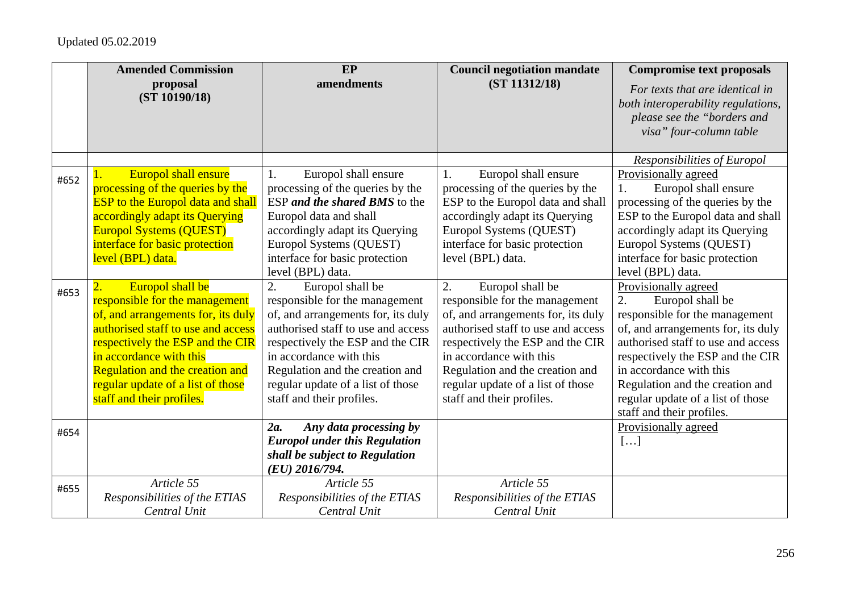|      | <b>Amended Commission</b>                                                                                                                                                                                                                                                                                 | EP                                                                                                                                                                                                                                                                                                       | <b>Council negotiation mandate</b>                                                                                                                                                                                                                                                                       | <b>Compromise text proposals</b>                                                                                                                                                                                                                                                                                                 |
|------|-----------------------------------------------------------------------------------------------------------------------------------------------------------------------------------------------------------------------------------------------------------------------------------------------------------|----------------------------------------------------------------------------------------------------------------------------------------------------------------------------------------------------------------------------------------------------------------------------------------------------------|----------------------------------------------------------------------------------------------------------------------------------------------------------------------------------------------------------------------------------------------------------------------------------------------------------|----------------------------------------------------------------------------------------------------------------------------------------------------------------------------------------------------------------------------------------------------------------------------------------------------------------------------------|
|      | proposal<br>(ST 10190/18)                                                                                                                                                                                                                                                                                 | amendments                                                                                                                                                                                                                                                                                               | (ST 11312/18)                                                                                                                                                                                                                                                                                            | For texts that are identical in<br>both interoperability regulations,<br>please see the "borders and<br>visa" four-column table                                                                                                                                                                                                  |
|      |                                                                                                                                                                                                                                                                                                           |                                                                                                                                                                                                                                                                                                          |                                                                                                                                                                                                                                                                                                          | Responsibilities of Europol                                                                                                                                                                                                                                                                                                      |
| #652 | Europol shall ensure<br>processing of the queries by the<br><b>ESP</b> to the Europol data and shall<br>accordingly adapt its Querying<br><b>Europol Systems (QUEST)</b><br>interface for basic protection<br>level (BPL) data.                                                                           | Europol shall ensure<br>1.<br>processing of the queries by the<br>ESP and the shared BMS to the<br>Europol data and shall<br>accordingly adapt its Querying<br>Europol Systems (QUEST)<br>interface for basic protection<br>level (BPL) data.                                                            | Europol shall ensure<br>1.<br>processing of the queries by the<br>ESP to the Europol data and shall<br>accordingly adapt its Querying<br>Europol Systems (QUEST)<br>interface for basic protection<br>level (BPL) data.                                                                                  | Provisionally agreed<br>Europol shall ensure<br>1.<br>processing of the queries by the<br>ESP to the Europol data and shall<br>accordingly adapt its Querying<br>Europol Systems (QUEST)<br>interface for basic protection<br>level (BPL) data.                                                                                  |
| #653 | Europol shall be<br>responsible for the management<br>of, and arrangements for, its duly<br>authorised staff to use and access<br>respectively the ESP and the CIR<br>in accordance with this<br><b>Regulation and the creation and</b><br>regular update of a list of those<br>staff and their profiles. | 2.<br>Europol shall be<br>responsible for the management<br>of, and arrangements for, its duly<br>authorised staff to use and access<br>respectively the ESP and the CIR<br>in accordance with this<br>Regulation and the creation and<br>regular update of a list of those<br>staff and their profiles. | 2.<br>Europol shall be<br>responsible for the management<br>of, and arrangements for, its duly<br>authorised staff to use and access<br>respectively the ESP and the CIR<br>in accordance with this<br>Regulation and the creation and<br>regular update of a list of those<br>staff and their profiles. | Provisionally agreed<br>Europol shall be<br>2.<br>responsible for the management<br>of, and arrangements for, its duly<br>authorised staff to use and access<br>respectively the ESP and the CIR<br>in accordance with this<br>Regulation and the creation and<br>regular update of a list of those<br>staff and their profiles. |
| #654 |                                                                                                                                                                                                                                                                                                           | 2a.<br>Any data processing by<br><b>Europol under this Regulation</b><br>shall be subject to Regulation<br>$(EU)$ 2016/794.                                                                                                                                                                              |                                                                                                                                                                                                                                                                                                          | Provisionally agreed<br>[]                                                                                                                                                                                                                                                                                                       |
| #655 | Article 55<br>Responsibilities of the ETIAS<br>Central Unit                                                                                                                                                                                                                                               | Article 55<br>Responsibilities of the ETIAS<br>Central Unit                                                                                                                                                                                                                                              | Article 55<br>Responsibilities of the ETIAS<br>Central Unit                                                                                                                                                                                                                                              |                                                                                                                                                                                                                                                                                                                                  |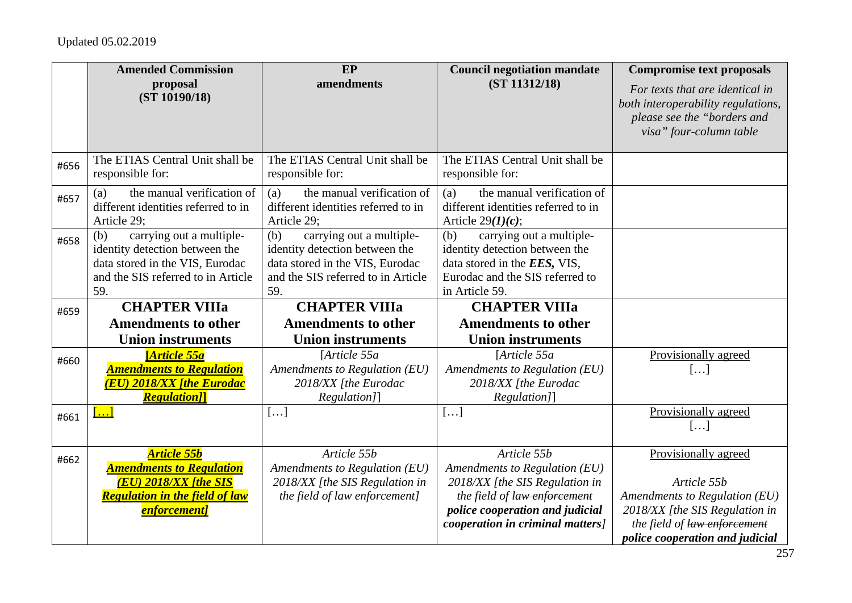|      | <b>Amended Commission</b>                                                                                                                         | EP                                                                                                                                                | <b>Council negotiation mandate</b>                                                                                                                     | <b>Compromise text proposals</b>                                                                                                |
|------|---------------------------------------------------------------------------------------------------------------------------------------------------|---------------------------------------------------------------------------------------------------------------------------------------------------|--------------------------------------------------------------------------------------------------------------------------------------------------------|---------------------------------------------------------------------------------------------------------------------------------|
|      | proposal<br>(ST 10190/18)                                                                                                                         | amendments                                                                                                                                        | (ST 11312/18)                                                                                                                                          | For texts that are identical in<br>both interoperability regulations,<br>please see the "borders and<br>visa" four-column table |
| #656 | The ETIAS Central Unit shall be<br>responsible for:                                                                                               | The ETIAS Central Unit shall be<br>responsible for:                                                                                               | The ETIAS Central Unit shall be<br>responsible for:                                                                                                    |                                                                                                                                 |
| #657 | the manual verification of<br>(a)<br>different identities referred to in<br>Article 29;                                                           | the manual verification of<br>(a)<br>different identities referred to in<br>Article 29;                                                           | the manual verification of<br>(a)<br>different identities referred to in<br>Article $29(1)(c)$ ;                                                       |                                                                                                                                 |
| #658 | carrying out a multiple-<br>(b)<br>identity detection between the<br>data stored in the VIS, Eurodac<br>and the SIS referred to in Article<br>59. | carrying out a multiple-<br>(b)<br>identity detection between the<br>data stored in the VIS, Eurodac<br>and the SIS referred to in Article<br>59. | carrying out a multiple-<br>(b)<br>identity detection between the<br>data stored in the EES, VIS,<br>Eurodac and the SIS referred to<br>in Article 59. |                                                                                                                                 |
| #659 | <b>CHAPTER VIIIa</b>                                                                                                                              | <b>CHAPTER VIIIa</b>                                                                                                                              | <b>CHAPTER VIIIa</b>                                                                                                                                   |                                                                                                                                 |
|      | <b>Amendments to other</b>                                                                                                                        | <b>Amendments to other</b>                                                                                                                        | <b>Amendments to other</b>                                                                                                                             |                                                                                                                                 |
|      | <b>Union instruments</b>                                                                                                                          | <b>Union instruments</b>                                                                                                                          | <b>Union instruments</b>                                                                                                                               |                                                                                                                                 |
| #660 | <b>Article 55a</b><br><b>Amendments to Regulation</b><br><u>(EU) 2018/XX [the Eurodac</u><br><b>Regulation</b> <sub>[1]</sub>                     | [Article 55a<br>Amendments to Regulation (EU)<br>2018/XX [the Eurodac<br>Regulation]]                                                             | [Article 55a<br>Amendments to Regulation (EU)<br>2018/XX [the Eurodac<br>Regulation]]                                                                  | Provisionally agreed<br>[]                                                                                                      |
| #661 | $\left[\ldots\right]$                                                                                                                             | []                                                                                                                                                | []                                                                                                                                                     | Provisionally agreed<br>$[\ldots]$                                                                                              |
| #662 | <b>Article 55b</b><br><b>Amendments to Regulation</b>                                                                                             | Article 55b<br>Amendments to Regulation (EU)                                                                                                      | Article 55b<br>Amendments to Regulation (EU)                                                                                                           | Provisionally agreed                                                                                                            |
|      | <b>(EU) 2018/XX [the SIS</b>                                                                                                                      | 2018/XX [the SIS Regulation in                                                                                                                    | 2018/XX [the SIS Regulation in                                                                                                                         | Article 55b                                                                                                                     |
|      |                                                                                                                                                   |                                                                                                                                                   |                                                                                                                                                        | Amendments to Regulation (EU)                                                                                                   |
|      |                                                                                                                                                   |                                                                                                                                                   |                                                                                                                                                        |                                                                                                                                 |
|      |                                                                                                                                                   |                                                                                                                                                   |                                                                                                                                                        |                                                                                                                                 |
|      | <b>Regulation in the field of law</b><br><b>enforcement</b> ]                                                                                     | the field of law enforcement]                                                                                                                     | the field of law enforcement<br>police cooperation and judicial<br><i>cooperation in criminal matters]</i>                                             | 2018/XX [the SIS Regulation in<br>the field of law enforcement<br>police cooperation and judicial                               |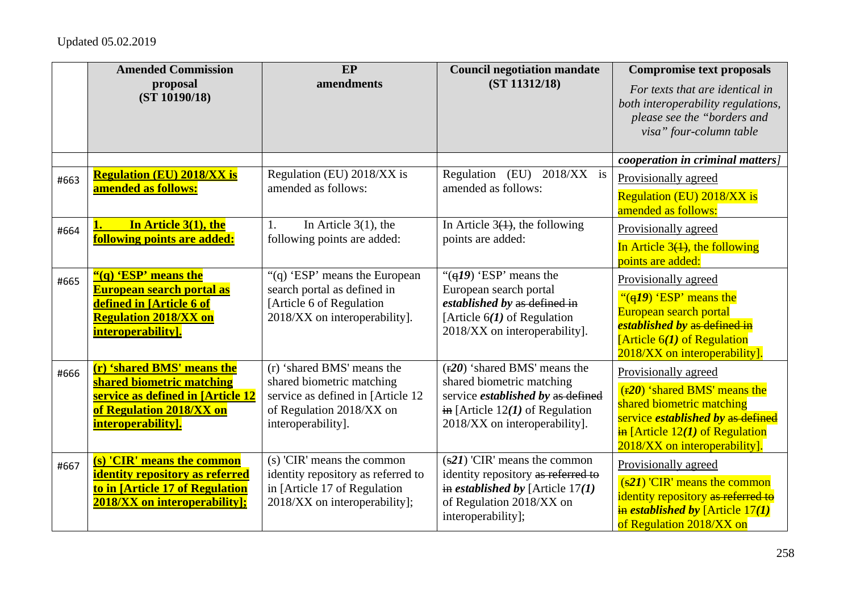|      | <b>Amended Commission</b><br>proposal                                   | EP<br>amendments                                               | <b>Council negotiation mandate</b><br>(ST 11312/18)                    | <b>Compromise text proposals</b>                                                                                                |
|------|-------------------------------------------------------------------------|----------------------------------------------------------------|------------------------------------------------------------------------|---------------------------------------------------------------------------------------------------------------------------------|
|      | (ST 10190/18)                                                           |                                                                |                                                                        | For texts that are identical in<br>both interoperability regulations,<br>please see the "borders and<br>visa" four-column table |
|      |                                                                         |                                                                |                                                                        | cooperation in criminal matters]                                                                                                |
| #663 | <b>Regulation (EU) 2018/XX is</b>                                       | Regulation (EU) 2018/XX is                                     | Regulation (EU)<br>$2018/XX$ is                                        | Provisionally agreed                                                                                                            |
|      | amended as follows:                                                     | amended as follows:                                            | amended as follows:                                                    | <b>Regulation (EU) 2018/XX is</b><br>amended as follows:                                                                        |
| #664 | In Article 3(1), the                                                    | In Article $3(1)$ , the<br>1.                                  | In Article $3(1)$ , the following                                      | Provisionally agreed                                                                                                            |
|      | following points are added:                                             | following points are added:                                    | points are added:                                                      | In Article $3(1)$ , the following                                                                                               |
|      |                                                                         |                                                                |                                                                        | points are added:                                                                                                               |
| #665 | "(q) 'ESP' means the                                                    | "(q) 'ESP' means the European                                  | " $\left(\frac{q}{q}\right)$ 'ESP' means the                           | Provisionally agreed                                                                                                            |
|      | <b>European search portal as</b><br>defined in [Article 6 of            | search portal as defined in<br>[Article 6 of Regulation        | European search portal<br>established by as defined in                 | " $\left(\frac{q}{q}\right)$ 'ESP' means the                                                                                    |
|      | <b>Regulation 2018/XX on</b>                                            | 2018/XX on interoperability].                                  | [Article $6(1)$ of Regulation                                          | European search portal                                                                                                          |
|      | interoperability].                                                      |                                                                | 2018/XX on interoperability].                                          | established by as defined in                                                                                                    |
|      |                                                                         |                                                                |                                                                        | [Article $6(1)$ of Regulation<br>2018/XX on interoperability].                                                                  |
| #666 | (r) 'shared BMS' means the                                              | (r) 'shared BMS' means the                                     | $(F20)$ 'shared BMS' means the                                         | Provisionally agreed                                                                                                            |
|      | shared biometric matching<br>service as defined in [Article 12          | shared biometric matching                                      | shared biometric matching                                              | $(r20)$ 'shared BMS' means the                                                                                                  |
|      | of Regulation 2018/XX on                                                | service as defined in [Article 12<br>of Regulation 2018/XX on  | service established by as defined<br>in [Article $12(I)$ of Regulation | shared biometric matching                                                                                                       |
|      | interoperability].                                                      | interoperability].                                             | 2018/XX on interoperability].                                          | service <i>established by</i> as defined                                                                                        |
|      |                                                                         |                                                                |                                                                        | $\frac{1}{2}$ [Article 12(1) of Regulation<br>2018/XX on interoperability].                                                     |
| #667 | (s) 'CIR' means the common                                              | (s) 'CIR' means the common                                     | $(s21)$ 'CIR' means the common                                         | Provisionally agreed                                                                                                            |
|      | identity repository as referred                                         | identity repository as referred to                             | identity repository as referred to                                     | $(s21)$ 'CIR' means the common                                                                                                  |
|      | to in [Article 17 of Regulation<br><b>2018/XX on interoperability];</b> | in [Article 17 of Regulation]<br>2018/XX on interoperability]; | in <i>established by</i> [Article $17(1)$                              | identity repository as referred to                                                                                              |
|      |                                                                         |                                                                | of Regulation 2018/XX on<br>interoperability];                         | $\frac{1}{2}$ in established by [Article 17(1)                                                                                  |
|      |                                                                         |                                                                |                                                                        | of Regulation 2018/XX on                                                                                                        |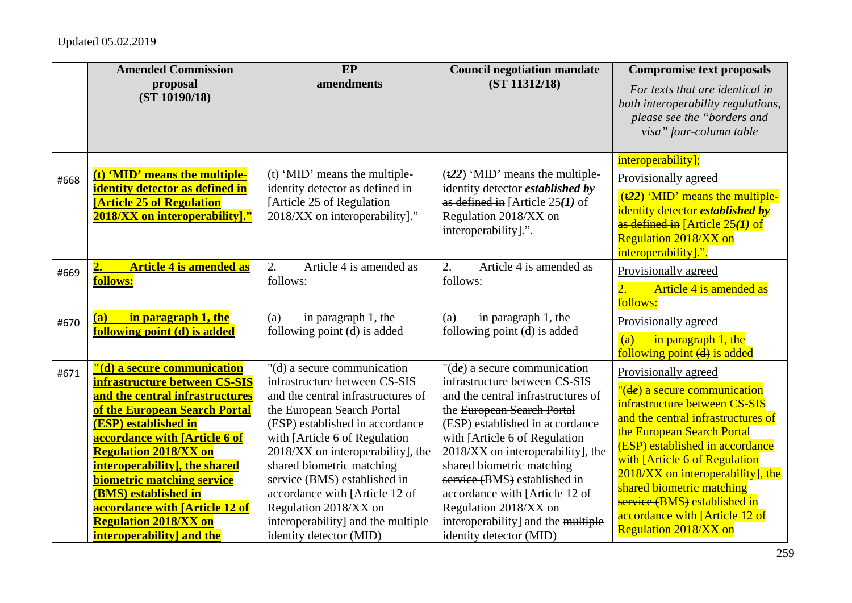|              | <b>Amended Commission</b><br>proposal<br>(ST 10190/18)                                                                                                                                                                                                                                                                                                                                                                              | EP<br>amendments                                                                                                                                                                                                                                                                                                                                                                                                                   | <b>Council negotiation mandate</b><br>(ST 11312/18)                                                                                                                                                                                                                                                                                                                                                                                           | <b>Compromise text proposals</b><br>For texts that are identical in<br>both interoperability regulations,<br>please see the "borders and<br>visa" four-column table                                                                                                                                                                                                                                                                              |
|--------------|-------------------------------------------------------------------------------------------------------------------------------------------------------------------------------------------------------------------------------------------------------------------------------------------------------------------------------------------------------------------------------------------------------------------------------------|------------------------------------------------------------------------------------------------------------------------------------------------------------------------------------------------------------------------------------------------------------------------------------------------------------------------------------------------------------------------------------------------------------------------------------|-----------------------------------------------------------------------------------------------------------------------------------------------------------------------------------------------------------------------------------------------------------------------------------------------------------------------------------------------------------------------------------------------------------------------------------------------|--------------------------------------------------------------------------------------------------------------------------------------------------------------------------------------------------------------------------------------------------------------------------------------------------------------------------------------------------------------------------------------------------------------------------------------------------|
| #668         | (t) 'MID' means the multiple-<br>identity detector as defined in<br><b>[Article 25 of Regulation</b><br>2018/XX on interoperability]."                                                                                                                                                                                                                                                                                              | (t) 'MID' means the multiple-<br>identity detector as defined in<br>[Article 25 of Regulation]<br>2018/XX on interoperability]."                                                                                                                                                                                                                                                                                                   | $(122)$ 'MID' means the multiple-<br>identity detector <i>established by</i><br>as defined in [Article $25(1)$ of<br>Regulation 2018/XX on<br>interoperability].".                                                                                                                                                                                                                                                                            | interoperability];<br>Provisionally agreed<br>$(122)$ 'MID' means the multiple-<br>identity detector <i>established by</i><br>as defined in [Article $25(1)$ of<br><b>Regulation 2018/XX on</b><br>interoperability].".                                                                                                                                                                                                                          |
| #669<br>#670 | <b>Article 4 is amended as</b><br>$\overline{\mathbf{2}}$ .<br>follows:<br>in paragraph 1, the<br>(a)<br>following point (d) is added                                                                                                                                                                                                                                                                                               | Article 4 is amended as<br>2.<br>follows:<br>in paragraph 1, the<br>(a)<br>following point (d) is added                                                                                                                                                                                                                                                                                                                            | Article 4 is amended as<br>2.<br>follows:<br>in paragraph 1, the<br>(a)<br>following point $(d)$ is added                                                                                                                                                                                                                                                                                                                                     | Provisionally agreed<br>Article 4 is amended as<br>$\overline{2}$ .<br>follows:<br>Provisionally agreed<br>in paragraph $1$ , the<br>(a)                                                                                                                                                                                                                                                                                                         |
| #671         | "(d) a secure communication<br>infrastructure between CS-SIS<br>and the central infrastructures<br>of the European Search Portal<br><b>(ESP)</b> established in<br>accordance with [Article 6 of<br><b>Regulation 2018/XX on</b><br>interoperability], the shared<br><b>biometric matching service</b><br>(BMS) established in<br>accordance with [Article 12 of<br><b>Regulation 2018/XX on</b><br><b>interoperability</b> and the | "(d) a secure communication<br>infrastructure between CS-SIS<br>and the central infrastructures of<br>the European Search Portal<br>(ESP) established in accordance<br>with [Article 6 of Regulation<br>2018/XX on interoperability], the<br>shared biometric matching<br>service (BMS) established in<br>accordance with [Article 12 of<br>Regulation 2018/XX on<br>interoperability] and the multiple<br>identity detector (MID) | " $(\text{d}e)$ a secure communication<br>infrastructure between CS-SIS<br>and the central infrastructures of<br>the European Search Portal<br>(ESP) established in accordance<br>with [Article 6 of Regulation<br>2018/XX on interoperability], the<br>shared biometric matching<br>service (BMS) established in<br>accordance with [Article 12 of<br>Regulation 2018/XX on<br>interoperability] and the multiple<br>identity detector (MID) | following point (d) is added<br>Provisionally agreed<br>$"$ ( $de$ ) a secure communication<br>infrastructure between CS-SIS<br>and the central infrastructures of<br>the European Search Portal<br><b>(ESP)</b> established in accordance<br>with [Article 6 of Regulation]<br>2018/XX on interoperability], the<br>shared biometric matching<br>service (BMS) established in<br>accordance with [Article 12 of<br><b>Regulation 2018/XX on</b> |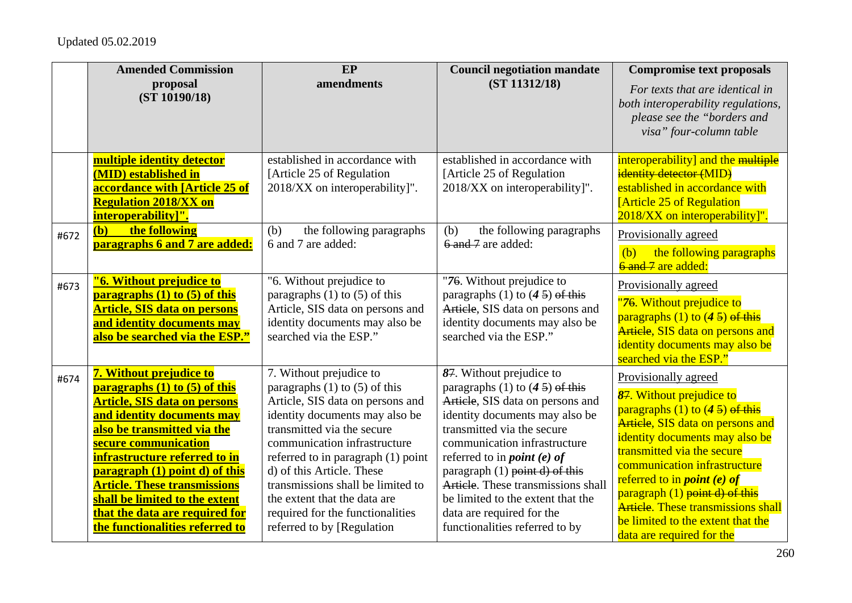|      | <b>Amended Commission</b>                                                                                                                                                                                                                                                                                                                                                                             | EP                                                                                                                                                                                                                                                                                                                                                                                                          | <b>Council negotiation mandate</b>                                                                                                                                                                                                                                                                                                                                                                                                      | <b>Compromise text proposals</b>                                                                                                                                                                                                                                                                                                                                                                                           |
|------|-------------------------------------------------------------------------------------------------------------------------------------------------------------------------------------------------------------------------------------------------------------------------------------------------------------------------------------------------------------------------------------------------------|-------------------------------------------------------------------------------------------------------------------------------------------------------------------------------------------------------------------------------------------------------------------------------------------------------------------------------------------------------------------------------------------------------------|-----------------------------------------------------------------------------------------------------------------------------------------------------------------------------------------------------------------------------------------------------------------------------------------------------------------------------------------------------------------------------------------------------------------------------------------|----------------------------------------------------------------------------------------------------------------------------------------------------------------------------------------------------------------------------------------------------------------------------------------------------------------------------------------------------------------------------------------------------------------------------|
|      | proposal<br>(ST 10190/18)                                                                                                                                                                                                                                                                                                                                                                             | amendments                                                                                                                                                                                                                                                                                                                                                                                                  | (ST 11312/18)                                                                                                                                                                                                                                                                                                                                                                                                                           | For texts that are identical in<br>both interoperability regulations,<br>please see the "borders and<br>visa" four-column table                                                                                                                                                                                                                                                                                            |
| #672 | multiple identity detector<br>(MID) established in<br><b>accordance with [Article 25 of</b><br><b>Regulation 2018/XX on</b><br>interoperability]".<br>(b)<br>the following<br>paragraphs 6 and 7 are added:                                                                                                                                                                                           | established in accordance with<br>[Article 25 of Regulation]<br>2018/XX on interoperability]".<br>the following paragraphs<br>(b)<br>6 and 7 are added:                                                                                                                                                                                                                                                     | established in accordance with<br>[Article 25 of Regulation]<br>2018/XX on interoperability]".<br>the following paragraphs<br>(b)<br>6 and 7 are added:                                                                                                                                                                                                                                                                                 | interoperability] and the multiple<br>identity detector (MID)<br>established in accordance with<br><b>[Article 25 of Regulation</b><br>2018/XX on interoperability]".<br>Provisionally agreed<br>the following paragraphs<br>(b)                                                                                                                                                                                           |
| #673 | "6. Without prejudice to<br>paragraphs $(1)$ to $(5)$ of this<br><b>Article, SIS data on persons</b><br>and identity documents may<br>also be searched via the ESP."                                                                                                                                                                                                                                  | "6. Without prejudice to<br>paragraphs $(1)$ to $(5)$ of this<br>Article, SIS data on persons and<br>identity documents may also be<br>searched via the ESP."                                                                                                                                                                                                                                               | "76. Without prejudice to<br>paragraphs (1) to $(4\frac{5}{2})$ of this<br>Article, SIS data on persons and<br>identity documents may also be<br>searched via the ESP."                                                                                                                                                                                                                                                                 | 6 and 7 are added:<br>Provisionally agreed<br>"76. Without prejudice to<br>paragraphs $(1)$ to $(45)$ of this<br>Article, SIS data on persons and<br>identity documents may also be<br>searched via the ESP."                                                                                                                                                                                                              |
| #674 | 7. Without prejudice to<br>paragraphs (1) to (5) of this<br><b>Article, SIS data on persons</b><br>and identity documents may<br>also be transmitted via the<br>secure communication<br>infrastructure referred to in<br>paragraph (1) point d) of this<br><b>Article. These transmissions</b><br>shall be limited to the extent<br>that the data are required for<br>the functionalities referred to | 7. Without prejudice to<br>paragraphs $(1)$ to $(5)$ of this<br>Article, SIS data on persons and<br>identity documents may also be<br>transmitted via the secure<br>communication infrastructure<br>referred to in paragraph (1) point<br>d) of this Article. These<br>transmissions shall be limited to<br>the extent that the data are<br>required for the functionalities<br>referred to by [Regulation] | 87. Without prejudice to<br>paragraphs (1) to $(4\frac{5}{2})$ of this<br>Article, SIS data on persons and<br>identity documents may also be<br>transmitted via the secure<br>communication infrastructure<br>referred to in <i>point</i> ( <i>e</i> ) of<br>paragraph $(1)$ point d) of this<br>Article. These transmissions shall<br>be limited to the extent that the<br>data are required for the<br>functionalities referred to by | Provisionally agreed<br>87. Without prejudice to<br>paragraphs $(1)$ to $(45)$ of this<br>Article, SIS data on persons and<br>identity documents may also be<br>transmitted via the secure<br>communication infrastructure<br>referred to in <i>point</i> ( <i>e</i> ) of<br>paragraph (1) point d) of this<br><b>Article.</b> These transmissions shall<br>be limited to the extent that the<br>data are required for the |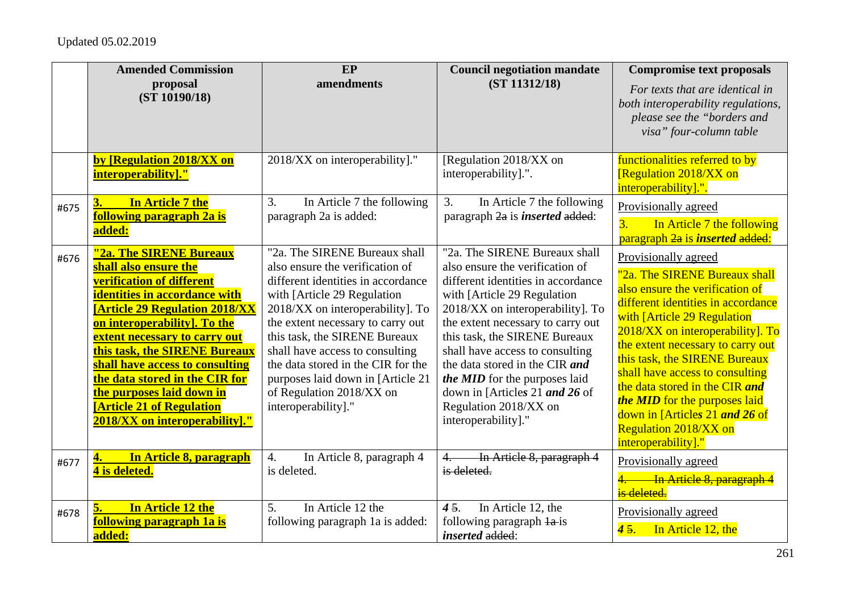|      | <b>Amended Commission</b><br>proposal<br>(ST 10190/18)                                                                                                                                                                                                                                                                                                                                                                                          | EP<br>amendments                                                                                                                                                                                                                                                                                                                                                                                                 | <b>Council negotiation mandate</b><br>(ST 11312/18)                                                                                                                                                                                                                                                                                                                                                                                      | <b>Compromise text proposals</b><br>For texts that are identical in<br>both interoperability regulations,<br>please see the "borders and<br>visa" four-column table                                                                                                                                                                                                                                                                                                     |
|------|-------------------------------------------------------------------------------------------------------------------------------------------------------------------------------------------------------------------------------------------------------------------------------------------------------------------------------------------------------------------------------------------------------------------------------------------------|------------------------------------------------------------------------------------------------------------------------------------------------------------------------------------------------------------------------------------------------------------------------------------------------------------------------------------------------------------------------------------------------------------------|------------------------------------------------------------------------------------------------------------------------------------------------------------------------------------------------------------------------------------------------------------------------------------------------------------------------------------------------------------------------------------------------------------------------------------------|-------------------------------------------------------------------------------------------------------------------------------------------------------------------------------------------------------------------------------------------------------------------------------------------------------------------------------------------------------------------------------------------------------------------------------------------------------------------------|
|      | by [Regulation 2018/XX on<br>interoperability]."                                                                                                                                                                                                                                                                                                                                                                                                | 2018/XX on interoperability]."                                                                                                                                                                                                                                                                                                                                                                                   | [Regulation 2018/XX on<br>interoperability].".                                                                                                                                                                                                                                                                                                                                                                                           | functionalities referred to by<br>[Regulation 2018/XX on<br>interoperability].".                                                                                                                                                                                                                                                                                                                                                                                        |
| #675 | In Article 7 the<br>3.<br>following paragraph 2a is<br>added:                                                                                                                                                                                                                                                                                                                                                                                   | In Article 7 the following<br>3.<br>paragraph 2a is added:                                                                                                                                                                                                                                                                                                                                                       | 3.<br>In Article 7 the following<br>paragraph 2a is <i>inserted</i> added:                                                                                                                                                                                                                                                                                                                                                               | Provisionally agreed<br>In Article 7 the following<br>3 <sub>1</sub><br>paragraph 2a is <i>inserted</i> added:                                                                                                                                                                                                                                                                                                                                                          |
| #676 | "2a. The SIRENE Bureaux<br>shall also ensure the<br><b>verification of different</b><br>identities in accordance with<br><b>[Article 29 Regulation 2018/XX</b><br>on interoperability]. To the<br><b>extent necessary to carry out</b><br>this task, the SIRENE Bureaux<br>shall have access to consulting<br>the data stored in the CIR for<br>the purposes laid down in<br><b>[Article 21 of Regulation</b><br>2018/XX on interoperability]." | "2a. The SIRENE Bureaux shall<br>also ensure the verification of<br>different identities in accordance<br>with [Article 29 Regulation<br>2018/XX on interoperability]. To<br>the extent necessary to carry out<br>this task, the SIRENE Bureaux<br>shall have access to consulting<br>the data stored in the CIR for the<br>purposes laid down in [Article 21<br>of Regulation 2018/XX on<br>interoperability]." | "2a. The SIRENE Bureaux shall<br>also ensure the verification of<br>different identities in accordance<br>with [Article 29 Regulation]<br>2018/XX on interoperability]. To<br>the extent necessary to carry out<br>this task, the SIRENE Bureaux<br>shall have access to consulting<br>the data stored in the CIR and<br>the MID for the purposes laid<br>down in [Articles 21 and 26 of<br>Regulation 2018/XX on<br>interoperability]." | Provisionally agreed<br>"2a. The SIRENE Bureaux shall<br>also ensure the verification of<br>different identities in accordance<br>with [Article 29 Regulation]<br>2018/XX on interoperability]. To<br>the extent necessary to carry out<br>this task, the SIRENE Bureaux<br>shall have access to consulting<br>the data stored in the CIR and<br>the MID for the purposes laid<br>down in [Articles 21 and 26 of<br><b>Regulation 2018/XX on</b><br>interoperability]." |
| #677 | In Article 8, paragraph<br>4.<br>4 is deleted.                                                                                                                                                                                                                                                                                                                                                                                                  | 4.<br>In Article 8, paragraph 4<br>is deleted.                                                                                                                                                                                                                                                                                                                                                                   | In Article 8, paragraph 4<br>is deleted.                                                                                                                                                                                                                                                                                                                                                                                                 | Provisionally agreed<br>4. In Article 8, paragraph<br>is deleted.                                                                                                                                                                                                                                                                                                                                                                                                       |
| #678 | In Article 12 the<br>5.<br>following paragraph 1a is<br>added:                                                                                                                                                                                                                                                                                                                                                                                  | In Article 12 the<br>5.<br>following paragraph 1a is added:                                                                                                                                                                                                                                                                                                                                                      | In Article 12, the<br>45.<br>following paragraph la-is<br><i>inserted</i> added:                                                                                                                                                                                                                                                                                                                                                         | Provisionally agreed<br>In Article 12, the<br>45.                                                                                                                                                                                                                                                                                                                                                                                                                       |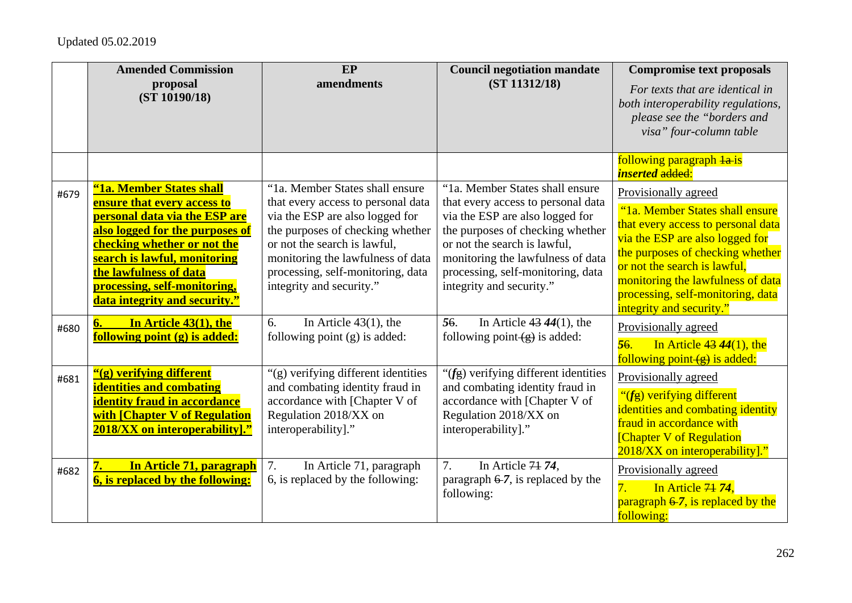## Updated 05.02.2019

|      | <b>Amended Commission</b><br>proposal<br>(ST 10190/18)                                                                                                                                                                                                                                | EP<br>amendments                                                                                                                                                                                                                                                                   | <b>Council negotiation mandate</b><br>(ST 11312/18)                                                                                                                                                                                                                                | <b>Compromise text proposals</b><br>For texts that are identical in<br>both interoperability regulations,<br>please see the "borders and<br>visa" four-column table                                                                                                                                        |
|------|---------------------------------------------------------------------------------------------------------------------------------------------------------------------------------------------------------------------------------------------------------------------------------------|------------------------------------------------------------------------------------------------------------------------------------------------------------------------------------------------------------------------------------------------------------------------------------|------------------------------------------------------------------------------------------------------------------------------------------------------------------------------------------------------------------------------------------------------------------------------------|------------------------------------------------------------------------------------------------------------------------------------------------------------------------------------------------------------------------------------------------------------------------------------------------------------|
|      |                                                                                                                                                                                                                                                                                       |                                                                                                                                                                                                                                                                                    |                                                                                                                                                                                                                                                                                    | following paragraph la-is<br><b>inserted</b> added:                                                                                                                                                                                                                                                        |
| #679 | "1a. Member States shall<br>ensure that every access to<br>personal data via the ESP are<br>also logged for the purposes of<br>checking whether or not the<br>search is lawful, monitoring<br>the lawfulness of data<br>processing, self-monitoring,<br>data integrity and security." | "1a. Member States shall ensure<br>that every access to personal data<br>via the ESP are also logged for<br>the purposes of checking whether<br>or not the search is lawful,<br>monitoring the lawfulness of data<br>processing, self-monitoring, data<br>integrity and security." | "1a. Member States shall ensure<br>that every access to personal data<br>via the ESP are also logged for<br>the purposes of checking whether<br>or not the search is lawful,<br>monitoring the lawfulness of data<br>processing, self-monitoring, data<br>integrity and security." | Provisionally agreed<br>"1a. Member States shall ensure<br>that every access to personal data<br>via the ESP are also logged for<br>the purposes of checking whether<br>or not the search is lawful,<br>monitoring the lawfulness of data<br>processing, self-monitoring, data<br>integrity and security." |
| #680 | In Article 43(1), the<br>6.<br>following point (g) is added:                                                                                                                                                                                                                          | 6.<br>In Article $43(1)$ , the<br>following point $(g)$ is added:                                                                                                                                                                                                                  | 56.<br>In Article $43\,44(1)$ , the<br>following point $(g)$ is added:                                                                                                                                                                                                             | Provisionally agreed<br>56.<br>In Article $43\,44(1)$ , the<br>following point $\left(\frac{1}{2}\right)$ is added:                                                                                                                                                                                        |
| #681 | "(g) verifying different<br><b>identities and combating</b><br><b>identity fraud in accordance</b><br>with [Chapter V of Regulation<br>2018/XX on interoperability].'                                                                                                                 | "(g) verifying different identities<br>and combating identity fraud in<br>accordance with [Chapter V of<br>Regulation 2018/XX on<br>interoperability]."                                                                                                                            | " $(f_{\overline{g}})$ verifying different identities"<br>and combating identity fraud in<br>accordance with [Chapter V of<br>Regulation 2018/XX on<br>interoperability]."                                                                                                         | Provisionally agreed<br>"(fg) verifying different<br>identities and combating identity<br>fraud in accordance with<br>[Chapter V of Regulation]<br>2018/XX on interoperability]."                                                                                                                          |
| #682 | In Article 71, paragraph<br><b>6, is replaced by the following:</b>                                                                                                                                                                                                                   | 7.<br>In Article 71, paragraph<br>6, is replaced by the following:                                                                                                                                                                                                                 | 7.<br>In Article 74 74,<br>paragraph $6-7$ , is replaced by the<br>following:                                                                                                                                                                                                      | Provisionally agreed<br>In Article 74 74,<br>7.<br>paragraph $6-7$ , is replaced by the<br>following:                                                                                                                                                                                                      |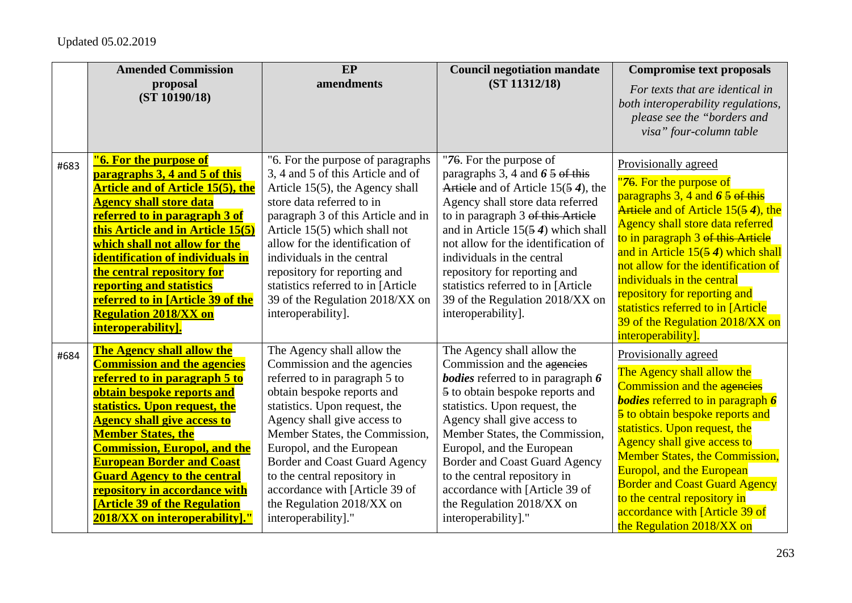|      | <b>Amended Commission</b>                                                                                                                                                                                                                                                                                                                                                                                                                    | EP                                                                                                                                                                                                                                                                                                                                                                                                             | <b>Council negotiation mandate</b>                                                                                                                                                                                                                                                                                                                                                                                                  | <b>Compromise text proposals</b>                                                                                                                                                                                                                                                                                                                                                                                                                |
|------|----------------------------------------------------------------------------------------------------------------------------------------------------------------------------------------------------------------------------------------------------------------------------------------------------------------------------------------------------------------------------------------------------------------------------------------------|----------------------------------------------------------------------------------------------------------------------------------------------------------------------------------------------------------------------------------------------------------------------------------------------------------------------------------------------------------------------------------------------------------------|-------------------------------------------------------------------------------------------------------------------------------------------------------------------------------------------------------------------------------------------------------------------------------------------------------------------------------------------------------------------------------------------------------------------------------------|-------------------------------------------------------------------------------------------------------------------------------------------------------------------------------------------------------------------------------------------------------------------------------------------------------------------------------------------------------------------------------------------------------------------------------------------------|
|      | proposal                                                                                                                                                                                                                                                                                                                                                                                                                                     | amendments                                                                                                                                                                                                                                                                                                                                                                                                     | (ST 11312/18)                                                                                                                                                                                                                                                                                                                                                                                                                       | For texts that are identical in                                                                                                                                                                                                                                                                                                                                                                                                                 |
|      | (ST 10190/18)                                                                                                                                                                                                                                                                                                                                                                                                                                |                                                                                                                                                                                                                                                                                                                                                                                                                |                                                                                                                                                                                                                                                                                                                                                                                                                                     | both interoperability regulations,<br>please see the "borders and<br>visa" four-column table                                                                                                                                                                                                                                                                                                                                                    |
| #683 | "6. For the purpose of<br>paragraphs 3, 4 and 5 of this<br><b>Article and of Article 15(5), the</b><br><b>Agency shall store data</b><br>referred to in paragraph 3 of<br>this Article and in Article 15(5)<br>which shall not allow for the<br><b>identification of individuals in</b><br>the central repository for<br>reporting and statistics<br>referred to in [Article 39 of the<br><b>Regulation 2018/XX on</b><br>interoperability]. | "6. For the purpose of paragraphs"<br>3, 4 and 5 of this Article and of<br>Article 15(5), the Agency shall<br>store data referred to in<br>paragraph 3 of this Article and in<br>Article 15(5) which shall not<br>allow for the identification of<br>individuals in the central<br>repository for reporting and<br>statistics referred to in [Article<br>39 of the Regulation 2018/XX on<br>interoperability]. | "76. For the purpose of<br>paragraphs 3, 4 and $6\frac{5}{9}$ of this<br>Article and of Article $15(54)$ , the<br>Agency shall store data referred<br>to in paragraph 3 of this Article<br>and in Article $15(54)$ which shall<br>not allow for the identification of<br>individuals in the central<br>repository for reporting and<br>statistics referred to in [Article]<br>39 of the Regulation 2018/XX on<br>interoperability]. | Provisionally agreed<br>"76. For the purpose of<br>paragraphs $3, 4$ and $65$ of this<br>Article and of Article 15(54), the<br>Agency shall store data referred<br>to in paragraph 3 of this Article<br>and in Article $15(54)$ which shall<br>not allow for the identification of<br>individuals in the central<br>repository for reporting and<br>statistics referred to in [Article<br>39 of the Regulation 2018/XX on<br>interoperability]. |
| #684 | <b>The Agency shall allow the</b>                                                                                                                                                                                                                                                                                                                                                                                                            | The Agency shall allow the                                                                                                                                                                                                                                                                                                                                                                                     | The Agency shall allow the                                                                                                                                                                                                                                                                                                                                                                                                          | Provisionally agreed                                                                                                                                                                                                                                                                                                                                                                                                                            |
|      | <b>Commission and the agencies</b>                                                                                                                                                                                                                                                                                                                                                                                                           | Commission and the agencies                                                                                                                                                                                                                                                                                                                                                                                    | Commission and the agencies                                                                                                                                                                                                                                                                                                                                                                                                         | The Agency shall allow the                                                                                                                                                                                                                                                                                                                                                                                                                      |
|      | referred to in paragraph 5 to                                                                                                                                                                                                                                                                                                                                                                                                                | referred to in paragraph 5 to                                                                                                                                                                                                                                                                                                                                                                                  | <b>bodies</b> referred to in paragraph 6                                                                                                                                                                                                                                                                                                                                                                                            | Commission and the agencies                                                                                                                                                                                                                                                                                                                                                                                                                     |
|      | obtain bespoke reports and                                                                                                                                                                                                                                                                                                                                                                                                                   | obtain bespoke reports and                                                                                                                                                                                                                                                                                                                                                                                     | 5 to obtain bespoke reports and                                                                                                                                                                                                                                                                                                                                                                                                     | <b>bodies</b> referred to in paragraph 6                                                                                                                                                                                                                                                                                                                                                                                                        |
|      | statistics. Upon request, the                                                                                                                                                                                                                                                                                                                                                                                                                | statistics. Upon request, the                                                                                                                                                                                                                                                                                                                                                                                  | statistics. Upon request, the                                                                                                                                                                                                                                                                                                                                                                                                       | 5 to obtain bespoke reports and                                                                                                                                                                                                                                                                                                                                                                                                                 |
|      | <b>Agency shall give access to</b>                                                                                                                                                                                                                                                                                                                                                                                                           | Agency shall give access to                                                                                                                                                                                                                                                                                                                                                                                    | Agency shall give access to                                                                                                                                                                                                                                                                                                                                                                                                         | statistics. Upon request, the                                                                                                                                                                                                                                                                                                                                                                                                                   |
|      | <b>Member States, the</b>                                                                                                                                                                                                                                                                                                                                                                                                                    | Member States, the Commission,                                                                                                                                                                                                                                                                                                                                                                                 | Member States, the Commission,                                                                                                                                                                                                                                                                                                                                                                                                      | Agency shall give access to                                                                                                                                                                                                                                                                                                                                                                                                                     |
|      | <b>Commission, Europol, and the</b>                                                                                                                                                                                                                                                                                                                                                                                                          | Europol, and the European                                                                                                                                                                                                                                                                                                                                                                                      | Europol, and the European                                                                                                                                                                                                                                                                                                                                                                                                           | <b>Member States, the Commission,</b>                                                                                                                                                                                                                                                                                                                                                                                                           |
|      | <b>European Border and Coast</b>                                                                                                                                                                                                                                                                                                                                                                                                             | <b>Border and Coast Guard Agency</b>                                                                                                                                                                                                                                                                                                                                                                           | <b>Border and Coast Guard Agency</b>                                                                                                                                                                                                                                                                                                                                                                                                | <b>Europol, and the European</b>                                                                                                                                                                                                                                                                                                                                                                                                                |
|      | <b>Guard Agency to the central</b>                                                                                                                                                                                                                                                                                                                                                                                                           | to the central repository in                                                                                                                                                                                                                                                                                                                                                                                   | to the central repository in                                                                                                                                                                                                                                                                                                                                                                                                        | <b>Border and Coast Guard Agency</b>                                                                                                                                                                                                                                                                                                                                                                                                            |
|      | repository in accordance with                                                                                                                                                                                                                                                                                                                                                                                                                | accordance with [Article 39 of                                                                                                                                                                                                                                                                                                                                                                                 | accordance with [Article 39 of                                                                                                                                                                                                                                                                                                                                                                                                      | to the central repository in                                                                                                                                                                                                                                                                                                                                                                                                                    |
|      | <b>[Article 39 of the Regulation</b>                                                                                                                                                                                                                                                                                                                                                                                                         | the Regulation 2018/XX on                                                                                                                                                                                                                                                                                                                                                                                      | the Regulation 2018/XX on                                                                                                                                                                                                                                                                                                                                                                                                           | accordance with [Article 39 of                                                                                                                                                                                                                                                                                                                                                                                                                  |
|      | 2018/XX on interoperability]."                                                                                                                                                                                                                                                                                                                                                                                                               | interoperability]."                                                                                                                                                                                                                                                                                                                                                                                            | interoperability]."                                                                                                                                                                                                                                                                                                                                                                                                                 | the Regulation 2018/XX on                                                                                                                                                                                                                                                                                                                                                                                                                       |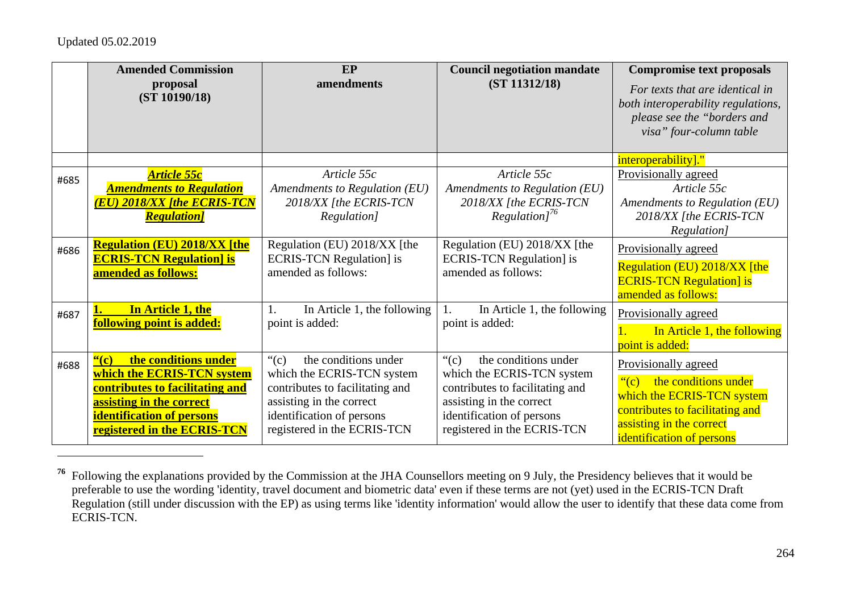## Updated 05.02.2019

|      | <b>Amended Commission</b><br>proposal<br>(ST 10190/18)                                                                                                                                                   | EP<br>amendments                                                                                                                                                                                           | <b>Council negotiation mandate</b><br>(ST 11312/18)                                                                                                                                                        | <b>Compromise text proposals</b><br>For texts that are identical in<br>both interoperability regulations,<br>please see the "borders and<br>visa" four-column table                     |
|------|----------------------------------------------------------------------------------------------------------------------------------------------------------------------------------------------------------|------------------------------------------------------------------------------------------------------------------------------------------------------------------------------------------------------------|------------------------------------------------------------------------------------------------------------------------------------------------------------------------------------------------------------|-----------------------------------------------------------------------------------------------------------------------------------------------------------------------------------------|
|      |                                                                                                                                                                                                          |                                                                                                                                                                                                            |                                                                                                                                                                                                            | interoperability]."                                                                                                                                                                     |
| #685 | Article 55c<br><b>Amendments to Regulation</b><br><u>(EU) 2018/XX [the ECRIS-TCN</u><br><b>Regulation</b>                                                                                                | Article 55c<br>Amendments to Regulation (EU)<br>2018/XX [the ECRIS-TCN<br>Regulation]                                                                                                                      | Article 55c<br>Amendments to Regulation (EU)<br>2018/XX [the ECRIS-TCN<br>$Regularion$ <sup>76</sup>                                                                                                       | Provisionally agreed<br>Article 55c<br>Amendments to Regulation (EU)<br>2018/XX [the ECRIS-TCN<br>Regulation]                                                                           |
| #686 | <b>Regulation (EU) 2018/XX [the</b><br><b>ECRIS-TCN Regulation] is</b><br>amended as follows:                                                                                                            | Regulation (EU) 2018/XX [the<br><b>ECRIS-TCN Regulation]</b> is<br>amended as follows:                                                                                                                     | Regulation (EU) 2018/XX [the<br><b>ECRIS-TCN Regulation]</b> is<br>amended as follows:                                                                                                                     | Provisionally agreed<br>Regulation (EU) 2018/XX [the<br><b>ECRIS-TCN Regulation] is</b><br>amended as follows:                                                                          |
| #687 | In Article 1, the<br>following point is added:                                                                                                                                                           | In Article 1, the following<br>1.<br>point is added:                                                                                                                                                       | In Article 1, the following<br>1.<br>point is added:                                                                                                                                                       | Provisionally agreed<br>In Article 1, the following<br>point is added:                                                                                                                  |
| #688 | the conditions under<br>$\frac{c(c)}{c}$<br>which the ECRIS-TCN system<br>contributes to facilitating and<br>assisting in the correct<br><b>identification of persons</b><br>registered in the ECRIS-TCN | the conditions under<br>$\lq\lq$ <sup>"</sup> (c)<br>which the ECRIS-TCN system<br>contributes to facilitating and<br>assisting in the correct<br>identification of persons<br>registered in the ECRIS-TCN | $\lq\lq$ <sup>"</sup> (c)<br>the conditions under<br>which the ECRIS-TCN system<br>contributes to facilitating and<br>assisting in the correct<br>identification of persons<br>registered in the ECRIS-TCN | Provisionally agreed<br>the conditions under<br>$\degree$ (c)<br>which the ECRIS-TCN system<br>contributes to facilitating and<br>assisting in the correct<br>identification of persons |

**<sup>76</sup>** Following the explanations provided by the Commission at the JHA Counsellors meeting on 9 July, the Presidency believes that it would be preferable to use the wording 'identity, travel document and biometric data' even if these terms are not (yet) used in the ECRIS-TCN Draft Regulation (still under discussion with the EP) as using terms like 'identity information' would allow the user to identify that these data come from ECRIS-TCN.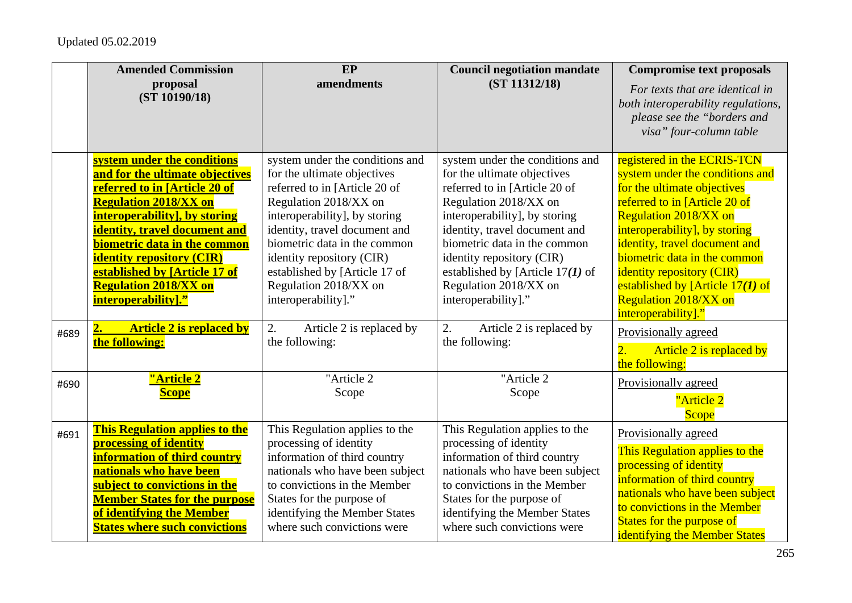|      | <b>Amended Commission</b><br>proposal<br>(ST 10190/18)                                                                                                                                                                                                                                                                                                               | EP<br>amendments                                                                                                                                                                                                                                                                                                                         | <b>Council negotiation mandate</b><br>(ST 11312/18)                                                                                                                                                                                                                                                                                           | <b>Compromise text proposals</b><br>For texts that are identical in<br>both interoperability regulations,<br>please see the "borders and<br>visa" four-column table                                                                                                                                                                                                                               |
|------|----------------------------------------------------------------------------------------------------------------------------------------------------------------------------------------------------------------------------------------------------------------------------------------------------------------------------------------------------------------------|------------------------------------------------------------------------------------------------------------------------------------------------------------------------------------------------------------------------------------------------------------------------------------------------------------------------------------------|-----------------------------------------------------------------------------------------------------------------------------------------------------------------------------------------------------------------------------------------------------------------------------------------------------------------------------------------------|---------------------------------------------------------------------------------------------------------------------------------------------------------------------------------------------------------------------------------------------------------------------------------------------------------------------------------------------------------------------------------------------------|
|      | system under the conditions<br>and for the ultimate objectives<br>referred to in [Article 20 of<br><b>Regulation 2018/XX on</b><br>interoperability], by storing<br>identity, travel document and<br>biometric data in the common<br><b>identity repository (CIR)</b><br>established by [Article 17 of<br><b>Regulation 2018/XX on</b><br><b>interoperability]."</b> | system under the conditions and<br>for the ultimate objectives<br>referred to in [Article 20 of<br>Regulation 2018/XX on<br>interoperability], by storing<br>identity, travel document and<br>biometric data in the common<br>identity repository (CIR)<br>established by [Article 17 of<br>Regulation 2018/XX on<br>interoperability]." | system under the conditions and<br>for the ultimate objectives<br>referred to in [Article 20 of<br>Regulation 2018/XX on<br>interoperability], by storing<br>identity, travel document and<br>biometric data in the common<br>identity repository (CIR)<br>established by [Article $17(1)$ of<br>Regulation 2018/XX on<br>interoperability]." | registered in the ECRIS-TCN<br>system under the conditions and<br>for the ultimate objectives<br>referred to in [Article 20 of<br><b>Regulation 2018/XX on</b><br>interoperability], by storing<br>identity, travel document and<br>biometric data in the common<br><i>identity repository (CIR)</i><br>established by [Article $17(1)$ of<br><b>Regulation 2018/XX on</b><br>interoperability]." |
| #689 | <b>Article 2 is replaced by</b><br>2.<br>the following:                                                                                                                                                                                                                                                                                                              | 2.<br>Article 2 is replaced by<br>the following:                                                                                                                                                                                                                                                                                         | 2.<br>Article 2 is replaced by<br>the following:                                                                                                                                                                                                                                                                                              | Provisionally agreed<br>Article 2 is replaced by<br>$\overline{2}$ .<br>the following:                                                                                                                                                                                                                                                                                                            |
| #690 | "Article 2<br><b>Scope</b>                                                                                                                                                                                                                                                                                                                                           | "Article 2<br>Scope                                                                                                                                                                                                                                                                                                                      | "Article 2<br>Scope                                                                                                                                                                                                                                                                                                                           | Provisionally agreed<br>"Article 2<br><b>Scope</b>                                                                                                                                                                                                                                                                                                                                                |
| #691 | <b>This Regulation applies to the</b><br>processing of identity<br>information of third country<br>nationals who have been<br>subject to convictions in the<br><b>Member States for the purpose</b><br>of identifying the Member<br><b>States where such convictions</b>                                                                                             | This Regulation applies to the<br>processing of identity<br>information of third country<br>nationals who have been subject<br>to convictions in the Member<br>States for the purpose of<br>identifying the Member States<br>where such convictions were                                                                                 | This Regulation applies to the<br>processing of identity<br>information of third country<br>nationals who have been subject<br>to convictions in the Member<br>States for the purpose of<br>identifying the Member States<br>where such convictions were                                                                                      | Provisionally agreed<br>This Regulation applies to the<br>processing of identity<br>information of third country<br>nationals who have been subject<br>to convictions in the Member<br><b>States for the purpose of</b><br>identifying the Member States                                                                                                                                          |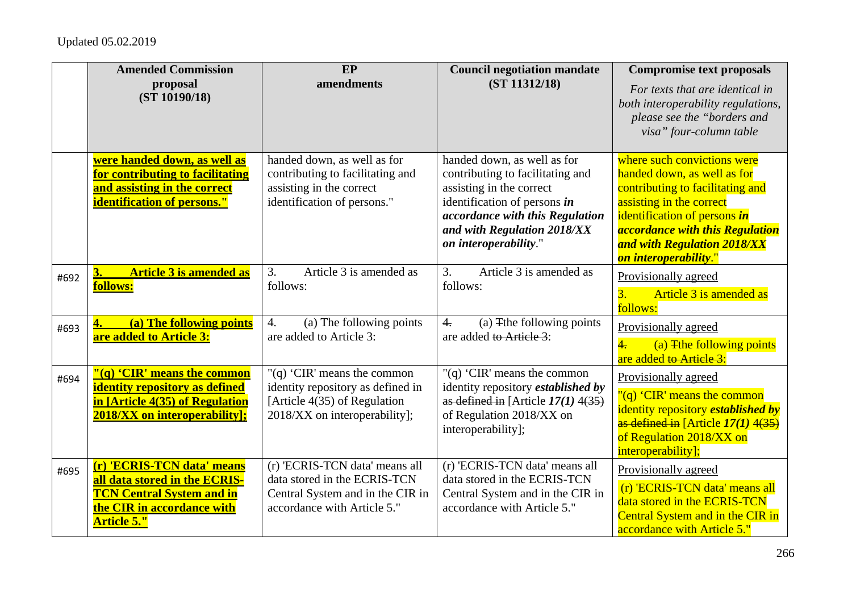|      | <b>Amended Commission</b><br>proposal<br>(ST 10190/18)                                                                                              | EP<br>amendments                                                                                                                  | <b>Council negotiation mandate</b><br>(ST 11312/18)                                                                                                                                                                    | <b>Compromise text proposals</b><br>For texts that are identical in<br>both interoperability regulations,<br>please see the "borders and<br>visa" four-column table                                                                                                 |
|------|-----------------------------------------------------------------------------------------------------------------------------------------------------|-----------------------------------------------------------------------------------------------------------------------------------|------------------------------------------------------------------------------------------------------------------------------------------------------------------------------------------------------------------------|---------------------------------------------------------------------------------------------------------------------------------------------------------------------------------------------------------------------------------------------------------------------|
|      | were handed down, as well as<br>for contributing to facilitating<br>and assisting in the correct<br>identification of persons."                     | handed down, as well as for<br>contributing to facilitating and<br>assisting in the correct<br>identification of persons."        | handed down, as well as for<br>contributing to facilitating and<br>assisting in the correct<br>identification of persons in<br>accordance with this Regulation<br>and with Regulation 2018/XX<br>on interoperability." | where such convictions were<br>handed down, as well as for<br>contributing to facilitating and<br>assisting in the correct<br>identification of persons in<br><i><b>accordance with this Regulation</b></i><br>and with Regulation 2018/XX<br>on interoperability." |
| #692 | <b>Article 3 is amended as</b><br>3.<br>follows:                                                                                                    | Article 3 is amended as<br>3.<br>follows:                                                                                         | 3 <sub>1</sub><br>Article 3 is amended as<br>follows:                                                                                                                                                                  | Provisionally agreed<br>3.<br>Article 3 is amended as<br>follows:                                                                                                                                                                                                   |
| #693 | (a) The following points<br>are added to Article 3:                                                                                                 | $\overline{4}$ .<br>(a) The following points<br>are added to Article 3:                                                           | $\overline{4}$ .<br>(a) The following points<br>are added to Article 3:                                                                                                                                                | Provisionally agreed<br>$\frac{4}{5}$<br>(a) The following points<br>are added to Article 3:                                                                                                                                                                        |
| #694 | "(q) 'CIR' means the common<br>identity repository as defined<br>in [Article 4(35) of Regulation<br><b>2018/XX on interoperability];</b>            | "(q) 'CIR' means the common<br>identity repository as defined in<br>[Article 4(35) of Regulation<br>2018/XX on interoperability]; | "(q) 'CIR' means the common<br>identity repository established by<br>as defined in [Article $17(1)$ 4(35)<br>of Regulation 2018/XX on<br>interoperability];                                                            | Provisionally agreed<br>"(q) 'CIR' means the common<br>identity repository established by<br>as defined in [Article 17(1) 4(35)<br>of Regulation 2018/XX on<br>interoperability];                                                                                   |
| #695 | (r) 'ECRIS-TCN data' means<br>all data stored in the ECRIS-<br><b>TCN Central System and in</b><br>the CIR in accordance with<br><b>Article 5."</b> | (r) 'ECRIS-TCN data' means all<br>data stored in the ECRIS-TCN<br>Central System and in the CIR in<br>accordance with Article 5." | (r) 'ECRIS-TCN data' means all<br>data stored in the ECRIS-TCN<br>Central System and in the CIR in<br>accordance with Article 5."                                                                                      | Provisionally agreed<br>(r) 'ECRIS-TCN data' means all<br>data stored in the ECRIS-TCN<br>Central System and in the CIR in<br>accordance with Article 5."                                                                                                           |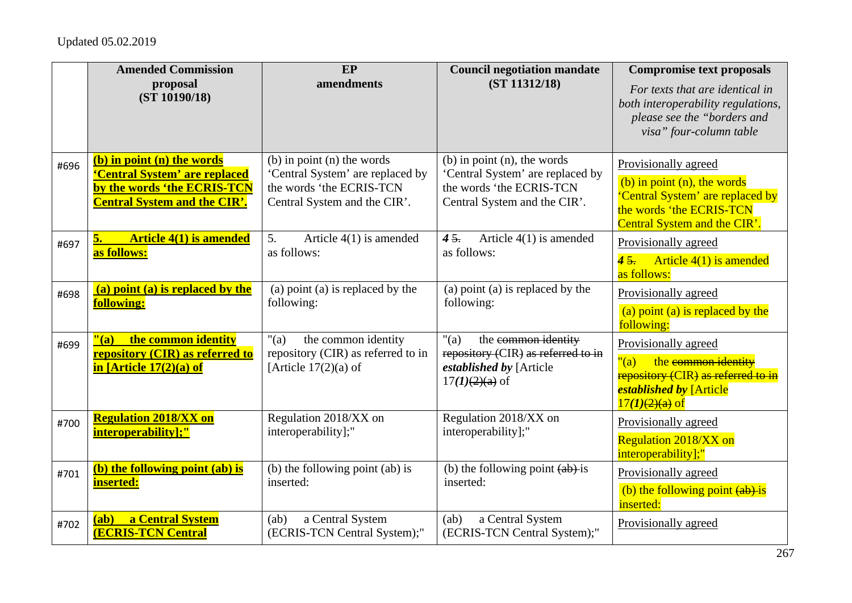|      | <b>Amended Commission</b><br>proposal                                                                                             | EP<br>amendments                                                                                                               | <b>Council negotiation mandate</b><br>(ST 11312/18)                                                                              | <b>Compromise text proposals</b><br>For texts that are identical in                                                                                    |
|------|-----------------------------------------------------------------------------------------------------------------------------------|--------------------------------------------------------------------------------------------------------------------------------|----------------------------------------------------------------------------------------------------------------------------------|--------------------------------------------------------------------------------------------------------------------------------------------------------|
|      | (ST 10190/18)                                                                                                                     |                                                                                                                                |                                                                                                                                  | both interoperability regulations,<br>please see the "borders and<br>visa" four-column table                                                           |
| #696 | (b) in point (n) the words<br>'Central System' are replaced<br>by the words 'the ECRIS-TCN<br><b>Central System and the CIR'.</b> | $(b)$ in point $(n)$ the words<br>'Central System' are replaced by<br>the words 'the ECRIS-TCN<br>Central System and the CIR'. | $(b)$ in point $(n)$ , the words<br>'Central System' are replaced by<br>the words 'the ECRIS-TCN<br>Central System and the CIR'. | Provisionally agreed<br>(b) in point $(n)$ , the words<br>'Central System' are replaced by<br>the words 'the ECRIS-TCN<br>Central System and the CIR'. |
| #697 | <b>Article 4(1) is amended</b><br>5.<br>as follows:                                                                               | Article $4(1)$ is amended<br>5.<br>as follows:                                                                                 | Article $4(1)$ is amended<br>45.<br>as follows:                                                                                  | Provisionally agreed<br>45.<br>Article $4(1)$ is amended<br>as follows:                                                                                |
| #698 | (a) point (a) is replaced by the<br>following:                                                                                    | (a) point (a) is replaced by the<br>following:                                                                                 | (a) point (a) is replaced by the<br>following:                                                                                   | Provisionally agreed<br>(a) point (a) is replaced by the<br>following:                                                                                 |
| #699 | the common identity<br>$"$ (a)<br>repository (CIR) as referred to<br>in [Article 17(2)(a) of                                      | the common identity<br>"(a)<br>repository (CIR) as referred to in<br>[Article $17(2)(a)$ of                                    | " $(a)$<br>the common identity<br>repository (CIR) as referred to in<br>established by [Article<br>$17(1)(2)(a)$ of              | Provisionally agreed<br>the common identity<br>"(a)<br>repository (CIR) as referred to in<br>established by [Article<br>$17(1)(2)(a)$ of               |
| #700 | <b>Regulation 2018/XX on</b><br>interoperability];"                                                                               | Regulation 2018/XX on<br>interoperability];"                                                                                   | Regulation 2018/XX on<br>interoperability];"                                                                                     | Provisionally agreed<br><b>Regulation 2018/XX on</b><br>interoperability];"                                                                            |
| #701 | (b) the following point (ab) is<br>inserted:                                                                                      | (b) the following point (ab) is<br>inserted:                                                                                   | (b) the following point $(a\bar{b})$ -is<br>inserted:                                                                            | Provisionally agreed<br>(b) the following point $(a\bar{b})$ is<br>inserted:                                                                           |
| #702 | a Central System<br>(ab)<br><b>(ECRIS-TCN Central</b>                                                                             | a Central System<br>(ab)<br>(ECRIS-TCN Central System);"                                                                       | a Central System<br>(ab)<br>(ECRIS-TCN Central System);"                                                                         | Provisionally agreed                                                                                                                                   |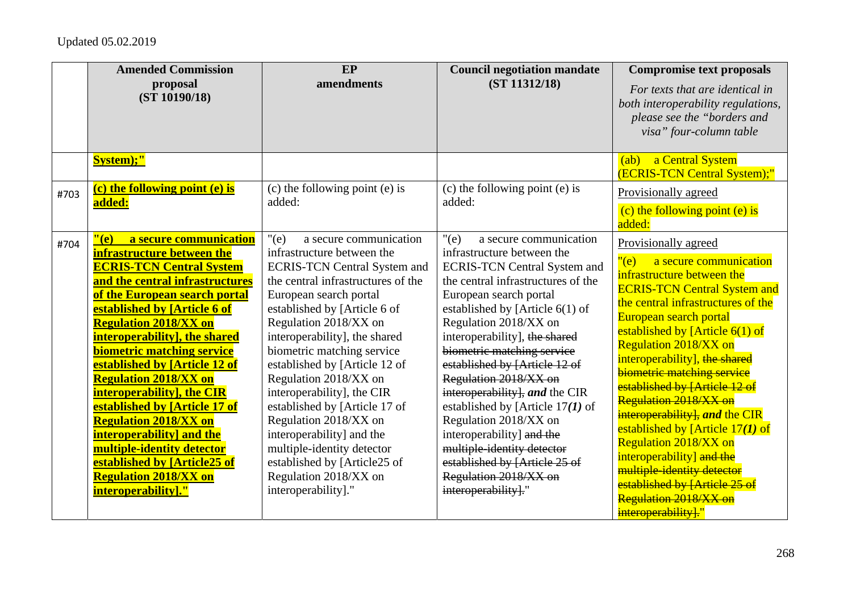|      | <b>Amended Commission</b><br>proposal<br>(ST 10190/18)                                                                                                                                                                                                                                                                                                                                                                                                                                                                                                                                                                                       | EP<br>amendments                                                                                                                                                                                                                                                                                                                                                                                                                                                                                                                                                                            | <b>Council negotiation mandate</b><br>(ST 11312/18)                                                                                                                                                                                                                                                                                                                                                                                                                                                                                                                                                  | <b>Compromise text proposals</b><br>For texts that are identical in<br>both interoperability regulations,<br>please see the "borders and<br>visa" four-column table                                                                                                                                                                                                                                                                                                                                                                                                                                                                           |
|------|----------------------------------------------------------------------------------------------------------------------------------------------------------------------------------------------------------------------------------------------------------------------------------------------------------------------------------------------------------------------------------------------------------------------------------------------------------------------------------------------------------------------------------------------------------------------------------------------------------------------------------------------|---------------------------------------------------------------------------------------------------------------------------------------------------------------------------------------------------------------------------------------------------------------------------------------------------------------------------------------------------------------------------------------------------------------------------------------------------------------------------------------------------------------------------------------------------------------------------------------------|------------------------------------------------------------------------------------------------------------------------------------------------------------------------------------------------------------------------------------------------------------------------------------------------------------------------------------------------------------------------------------------------------------------------------------------------------------------------------------------------------------------------------------------------------------------------------------------------------|-----------------------------------------------------------------------------------------------------------------------------------------------------------------------------------------------------------------------------------------------------------------------------------------------------------------------------------------------------------------------------------------------------------------------------------------------------------------------------------------------------------------------------------------------------------------------------------------------------------------------------------------------|
|      | System);"                                                                                                                                                                                                                                                                                                                                                                                                                                                                                                                                                                                                                                    |                                                                                                                                                                                                                                                                                                                                                                                                                                                                                                                                                                                             |                                                                                                                                                                                                                                                                                                                                                                                                                                                                                                                                                                                                      | a Central System<br>(ab)<br>(ECRIS-TCN Central System);"                                                                                                                                                                                                                                                                                                                                                                                                                                                                                                                                                                                      |
| #703 | (c) the following point (e) is<br>added:                                                                                                                                                                                                                                                                                                                                                                                                                                                                                                                                                                                                     | (c) the following point (e) is<br>added:                                                                                                                                                                                                                                                                                                                                                                                                                                                                                                                                                    | (c) the following point (e) is<br>added:                                                                                                                                                                                                                                                                                                                                                                                                                                                                                                                                                             | Provisionally agreed<br>(c) the following point (e) is<br>added:                                                                                                                                                                                                                                                                                                                                                                                                                                                                                                                                                                              |
| #704 | $"$ (e)<br>a secure communication<br>infrastructure between the<br><b>ECRIS-TCN Central System</b><br>and the central infrastructures<br>of the European search portal<br>established by [Article 6 of<br><b>Regulation 2018/XX on</b><br><b>interoperability</b> , the shared<br><b>biometric matching service</b><br>established by [Article 12 of<br><b>Regulation 2018/XX on</b><br>interoperability], the CIR<br>established by [Article 17 of<br><b>Regulation 2018/XX on</b><br><b>interoperability]</b> and the<br>multiple-identity detector<br>established by [Article25 of<br><b>Regulation 2018/XX on</b><br>interoperability]." | " $(e)$<br>a secure communication<br>infrastructure between the<br><b>ECRIS-TCN Central System and</b><br>the central infrastructures of the<br>European search portal<br>established by [Article 6 of<br>Regulation 2018/XX on<br>interoperability], the shared<br>biometric matching service<br>established by [Article 12 of<br>Regulation 2018/XX on<br>interoperability], the CIR<br>established by [Article 17 of<br>Regulation 2018/XX on<br>interoperability] and the<br>multiple-identity detector<br>established by [Article25 of<br>Regulation 2018/XX on<br>interoperability]." | a secure communication<br>"(e)<br>infrastructure between the<br><b>ECRIS-TCN Central System and</b><br>the central infrastructures of the<br>European search portal<br>established by [Article 6(1) of<br>Regulation 2018/XX on<br>interoperability], the shared<br>biometric matching service<br>established by [Article 12 of<br>Regulation 2018/XX on<br>interoperability, and the CIR<br>established by [Article $17(1)$ of<br>Regulation 2018/XX on<br>interoperability] and the<br>multiple-identity detector<br>established by [Article 25 of<br>Regulation 2018/XX on<br>interoperability]." | Provisionally agreed<br>"(e)<br>a secure communication<br>infrastructure between the<br><b>ECRIS-TCN Central System and</b><br>the central infrastructures of the<br>European search portal<br>established by [Article $6(1)$ of<br><b>Regulation 2018/XX on</b><br>interoperability], the shared<br>biometric matching service<br>established by [Article 12 of<br>Regulation 2018/XX on<br>interoperability], and the CIR<br>established by [Article $17(1)$ of<br><b>Regulation 2018/XX on</b><br>interoperability] and the<br>multiple-identity detector<br>established by [Article 25 of<br>Regulation 2018/XX on<br>interoperability]." |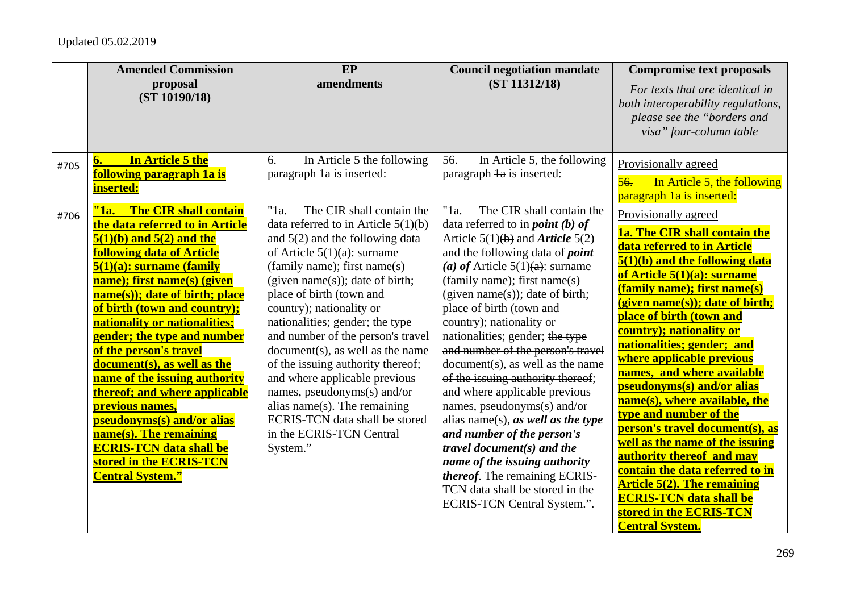|      | <b>Amended Commission</b><br>proposal<br>(ST 10190/18)                                                                                                                                                                                                                                                                                                                                                                                                                                                                                                                                                                                                    | EP<br>amendments                                                                                                                                                                                                                                                                                                                                                                                                                                                                                                                                                                                                         | <b>Council negotiation mandate</b><br>(ST 11312/18)                                                                                                                                                                                                                                                                                                                                                                                                                                                                                                                                                                                                                                                                                                                                                           | <b>Compromise text proposals</b><br>For texts that are identical in<br>both interoperability regulations,<br>please see the "borders and                                                                                                                                                                                                                                                                                                                                                                                                                                                                                                                                                                    |
|------|-----------------------------------------------------------------------------------------------------------------------------------------------------------------------------------------------------------------------------------------------------------------------------------------------------------------------------------------------------------------------------------------------------------------------------------------------------------------------------------------------------------------------------------------------------------------------------------------------------------------------------------------------------------|--------------------------------------------------------------------------------------------------------------------------------------------------------------------------------------------------------------------------------------------------------------------------------------------------------------------------------------------------------------------------------------------------------------------------------------------------------------------------------------------------------------------------------------------------------------------------------------------------------------------------|---------------------------------------------------------------------------------------------------------------------------------------------------------------------------------------------------------------------------------------------------------------------------------------------------------------------------------------------------------------------------------------------------------------------------------------------------------------------------------------------------------------------------------------------------------------------------------------------------------------------------------------------------------------------------------------------------------------------------------------------------------------------------------------------------------------|-------------------------------------------------------------------------------------------------------------------------------------------------------------------------------------------------------------------------------------------------------------------------------------------------------------------------------------------------------------------------------------------------------------------------------------------------------------------------------------------------------------------------------------------------------------------------------------------------------------------------------------------------------------------------------------------------------------|
| #705 | In Article 5 the<br>6.<br><b>following paragraph 1a is</b><br>inserted:                                                                                                                                                                                                                                                                                                                                                                                                                                                                                                                                                                                   | In Article 5 the following<br>6.<br>paragraph 1a is inserted:                                                                                                                                                                                                                                                                                                                                                                                                                                                                                                                                                            | In Article 5, the following<br>56.<br>paragraph 1a is inserted:                                                                                                                                                                                                                                                                                                                                                                                                                                                                                                                                                                                                                                                                                                                                               | visa" four-column table<br>Provisionally agreed<br>In Article 5, the following<br>56.<br>paragraph la is inserted:                                                                                                                                                                                                                                                                                                                                                                                                                                                                                                                                                                                          |
| #706 | "1a.<br>The CIR shall contain<br>the data referred to in Article<br>$5(1)(b)$ and $5(2)$ and the<br><b>following data of Article</b><br>$5(1)(a)$ : surname (family<br>name); first name(s) (given<br>name(s)); date of birth; place<br>of birth (town and country);<br>nationality or nationalities;<br>gender; the type and number<br>of the person's travel<br>document(s), as well as the<br>name of the issuing authority<br>thereof; and where applicable<br><mark>previous names,</mark><br>pseudonyms(s) and/or alias<br>$name(s)$ . The remaining<br><b>ECRIS-TCN data shall be</b><br>stored in the <b>ECRIS-TCN</b><br><b>Central System."</b> | The CIR shall contain the<br>" $1a$ .<br>data referred to in Article $5(1)(b)$<br>and $5(2)$ and the following data<br>of Article $5(1)(a)$ : surname<br>(family name); first name(s)<br>$(given name(s))$ ; date of birth;<br>place of birth (town and<br>country); nationality or<br>nationalities; gender; the type<br>and number of the person's travel<br>$document(s)$ , as well as the name<br>of the issuing authority thereof;<br>and where applicable previous<br>names, pseudonyms(s) and/or<br>alias name(s). The remaining<br><b>ECRIS-TCN</b> data shall be stored<br>in the ECRIS-TCN Central<br>System." | The CIR shall contain the<br>"1a.<br>data referred to in <i>point</i> (b) of<br>Article $5(1)(b)$ and <i>Article</i> $5(2)$<br>and the following data of <i>point</i><br>(a) of Article $5(1)(a)$ : surname<br>(family name); first name(s)<br>$(given name(s))$ ; date of birth;<br>place of birth (town and<br>country); nationality or<br>nationalities; gender; the type<br>and number of the person's travel<br>document(s), as well as the name<br>of the issuing authority thereof;<br>and where applicable previous<br>names, pseudonyms $(s)$ and/or<br>alias name(s), as well as the type<br>and number of the person's<br>travel document $(s)$ and the<br>name of the issuing authority<br><i>thereof.</i> The remaining ECRIS-<br>TCN data shall be stored in the<br>ECRIS-TCN Central System.". | Provisionally agreed<br>1a. The CIR shall contain the<br>data referred to in Article<br>5(1)(b) and the following data<br>of Article 5(1)(a): surname<br>(family name); first name(s)<br>(given name(s)); date of birth;<br>place of birth (town and<br>country); nationality or<br>nationalities; gender; and<br>where applicable previous<br>names, and where available<br>pseudonyms(s) and/or alias<br>name(s), where available, the<br>type and number of the<br>person's travel document(s), as<br>well as the name of the issuing<br>authority thereof and may<br>contain the data referred to in<br><b>Article 5(2). The remaining</b><br><b>ECRIS-TCN data shall be</b><br>stored in the ECRIS-TCN |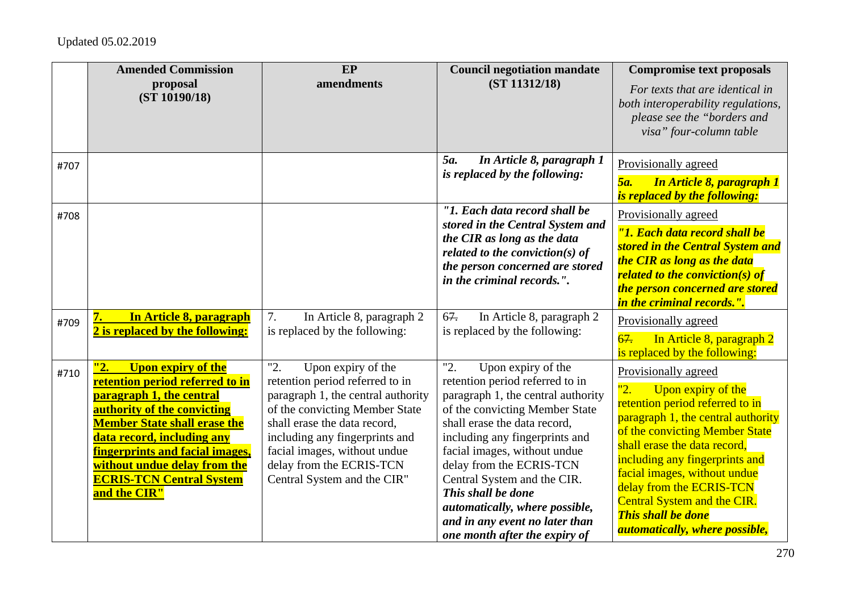|      | <b>Amended Commission</b><br>proposal<br>(ST 10190/18)                                                                                                                                                                                                                                                                    | EP<br>amendments                                                                                                                                                                                                                                                                                  | <b>Council negotiation mandate</b><br>(ST 11312/18)                                                                                                                                                                                                                                                                                                                                                                          | <b>Compromise text proposals</b><br>For texts that are identical in<br>both interoperability regulations,<br>please see the "borders and<br>visa" four-column table                                                                                                                                                                                                                             |
|------|---------------------------------------------------------------------------------------------------------------------------------------------------------------------------------------------------------------------------------------------------------------------------------------------------------------------------|---------------------------------------------------------------------------------------------------------------------------------------------------------------------------------------------------------------------------------------------------------------------------------------------------|------------------------------------------------------------------------------------------------------------------------------------------------------------------------------------------------------------------------------------------------------------------------------------------------------------------------------------------------------------------------------------------------------------------------------|-------------------------------------------------------------------------------------------------------------------------------------------------------------------------------------------------------------------------------------------------------------------------------------------------------------------------------------------------------------------------------------------------|
| #707 |                                                                                                                                                                                                                                                                                                                           |                                                                                                                                                                                                                                                                                                   | 5a.<br>In Article 8, paragraph 1<br>is replaced by the following:                                                                                                                                                                                                                                                                                                                                                            | Provisionally agreed<br>5a.<br><b>In Article 8, paragraph 1</b><br>is replaced by the following:                                                                                                                                                                                                                                                                                                |
| #708 |                                                                                                                                                                                                                                                                                                                           |                                                                                                                                                                                                                                                                                                   | "1. Each data record shall be<br>stored in the Central System and<br>the CIR as long as the data<br>related to the conviction( $s$ ) of<br>the person concerned are stored<br>in the criminal records.".                                                                                                                                                                                                                     | Provisionally agreed<br>"1. Each data record shall be<br>stored in the Central System and<br>the CIR as long as the data<br><b>related to the conviction(s) of</b><br>the person concerned are stored<br><i>in the criminal records.".</i>                                                                                                                                                      |
| #709 | In Article 8, paragraph<br>2 is replaced by the following:                                                                                                                                                                                                                                                                | In Article 8, paragraph 2<br>7.<br>is replaced by the following:                                                                                                                                                                                                                                  | In Article 8, paragraph 2<br>67.<br>is replaced by the following:                                                                                                                                                                                                                                                                                                                                                            | Provisionally agreed<br>67.<br>In Article 8, paragraph 2<br>is replaced by the following:                                                                                                                                                                                                                                                                                                       |
| #710 | <b>Upon expiry of the</b><br>"2.<br>retention period referred to in<br>paragraph 1, the central<br>authority of the convicting<br><b>Member State shall erase the</b><br>data record, including any<br>fingerprints and facial images,<br>without undue delay from the<br><b>ECRIS-TCN Central System</b><br>and the CIR" | "2.<br>Upon expiry of the<br>retention period referred to in<br>paragraph 1, the central authority<br>of the convicting Member State<br>shall erase the data record,<br>including any fingerprints and<br>facial images, without undue<br>delay from the ECRIS-TCN<br>Central System and the CIR" | "2.<br>Upon expiry of the<br>retention period referred to in<br>paragraph 1, the central authority<br>of the convicting Member State<br>shall erase the data record,<br>including any fingerprints and<br>facial images, without undue<br>delay from the ECRIS-TCN<br>Central System and the CIR.<br>This shall be done<br>automatically, where possible,<br>and in any event no later than<br>one month after the expiry of | Provisionally agreed<br>"2.<br>Upon expiry of the<br>retention period referred to in<br>paragraph 1, the central authority<br>of the convicting Member State<br>shall erase the data record,<br>including any fingerprints and<br>facial images, without undue<br>delay from the ECRIS-TCN<br><b>Central System and the CIR.</b><br><b>This shall be done</b><br>automatically, where possible, |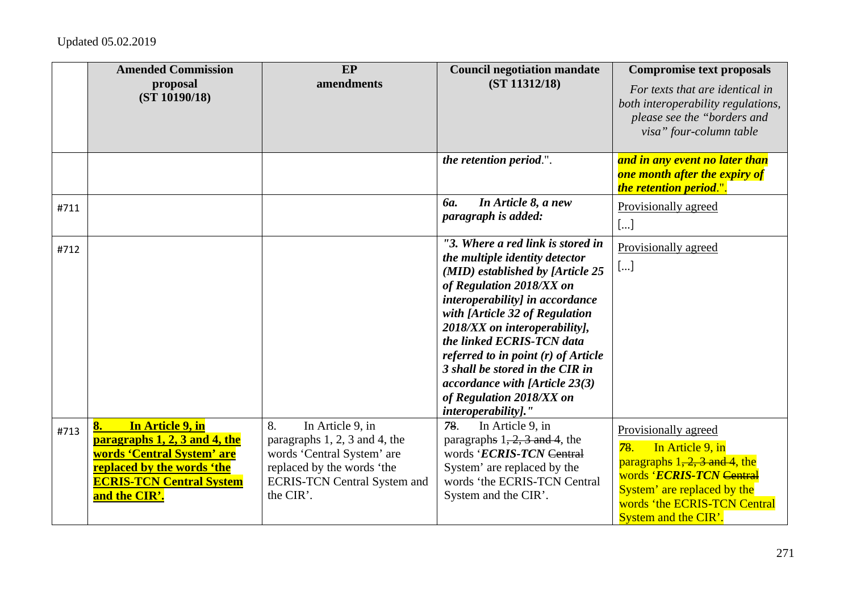|      | <b>Amended Commission</b><br>proposal<br>(ST 10190/18)                                                                                                                  | EP<br>amendments                                                                                                                                                        | <b>Council negotiation mandate</b><br>(ST 11312/18)                                                                                                                                                                                                                                                                                                                                                                                   | <b>Compromise text proposals</b><br>For texts that are identical in<br>both interoperability regulations,<br>please see the "borders and<br>visa" four-column table                                   |
|------|-------------------------------------------------------------------------------------------------------------------------------------------------------------------------|-------------------------------------------------------------------------------------------------------------------------------------------------------------------------|---------------------------------------------------------------------------------------------------------------------------------------------------------------------------------------------------------------------------------------------------------------------------------------------------------------------------------------------------------------------------------------------------------------------------------------|-------------------------------------------------------------------------------------------------------------------------------------------------------------------------------------------------------|
|      |                                                                                                                                                                         |                                                                                                                                                                         | the retention period.".                                                                                                                                                                                                                                                                                                                                                                                                               | and in any event no later than<br><b>one month after the expiry of</b><br>the retention period.".                                                                                                     |
| #711 |                                                                                                                                                                         |                                                                                                                                                                         | In Article 8, a new<br><b>ба.</b><br>paragraph is added:                                                                                                                                                                                                                                                                                                                                                                              | Provisionally agreed<br>[]                                                                                                                                                                            |
| #712 |                                                                                                                                                                         |                                                                                                                                                                         | "3. Where a red link is stored in<br>the multiple identity detector<br>(MID) established by [Article 25<br>of Regulation 2018/XX on<br>interoperability] in accordance<br>with [Article 32 of Regulation<br>2018/XX on interoperability],<br>the linked ECRIS-TCN data<br>referred to in point (r) of Article<br>3 shall be stored in the CIR in<br>accordance with [Article 23(3)<br>of Regulation 2018/XX on<br>interoperability]." | Provisionally agreed<br>[]                                                                                                                                                                            |
| #713 | In Article 9, in<br>8.<br>paragraphs 1, 2, 3 and 4, the<br>words 'Central System' are<br>replaced by the words 'the<br><b>ECRIS-TCN Central System</b><br>and the CIR'. | 8.<br>In Article 9, in<br>paragraphs 1, 2, 3 and 4, the<br>words 'Central System' are<br>replaced by the words 'the<br><b>ECRIS-TCN Central System and</b><br>the CIR'. | In Article 9, in<br>78.<br>paragraphs $1, 2, 3$ and 4, the<br>words 'ECRIS-TCN Central<br>System' are replaced by the<br>words 'the ECRIS-TCN Central<br>System and the CIR'.                                                                                                                                                                                                                                                         | Provisionally agreed<br>In Article 9, in<br>78.<br>paragraphs $1, 2, 3$ and 4, the<br>words 'ECRIS-TCN Central<br>System' are replaced by the<br>words 'the ECRIS-TCN Central<br>System and the CIR'. |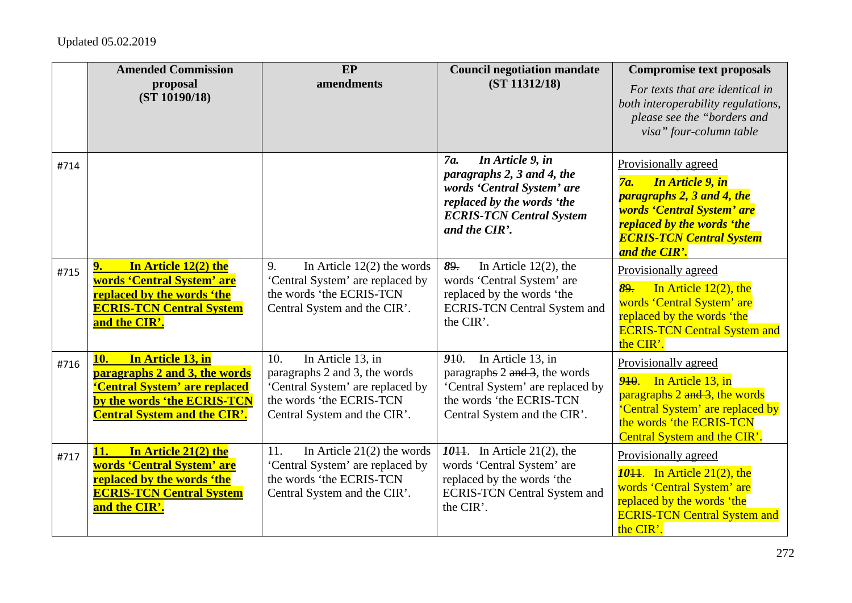|      | <b>Amended Commission</b><br>proposal<br>(ST 10190/18)                                                                                                           | EP<br>amendments                                                                                                                                          | <b>Council negotiation mandate</b><br>(ST 11312/18)                                                                                                                            | <b>Compromise text proposals</b><br>For texts that are identical in<br>both interoperability regulations,<br>please see the "borders and<br>visa" four-column table                                         |
|------|------------------------------------------------------------------------------------------------------------------------------------------------------------------|-----------------------------------------------------------------------------------------------------------------------------------------------------------|--------------------------------------------------------------------------------------------------------------------------------------------------------------------------------|-------------------------------------------------------------------------------------------------------------------------------------------------------------------------------------------------------------|
| #714 |                                                                                                                                                                  |                                                                                                                                                           | In Article 9, in<br>7 <i>a</i> .<br>paragraphs 2, 3 and 4, the<br>words 'Central System' are<br>replaced by the words 'the<br><b>ECRIS-TCN Central System</b><br>and the CIR'. | Provisionally agreed<br><b>In Article 9, in</b><br><b>7a.</b><br>paragraphs 2, 3 and 4, the<br>words 'Central System' are<br>replaced by the words 'the<br><b>ECRIS-TCN Central System</b><br>and the CIR'. |
| #715 | In Article 12(2) the<br>9.<br>words 'Central System' are<br>replaced by the words 'the<br><b>ECRIS-TCN Central System</b><br>and the CIR'.                       | In Article $12(2)$ the words<br>9.<br>'Central System' are replaced by<br>the words 'the ECRIS-TCN<br>Central System and the CIR'.                        | In Article $12(2)$ , the<br>89.<br>words 'Central System' are<br>replaced by the words 'the<br><b>ECRIS-TCN Central System and</b><br>the CIR'.                                | Provisionally agreed<br>In Article $12(2)$ , the<br>89.<br>words 'Central System' are<br>replaced by the words 'the<br><b>ECRIS-TCN Central System and</b><br>the CIR'.                                     |
| #716 | In Article 13, in<br>10.<br>paragraphs 2 and 3, the words<br>'Central System' are replaced<br>by the words 'the ECRIS-TCN<br><b>Central System and the CIR'.</b> | In Article 13, in<br>10.<br>paragraphs 2 and 3, the words<br>'Central System' are replaced by<br>the words 'the ECRIS-TCN<br>Central System and the CIR'. | In Article 13, in<br>910.<br>paragraphs 2 and 3, the words<br>'Central System' are replaced by<br>the words 'the ECRIS-TCN<br>Central System and the CIR'.                     | Provisionally agreed<br>$910$ . In Article 13, in<br>paragraphs 2 and 3, the words<br>'Central System' are replaced by<br>the words 'the ECRIS-TCN<br>Central System and the CIR'.                          |
| #717 | In Article 21(2) the<br><b>11.</b><br>words 'Central System' are<br>replaced by the words 'the<br><b>ECRIS-TCN Central System</b><br>and the CIR'.               | In Article $21(2)$ the words<br>11.<br>'Central System' are replaced by<br>the words 'the ECRIS-TCN<br>Central System and the CIR'.                       | 1044. In Article 21(2), the<br>words 'Central System' are<br>replaced by the words 'the<br><b>ECRIS-TCN Central System and</b><br>the CIR'.                                    | Provisionally agreed<br>$10+1$ . In Article 21(2), the<br>words 'Central System' are<br>replaced by the words 'the<br><b>ECRIS-TCN Central System and</b><br>the CIR'.                                      |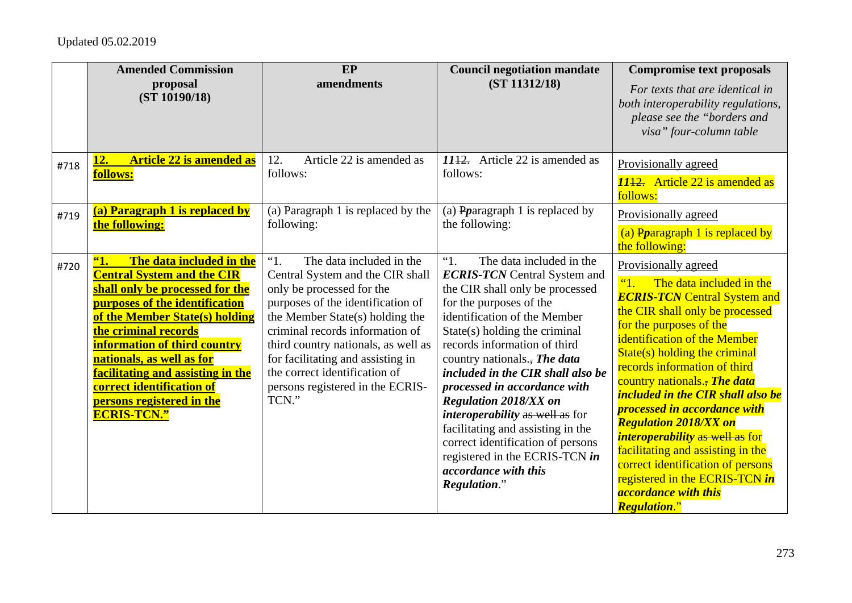|      | <b>Amended Commission</b><br>proposal<br>(ST 10190/18)                                                                                                                                                                                                                                                                                                                                                 | EP<br>amendments                                                                                                                                                                                                                                                                                                                                                      | <b>Council negotiation mandate</b><br>(ST 11312/18)                                                                                                                                                                                                                                                                                                                                                                                                                                                                                                                              | <b>Compromise text proposals</b><br>For texts that are identical in<br>both interoperability regulations,<br>please see the "borders and<br>visa" four-column table                                                                                                                                                                                                                                                                                                                                                                                                                                                              |
|------|--------------------------------------------------------------------------------------------------------------------------------------------------------------------------------------------------------------------------------------------------------------------------------------------------------------------------------------------------------------------------------------------------------|-----------------------------------------------------------------------------------------------------------------------------------------------------------------------------------------------------------------------------------------------------------------------------------------------------------------------------------------------------------------------|----------------------------------------------------------------------------------------------------------------------------------------------------------------------------------------------------------------------------------------------------------------------------------------------------------------------------------------------------------------------------------------------------------------------------------------------------------------------------------------------------------------------------------------------------------------------------------|----------------------------------------------------------------------------------------------------------------------------------------------------------------------------------------------------------------------------------------------------------------------------------------------------------------------------------------------------------------------------------------------------------------------------------------------------------------------------------------------------------------------------------------------------------------------------------------------------------------------------------|
| #718 | <b>Article 22 is amended as</b><br><u>12.</u><br>follows:                                                                                                                                                                                                                                                                                                                                              | Article 22 is amended as<br>12.<br>follows:                                                                                                                                                                                                                                                                                                                           | $1112$ . Article 22 is amended as<br>follows:                                                                                                                                                                                                                                                                                                                                                                                                                                                                                                                                    | Provisionally agreed<br>1142. Article 22 is amended as<br>follows:                                                                                                                                                                                                                                                                                                                                                                                                                                                                                                                                                               |
| #719 | (a) Paragraph 1 is replaced by<br>the following:                                                                                                                                                                                                                                                                                                                                                       | (a) Paragraph 1 is replaced by the<br>following:                                                                                                                                                                                                                                                                                                                      | (a) Poparagraph 1 is replaced by<br>the following:                                                                                                                                                                                                                                                                                                                                                                                                                                                                                                                               | Provisionally agreed<br>(a) Pparagraph 1 is replaced by<br>the following:                                                                                                                                                                                                                                                                                                                                                                                                                                                                                                                                                        |
| #720 | The data included in the<br>$\mathbf{1.}$<br><b>Central System and the CIR</b><br>shall only be processed for the<br>purposes of the identification<br>of the Member State(s) holding<br>the criminal records<br><b>information of third country</b><br>nationals, as well as for<br>facilitating and assisting in the<br>correct identification of<br>persons registered in the<br><b>ECRIS-TCN."</b> | "1.<br>The data included in the<br>Central System and the CIR shall<br>only be processed for the<br>purposes of the identification of<br>the Member State(s) holding the<br>criminal records information of<br>third country nationals, as well as<br>for facilitating and assisting in<br>the correct identification of<br>persons registered in the ECRIS-<br>TCN." | $\lq\lq\lq$<br>The data included in the<br><b>ECRIS-TCN</b> Central System and<br>the CIR shall only be processed<br>for the purposes of the<br>identification of the Member<br>State(s) holding the criminal<br>records information of third<br>country nationals., The data<br>included in the CIR shall also be<br>processed in accordance with<br><b>Regulation 2018/XX on</b><br><i>interoperability</i> as well as for<br>facilitating and assisting in the<br>correct identification of persons<br>registered in the ECRIS-TCN in<br>accordance with this<br>Regulation." | Provisionally agreed<br>The data included in the<br>$\mathbf{C}$<br><b>ECRIS-TCN Central System and</b><br>the CIR shall only be processed<br>for the purposes of the<br>identification of the Member<br>$State(s)$ holding the criminal<br>records information of third<br>country nationals., The data<br><i>included in the CIR shall also be</i><br>processed in accordance with<br><b>Regulation 2018/XX on</b><br><i>interoperability</i> as well as for<br>facilitating and assisting in the<br>correct identification of persons<br>registered in the ECRIS-TCN in<br><i>accordance with this</i><br><b>Regulation."</b> |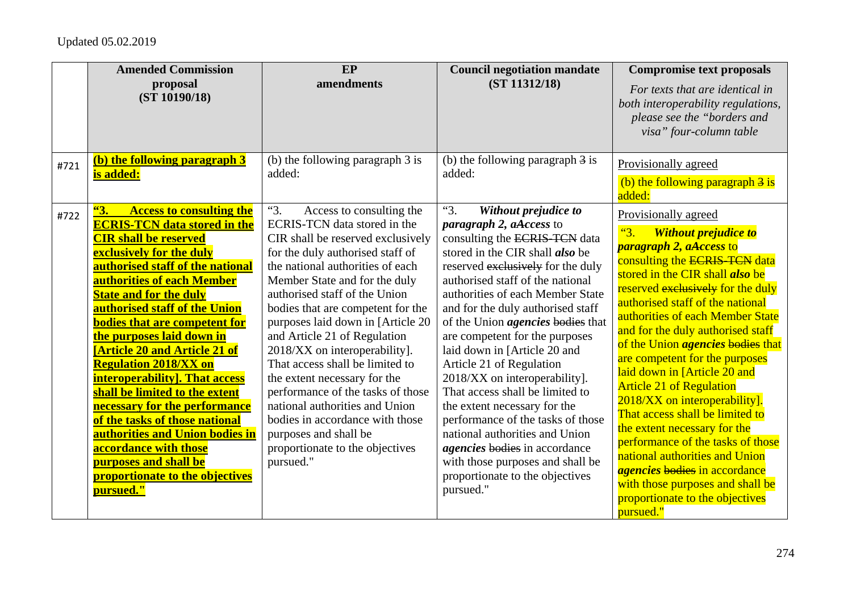|      | <b>Amended Commission</b><br>proposal                                                                                                                                                                                                                                                                                                                                                                                                                                                                                                                                                                                                                                                                                               | EP<br>amendments                                                                                                                                                                                                                                                                                                                                                                                                                                                                                                                                                                                                                                | <b>Council negotiation mandate</b><br>(ST 11312/18)                                                                                                                                                                                                                                                                                                                                                                                                                                                                                                                                                                                                                                                                                  | <b>Compromise text proposals</b>                                                                                                                                                                                                                                                                                                                                                                                                                                                                                                                                                                                                                                                                                                                                                  |
|------|-------------------------------------------------------------------------------------------------------------------------------------------------------------------------------------------------------------------------------------------------------------------------------------------------------------------------------------------------------------------------------------------------------------------------------------------------------------------------------------------------------------------------------------------------------------------------------------------------------------------------------------------------------------------------------------------------------------------------------------|-------------------------------------------------------------------------------------------------------------------------------------------------------------------------------------------------------------------------------------------------------------------------------------------------------------------------------------------------------------------------------------------------------------------------------------------------------------------------------------------------------------------------------------------------------------------------------------------------------------------------------------------------|--------------------------------------------------------------------------------------------------------------------------------------------------------------------------------------------------------------------------------------------------------------------------------------------------------------------------------------------------------------------------------------------------------------------------------------------------------------------------------------------------------------------------------------------------------------------------------------------------------------------------------------------------------------------------------------------------------------------------------------|-----------------------------------------------------------------------------------------------------------------------------------------------------------------------------------------------------------------------------------------------------------------------------------------------------------------------------------------------------------------------------------------------------------------------------------------------------------------------------------------------------------------------------------------------------------------------------------------------------------------------------------------------------------------------------------------------------------------------------------------------------------------------------------|
|      | (ST 10190/18)                                                                                                                                                                                                                                                                                                                                                                                                                                                                                                                                                                                                                                                                                                                       |                                                                                                                                                                                                                                                                                                                                                                                                                                                                                                                                                                                                                                                 |                                                                                                                                                                                                                                                                                                                                                                                                                                                                                                                                                                                                                                                                                                                                      | For texts that are identical in<br>both interoperability regulations,<br>please see the "borders and<br>visa" four-column table                                                                                                                                                                                                                                                                                                                                                                                                                                                                                                                                                                                                                                                   |
| #721 | (b) the following paragraph 3<br>is added:                                                                                                                                                                                                                                                                                                                                                                                                                                                                                                                                                                                                                                                                                          | (b) the following paragraph 3 is<br>added:                                                                                                                                                                                                                                                                                                                                                                                                                                                                                                                                                                                                      | (b) the following paragraph $\frac{3}{3}$ is<br>added:                                                                                                                                                                                                                                                                                                                                                                                                                                                                                                                                                                                                                                                                               | Provisionally agreed<br>(b) the following paragraph $\frac{3}{5}$ is<br>added:                                                                                                                                                                                                                                                                                                                                                                                                                                                                                                                                                                                                                                                                                                    |
| #722 | 63.<br><b>Access to consulting the</b><br><b>ECRIS-TCN data stored in the</b><br><b>CIR shall be reserved</b><br><b>exclusively for the duly</b><br>authorised staff of the national<br>authorities of each Member<br><b>State and for the duly</b><br>authorised staff of the Union<br><b>bodies that are competent for</b><br>the purposes laid down in<br><b>[Article 20 and Article 21 of</b><br><b>Regulation 2018/XX on</b><br><b>interoperability</b> ]. That access<br>shall be limited to the extent<br>necessary for the performance<br>of the tasks of those national<br>authorities and Union bodies in<br>accordance with those<br><b>purposes and shall be</b><br><u>proportionate to the objectives</u><br>pursued." | "3.<br>Access to consulting the<br>ECRIS-TCN data stored in the<br>CIR shall be reserved exclusively<br>for the duly authorised staff of<br>the national authorities of each<br>Member State and for the duly<br>authorised staff of the Union<br>bodies that are competent for the<br>purposes laid down in [Article 20<br>and Article 21 of Regulation<br>2018/XX on interoperability].<br>That access shall be limited to<br>the extent necessary for the<br>performance of the tasks of those<br>national authorities and Union<br>bodies in accordance with those<br>purposes and shall be<br>proportionate to the objectives<br>pursued." | "3.<br>Without prejudice to<br>paragraph 2, aAccess to<br>consulting the ECRIS-TCN data<br>stored in the CIR shall <i>also</i> be<br>reserved exclusively for the duly<br>authorised staff of the national<br>authorities of each Member State<br>and for the duly authorised staff<br>of the Union <i>agencies</i> bodies that<br>are competent for the purposes<br>laid down in [Article 20 and<br>Article 21 of Regulation<br>2018/XX on interoperability].<br>That access shall be limited to<br>the extent necessary for the<br>performance of the tasks of those<br>national authorities and Union<br><i>agencies</i> bodies in accordance<br>with those purposes and shall be<br>proportionate to the objectives<br>pursued." | Provisionally agreed<br>"3.<br><b>Without prejudice to</b><br><i>paragraph 2, aAccess to</i><br>consulting the ECRIS-TCN data<br>stored in the CIR shall <i>also</i> be<br>reserved exclusively for the duly<br>authorised staff of the national<br>authorities of each Member State<br>and for the duly authorised staff<br>of the Union <i>agencies</i> bodies that<br>are competent for the purposes<br>laid down in [Article 20 and<br><b>Article 21 of Regulation</b><br>2018/XX on interoperability].<br>That access shall be limited to<br>the extent necessary for the<br>performance of the tasks of those<br>national authorities and Union<br><i>agencies</i> bodies in accordance<br>with those purposes and shall be<br>proportionate to the objectives<br>pursued." |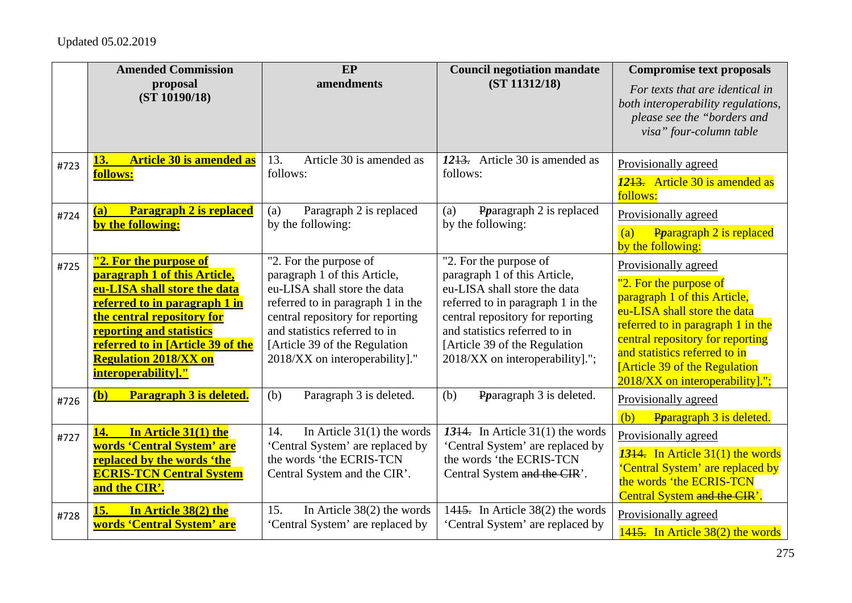|      | <b>Amended Commission</b><br>proposal                                                                                                                                                                                                                                         | EP<br>amendments                                                                                                                                                                                                                                                    | <b>Council negotiation mandate</b><br>(ST 11312/18)                                                                                                                                                                                                                   | <b>Compromise text proposals</b>                                                                                                                                                                                                                                                                    |
|------|-------------------------------------------------------------------------------------------------------------------------------------------------------------------------------------------------------------------------------------------------------------------------------|---------------------------------------------------------------------------------------------------------------------------------------------------------------------------------------------------------------------------------------------------------------------|-----------------------------------------------------------------------------------------------------------------------------------------------------------------------------------------------------------------------------------------------------------------------|-----------------------------------------------------------------------------------------------------------------------------------------------------------------------------------------------------------------------------------------------------------------------------------------------------|
|      | (ST 10190/18)                                                                                                                                                                                                                                                                 |                                                                                                                                                                                                                                                                     |                                                                                                                                                                                                                                                                       | For texts that are identical in<br>both interoperability regulations,<br>please see the "borders and<br>visa" four-column table                                                                                                                                                                     |
| #723 | <b>Article 30 is amended as</b><br>13.<br>follows:                                                                                                                                                                                                                            | Article 30 is amended as<br>13.<br>follows:                                                                                                                                                                                                                         | 1213. Article 30 is amended as<br>follows:                                                                                                                                                                                                                            | Provisionally agreed<br>1243. Article 30 is amended as<br>follows:                                                                                                                                                                                                                                  |
| #724 | <b>Paragraph 2 is replaced</b><br>(a)<br>by the following:                                                                                                                                                                                                                    | Paragraph 2 is replaced<br>(a)<br>by the following:                                                                                                                                                                                                                 | Potagraph 2 is replaced<br>(a)<br>by the following:                                                                                                                                                                                                                   | Provisionally agreed                                                                                                                                                                                                                                                                                |
|      |                                                                                                                                                                                                                                                                               |                                                                                                                                                                                                                                                                     |                                                                                                                                                                                                                                                                       | Pparagraph 2 is replaced<br>(a)<br>by the following:                                                                                                                                                                                                                                                |
| #725 | "2. For the purpose of<br>paragraph 1 of this Article,<br>eu-LISA shall store the data<br>referred to in paragraph 1 in<br>the central repository for<br>reporting and statistics<br>referred to in [Article 39 of the<br><b>Regulation 2018/XX on</b><br>interoperability]." | "2. For the purpose of<br>paragraph 1 of this Article,<br>eu-LISA shall store the data<br>referred to in paragraph 1 in the<br>central repository for reporting<br>and statistics referred to in<br>[Article 39 of the Regulation<br>2018/XX on interoperability]." | "2. For the purpose of<br>paragraph 1 of this Article,<br>eu-LISA shall store the data<br>referred to in paragraph 1 in the<br>central repository for reporting<br>and statistics referred to in<br>[Article 39 of the Regulation]<br>2018/XX on interoperability]."; | Provisionally agreed<br>"2. For the purpose of<br>paragraph 1 of this Article,<br>eu-LISA shall store the data<br>referred to in paragraph 1 in the<br>central repository for reporting<br>and statistics referred to in<br><b>[Article 39 of the Regulation</b><br>2018/XX on interoperability]."; |
| #726 | Paragraph 3 is deleted.<br>(b)                                                                                                                                                                                                                                                | (b)<br>Paragraph 3 is deleted.                                                                                                                                                                                                                                      | (b)<br>Portagraph 3 is deleted.                                                                                                                                                                                                                                       | Provisionally agreed<br>(b)<br>Pparagraph 3 is deleted.                                                                                                                                                                                                                                             |
| #727 | In Article 31(1) the<br>14.<br>words 'Central System' are<br>replaced by the words 'the<br><b>ECRIS-TCN Central System</b><br>and the CIR'.                                                                                                                                   | In Article $31(1)$ the words<br>14.<br>'Central System' are replaced by<br>the words 'the ECRIS-TCN<br>Central System and the CIR'.                                                                                                                                 | 1344. In Article $31(1)$ the words<br>'Central System' are replaced by<br>the words 'the ECRIS-TCN<br>Central System and the CIR'.                                                                                                                                    | Provisionally agreed<br>13 <sup>14</sup> . In Article $31(1)$ the words<br>'Central System' are replaced by<br>the words 'the ECRIS-TCN<br>Central System and the CIR'.                                                                                                                             |
| #728 | In Article 38(2) the<br>15.<br>words 'Central System' are                                                                                                                                                                                                                     | 15.<br>In Article $38(2)$ the words<br>'Central System' are replaced by                                                                                                                                                                                             | 1415. In Article 38(2) the words<br>'Central System' are replaced by                                                                                                                                                                                                  | Provisionally agreed<br>1415. In Article 38(2) the words                                                                                                                                                                                                                                            |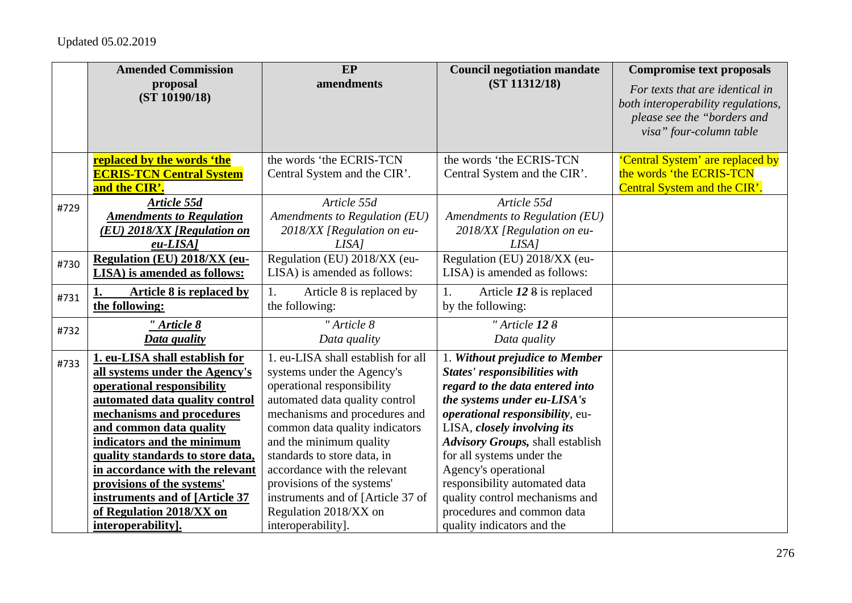|      | <b>Amended Commission</b>        | EP                                 | <b>Council negotiation mandate</b>      | <b>Compromise text proposals</b>                                                                                                |
|------|----------------------------------|------------------------------------|-----------------------------------------|---------------------------------------------------------------------------------------------------------------------------------|
|      | proposal<br>(ST 10190/18)        | amendments                         | (ST 11312/18)                           | For texts that are identical in<br>both interoperability regulations,<br>please see the "borders and<br>visa" four-column table |
|      | replaced by the words 'the       | the words 'the ECRIS-TCN           | the words 'the ECRIS-TCN                | 'Central System' are replaced by                                                                                                |
|      | <b>ECRIS-TCN Central System</b>  | Central System and the CIR'.       | Central System and the CIR'.            | the words 'the ECRIS-TCN                                                                                                        |
|      | and the CIR'.                    |                                    |                                         | Central System and the CIR'.                                                                                                    |
| #729 | Article 55d                      | Article 55d                        | Article 55d                             |                                                                                                                                 |
|      | <b>Amendments to Regulation</b>  | Amendments to Regulation (EU)      | Amendments to Regulation (EU)           |                                                                                                                                 |
|      | (EU) 2018/XX [Regulation on      | 2018/XX [Regulation on eu-         | 2018/XX [Regulation on eu-              |                                                                                                                                 |
|      | $eu-LISA$                        | LISA <sub>1</sub>                  | LISA <sub>1</sub>                       |                                                                                                                                 |
| #730 | Regulation (EU) 2018/XX (eu-     | Regulation (EU) 2018/XX (eu-       | Regulation (EU) 2018/XX (eu-            |                                                                                                                                 |
|      | LISA) is amended as follows:     | LISA) is amended as follows:       | LISA) is amended as follows:            |                                                                                                                                 |
| #731 | Article 8 is replaced by         | Article 8 is replaced by<br>1.     | Article 12 8 is replaced<br>1.          |                                                                                                                                 |
|      | the following:                   | the following:                     | by the following:                       |                                                                                                                                 |
| #732 | " Article 8                      | "Article 8                         | " Article 12 8                          |                                                                                                                                 |
|      | <b>Data quality</b>              | Data quality                       | Data quality                            |                                                                                                                                 |
| #733 | 1. eu-LISA shall establish for   | 1. eu-LISA shall establish for all | 1. Without prejudice to Member          |                                                                                                                                 |
|      | all systems under the Agency's   | systems under the Agency's         | <b>States' responsibilities with</b>    |                                                                                                                                 |
|      | operational responsibility       | operational responsibility         | regard to the data entered into         |                                                                                                                                 |
|      | automated data quality control   | automated data quality control     | the systems under eu-LISA's             |                                                                                                                                 |
|      | mechanisms and procedures        | mechanisms and procedures and      | operational responsibility, eu-         |                                                                                                                                 |
|      | and common data quality          | common data quality indicators     | LISA, closely involving its             |                                                                                                                                 |
|      | indicators and the minimum       | and the minimum quality            | <b>Advisory Groups, shall establish</b> |                                                                                                                                 |
|      | quality standards to store data, | standards to store data, in        | for all systems under the               |                                                                                                                                 |
|      | in accordance with the relevant  | accordance with the relevant       | Agency's operational                    |                                                                                                                                 |
|      | provisions of the systems'       | provisions of the systems'         | responsibility automated data           |                                                                                                                                 |
|      | instruments and of [Article 37   | instruments and of [Article 37 of  | quality control mechanisms and          |                                                                                                                                 |
|      | of Regulation 2018/XX on         | Regulation 2018/XX on              | procedures and common data              |                                                                                                                                 |
|      | interoperability].               | interoperability].                 | quality indicators and the              |                                                                                                                                 |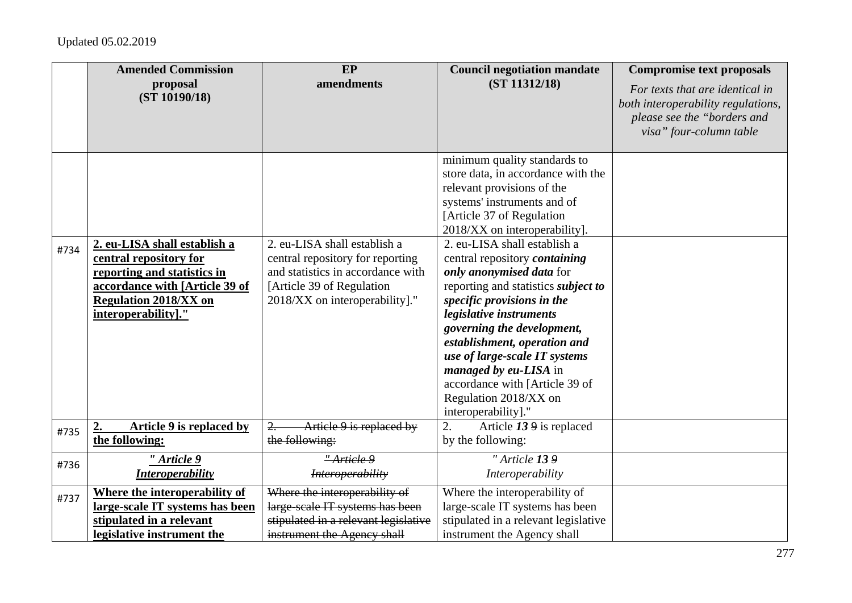|      | <b>Amended Commission</b><br>proposal<br>(ST 10190/18)                                                                                                                         | EP<br>amendments                                                                                                                                                      | <b>Council negotiation mandate</b><br>(ST 11312/18)                                                                                                                                                                                                                                                                                                                                                                                                                                                                                                                                                                        | <b>Compromise text proposals</b><br>For texts that are identical in<br>both interoperability regulations,<br>please see the "borders and<br>visa" four-column table |
|------|--------------------------------------------------------------------------------------------------------------------------------------------------------------------------------|-----------------------------------------------------------------------------------------------------------------------------------------------------------------------|----------------------------------------------------------------------------------------------------------------------------------------------------------------------------------------------------------------------------------------------------------------------------------------------------------------------------------------------------------------------------------------------------------------------------------------------------------------------------------------------------------------------------------------------------------------------------------------------------------------------------|---------------------------------------------------------------------------------------------------------------------------------------------------------------------|
| #734 | 2. eu-LISA shall establish a<br>central repository for<br>reporting and statistics in<br>accordance with [Article 39 of<br><b>Regulation 2018/XX on</b><br>interoperability]." | 2. eu-LISA shall establish a<br>central repository for reporting<br>and statistics in accordance with<br>[Article 39 of Regulation]<br>2018/XX on interoperability]." | minimum quality standards to<br>store data, in accordance with the<br>relevant provisions of the<br>systems' instruments and of<br>[Article 37 of Regulation]<br>2018/XX on interoperability].<br>2. eu-LISA shall establish a<br>central repository <i>containing</i><br>only anonymised data for<br>reporting and statistics <i>subject to</i><br>specific provisions in the<br>legislative instruments<br>governing the development,<br>establishment, operation and<br>use of large-scale IT systems<br><i>managed by eu-LISA</i> in<br>accordance with [Article 39 of<br>Regulation 2018/XX on<br>interoperability]." |                                                                                                                                                                     |
| #735 | Article 9 is replaced by<br>the following:                                                                                                                                     | 2.<br>Article 9 is replaced by<br>the following:                                                                                                                      | Article 13 9 is replaced<br>2.<br>by the following:                                                                                                                                                                                                                                                                                                                                                                                                                                                                                                                                                                        |                                                                                                                                                                     |
| #736 | " Article 9<br><b>Interoperability</b>                                                                                                                                         | "Article 9<br><i>Interoperability</i>                                                                                                                                 | "Article 139<br>Interoperability                                                                                                                                                                                                                                                                                                                                                                                                                                                                                                                                                                                           |                                                                                                                                                                     |
| #737 | Where the interoperability of<br>large-scale IT systems has been<br>stipulated in a relevant<br>legislative instrument the                                                     | Where the interoperability of<br>large-scale IT systems has been<br>stipulated in a relevant legislative<br>instrument the Agency shall                               | Where the interoperability of<br>large-scale IT systems has been<br>stipulated in a relevant legislative<br>instrument the Agency shall                                                                                                                                                                                                                                                                                                                                                                                                                                                                                    |                                                                                                                                                                     |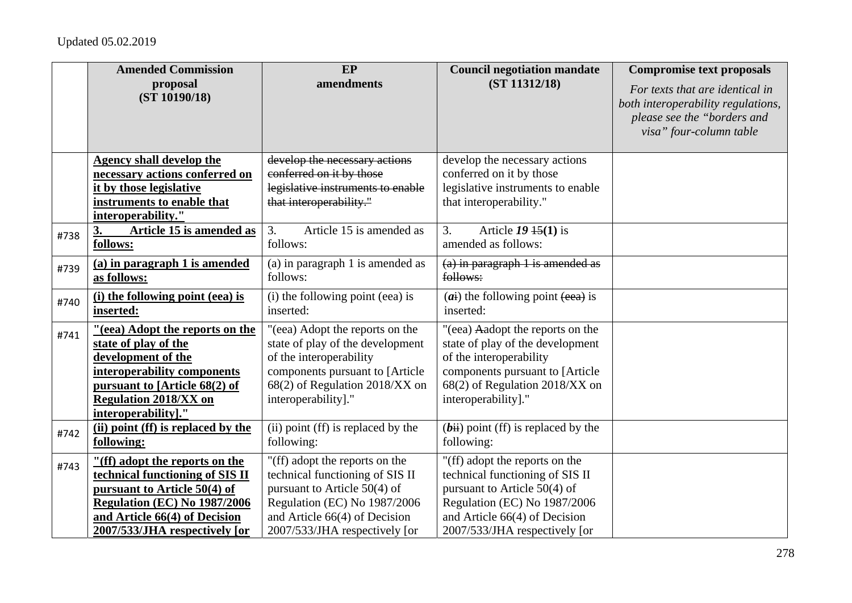|      | <b>Amended Commission</b>                                                                                                                                                 | EP                                                                                                                                                                   | <b>Council negotiation mandate</b>                                                                                                                                   | <b>Compromise text proposals</b>                                                                                                |
|------|---------------------------------------------------------------------------------------------------------------------------------------------------------------------------|----------------------------------------------------------------------------------------------------------------------------------------------------------------------|----------------------------------------------------------------------------------------------------------------------------------------------------------------------|---------------------------------------------------------------------------------------------------------------------------------|
|      | proposal<br>(ST 10190/18)                                                                                                                                                 | amendments                                                                                                                                                           | (ST 11312/18)                                                                                                                                                        | For texts that are identical in<br>both interoperability regulations,<br>please see the "borders and<br>visa" four-column table |
|      | <b>Agency shall develop the</b>                                                                                                                                           | develop the necessary actions                                                                                                                                        | develop the necessary actions                                                                                                                                        |                                                                                                                                 |
|      | necessary actions conferred on                                                                                                                                            | conferred on it by those                                                                                                                                             | conferred on it by those                                                                                                                                             |                                                                                                                                 |
|      | it by those legislative                                                                                                                                                   | legislative instruments to enable                                                                                                                                    | legislative instruments to enable                                                                                                                                    |                                                                                                                                 |
|      | instruments to enable that                                                                                                                                                | that interoperability."                                                                                                                                              | that interoperability."                                                                                                                                              |                                                                                                                                 |
|      | interoperability."                                                                                                                                                        |                                                                                                                                                                      |                                                                                                                                                                      |                                                                                                                                 |
| #738 | 3.<br><b>Article 15 is amended as</b><br>follows:                                                                                                                         | 3.<br>Article 15 is amended as<br>follows:                                                                                                                           | 3.<br>Article $19\,15(1)$ is<br>amended as follows:                                                                                                                  |                                                                                                                                 |
| #739 | (a) in paragraph 1 is amended<br>as follows:                                                                                                                              | (a) in paragraph 1 is amended as<br>follows:                                                                                                                         | $(a)$ in paragraph 1 is amended as<br>follows:                                                                                                                       |                                                                                                                                 |
| #740 | (i) the following point (eea) is<br>inserted:                                                                                                                             | (i) the following point (eea) is<br>inserted:                                                                                                                        | $(ai)$ the following point $(eea)$ is<br>inserted:                                                                                                                   |                                                                                                                                 |
| #741 | "(eea) Adopt the reports on the<br>state of play of the<br>development of the<br>interoperability components<br>pursuant to [Article 68(2) of                             | "(eea) Adopt the reports on the<br>state of play of the development<br>of the interoperability<br>components pursuant to [Article<br>68(2) of Regulation 2018/XX on  | "(eea) Aadopt the reports on the<br>state of play of the development<br>of the interoperability<br>components pursuant to [Article<br>68(2) of Regulation 2018/XX on |                                                                                                                                 |
|      | <b>Regulation 2018/XX on</b><br>interoperability]."                                                                                                                       | interoperability]."                                                                                                                                                  | interoperability]."                                                                                                                                                  |                                                                                                                                 |
| #742 | (ii) point (ff) is replaced by the<br>following:                                                                                                                          | (ii) point (ff) is replaced by the<br>following:                                                                                                                     | $(bii)$ point (ff) is replaced by the<br>following:                                                                                                                  |                                                                                                                                 |
| #743 | "(ff) adopt the reports on the<br>technical functioning of SIS II<br>pursuant to Article 50(4) of<br><b>Regulation (EC) No 1987/2006</b><br>and Article 66(4) of Decision | "(ff) adopt the reports on the<br>technical functioning of SIS II<br>pursuant to Article $50(4)$ of<br>Regulation (EC) No 1987/2006<br>and Article 66(4) of Decision | "(ff) adopt the reports on the<br>technical functioning of SIS II<br>pursuant to Article 50(4) of<br>Regulation (EC) No 1987/2006<br>and Article 66(4) of Decision   |                                                                                                                                 |
|      | 2007/533/JHA respectively [or                                                                                                                                             | 2007/533/JHA respectively [or                                                                                                                                        | 2007/533/JHA respectively [or                                                                                                                                        |                                                                                                                                 |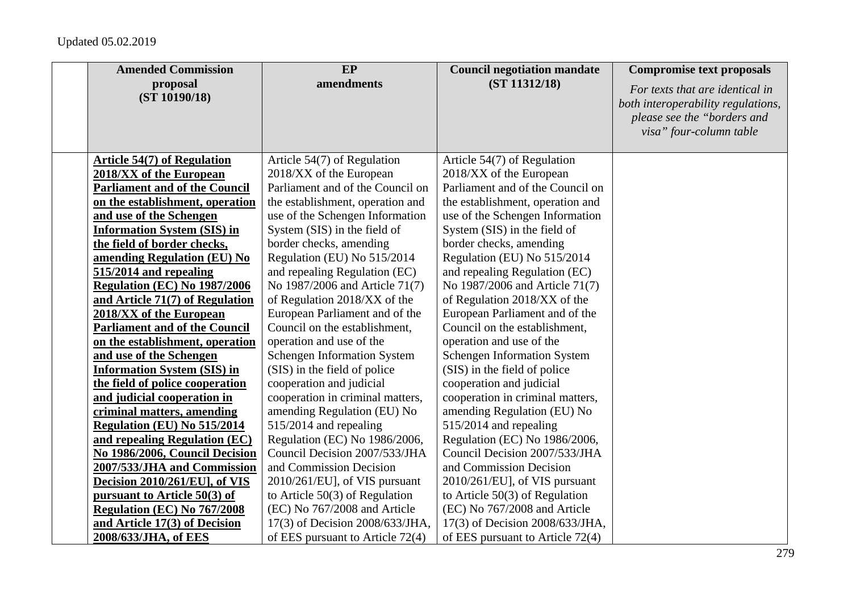| <b>Amended Commission</b>            | <b>EP</b>                          | <b>Council negotiation mandate</b> | <b>Compromise text proposals</b>                                      |
|--------------------------------------|------------------------------------|------------------------------------|-----------------------------------------------------------------------|
| proposal<br>(ST 10190/18)            | amendments                         | (ST 11312/18)                      | For texts that are identical in<br>both interoperability regulations, |
|                                      |                                    |                                    | please see the "borders and                                           |
|                                      |                                    |                                    | visa" four-column table                                               |
|                                      |                                    |                                    |                                                                       |
| <b>Article 54(7) of Regulation</b>   | Article 54(7) of Regulation        | Article 54(7) of Regulation        |                                                                       |
| 2018/XX of the European              | 2018/XX of the European            | 2018/XX of the European            |                                                                       |
| <b>Parliament and of the Council</b> | Parliament and of the Council on   | Parliament and of the Council on   |                                                                       |
| on the establishment, operation      | the establishment, operation and   | the establishment, operation and   |                                                                       |
| and use of the Schengen              | use of the Schengen Information    | use of the Schengen Information    |                                                                       |
| <b>Information System (SIS) in</b>   | System (SIS) in the field of       | System (SIS) in the field of       |                                                                       |
| the field of border checks,          | border checks, amending            | border checks, amending            |                                                                       |
| amending Regulation (EU) No          | Regulation (EU) No 515/2014        | Regulation (EU) No 515/2014        |                                                                       |
| 515/2014 and repealing               | and repealing Regulation (EC)      | and repealing Regulation (EC)      |                                                                       |
| <b>Regulation (EC) No 1987/2006</b>  | No 1987/2006 and Article 71(7)     | No 1987/2006 and Article 71(7)     |                                                                       |
| and Article 71(7) of Regulation      | of Regulation 2018/XX of the       | of Regulation 2018/XX of the       |                                                                       |
| 2018/XX of the European              | European Parliament and of the     | European Parliament and of the     |                                                                       |
| <b>Parliament and of the Council</b> | Council on the establishment,      | Council on the establishment,      |                                                                       |
| on the establishment, operation      | operation and use of the           | operation and use of the           |                                                                       |
| and use of the Schengen              | <b>Schengen Information System</b> | <b>Schengen Information System</b> |                                                                       |
| <b>Information System (SIS) in</b>   | (SIS) in the field of police       | (SIS) in the field of police       |                                                                       |
| the field of police cooperation      | cooperation and judicial           | cooperation and judicial           |                                                                       |
| and judicial cooperation in          | cooperation in criminal matters,   | cooperation in criminal matters,   |                                                                       |
| criminal matters, amending           | amending Regulation (EU) No        | amending Regulation (EU) No        |                                                                       |
| Regulation (EU) No 515/2014          | 515/2014 and repealing             | 515/2014 and repealing             |                                                                       |
| and repealing Regulation (EC)        | Regulation (EC) No 1986/2006,      | Regulation (EC) No 1986/2006,      |                                                                       |
| No 1986/2006, Council Decision       | Council Decision 2007/533/JHA      | Council Decision 2007/533/JHA      |                                                                       |
| 2007/533/JHA and Commission          | and Commission Decision            | and Commission Decision            |                                                                       |
| Decision 2010/261/EU], of VIS        | 2010/261/EU], of VIS pursuant      | 2010/261/EU], of VIS pursuant      |                                                                       |
| pursuant to Article 50(3) of         | to Article $50(3)$ of Regulation   | to Article $50(3)$ of Regulation   |                                                                       |
| Regulation (EC) No 767/2008          | (EC) No 767/2008 and Article       | (EC) No 767/2008 and Article       |                                                                       |
| and Article 17(3) of Decision        | 17(3) of Decision 2008/633/JHA,    | 17(3) of Decision 2008/633/JHA,    |                                                                       |
| 2008/633/JHA, of EES                 | of EES pursuant to Article $72(4)$ | of EES pursuant to Article $72(4)$ |                                                                       |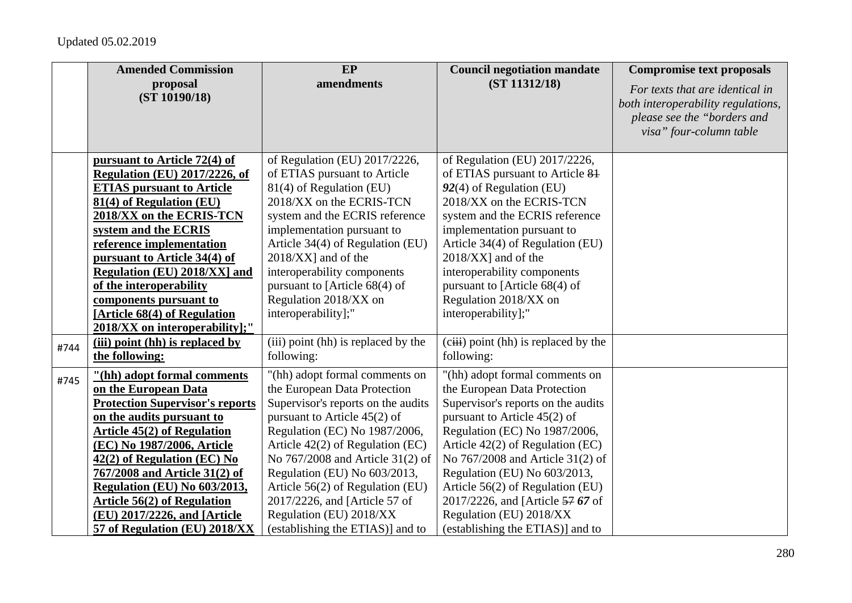|      | <b>Amended Commission</b>              | EP                                  | <b>Council negotiation mandate</b>     | <b>Compromise text proposals</b>                                                                                                |
|------|----------------------------------------|-------------------------------------|----------------------------------------|---------------------------------------------------------------------------------------------------------------------------------|
|      | proposal<br>(ST 10190/18)              | amendments                          | (ST 11312/18)                          | For texts that are identical in<br>both interoperability regulations,<br>please see the "borders and<br>visa" four-column table |
|      | pursuant to Article 72(4) of           | of Regulation (EU) 2017/2226,       | of Regulation (EU) 2017/2226,          |                                                                                                                                 |
|      | <b>Regulation (EU) 2017/2226, of</b>   | of ETIAS pursuant to Article        | of ETIAS pursuant to Article 81        |                                                                                                                                 |
|      | <b>ETIAS</b> pursuant to Article       | 81(4) of Regulation (EU)            | 92(4) of Regulation (EU)               |                                                                                                                                 |
|      | 81(4) of Regulation (EU)               | 2018/XX on the ECRIS-TCN            | 2018/XX on the ECRIS-TCN               |                                                                                                                                 |
|      | 2018/XX on the ECRIS-TCN               | system and the ECRIS reference      | system and the ECRIS reference         |                                                                                                                                 |
|      | system and the ECRIS                   | implementation pursuant to          | implementation pursuant to             |                                                                                                                                 |
|      | reference implementation               | Article 34(4) of Regulation (EU)    | Article 34(4) of Regulation (EU)       |                                                                                                                                 |
|      | pursuant to Article 34(4) of           | $2018/XX$ ] and of the              | $2018/XX$ ] and of the                 |                                                                                                                                 |
|      | <b>Regulation (EU) 2018/XX] and</b>    | interoperability components         | interoperability components            |                                                                                                                                 |
|      | of the interoperability                | pursuant to [Article $68(4)$ of     | pursuant to [Article $68(4)$ of        |                                                                                                                                 |
|      | components pursuant to                 | Regulation 2018/XX on               | Regulation 2018/XX on                  |                                                                                                                                 |
|      | [Article 68(4) of Regulation           | interoperability];"                 | interoperability];"                    |                                                                                                                                 |
|      | 2018/XX on interoperability];"         |                                     |                                        |                                                                                                                                 |
| #744 | (iii) point (hh) is replaced by        | (iii) point (hh) is replaced by the | $(ciii)$ point (hh) is replaced by the |                                                                                                                                 |
|      | the following:                         | following:                          | following:                             |                                                                                                                                 |
| #745 | "(hh) adopt formal comments            | "(hh) adopt formal comments on      | "(hh) adopt formal comments on         |                                                                                                                                 |
|      | on the European Data                   | the European Data Protection        | the European Data Protection           |                                                                                                                                 |
|      | <b>Protection Supervisor's reports</b> | Supervisor's reports on the audits  | Supervisor's reports on the audits     |                                                                                                                                 |
|      | on the audits pursuant to              | pursuant to Article 45(2) of        | pursuant to Article $45(2)$ of         |                                                                                                                                 |
|      | <b>Article 45(2) of Regulation</b>     | Regulation (EC) No 1987/2006,       | Regulation (EC) No 1987/2006,          |                                                                                                                                 |
|      | (EC) No 1987/2006, Article             | Article $42(2)$ of Regulation (EC)  | Article $42(2)$ of Regulation (EC)     |                                                                                                                                 |
|      | $42(2)$ of Regulation (EC) No          | No 767/2008 and Article 31(2) of    | No 767/2008 and Article 31(2) of       |                                                                                                                                 |
|      | 767/2008 and Article 31(2) of          | Regulation (EU) No 603/2013,        | Regulation (EU) No 603/2013,           |                                                                                                                                 |
|      | <b>Regulation (EU) No 603/2013,</b>    | Article $56(2)$ of Regulation (EU)  | Article $56(2)$ of Regulation (EU)     |                                                                                                                                 |
|      | <b>Article 56(2) of Regulation</b>     | 2017/2226, and [Article 57 of       | 2017/2226, and [Article 57 67 of       |                                                                                                                                 |
|      | (EU) 2017/2226, and [Article           | Regulation (EU) 2018/XX             | Regulation (EU) 2018/XX                |                                                                                                                                 |
|      | 57 of Regulation (EU) 2018/XX          | (establishing the ETIAS)] and to    | (establishing the ETIAS)] and to       |                                                                                                                                 |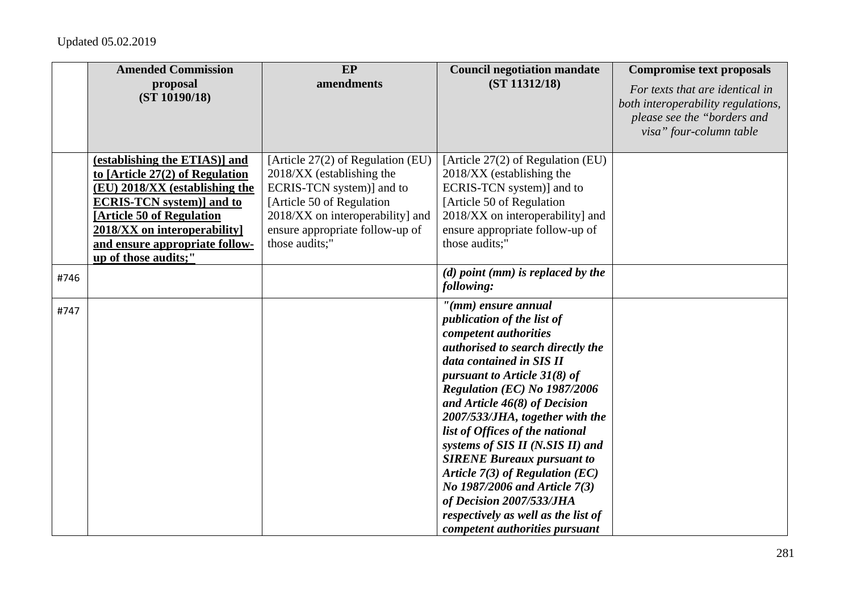|      | <b>Amended Commission</b>                                                                                                                                                                                                                                        | EP                                                                                                                                                                                                                 | <b>Council negotiation mandate</b>                                                                                                                                                                                                                                                                                                                                                                                                                                                                                                                                            | <b>Compromise text proposals</b>                                                                                                |
|------|------------------------------------------------------------------------------------------------------------------------------------------------------------------------------------------------------------------------------------------------------------------|--------------------------------------------------------------------------------------------------------------------------------------------------------------------------------------------------------------------|-------------------------------------------------------------------------------------------------------------------------------------------------------------------------------------------------------------------------------------------------------------------------------------------------------------------------------------------------------------------------------------------------------------------------------------------------------------------------------------------------------------------------------------------------------------------------------|---------------------------------------------------------------------------------------------------------------------------------|
|      | proposal<br>(ST 10190/18)                                                                                                                                                                                                                                        | amendments                                                                                                                                                                                                         | (ST 11312/18)                                                                                                                                                                                                                                                                                                                                                                                                                                                                                                                                                                 | For texts that are identical in<br>both interoperability regulations,<br>please see the "borders and<br>visa" four-column table |
|      | (establishing the ETIAS)] and<br>to $[Article 27(2) of Regulation]$<br>(EU) 2018/XX (establishing the<br><b>ECRIS-TCN</b> system)] and to<br>[Article 50 of Regulation<br>2018/XX on interoperability]<br>and ensure appropriate follow-<br>up of those audits;" | [Article 27(2) of Regulation (EU)<br>2018/XX (establishing the<br>ECRIS-TCN system)] and to<br>[Article 50 of Regulation]<br>2018/XX on interoperability] and<br>ensure appropriate follow-up of<br>those audits;" | [Article 27(2) of Regulation (EU)<br>2018/XX (establishing the<br>ECRIS-TCN system)] and to<br>[Article 50 of Regulation]<br>2018/XX on interoperability] and<br>ensure appropriate follow-up of<br>those audits;"                                                                                                                                                                                                                                                                                                                                                            |                                                                                                                                 |
| #746 |                                                                                                                                                                                                                                                                  |                                                                                                                                                                                                                    | $(d)$ point (mm) is replaced by the<br>following:                                                                                                                                                                                                                                                                                                                                                                                                                                                                                                                             |                                                                                                                                 |
| #747 |                                                                                                                                                                                                                                                                  |                                                                                                                                                                                                                    | $''(mm)$ ensure annual<br>publication of the list of<br>competent authorities<br>authorised to search directly the<br>data contained in SIS II<br>pursuant to Article $31(8)$ of<br>Regulation (EC) No 1987/2006<br>and Article $46(8)$ of Decision<br>2007/533/JHA, together with the<br>list of Offices of the national<br>systems of SIS II (N.SIS II) and<br><b>SIRENE Bureaux pursuant to</b><br>Article $7(3)$ of Regulation (EC)<br>No 1987/2006 and Article 7(3)<br>of Decision 2007/533/JHA<br>respectively as well as the list of<br>competent authorities pursuant |                                                                                                                                 |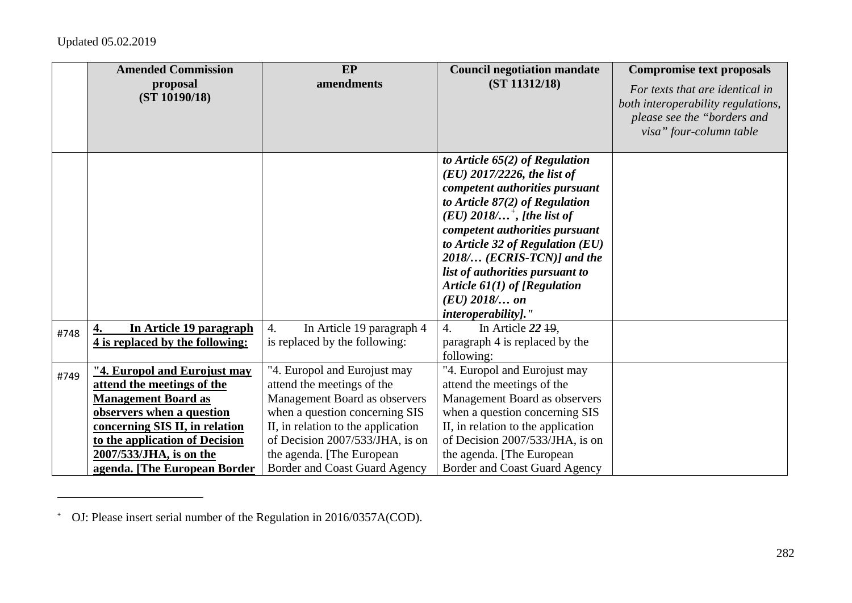|      | <b>Amended Commission</b><br>proposal                       | EP<br>amendments                                                     | <b>Council negotiation mandate</b><br>(ST 11312/18)                                                                                                                                                                                                                                                                                                                                                            | <b>Compromise text proposals</b><br>For texts that are identical in                          |
|------|-------------------------------------------------------------|----------------------------------------------------------------------|----------------------------------------------------------------------------------------------------------------------------------------------------------------------------------------------------------------------------------------------------------------------------------------------------------------------------------------------------------------------------------------------------------------|----------------------------------------------------------------------------------------------|
|      | (ST 10190/18)                                               |                                                                      |                                                                                                                                                                                                                                                                                                                                                                                                                | both interoperability regulations,<br>please see the "borders and<br>visa" four-column table |
|      |                                                             |                                                                      |                                                                                                                                                                                                                                                                                                                                                                                                                |                                                                                              |
|      |                                                             |                                                                      | to Article $65(2)$ of Regulation<br>$(EU)$ 2017/2226, the list of<br>competent authorities pursuant<br>to Article $87(2)$ of Regulation<br>$(EU)$ 2018/ <sup>+</sup> , [the list of<br>competent authorities pursuant<br>to Article 32 of Regulation (EU)<br>$2018$ (ECRIS-TCN)] and the<br>list of authorities pursuant to<br>Article $61(1)$ of [Regulation<br>$(EU)$ 2018/ on<br><i>interoperability]."</i> |                                                                                              |
|      | In Article 19 paragraph<br>4.                               | $\overline{4}$ .<br>In Article 19 paragraph 4                        | In Article 22 19,<br>4.                                                                                                                                                                                                                                                                                                                                                                                        |                                                                                              |
| #748 | 4 is replaced by the following:                             | is replaced by the following:                                        | paragraph 4 is replaced by the<br>following:                                                                                                                                                                                                                                                                                                                                                                   |                                                                                              |
| #749 | "4. Europol and Eurojust may                                | "4. Europol and Eurojust may                                         | "4. Europol and Eurojust may                                                                                                                                                                                                                                                                                                                                                                                   |                                                                                              |
|      | attend the meetings of the                                  | attend the meetings of the                                           | attend the meetings of the                                                                                                                                                                                                                                                                                                                                                                                     |                                                                                              |
|      | <b>Management Board as</b>                                  | Management Board as observers                                        | Management Board as observers                                                                                                                                                                                                                                                                                                                                                                                  |                                                                                              |
|      | observers when a question<br>concerning SIS II, in relation | when a question concerning SIS<br>II, in relation to the application | when a question concerning SIS<br>II, in relation to the application                                                                                                                                                                                                                                                                                                                                           |                                                                                              |
|      | to the application of Decision                              | of Decision 2007/533/JHA, is on                                      | of Decision 2007/533/JHA, is on                                                                                                                                                                                                                                                                                                                                                                                |                                                                                              |
|      | 2007/533/JHA, is on the                                     | the agenda. [The European]                                           | the agenda. [The European]                                                                                                                                                                                                                                                                                                                                                                                     |                                                                                              |
|      | agenda. [The European Border                                | Border and Coast Guard Agency                                        | <b>Border and Coast Guard Agency</b>                                                                                                                                                                                                                                                                                                                                                                           |                                                                                              |

**<sup>+</sup>** OJ: Please insert serial number of the Regulation in 2016/0357A(COD).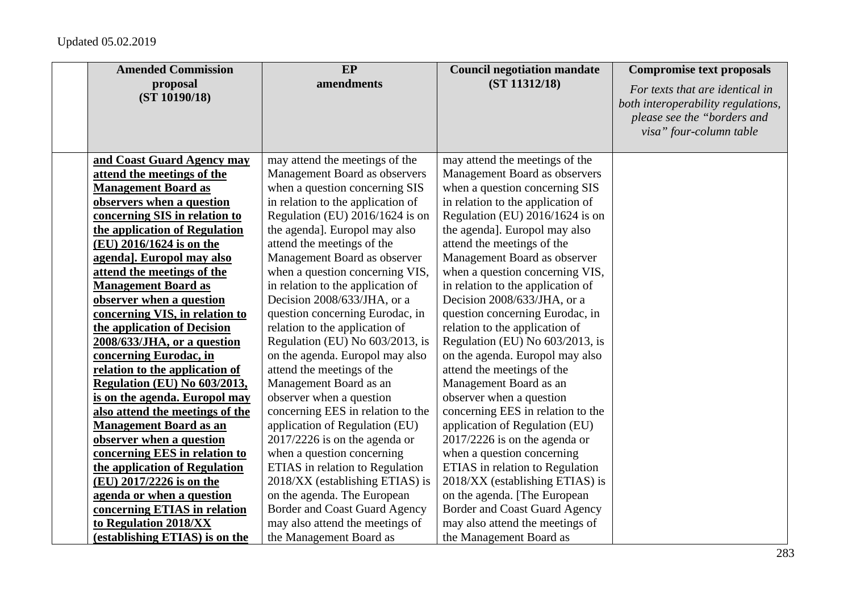| <b>Amended Commission</b>       | <b>EP</b>                              | <b>Council negotiation mandate</b> | <b>Compromise text proposals</b>   |
|---------------------------------|----------------------------------------|------------------------------------|------------------------------------|
| proposal                        | amendments                             | (ST 11312/18)                      | For texts that are identical in    |
| (ST 10190/18)                   |                                        |                                    | both interoperability regulations, |
|                                 |                                        |                                    | please see the "borders and        |
|                                 |                                        |                                    | visa" four-column table            |
|                                 |                                        |                                    |                                    |
| and Coast Guard Agency may      | may attend the meetings of the         | may attend the meetings of the     |                                    |
| attend the meetings of the      | Management Board as observers          | Management Board as observers      |                                    |
| <b>Management Board as</b>      | when a question concerning SIS         | when a question concerning SIS     |                                    |
| observers when a question       | in relation to the application of      | in relation to the application of  |                                    |
| concerning SIS in relation to   | Regulation (EU) 2016/1624 is on        | Regulation (EU) 2016/1624 is on    |                                    |
| the application of Regulation   | the agenda]. Europol may also          | the agenda]. Europol may also      |                                    |
| (EU) 2016/1624 is on the        | attend the meetings of the             | attend the meetings of the         |                                    |
| agenda]. Europol may also       | Management Board as observer           | Management Board as observer       |                                    |
| attend the meetings of the      | when a question concerning VIS,        | when a question concerning VIS,    |                                    |
| <b>Management Board as</b>      | in relation to the application of      | in relation to the application of  |                                    |
| observer when a question        | Decision 2008/633/JHA, or a            | Decision 2008/633/JHA, or a        |                                    |
| concerning VIS, in relation to  | question concerning Eurodac, in        | question concerning Eurodac, in    |                                    |
| the application of Decision     | relation to the application of         | relation to the application of     |                                    |
| 2008/633/JHA, or a question     | Regulation (EU) No 603/2013, is        | Regulation (EU) No 603/2013, is    |                                    |
| concerning Eurodac, in          | on the agenda. Europol may also        | on the agenda. Europol may also    |                                    |
| relation to the application of  | attend the meetings of the             | attend the meetings of the         |                                    |
| Regulation (EU) No 603/2013,    | Management Board as an                 | Management Board as an             |                                    |
| is on the agenda. Europol may   | observer when a question               | observer when a question           |                                    |
| also attend the meetings of the | concerning EES in relation to the      | concerning EES in relation to the  |                                    |
| <b>Management Board as an</b>   | application of Regulation (EU)         | application of Regulation (EU)     |                                    |
| observer when a question        | $2017/2226$ is on the agenda or        | $2017/2226$ is on the agenda or    |                                    |
| concerning EES in relation to   | when a question concerning             | when a question concerning         |                                    |
| the application of Regulation   | <b>ETIAS</b> in relation to Regulation | ETIAS in relation to Regulation    |                                    |
| (EU) 2017/2226 is on the        | 2018/XX (establishing ETIAS) is        | 2018/XX (establishing ETIAS) is    |                                    |
| agenda or when a question       | on the agenda. The European            | on the agenda. [The European       |                                    |
| concerning ETIAS in relation    | <b>Border and Coast Guard Agency</b>   | Border and Coast Guard Agency      |                                    |
| to Regulation 2018/XX           | may also attend the meetings of        | may also attend the meetings of    |                                    |
| (establishing ETIAS) is on the  | the Management Board as                | the Management Board as            |                                    |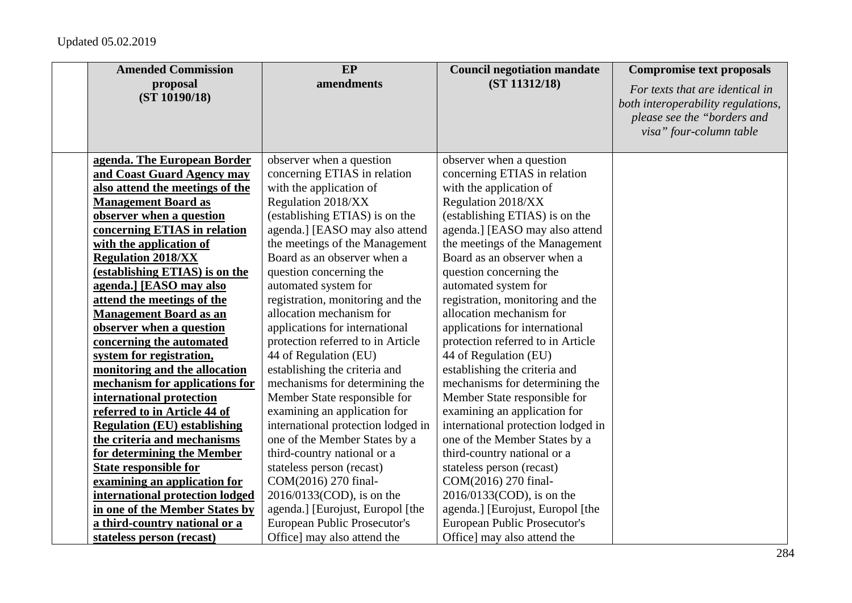| <b>Amended Commission</b>           | EP                                  | <b>Council negotiation mandate</b> | <b>Compromise text proposals</b>   |
|-------------------------------------|-------------------------------------|------------------------------------|------------------------------------|
| proposal                            | amendments                          | (ST 11312/18)                      | For texts that are identical in    |
| (ST 10190/18)                       |                                     |                                    | both interoperability regulations, |
|                                     |                                     |                                    | please see the "borders and        |
|                                     |                                     |                                    | visa" four-column table            |
|                                     |                                     |                                    |                                    |
| agenda. The European Border         | observer when a question            | observer when a question           |                                    |
| and Coast Guard Agency may          | concerning ETIAS in relation        | concerning ETIAS in relation       |                                    |
| also attend the meetings of the     | with the application of             | with the application of            |                                    |
| <b>Management Board as</b>          | Regulation 2018/XX                  | Regulation 2018/XX                 |                                    |
| observer when a question            | (establishing ETIAS) is on the      | (establishing ETIAS) is on the     |                                    |
| concerning ETIAS in relation        | agenda.] [EASO may also attend      | agenda.] [EASO may also attend     |                                    |
| with the application of             | the meetings of the Management      | the meetings of the Management     |                                    |
| <b>Regulation 2018/XX</b>           | Board as an observer when a         | Board as an observer when a        |                                    |
| (establishing ETIAS) is on the      | question concerning the             | question concerning the            |                                    |
| agenda.] [EASO may also             | automated system for                | automated system for               |                                    |
| attend the meetings of the          | registration, monitoring and the    | registration, monitoring and the   |                                    |
| <b>Management Board as an</b>       | allocation mechanism for            | allocation mechanism for           |                                    |
| observer when a question            | applications for international      | applications for international     |                                    |
| concerning the automated            | protection referred to in Article   | protection referred to in Article  |                                    |
| system for registration,            | 44 of Regulation (EU)               | 44 of Regulation (EU)              |                                    |
| monitoring and the allocation       | establishing the criteria and       | establishing the criteria and      |                                    |
| mechanism for applications for      | mechanisms for determining the      | mechanisms for determining the     |                                    |
| international protection            | Member State responsible for        | Member State responsible for       |                                    |
| referred to in Article 44 of        | examining an application for        | examining an application for       |                                    |
| <b>Regulation (EU) establishing</b> | international protection lodged in  | international protection lodged in |                                    |
| the criteria and mechanisms         | one of the Member States by a       | one of the Member States by a      |                                    |
| for determining the Member          | third-country national or a         | third-country national or a        |                                    |
| <b>State responsible for</b>        | stateless person (recast)           | stateless person (recast)          |                                    |
| examining an application for        | COM(2016) 270 final-                | COM(2016) 270 final-               |                                    |
| international protection lodged     | 2016/0133(COD), is on the           | 2016/0133(COD), is on the          |                                    |
| in one of the Member States by      | agenda.] [Eurojust, Europol [the    | agenda.] [Eurojust, Europol [the   |                                    |
| a third-country national or a       | <b>European Public Prosecutor's</b> | European Public Prosecutor's       |                                    |
| stateless person (recast)           | Office] may also attend the         | Office] may also attend the        |                                    |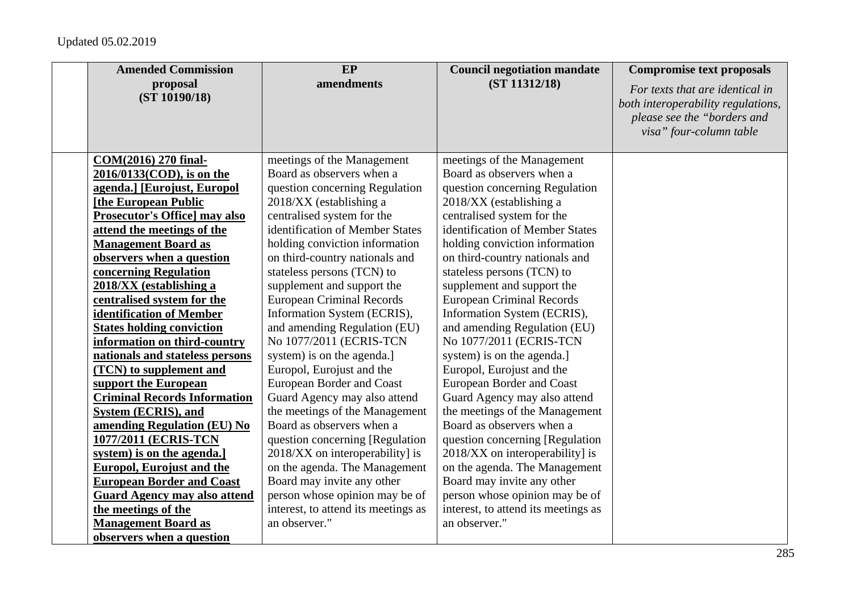| <b>Amended Commission</b>            | EP                                  | <b>Council negotiation mandate</b>  | <b>Compromise text proposals</b>                                                                                                |
|--------------------------------------|-------------------------------------|-------------------------------------|---------------------------------------------------------------------------------------------------------------------------------|
| proposal<br>(ST 10190/18)            | amendments                          | (ST 11312/18)                       | For texts that are identical in<br>both interoperability regulations,<br>please see the "borders and<br>visa" four-column table |
| COM(2016) 270 final-                 | meetings of the Management          | meetings of the Management          |                                                                                                                                 |
| 2016/0133(COD), is on the            | Board as observers when a           | Board as observers when a           |                                                                                                                                 |
| agenda.] [Eurojust, Europol          | question concerning Regulation      | question concerning Regulation      |                                                                                                                                 |
| [the European Public                 | 2018/XX (establishing a             | 2018/XX (establishing a             |                                                                                                                                 |
| <b>Prosecutor's Office] may also</b> | centralised system for the          | centralised system for the          |                                                                                                                                 |
| attend the meetings of the           | identification of Member States     | identification of Member States     |                                                                                                                                 |
| <b>Management Board as</b>           | holding conviction information      | holding conviction information      |                                                                                                                                 |
| observers when a question            | on third-country nationals and      | on third-country nationals and      |                                                                                                                                 |
| concerning Regulation                | stateless persons (TCN) to          | stateless persons (TCN) to          |                                                                                                                                 |
| 2018/XX (establishing a              | supplement and support the          | supplement and support the          |                                                                                                                                 |
| centralised system for the           | <b>European Criminal Records</b>    | <b>European Criminal Records</b>    |                                                                                                                                 |
| identification of Member             | Information System (ECRIS),         | Information System (ECRIS),         |                                                                                                                                 |
| <b>States holding conviction</b>     | and amending Regulation (EU)        | and amending Regulation (EU)        |                                                                                                                                 |
| information on third-country         | No 1077/2011 (ECRIS-TCN             | No 1077/2011 (ECRIS-TCN             |                                                                                                                                 |
| nationals and stateless persons      | system) is on the agenda.]          | system) is on the agenda.]          |                                                                                                                                 |
| (TCN) to supplement and              | Europol, Eurojust and the           | Europol, Eurojust and the           |                                                                                                                                 |
| support the European                 | <b>European Border and Coast</b>    | <b>European Border and Coast</b>    |                                                                                                                                 |
| <b>Criminal Records Information</b>  | Guard Agency may also attend        | Guard Agency may also attend        |                                                                                                                                 |
| <b>System (ECRIS), and</b>           | the meetings of the Management      | the meetings of the Management      |                                                                                                                                 |
| amending Regulation (EU) No          | Board as observers when a           | Board as observers when a           |                                                                                                                                 |
| 1077/2011 (ECRIS-TCN                 | question concerning [Regulation]    | question concerning [Regulation]    |                                                                                                                                 |
| system) is on the agenda.            | 2018/XX on interoperability] is     | 2018/XX on interoperability] is     |                                                                                                                                 |
| <b>Europol, Eurojust and the</b>     | on the agenda. The Management       | on the agenda. The Management       |                                                                                                                                 |
| <b>European Border and Coast</b>     | Board may invite any other          | Board may invite any other          |                                                                                                                                 |
| <b>Guard Agency may also attend</b>  | person whose opinion may be of      | person whose opinion may be of      |                                                                                                                                 |
| the meetings of the                  | interest, to attend its meetings as | interest, to attend its meetings as |                                                                                                                                 |
| <b>Management Board as</b>           | an observer."                       | an observer."                       |                                                                                                                                 |
| observers when a question            |                                     |                                     |                                                                                                                                 |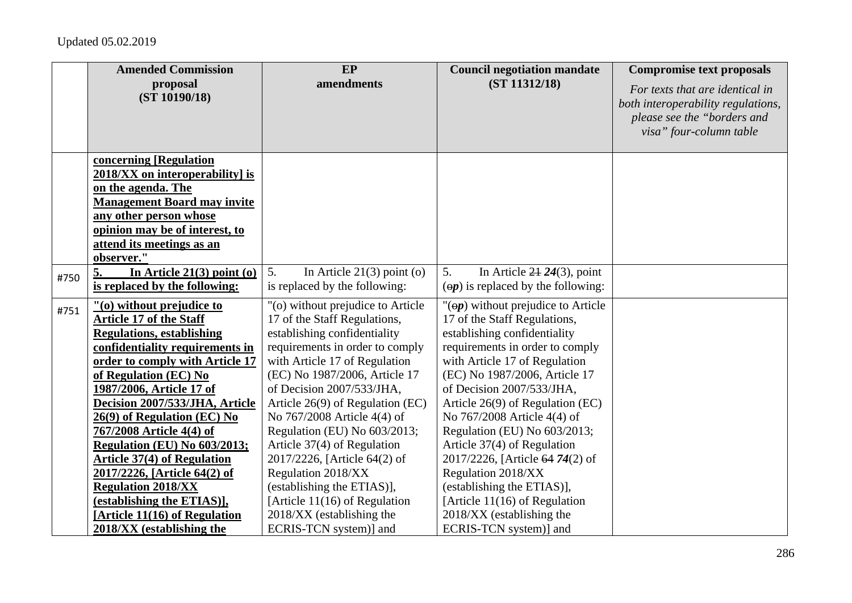|      | <b>Amended Commission</b>           | EP                                 | <b>Council negotiation mandate</b>                    | <b>Compromise text proposals</b>                                      |
|------|-------------------------------------|------------------------------------|-------------------------------------------------------|-----------------------------------------------------------------------|
|      | proposal<br>(ST 10190/18)           | amendments                         | (ST 11312/18)                                         | For texts that are identical in<br>both interoperability regulations, |
|      |                                     |                                    |                                                       | please see the "borders and<br>visa" four-column table                |
|      | concerning [Regulation              |                                    |                                                       |                                                                       |
|      | $2018/XX$ on interoperability] is   |                                    |                                                       |                                                                       |
|      | on the agenda. The                  |                                    |                                                       |                                                                       |
|      | <b>Management Board may invite</b>  |                                    |                                                       |                                                                       |
|      | any other person whose              |                                    |                                                       |                                                                       |
|      | opinion may be of interest, to      |                                    |                                                       |                                                                       |
|      | attend its meetings as an           |                                    |                                                       |                                                                       |
|      | observer."                          |                                    |                                                       |                                                                       |
| #750 | 5.<br>In Article $21(3)$ point (o)  | 5.<br>In Article $21(3)$ point (o) | 5.<br>In Article $24\overline{24(3)}$ , point         |                                                                       |
|      | is replaced by the following:       | is replaced by the following:      | $\left(\Theta p\right)$ is replaced by the following: |                                                                       |
| #751 | "(0) without prejudice to           | "(o) without prejudice to Article  | $"(\Theta p)$ without prejudice to Article            |                                                                       |
|      | <b>Article 17 of the Staff</b>      | 17 of the Staff Regulations,       | 17 of the Staff Regulations,                          |                                                                       |
|      | <b>Regulations, establishing</b>    | establishing confidentiality       | establishing confidentiality                          |                                                                       |
|      | confidentiality requirements in     | requirements in order to comply    | requirements in order to comply                       |                                                                       |
|      | order to comply with Article 17     | with Article 17 of Regulation      | with Article 17 of Regulation                         |                                                                       |
|      | of Regulation (EC) No               | (EC) No 1987/2006, Article 17      | (EC) No 1987/2006, Article 17                         |                                                                       |
|      | 1987/2006, Article 17 of            | of Decision 2007/533/JHA,          | of Decision 2007/533/JHA,                             |                                                                       |
|      | Decision 2007/533/JHA, Article      | Article $26(9)$ of Regulation (EC) | Article $26(9)$ of Regulation (EC)                    |                                                                       |
|      | 26(9) of Regulation (EC) No         | No 767/2008 Article 4(4) of        | No 767/2008 Article 4(4) of                           |                                                                       |
|      | 767/2008 Article 4(4) of            | Regulation (EU) No 603/2013;       | Regulation (EU) No 603/2013;                          |                                                                       |
|      | <b>Regulation (EU) No 603/2013;</b> | Article 37(4) of Regulation        | Article 37(4) of Regulation                           |                                                                       |
|      | <b>Article 37(4) of Regulation</b>  | 2017/2226, [Article 64(2) of       | 2017/2226, [Article 64 74(2) of                       |                                                                       |
|      | 2017/2226, [Article 64(2) of        | Regulation 2018/XX                 | Regulation 2018/XX                                    |                                                                       |
|      | <b>Regulation 2018/XX</b>           | (establishing the ETIAS)],         | (establishing the ETIAS)],                            |                                                                       |
|      | (establishing the ETIAS)],          | [Article $11(16)$ of Regulation    | [Article $11(16)$ of Regulation                       |                                                                       |
|      | [Article 11(16) of Regulation       | 2018/XX (establishing the          | 2018/XX (establishing the                             |                                                                       |
|      | 2018/XX (establishing the           | ECRIS-TCN system)] and             | ECRIS-TCN system)] and                                |                                                                       |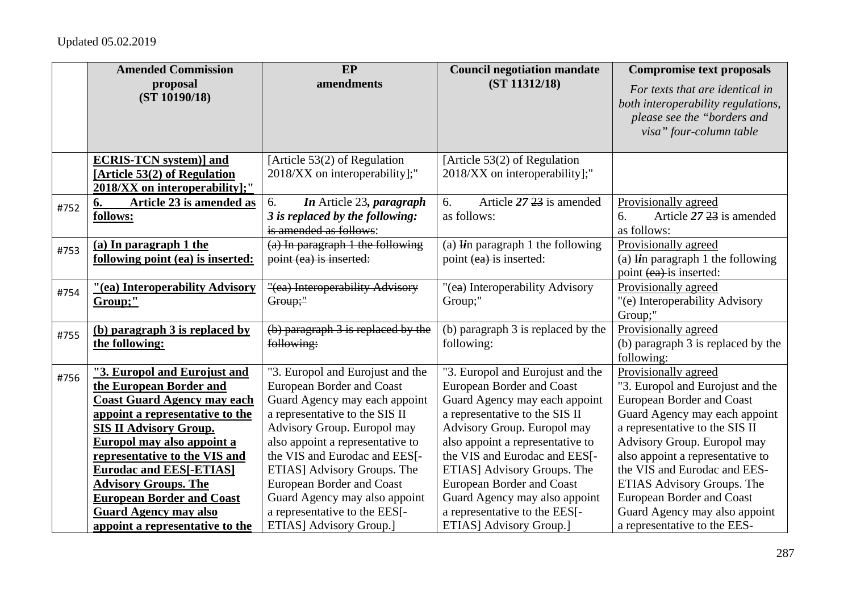|      | <b>Amended Commission</b>                                                                                                                                                                                                                                                                         | EP                                                                                                                                                                                                                                                                                                             | <b>Council negotiation mandate</b>                                                                                                                                                                                                                                                                             | <b>Compromise text proposals</b>                                                                                                                                                                                                                                                          |
|------|---------------------------------------------------------------------------------------------------------------------------------------------------------------------------------------------------------------------------------------------------------------------------------------------------|----------------------------------------------------------------------------------------------------------------------------------------------------------------------------------------------------------------------------------------------------------------------------------------------------------------|----------------------------------------------------------------------------------------------------------------------------------------------------------------------------------------------------------------------------------------------------------------------------------------------------------------|-------------------------------------------------------------------------------------------------------------------------------------------------------------------------------------------------------------------------------------------------------------------------------------------|
|      | proposal<br>(ST 10190/18)                                                                                                                                                                                                                                                                         | amendments                                                                                                                                                                                                                                                                                                     | (ST 11312/18)                                                                                                                                                                                                                                                                                                  | For texts that are identical in<br>both interoperability regulations,<br>please see the "borders and<br>visa" four-column table                                                                                                                                                           |
|      | <b>ECRIS-TCN</b> system)] and<br>[Article 53(2) of Regulation<br>2018/XX on interoperability];"                                                                                                                                                                                                   | [Article 53(2) of Regulation<br>2018/XX on interoperability];"                                                                                                                                                                                                                                                 | [Article 53(2) of Regulation<br>2018/XX on interoperability];"                                                                                                                                                                                                                                                 |                                                                                                                                                                                                                                                                                           |
| #752 | Article 23 is amended as<br>6.<br>follows:                                                                                                                                                                                                                                                        | In Article 23, paragraph<br>6.<br>3 is replaced by the following:<br>is amended as follows:                                                                                                                                                                                                                    | Article 27 23 is amended<br>6.<br>as follows:                                                                                                                                                                                                                                                                  | Provisionally agreed<br>Article 27 23 is amended<br>6.<br>as follows:                                                                                                                                                                                                                     |
| #753 | (a) In paragraph 1 the<br>following point (ea) is inserted:                                                                                                                                                                                                                                       | $(a)$ In paragraph 1 the following<br>point (ea) is inserted:                                                                                                                                                                                                                                                  | (a) $\mathbf{F}$ in paragraph 1 the following<br>point (ea) is inserted:                                                                                                                                                                                                                                       | Provisionally agreed<br>(a) $\mathbf{I}$ in paragraph 1 the following<br>point (ea) is inserted:                                                                                                                                                                                          |
| #754 | "(ea) Interoperability Advisory<br>Group;"                                                                                                                                                                                                                                                        | "(ea) Interoperability Advisory<br>Group;"                                                                                                                                                                                                                                                                     | "(ea) Interoperability Advisory<br>Group;"                                                                                                                                                                                                                                                                     | Provisionally agreed<br>"(e) Interoperability Advisory<br>Group;"                                                                                                                                                                                                                         |
| #755 | (b) paragraph 3 is replaced by<br>the following:                                                                                                                                                                                                                                                  | $(b)$ paragraph $3$ is replaced by the<br>following:                                                                                                                                                                                                                                                           | (b) paragraph 3 is replaced by the<br>following:                                                                                                                                                                                                                                                               | Provisionally agreed<br>(b) paragraph 3 is replaced by the<br>following:                                                                                                                                                                                                                  |
| #756 | "3. Europol and Eurojust and<br>the European Border and<br><b>Coast Guard Agency may each</b><br>appoint a representative to the<br><b>SIS II Advisory Group.</b><br>Europol may also appoint a<br>representative to the VIS and<br><b>Eurodac and EES[-ETIAS]</b><br><b>Advisory Groups. The</b> | "3. Europol and Eurojust and the<br><b>European Border and Coast</b><br>Guard Agency may each appoint<br>a representative to the SIS II<br>Advisory Group. Europol may<br>also appoint a representative to<br>the VIS and Eurodac and EES[-<br>ETIAS] Advisory Groups. The<br><b>European Border and Coast</b> | "3. Europol and Eurojust and the<br><b>European Border and Coast</b><br>Guard Agency may each appoint<br>a representative to the SIS II<br>Advisory Group. Europol may<br>also appoint a representative to<br>the VIS and Eurodac and EES[-<br>ETIAS] Advisory Groups. The<br><b>European Border and Coast</b> | Provisionally agreed<br>"3. Europol and Eurojust and the<br>European Border and Coast<br>Guard Agency may each appoint<br>a representative to the SIS II<br>Advisory Group. Europol may<br>also appoint a representative to<br>the VIS and Eurodac and EES-<br>ETIAS Advisory Groups. The |
|      | <b>European Border and Coast</b><br><b>Guard Agency may also</b><br>appoint a representative to the                                                                                                                                                                                               | Guard Agency may also appoint<br>a representative to the EES[-<br>ETIAS] Advisory Group.]                                                                                                                                                                                                                      | Guard Agency may also appoint<br>a representative to the EES[-<br>ETIAS] Advisory Group.]                                                                                                                                                                                                                      | <b>European Border and Coast</b><br>Guard Agency may also appoint<br>a representative to the EES-                                                                                                                                                                                         |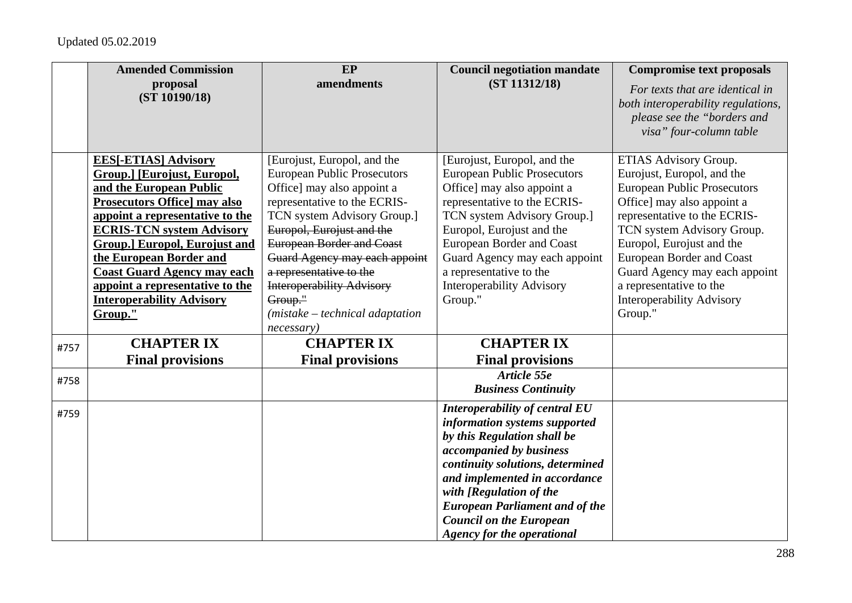|      | <b>Amended Commission</b>           | EP                                 | <b>Council negotiation mandate</b>    | <b>Compromise text proposals</b>                                                                                                |
|------|-------------------------------------|------------------------------------|---------------------------------------|---------------------------------------------------------------------------------------------------------------------------------|
|      | proposal<br>(ST 10190/18)           | amendments                         | (ST 11312/18)                         | For texts that are identical in<br>both interoperability regulations,<br>please see the "borders and<br>visa" four-column table |
|      | <b>EES[-ETIAS] Advisory</b>         | [Eurojust, Europol, and the        | [Eurojust, Europol, and the           | ETIAS Advisory Group.                                                                                                           |
|      | <b>Group.] [Eurojust, Europol,</b>  | <b>European Public Prosecutors</b> | <b>European Public Prosecutors</b>    | Eurojust, Europol, and the                                                                                                      |
|      | and the European Public             | Office] may also appoint a         | Office] may also appoint a            | <b>European Public Prosecutors</b>                                                                                              |
|      | <b>Prosecutors Office] may also</b> | representative to the ECRIS-       | representative to the ECRIS-          | Office] may also appoint a                                                                                                      |
|      | appoint a representative to the     | TCN system Advisory Group.]        | TCN system Advisory Group.]           | representative to the ECRIS-                                                                                                    |
|      | <b>ECRIS-TCN system Advisory</b>    | Europol, Eurojust and the          | Europol, Eurojust and the             | TCN system Advisory Group.                                                                                                      |
|      | Group.] Europol, Eurojust and       | <b>European Border and Coast</b>   | <b>European Border and Coast</b>      | Europol, Eurojust and the                                                                                                       |
|      | the European Border and             | Guard Agency may each appoint      | Guard Agency may each appoint         | <b>European Border and Coast</b>                                                                                                |
|      | <b>Coast Guard Agency may each</b>  | a representative to the            | a representative to the               | Guard Agency may each appoint                                                                                                   |
|      | appoint a representative to the     | <b>Interoperability Advisory</b>   | <b>Interoperability Advisory</b>      | a representative to the                                                                                                         |
|      | <b>Interoperability Advisory</b>    | Group."                            | Group."                               | <b>Interoperability Advisory</b>                                                                                                |
|      | Group."                             | $(mistake - technical adaptation)$ |                                       | Group."                                                                                                                         |
|      |                                     | necessary)                         |                                       |                                                                                                                                 |
| #757 | <b>CHAPTER IX</b>                   | <b>CHAPTER IX</b>                  | <b>CHAPTER IX</b>                     |                                                                                                                                 |
|      | <b>Final provisions</b>             | <b>Final provisions</b>            | <b>Final provisions</b>               |                                                                                                                                 |
| #758 |                                     |                                    | Article 55e                           |                                                                                                                                 |
|      |                                     |                                    | <b>Business Continuity</b>            |                                                                                                                                 |
| #759 |                                     |                                    | Interoperability of central EU        |                                                                                                                                 |
|      |                                     |                                    | information systems supported         |                                                                                                                                 |
|      |                                     |                                    | by this Regulation shall be           |                                                                                                                                 |
|      |                                     |                                    | accompanied by business               |                                                                                                                                 |
|      |                                     |                                    | continuity solutions, determined      |                                                                                                                                 |
|      |                                     |                                    | and implemented in accordance         |                                                                                                                                 |
|      |                                     |                                    | with [Regulation of the               |                                                                                                                                 |
|      |                                     |                                    | <b>European Parliament and of the</b> |                                                                                                                                 |
|      |                                     |                                    | <b>Council on the European</b>        |                                                                                                                                 |
|      |                                     |                                    | <b>Agency for the operational</b>     |                                                                                                                                 |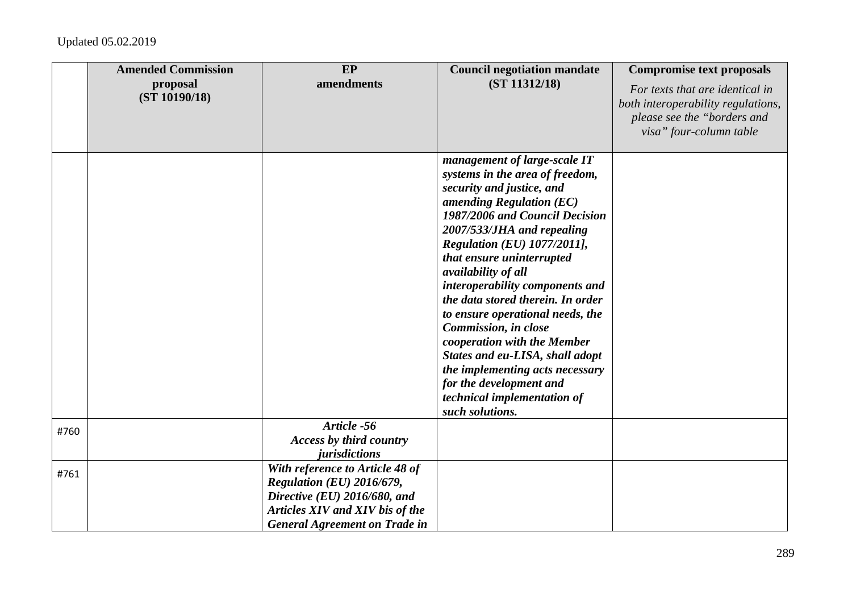|      | <b>Amended Commission</b> | EP                                                                                                                                                                      | <b>Council negotiation mandate</b>                                                                                                                                                                                                                                                                                                                                                                                                                                                                                                                                                                         | <b>Compromise text proposals</b>                                                                                                |
|------|---------------------------|-------------------------------------------------------------------------------------------------------------------------------------------------------------------------|------------------------------------------------------------------------------------------------------------------------------------------------------------------------------------------------------------------------------------------------------------------------------------------------------------------------------------------------------------------------------------------------------------------------------------------------------------------------------------------------------------------------------------------------------------------------------------------------------------|---------------------------------------------------------------------------------------------------------------------------------|
|      | proposal<br>(ST 10190/18) | amendments                                                                                                                                                              | (ST 11312/18)                                                                                                                                                                                                                                                                                                                                                                                                                                                                                                                                                                                              | For texts that are identical in<br>both interoperability regulations,<br>please see the "borders and<br>visa" four-column table |
|      |                           |                                                                                                                                                                         | management of large-scale IT<br>systems in the area of freedom,<br>security and justice, and<br>amending Regulation $(EC)$<br>1987/2006 and Council Decision<br>2007/533/JHA and repealing<br><b>Regulation (EU) 1077/2011],</b><br>that ensure uninterrupted<br>availability of all<br>interoperability components and<br>the data stored therein. In order<br>to ensure operational needs, the<br>Commission, in close<br>cooperation with the Member<br>States and eu-LISA, shall adopt<br>the implementing acts necessary<br>for the development and<br>technical implementation of<br>such solutions. |                                                                                                                                 |
| #760 |                           | Article -56<br><b>Access by third country</b><br>jurisdictions                                                                                                          |                                                                                                                                                                                                                                                                                                                                                                                                                                                                                                                                                                                                            |                                                                                                                                 |
| #761 |                           | With reference to Article 48 of<br>Regulation (EU) 2016/679,<br>Directive (EU) 2016/680, and<br>Articles XIV and XIV bis of the<br><b>General Agreement on Trade in</b> |                                                                                                                                                                                                                                                                                                                                                                                                                                                                                                                                                                                                            |                                                                                                                                 |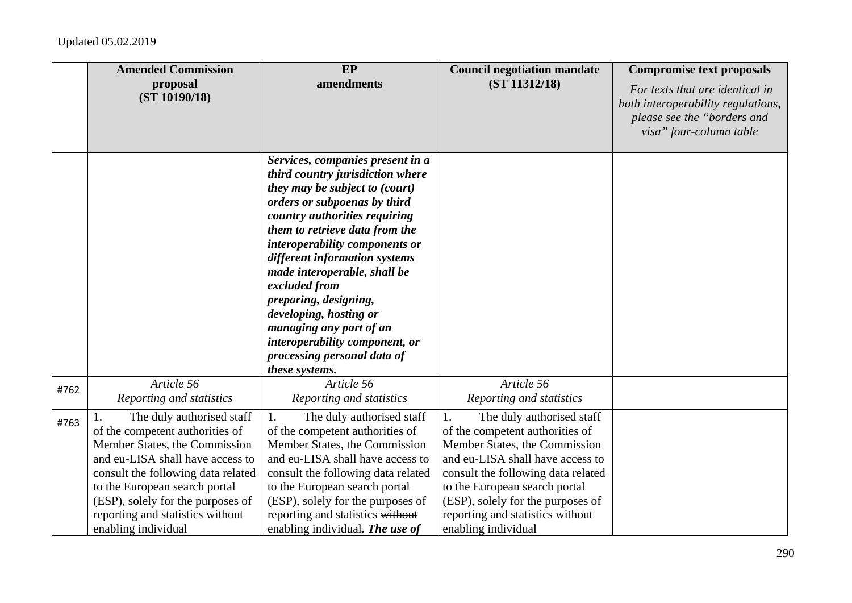|      | <b>Amended Commission</b><br>proposal<br>(ST 10190/18)                                                                                                                                                                                                                                                         | EP<br>amendments                                                                                                                                                                                                                                                                                                                                                                                                                                                                               | <b>Council negotiation mandate</b><br>(ST 11312/18)                                                                                                                                                                                                                                                            | <b>Compromise text proposals</b><br>For texts that are identical in<br>both interoperability regulations, |
|------|----------------------------------------------------------------------------------------------------------------------------------------------------------------------------------------------------------------------------------------------------------------------------------------------------------------|------------------------------------------------------------------------------------------------------------------------------------------------------------------------------------------------------------------------------------------------------------------------------------------------------------------------------------------------------------------------------------------------------------------------------------------------------------------------------------------------|----------------------------------------------------------------------------------------------------------------------------------------------------------------------------------------------------------------------------------------------------------------------------------------------------------------|-----------------------------------------------------------------------------------------------------------|
|      |                                                                                                                                                                                                                                                                                                                |                                                                                                                                                                                                                                                                                                                                                                                                                                                                                                |                                                                                                                                                                                                                                                                                                                | please see the "borders and<br>visa" four-column table                                                    |
|      |                                                                                                                                                                                                                                                                                                                | Services, companies present in a<br>third country jurisdiction where<br>they may be subject to (court)<br>orders or subpoenas by third<br>country authorities requiring<br>them to retrieve data from the<br>interoperability components or<br>different information systems<br>made interoperable, shall be<br>excluded from<br>preparing, designing,<br>developing, hosting or<br>managing any part of an<br>interoperability component, or<br>processing personal data of<br>these systems. |                                                                                                                                                                                                                                                                                                                |                                                                                                           |
| #762 | Article 56<br>Reporting and statistics                                                                                                                                                                                                                                                                         | Article 56<br>Reporting and statistics                                                                                                                                                                                                                                                                                                                                                                                                                                                         | Article 56<br>Reporting and statistics                                                                                                                                                                                                                                                                         |                                                                                                           |
| #763 | The duly authorised staff<br>1.<br>of the competent authorities of<br>Member States, the Commission<br>and eu-LISA shall have access to<br>consult the following data related<br>to the European search portal<br>(ESP), solely for the purposes of<br>reporting and statistics without<br>enabling individual | 1.<br>The duly authorised staff<br>of the competent authorities of<br>Member States, the Commission<br>and eu-LISA shall have access to<br>consult the following data related<br>to the European search portal<br>(ESP), solely for the purposes of<br>reporting and statistics without<br>enabling individual. The use of                                                                                                                                                                     | The duly authorised staff<br>1.<br>of the competent authorities of<br>Member States, the Commission<br>and eu-LISA shall have access to<br>consult the following data related<br>to the European search portal<br>(ESP), solely for the purposes of<br>reporting and statistics without<br>enabling individual |                                                                                                           |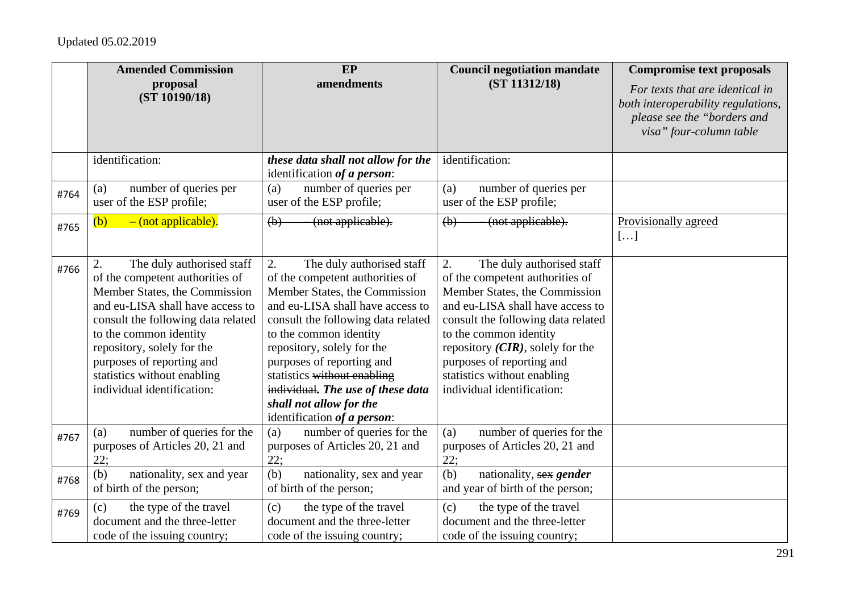|      | <b>Amended Commission</b><br>proposal<br>(ST 10190/18)                                                                                                                                                                                                                                                                          | EP<br>amendments                                                                                                                                                                                                                                                                                                                                                                                 | <b>Council negotiation mandate</b><br>(ST 11312/18)                                                                                                                                                                                                                                                                                      | <b>Compromise text proposals</b><br>For texts that are identical in<br>both interoperability regulations,<br>please see the "borders and<br>visa" four-column table |
|------|---------------------------------------------------------------------------------------------------------------------------------------------------------------------------------------------------------------------------------------------------------------------------------------------------------------------------------|--------------------------------------------------------------------------------------------------------------------------------------------------------------------------------------------------------------------------------------------------------------------------------------------------------------------------------------------------------------------------------------------------|------------------------------------------------------------------------------------------------------------------------------------------------------------------------------------------------------------------------------------------------------------------------------------------------------------------------------------------|---------------------------------------------------------------------------------------------------------------------------------------------------------------------|
|      | identification:                                                                                                                                                                                                                                                                                                                 | these data shall not allow for the<br>identification of a person:                                                                                                                                                                                                                                                                                                                                | identification:                                                                                                                                                                                                                                                                                                                          |                                                                                                                                                                     |
| #764 | number of queries per<br>(a)<br>user of the ESP profile;                                                                                                                                                                                                                                                                        | number of queries per<br>(a)<br>user of the ESP profile;                                                                                                                                                                                                                                                                                                                                         | number of queries per<br>(a)<br>user of the ESP profile;                                                                                                                                                                                                                                                                                 |                                                                                                                                                                     |
| #765 | (b)<br>- (not applicable).                                                                                                                                                                                                                                                                                                      | (not applicable).<br>(b)                                                                                                                                                                                                                                                                                                                                                                         | $\left(\mathbf{b}\right)$<br>(not applicable).                                                                                                                                                                                                                                                                                           | Provisionally agreed<br>[]                                                                                                                                          |
| #766 | The duly authorised staff<br>2.<br>of the competent authorities of<br>Member States, the Commission<br>and eu-LISA shall have access to<br>consult the following data related<br>to the common identity<br>repository, solely for the<br>purposes of reporting and<br>statistics without enabling<br>individual identification: | 2.<br>The duly authorised staff<br>of the competent authorities of<br>Member States, the Commission<br>and eu-LISA shall have access to<br>consult the following data related<br>to the common identity<br>repository, solely for the<br>purposes of reporting and<br>statistics without enabling<br>individual. The use of these data<br>shall not allow for the<br>identification of a person: | 2.<br>The duly authorised staff<br>of the competent authorities of<br>Member States, the Commission<br>and eu-LISA shall have access to<br>consult the following data related<br>to the common identity<br>repository $(CIR)$ , solely for the<br>purposes of reporting and<br>statistics without enabling<br>individual identification: |                                                                                                                                                                     |
| #767 | number of queries for the<br>(a)<br>purposes of Articles 20, 21 and<br>22:                                                                                                                                                                                                                                                      | number of queries for the<br>(a)<br>purposes of Articles 20, 21 and<br>22:                                                                                                                                                                                                                                                                                                                       | number of queries for the<br>(a)<br>purposes of Articles 20, 21 and<br>22;                                                                                                                                                                                                                                                               |                                                                                                                                                                     |
| #768 | (b)<br>nationality, sex and year<br>of birth of the person;                                                                                                                                                                                                                                                                     | (b)<br>nationality, sex and year<br>of birth of the person;                                                                                                                                                                                                                                                                                                                                      | (b)<br>nationality, sex gender<br>and year of birth of the person;                                                                                                                                                                                                                                                                       |                                                                                                                                                                     |
| #769 | the type of the travel<br>(c)<br>document and the three-letter<br>code of the issuing country;                                                                                                                                                                                                                                  | the type of the travel<br>(c)<br>document and the three-letter<br>code of the issuing country;                                                                                                                                                                                                                                                                                                   | the type of the travel<br>(c)<br>document and the three-letter<br>code of the issuing country;                                                                                                                                                                                                                                           |                                                                                                                                                                     |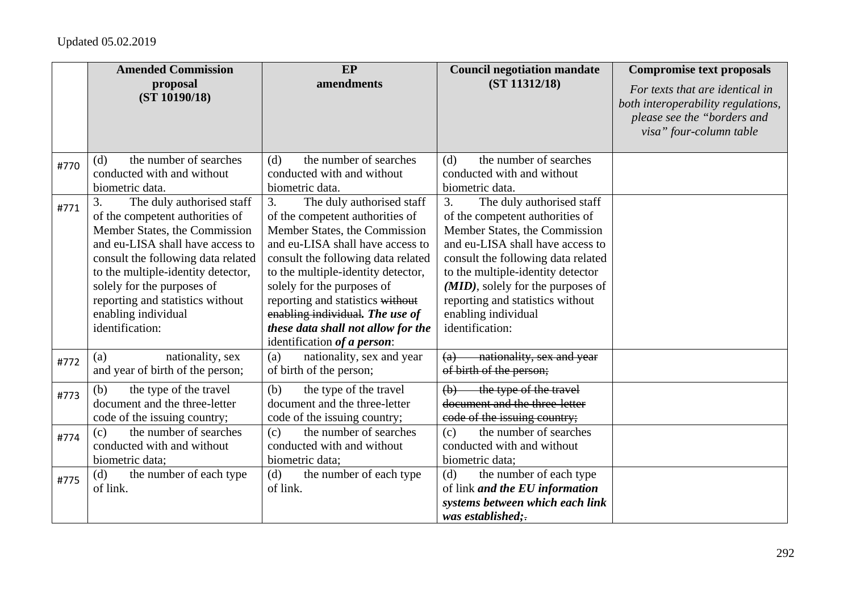|      | <b>Amended Commission</b>                                                                                                                                                                                                                                                                                                       | <b>EP</b>                                                                                                                                                                                                                                                                                                                                                                                     | <b>Council negotiation mandate</b>                                                                                                                                                                                                                                                                                                    | <b>Compromise text proposals</b>                                                                                                |
|------|---------------------------------------------------------------------------------------------------------------------------------------------------------------------------------------------------------------------------------------------------------------------------------------------------------------------------------|-----------------------------------------------------------------------------------------------------------------------------------------------------------------------------------------------------------------------------------------------------------------------------------------------------------------------------------------------------------------------------------------------|---------------------------------------------------------------------------------------------------------------------------------------------------------------------------------------------------------------------------------------------------------------------------------------------------------------------------------------|---------------------------------------------------------------------------------------------------------------------------------|
|      | proposal<br>(ST 10190/18)                                                                                                                                                                                                                                                                                                       | amendments                                                                                                                                                                                                                                                                                                                                                                                    | (ST 11312/18)                                                                                                                                                                                                                                                                                                                         | For texts that are identical in<br>both interoperability regulations,<br>please see the "borders and<br>visa" four-column table |
| #770 | the number of searches<br>(d)                                                                                                                                                                                                                                                                                                   | the number of searches<br>(d)                                                                                                                                                                                                                                                                                                                                                                 | the number of searches<br>(d)                                                                                                                                                                                                                                                                                                         |                                                                                                                                 |
|      | conducted with and without<br>biometric data.                                                                                                                                                                                                                                                                                   | conducted with and without<br>biometric data.                                                                                                                                                                                                                                                                                                                                                 | conducted with and without<br>biometric data.                                                                                                                                                                                                                                                                                         |                                                                                                                                 |
| #771 | 3.<br>The duly authorised staff<br>of the competent authorities of<br>Member States, the Commission<br>and eu-LISA shall have access to<br>consult the following data related<br>to the multiple-identity detector,<br>solely for the purposes of<br>reporting and statistics without<br>enabling individual<br>identification: | 3.<br>The duly authorised staff<br>of the competent authorities of<br>Member States, the Commission<br>and eu-LISA shall have access to<br>consult the following data related<br>to the multiple-identity detector,<br>solely for the purposes of<br>reporting and statistics without<br>enabling individual. The use of<br>these data shall not allow for the<br>identification of a person: | The duly authorised staff<br>3.<br>of the competent authorities of<br>Member States, the Commission<br>and eu-LISA shall have access to<br>consult the following data related<br>to the multiple-identity detector<br>(MID), solely for the purposes of<br>reporting and statistics without<br>enabling individual<br>identification: |                                                                                                                                 |
| #772 | nationality, sex<br>(a)<br>and year of birth of the person;                                                                                                                                                                                                                                                                     | nationality, sex and year<br>(a)<br>of birth of the person;                                                                                                                                                                                                                                                                                                                                   | nationality, sex and year<br>(a)<br>of birth of the person;                                                                                                                                                                                                                                                                           |                                                                                                                                 |
| #773 | the type of the travel<br>(b)<br>document and the three-letter<br>code of the issuing country;                                                                                                                                                                                                                                  | the type of the travel<br>(b)<br>document and the three-letter<br>code of the issuing country;                                                                                                                                                                                                                                                                                                | the type of the travel<br>$\left(\mathbf{b}\right)$<br>document and the three-letter<br>eode of the issuing country;                                                                                                                                                                                                                  |                                                                                                                                 |
| #774 | the number of searches<br>(c)<br>conducted with and without<br>biometric data;                                                                                                                                                                                                                                                  | the number of searches<br>(c)<br>conducted with and without<br>biometric data;                                                                                                                                                                                                                                                                                                                | the number of searches<br>(c)<br>conducted with and without<br>biometric data;                                                                                                                                                                                                                                                        |                                                                                                                                 |
| #775 | the number of each type<br>(d)<br>of link.                                                                                                                                                                                                                                                                                      | the number of each type<br>(d)<br>of link.                                                                                                                                                                                                                                                                                                                                                    | the number of each type<br>(d)<br>of link and the EU information<br>systems between which each link<br>was established:                                                                                                                                                                                                               |                                                                                                                                 |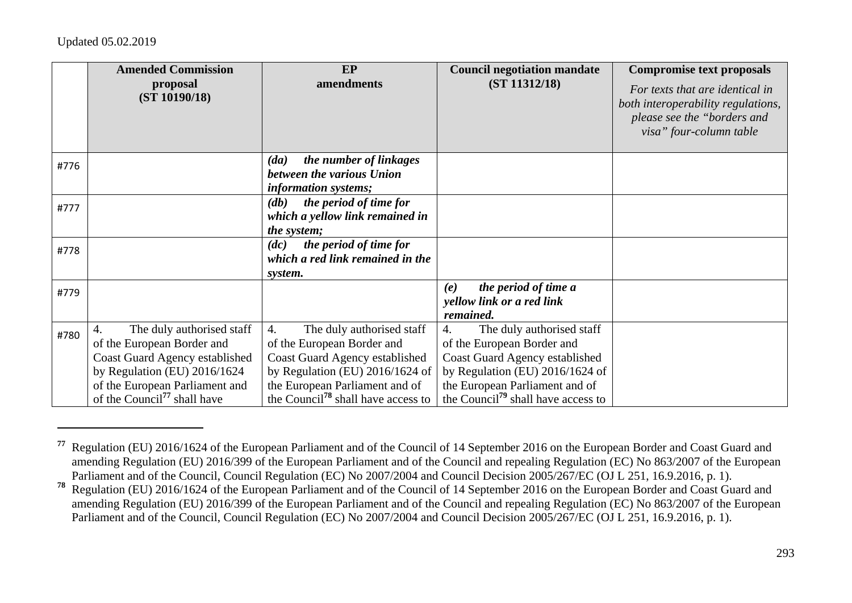|      | <b>Amended Commission</b><br>proposal<br>(ST 10190/18)                                                                                                                                                                     | EP<br>amendments                                                                                                                                                                                                                     | <b>Council negotiation mandate</b><br>(ST 11312/18)                                                                                                                                                                    | <b>Compromise text proposals</b><br>For texts that are identical in<br>both interoperability regulations,<br>please see the "borders and<br>visa" four-column table |
|------|----------------------------------------------------------------------------------------------------------------------------------------------------------------------------------------------------------------------------|--------------------------------------------------------------------------------------------------------------------------------------------------------------------------------------------------------------------------------------|------------------------------------------------------------------------------------------------------------------------------------------------------------------------------------------------------------------------|---------------------------------------------------------------------------------------------------------------------------------------------------------------------|
| #776 |                                                                                                                                                                                                                            | the number of linkages<br>(da)<br>between the various Union<br>information systems;                                                                                                                                                  |                                                                                                                                                                                                                        |                                                                                                                                                                     |
| #777 |                                                                                                                                                                                                                            | the period of time for<br>$\left(\mathbf{d}\mathbf{b}\right)$<br>which a yellow link remained in<br>the system;                                                                                                                      |                                                                                                                                                                                                                        |                                                                                                                                                                     |
| #778 |                                                                                                                                                                                                                            | the period of time for<br>(dc)<br>which a red link remained in the<br>system.                                                                                                                                                        |                                                                                                                                                                                                                        |                                                                                                                                                                     |
| #779 |                                                                                                                                                                                                                            |                                                                                                                                                                                                                                      | the period of time a<br>(e)<br>yellow link or a red link<br>remained.                                                                                                                                                  |                                                                                                                                                                     |
| #780 | The duly authorised staff<br>$\overline{4}$ .<br>of the European Border and<br>Coast Guard Agency established<br>by Regulation (EU) 2016/1624<br>of the European Parliament and<br>of the Council <sup>77</sup> shall have | $\overline{4}$ .<br>The duly authorised staff<br>of the European Border and<br>Coast Guard Agency established<br>by Regulation (EU) 2016/1624 of<br>the European Parliament and of<br>the Council <sup>78</sup> shall have access to | The duly authorised staff<br>4.<br>of the European Border and<br>Coast Guard Agency established<br>by Regulation (EU) 2016/1624 of<br>the European Parliament and of<br>the Council <sup>79</sup> shall have access to |                                                                                                                                                                     |

**<sup>77</sup>** Regulation (EU) 2016/1624 of the European Parliament and of the Council of 14 September 2016 on the European Border and Coast Guard and amending Regulation (EU) 2016/399 of the European Parliament and of the Council and repealing Regulation (EC) No 863/2007 of the European Parliament and of the Council, Council Regulation (EC) No 2007/2004 and Council Decision 2005/267/EC (OJ L 251, 16.9.2016, p. 1).

**<sup>78</sup>** Regulation (EU) 2016/1624 of the European Parliament and of the Council of 14 September 2016 on the European Border and Coast Guard and amending Regulation (EU) 2016/399 of the European Parliament and of the Council and repealing Regulation (EC) No 863/2007 of the European Parliament and of the Council, Council Regulation (EC) No 2007/2004 and Council Decision 2005/267/EC (OJ L 251, 16.9.2016, p. 1).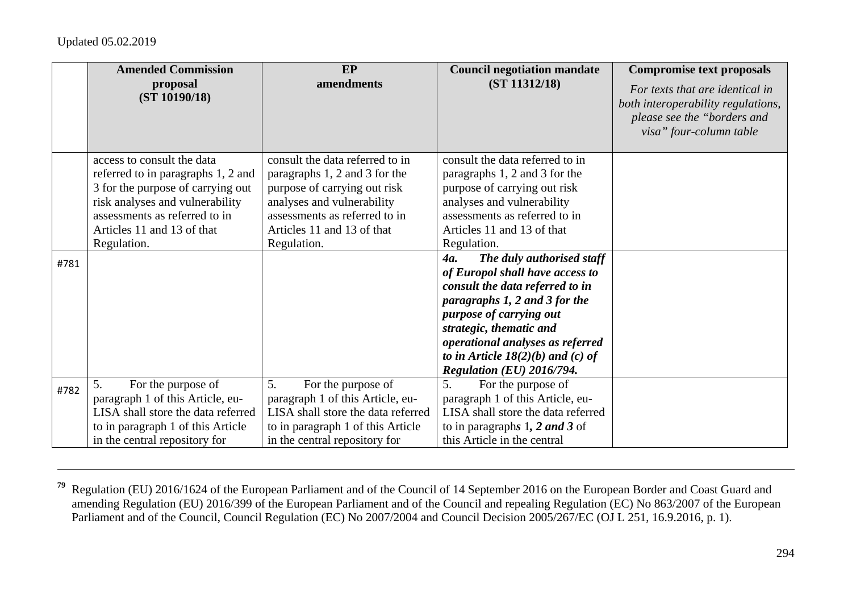|      | <b>Amended Commission</b>          | <b>EP</b>                          | <b>Council negotiation mandate</b>      | <b>Compromise text proposals</b>   |
|------|------------------------------------|------------------------------------|-----------------------------------------|------------------------------------|
|      | proposal                           | amendments                         | (ST 11312/18)                           | For texts that are identical in    |
|      | (ST 10190/18)                      |                                    |                                         | both interoperability regulations, |
|      |                                    |                                    |                                         | please see the "borders and        |
|      |                                    |                                    |                                         | visa" four-column table            |
|      |                                    |                                    |                                         |                                    |
|      | access to consult the data         | consult the data referred to in    | consult the data referred to in         |                                    |
|      | referred to in paragraphs 1, 2 and | paragraphs 1, 2 and 3 for the      | paragraphs 1, 2 and 3 for the           |                                    |
|      | 3 for the purpose of carrying out  | purpose of carrying out risk       | purpose of carrying out risk            |                                    |
|      | risk analyses and vulnerability    | analyses and vulnerability         | analyses and vulnerability              |                                    |
|      | assessments as referred to in      | assessments as referred to in      | assessments as referred to in           |                                    |
|      | Articles 11 and 13 of that         | Articles 11 and 13 of that         | Articles 11 and 13 of that              |                                    |
|      | Regulation.                        | Regulation.                        | Regulation.                             |                                    |
| #781 |                                    |                                    | The duly authorised staff<br><b>4a.</b> |                                    |
|      |                                    |                                    | of Europol shall have access to         |                                    |
|      |                                    |                                    | consult the data referred to in         |                                    |
|      |                                    |                                    | paragraphs 1, 2 and 3 for the           |                                    |
|      |                                    |                                    | purpose of carrying out                 |                                    |
|      |                                    |                                    | strategic, thematic and                 |                                    |
|      |                                    |                                    | operational analyses as referred        |                                    |
|      |                                    |                                    | to in Article $18(2)(b)$ and (c) of     |                                    |
|      |                                    |                                    | Regulation (EU) 2016/794.               |                                    |
| #782 | 5.<br>For the purpose of           | 5.<br>For the purpose of           | 5.<br>For the purpose of                |                                    |
|      | paragraph 1 of this Article, eu-   | paragraph 1 of this Article, eu-   | paragraph 1 of this Article, eu-        |                                    |
|      | LISA shall store the data referred | LISA shall store the data referred | LISA shall store the data referred      |                                    |
|      | to in paragraph 1 of this Article  | to in paragraph 1 of this Article  | to in paragraphs $1, 2$ and $3$ of      |                                    |
|      | in the central repository for      | in the central repository for      | this Article in the central             |                                    |

**<sup>79</sup>** Regulation (EU) 2016/1624 of the European Parliament and of the Council of 14 September 2016 on the European Border and Coast Guard and amending Regulation (EU) 2016/399 of the European Parliament and of the Council and repealing Regulation (EC) No 863/2007 of the European Parliament and of the Council, Council Regulation (EC) No 2007/2004 and Council Decision 2005/267/EC (OJ L 251, 16.9.2016, p. 1).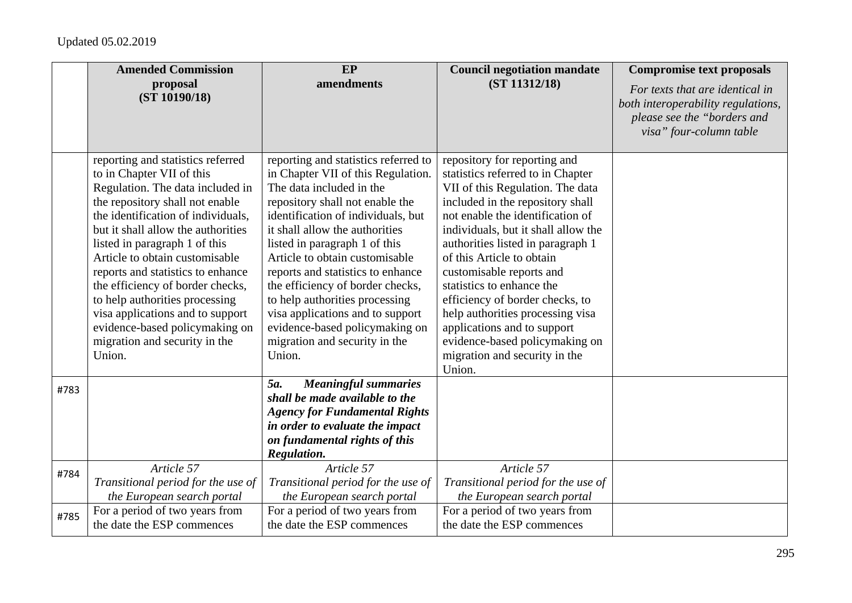|      | <b>Amended Commission</b>                                                                                                                                                                                                                                                                                                                                                                                                                                                                                        | EP                                                                                                                                                                                                                                                                                                                                                                                                                                                                                                               | <b>Council negotiation mandate</b>                                                                                                                                                                                                                                                                                                                                                                                                                                                                                                 | <b>Compromise text proposals</b>                                                                                                |
|------|------------------------------------------------------------------------------------------------------------------------------------------------------------------------------------------------------------------------------------------------------------------------------------------------------------------------------------------------------------------------------------------------------------------------------------------------------------------------------------------------------------------|------------------------------------------------------------------------------------------------------------------------------------------------------------------------------------------------------------------------------------------------------------------------------------------------------------------------------------------------------------------------------------------------------------------------------------------------------------------------------------------------------------------|------------------------------------------------------------------------------------------------------------------------------------------------------------------------------------------------------------------------------------------------------------------------------------------------------------------------------------------------------------------------------------------------------------------------------------------------------------------------------------------------------------------------------------|---------------------------------------------------------------------------------------------------------------------------------|
|      | proposal<br>(ST 10190/18)                                                                                                                                                                                                                                                                                                                                                                                                                                                                                        | amendments                                                                                                                                                                                                                                                                                                                                                                                                                                                                                                       | (ST 11312/18)                                                                                                                                                                                                                                                                                                                                                                                                                                                                                                                      | For texts that are identical in<br>both interoperability regulations,<br>please see the "borders and<br>visa" four-column table |
|      | reporting and statistics referred<br>to in Chapter VII of this<br>Regulation. The data included in<br>the repository shall not enable<br>the identification of individuals,<br>but it shall allow the authorities<br>listed in paragraph 1 of this<br>Article to obtain customisable<br>reports and statistics to enhance<br>the efficiency of border checks,<br>to help authorities processing<br>visa applications and to support<br>evidence-based policymaking on<br>migration and security in the<br>Union. | reporting and statistics referred to<br>in Chapter VII of this Regulation.<br>The data included in the<br>repository shall not enable the<br>identification of individuals, but<br>it shall allow the authorities<br>listed in paragraph 1 of this<br>Article to obtain customisable<br>reports and statistics to enhance<br>the efficiency of border checks,<br>to help authorities processing<br>visa applications and to support<br>evidence-based policymaking on<br>migration and security in the<br>Union. | repository for reporting and<br>statistics referred to in Chapter<br>VII of this Regulation. The data<br>included in the repository shall<br>not enable the identification of<br>individuals, but it shall allow the<br>authorities listed in paragraph 1<br>of this Article to obtain<br>customisable reports and<br>statistics to enhance the<br>efficiency of border checks, to<br>help authorities processing visa<br>applications and to support<br>evidence-based policymaking on<br>migration and security in the<br>Union. |                                                                                                                                 |
| #783 |                                                                                                                                                                                                                                                                                                                                                                                                                                                                                                                  | <b>Meaningful summaries</b><br>5a.<br>shall be made available to the<br><b>Agency for Fundamental Rights</b><br>in order to evaluate the impact<br>on fundamental rights of this<br>Regulation.                                                                                                                                                                                                                                                                                                                  |                                                                                                                                                                                                                                                                                                                                                                                                                                                                                                                                    |                                                                                                                                 |
| #784 | Article 57<br>Transitional period for the use of<br>the European search portal<br>For a period of two years from                                                                                                                                                                                                                                                                                                                                                                                                 | Article 57<br>Transitional period for the use of<br>the European search portal<br>For a period of two years from                                                                                                                                                                                                                                                                                                                                                                                                 | Article 57<br>Transitional period for the use of<br>the European search portal<br>For a period of two years from                                                                                                                                                                                                                                                                                                                                                                                                                   |                                                                                                                                 |
| #785 | the date the ESP commences                                                                                                                                                                                                                                                                                                                                                                                                                                                                                       | the date the ESP commences                                                                                                                                                                                                                                                                                                                                                                                                                                                                                       | the date the ESP commences                                                                                                                                                                                                                                                                                                                                                                                                                                                                                                         |                                                                                                                                 |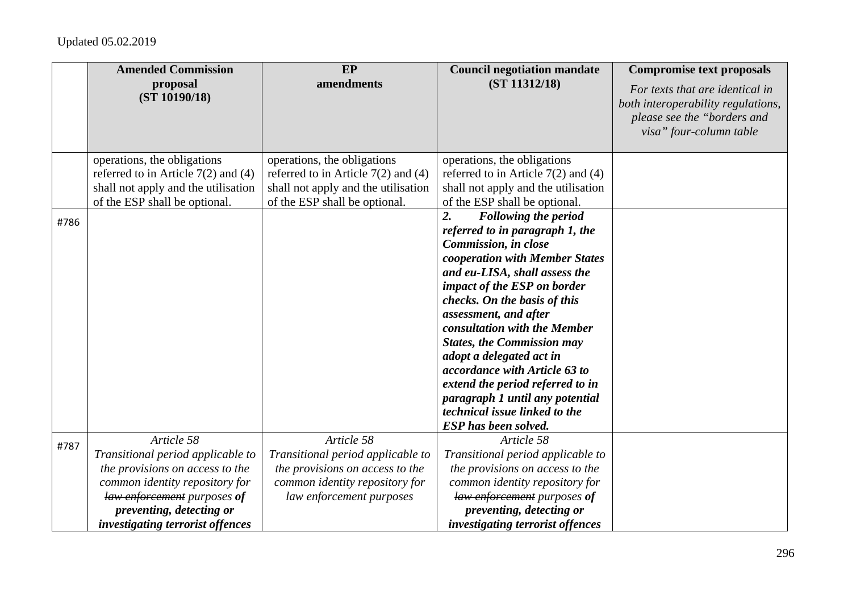|      | <b>Amended Commission</b>               | EP                                      | <b>Council negotiation mandate</b>                          | <b>Compromise text proposals</b>                                                                                                |
|------|-----------------------------------------|-----------------------------------------|-------------------------------------------------------------|---------------------------------------------------------------------------------------------------------------------------------|
|      | proposal<br>(ST 10190/18)               | amendments                              | (ST 11312/18)                                               | For texts that are identical in<br>both interoperability regulations,<br>please see the "borders and<br>visa" four-column table |
|      | operations, the obligations             | operations, the obligations             | operations, the obligations                                 |                                                                                                                                 |
|      | referred to in Article $7(2)$ and $(4)$ | referred to in Article $7(2)$ and $(4)$ | referred to in Article $7(2)$ and $(4)$                     |                                                                                                                                 |
|      | shall not apply and the utilisation     | shall not apply and the utilisation     | shall not apply and the utilisation                         |                                                                                                                                 |
|      | of the ESP shall be optional.           | of the ESP shall be optional.           | of the ESP shall be optional.                               |                                                                                                                                 |
| #786 |                                         |                                         | 2.<br><b>Following the period</b>                           |                                                                                                                                 |
|      |                                         |                                         | referred to in paragraph 1, the                             |                                                                                                                                 |
|      |                                         |                                         | Commission, in close                                        |                                                                                                                                 |
|      |                                         |                                         | cooperation with Member States                              |                                                                                                                                 |
|      |                                         |                                         | and eu-LISA, shall assess the                               |                                                                                                                                 |
|      |                                         |                                         | impact of the ESP on border<br>checks. On the basis of this |                                                                                                                                 |
|      |                                         |                                         | assessment, and after                                       |                                                                                                                                 |
|      |                                         |                                         | consultation with the Member                                |                                                                                                                                 |
|      |                                         |                                         | <b>States, the Commission may</b>                           |                                                                                                                                 |
|      |                                         |                                         | adopt a delegated act in                                    |                                                                                                                                 |
|      |                                         |                                         | accordance with Article 63 to                               |                                                                                                                                 |
|      |                                         |                                         | extend the period referred to in                            |                                                                                                                                 |
|      |                                         |                                         | paragraph 1 until any potential                             |                                                                                                                                 |
|      |                                         |                                         | technical issue linked to the                               |                                                                                                                                 |
|      |                                         |                                         | ESP has been solved.                                        |                                                                                                                                 |
| #787 | Article 58                              | Article 58                              | Article 58                                                  |                                                                                                                                 |
|      | Transitional period applicable to       | Transitional period applicable to       | Transitional period applicable to                           |                                                                                                                                 |
|      | the provisions on access to the         | the provisions on access to the         | the provisions on access to the                             |                                                                                                                                 |
|      | common identity repository for          | common identity repository for          | common identity repository for                              |                                                                                                                                 |
|      | law enforcement purposes of             | law enforcement purposes                | law enforcement purposes of                                 |                                                                                                                                 |
|      | preventing, detecting or                |                                         | preventing, detecting or                                    |                                                                                                                                 |
|      | <i>investigating terrorist offences</i> |                                         | <i>investigating terrorist offences</i>                     |                                                                                                                                 |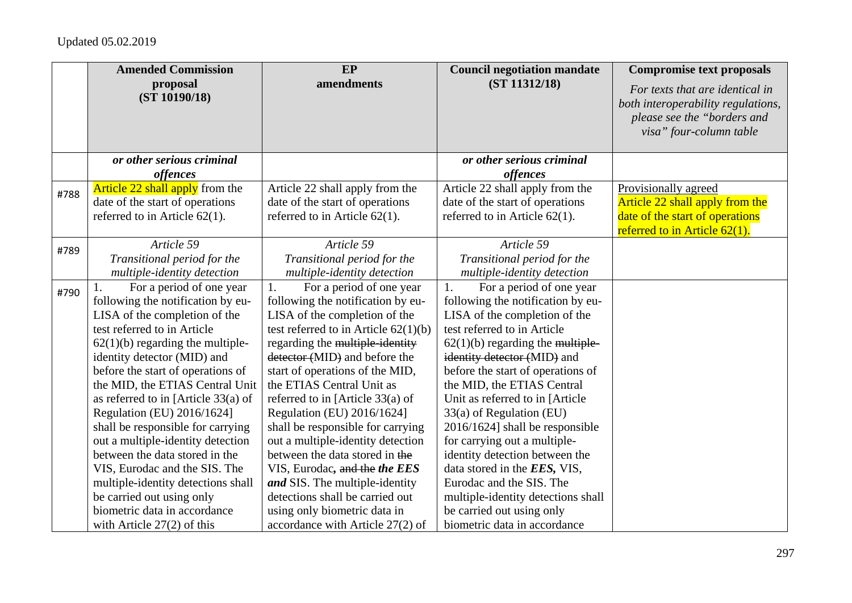|      | <b>Amended Commission</b>              | EP                                     | <b>Council negotiation mandate</b> | <b>Compromise text proposals</b>                                                                                                |
|------|----------------------------------------|----------------------------------------|------------------------------------|---------------------------------------------------------------------------------------------------------------------------------|
|      | proposal<br>(ST 10190/18)              | amendments                             | (ST 11312/18)                      | For texts that are identical in<br>both interoperability regulations,<br>please see the "borders and<br>visa" four-column table |
|      | or other serious criminal              |                                        | or other serious criminal          |                                                                                                                                 |
|      | offences                               |                                        | offences                           |                                                                                                                                 |
| #788 | <b>Article 22 shall apply</b> from the | Article 22 shall apply from the        | Article 22 shall apply from the    | Provisionally agreed                                                                                                            |
|      | date of the start of operations        | date of the start of operations        | date of the start of operations    | Article 22 shall apply from the                                                                                                 |
|      | referred to in Article $62(1)$ .       | referred to in Article $62(1)$ .       | referred to in Article $62(1)$ .   | date of the start of operations                                                                                                 |
|      |                                        |                                        |                                    | referred to in Article $62(1)$ .                                                                                                |
| #789 | Article 59                             | Article 59                             | Article 59                         |                                                                                                                                 |
|      | Transitional period for the            | Transitional period for the            | Transitional period for the        |                                                                                                                                 |
|      | multiple-identity detection            | multiple-identity detection            | multiple-identity detection        |                                                                                                                                 |
| #790 | For a period of one year<br>1.         | For a period of one year<br>1.         | For a period of one year<br>1.     |                                                                                                                                 |
|      | following the notification by eu-      | following the notification by eu-      | following the notification by eu-  |                                                                                                                                 |
|      | LISA of the completion of the          | LISA of the completion of the          | LISA of the completion of the      |                                                                                                                                 |
|      | test referred to in Article            | test referred to in Article $62(1)(b)$ | test referred to in Article        |                                                                                                                                 |
|      | $62(1)(b)$ regarding the multiple-     | regarding the multiple-identity        | $62(1)(b)$ regarding the multiple- |                                                                                                                                 |
|      | identity detector (MID) and            | detector (MID) and before the          | identity detector (MID) and        |                                                                                                                                 |
|      | before the start of operations of      | start of operations of the MID,        | before the start of operations of  |                                                                                                                                 |
|      | the MID, the ETIAS Central Unit        | the ETIAS Central Unit as              | the MID, the ETIAS Central         |                                                                                                                                 |
|      | as referred to in [Article $33(a)$ of  | referred to in [Article 33(a) of       | Unit as referred to in [Article]   |                                                                                                                                 |
|      | Regulation (EU) 2016/1624]             | Regulation (EU) 2016/1624]             | 33(a) of Regulation (EU)           |                                                                                                                                 |
|      | shall be responsible for carrying      | shall be responsible for carrying      | 2016/1624] shall be responsible    |                                                                                                                                 |
|      | out a multiple-identity detection      | out a multiple-identity detection      | for carrying out a multiple-       |                                                                                                                                 |
|      | between the data stored in the         | between the data stored in the         | identity detection between the     |                                                                                                                                 |
|      | VIS, Eurodac and the SIS. The          | VIS, Eurodac, and the the EES          | data stored in the EES, VIS,       |                                                                                                                                 |
|      | multiple-identity detections shall     | and SIS. The multiple-identity         | Eurodac and the SIS. The           |                                                                                                                                 |
|      | be carried out using only              | detections shall be carried out        | multiple-identity detections shall |                                                                                                                                 |
|      | biometric data in accordance           | using only biometric data in           | be carried out using only          |                                                                                                                                 |
|      | with Article $27(2)$ of this           | accordance with Article 27(2) of       | biometric data in accordance       |                                                                                                                                 |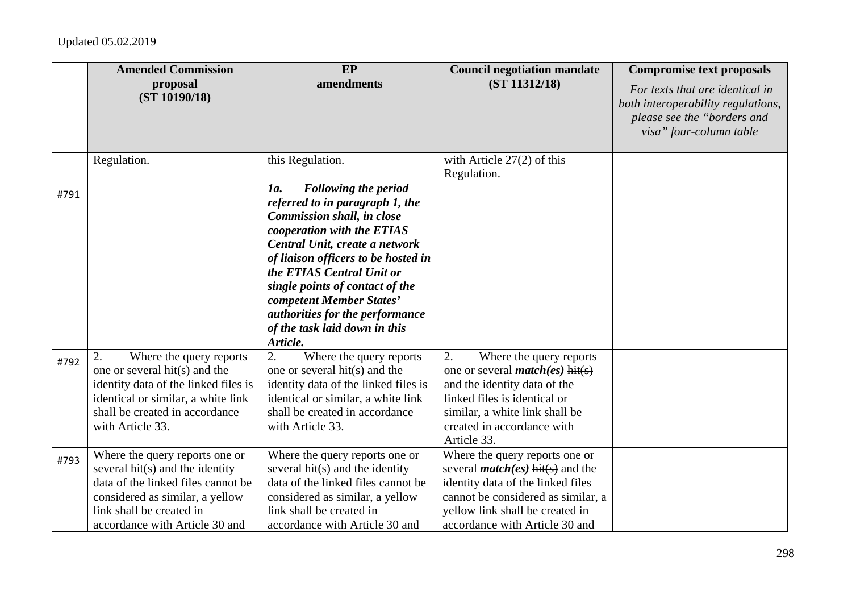|      | <b>Amended Commission</b><br>proposal<br>(ST 10190/18)                                                                                                                                                   | EP<br>amendments                                                                                                                                                                                                                                                                                                                                                                       | <b>Council negotiation mandate</b><br>(ST 11312/18)                                                                                                                                                                       | <b>Compromise text proposals</b><br>For texts that are identical in<br>both interoperability regulations,<br>please see the "borders and<br>visa" four-column table |
|------|----------------------------------------------------------------------------------------------------------------------------------------------------------------------------------------------------------|----------------------------------------------------------------------------------------------------------------------------------------------------------------------------------------------------------------------------------------------------------------------------------------------------------------------------------------------------------------------------------------|---------------------------------------------------------------------------------------------------------------------------------------------------------------------------------------------------------------------------|---------------------------------------------------------------------------------------------------------------------------------------------------------------------|
|      | Regulation.                                                                                                                                                                                              | this Regulation.                                                                                                                                                                                                                                                                                                                                                                       | with Article $27(2)$ of this<br>Regulation.                                                                                                                                                                               |                                                                                                                                                                     |
| #791 |                                                                                                                                                                                                          | <b>Following the period</b><br>1a.<br>referred to in paragraph 1, the<br>Commission shall, in close<br>cooperation with the ETIAS<br>Central Unit, create a network<br>of liaison officers to be hosted in<br>the ETIAS Central Unit or<br>single points of contact of the<br>competent Member States'<br>authorities for the performance<br>of the task laid down in this<br>Article. |                                                                                                                                                                                                                           |                                                                                                                                                                     |
| #792 | Where the query reports<br>2.<br>one or several hit(s) and the<br>identity data of the linked files is<br>identical or similar, a white link<br>shall be created in accordance<br>with Article 33.       | 2.<br>Where the query reports<br>one or several hit(s) and the<br>identity data of the linked files is<br>identical or similar, a white link<br>shall be created in accordance<br>with Article 33.                                                                                                                                                                                     | 2.<br>Where the query reports<br>one or several <i>match(es)</i> hit(s)<br>and the identity data of the<br>linked files is identical or<br>similar, a white link shall be<br>created in accordance with<br>Article 33.    |                                                                                                                                                                     |
| #793 | Where the query reports one or<br>several hit(s) and the identity<br>data of the linked files cannot be<br>considered as similar, a yellow<br>link shall be created in<br>accordance with Article 30 and | Where the query reports one or<br>several hit(s) and the identity<br>data of the linked files cannot be<br>considered as similar, a yellow<br>link shall be created in<br>accordance with Article 30 and                                                                                                                                                                               | Where the query reports one or<br>several <i>match(es)</i> hit(s) and the<br>identity data of the linked files<br>cannot be considered as similar, a<br>yellow link shall be created in<br>accordance with Article 30 and |                                                                                                                                                                     |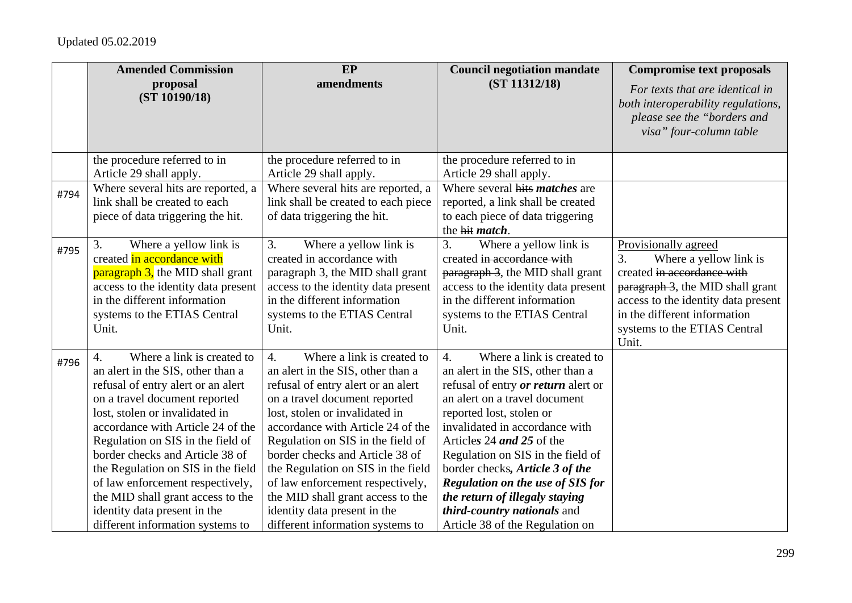|      | <b>Amended Commission</b>                                                                                                                                                                                                                                                                                                                                                                                                                                                      | EP                                                                                                                                                                                                                                                                                                                                                                                                                                                                                           | <b>Council negotiation mandate</b>                                                                                                                                                                                                                                                                                                                                                                                                                                                   | <b>Compromise text proposals</b>                                                                                                                                                                                                       |
|------|--------------------------------------------------------------------------------------------------------------------------------------------------------------------------------------------------------------------------------------------------------------------------------------------------------------------------------------------------------------------------------------------------------------------------------------------------------------------------------|----------------------------------------------------------------------------------------------------------------------------------------------------------------------------------------------------------------------------------------------------------------------------------------------------------------------------------------------------------------------------------------------------------------------------------------------------------------------------------------------|--------------------------------------------------------------------------------------------------------------------------------------------------------------------------------------------------------------------------------------------------------------------------------------------------------------------------------------------------------------------------------------------------------------------------------------------------------------------------------------|----------------------------------------------------------------------------------------------------------------------------------------------------------------------------------------------------------------------------------------|
|      | proposal<br>(ST 10190/18)                                                                                                                                                                                                                                                                                                                                                                                                                                                      | amendments                                                                                                                                                                                                                                                                                                                                                                                                                                                                                   | (ST 11312/18)                                                                                                                                                                                                                                                                                                                                                                                                                                                                        | For texts that are identical in<br>both interoperability regulations,<br>please see the "borders and<br>visa" four-column table                                                                                                        |
|      | the procedure referred to in                                                                                                                                                                                                                                                                                                                                                                                                                                                   | the procedure referred to in                                                                                                                                                                                                                                                                                                                                                                                                                                                                 | the procedure referred to in                                                                                                                                                                                                                                                                                                                                                                                                                                                         |                                                                                                                                                                                                                                        |
| #794 | Article 29 shall apply.<br>Where several hits are reported, a<br>link shall be created to each<br>piece of data triggering the hit.                                                                                                                                                                                                                                                                                                                                            | Article 29 shall apply.<br>Where several hits are reported, a<br>link shall be created to each piece<br>of data triggering the hit.                                                                                                                                                                                                                                                                                                                                                          | Article 29 shall apply.<br>Where several hits <i>matches</i> are<br>reported, a link shall be created<br>to each piece of data triggering<br>the hit <i>match</i> .                                                                                                                                                                                                                                                                                                                  |                                                                                                                                                                                                                                        |
| #795 | Where a yellow link is<br>3.<br>created in accordance with<br><b>paragraph 3</b> , the MID shall grant<br>access to the identity data present<br>in the different information<br>systems to the ETIAS Central<br>Unit.                                                                                                                                                                                                                                                         | 3.<br>Where a yellow link is<br>created in accordance with<br>paragraph 3, the MID shall grant<br>access to the identity data present<br>in the different information<br>systems to the ETIAS Central<br>Unit.                                                                                                                                                                                                                                                                               | Where a yellow link is<br>3.<br>created in accordance with<br>paragraph 3, the MID shall grant<br>access to the identity data present<br>in the different information<br>systems to the ETIAS Central<br>Unit.                                                                                                                                                                                                                                                                       | Provisionally agreed<br>Where a yellow link is<br>3.<br>created in accordance with<br>paragraph 3, the MID shall grant<br>access to the identity data present<br>in the different information<br>systems to the ETIAS Central<br>Unit. |
| #796 | Where a link is created to<br>4.<br>an alert in the SIS, other than a<br>refusal of entry alert or an alert<br>on a travel document reported<br>lost, stolen or invalidated in<br>accordance with Article 24 of the<br>Regulation on SIS in the field of<br>border checks and Article 38 of<br>the Regulation on SIS in the field<br>of law enforcement respectively,<br>the MID shall grant access to the<br>identity data present in the<br>different information systems to | Where a link is created to<br>$\overline{4}$ .<br>an alert in the SIS, other than a<br>refusal of entry alert or an alert<br>on a travel document reported<br>lost, stolen or invalidated in<br>accordance with Article 24 of the<br>Regulation on SIS in the field of<br>border checks and Article 38 of<br>the Regulation on SIS in the field<br>of law enforcement respectively,<br>the MID shall grant access to the<br>identity data present in the<br>different information systems to | Where a link is created to<br>$\overline{4}$ .<br>an alert in the SIS, other than a<br>refusal of entry <i>or return</i> alert or<br>an alert on a travel document<br>reported lost, stolen or<br>invalidated in accordance with<br>Articles 24 and 25 of the<br>Regulation on SIS in the field of<br>border checks, Article 3 of the<br><b>Regulation on the use of SIS for</b><br>the return of illegaly staying<br>third-country nationals and<br>Article 38 of the Regulation on |                                                                                                                                                                                                                                        |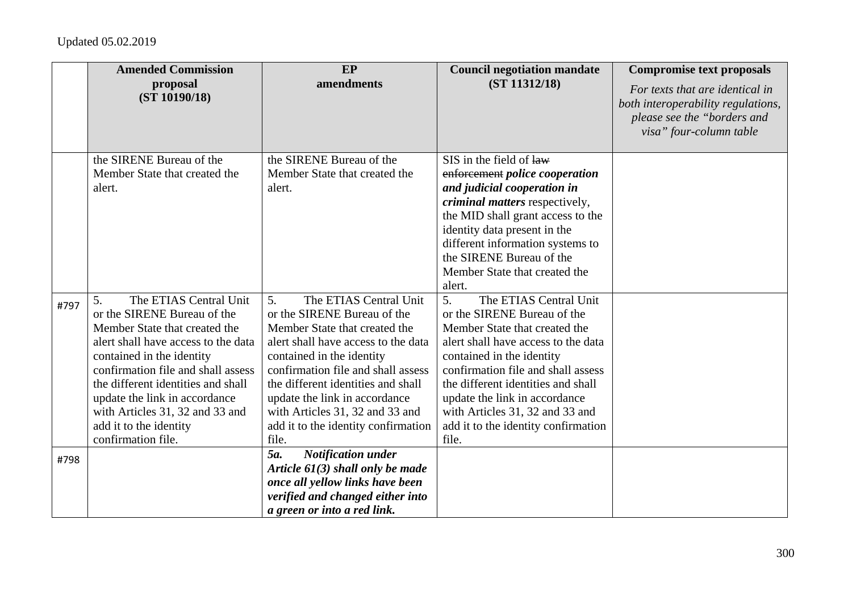|      | <b>Amended Commission</b>                                                                                                                                                                                                                                                                                                                                        | EP                                                                                                                                                                                                                                                                                                                                                               | <b>Council negotiation mandate</b>                                                                                                                                                                                                                                                                                                                               | <b>Compromise text proposals</b>                                                                                                |
|------|------------------------------------------------------------------------------------------------------------------------------------------------------------------------------------------------------------------------------------------------------------------------------------------------------------------------------------------------------------------|------------------------------------------------------------------------------------------------------------------------------------------------------------------------------------------------------------------------------------------------------------------------------------------------------------------------------------------------------------------|------------------------------------------------------------------------------------------------------------------------------------------------------------------------------------------------------------------------------------------------------------------------------------------------------------------------------------------------------------------|---------------------------------------------------------------------------------------------------------------------------------|
|      | proposal<br>(ST 10190/18)                                                                                                                                                                                                                                                                                                                                        | amendments                                                                                                                                                                                                                                                                                                                                                       | (ST 11312/18)                                                                                                                                                                                                                                                                                                                                                    | For texts that are identical in<br>both interoperability regulations,<br>please see the "borders and<br>visa" four-column table |
|      | the SIRENE Bureau of the<br>Member State that created the<br>alert.                                                                                                                                                                                                                                                                                              | the SIRENE Bureau of the<br>Member State that created the<br>alert.                                                                                                                                                                                                                                                                                              | SIS in the field of law<br>enforcement police cooperation<br>and judicial cooperation in<br><i>criminal matters</i> respectively,<br>the MID shall grant access to the<br>identity data present in the<br>different information systems to<br>the SIRENE Bureau of the<br>Member State that created the<br>alert.                                                |                                                                                                                                 |
| #797 | The ETIAS Central Unit<br>5.<br>or the SIRENE Bureau of the<br>Member State that created the<br>alert shall have access to the data<br>contained in the identity<br>confirmation file and shall assess<br>the different identities and shall<br>update the link in accordance<br>with Articles 31, 32 and 33 and<br>add it to the identity<br>confirmation file. | 5.<br>The ETIAS Central Unit<br>or the SIRENE Bureau of the<br>Member State that created the<br>alert shall have access to the data<br>contained in the identity<br>confirmation file and shall assess<br>the different identities and shall<br>update the link in accordance<br>with Articles 31, 32 and 33 and<br>add it to the identity confirmation<br>file. | 5.<br>The ETIAS Central Unit<br>or the SIRENE Bureau of the<br>Member State that created the<br>alert shall have access to the data<br>contained in the identity<br>confirmation file and shall assess<br>the different identities and shall<br>update the link in accordance<br>with Articles 31, 32 and 33 and<br>add it to the identity confirmation<br>file. |                                                                                                                                 |
| #798 |                                                                                                                                                                                                                                                                                                                                                                  | 5a.<br><b>Notification under</b><br>Article $61(3)$ shall only be made<br>once all yellow links have been<br>verified and changed either into<br>a green or into a red link.                                                                                                                                                                                     |                                                                                                                                                                                                                                                                                                                                                                  |                                                                                                                                 |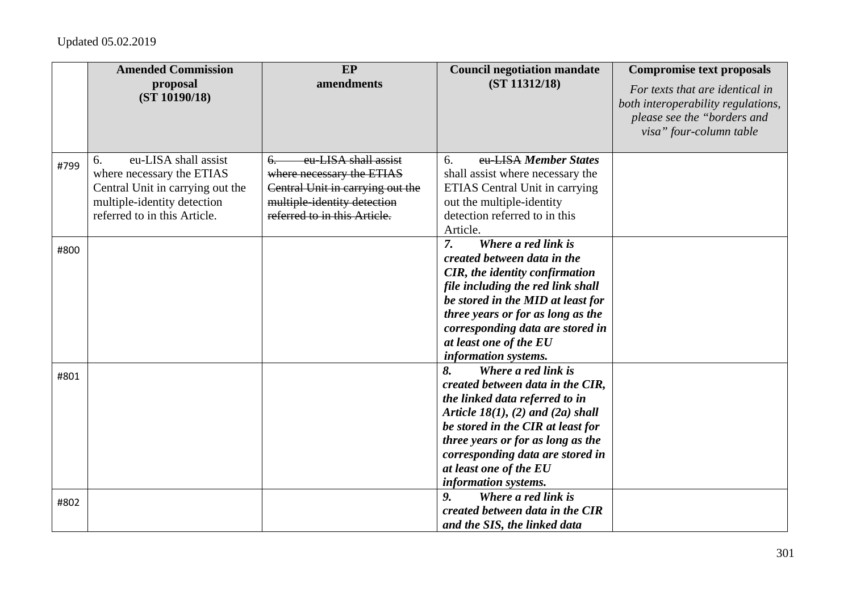|      | <b>Amended Commission</b>                                       | <b>EP</b>                                                       | <b>Council negotiation mandate</b>                          | <b>Compromise text proposals</b>                                                                                                |
|------|-----------------------------------------------------------------|-----------------------------------------------------------------|-------------------------------------------------------------|---------------------------------------------------------------------------------------------------------------------------------|
|      | proposal<br>(ST 10190/18)                                       | amendments                                                      | (ST 11312/18)                                               | For texts that are identical in<br>both interoperability regulations,<br>please see the "borders and<br>visa" four-column table |
| #799 | eu-LISA shall assist<br>6.                                      | eu-LISA shall assist<br><del>6.</del>                           | eu-LISA Member States<br>6.                                 |                                                                                                                                 |
|      | where necessary the ETIAS                                       | where necessary the ETIAS                                       | shall assist where necessary the                            |                                                                                                                                 |
|      | Central Unit in carrying out the<br>multiple-identity detection | Central Unit in carrying out the<br>multiple-identity detection | ETIAS Central Unit in carrying<br>out the multiple-identity |                                                                                                                                 |
|      | referred to in this Article.                                    | referred to in this Article.                                    | detection referred to in this                               |                                                                                                                                 |
|      |                                                                 |                                                                 | Article.                                                    |                                                                                                                                 |
|      |                                                                 |                                                                 | Where a red link is<br>$\overline{7}$ .                     |                                                                                                                                 |
| #800 |                                                                 |                                                                 | created between data in the                                 |                                                                                                                                 |
|      |                                                                 |                                                                 | <b>CIR</b> , the identity confirmation                      |                                                                                                                                 |
|      |                                                                 |                                                                 | file including the red link shall                           |                                                                                                                                 |
|      |                                                                 |                                                                 | be stored in the MID at least for                           |                                                                                                                                 |
|      |                                                                 |                                                                 | three years or for as long as the                           |                                                                                                                                 |
|      |                                                                 |                                                                 | corresponding data are stored in                            |                                                                                                                                 |
|      |                                                                 |                                                                 | at least one of the EU                                      |                                                                                                                                 |
|      |                                                                 |                                                                 | information systems.                                        |                                                                                                                                 |
| #801 |                                                                 |                                                                 | Where a red link is<br>8.                                   |                                                                                                                                 |
|      |                                                                 |                                                                 | created between data in the CIR,                            |                                                                                                                                 |
|      |                                                                 |                                                                 | the linked data referred to in                              |                                                                                                                                 |
|      |                                                                 |                                                                 | Article $18(1)$ , (2) and (2a) shall                        |                                                                                                                                 |
|      |                                                                 |                                                                 | be stored in the CIR at least for                           |                                                                                                                                 |
|      |                                                                 |                                                                 | three years or for as long as the                           |                                                                                                                                 |
|      |                                                                 |                                                                 | corresponding data are stored in                            |                                                                                                                                 |
|      |                                                                 |                                                                 | at least one of the EU                                      |                                                                                                                                 |
|      |                                                                 |                                                                 | information systems.                                        |                                                                                                                                 |
| #802 |                                                                 |                                                                 | Where a red link is<br>9.                                   |                                                                                                                                 |
|      |                                                                 |                                                                 | created between data in the CIR                             |                                                                                                                                 |
|      |                                                                 |                                                                 | and the SIS, the linked data                                |                                                                                                                                 |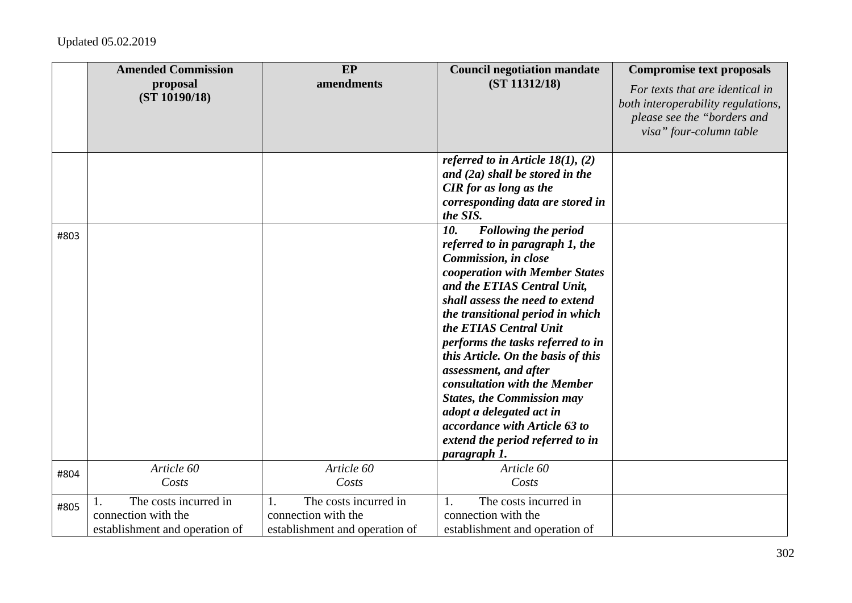|      | <b>Amended Commission</b><br>proposal<br>(ST 10190/18)                               | EP<br>amendments                                                                     | <b>Council negotiation mandate</b><br>(ST 11312/18)                                                                                                                                                                                                                                                                                                                                                                                                                                                                                                       | <b>Compromise text proposals</b><br>For texts that are identical in<br>both interoperability regulations,<br>please see the "borders and<br>visa" four-column table |
|------|--------------------------------------------------------------------------------------|--------------------------------------------------------------------------------------|-----------------------------------------------------------------------------------------------------------------------------------------------------------------------------------------------------------------------------------------------------------------------------------------------------------------------------------------------------------------------------------------------------------------------------------------------------------------------------------------------------------------------------------------------------------|---------------------------------------------------------------------------------------------------------------------------------------------------------------------|
|      |                                                                                      |                                                                                      | referred to in Article 18(1), (2)<br>and $(2a)$ shall be stored in the<br><b>CIR</b> for as long as the<br>corresponding data are stored in<br>the SIS.                                                                                                                                                                                                                                                                                                                                                                                                   |                                                                                                                                                                     |
| #803 |                                                                                      |                                                                                      | 10.<br><b>Following the period</b><br>referred to in paragraph 1, the<br>Commission, in close<br>cooperation with Member States<br>and the ETIAS Central Unit,<br>shall assess the need to extend<br>the transitional period in which<br>the ETIAS Central Unit<br>performs the tasks referred to in<br>this Article. On the basis of this<br>assessment, and after<br>consultation with the Member<br><b>States, the Commission may</b><br>adopt a delegated act in<br>accordance with Article 63 to<br>extend the period referred to in<br>paragraph 1. |                                                                                                                                                                     |
| #804 | Article 60<br>Costs                                                                  | Article 60<br>Costs                                                                  | Article 60<br>Costs                                                                                                                                                                                                                                                                                                                                                                                                                                                                                                                                       |                                                                                                                                                                     |
| #805 | The costs incurred in<br>1.<br>connection with the<br>establishment and operation of | The costs incurred in<br>1.<br>connection with the<br>establishment and operation of | The costs incurred in<br>1.<br>connection with the<br>establishment and operation of                                                                                                                                                                                                                                                                                                                                                                                                                                                                      |                                                                                                                                                                     |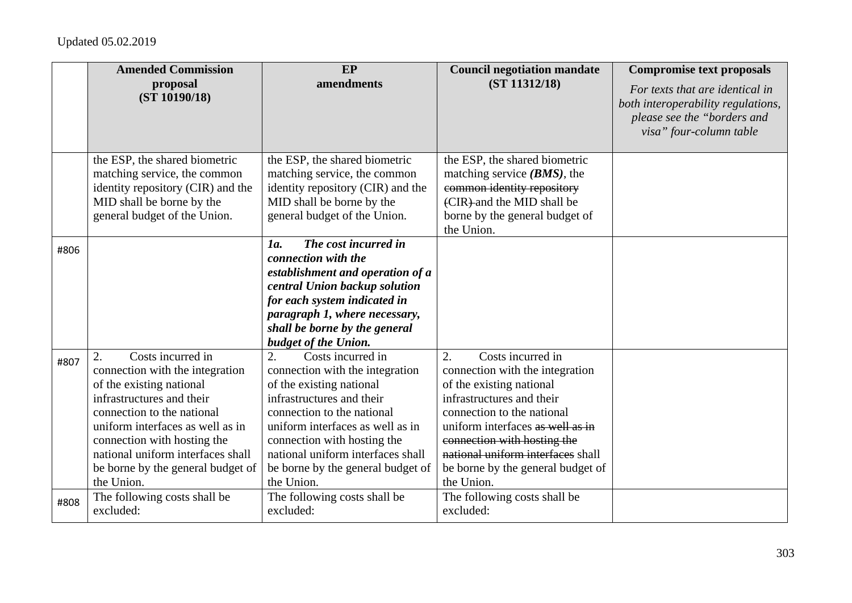|      | <b>Amended Commission</b>                                                                                                                                                                                                                                                                                    | EP                                                                                                                                                                                                                                                                                                           | <b>Council negotiation mandate</b>                                                                                                                                                                                                                                                                                         | <b>Compromise text proposals</b>                                                                                                |
|------|--------------------------------------------------------------------------------------------------------------------------------------------------------------------------------------------------------------------------------------------------------------------------------------------------------------|--------------------------------------------------------------------------------------------------------------------------------------------------------------------------------------------------------------------------------------------------------------------------------------------------------------|----------------------------------------------------------------------------------------------------------------------------------------------------------------------------------------------------------------------------------------------------------------------------------------------------------------------------|---------------------------------------------------------------------------------------------------------------------------------|
|      | proposal<br>(ST 10190/18)                                                                                                                                                                                                                                                                                    | amendments                                                                                                                                                                                                                                                                                                   | (ST 11312/18)                                                                                                                                                                                                                                                                                                              | For texts that are identical in<br>both interoperability regulations,<br>please see the "borders and<br>visa" four-column table |
|      | the ESP, the shared biometric<br>matching service, the common<br>identity repository (CIR) and the<br>MID shall be borne by the<br>general budget of the Union.                                                                                                                                              | the ESP, the shared biometric<br>matching service, the common<br>identity repository (CIR) and the<br>MID shall be borne by the<br>general budget of the Union.                                                                                                                                              | the ESP, the shared biometric<br>matching service $(BMS)$ , the<br>common identity repository<br>(CIR) and the MID shall be<br>borne by the general budget of<br>the Union.                                                                                                                                                |                                                                                                                                 |
| #806 |                                                                                                                                                                                                                                                                                                              | The cost incurred in<br>1a.<br>connection with the<br>establishment and operation of a<br>central Union backup solution<br>for each system indicated in<br>paragraph 1, where necessary,<br>shall be borne by the general<br>budget of the Union.                                                            |                                                                                                                                                                                                                                                                                                                            |                                                                                                                                 |
| #807 | Costs incurred in<br>2.<br>connection with the integration<br>of the existing national<br>infrastructures and their<br>connection to the national<br>uniform interfaces as well as in<br>connection with hosting the<br>national uniform interfaces shall<br>be borne by the general budget of<br>the Union. | Costs incurred in<br>2.<br>connection with the integration<br>of the existing national<br>infrastructures and their<br>connection to the national<br>uniform interfaces as well as in<br>connection with hosting the<br>national uniform interfaces shall<br>be borne by the general budget of<br>the Union. | Costs incurred in<br>$\overline{2}$ .<br>connection with the integration<br>of the existing national<br>infrastructures and their<br>connection to the national<br>uniform interfaces as well as in<br>connection with hosting the<br>national uniform interfaces shall<br>be borne by the general budget of<br>the Union. |                                                                                                                                 |
| #808 | The following costs shall be<br>excluded:                                                                                                                                                                                                                                                                    | The following costs shall be<br>excluded:                                                                                                                                                                                                                                                                    | The following costs shall be<br>excluded:                                                                                                                                                                                                                                                                                  |                                                                                                                                 |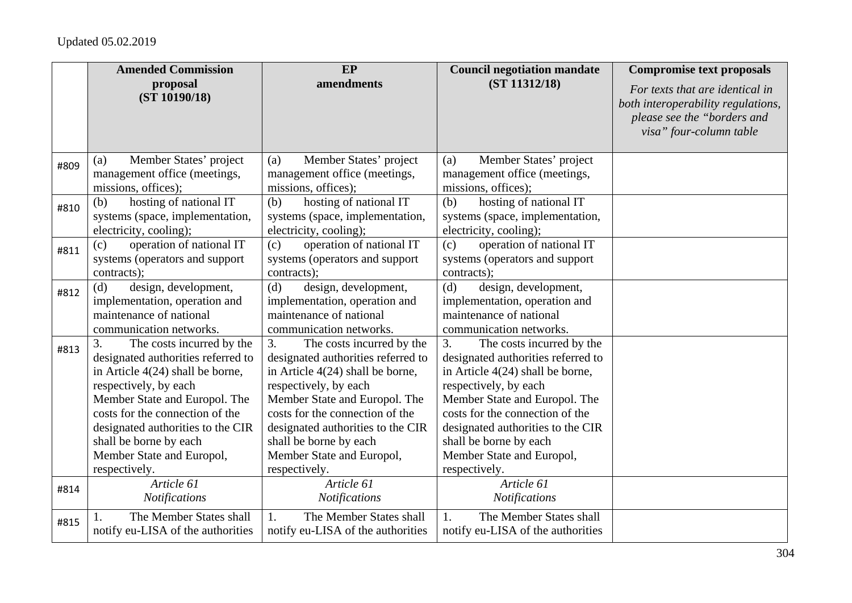|      | <b>Amended Commission</b>                                                                                                                                                                                                                                                                                           | EP                                                                                                                                                                                                                                                                                                                  | <b>Council negotiation mandate</b>                                                                                                                                                                                                                                                                                  | <b>Compromise text proposals</b>                                                                                                |
|------|---------------------------------------------------------------------------------------------------------------------------------------------------------------------------------------------------------------------------------------------------------------------------------------------------------------------|---------------------------------------------------------------------------------------------------------------------------------------------------------------------------------------------------------------------------------------------------------------------------------------------------------------------|---------------------------------------------------------------------------------------------------------------------------------------------------------------------------------------------------------------------------------------------------------------------------------------------------------------------|---------------------------------------------------------------------------------------------------------------------------------|
|      | proposal<br>(ST 10190/18)                                                                                                                                                                                                                                                                                           | amendments                                                                                                                                                                                                                                                                                                          | (ST 11312/18)                                                                                                                                                                                                                                                                                                       | For texts that are identical in<br>both interoperability regulations,<br>please see the "borders and<br>visa" four-column table |
| #809 | Member States' project<br>(a)<br>management office (meetings,<br>missions, offices);                                                                                                                                                                                                                                | Member States' project<br>(a)<br>management office (meetings,<br>missions, offices);                                                                                                                                                                                                                                | Member States' project<br>(a)<br>management office (meetings,<br>missions, offices);                                                                                                                                                                                                                                |                                                                                                                                 |
| #810 | hosting of national IT<br>(b)<br>systems (space, implementation,<br>electricity, cooling);                                                                                                                                                                                                                          | hosting of national IT<br>(b)<br>systems (space, implementation,<br>electricity, cooling);                                                                                                                                                                                                                          | hosting of national IT<br>(b)<br>systems (space, implementation,<br>electricity, cooling);                                                                                                                                                                                                                          |                                                                                                                                 |
| #811 | operation of national IT<br>(c)<br>systems (operators and support<br>contracts);                                                                                                                                                                                                                                    | operation of national IT<br>(c)<br>systems (operators and support<br>contracts);                                                                                                                                                                                                                                    | operation of national IT<br>(c)<br>systems (operators and support<br>contracts);                                                                                                                                                                                                                                    |                                                                                                                                 |
| #812 | design, development,<br>(d)<br>implementation, operation and<br>maintenance of national<br>communication networks.                                                                                                                                                                                                  | design, development,<br>(d)<br>implementation, operation and<br>maintenance of national<br>communication networks.                                                                                                                                                                                                  | design, development,<br>(d)<br>implementation, operation and<br>maintenance of national<br>communication networks.                                                                                                                                                                                                  |                                                                                                                                 |
| #813 | 3.<br>The costs incurred by the<br>designated authorities referred to<br>in Article 4(24) shall be borne,<br>respectively, by each<br>Member State and Europol. The<br>costs for the connection of the<br>designated authorities to the CIR<br>shall be borne by each<br>Member State and Europol,<br>respectively. | The costs incurred by the<br>3.<br>designated authorities referred to<br>in Article 4(24) shall be borne,<br>respectively, by each<br>Member State and Europol. The<br>costs for the connection of the<br>designated authorities to the CIR<br>shall be borne by each<br>Member State and Europol,<br>respectively. | The costs incurred by the<br>3.<br>designated authorities referred to<br>in Article 4(24) shall be borne,<br>respectively, by each<br>Member State and Europol. The<br>costs for the connection of the<br>designated authorities to the CIR<br>shall be borne by each<br>Member State and Europol,<br>respectively. |                                                                                                                                 |
| #814 | Article 61<br><b>Notifications</b>                                                                                                                                                                                                                                                                                  | Article 61<br><b>Notifications</b>                                                                                                                                                                                                                                                                                  | Article 61<br><b>Notifications</b>                                                                                                                                                                                                                                                                                  |                                                                                                                                 |
| #815 | The Member States shall<br>notify eu-LISA of the authorities                                                                                                                                                                                                                                                        | The Member States shall<br>1.<br>notify eu-LISA of the authorities                                                                                                                                                                                                                                                  | The Member States shall<br>1.<br>notify eu-LISA of the authorities                                                                                                                                                                                                                                                  |                                                                                                                                 |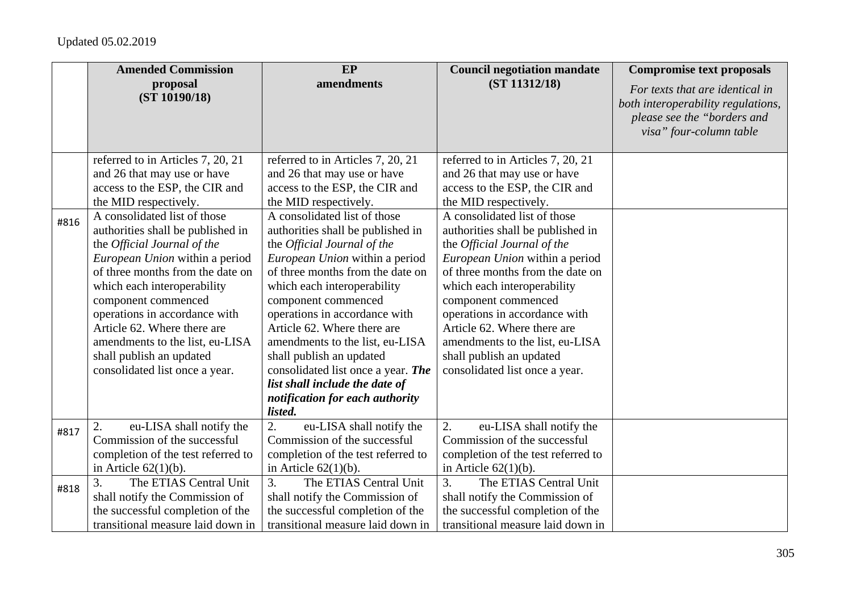|      | <b>Amended Commission</b>          | EP                                 | <b>Council negotiation mandate</b> | <b>Compromise text proposals</b>                                                                                                |
|------|------------------------------------|------------------------------------|------------------------------------|---------------------------------------------------------------------------------------------------------------------------------|
|      | proposal<br>(ST 10190/18)          | amendments                         | (ST 11312/18)                      | For texts that are identical in<br>both interoperability regulations,<br>please see the "borders and<br>visa" four-column table |
|      | referred to in Articles 7, 20, 21  | referred to in Articles 7, 20, 21  | referred to in Articles 7, 20, 21  |                                                                                                                                 |
|      | and 26 that may use or have        | and 26 that may use or have        | and 26 that may use or have        |                                                                                                                                 |
|      | access to the ESP, the CIR and     | access to the ESP, the CIR and     | access to the ESP, the CIR and     |                                                                                                                                 |
|      | the MID respectively.              | the MID respectively.              | the MID respectively.              |                                                                                                                                 |
| #816 | A consolidated list of those       | A consolidated list of those       | A consolidated list of those       |                                                                                                                                 |
|      | authorities shall be published in  | authorities shall be published in  | authorities shall be published in  |                                                                                                                                 |
|      | the Official Journal of the        | the Official Journal of the        | the Official Journal of the        |                                                                                                                                 |
|      | European Union within a period     | European Union within a period     | European Union within a period     |                                                                                                                                 |
|      | of three months from the date on   | of three months from the date on   | of three months from the date on   |                                                                                                                                 |
|      | which each interoperability        | which each interoperability        | which each interoperability        |                                                                                                                                 |
|      | component commenced                | component commenced                | component commenced                |                                                                                                                                 |
|      | operations in accordance with      | operations in accordance with      | operations in accordance with      |                                                                                                                                 |
|      | Article 62. Where there are        | Article 62. Where there are        | Article 62. Where there are        |                                                                                                                                 |
|      | amendments to the list, eu-LISA    | amendments to the list, eu-LISA    | amendments to the list, eu-LISA    |                                                                                                                                 |
|      | shall publish an updated           | shall publish an updated           | shall publish an updated           |                                                                                                                                 |
|      | consolidated list once a year.     | consolidated list once a year. The | consolidated list once a year.     |                                                                                                                                 |
|      |                                    | list shall include the date of     |                                    |                                                                                                                                 |
|      |                                    | notification for each authority    |                                    |                                                                                                                                 |
|      |                                    | listed.                            |                                    |                                                                                                                                 |
| #817 | 2.<br>eu-LISA shall notify the     | 2.<br>eu-LISA shall notify the     | 2.<br>eu-LISA shall notify the     |                                                                                                                                 |
|      | Commission of the successful       | Commission of the successful       | Commission of the successful       |                                                                                                                                 |
|      | completion of the test referred to | completion of the test referred to | completion of the test referred to |                                                                                                                                 |
|      | in Article $62(1)(b)$ .            | in Article $62(1)(b)$ .            | in Article $62(1)(b)$ .            |                                                                                                                                 |
| #818 | The ETIAS Central Unit<br>3.       | 3.<br>The ETIAS Central Unit       | The ETIAS Central Unit<br>3.       |                                                                                                                                 |
|      | shall notify the Commission of     | shall notify the Commission of     | shall notify the Commission of     |                                                                                                                                 |
|      | the successful completion of the   | the successful completion of the   | the successful completion of the   |                                                                                                                                 |
|      | transitional measure laid down in  | transitional measure laid down in  | transitional measure laid down in  |                                                                                                                                 |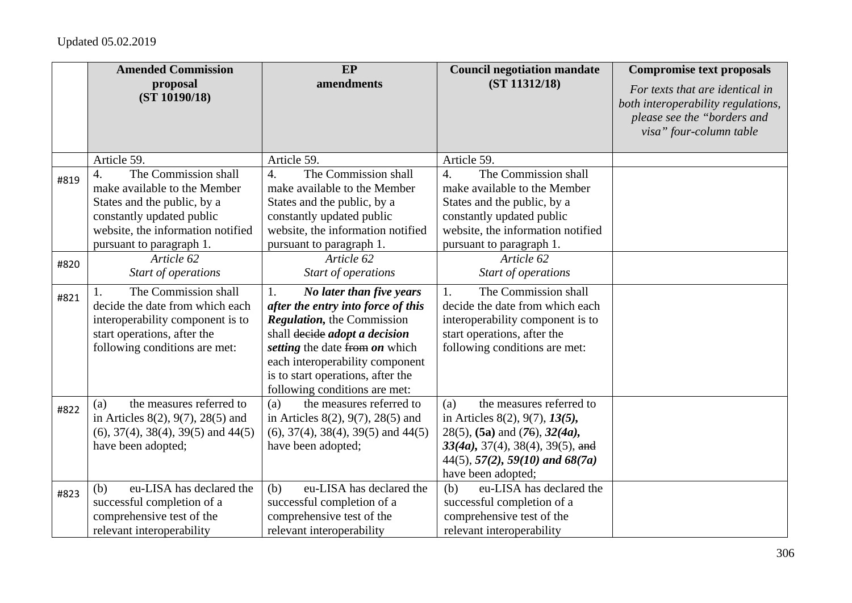|      | <b>Amended Commission</b>                                                                                                                                                                             | EP                                                                                                                                                                                                                                                                                     | <b>Council negotiation mandate</b>                                                                                                                                                                                             | <b>Compromise text proposals</b>                                                                                                |
|------|-------------------------------------------------------------------------------------------------------------------------------------------------------------------------------------------------------|----------------------------------------------------------------------------------------------------------------------------------------------------------------------------------------------------------------------------------------------------------------------------------------|--------------------------------------------------------------------------------------------------------------------------------------------------------------------------------------------------------------------------------|---------------------------------------------------------------------------------------------------------------------------------|
|      | proposal<br>(ST 10190/18)                                                                                                                                                                             | amendments                                                                                                                                                                                                                                                                             | (ST 11312/18)                                                                                                                                                                                                                  | For texts that are identical in<br>both interoperability regulations,<br>please see the "borders and<br>visa" four-column table |
|      | Article 59.                                                                                                                                                                                           | Article 59.                                                                                                                                                                                                                                                                            | Article 59.                                                                                                                                                                                                                    |                                                                                                                                 |
| #819 | The Commission shall<br>$\overline{4}$ .<br>make available to the Member<br>States and the public, by a<br>constantly updated public<br>website, the information notified<br>pursuant to paragraph 1. | $\overline{4}$ .<br>The Commission shall<br>make available to the Member<br>States and the public, by a<br>constantly updated public<br>website, the information notified<br>pursuant to paragraph 1.                                                                                  | $\overline{4}$ .<br>The Commission shall<br>make available to the Member<br>States and the public, by a<br>constantly updated public<br>website, the information notified<br>pursuant to paragraph 1.                          |                                                                                                                                 |
| #820 | Article 62                                                                                                                                                                                            | Article 62                                                                                                                                                                                                                                                                             | Article 62                                                                                                                                                                                                                     |                                                                                                                                 |
|      | Start of operations                                                                                                                                                                                   | Start of operations                                                                                                                                                                                                                                                                    | Start of operations                                                                                                                                                                                                            |                                                                                                                                 |
| #821 | The Commission shall<br>decide the date from which each<br>interoperability component is to<br>start operations, after the<br>following conditions are met:                                           | 1.<br>No later than five years<br>after the entry into force of this<br><b>Regulation</b> , the Commission<br>shall decide adopt a decision<br>setting the date from on which<br>each interoperability component<br>is to start operations, after the<br>following conditions are met: | The Commission shall<br>1.<br>decide the date from which each<br>interoperability component is to<br>start operations, after the<br>following conditions are met:                                                              |                                                                                                                                 |
| #822 | the measures referred to<br>(a)<br>in Articles $8(2)$ , $9(7)$ , $28(5)$ and<br>$(6)$ , 37(4), 38(4), 39(5) and 44(5)<br>have been adopted;                                                           | the measures referred to<br>(a)<br>in Articles $8(2)$ , $9(7)$ , $28(5)$ and<br>$(6)$ , 37(4), 38(4), 39(5) and 44(5)<br>have been adopted;                                                                                                                                            | the measures referred to<br>(a)<br>in Articles 8(2), 9(7), $13(5)$ ,<br>$28(5)$ , (5a) and (76), $32(4a)$ ,<br>$33(4a)$ , $37(4)$ , $38(4)$ , $39(5)$ , and<br>$44(5)$ , $57(2)$ , $59(10)$ and $68(7a)$<br>have been adopted; |                                                                                                                                 |
| #823 | eu-LISA has declared the<br>(b)<br>successful completion of a<br>comprehensive test of the<br>relevant interoperability                                                                               | eu-LISA has declared the<br>(b)<br>successful completion of a<br>comprehensive test of the<br>relevant interoperability                                                                                                                                                                | eu-LISA has declared the<br>(b)<br>successful completion of a<br>comprehensive test of the<br>relevant interoperability                                                                                                        |                                                                                                                                 |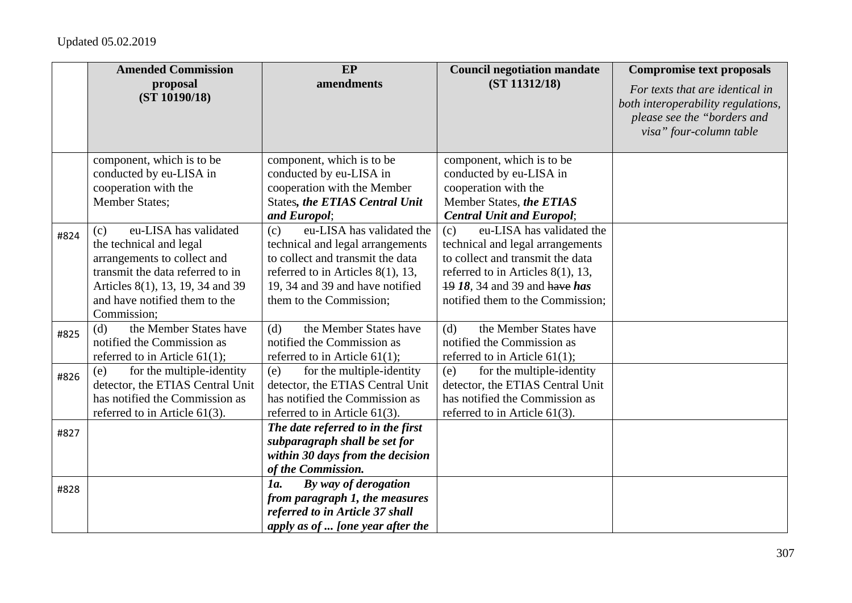|      | <b>Amended Commission</b>                                                                                                                                                                                      | EP                                                                                                                                                                                                             | <b>Council negotiation mandate</b>                                                                                                                                                                                    | <b>Compromise text proposals</b>                                                                                                |
|------|----------------------------------------------------------------------------------------------------------------------------------------------------------------------------------------------------------------|----------------------------------------------------------------------------------------------------------------------------------------------------------------------------------------------------------------|-----------------------------------------------------------------------------------------------------------------------------------------------------------------------------------------------------------------------|---------------------------------------------------------------------------------------------------------------------------------|
|      | proposal<br>(ST 10190/18)                                                                                                                                                                                      | amendments                                                                                                                                                                                                     | (ST 11312/18)                                                                                                                                                                                                         | For texts that are identical in<br>both interoperability regulations,<br>please see the "borders and<br>visa" four-column table |
|      | component, which is to be<br>conducted by eu-LISA in<br>cooperation with the<br><b>Member States;</b>                                                                                                          | component, which is to be<br>conducted by eu-LISA in<br>cooperation with the Member<br><b>States, the ETIAS Central Unit</b><br>and Europol;                                                                   | component, which is to be<br>conducted by eu-LISA in<br>cooperation with the<br>Member States, the ETIAS<br><b>Central Unit and Europol;</b>                                                                          |                                                                                                                                 |
| #824 | eu-LISA has validated<br>(c)<br>the technical and legal<br>arrangements to collect and<br>transmit the data referred to in<br>Articles 8(1), 13, 19, 34 and 39<br>and have notified them to the<br>Commission: | eu-LISA has validated the<br>(c)<br>technical and legal arrangements<br>to collect and transmit the data<br>referred to in Articles $8(1)$ , 13,<br>19, 34 and 39 and have notified<br>them to the Commission; | eu-LISA has validated the<br>(c)<br>technical and legal arrangements<br>to collect and transmit the data<br>referred to in Articles $8(1)$ , 13,<br>19 18, 34 and 39 and have has<br>notified them to the Commission; |                                                                                                                                 |
| #825 | the Member States have<br>(d)<br>notified the Commission as<br>referred to in Article $61(1)$ ;                                                                                                                | the Member States have<br>(d)<br>notified the Commission as<br>referred to in Article $61(1)$ ;                                                                                                                | the Member States have<br>(d)<br>notified the Commission as<br>referred to in Article $61(1)$ ;                                                                                                                       |                                                                                                                                 |
| #826 | for the multiple-identity<br>(e)<br>detector, the ETIAS Central Unit<br>has notified the Commission as<br>referred to in Article $61(3)$ .                                                                     | for the multiple-identity<br>(e)<br>detector, the ETIAS Central Unit<br>has notified the Commission as<br>referred to in Article $61(3)$ .                                                                     | for the multiple-identity<br>(e)<br>detector, the ETIAS Central Unit<br>has notified the Commission as<br>referred to in Article $61(3)$ .                                                                            |                                                                                                                                 |
| #827 |                                                                                                                                                                                                                | The date referred to in the first<br>subparagraph shall be set for<br>within 30 days from the decision<br>of the Commission.                                                                                   |                                                                                                                                                                                                                       |                                                                                                                                 |
| #828 |                                                                                                                                                                                                                | By way of derogation<br>1a.<br>from paragraph 1, the measures<br>referred to in Article 37 shall<br>apply as of  [one year after the                                                                           |                                                                                                                                                                                                                       |                                                                                                                                 |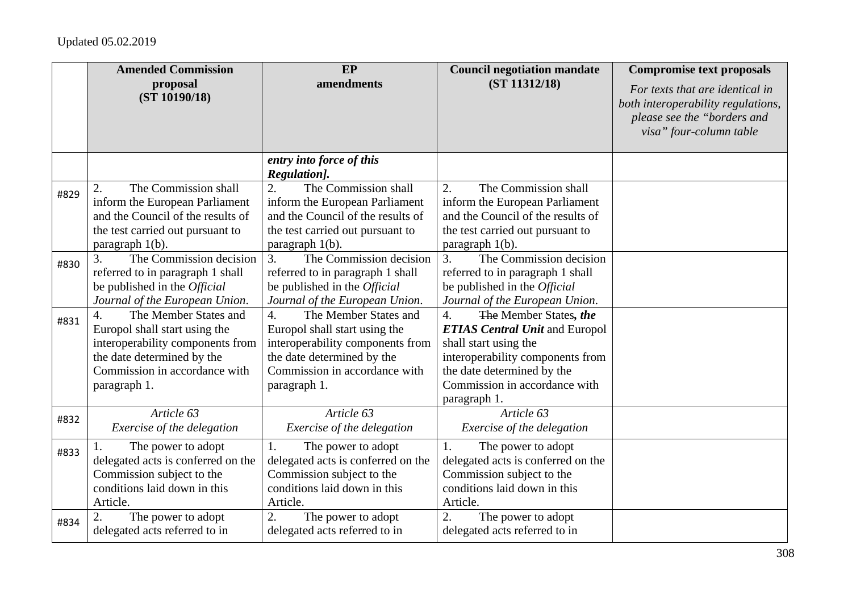|      | <b>Amended Commission</b>                                                                                                                                                                     | EP                                                                                                                                                                                            | <b>Council negotiation mandate</b>                                                                                                                                                                                | <b>Compromise text proposals</b>                                                                                                |
|------|-----------------------------------------------------------------------------------------------------------------------------------------------------------------------------------------------|-----------------------------------------------------------------------------------------------------------------------------------------------------------------------------------------------|-------------------------------------------------------------------------------------------------------------------------------------------------------------------------------------------------------------------|---------------------------------------------------------------------------------------------------------------------------------|
|      | proposal<br>(ST 10190/18)                                                                                                                                                                     | amendments                                                                                                                                                                                    | (ST 11312/18)                                                                                                                                                                                                     | For texts that are identical in<br>both interoperability regulations,<br>please see the "borders and<br>visa" four-column table |
|      |                                                                                                                                                                                               | entry into force of this<br>Regulation].                                                                                                                                                      |                                                                                                                                                                                                                   |                                                                                                                                 |
| #829 | The Commission shall<br>2.<br>inform the European Parliament<br>and the Council of the results of<br>the test carried out pursuant to<br>paragraph 1(b).                                      | 2.<br>The Commission shall<br>inform the European Parliament<br>and the Council of the results of<br>the test carried out pursuant to<br>paragraph $1(b)$ .                                   | The Commission shall<br>2.<br>inform the European Parliament<br>and the Council of the results of<br>the test carried out pursuant to<br>paragraph $1(b)$ .                                                       |                                                                                                                                 |
| #830 | The Commission decision<br>3.<br>referred to in paragraph 1 shall<br>be published in the <i>Official</i><br>Journal of the European Union.                                                    | The Commission decision<br>$\overline{3}$ .<br>referred to in paragraph 1 shall<br>be published in the <i>Official</i><br>Journal of the European Union.                                      | 3.<br>The Commission decision<br>referred to in paragraph 1 shall<br>be published in the <i>Official</i><br>Journal of the European Union.                                                                        |                                                                                                                                 |
| #831 | The Member States and<br>$\overline{4}$ .<br>Europol shall start using the<br>interoperability components from<br>the date determined by the<br>Commission in accordance with<br>paragraph 1. | $\overline{4}$ .<br>The Member States and<br>Europol shall start using the<br>interoperability components from<br>the date determined by the<br>Commission in accordance with<br>paragraph 1. | 4.<br>The Member States, the<br><b>ETIAS Central Unit and Europol</b><br>shall start using the<br>interoperability components from<br>the date determined by the<br>Commission in accordance with<br>paragraph 1. |                                                                                                                                 |
| #832 | Article 63<br>Exercise of the delegation                                                                                                                                                      | Article 63<br>Exercise of the delegation                                                                                                                                                      | Article 63<br>Exercise of the delegation                                                                                                                                                                          |                                                                                                                                 |
| #833 | The power to adopt<br>delegated acts is conferred on the<br>Commission subject to the<br>conditions laid down in this<br>Article.                                                             | The power to adopt<br>1.<br>delegated acts is conferred on the<br>Commission subject to the<br>conditions laid down in this<br>Article.                                                       | The power to adopt<br>1.<br>delegated acts is conferred on the<br>Commission subject to the<br>conditions laid down in this<br>Article.                                                                           |                                                                                                                                 |
| #834 | The power to adopt<br>delegated acts referred to in                                                                                                                                           | The power to adopt<br>2.<br>delegated acts referred to in                                                                                                                                     | 2.<br>The power to adopt<br>delegated acts referred to in                                                                                                                                                         |                                                                                                                                 |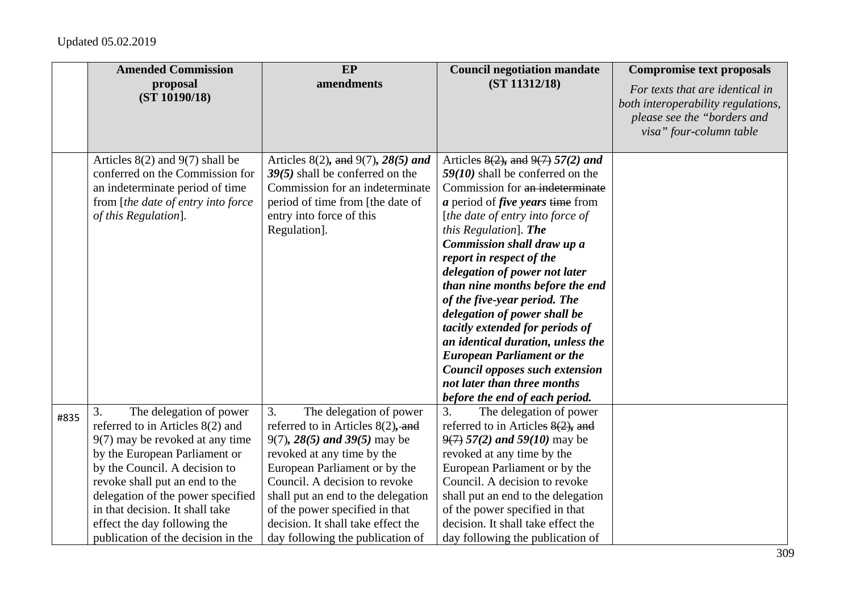|      | <b>Amended Commission</b>                                                                                                                                                                                                                                                                                                                              | EP                                                                                                                                                                                                                                                                                                                                                          | <b>Council negotiation mandate</b>                                                                                                                                                                                                                                                                                                                                                                                                                                                                                                                                                                                                      | <b>Compromise text proposals</b>                                                                                                |
|------|--------------------------------------------------------------------------------------------------------------------------------------------------------------------------------------------------------------------------------------------------------------------------------------------------------------------------------------------------------|-------------------------------------------------------------------------------------------------------------------------------------------------------------------------------------------------------------------------------------------------------------------------------------------------------------------------------------------------------------|-----------------------------------------------------------------------------------------------------------------------------------------------------------------------------------------------------------------------------------------------------------------------------------------------------------------------------------------------------------------------------------------------------------------------------------------------------------------------------------------------------------------------------------------------------------------------------------------------------------------------------------------|---------------------------------------------------------------------------------------------------------------------------------|
|      | proposal<br>(ST 10190/18)                                                                                                                                                                                                                                                                                                                              | amendments                                                                                                                                                                                                                                                                                                                                                  | (ST 11312/18)                                                                                                                                                                                                                                                                                                                                                                                                                                                                                                                                                                                                                           | For texts that are identical in<br>both interoperability regulations,<br>please see the "borders and<br>visa" four-column table |
|      | Articles $8(2)$ and $9(7)$ shall be<br>conferred on the Commission for<br>an indeterminate period of time<br>from [the date of entry into force<br>of this Regulation].                                                                                                                                                                                | Articles 8(2), and 9(7), 28(5) and<br>$39(5)$ shall be conferred on the<br>Commission for an indeterminate<br>period of time from [the date of<br>entry into force of this<br>Regulation].                                                                                                                                                                  | Articles $8(2)$ , and $9(7)$ 57(2) and<br>$59(10)$ shall be conferred on the<br>Commission for an indeterminate<br>$a$ period of <i>five years</i> time from<br>[the date of entry into force of<br>this Regulation]. The<br>Commission shall draw up a<br>report in respect of the<br>delegation of power not later<br>than nine months before the end<br>of the five-year period. The<br>delegation of power shall be<br>tacitly extended for periods of<br>an identical duration, unless the<br><b>European Parliament or the</b><br>Council opposes such extension<br>not later than three months<br>before the end of each period. |                                                                                                                                 |
| #835 | The delegation of power<br>3.<br>referred to in Articles 8(2) and<br>9(7) may be revoked at any time<br>by the European Parliament or<br>by the Council. A decision to<br>revoke shall put an end to the<br>delegation of the power specified<br>in that decision. It shall take<br>effect the day following the<br>publication of the decision in the | 3.<br>The delegation of power<br>referred to in Articles $8(2)$ , and<br>9(7), $28(5)$ and $39(5)$ may be<br>revoked at any time by the<br>European Parliament or by the<br>Council. A decision to revoke<br>shall put an end to the delegation<br>of the power specified in that<br>decision. It shall take effect the<br>day following the publication of | 3.<br>The delegation of power<br>referred to in Articles $8(2)$ , and<br>$9(7)$ 57(2) and 59(10) may be<br>revoked at any time by the<br>European Parliament or by the<br>Council. A decision to revoke<br>shall put an end to the delegation<br>of the power specified in that<br>decision. It shall take effect the<br>day following the publication of                                                                                                                                                                                                                                                                               |                                                                                                                                 |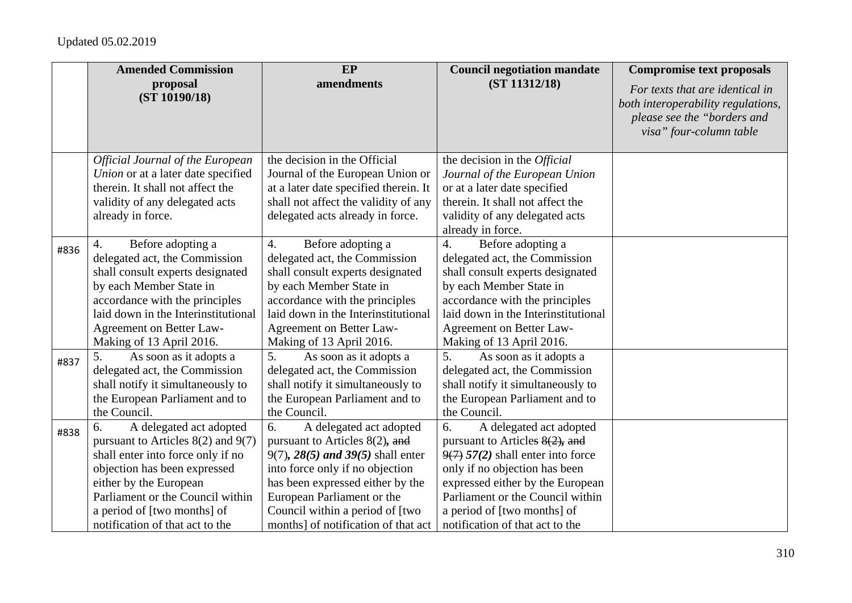|      | <b>Amended Commission</b>               | EP                                    | <b>Council negotiation mandate</b>  | <b>Compromise text proposals</b>                                                                                                |
|------|-----------------------------------------|---------------------------------------|-------------------------------------|---------------------------------------------------------------------------------------------------------------------------------|
|      | proposal<br>(ST 10190/18)               | amendments                            | (ST 11312/18)                       | For texts that are identical in<br>both interoperability regulations,<br>please see the "borders and<br>visa" four-column table |
|      | <b>Official Journal of the European</b> | the decision in the Official          | the decision in the Official        |                                                                                                                                 |
|      | Union or at a later date specified      | Journal of the European Union or      | Journal of the European Union       |                                                                                                                                 |
|      | therein. It shall not affect the        | at a later date specified therein. It | or at a later date specified        |                                                                                                                                 |
|      | validity of any delegated acts          | shall not affect the validity of any  | therein. It shall not affect the    |                                                                                                                                 |
|      | already in force.                       | delegated acts already in force.      | validity of any delegated acts      |                                                                                                                                 |
|      |                                         |                                       | already in force.                   |                                                                                                                                 |
| #836 | Before adopting a<br>4.                 | 4.<br>Before adopting a               | Before adopting a<br>4.             |                                                                                                                                 |
|      | delegated act, the Commission           | delegated act, the Commission         | delegated act, the Commission       |                                                                                                                                 |
|      | shall consult experts designated        | shall consult experts designated      | shall consult experts designated    |                                                                                                                                 |
|      | by each Member State in                 | by each Member State in               | by each Member State in             |                                                                                                                                 |
|      | accordance with the principles          | accordance with the principles        | accordance with the principles      |                                                                                                                                 |
|      | laid down in the Interinstitutional     | laid down in the Interinstitutional   | laid down in the Interinstitutional |                                                                                                                                 |
|      | Agreement on Better Law-                | Agreement on Better Law-              | Agreement on Better Law-            |                                                                                                                                 |
|      | Making of 13 April 2016.                | Making of 13 April 2016.              | Making of 13 April 2016.            |                                                                                                                                 |
| #837 | 5.<br>As soon as it adopts a            | 5.<br>As soon as it adopts a          | 5.<br>As soon as it adopts a        |                                                                                                                                 |
|      | delegated act, the Commission           | delegated act, the Commission         | delegated act, the Commission       |                                                                                                                                 |
|      | shall notify it simultaneously to       | shall notify it simultaneously to     | shall notify it simultaneously to   |                                                                                                                                 |
|      | the European Parliament and to          | the European Parliament and to        | the European Parliament and to      |                                                                                                                                 |
|      | the Council.                            | the Council.                          | the Council.                        |                                                                                                                                 |
| #838 | 6.<br>A delegated act adopted           | 6.<br>A delegated act adopted         | A delegated act adopted<br>6.       |                                                                                                                                 |
|      | pursuant to Articles $8(2)$ and $9(7)$  | pursuant to Articles $8(2)$ , and     | pursuant to Articles $8(2)$ , and   |                                                                                                                                 |
|      | shall enter into force only if no       | 9(7), $28(5)$ and $39(5)$ shall enter | $9(7)$ 57(2) shall enter into force |                                                                                                                                 |
|      | objection has been expressed            | into force only if no objection       | only if no objection has been       |                                                                                                                                 |
|      | either by the European                  | has been expressed either by the      | expressed either by the European    |                                                                                                                                 |
|      | Parliament or the Council within        | European Parliament or the            | Parliament or the Council within    |                                                                                                                                 |
|      | a period of [two months] of             | Council within a period of [two       | a period of [two months] of         |                                                                                                                                 |
|      | notification of that act to the         | months] of notification of that act   | notification of that act to the     |                                                                                                                                 |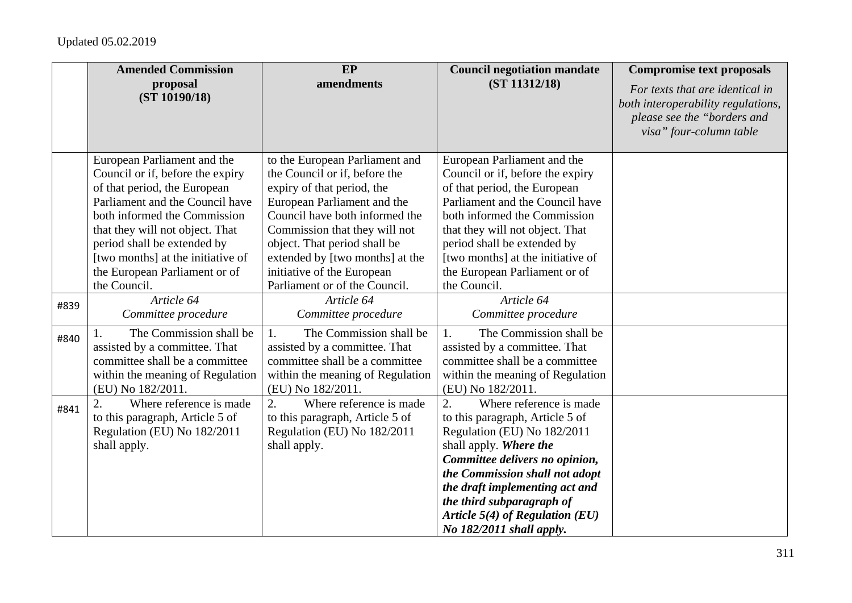|      | <b>Amended Commission</b>                                                                                                                                                                                                                                                                                  | EP                                                                                                                                                                                                                                                                                               | <b>Council negotiation mandate</b>                                                                                                                                                                                                                                                                                                            | <b>Compromise text proposals</b>                                                                                                |
|------|------------------------------------------------------------------------------------------------------------------------------------------------------------------------------------------------------------------------------------------------------------------------------------------------------------|--------------------------------------------------------------------------------------------------------------------------------------------------------------------------------------------------------------------------------------------------------------------------------------------------|-----------------------------------------------------------------------------------------------------------------------------------------------------------------------------------------------------------------------------------------------------------------------------------------------------------------------------------------------|---------------------------------------------------------------------------------------------------------------------------------|
|      | proposal<br>(ST 10190/18)                                                                                                                                                                                                                                                                                  | amendments                                                                                                                                                                                                                                                                                       | (ST 11312/18)                                                                                                                                                                                                                                                                                                                                 | For texts that are identical in<br>both interoperability regulations,<br>please see the "borders and<br>visa" four-column table |
|      | European Parliament and the<br>Council or if, before the expiry<br>of that period, the European<br>Parliament and the Council have<br>both informed the Commission<br>that they will not object. That<br>period shall be extended by<br>[two months] at the initiative of<br>the European Parliament or of | to the European Parliament and<br>the Council or if, before the<br>expiry of that period, the<br>European Parliament and the<br>Council have both informed the<br>Commission that they will not<br>object. That period shall be<br>extended by [two months] at the<br>initiative of the European | European Parliament and the<br>Council or if, before the expiry<br>of that period, the European<br>Parliament and the Council have<br>both informed the Commission<br>that they will not object. That<br>period shall be extended by<br>[two months] at the initiative of<br>the European Parliament or of                                    |                                                                                                                                 |
|      | the Council.                                                                                                                                                                                                                                                                                               | Parliament or of the Council.                                                                                                                                                                                                                                                                    | the Council.                                                                                                                                                                                                                                                                                                                                  |                                                                                                                                 |
| #839 | Article 64<br>Committee procedure                                                                                                                                                                                                                                                                          | Article 64<br>Committee procedure                                                                                                                                                                                                                                                                | Article 64<br>Committee procedure                                                                                                                                                                                                                                                                                                             |                                                                                                                                 |
| #840 | The Commission shall be<br>assisted by a committee. That<br>committee shall be a committee<br>within the meaning of Regulation<br>(EU) No 182/2011.                                                                                                                                                        | The Commission shall be<br>1.<br>assisted by a committee. That<br>committee shall be a committee<br>within the meaning of Regulation<br>(EU) No 182/2011.                                                                                                                                        | The Commission shall be<br>1.<br>assisted by a committee. That<br>committee shall be a committee<br>within the meaning of Regulation<br>(EU) No 182/2011.                                                                                                                                                                                     |                                                                                                                                 |
| #841 | 2.<br>Where reference is made<br>to this paragraph, Article 5 of<br>Regulation (EU) No 182/2011<br>shall apply.                                                                                                                                                                                            | Where reference is made<br>2.<br>to this paragraph, Article 5 of<br>Regulation (EU) No 182/2011<br>shall apply.                                                                                                                                                                                  | $\overline{2}$ .<br>Where reference is made<br>to this paragraph, Article 5 of<br>Regulation (EU) No 182/2011<br>shall apply. Where the<br>Committee delivers no opinion,<br>the Commission shall not adopt<br>the draft implementing act and<br>the third subparagraph of<br>Article $5(4)$ of Regulation (EU)<br>No $182/2011$ shall apply. |                                                                                                                                 |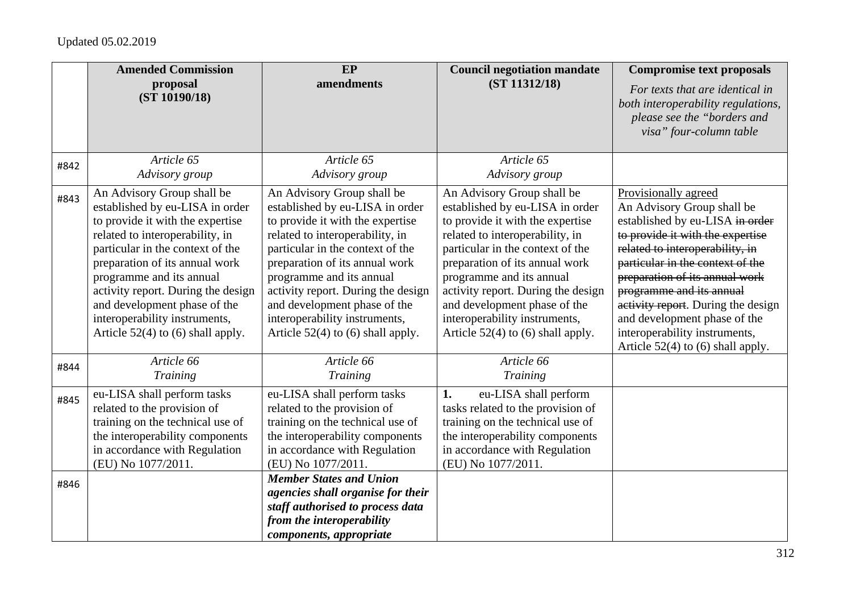|      | <b>Amended Commission</b><br>proposal<br>(ST 10190/18)                                                                                                                                                                                                                                                                                                                               | EP<br>amendments                                                                                                                                                                                                                                                                                                                                                                     | <b>Council negotiation mandate</b><br>(ST 11312/18)                                                                                                                                                                                                                                                                                                                                  | <b>Compromise text proposals</b><br>For texts that are identical in<br>both interoperability regulations,<br>please see the "borders and<br>visa" four-column table                                                                                                                                                                                                                                          |
|------|--------------------------------------------------------------------------------------------------------------------------------------------------------------------------------------------------------------------------------------------------------------------------------------------------------------------------------------------------------------------------------------|--------------------------------------------------------------------------------------------------------------------------------------------------------------------------------------------------------------------------------------------------------------------------------------------------------------------------------------------------------------------------------------|--------------------------------------------------------------------------------------------------------------------------------------------------------------------------------------------------------------------------------------------------------------------------------------------------------------------------------------------------------------------------------------|--------------------------------------------------------------------------------------------------------------------------------------------------------------------------------------------------------------------------------------------------------------------------------------------------------------------------------------------------------------------------------------------------------------|
| #842 | Article 65<br>Advisory group                                                                                                                                                                                                                                                                                                                                                         | Article 65<br>Advisory group                                                                                                                                                                                                                                                                                                                                                         | Article 65<br>Advisory group                                                                                                                                                                                                                                                                                                                                                         |                                                                                                                                                                                                                                                                                                                                                                                                              |
| #843 | An Advisory Group shall be<br>established by eu-LISA in order<br>to provide it with the expertise<br>related to interoperability, in<br>particular in the context of the<br>preparation of its annual work<br>programme and its annual<br>activity report. During the design<br>and development phase of the<br>interoperability instruments,<br>Article $52(4)$ to (6) shall apply. | An Advisory Group shall be<br>established by eu-LISA in order<br>to provide it with the expertise<br>related to interoperability, in<br>particular in the context of the<br>preparation of its annual work<br>programme and its annual<br>activity report. During the design<br>and development phase of the<br>interoperability instruments,<br>Article $52(4)$ to (6) shall apply. | An Advisory Group shall be<br>established by eu-LISA in order<br>to provide it with the expertise<br>related to interoperability, in<br>particular in the context of the<br>preparation of its annual work<br>programme and its annual<br>activity report. During the design<br>and development phase of the<br>interoperability instruments,<br>Article $52(4)$ to (6) shall apply. | Provisionally agreed<br>An Advisory Group shall be<br>established by eu-LISA in order<br>to provide it with the expertise<br>related to interoperability, in<br>particular in the context of the<br>preparation of its annual work<br>programme and its annual<br>activity report. During the design<br>and development phase of the<br>interoperability instruments,<br>Article $52(4)$ to (6) shall apply. |
| #844 | Article 66<br>Training                                                                                                                                                                                                                                                                                                                                                               | Article 66<br><b>Training</b>                                                                                                                                                                                                                                                                                                                                                        | Article 66<br>Training                                                                                                                                                                                                                                                                                                                                                               |                                                                                                                                                                                                                                                                                                                                                                                                              |
| #845 | eu-LISA shall perform tasks<br>related to the provision of<br>training on the technical use of<br>the interoperability components<br>in accordance with Regulation<br>(EU) No 1077/2011.                                                                                                                                                                                             | eu-LISA shall perform tasks<br>related to the provision of<br>training on the technical use of<br>the interoperability components<br>in accordance with Regulation<br>(EU) No 1077/2011.                                                                                                                                                                                             | eu-LISA shall perform<br>1.<br>tasks related to the provision of<br>training on the technical use of<br>the interoperability components<br>in accordance with Regulation<br>(EU) No 1077/2011.                                                                                                                                                                                       |                                                                                                                                                                                                                                                                                                                                                                                                              |
| #846 |                                                                                                                                                                                                                                                                                                                                                                                      | <b>Member States and Union</b><br>agencies shall organise for their<br>staff authorised to process data<br>from the interoperability<br>components, appropriate                                                                                                                                                                                                                      |                                                                                                                                                                                                                                                                                                                                                                                      |                                                                                                                                                                                                                                                                                                                                                                                                              |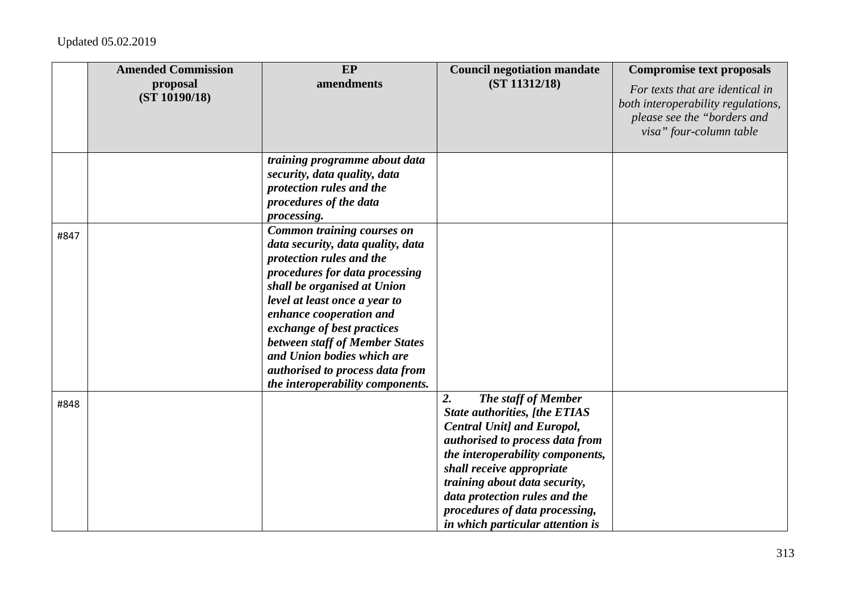|      | <b>Amended Commission</b><br>proposal<br>(ST 10190/18) | EP<br>amendments                                                                                                                                                                                                                                                                                                                                                                                     | <b>Council negotiation mandate</b><br>(ST 11312/18)                                                                                                                                                                                                                                                                                                | <b>Compromise text proposals</b><br>For texts that are identical in<br>both interoperability regulations,<br>please see the "borders and<br>visa" four-column table |
|------|--------------------------------------------------------|------------------------------------------------------------------------------------------------------------------------------------------------------------------------------------------------------------------------------------------------------------------------------------------------------------------------------------------------------------------------------------------------------|----------------------------------------------------------------------------------------------------------------------------------------------------------------------------------------------------------------------------------------------------------------------------------------------------------------------------------------------------|---------------------------------------------------------------------------------------------------------------------------------------------------------------------|
|      |                                                        | training programme about data<br>security, data quality, data<br>protection rules and the<br>procedures of the data<br>processing.                                                                                                                                                                                                                                                                   |                                                                                                                                                                                                                                                                                                                                                    |                                                                                                                                                                     |
| #847 |                                                        | <b>Common training courses on</b><br>data security, data quality, data<br>protection rules and the<br>procedures for data processing<br>shall be organised at Union<br>level at least once a year to<br>enhance cooperation and<br>exchange of best practices<br>between staff of Member States<br>and Union bodies which are<br>authorised to process data from<br>the interoperability components. |                                                                                                                                                                                                                                                                                                                                                    |                                                                                                                                                                     |
| #848 |                                                        |                                                                                                                                                                                                                                                                                                                                                                                                      | 2.<br>The staff of Member<br><b>State authorities, [the ETIAS</b><br><b>Central Unit] and Europol,</b><br>authorised to process data from<br>the interoperability components,<br>shall receive appropriate<br>training about data security,<br>data protection rules and the<br>procedures of data processing,<br>in which particular attention is |                                                                                                                                                                     |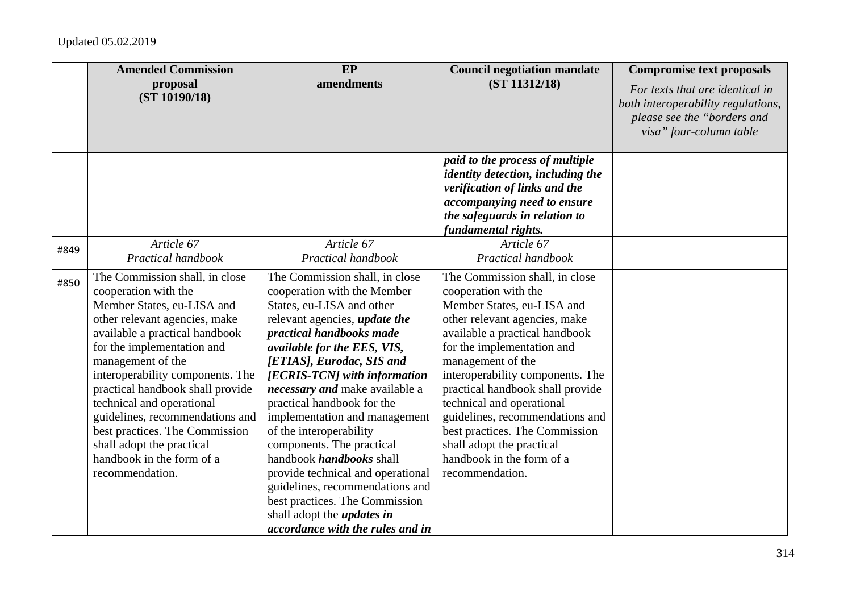|      | <b>Amended Commission</b>                                                                                                                                                                                                                                                                                                                                                                                                                                         | $E$ P                                                                                                                                                                                                                                                                                                                                                                                                                                                                                                                                                                                                                              | <b>Council negotiation mandate</b>                                                                                                                                                                                                                                                                                                                                                                                                                                | <b>Compromise text proposals</b>                                                                                                |
|------|-------------------------------------------------------------------------------------------------------------------------------------------------------------------------------------------------------------------------------------------------------------------------------------------------------------------------------------------------------------------------------------------------------------------------------------------------------------------|------------------------------------------------------------------------------------------------------------------------------------------------------------------------------------------------------------------------------------------------------------------------------------------------------------------------------------------------------------------------------------------------------------------------------------------------------------------------------------------------------------------------------------------------------------------------------------------------------------------------------------|-------------------------------------------------------------------------------------------------------------------------------------------------------------------------------------------------------------------------------------------------------------------------------------------------------------------------------------------------------------------------------------------------------------------------------------------------------------------|---------------------------------------------------------------------------------------------------------------------------------|
|      | proposal<br>(ST 10190/18)                                                                                                                                                                                                                                                                                                                                                                                                                                         | amendments                                                                                                                                                                                                                                                                                                                                                                                                                                                                                                                                                                                                                         | (ST 11312/18)                                                                                                                                                                                                                                                                                                                                                                                                                                                     | For texts that are identical in<br>both interoperability regulations,<br>please see the "borders and<br>visa" four-column table |
|      |                                                                                                                                                                                                                                                                                                                                                                                                                                                                   |                                                                                                                                                                                                                                                                                                                                                                                                                                                                                                                                                                                                                                    | paid to the process of multiple<br><i>identity detection, including the</i><br>verification of links and the<br>accompanying need to ensure<br>the safeguards in relation to<br>fundamental rights.                                                                                                                                                                                                                                                               |                                                                                                                                 |
| #849 | Article 67<br>Practical handbook                                                                                                                                                                                                                                                                                                                                                                                                                                  | Article 67<br>Practical handbook                                                                                                                                                                                                                                                                                                                                                                                                                                                                                                                                                                                                   | Article 67<br>Practical handbook                                                                                                                                                                                                                                                                                                                                                                                                                                  |                                                                                                                                 |
| #850 | The Commission shall, in close<br>cooperation with the<br>Member States, eu-LISA and<br>other relevant agencies, make<br>available a practical handbook<br>for the implementation and<br>management of the<br>interoperability components. The<br>practical handbook shall provide<br>technical and operational<br>guidelines, recommendations and<br>best practices. The Commission<br>shall adopt the practical<br>handbook in the form of a<br>recommendation. | The Commission shall, in close<br>cooperation with the Member<br>States, eu-LISA and other<br>relevant agencies, <i>update the</i><br>practical handbooks made<br>available for the EES, VIS,<br>[ETIAS], Eurodac, SIS and<br>[ECRIS-TCN] with information<br>necessary and make available a<br>practical handbook for the<br>implementation and management<br>of the interoperability<br>components. The practical<br>handbook handbooks shall<br>provide technical and operational<br>guidelines, recommendations and<br>best practices. The Commission<br>shall adopt the <i>updates in</i><br>accordance with the rules and in | The Commission shall, in close<br>cooperation with the<br>Member States, eu-LISA and<br>other relevant agencies, make<br>available a practical handbook<br>for the implementation and<br>management of the<br>interoperability components. The<br>practical handbook shall provide<br>technical and operational<br>guidelines, recommendations and<br>best practices. The Commission<br>shall adopt the practical<br>handbook in the form of a<br>recommendation. |                                                                                                                                 |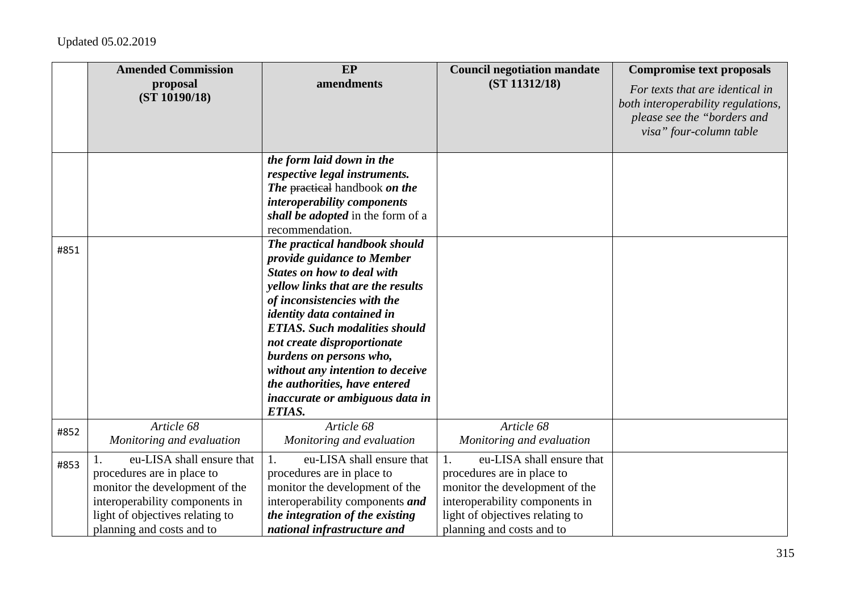|      | <b>Amended Commission</b>                                                                                                                                                                   | <b>EP</b>                                                                                                                                                                                                                                                                                                                                                                                                                     | <b>Council negotiation mandate</b>                                                                                                                                                                | <b>Compromise text proposals</b>                                                                                                |
|------|---------------------------------------------------------------------------------------------------------------------------------------------------------------------------------------------|-------------------------------------------------------------------------------------------------------------------------------------------------------------------------------------------------------------------------------------------------------------------------------------------------------------------------------------------------------------------------------------------------------------------------------|---------------------------------------------------------------------------------------------------------------------------------------------------------------------------------------------------|---------------------------------------------------------------------------------------------------------------------------------|
|      | proposal<br>(ST 10190/18)                                                                                                                                                                   | amendments                                                                                                                                                                                                                                                                                                                                                                                                                    | (ST 11312/18)                                                                                                                                                                                     | For texts that are identical in<br>both interoperability regulations,<br>please see the "borders and<br>visa" four-column table |
|      |                                                                                                                                                                                             | the form laid down in the<br>respective legal instruments.<br><b>The practical handbook on the</b><br>interoperability components<br>shall be adopted in the form of a<br>recommendation.                                                                                                                                                                                                                                     |                                                                                                                                                                                                   |                                                                                                                                 |
| #851 |                                                                                                                                                                                             | The practical handbook should<br>provide guidance to Member<br><b>States on how to deal with</b><br>yellow links that are the results<br>of inconsistencies with the<br><i>identity data contained in</i><br><b>ETIAS.</b> Such modalities should<br>not create disproportionate<br>burdens on persons who,<br>without any intention to deceive<br>the authorities, have entered<br>inaccurate or ambiguous data in<br>ETIAS. |                                                                                                                                                                                                   |                                                                                                                                 |
| #852 | Article 68<br>Monitoring and evaluation                                                                                                                                                     | Article 68<br>Monitoring and evaluation                                                                                                                                                                                                                                                                                                                                                                                       | Article 68<br>Monitoring and evaluation                                                                                                                                                           |                                                                                                                                 |
| #853 | eu-LISA shall ensure that<br>procedures are in place to<br>monitor the development of the<br>interoperability components in<br>light of objectives relating to<br>planning and costs and to | $\mathbf{1}$ .<br>eu-LISA shall ensure that<br>procedures are in place to<br>monitor the development of the<br>interoperability components and<br>the integration of the existing<br>national infrastructure and                                                                                                                                                                                                              | eu-LISA shall ensure that<br>1.<br>procedures are in place to<br>monitor the development of the<br>interoperability components in<br>light of objectives relating to<br>planning and costs and to |                                                                                                                                 |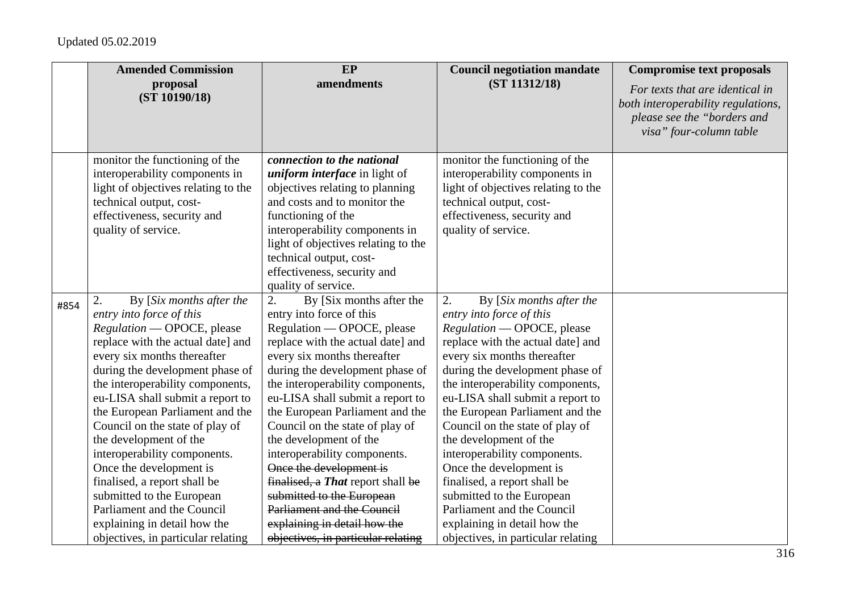|      | <b>Amended Commission</b>                                                                                                                                                                                                                                                                                                                                                                                                                                                                                                                                                                           | EP                                                                                                                                                                                                                                                                                                                                                                                                                                                                                                                                                                                                       | <b>Council negotiation mandate</b>                                                                                                                                                                                                                                                                                                                                                                                                                                                                                                                                                                  | <b>Compromise text proposals</b>                                                                                                |
|------|-----------------------------------------------------------------------------------------------------------------------------------------------------------------------------------------------------------------------------------------------------------------------------------------------------------------------------------------------------------------------------------------------------------------------------------------------------------------------------------------------------------------------------------------------------------------------------------------------------|----------------------------------------------------------------------------------------------------------------------------------------------------------------------------------------------------------------------------------------------------------------------------------------------------------------------------------------------------------------------------------------------------------------------------------------------------------------------------------------------------------------------------------------------------------------------------------------------------------|-----------------------------------------------------------------------------------------------------------------------------------------------------------------------------------------------------------------------------------------------------------------------------------------------------------------------------------------------------------------------------------------------------------------------------------------------------------------------------------------------------------------------------------------------------------------------------------------------------|---------------------------------------------------------------------------------------------------------------------------------|
|      | proposal<br>(ST 10190/18)                                                                                                                                                                                                                                                                                                                                                                                                                                                                                                                                                                           | amendments                                                                                                                                                                                                                                                                                                                                                                                                                                                                                                                                                                                               | (ST 11312/18)                                                                                                                                                                                                                                                                                                                                                                                                                                                                                                                                                                                       | For texts that are identical in<br>both interoperability regulations,<br>please see the "borders and<br>visa" four-column table |
|      | monitor the functioning of the<br>interoperability components in<br>light of objectives relating to the<br>technical output, cost-<br>effectiveness, security and<br>quality of service.                                                                                                                                                                                                                                                                                                                                                                                                            | connection to the national<br><i>uniform interface</i> in light of<br>objectives relating to planning<br>and costs and to monitor the<br>functioning of the<br>interoperability components in<br>light of objectives relating to the<br>technical output, cost-<br>effectiveness, security and<br>quality of service.                                                                                                                                                                                                                                                                                    | monitor the functioning of the<br>interoperability components in<br>light of objectives relating to the<br>technical output, cost-<br>effectiveness, security and<br>quality of service.                                                                                                                                                                                                                                                                                                                                                                                                            |                                                                                                                                 |
| #854 | By [Six months after the<br>2.<br>entry into force of this<br>Regulation — OPOCE, please<br>replace with the actual date] and<br>every six months thereafter<br>during the development phase of<br>the interoperability components,<br>eu-LISA shall submit a report to<br>the European Parliament and the<br>Council on the state of play of<br>the development of the<br>interoperability components.<br>Once the development is<br>finalised, a report shall be<br>submitted to the European<br>Parliament and the Council<br>explaining in detail how the<br>objectives, in particular relating | 2.<br>By [Six months after the<br>entry into force of this<br>Regulation — OPOCE, please<br>replace with the actual date] and<br>every six months thereafter<br>during the development phase of<br>the interoperability components,<br>eu-LISA shall submit a report to<br>the European Parliament and the<br>Council on the state of play of<br>the development of the<br>interoperability components.<br>Once the development is<br>finalised, a That report shall be<br>submitted to the European<br>Parliament and the Council<br>explaining in detail how the<br>objectives, in particular relating | By [Six months after the<br>2.<br>entry into force of this<br>Regulation - OPOCE, please<br>replace with the actual date] and<br>every six months thereafter<br>during the development phase of<br>the interoperability components,<br>eu-LISA shall submit a report to<br>the European Parliament and the<br>Council on the state of play of<br>the development of the<br>interoperability components.<br>Once the development is<br>finalised, a report shall be<br>submitted to the European<br>Parliament and the Council<br>explaining in detail how the<br>objectives, in particular relating |                                                                                                                                 |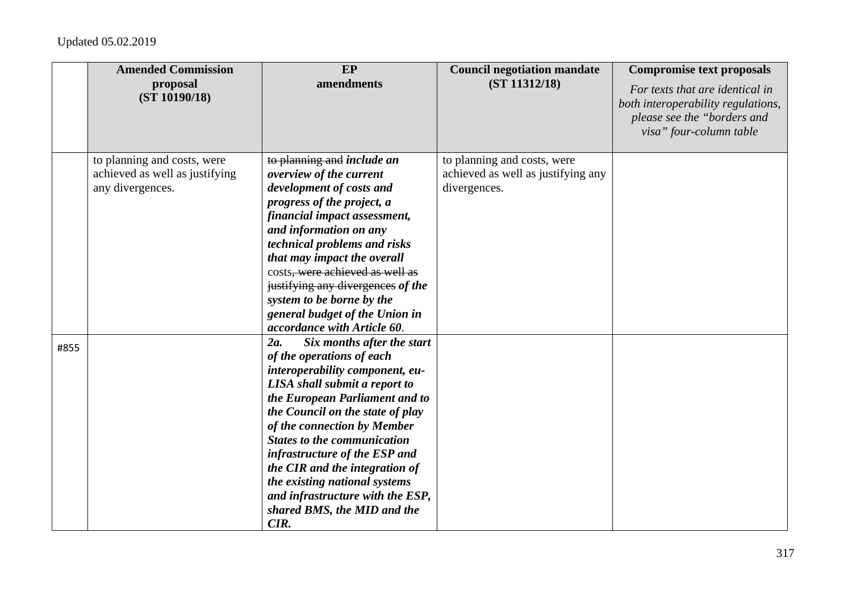|      | <b>Amended Commission</b>      | EP                                                               | <b>Council negotiation mandate</b> | <b>Compromise text proposals</b>                                      |
|------|--------------------------------|------------------------------------------------------------------|------------------------------------|-----------------------------------------------------------------------|
|      | proposal<br>(ST 10190/18)      | amendments                                                       | (ST 11312/18)                      | For texts that are identical in<br>both interoperability regulations, |
|      |                                |                                                                  |                                    | please see the "borders and                                           |
|      |                                |                                                                  |                                    | visa" four-column table                                               |
|      |                                |                                                                  |                                    |                                                                       |
|      | to planning and costs, were    | to planning and <i>include an</i>                                | to planning and costs, were        |                                                                       |
|      | achieved as well as justifying | overview of the current                                          | achieved as well as justifying any |                                                                       |
|      | any divergences.               | development of costs and                                         | divergences.                       |                                                                       |
|      |                                | progress of the project, a                                       |                                    |                                                                       |
|      |                                | financial impact assessment,                                     |                                    |                                                                       |
|      |                                | and information on any                                           |                                    |                                                                       |
|      |                                | technical problems and risks                                     |                                    |                                                                       |
|      |                                | that may impact the overall                                      |                                    |                                                                       |
|      |                                | costs, were achieved as well as                                  |                                    |                                                                       |
|      |                                | justifying any divergences of the                                |                                    |                                                                       |
|      |                                | system to be borne by the                                        |                                    |                                                                       |
|      |                                | general budget of the Union in                                   |                                    |                                                                       |
|      |                                | accordance with Article 60.                                      |                                    |                                                                       |
| #855 |                                | 2a.<br>Six months after the start                                |                                    |                                                                       |
|      |                                | of the operations of each                                        |                                    |                                                                       |
|      |                                | interoperability component, eu-<br>LISA shall submit a report to |                                    |                                                                       |
|      |                                | the European Parliament and to                                   |                                    |                                                                       |
|      |                                | the Council on the state of play                                 |                                    |                                                                       |
|      |                                | of the connection by Member                                      |                                    |                                                                       |
|      |                                | <b>States to the communication</b>                               |                                    |                                                                       |
|      |                                | infrastructure of the ESP and                                    |                                    |                                                                       |
|      |                                | the CIR and the integration of                                   |                                    |                                                                       |
|      |                                | the existing national systems                                    |                                    |                                                                       |
|      |                                | and infrastructure with the ESP,                                 |                                    |                                                                       |
|      |                                | shared BMS, the MID and the                                      |                                    |                                                                       |
|      |                                | CIR.                                                             |                                    |                                                                       |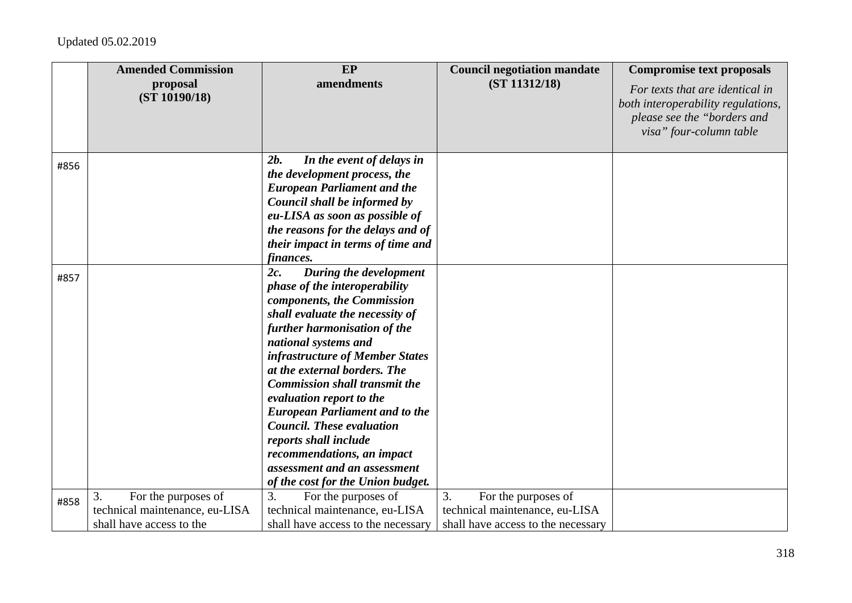|      | <b>Amended Commission</b>                                                               | EP                                                                                                                                                                                                                                                                                                                                                                                                                                                                                                                                             | <b>Council negotiation mandate</b>                                                                | <b>Compromise text proposals</b>                                                                                                |
|------|-----------------------------------------------------------------------------------------|------------------------------------------------------------------------------------------------------------------------------------------------------------------------------------------------------------------------------------------------------------------------------------------------------------------------------------------------------------------------------------------------------------------------------------------------------------------------------------------------------------------------------------------------|---------------------------------------------------------------------------------------------------|---------------------------------------------------------------------------------------------------------------------------------|
|      | proposal<br>(ST 10190/18)                                                               | amendments                                                                                                                                                                                                                                                                                                                                                                                                                                                                                                                                     | (ST 11312/18)                                                                                     | For texts that are identical in<br>both interoperability regulations,<br>please see the "borders and<br>visa" four-column table |
| #856 |                                                                                         | 2b.<br>In the event of delays in<br>the development process, the<br><b>European Parliament and the</b><br>Council shall be informed by<br>eu-LISA as soon as possible of<br>the reasons for the delays and of<br>their impact in terms of time and<br><i>finances.</i>                                                                                                                                                                                                                                                                         |                                                                                                   |                                                                                                                                 |
| #857 |                                                                                         | 2c.<br>During the development<br><i>phase of the interoperability</i><br>components, the Commission<br>shall evaluate the necessity of<br>further harmonisation of the<br>national systems and<br>infrastructure of Member States<br>at the external borders. The<br><b>Commission shall transmit the</b><br>evaluation report to the<br><b>European Parliament and to the</b><br><b>Council. These evaluation</b><br>reports shall include<br>recommendations, an impact<br>assessment and an assessment<br>of the cost for the Union budget. |                                                                                                   |                                                                                                                                 |
| #858 | For the purposes of<br>3.<br>technical maintenance, eu-LISA<br>shall have access to the | 3.<br>For the purposes of<br>technical maintenance, eu-LISA<br>shall have access to the necessary                                                                                                                                                                                                                                                                                                                                                                                                                                              | 3.<br>For the purposes of<br>technical maintenance, eu-LISA<br>shall have access to the necessary |                                                                                                                                 |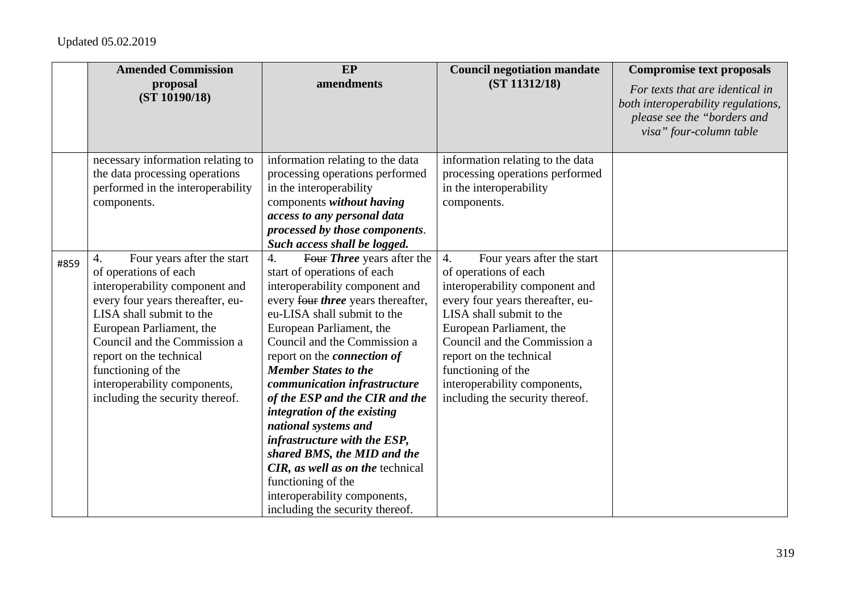|      | <b>Amended Commission</b><br>proposal         | EP<br>amendments                                                  | <b>Council negotiation mandate</b><br>(ST 11312/18) | <b>Compromise text proposals</b>                                      |
|------|-----------------------------------------------|-------------------------------------------------------------------|-----------------------------------------------------|-----------------------------------------------------------------------|
|      | (ST 10190/18)                                 |                                                                   |                                                     | For texts that are identical in<br>both interoperability regulations, |
|      |                                               |                                                                   |                                                     | please see the "borders and                                           |
|      |                                               |                                                                   |                                                     | visa" four-column table                                               |
|      | necessary information relating to             | information relating to the data                                  | information relating to the data                    |                                                                       |
|      | the data processing operations                | processing operations performed                                   | processing operations performed                     |                                                                       |
|      | performed in the interoperability             | in the interoperability                                           | in the interoperability                             |                                                                       |
|      | components.                                   | components without having                                         | components.                                         |                                                                       |
|      |                                               | access to any personal data                                       |                                                     |                                                                       |
|      |                                               | processed by those components.<br>Such access shall be logged.    |                                                     |                                                                       |
|      | Four years after the start<br>4.              | Four Three years after the<br>4.                                  | $\overline{4}$ .<br>Four years after the start      |                                                                       |
| #859 | of operations of each                         | start of operations of each                                       | of operations of each                               |                                                                       |
|      | interoperability component and                | interoperability component and                                    | interoperability component and                      |                                                                       |
|      | every four years thereafter, eu-              | every four three years thereafter,                                | every four years thereafter, eu-                    |                                                                       |
|      | LISA shall submit to the                      | eu-LISA shall submit to the                                       | LISA shall submit to the                            |                                                                       |
|      | European Parliament, the                      | European Parliament, the                                          | European Parliament, the                            |                                                                       |
|      | Council and the Commission a                  | Council and the Commission a                                      | Council and the Commission a                        |                                                                       |
|      | report on the technical<br>functioning of the | report on the <i>connection</i> of<br><b>Member States to the</b> | report on the technical<br>functioning of the       |                                                                       |
|      | interoperability components,                  | communication infrastructure                                      | interoperability components,                        |                                                                       |
|      | including the security thereof.               | of the ESP and the CIR and the                                    | including the security thereof.                     |                                                                       |
|      |                                               | integration of the existing                                       |                                                     |                                                                       |
|      |                                               | national systems and                                              |                                                     |                                                                       |
|      |                                               | infrastructure with the ESP,                                      |                                                     |                                                                       |
|      |                                               | shared BMS, the MID and the                                       |                                                     |                                                                       |
|      |                                               | CIR, as well as on the technical                                  |                                                     |                                                                       |
|      |                                               | functioning of the                                                |                                                     |                                                                       |
|      |                                               | interoperability components,<br>including the security thereof.   |                                                     |                                                                       |
|      |                                               |                                                                   |                                                     |                                                                       |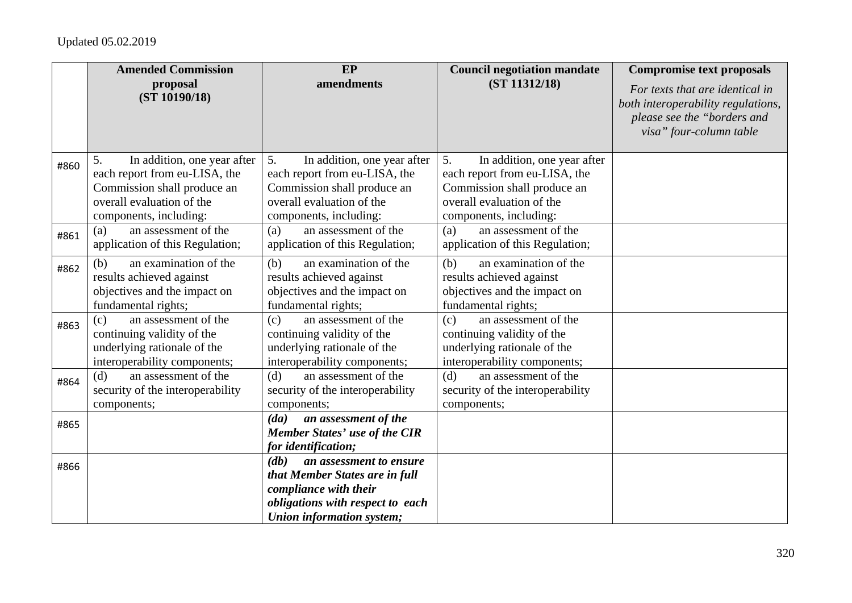|      | <b>Amended Commission</b>                                                                | EP                                                                                       | <b>Council negotiation mandate</b>                                                       | <b>Compromise text proposals</b>                                                                                                |
|------|------------------------------------------------------------------------------------------|------------------------------------------------------------------------------------------|------------------------------------------------------------------------------------------|---------------------------------------------------------------------------------------------------------------------------------|
|      | proposal<br>(ST 10190/18)                                                                | amendments                                                                               | (ST 11312/18)                                                                            | For texts that are identical in<br>both interoperability regulations,<br>please see the "borders and<br>visa" four-column table |
| #860 | In addition, one year after<br>5.                                                        | In addition, one year after<br>5.                                                        | In addition, one year after<br>5.                                                        |                                                                                                                                 |
|      | each report from eu-LISA, the<br>Commission shall produce an                             | each report from eu-LISA, the<br>Commission shall produce an                             | each report from eu-LISA, the<br>Commission shall produce an                             |                                                                                                                                 |
|      | overall evaluation of the                                                                | overall evaluation of the                                                                | overall evaluation of the                                                                |                                                                                                                                 |
|      | components, including:                                                                   | components, including:                                                                   | components, including:                                                                   |                                                                                                                                 |
| #861 | an assessment of the<br>(a)                                                              | an assessment of the<br>(a)                                                              | an assessment of the<br>(a)                                                              |                                                                                                                                 |
|      | application of this Regulation;                                                          | application of this Regulation;                                                          | application of this Regulation;                                                          |                                                                                                                                 |
| #862 | an examination of the<br>(b)                                                             | an examination of the<br>(b)                                                             | an examination of the<br>(b)                                                             |                                                                                                                                 |
|      | results achieved against<br>objectives and the impact on                                 | results achieved against<br>objectives and the impact on                                 | results achieved against<br>objectives and the impact on                                 |                                                                                                                                 |
|      | fundamental rights;                                                                      | fundamental rights;                                                                      | fundamental rights;                                                                      |                                                                                                                                 |
| #863 | an assessment of the<br>(c)<br>continuing validity of the<br>underlying rationale of the | an assessment of the<br>(c)<br>continuing validity of the<br>underlying rationale of the | an assessment of the<br>(c)<br>continuing validity of the<br>underlying rationale of the |                                                                                                                                 |
|      | interoperability components;<br>an assessment of the<br>(d)                              | interoperability components;<br>an assessment of the<br>(d)                              | interoperability components;<br>an assessment of the<br>(d)                              |                                                                                                                                 |
| #864 | security of the interoperability                                                         | security of the interoperability                                                         | security of the interoperability                                                         |                                                                                                                                 |
|      | components;                                                                              | components;<br>an assessment of the<br>(da)                                              | components;                                                                              |                                                                                                                                 |
| #865 |                                                                                          | Member States' use of the CIR                                                            |                                                                                          |                                                                                                                                 |
|      |                                                                                          | for identification;                                                                      |                                                                                          |                                                                                                                                 |
| #866 |                                                                                          | $\left( db\right)$<br>an assessment to ensure                                            |                                                                                          |                                                                                                                                 |
|      |                                                                                          | that Member States are in full                                                           |                                                                                          |                                                                                                                                 |
|      |                                                                                          | compliance with their<br>obligations with respect to each                                |                                                                                          |                                                                                                                                 |
|      |                                                                                          | Union information system;                                                                |                                                                                          |                                                                                                                                 |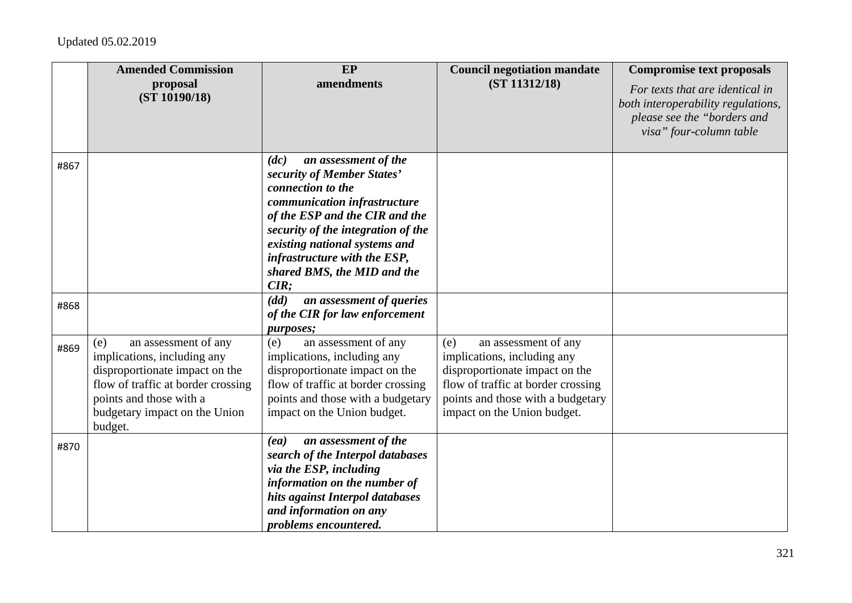|      | <b>Amended Commission</b><br>proposal<br>(ST 10190/18)                                                                                                                                                    | EP<br>amendments                                                                                                                                                                                                                                                                                | <b>Council negotiation mandate</b><br>(ST 11312/18)                                                                                                                                                    | <b>Compromise text proposals</b><br>For texts that are identical in<br>both interoperability regulations,<br>please see the "borders and<br>visa" four-column table |
|------|-----------------------------------------------------------------------------------------------------------------------------------------------------------------------------------------------------------|-------------------------------------------------------------------------------------------------------------------------------------------------------------------------------------------------------------------------------------------------------------------------------------------------|--------------------------------------------------------------------------------------------------------------------------------------------------------------------------------------------------------|---------------------------------------------------------------------------------------------------------------------------------------------------------------------|
| #867 |                                                                                                                                                                                                           | an assessment of the<br>(dc)<br>security of Member States'<br>connection to the<br>communication infrastructure<br>of the ESP and the CIR and the<br>security of the integration of the<br>existing national systems and<br>infrastructure with the ESP,<br>shared BMS, the MID and the<br>CIR; |                                                                                                                                                                                                        |                                                                                                                                                                     |
| #868 |                                                                                                                                                                                                           | (dd)<br>an assessment of queries<br>of the CIR for law enforcement<br>purposes;                                                                                                                                                                                                                 |                                                                                                                                                                                                        |                                                                                                                                                                     |
| #869 | (e)<br>an assessment of any<br>implications, including any<br>disproportionate impact on the<br>flow of traffic at border crossing<br>points and those with a<br>budgetary impact on the Union<br>budget. | an assessment of any<br>(e)<br>implications, including any<br>disproportionate impact on the<br>flow of traffic at border crossing<br>points and those with a budgetary<br>impact on the Union budget.                                                                                          | (e)<br>an assessment of any<br>implications, including any<br>disproportionate impact on the<br>flow of traffic at border crossing<br>points and those with a budgetary<br>impact on the Union budget. |                                                                                                                                                                     |
| #870 |                                                                                                                                                                                                           | an assessment of the<br>(ea)<br>search of the Interpol databases<br>via the ESP, including<br>information on the number of<br>hits against Interpol databases<br>and information on any<br><i>problems encountered.</i>                                                                         |                                                                                                                                                                                                        |                                                                                                                                                                     |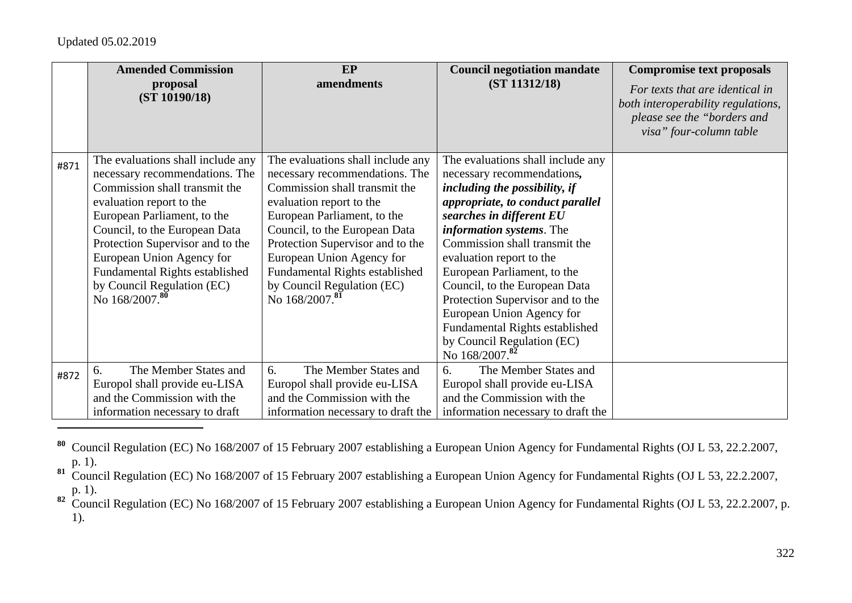|      | <b>Amended Commission</b><br>proposal<br>(ST 10190/18)              | EP<br>amendments                                                    | <b>Council negotiation mandate</b><br>(ST 11312/18)             | <b>Compromise text proposals</b><br>For texts that are identical in<br>both interoperability regulations,<br>please see the "borders and |
|------|---------------------------------------------------------------------|---------------------------------------------------------------------|-----------------------------------------------------------------|------------------------------------------------------------------------------------------------------------------------------------------|
|      |                                                                     |                                                                     |                                                                 | visa" four-column table                                                                                                                  |
| #871 | The evaluations shall include any<br>necessary recommendations. The | The evaluations shall include any<br>necessary recommendations. The | The evaluations shall include any<br>necessary recommendations, |                                                                                                                                          |
|      | Commission shall transmit the                                       | Commission shall transmit the                                       | including the possibility, if                                   |                                                                                                                                          |
|      | evaluation report to the                                            | evaluation report to the                                            | appropriate, to conduct parallel                                |                                                                                                                                          |
|      | European Parliament, to the                                         | European Parliament, to the                                         | searches in different EU                                        |                                                                                                                                          |
|      | Council, to the European Data                                       | Council, to the European Data                                       | <i>information systems.</i> The                                 |                                                                                                                                          |
|      | Protection Supervisor and to the                                    | Protection Supervisor and to the                                    | Commission shall transmit the                                   |                                                                                                                                          |
|      | European Union Agency for                                           | European Union Agency for                                           | evaluation report to the                                        |                                                                                                                                          |
|      | Fundamental Rights established                                      | <b>Fundamental Rights established</b>                               | European Parliament, to the                                     |                                                                                                                                          |
|      | by Council Regulation (EC)                                          | by Council Regulation (EC)                                          | Council, to the European Data                                   |                                                                                                                                          |
|      | No 168/2007.80                                                      | No 168/2007. <sup>81</sup>                                          | Protection Supervisor and to the                                |                                                                                                                                          |
|      |                                                                     |                                                                     | European Union Agency for                                       |                                                                                                                                          |
|      |                                                                     |                                                                     | Fundamental Rights established                                  |                                                                                                                                          |
|      |                                                                     |                                                                     | by Council Regulation (EC)                                      |                                                                                                                                          |
|      |                                                                     |                                                                     | No 168/2007.82                                                  |                                                                                                                                          |
| #872 | The Member States and<br>6.                                         | 6.<br>The Member States and                                         | 6.<br>The Member States and                                     |                                                                                                                                          |
|      | Europol shall provide eu-LISA                                       | Europol shall provide eu-LISA                                       | Europol shall provide eu-LISA                                   |                                                                                                                                          |
|      | and the Commission with the                                         | and the Commission with the                                         | and the Commission with the                                     |                                                                                                                                          |
|      | information necessary to draft                                      | information necessary to draft the                                  | information necessary to draft the                              |                                                                                                                                          |

**<sup>80</sup>** Council Regulation (EC) No 168/2007 of 15 February 2007 establishing a European Union Agency for Fundamental Rights (OJ L 53, 22.2.2007, p. 1).

81 Council Regulation (EC) No 168/2007 of 15 February 2007 establishing a European Union Agency for Fundamental Rights (OJ L 53, 22.2.2007, p. 1).

<sup>82</sup> Council Regulation (EC) No 168/2007 of 15 February 2007 establishing a European Union Agency for Fundamental Rights (OJ L 53, 22.2.2007, p. 1).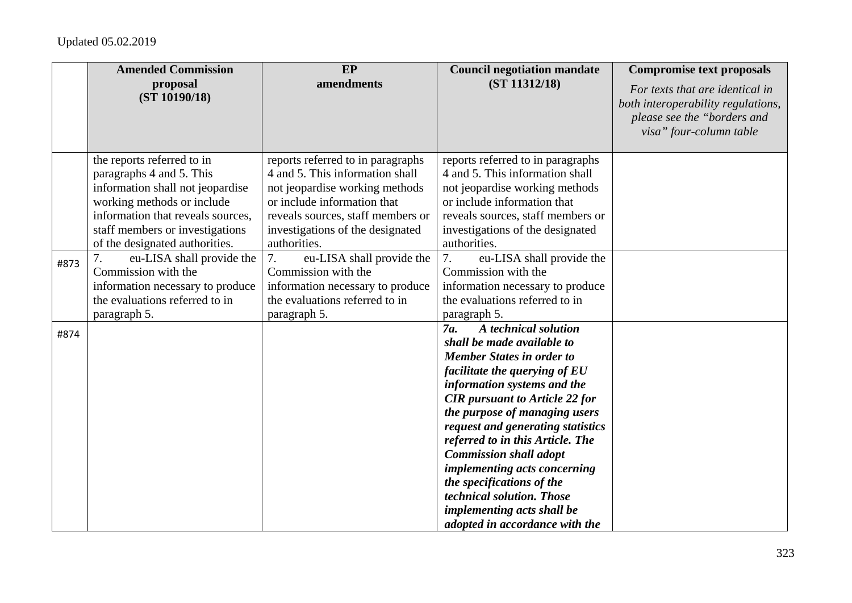|      | <b>Amended Commission</b>                                                                                                                                                                                                          | EP                                                                                                                                                                                                                             | <b>Council negotiation mandate</b>                                                                                                                                                                                                                                                                                                                                                                                                                                                                                          | <b>Compromise text proposals</b>                                                                                                |
|------|------------------------------------------------------------------------------------------------------------------------------------------------------------------------------------------------------------------------------------|--------------------------------------------------------------------------------------------------------------------------------------------------------------------------------------------------------------------------------|-----------------------------------------------------------------------------------------------------------------------------------------------------------------------------------------------------------------------------------------------------------------------------------------------------------------------------------------------------------------------------------------------------------------------------------------------------------------------------------------------------------------------------|---------------------------------------------------------------------------------------------------------------------------------|
|      | proposal<br>(ST 10190/18)                                                                                                                                                                                                          | amendments                                                                                                                                                                                                                     | (ST 11312/18)                                                                                                                                                                                                                                                                                                                                                                                                                                                                                                               | For texts that are identical in<br>both interoperability regulations,<br>please see the "borders and<br>visa" four-column table |
|      | the reports referred to in<br>paragraphs 4 and 5. This<br>information shall not jeopardise<br>working methods or include<br>information that reveals sources,<br>staff members or investigations<br>of the designated authorities. | reports referred to in paragraphs<br>4 and 5. This information shall<br>not jeopardise working methods<br>or include information that<br>reveals sources, staff members or<br>investigations of the designated<br>authorities. | reports referred to in paragraphs<br>4 and 5. This information shall<br>not jeopardise working methods<br>or include information that<br>reveals sources, staff members or<br>investigations of the designated<br>authorities.                                                                                                                                                                                                                                                                                              |                                                                                                                                 |
| #873 | eu-LISA shall provide the<br>Commission with the<br>information necessary to produce<br>the evaluations referred to in<br>paragraph 5.                                                                                             | 7.<br>eu-LISA shall provide the<br>Commission with the<br>information necessary to produce<br>the evaluations referred to in<br>paragraph 5.                                                                                   | 7.<br>eu-LISA shall provide the<br>Commission with the<br>information necessary to produce<br>the evaluations referred to in<br>paragraph 5.                                                                                                                                                                                                                                                                                                                                                                                |                                                                                                                                 |
| #874 |                                                                                                                                                                                                                                    |                                                                                                                                                                                                                                | A technical solution<br>7 <i>a</i> .<br>shall be made available to<br><b>Member States in order to</b><br>facilitate the querying of EU<br>information systems and the<br><b>CIR</b> pursuant to Article 22 for<br>the purpose of managing users<br>request and generating statistics<br>referred to in this Article. The<br><b>Commission shall adopt</b><br><i>implementing acts concerning</i><br>the specifications of the<br>technical solution. Those<br>implementing acts shall be<br>adopted in accordance with the |                                                                                                                                 |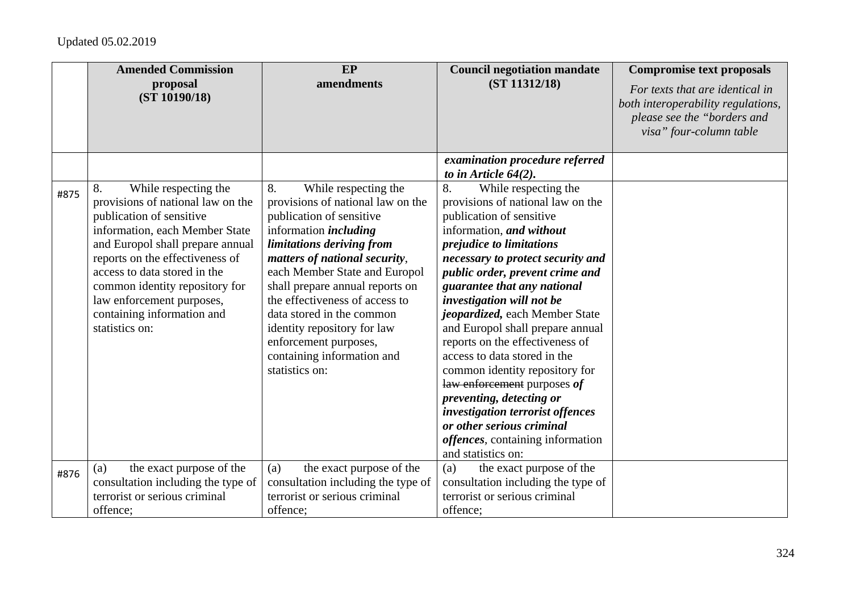|      | <b>Amended Commission</b><br>proposal<br>(ST 10190/18)                                                                                                                                                                                                                                                                                              | EP<br>amendments                                                                                                                                                                                                                                                                                                                                                                                                                     | <b>Council negotiation mandate</b><br>(ST 11312/18)                                                                                                                                                                                                                                                                                                                                                                                                                                                                                                                                                                                                                     | <b>Compromise text proposals</b><br>For texts that are identical in<br>both interoperability regulations,<br>please see the "borders and<br>visa" four-column table |
|------|-----------------------------------------------------------------------------------------------------------------------------------------------------------------------------------------------------------------------------------------------------------------------------------------------------------------------------------------------------|--------------------------------------------------------------------------------------------------------------------------------------------------------------------------------------------------------------------------------------------------------------------------------------------------------------------------------------------------------------------------------------------------------------------------------------|-------------------------------------------------------------------------------------------------------------------------------------------------------------------------------------------------------------------------------------------------------------------------------------------------------------------------------------------------------------------------------------------------------------------------------------------------------------------------------------------------------------------------------------------------------------------------------------------------------------------------------------------------------------------------|---------------------------------------------------------------------------------------------------------------------------------------------------------------------|
|      |                                                                                                                                                                                                                                                                                                                                                     |                                                                                                                                                                                                                                                                                                                                                                                                                                      | examination procedure referred<br>to in Article $64(2)$ .                                                                                                                                                                                                                                                                                                                                                                                                                                                                                                                                                                                                               |                                                                                                                                                                     |
| #875 | 8.<br>While respecting the<br>provisions of national law on the<br>publication of sensitive<br>information, each Member State<br>and Europol shall prepare annual<br>reports on the effectiveness of<br>access to data stored in the<br>common identity repository for<br>law enforcement purposes,<br>containing information and<br>statistics on: | 8.<br>While respecting the<br>provisions of national law on the<br>publication of sensitive<br>information <i>including</i><br>limitations deriving from<br>matters of national security,<br>each Member State and Europol<br>shall prepare annual reports on<br>the effectiveness of access to<br>data stored in the common<br>identity repository for law<br>enforcement purposes,<br>containing information and<br>statistics on: | 8.<br>While respecting the<br>provisions of national law on the<br>publication of sensitive<br>information, and without<br><i>prejudice to limitations</i><br>necessary to protect security and<br>public order, prevent crime and<br>guarantee that any national<br>investigation will not be<br>jeopardized, each Member State<br>and Europol shall prepare annual<br>reports on the effectiveness of<br>access to data stored in the<br>common identity repository for<br>law enforcement purposes of<br>preventing, detecting or<br>investigation terrorist offences<br>or other serious criminal<br><i>offences</i> , containing information<br>and statistics on: |                                                                                                                                                                     |
| #876 | the exact purpose of the<br>(a)<br>consultation including the type of<br>terrorist or serious criminal<br>offence:                                                                                                                                                                                                                                  | the exact purpose of the<br>(a)<br>consultation including the type of<br>terrorist or serious criminal<br>offence:                                                                                                                                                                                                                                                                                                                   | the exact purpose of the<br>(a)<br>consultation including the type of<br>terrorist or serious criminal<br>offence:                                                                                                                                                                                                                                                                                                                                                                                                                                                                                                                                                      |                                                                                                                                                                     |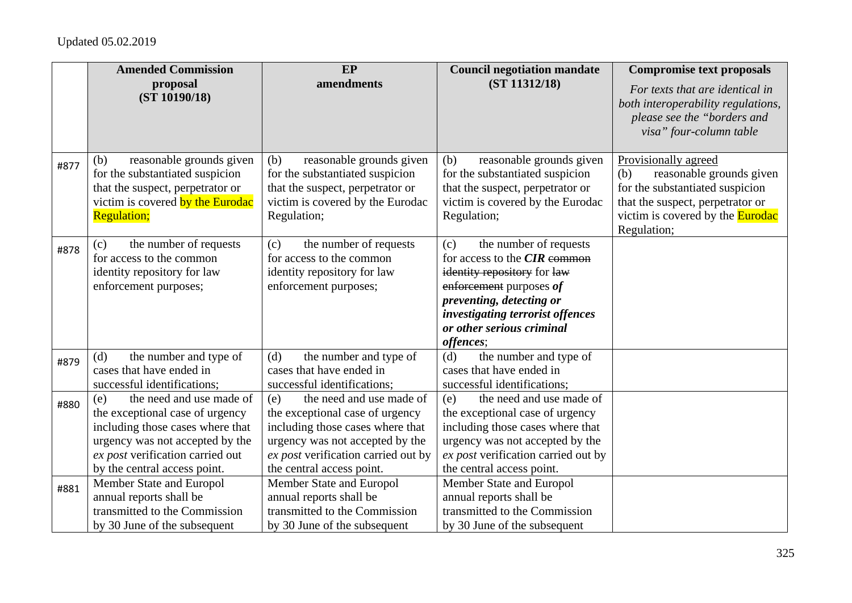|      | <b>Amended Commission</b>                                                                                                                                                                                     | EP                                                                                                                                                                                                            | <b>Council negotiation mandate</b>                                                                                                                                                                                                       | <b>Compromise text proposals</b>                                                                                                                                          |
|------|---------------------------------------------------------------------------------------------------------------------------------------------------------------------------------------------------------------|---------------------------------------------------------------------------------------------------------------------------------------------------------------------------------------------------------------|------------------------------------------------------------------------------------------------------------------------------------------------------------------------------------------------------------------------------------------|---------------------------------------------------------------------------------------------------------------------------------------------------------------------------|
|      | proposal<br>(ST 10190/18)                                                                                                                                                                                     | amendments                                                                                                                                                                                                    | (ST 11312/18)                                                                                                                                                                                                                            | For texts that are identical in<br>both interoperability regulations,<br>please see the "borders and<br>visa" four-column table                                           |
| #877 | reasonable grounds given<br>(b)<br>for the substantiated suspicion<br>that the suspect, perpetrator or<br>victim is covered by the Eurodac<br><b>Regulation;</b>                                              | reasonable grounds given<br>(b)<br>for the substantiated suspicion<br>that the suspect, perpetrator or<br>victim is covered by the Eurodac<br>Regulation;                                                     | reasonable grounds given<br>(b)<br>for the substantiated suspicion<br>that the suspect, perpetrator or<br>victim is covered by the Eurodac<br>Regulation;                                                                                | Provisionally agreed<br>reasonable grounds given<br>(b)<br>for the substantiated suspicion<br>that the suspect, perpetrator or<br>victim is covered by the <b>Eurodac</b> |
| #878 | the number of requests<br>(c)<br>for access to the common<br>identity repository for law<br>enforcement purposes;                                                                                             | the number of requests<br>(c)<br>for access to the common<br>identity repository for law<br>enforcement purposes;                                                                                             | the number of requests<br>(c)<br>for access to the <b>CIR</b> common<br>identity repository for law<br>enforcement purposes of<br>preventing, detecting or<br>investigating terrorist offences<br>or other serious criminal<br>offences; | Regulation;                                                                                                                                                               |
| #879 | the number and type of<br>(d)<br>cases that have ended in<br>successful identifications;                                                                                                                      | the number and type of<br>(d)<br>cases that have ended in<br>successful identifications;                                                                                                                      | the number and type of<br>(d)<br>cases that have ended in<br>successful identifications;                                                                                                                                                 |                                                                                                                                                                           |
| #880 | the need and use made of<br>(e)<br>the exceptional case of urgency<br>including those cases where that<br>urgency was not accepted by the<br>ex post verification carried out<br>by the central access point. | the need and use made of<br>(e)<br>the exceptional case of urgency<br>including those cases where that<br>urgency was not accepted by the<br>ex post verification carried out by<br>the central access point. | the need and use made of<br>(e)<br>the exceptional case of urgency<br>including those cases where that<br>urgency was not accepted by the<br>ex post verification carried out by<br>the central access point.                            |                                                                                                                                                                           |
| #881 | Member State and Europol<br>annual reports shall be<br>transmitted to the Commission<br>by 30 June of the subsequent                                                                                          | Member State and Europol<br>annual reports shall be<br>transmitted to the Commission<br>by 30 June of the subsequent                                                                                          | Member State and Europol<br>annual reports shall be<br>transmitted to the Commission<br>by 30 June of the subsequent                                                                                                                     |                                                                                                                                                                           |